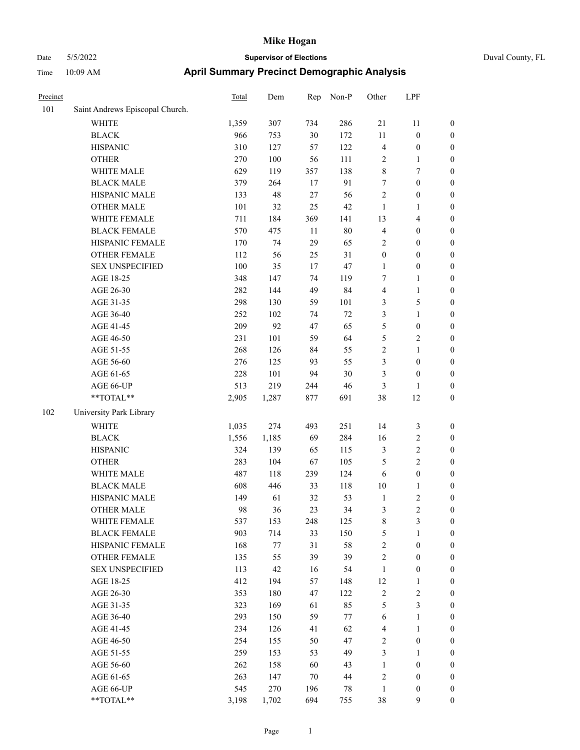| Precinct |                                 | <b>Total</b> | Dem   | Rep      | Non-P    | Other             | LPF                          |                  |
|----------|---------------------------------|--------------|-------|----------|----------|-------------------|------------------------------|------------------|
| 101      | Saint Andrews Episcopal Church. |              |       |          |          |                   |                              |                  |
|          | WHITE                           | 1,359        | 307   | 734      | 286      | 21                | 11                           | $\boldsymbol{0}$ |
|          | <b>BLACK</b>                    | 966          | 753   | $30\,$   | 172      | $11\,$            | $\boldsymbol{0}$             | $\boldsymbol{0}$ |
|          | <b>HISPANIC</b>                 | 310          | 127   | 57       | 122      | $\overline{4}$    | $\boldsymbol{0}$             | $\boldsymbol{0}$ |
|          | <b>OTHER</b>                    | 270          | 100   | 56       | 111      | $\sqrt{2}$        | 1                            | $\boldsymbol{0}$ |
|          | WHITE MALE                      | 629          | 119   | 357      | 138      | $\,$ 8 $\,$       | 7                            | $\boldsymbol{0}$ |
|          | <b>BLACK MALE</b>               | 379          | 264   | 17       | 91       | $\tau$            | $\boldsymbol{0}$             | $\boldsymbol{0}$ |
|          | HISPANIC MALE                   | 133          | 48    | 27       | 56       | $\sqrt{2}$        | $\boldsymbol{0}$             | $\boldsymbol{0}$ |
|          | <b>OTHER MALE</b>               | 101          | 32    | 25       | 42       | $\mathbf{1}$      | 1                            | $\boldsymbol{0}$ |
|          | WHITE FEMALE                    | 711          | 184   | 369      | 141      | 13                | 4                            | $\boldsymbol{0}$ |
|          | <b>BLACK FEMALE</b>             | 570          | 475   | $11\,$   | $80\,$   | $\overline{4}$    | $\boldsymbol{0}$             | $\boldsymbol{0}$ |
|          | HISPANIC FEMALE                 | 170          | 74    | 29       | 65       | $\sqrt{2}$        | $\boldsymbol{0}$             | $\boldsymbol{0}$ |
|          | <b>OTHER FEMALE</b>             | 112          | 56    | 25       | 31       | $\boldsymbol{0}$  | $\boldsymbol{0}$             | $\boldsymbol{0}$ |
|          | <b>SEX UNSPECIFIED</b>          | 100          | 35    | 17       | 47       | $\mathbf{1}$      | $\boldsymbol{0}$             | $\boldsymbol{0}$ |
|          | AGE 18-25                       | 348          | 147   | 74       | 119      | 7                 | 1                            | $\boldsymbol{0}$ |
|          | AGE 26-30                       | 282          | 144   | 49       | 84       | $\overline{4}$    | 1                            | $\boldsymbol{0}$ |
|          | AGE 31-35                       | 298          | 130   | 59       | 101      | $\mathfrak{Z}$    | 5                            | $\boldsymbol{0}$ |
|          | AGE 36-40                       | 252          | 102   | 74       | 72       | 3                 | 1                            | $\boldsymbol{0}$ |
|          | AGE 41-45                       | 209          | 92    | 47       | 65       | 5                 | $\boldsymbol{0}$             | $\boldsymbol{0}$ |
|          | AGE 46-50                       | 231          | 101   | 59       | 64       | 5                 | $\overline{\mathbf{c}}$      | $\boldsymbol{0}$ |
|          | AGE 51-55                       | 268          | 126   | 84       | 55       | $\sqrt{2}$        | 1                            | $\boldsymbol{0}$ |
|          | AGE 56-60                       | 276          | 125   | 93       | 55       | 3                 | $\boldsymbol{0}$             | $\boldsymbol{0}$ |
|          | AGE 61-65                       | 228          | 101   | 94       | 30       | 3                 | $\boldsymbol{0}$             | $\boldsymbol{0}$ |
|          | AGE 66-UP                       | 513          | 219   | 244      | 46       | 3                 | 1                            | $\boldsymbol{0}$ |
|          | **TOTAL**                       | 2,905        | 1,287 | 877      | 691      | 38                | 12                           | $\boldsymbol{0}$ |
| 102      | University Park Library         |              |       |          |          |                   |                              |                  |
|          | <b>WHITE</b>                    | 1,035        | 274   | 493      | 251      | 14                | 3                            | $\boldsymbol{0}$ |
|          | <b>BLACK</b>                    | 1,556        | 1,185 | 69       | 284      | 16                | $\overline{\mathbf{c}}$      | $\boldsymbol{0}$ |
|          | <b>HISPANIC</b>                 | 324          | 139   | 65       | 115      | 3                 | 2                            | $\boldsymbol{0}$ |
|          | <b>OTHER</b>                    | 283          | 104   | 67       | 105      | 5                 | 2                            | $\boldsymbol{0}$ |
|          | WHITE MALE                      | 487          |       |          |          | 6                 |                              |                  |
|          | <b>BLACK MALE</b>               | 608          | 118   | 239      | 124      |                   | $\boldsymbol{0}$             | $\boldsymbol{0}$ |
|          |                                 |              | 446   | 33       | 118      | 10                | 1                            | $\boldsymbol{0}$ |
|          | HISPANIC MALE                   | 149<br>98    | 61    | 32<br>23 | 53<br>34 | $\mathbf{1}$<br>3 | $\overline{\mathbf{c}}$<br>2 | $\boldsymbol{0}$ |
|          | <b>OTHER MALE</b>               |              | 36    |          |          |                   |                              | $\boldsymbol{0}$ |
|          | WHITE FEMALE                    | 537          | 153   | 248      | 125      | $\,$ 8 $\,$       | 3                            | $\boldsymbol{0}$ |
|          | <b>BLACK FEMALE</b>             | 903          | 714   | 33       | 150      | $\mathfrak{S}$    | 1                            | $\boldsymbol{0}$ |
|          | HISPANIC FEMALE                 | 168          | 77    | 31       | 58       | $\sqrt{2}$        | $\boldsymbol{0}$             | $\boldsymbol{0}$ |
|          | <b>OTHER FEMALE</b>             | 135          | 55    | 39       | 39       | $\sqrt{2}$        | $\boldsymbol{0}$             | $\boldsymbol{0}$ |
|          | <b>SEX UNSPECIFIED</b>          | 113          | 42    | 16       | 54       | $\mathbf{1}$      | $\boldsymbol{0}$             | $\boldsymbol{0}$ |
|          | AGE 18-25                       | 412          | 194   | 57       | 148      | 12                | 1                            | $\boldsymbol{0}$ |
|          | AGE 26-30                       | 353          | 180   | 47       | 122      | $\sqrt{2}$        | $\mathbf{2}$                 | $\boldsymbol{0}$ |
|          | AGE 31-35                       | 323          | 169   | 61       | 85       | $\mathfrak{S}$    | 3                            | $\boldsymbol{0}$ |
|          | AGE 36-40                       | 293          | 150   | 59       | 77       | 6                 | 1                            | $\boldsymbol{0}$ |
|          | AGE 41-45                       | 234          | 126   | 41       | 62       | $\overline{4}$    | $\mathbf{1}$                 | $\boldsymbol{0}$ |
|          | AGE 46-50                       | 254          | 155   | 50       | 47       | $\sqrt{2}$        | $\boldsymbol{0}$             | $\boldsymbol{0}$ |
|          | AGE 51-55                       | 259          | 153   | 53       | 49       | $\mathfrak{Z}$    | 1                            | $\boldsymbol{0}$ |
|          | AGE 56-60                       | 262          | 158   | 60       | 43       | $\mathbf{1}$      | $\boldsymbol{0}$             | $\boldsymbol{0}$ |
|          | AGE 61-65                       | 263          | 147   | 70       | 44       | $\sqrt{2}$        | $\boldsymbol{0}$             | $\boldsymbol{0}$ |
|          | AGE 66-UP                       | 545          | 270   | 196      | 78       | $\mathbf{1}$      | $\boldsymbol{0}$             | $\mathbf{0}$     |
|          | **TOTAL**                       | 3,198        | 1,702 | 694      | 755      | 38                | 9                            | $\boldsymbol{0}$ |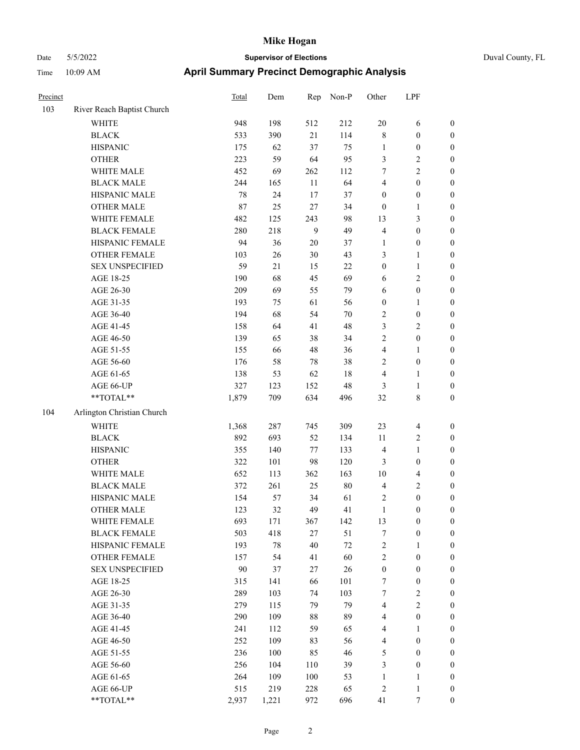# Date 5/5/2022 **Supervisor of Elections** Duval County, FL Time 10:09 AM **April Summary Precinct Demographic Analysis**

| Precinct |                            | Total | Dem | Rep    | Non-P  | Other            | LPF                     |                  |
|----------|----------------------------|-------|-----|--------|--------|------------------|-------------------------|------------------|
| 103      | River Reach Baptist Church |       |     |        |        |                  |                         |                  |
|          | <b>WHITE</b>               | 948   | 198 | 512    | 212    | $20\,$           | 6                       | $\boldsymbol{0}$ |
|          | <b>BLACK</b>               | 533   | 390 | 21     | 114    | $\,$ 8 $\,$      | $\boldsymbol{0}$        | $\boldsymbol{0}$ |
|          | <b>HISPANIC</b>            | 175   | 62  | 37     | 75     | $\mathbf{1}$     | $\boldsymbol{0}$        | $\boldsymbol{0}$ |
|          | <b>OTHER</b>               | 223   | 59  | 64     | 95     | 3                | $\overline{\mathbf{c}}$ | $\boldsymbol{0}$ |
|          | WHITE MALE                 | 452   | 69  | 262    | 112    | 7                | $\overline{c}$          | $\boldsymbol{0}$ |
|          | <b>BLACK MALE</b>          | 244   | 165 | 11     | 64     | $\overline{4}$   | $\boldsymbol{0}$        | $\boldsymbol{0}$ |
|          | HISPANIC MALE              | 78    | 24  | $17\,$ | 37     | $\boldsymbol{0}$ | $\boldsymbol{0}$        | $\boldsymbol{0}$ |
|          | <b>OTHER MALE</b>          | 87    | 25  | $27\,$ | 34     | $\mathbf{0}$     | $\mathbf{1}$            | $\boldsymbol{0}$ |
|          | WHITE FEMALE               | 482   | 125 | 243    | 98     | 13               | 3                       | $\boldsymbol{0}$ |
|          | <b>BLACK FEMALE</b>        | 280   | 218 | 9      | 49     | $\overline{4}$   | $\boldsymbol{0}$        | $\boldsymbol{0}$ |
|          | HISPANIC FEMALE            | 94    | 36  | $20\,$ | 37     | $\mathbf{1}$     | $\boldsymbol{0}$        | $\boldsymbol{0}$ |
|          | OTHER FEMALE               | 103   | 26  | 30     | 43     | 3                | $\mathbf{1}$            | $\boldsymbol{0}$ |
|          | <b>SEX UNSPECIFIED</b>     | 59    | 21  | 15     | $22\,$ | $\boldsymbol{0}$ | $\mathbf{1}$            | $\boldsymbol{0}$ |
|          | AGE 18-25                  | 190   | 68  | 45     | 69     | 6                | $\overline{c}$          | $\boldsymbol{0}$ |
|          | AGE 26-30                  | 209   | 69  | 55     | 79     | 6                | $\boldsymbol{0}$        | $\boldsymbol{0}$ |
|          | AGE 31-35                  | 193   | 75  | 61     | 56     | $\boldsymbol{0}$ | $\mathbf{1}$            | $\boldsymbol{0}$ |
|          | AGE 36-40                  | 194   | 68  | 54     | 70     | 2                | $\boldsymbol{0}$        | $\boldsymbol{0}$ |
|          | AGE 41-45                  | 158   | 64  | 41     | 48     | 3                | $\overline{c}$          | $\boldsymbol{0}$ |
|          | AGE 46-50                  | 139   | 65  | 38     | 34     | 2                | $\boldsymbol{0}$        | $\boldsymbol{0}$ |
|          | AGE 51-55                  | 155   | 66  | 48     | 36     | $\overline{4}$   | 1                       | $\boldsymbol{0}$ |
|          | AGE 56-60                  | 176   | 58  | $78\,$ | 38     | 2                | $\boldsymbol{0}$        | $\boldsymbol{0}$ |
|          | AGE 61-65                  | 138   | 53  | 62     | 18     | $\overline{4}$   | $\mathbf{1}$            | $\boldsymbol{0}$ |
|          | AGE 66-UP                  | 327   | 123 | 152    | 48     | 3                | $\mathbf{1}$            | $\boldsymbol{0}$ |
|          | $**TOTAL**$                | 1,879 | 709 | 634    | 496    | 32               | $\,$ 8 $\,$             | $\boldsymbol{0}$ |
| 104      | Arlington Christian Church |       |     |        |        |                  |                         |                  |
|          | <b>WHITE</b>               | 1,368 | 287 | 745    | 309    | 23               | $\overline{4}$          | $\boldsymbol{0}$ |
|          | <b>BLACK</b>               | 892   | 693 | 52     | 134    | 11               | $\overline{c}$          | $\boldsymbol{0}$ |
|          | <b>HISPANIC</b>            | 355   | 140 | $77\,$ | 133    | $\overline{4}$   | $\mathbf{1}$            | $\boldsymbol{0}$ |
|          | <b>OTHER</b>               | 322   | 101 | 98     | 120    | 3                | $\boldsymbol{0}$        | $\boldsymbol{0}$ |
|          | WHITE MALE                 | 652   | 113 | 362    | 163    | 10               | 4                       | $\boldsymbol{0}$ |
|          | <b>BLACK MALE</b>          | 372   | 261 | 25     | 80     | $\overline{4}$   | 2                       | $\boldsymbol{0}$ |
|          | HISPANIC MALE              | 154   | 57  | 34     | 61     | $\sqrt{2}$       | $\boldsymbol{0}$        | $\boldsymbol{0}$ |
|          | <b>OTHER MALE</b>          | 123   | 32  | 49     | 41     | $\mathbf{1}$     | $\boldsymbol{0}$        | $\boldsymbol{0}$ |
|          | WHITE FEMALE               | 693   | 171 | 367    | 142    | 13               | $\boldsymbol{0}$        | $\boldsymbol{0}$ |
|          | <b>BLACK FEMALE</b>        | 503   | 418 | 27     | 51     | 7                | $\boldsymbol{0}$        | $\boldsymbol{0}$ |
|          | HISPANIC FEMALE            | 193   | 78  | 40     | $72\,$ | $\sqrt{2}$       | $\mathbf{1}$            | $\boldsymbol{0}$ |
|          | OTHER FEMALE               | 157   | 54  | 41     | 60     | $\sqrt{2}$       | $\boldsymbol{0}$        | $\boldsymbol{0}$ |
|          | <b>SEX UNSPECIFIED</b>     | 90    | 37  | 27     | 26     | $\boldsymbol{0}$ | $\boldsymbol{0}$        | $\boldsymbol{0}$ |
|          | AGE 18-25                  | 315   | 141 | 66     | 101    | 7                | $\boldsymbol{0}$        | $\boldsymbol{0}$ |
|          | AGE 26-30                  | 289   | 103 | 74     | 103    | $\boldsymbol{7}$ | $\overline{c}$          | 0                |
|          | AGE 31-35                  | 279   | 115 | 79     | 79     | 4                | 2                       | 0                |
|          | AGE 36-40                  | 290   | 109 | 88     | 89     | $\overline{4}$   | $\boldsymbol{0}$        | $\boldsymbol{0}$ |
|          | AGE 41-45                  | 241   | 112 | 59     | 65     | 4                | 1                       | $\boldsymbol{0}$ |
|          | AGE 46-50                  | 252   | 109 | 83     | 56     | $\overline{4}$   | $\boldsymbol{0}$        | $\boldsymbol{0}$ |
|          | AGE 51-55                  | 236   | 100 | 85     | 46     | 5                | $\boldsymbol{0}$        | $\boldsymbol{0}$ |
|          | AGE 56-60                  | 256   | 104 | 110    | 39     | 3                | $\boldsymbol{0}$        | $\boldsymbol{0}$ |
|          | AGE 61-65                  | 264   | 109 | 100    | 53     | 1                | 1                       | $\boldsymbol{0}$ |
|          | AGE 66-UP                  | 515   | 219 | 228    | 65     | $\overline{c}$   | $\mathbf{1}$            | $\mathbf{0}$     |

AGE 66-UP 515 219 228 65 2 1 0<br>
\*\*TOTAL\*\* 2,937 1,221 972 696 41 7 0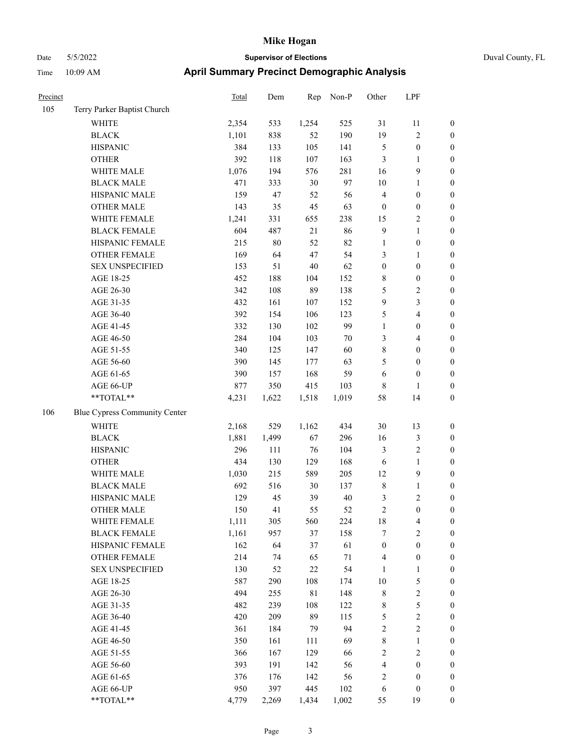| Precinct |                               | Total | Dem    | Rep         | Non-P  | Other            | LPF              |                  |
|----------|-------------------------------|-------|--------|-------------|--------|------------------|------------------|------------------|
| 105      | Terry Parker Baptist Church   |       |        |             |        |                  |                  |                  |
|          | WHITE                         | 2,354 | 533    | 1,254       | 525    | 31               | 11               | $\boldsymbol{0}$ |
|          | <b>BLACK</b>                  | 1,101 | 838    | 52          | 190    | 19               | 2                | $\boldsymbol{0}$ |
|          | <b>HISPANIC</b>               | 384   | 133    | 105         | 141    | $\mathfrak{S}$   | $\boldsymbol{0}$ | $\boldsymbol{0}$ |
|          | <b>OTHER</b>                  | 392   | 118    | 107         | 163    | $\mathfrak{Z}$   | 1                | $\boldsymbol{0}$ |
|          | WHITE MALE                    | 1,076 | 194    | 576         | 281    | 16               | 9                | $\boldsymbol{0}$ |
|          | <b>BLACK MALE</b>             | 471   | 333    | $30\,$      | 97     | 10               | 1                | $\boldsymbol{0}$ |
|          | HISPANIC MALE                 | 159   | 47     | 52          | 56     | $\overline{4}$   | $\boldsymbol{0}$ | $\boldsymbol{0}$ |
|          | <b>OTHER MALE</b>             | 143   | 35     | 45          | 63     | $\boldsymbol{0}$ | $\boldsymbol{0}$ | $\boldsymbol{0}$ |
|          | WHITE FEMALE                  | 1,241 | 331    | 655         | 238    | 15               | 2                | $\boldsymbol{0}$ |
|          | <b>BLACK FEMALE</b>           | 604   | 487    | 21          | 86     | 9                | 1                | $\boldsymbol{0}$ |
|          | HISPANIC FEMALE               | 215   | $80\,$ | 52          | 82     | $\mathbf{1}$     | $\boldsymbol{0}$ | $\boldsymbol{0}$ |
|          | <b>OTHER FEMALE</b>           | 169   | 64     | 47          | 54     | 3                | 1                | $\boldsymbol{0}$ |
|          | <b>SEX UNSPECIFIED</b>        | 153   | 51     | $40\,$      | 62     | $\boldsymbol{0}$ | $\boldsymbol{0}$ | $\boldsymbol{0}$ |
|          | AGE 18-25                     | 452   | 188    | 104         | 152    | $\,$ 8 $\,$      | $\boldsymbol{0}$ | $\boldsymbol{0}$ |
|          | AGE 26-30                     | 342   | 108    | 89          | 138    | 5                | 2                | $\boldsymbol{0}$ |
|          | AGE 31-35                     | 432   | 161    | 107         | 152    | 9                | 3                | $\boldsymbol{0}$ |
|          | AGE 36-40                     | 392   | 154    | 106         | 123    | $\mathfrak{S}$   | 4                | $\boldsymbol{0}$ |
|          | AGE 41-45                     | 332   | 130    | 102         | 99     | $\mathbf{1}$     | $\boldsymbol{0}$ | $\boldsymbol{0}$ |
|          | AGE 46-50                     | 284   | 104    | 103         | 70     | 3                | 4                | $\boldsymbol{0}$ |
|          | AGE 51-55                     | 340   | 125    | 147         | 60     | $\,$ 8 $\,$      | $\boldsymbol{0}$ | $\boldsymbol{0}$ |
|          | AGE 56-60                     | 390   | 145    | 177         | 63     | 5                | $\boldsymbol{0}$ | $\boldsymbol{0}$ |
|          | AGE 61-65                     | 390   | 157    | 168         | 59     | 6                | $\boldsymbol{0}$ | $\boldsymbol{0}$ |
|          | AGE 66-UP                     | 877   | 350    | 415         | 103    | $\,$ 8 $\,$      | $\mathbf{1}$     | $\boldsymbol{0}$ |
|          | **TOTAL**                     | 4,231 | 1,622  | 1,518       | 1,019  | 58               | 14               | $\boldsymbol{0}$ |
| 106      | Blue Cypress Community Center |       |        |             |        |                  |                  |                  |
|          | WHITE                         | 2,168 | 529    | 1,162       | 434    | 30               | 13               | $\boldsymbol{0}$ |
|          | <b>BLACK</b>                  | 1,881 | 1,499  | 67          | 296    | 16               | 3                | $\boldsymbol{0}$ |
|          | <b>HISPANIC</b>               | 296   | 111    | 76          | 104    | 3                | 2                | $\boldsymbol{0}$ |
|          | <b>OTHER</b>                  | 434   | 130    | 129         | 168    | 6                | $\mathbf{1}$     | $\boldsymbol{0}$ |
|          | WHITE MALE                    | 1,030 | 215    | 589         | 205    | 12               | 9                | $\boldsymbol{0}$ |
|          | <b>BLACK MALE</b>             | 692   | 516    | $30\,$      | 137    | $\,$ 8 $\,$      | 1                | $\boldsymbol{0}$ |
|          | HISPANIC MALE                 | 129   | 45     | 39          | $40\,$ | $\mathfrak z$    | 2                | $\boldsymbol{0}$ |
|          | <b>OTHER MALE</b>             | 150   | 41     | 55          | 52     | $\overline{2}$   | $\boldsymbol{0}$ | $\boldsymbol{0}$ |
|          | WHITE FEMALE                  | 1,111 | 305    | 560         | 224    | $18\,$           | $\overline{4}$   | $\boldsymbol{0}$ |
|          | <b>BLACK FEMALE</b>           | 1,161 | 957    | 37          | 158    | $\tau$           | 2                | $\boldsymbol{0}$ |
|          | HISPANIC FEMALE               | 162   | 64     | 37          | 61     | $\boldsymbol{0}$ | $\boldsymbol{0}$ | $\boldsymbol{0}$ |
|          | OTHER FEMALE                  | 214   | 74     | 65          | $71\,$ | $\overline{4}$   | $\boldsymbol{0}$ | $\boldsymbol{0}$ |
|          | <b>SEX UNSPECIFIED</b>        | 130   | 52     | $22\,$      | 54     | 1                | 1                | $\boldsymbol{0}$ |
|          | AGE 18-25                     | 587   | 290    | 108         | 174    | $10\,$           | 5                | $\boldsymbol{0}$ |
|          | AGE 26-30                     | 494   | 255    | $8\sqrt{1}$ | 148    | $\,8\,$          | $\sqrt{2}$       | $\boldsymbol{0}$ |
|          | AGE 31-35                     | 482   | 239    | 108         | 122    | $\,$ 8 $\,$      | 5                | $\boldsymbol{0}$ |
|          | AGE 36-40                     | 420   | 209    | 89          | 115    | $\mathfrak s$    | $\sqrt{2}$       | $\boldsymbol{0}$ |
|          | AGE 41-45                     | 361   | 184    | 79          | 94     | $\sqrt{2}$       | $\mathbf{2}$     | $\boldsymbol{0}$ |
|          | AGE 46-50                     | 350   | 161    | 111         | 69     | $\,$ 8 $\,$      | 1                | $\boldsymbol{0}$ |
|          | AGE 51-55                     | 366   | 167    | 129         | 66     | $\sqrt{2}$       | $\mathbf{2}$     | $\boldsymbol{0}$ |
|          | AGE 56-60                     | 393   | 191    | 142         | 56     | $\overline{4}$   | $\boldsymbol{0}$ | $\boldsymbol{0}$ |
|          | AGE 61-65                     | 376   | 176    | 142         | 56     | $\sqrt{2}$       | $\boldsymbol{0}$ | $\boldsymbol{0}$ |
|          | AGE 66-UP                     | 950   | 397    | 445         | 102    | 6                | $\boldsymbol{0}$ | $\boldsymbol{0}$ |
|          | **TOTAL**                     | 4,779 | 2,269  | 1,434       | 1,002  | 55               | 19               | $\mathbf{0}$     |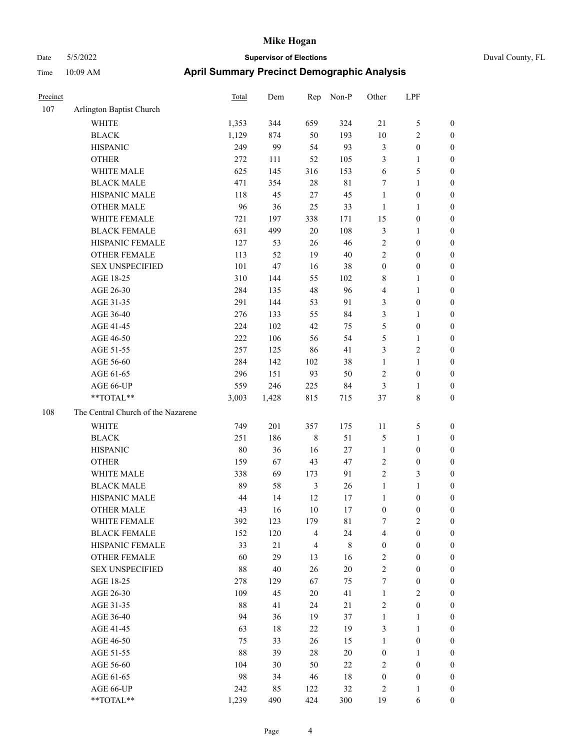| Precinct |                                    | <b>Total</b> | Dem   | Rep            | Non-P       | Other            | LPF              |                  |
|----------|------------------------------------|--------------|-------|----------------|-------------|------------------|------------------|------------------|
| 107      | Arlington Baptist Church           |              |       |                |             |                  |                  |                  |
|          | WHITE                              | 1,353        | 344   | 659            | 324         | 21               | 5                | $\boldsymbol{0}$ |
|          | <b>BLACK</b>                       | 1,129        | 874   | 50             | 193         | 10               | 2                | $\boldsymbol{0}$ |
|          | <b>HISPANIC</b>                    | 249          | 99    | 54             | 93          | $\mathfrak{Z}$   | $\boldsymbol{0}$ | $\boldsymbol{0}$ |
|          | <b>OTHER</b>                       | 272          | 111   | 52             | 105         | $\mathfrak{Z}$   | 1                | $\boldsymbol{0}$ |
|          | WHITE MALE                         | 625          | 145   | 316            | 153         | 6                | 5                | $\boldsymbol{0}$ |
|          | <b>BLACK MALE</b>                  | 471          | 354   | $28\,$         | $8\sqrt{1}$ | $\tau$           | 1                | $\boldsymbol{0}$ |
|          | HISPANIC MALE                      | 118          | 45    | $27\,$         | 45          | $\mathbf{1}$     | $\boldsymbol{0}$ | $\boldsymbol{0}$ |
|          | <b>OTHER MALE</b>                  | 96           | 36    | 25             | 33          | $\mathbf{1}$     | 1                | $\boldsymbol{0}$ |
|          | WHITE FEMALE                       | 721          | 197   | 338            | 171         | 15               | $\boldsymbol{0}$ | $\boldsymbol{0}$ |
|          | <b>BLACK FEMALE</b>                | 631          | 499   | $20\,$         | 108         | $\mathfrak{Z}$   | 1                | $\boldsymbol{0}$ |
|          | HISPANIC FEMALE                    | 127          | 53    | 26             | 46          | $\sqrt{2}$       | $\boldsymbol{0}$ | $\boldsymbol{0}$ |
|          | <b>OTHER FEMALE</b>                | 113          | 52    | 19             | $40\,$      | $\sqrt{2}$       | $\boldsymbol{0}$ | $\boldsymbol{0}$ |
|          | <b>SEX UNSPECIFIED</b>             | 101          | 47    | 16             | 38          | $\boldsymbol{0}$ | $\boldsymbol{0}$ | $\boldsymbol{0}$ |
|          | AGE 18-25                          | 310          | 144   | 55             | 102         | 8                | 1                | $\boldsymbol{0}$ |
|          | AGE 26-30                          | 284          | 135   | 48             | 96          | $\overline{4}$   | 1                | $\boldsymbol{0}$ |
|          | AGE 31-35                          | 291          | 144   | 53             | 91          | $\mathfrak{Z}$   | $\boldsymbol{0}$ | $\boldsymbol{0}$ |
|          | AGE 36-40                          | 276          | 133   | 55             | 84          | 3                | 1                | $\boldsymbol{0}$ |
|          | AGE 41-45                          | 224          | 102   | $42\,$         | 75          | 5                | $\boldsymbol{0}$ | $\boldsymbol{0}$ |
|          | AGE 46-50                          | 222          | 106   | 56             | 54          | $\mathfrak{S}$   | 1                | $\boldsymbol{0}$ |
|          | AGE 51-55                          | 257          | 125   | 86             | 41          | 3                | $\overline{c}$   | $\boldsymbol{0}$ |
|          | AGE 56-60                          | 284          | 142   | 102            | 38          | 1                | 1                | $\boldsymbol{0}$ |
|          | AGE 61-65                          | 296          | 151   | 93             | 50          | $\sqrt{2}$       | $\boldsymbol{0}$ | $\boldsymbol{0}$ |
|          | AGE 66-UP                          | 559          | 246   | 225            | 84          | 3                | 1                | $\boldsymbol{0}$ |
|          | **TOTAL**                          | 3,003        | 1,428 | 815            | 715         | 37               | 8                | $\boldsymbol{0}$ |
| 108      | The Central Church of the Nazarene |              |       |                |             |                  |                  |                  |
|          | <b>WHITE</b>                       | 749          | 201   | 357            | 175         | 11               | 5                | $\boldsymbol{0}$ |
|          | <b>BLACK</b>                       | 251          | 186   | $\,8\,$        | 51          | $\mathfrak{S}$   | 1                | $\boldsymbol{0}$ |
|          | <b>HISPANIC</b>                    | 80           | 36    | 16             | $27\,$      | 1                | $\boldsymbol{0}$ | $\boldsymbol{0}$ |
|          | <b>OTHER</b>                       | 159          | 67    | 43             | 47          | $\sqrt{2}$       | $\boldsymbol{0}$ | $\boldsymbol{0}$ |
|          | WHITE MALE                         | 338          | 69    | 173            | 91          | $\sqrt{2}$       | 3                | $\boldsymbol{0}$ |
|          | <b>BLACK MALE</b>                  | 89           | 58    | 3              | 26          | $\mathbf{1}$     | 1                | $\boldsymbol{0}$ |
|          | HISPANIC MALE                      | 44           | 14    | 12             | 17          | $\mathbf{1}$     | $\boldsymbol{0}$ | $\boldsymbol{0}$ |
|          | <b>OTHER MALE</b>                  | 43           | 16    | 10             | 17          | $\boldsymbol{0}$ | $\boldsymbol{0}$ | $\boldsymbol{0}$ |
|          | WHITE FEMALE                       | 392          | 123   | 179            | 81          | $\tau$           | $\mathbf{2}$     | $\boldsymbol{0}$ |
|          | <b>BLACK FEMALE</b>                | 152          | 120   | $\overline{4}$ | 24          | $\overline{4}$   | $\boldsymbol{0}$ | $\boldsymbol{0}$ |
|          | HISPANIC FEMALE                    | 33           | 21    | $\overline{4}$ | $\,8\,$     | $\boldsymbol{0}$ | $\boldsymbol{0}$ | $\boldsymbol{0}$ |
|          | OTHER FEMALE                       | 60           | 29    | 13             | 16          | $\sqrt{2}$       | $\boldsymbol{0}$ | $\boldsymbol{0}$ |
|          | <b>SEX UNSPECIFIED</b>             | 88           | 40    | 26             | $20\,$      | $\sqrt{2}$       | $\boldsymbol{0}$ | $\boldsymbol{0}$ |
|          | AGE 18-25                          | 278          | 129   | 67             | 75          | $\boldsymbol{7}$ | $\boldsymbol{0}$ | $\boldsymbol{0}$ |
|          | AGE 26-30                          | 109          | 45    | 20             | 41          | $\mathbf{1}$     | $\sqrt{2}$       | $\boldsymbol{0}$ |
|          | AGE 31-35                          | 88           | 41    | 24             | $21\,$      | $\sqrt{2}$       | $\boldsymbol{0}$ | $\boldsymbol{0}$ |
|          | AGE 36-40                          | 94           | 36    | 19             | 37          | $\mathbf{1}$     | $\mathbf{1}$     | $\boldsymbol{0}$ |
|          | AGE 41-45                          | 63           | 18    | 22             | 19          | 3                | 1                | $\boldsymbol{0}$ |
|          | AGE 46-50                          | 75           | 33    | 26             | 15          | $\mathbf{1}$     | $\boldsymbol{0}$ | $\boldsymbol{0}$ |
|          | AGE 51-55                          | 88           | 39    | $28\,$         | $20\,$      | $\boldsymbol{0}$ | 1                | $\boldsymbol{0}$ |
|          | AGE 56-60                          | 104          | 30    | 50             | $22\,$      | $\overline{2}$   | $\boldsymbol{0}$ | $\boldsymbol{0}$ |
|          | AGE 61-65                          | 98           | 34    | 46             | 18          | $\boldsymbol{0}$ | $\boldsymbol{0}$ | $\boldsymbol{0}$ |
|          | AGE 66-UP                          | 242          | 85    | 122            | $32\,$      | $\sqrt{2}$       | 1                | $\bf{0}$         |
|          | **TOTAL**                          | 1,239        | 490   | 424            | 300         | 19               | 6                | $\boldsymbol{0}$ |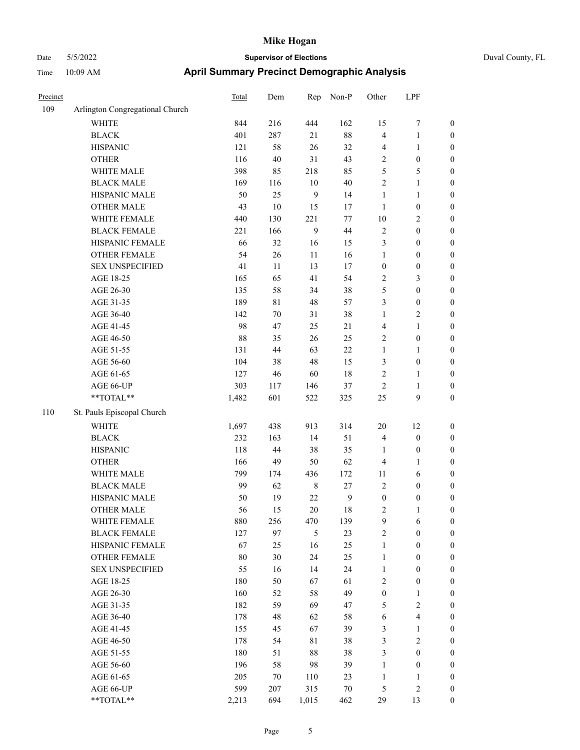| Duval County, FL |  |
|------------------|--|
|------------------|--|

| Precinct |                                 | Total | Dem    | Rep            | Non-P        | Other            | LPF                     |                  |
|----------|---------------------------------|-------|--------|----------------|--------------|------------------|-------------------------|------------------|
| 109      | Arlington Congregational Church |       |        |                |              |                  |                         |                  |
|          | <b>WHITE</b>                    | 844   | 216    | 444            | 162          | 15               | $\boldsymbol{7}$        | $\boldsymbol{0}$ |
|          | <b>BLACK</b>                    | 401   | 287    | 21             | $88\,$       | 4                | $\mathbf{1}$            | $\boldsymbol{0}$ |
|          | <b>HISPANIC</b>                 | 121   | 58     | 26             | 32           | 4                | $\mathbf{1}$            | $\boldsymbol{0}$ |
|          | <b>OTHER</b>                    | 116   | 40     | 31             | 43           | $\sqrt{2}$       | $\boldsymbol{0}$        | $\boldsymbol{0}$ |
|          | WHITE MALE                      | 398   | 85     | 218            | 85           | 5                | $\mathfrak{S}$          | 0                |
|          | <b>BLACK MALE</b>               | 169   | 116    | $10\,$         | $40\,$       | $\sqrt{2}$       | $\mathbf{1}$            | $\boldsymbol{0}$ |
|          | HISPANIC MALE                   | 50    | 25     | $\overline{9}$ | 14           | $\mathbf{1}$     | $\mathbf{1}$            | $\boldsymbol{0}$ |
|          | <b>OTHER MALE</b>               | 43    | $10\,$ | 15             | 17           | $\mathbf{1}$     | $\boldsymbol{0}$        | $\boldsymbol{0}$ |
|          | WHITE FEMALE                    | 440   | 130    | 221            | $77 \,$      | $10\,$           | $\sqrt{2}$              | $\boldsymbol{0}$ |
|          | <b>BLACK FEMALE</b>             | 221   | 166    | $\mathbf{9}$   | $44\,$       | 2                | $\boldsymbol{0}$        | $\boldsymbol{0}$ |
|          | HISPANIC FEMALE                 | 66    | 32     | 16             | 15           | 3                | $\boldsymbol{0}$        | $\boldsymbol{0}$ |
|          | OTHER FEMALE                    | 54    | 26     | $11\,$         | 16           | $\mathbf{1}$     | $\boldsymbol{0}$        | $\boldsymbol{0}$ |
|          | <b>SEX UNSPECIFIED</b>          | 41    | $11\,$ | 13             | $17\,$       | $\boldsymbol{0}$ | $\boldsymbol{0}$        | $\boldsymbol{0}$ |
|          | AGE 18-25                       | 165   | 65     | 41             | 54           | $\sqrt{2}$       | $\mathfrak{Z}$          | $\boldsymbol{0}$ |
|          | AGE 26-30                       | 135   | 58     | 34             | 38           | $\mathfrak{S}$   | $\boldsymbol{0}$        | 0                |
|          | AGE 31-35                       | 189   | 81     | $48\,$         | 57           | 3                | $\boldsymbol{0}$        | $\boldsymbol{0}$ |
|          | AGE 36-40                       | 142   | $70\,$ | 31             | 38           | $\mathbf{1}$     | $\sqrt{2}$              | $\boldsymbol{0}$ |
|          | AGE 41-45                       | 98    | 47     | 25             | 21           | 4                | $\mathbf{1}$            | $\boldsymbol{0}$ |
|          | AGE 46-50                       | 88    | 35     | 26             | 25           | 2                | $\boldsymbol{0}$        | $\boldsymbol{0}$ |
|          | AGE 51-55                       | 131   | 44     | 63             | $22\,$       | $\mathbf{1}$     | $\mathbf{1}$            | $\boldsymbol{0}$ |
|          | AGE 56-60                       | 104   | 38     | 48             | 15           | 3                | $\boldsymbol{0}$        | $\boldsymbol{0}$ |
|          | AGE 61-65                       | 127   | 46     | 60             | 18           | 2                | $\mathbf{1}$            | $\boldsymbol{0}$ |
|          | AGE 66-UP                       | 303   | 117    | 146            | 37           | $\mathfrak{2}$   | $\mathbf{1}$            | $\boldsymbol{0}$ |
|          | **TOTAL**                       | 1,482 | 601    | 522            | 325          | 25               | $\mathbf{9}$            | $\boldsymbol{0}$ |
| 110      | St. Pauls Episcopal Church      |       |        |                |              |                  |                         |                  |
|          | WHITE                           | 1,697 | 438    | 913            | 314          | 20               | 12                      | $\boldsymbol{0}$ |
|          | <b>BLACK</b>                    | 232   | 163    | 14             | 51           | $\overline{4}$   | $\boldsymbol{0}$        | 0                |
|          | <b>HISPANIC</b>                 | 118   | 44     | 38             | 35           | 1                | $\boldsymbol{0}$        | 0                |
|          | <b>OTHER</b>                    | 166   | 49     | 50             | 62           | $\overline{4}$   | $\mathbf{1}$            | $\boldsymbol{0}$ |
|          | WHITE MALE                      | 799   | 174    | 436            | 172          | 11               | 6                       | $\boldsymbol{0}$ |
|          | <b>BLACK MALE</b>               | 99    | 62     | $\,$ 8 $\,$    | 27           | 2                | $\boldsymbol{0}$        | $\boldsymbol{0}$ |
|          | HISPANIC MALE                   | 50    | 19     | $22\,$         | $\mathbf{9}$ | $\boldsymbol{0}$ | $\boldsymbol{0}$        | $\boldsymbol{0}$ |
|          | <b>OTHER MALE</b>               | 56    | 15     | 20             | 18           | $\overline{c}$   | $\mathbf{1}$            | $\boldsymbol{0}$ |
|          | WHITE FEMALE                    | 880   | 256    | 470            | 139          | $\overline{9}$   | 6                       | $\boldsymbol{0}$ |
|          | <b>BLACK FEMALE</b>             | 127   | 97     | $\mathfrak{S}$ | 23           | $\overline{c}$   | $\boldsymbol{0}$        | 0                |
|          | HISPANIC FEMALE                 | 67    | 25     | 16             | $25\,$       | $\mathbf{1}$     | $\boldsymbol{0}$        | 0                |
|          | <b>OTHER FEMALE</b>             | 80    | 30     | 24             | 25           | $\mathbf{1}$     | $\boldsymbol{0}$        | 0                |
|          | <b>SEX UNSPECIFIED</b>          | 55    | 16     | 14             | 24           | $\mathbf{1}$     | $\boldsymbol{0}$        | 0                |
|          | AGE 18-25                       | 180   | 50     | 67             | 61           | 2                | $\boldsymbol{0}$        | $\boldsymbol{0}$ |
|          | AGE 26-30                       | 160   | 52     | 58             | 49           | $\boldsymbol{0}$ | $\mathbf{1}$            | $\boldsymbol{0}$ |
|          | AGE 31-35                       | 182   | 59     | 69             | 47           | 5                | $\sqrt{2}$              | $\boldsymbol{0}$ |
|          | AGE 36-40                       | 178   | 48     | 62             | 58           | 6                | $\overline{\mathbf{4}}$ | $\boldsymbol{0}$ |
|          | AGE 41-45                       | 155   | 45     | 67             | 39           | 3                | $\mathbf{1}$            | $\boldsymbol{0}$ |
|          | AGE 46-50                       | 178   | 54     | $8\sqrt{1}$    | 38           | 3                | $\sqrt{2}$              | $\overline{0}$   |
|          | AGE 51-55                       | 180   | 51     | 88             | 38           | 3                | $\boldsymbol{0}$        | $\boldsymbol{0}$ |
|          | AGE 56-60                       | 196   | 58     | 98             | 39           | $\mathbf{1}$     | $\boldsymbol{0}$        | $\boldsymbol{0}$ |
|          | AGE 61-65                       | 205   | $70\,$ | 110            | 23           | $\mathbf{1}$     | $\mathbf{1}$            | 0                |
|          | AGE 66-UP                       | 599   | 207    | 315            | $70\,$       | 5                | $\sqrt{2}$              | 0                |
|          | $**TOTAL**$                     | 2,213 | 694    | 1,015          | 462          | 29               | 13                      | $\boldsymbol{0}$ |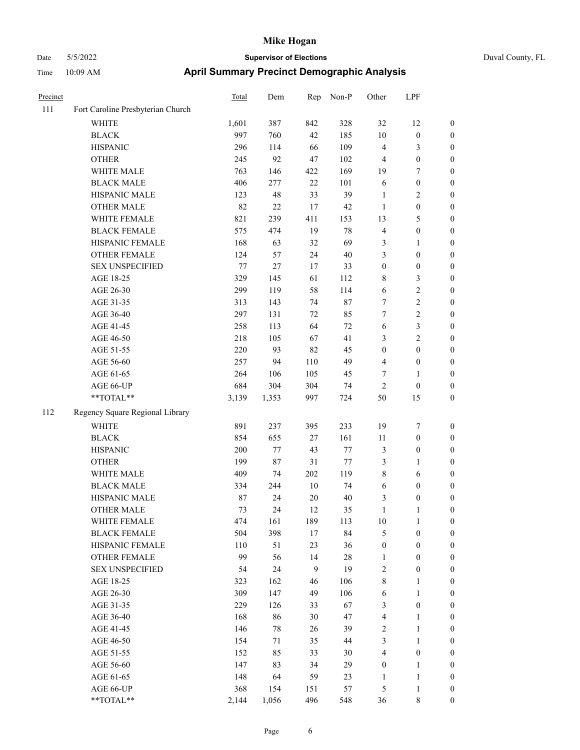| Precinct |                                   | Total | Dem    | Rep    | Non-P  | Other            | LPF              |                  |
|----------|-----------------------------------|-------|--------|--------|--------|------------------|------------------|------------------|
| 111      | Fort Caroline Presbyterian Church |       |        |        |        |                  |                  |                  |
|          | <b>WHITE</b>                      | 1,601 | 387    | 842    | 328    | 32               | 12               | $\boldsymbol{0}$ |
|          | <b>BLACK</b>                      | 997   | 760    | 42     | 185    | 10               | $\boldsymbol{0}$ | $\bf{0}$         |
|          | <b>HISPANIC</b>                   | 296   | 114    | 66     | 109    | $\overline{4}$   | 3                | $\boldsymbol{0}$ |
|          | <b>OTHER</b>                      | 245   | 92     | 47     | 102    | $\overline{4}$   | $\boldsymbol{0}$ | $\boldsymbol{0}$ |
|          | WHITE MALE                        | 763   | 146    | 422    | 169    | 19               | 7                | $\boldsymbol{0}$ |
|          | <b>BLACK MALE</b>                 | 406   | 277    | 22     | 101    | 6                | $\boldsymbol{0}$ | $\boldsymbol{0}$ |
|          | HISPANIC MALE                     | 123   | 48     | 33     | 39     | $\mathbf{1}$     | 2                | $\boldsymbol{0}$ |
|          | <b>OTHER MALE</b>                 | 82    | $22\,$ | 17     | 42     | 1                | $\boldsymbol{0}$ | $\boldsymbol{0}$ |
|          | WHITE FEMALE                      | 821   | 239    | 411    | 153    | 13               | 5                | $\boldsymbol{0}$ |
|          | <b>BLACK FEMALE</b>               | 575   | 474    | 19     | 78     | $\overline{4}$   | $\boldsymbol{0}$ | $\boldsymbol{0}$ |
|          | HISPANIC FEMALE                   | 168   | 63     | 32     | 69     | $\mathfrak{Z}$   | 1                | $\boldsymbol{0}$ |
|          | <b>OTHER FEMALE</b>               | 124   | 57     | 24     | 40     | 3                | $\boldsymbol{0}$ | $\boldsymbol{0}$ |
|          | <b>SEX UNSPECIFIED</b>            | 77    | $27\,$ | 17     | 33     | $\boldsymbol{0}$ | $\boldsymbol{0}$ | $\boldsymbol{0}$ |
|          | AGE 18-25                         | 329   | 145    | 61     | 112    | $\,$ 8 $\,$      | 3                | $\boldsymbol{0}$ |
|          | AGE 26-30                         | 299   | 119    | 58     | 114    | 6                | 2                | $\boldsymbol{0}$ |
|          | AGE 31-35                         | 313   | 143    | 74     | $87\,$ | $\tau$           | $\overline{c}$   | $\boldsymbol{0}$ |
|          | AGE 36-40                         | 297   | 131    | 72     | 85     | $\tau$           | $\overline{c}$   | $\boldsymbol{0}$ |
|          | AGE 41-45                         | 258   | 113    | 64     | 72     | 6                | 3                | $\boldsymbol{0}$ |
|          | AGE 46-50                         | 218   | 105    | 67     | 41     | 3                | 2                | $\boldsymbol{0}$ |
|          | AGE 51-55                         | 220   | 93     | 82     | 45     | $\boldsymbol{0}$ | $\boldsymbol{0}$ | $\boldsymbol{0}$ |
|          | AGE 56-60                         | 257   | 94     | 110    | 49     | $\overline{4}$   | $\boldsymbol{0}$ | $\boldsymbol{0}$ |
|          | AGE 61-65                         | 264   | 106    | 105    | 45     | 7                | 1                | $\boldsymbol{0}$ |
|          | AGE 66-UP                         | 684   | 304    | 304    | 74     | $\overline{2}$   | $\boldsymbol{0}$ | $\boldsymbol{0}$ |
|          | **TOTAL**                         | 3,139 | 1,353  | 997    | 724    | 50               | 15               | $\boldsymbol{0}$ |
| 112      | Regency Square Regional Library   |       |        |        |        |                  |                  |                  |
|          | <b>WHITE</b>                      | 891   | 237    | 395    | 233    | 19               | 7                | $\boldsymbol{0}$ |
|          | <b>BLACK</b>                      | 854   | 655    | 27     | 161    | $11\,$           | $\boldsymbol{0}$ | $\boldsymbol{0}$ |
|          | <b>HISPANIC</b>                   | 200   | 77     | 43     | 77     | $\mathfrak{Z}$   | $\boldsymbol{0}$ | $\boldsymbol{0}$ |
|          | <b>OTHER</b>                      | 199   | $87\,$ | 31     | 77     | 3                | 1                | $\boldsymbol{0}$ |
|          | WHITE MALE                        | 409   | 74     | 202    | 119    | $\,$ 8 $\,$      | 6                | $\boldsymbol{0}$ |
|          | <b>BLACK MALE</b>                 | 334   | 244    | 10     | 74     | 6                | $\boldsymbol{0}$ | $\boldsymbol{0}$ |
|          | HISPANIC MALE                     | 87    | 24     | $20\,$ | 40     | 3                | $\boldsymbol{0}$ | $\boldsymbol{0}$ |
|          | <b>OTHER MALE</b>                 | 73    | 24     | 12     | 35     | $\mathbf{1}$     | 1                | $\boldsymbol{0}$ |
|          | WHITE FEMALE                      | 474   | 161    | 189    | 113    | $10\,$           | $\mathbf{1}$     | $\boldsymbol{0}$ |
|          | <b>BLACK FEMALE</b>               | 504   | 398    | $17\,$ | 84     | $\mathfrak s$    | $\boldsymbol{0}$ | $\boldsymbol{0}$ |
|          | HISPANIC FEMALE                   | 110   | 51     | 23     | 36     | $\boldsymbol{0}$ | $\boldsymbol{0}$ | $\boldsymbol{0}$ |
|          | <b>OTHER FEMALE</b>               | 99    | 56     | 14     | $28\,$ | $\mathbf{1}$     | $\boldsymbol{0}$ | $\boldsymbol{0}$ |
|          | <b>SEX UNSPECIFIED</b>            | 54    | 24     | 9      | 19     | $\sqrt{2}$       | $\boldsymbol{0}$ | $\boldsymbol{0}$ |
|          | AGE 18-25                         | 323   | 162    | 46     | 106    | $\,$ 8 $\,$      | 1                | $\boldsymbol{0}$ |
|          | AGE 26-30                         | 309   | 147    | 49     | 106    | 6                | 1                | $\boldsymbol{0}$ |
|          | AGE 31-35                         | 229   | 126    | 33     | 67     | 3                | $\boldsymbol{0}$ | $\boldsymbol{0}$ |
|          | AGE 36-40                         | 168   | 86     | 30     | 47     | $\overline{4}$   | 1                | $\boldsymbol{0}$ |
|          | AGE 41-45                         | 146   | 78     | 26     | 39     | $\sqrt{2}$       | 1                | $\boldsymbol{0}$ |
|          | AGE 46-50                         | 154   | 71     | 35     | 44     | $\mathfrak{Z}$   | 1                | $\boldsymbol{0}$ |
|          | AGE 51-55                         | 152   | 85     | 33     | 30     | $\overline{4}$   | $\boldsymbol{0}$ | $\boldsymbol{0}$ |
|          | AGE 56-60                         | 147   | 83     | 34     | 29     | $\boldsymbol{0}$ | 1                | $\boldsymbol{0}$ |
|          | AGE 61-65                         | 148   | 64     | 59     | 23     | 1                | 1                | $\boldsymbol{0}$ |
|          | AGE 66-UP                         | 368   | 154    | 151    | 57     | $\sqrt{5}$       | $\mathbf{1}$     | $\boldsymbol{0}$ |
|          | **TOTAL**                         | 2,144 | 1,056  | 496    | 548    | 36               | $\,8\,$          | $\boldsymbol{0}$ |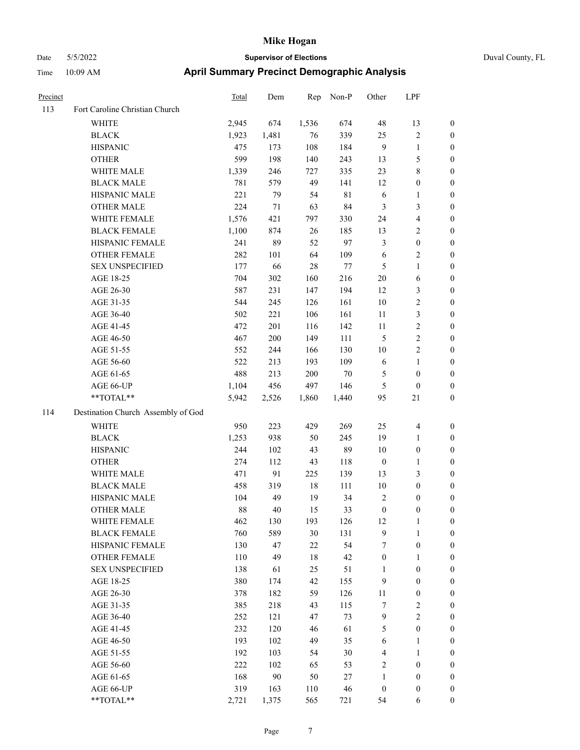| Precinct |                                    | <b>Total</b> | Dem    | Rep   | Non-P       | Other            | LPF                     |                  |
|----------|------------------------------------|--------------|--------|-------|-------------|------------------|-------------------------|------------------|
| 113      | Fort Caroline Christian Church     |              |        |       |             |                  |                         |                  |
|          | WHITE                              | 2,945        | 674    | 1,536 | 674         | 48               | 13                      | $\boldsymbol{0}$ |
|          | <b>BLACK</b>                       | 1,923        | 1,481  | 76    | 339         | 25               | $\sqrt{2}$              | $\boldsymbol{0}$ |
|          | <b>HISPANIC</b>                    | 475          | 173    | 108   | 184         | $\overline{9}$   | $\mathbf{1}$            | $\boldsymbol{0}$ |
|          | <b>OTHER</b>                       | 599          | 198    | 140   | 243         | 13               | $\mathfrak{S}$          | 0                |
|          | WHITE MALE                         | 1,339        | 246    | 727   | 335         | 23               | $8\,$                   | 0                |
|          | <b>BLACK MALE</b>                  | 781          | 579    | 49    | 141         | 12               | $\boldsymbol{0}$        | $\boldsymbol{0}$ |
|          | HISPANIC MALE                      | 221          | 79     | 54    | $8\sqrt{1}$ | 6                | $\mathbf{1}$            | $\boldsymbol{0}$ |
|          | <b>OTHER MALE</b>                  | 224          | $71\,$ | 63    | 84          | 3                | $\mathfrak{Z}$          | $\boldsymbol{0}$ |
|          | WHITE FEMALE                       | 1,576        | 421    | 797   | 330         | 24               | $\overline{\mathbf{4}}$ | $\boldsymbol{0}$ |
|          | <b>BLACK FEMALE</b>                | 1,100        | 874    | 26    | 185         | 13               | $\sqrt{2}$              | $\boldsymbol{0}$ |
|          | HISPANIC FEMALE                    | 241          | 89     | 52    | 97          | 3                | $\boldsymbol{0}$        | $\boldsymbol{0}$ |
|          | <b>OTHER FEMALE</b>                | 282          | 101    | 64    | 109         | 6                | $\sqrt{2}$              | $\boldsymbol{0}$ |
|          | <b>SEX UNSPECIFIED</b>             | 177          | 66     | 28    | $77 \,$     | 5                | $\mathbf{1}$            | $\boldsymbol{0}$ |
|          | AGE 18-25                          | 704          | 302    | 160   | 216         | $20\,$           | 6                       | 0                |
|          | AGE 26-30                          | 587          | 231    | 147   | 194         | 12               | 3                       | 0                |
|          | AGE 31-35                          | 544          | 245    | 126   | 161         | $10\,$           | $\sqrt{2}$              | $\boldsymbol{0}$ |
|          | AGE 36-40                          | 502          | 221    | 106   | 161         | 11               | $\mathfrak{Z}$          | $\boldsymbol{0}$ |
|          | AGE 41-45                          | 472          | 201    | 116   | 142         | 11               | $\sqrt{2}$              | $\boldsymbol{0}$ |
|          | AGE 46-50                          | 467          | 200    | 149   | 111         | 5                | $\sqrt{2}$              | $\boldsymbol{0}$ |
|          | AGE 51-55                          | 552          | 244    | 166   | 130         | 10               | $\sqrt{2}$              | $\boldsymbol{0}$ |
|          | AGE 56-60                          | 522          | 213    | 193   | 109         | 6                | $\mathbf{1}$            | $\boldsymbol{0}$ |
|          | AGE 61-65                          | 488          | 213    | 200   | $70\,$      | 5                | $\boldsymbol{0}$        | $\boldsymbol{0}$ |
|          | AGE 66-UP                          | 1,104        | 456    | 497   | 146         | 5                | $\boldsymbol{0}$        | 0                |
|          | **TOTAL**                          | 5,942        | 2,526  | 1,860 | 1,440       | 95               | $21\,$                  | 0                |
| 114      | Destination Church Assembly of God |              |        |       |             |                  |                         |                  |
|          | WHITE                              | 950          | 223    | 429   | 269         | 25               | $\overline{\mathbf{4}}$ | 0                |
|          | <b>BLACK</b>                       | 1,253        | 938    | 50    | 245         | 19               | $\mathbf{1}$            | 0                |
|          | <b>HISPANIC</b>                    | 244          | 102    | 43    | 89          | 10               | $\boldsymbol{0}$        | 0                |
|          | <b>OTHER</b>                       | 274          | 112    | 43    | 118         | $\boldsymbol{0}$ | $\mathbf{1}$            | $\boldsymbol{0}$ |
|          | WHITE MALE                         | 471          | 91     | 225   | 139         | 13               | $\mathfrak{Z}$          | $\boldsymbol{0}$ |
|          | <b>BLACK MALE</b>                  | 458          | 319    | 18    | 111         | 10               | $\boldsymbol{0}$        | $\boldsymbol{0}$ |
|          | HISPANIC MALE                      | 104          | 49     | 19    | 34          | 2                | $\boldsymbol{0}$        | $\boldsymbol{0}$ |
|          | <b>OTHER MALE</b>                  | 88           | 40     | 15    | 33          | $\boldsymbol{0}$ | $\boldsymbol{0}$        | $\boldsymbol{0}$ |
|          | WHITE FEMALE                       | 462          | 130    | 193   | 126         | 12               | $\mathbf{1}$            | 0                |
|          | <b>BLACK FEMALE</b>                | 760          | 589    | 30    | 131         | $\mathbf{9}$     | $\mathbf{1}$            | 0                |
|          | HISPANIC FEMALE                    | 130          | 47     | 22    | 54          | 7                | $\boldsymbol{0}$        | 0                |
|          | <b>OTHER FEMALE</b>                | 110          | 49     | 18    | 42          | $\boldsymbol{0}$ | $\mathbf{1}$            | 0                |
|          | <b>SEX UNSPECIFIED</b>             | 138          | 61     | 25    | 51          | 1                | $\boldsymbol{0}$        | 0                |
|          | AGE 18-25                          | 380          | 174    | 42    | 155         | $\overline{9}$   | $\boldsymbol{0}$        | 0                |
|          | AGE 26-30                          | 378          | 182    | 59    | 126         | 11               | $\boldsymbol{0}$        | 0                |
|          | AGE 31-35                          | 385          | 218    | 43    | 115         | 7                | $\sqrt{2}$              | 0                |
|          | AGE 36-40                          | 252          | 121    | 47    | 73          | $\overline{9}$   | $\sqrt{2}$              | 0                |
|          | AGE 41-45                          | 232          | 120    | 46    | 61          | 5                | $\boldsymbol{0}$        | $\overline{0}$   |
|          | AGE 46-50                          | 193          | 102    | 49    | 35          | 6                | $\mathbf{1}$            | 0                |
|          | AGE 51-55                          | 192          | 103    | 54    | 30          | 4                | $\mathbf{1}$            | 0                |
|          | AGE 56-60                          | 222          | 102    | 65    | 53          | $\sqrt{2}$       | $\boldsymbol{0}$        | 0                |
|          | AGE 61-65                          | 168          | 90     | 50    | 27          | $\mathbf{1}$     | $\boldsymbol{0}$        | 0                |
|          | AGE 66-UP                          | 319          | 163    | 110   | $46\,$      | $\boldsymbol{0}$ | $\boldsymbol{0}$        | 0                |
|          | $**TOTAL**$                        | 2,721        | 1,375  | 565   | 721         | 54               | 6                       | $\boldsymbol{0}$ |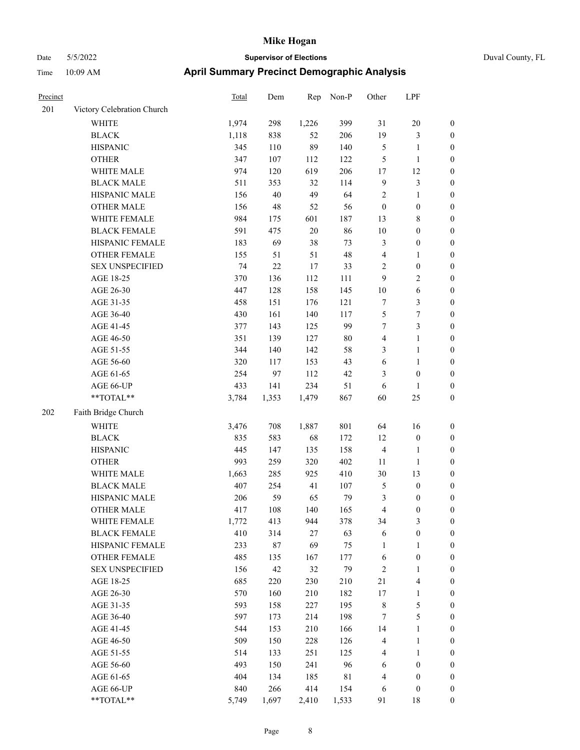| Duval County, FL |  |
|------------------|--|
|                  |  |

| Precinct |                            | <b>Total</b> | Dem     | Rep    | Non-P       | Other                   | LPF                     |                  |
|----------|----------------------------|--------------|---------|--------|-------------|-------------------------|-------------------------|------------------|
| 201      | Victory Celebration Church |              |         |        |             |                         |                         |                  |
|          | WHITE                      | 1,974        | 298     | 1,226  | 399         | 31                      | $20\,$                  | $\boldsymbol{0}$ |
|          | <b>BLACK</b>               | 1,118        | 838     | 52     | 206         | 19                      | $\mathfrak{Z}$          | $\boldsymbol{0}$ |
|          | <b>HISPANIC</b>            | 345          | $110\,$ | 89     | 140         | 5                       | $\mathbf{1}$            | 0                |
|          | <b>OTHER</b>               | 347          | 107     | 112    | 122         | $\mathfrak{S}$          | $\mathbf{1}$            | 0                |
|          | WHITE MALE                 | 974          | 120     | 619    | 206         | $17$                    | 12                      | 0                |
|          | <b>BLACK MALE</b>          | 511          | 353     | 32     | 114         | 9                       | $\mathfrak{Z}$          | $\boldsymbol{0}$ |
|          | HISPANIC MALE              | 156          | 40      | 49     | 64          | $\overline{c}$          | $\mathbf{1}$            | $\boldsymbol{0}$ |
|          | <b>OTHER MALE</b>          | 156          | 48      | 52     | 56          | $\boldsymbol{0}$        | $\boldsymbol{0}$        | $\boldsymbol{0}$ |
|          | WHITE FEMALE               | 984          | 175     | 601    | 187         | 13                      | $8\,$                   | $\boldsymbol{0}$ |
|          | <b>BLACK FEMALE</b>        | 591          | 475     | $20\,$ | 86          | $10\,$                  | $\boldsymbol{0}$        | $\boldsymbol{0}$ |
|          | HISPANIC FEMALE            | 183          | 69      | 38     | 73          | 3                       | $\boldsymbol{0}$        | $\boldsymbol{0}$ |
|          | <b>OTHER FEMALE</b>        | 155          | 51      | 51     | 48          | $\overline{4}$          | $\mathbf{1}$            | $\boldsymbol{0}$ |
|          | <b>SEX UNSPECIFIED</b>     | 74           | $22\,$  | 17     | 33          | $\sqrt{2}$              | $\boldsymbol{0}$        | 0                |
|          | AGE 18-25                  | 370          | 136     | 112    | 111         | 9                       | $\sqrt{2}$              | 0                |
|          | AGE 26-30                  | 447          | 128     | 158    | 145         | $10\,$                  | $\sqrt{6}$              | 0                |
|          | AGE 31-35                  | 458          | 151     | 176    | 121         | $\boldsymbol{7}$        | 3                       | $\boldsymbol{0}$ |
|          | AGE 36-40                  | 430          | 161     | 140    | 117         | 5                       | $\boldsymbol{7}$        | $\boldsymbol{0}$ |
|          | AGE 41-45                  | 377          | 143     | 125    | 99          | 7                       | $\mathfrak{Z}$          | $\boldsymbol{0}$ |
|          | AGE 46-50                  | 351          | 139     | 127    | $80\,$      | 4                       | $\mathbf{1}$            | $\boldsymbol{0}$ |
|          | AGE 51-55                  | 344          | 140     | 142    | 58          | 3                       | $\mathbf{1}$            | $\boldsymbol{0}$ |
|          | AGE 56-60                  | 320          | 117     | 153    | 43          | 6                       | $\mathbf{1}$            | $\boldsymbol{0}$ |
|          | AGE 61-65                  | 254          | 97      | 112    | 42          | 3                       | $\boldsymbol{0}$        | $\boldsymbol{0}$ |
|          | AGE 66-UP                  | 433          | 141     | 234    | 51          | 6                       | 1                       | 0                |
|          | **TOTAL**                  | 3,784        | 1,353   | 1,479  | 867         | 60                      | 25                      | 0                |
| 202      | Faith Bridge Church        |              |         |        |             |                         |                         |                  |
|          | <b>WHITE</b>               | 3,476        | 708     | 1,887  | 801         | 64                      | 16                      | 0                |
|          | <b>BLACK</b>               | 835          | 583     | 68     | 172         | 12                      | $\boldsymbol{0}$        | 0                |
|          | <b>HISPANIC</b>            | 445          | 147     | 135    | 158         | $\overline{4}$          | $\mathbf{1}$            | 0                |
|          | <b>OTHER</b>               | 993          | 259     | 320    | 402         | 11                      | $\mathbf{1}$            | $\boldsymbol{0}$ |
|          | WHITE MALE                 | 1,663        | 285     | 925    | 410         | 30                      | 13                      | $\boldsymbol{0}$ |
|          | <b>BLACK MALE</b>          | 407          | 254     | 41     | 107         | 5                       | $\boldsymbol{0}$        | $\boldsymbol{0}$ |
|          | HISPANIC MALE              | 206          | 59      | 65     | 79          | 3                       | $\boldsymbol{0}$        | $\boldsymbol{0}$ |
|          | <b>OTHER MALE</b>          | 417          | 108     | 140    | 165         | 4                       | $\boldsymbol{0}$        | $\boldsymbol{0}$ |
|          | WHITE FEMALE               | 1,772        | 413     | 944    | 378         | 34                      | $\mathfrak{Z}$          | 0                |
|          | <b>BLACK FEMALE</b>        | 410          | 314     | $27\,$ | 63          | 6                       | $\boldsymbol{0}$        | 0                |
|          | HISPANIC FEMALE            | 233          | 87      | 69     | 75          | 1                       | $\mathbf{1}$            | 0                |
|          | <b>OTHER FEMALE</b>        | 485          | 135     | 167    | 177         | 6                       | $\boldsymbol{0}$        | 0                |
|          | <b>SEX UNSPECIFIED</b>     | 156          | 42      | 32     | 79          | $\sqrt{2}$              | $\mathbf{1}$            | 0                |
|          | AGE 18-25                  | 685          | 220     | 230    | 210         | 21                      | $\overline{\mathbf{4}}$ | 0                |
|          | AGE 26-30                  | 570          | 160     | 210    | 182         | 17                      | $\mathbf{1}$            | 0                |
|          | AGE 31-35                  | 593          | 158     | 227    | 195         | $\,$ 8 $\,$             | $\mathfrak{S}$          | 0                |
|          | AGE 36-40                  | 597          | 173     | 214    | 198         | 7                       | $\mathfrak s$           | 0                |
|          | AGE 41-45                  | 544          | 153     | 210    | 166         | 14                      | $\mathbf{1}$            | 0                |
|          | AGE 46-50                  | 509          | 150     | 228    | 126         | 4                       | $\mathbf{1}$            | 0                |
|          | AGE 51-55                  | 514          | 133     | 251    | 125         | $\overline{\mathbf{4}}$ | $\mathbf{1}$            | 0                |
|          | AGE 56-60                  | 493          | 150     | 241    | 96          | $\sqrt{6}$              | $\boldsymbol{0}$        | 0                |
|          | AGE 61-65                  | 404          | 134     | 185    | $8\sqrt{1}$ | 4                       | $\boldsymbol{0}$        | 0                |
|          | AGE 66-UP                  | 840          | 266     | 414    | 154         | 6                       | $\boldsymbol{0}$        | 0                |
|          | $**TOTAL**$                | 5,749        | 1,697   | 2,410  | 1,533       | 91                      | $18\,$                  | $\boldsymbol{0}$ |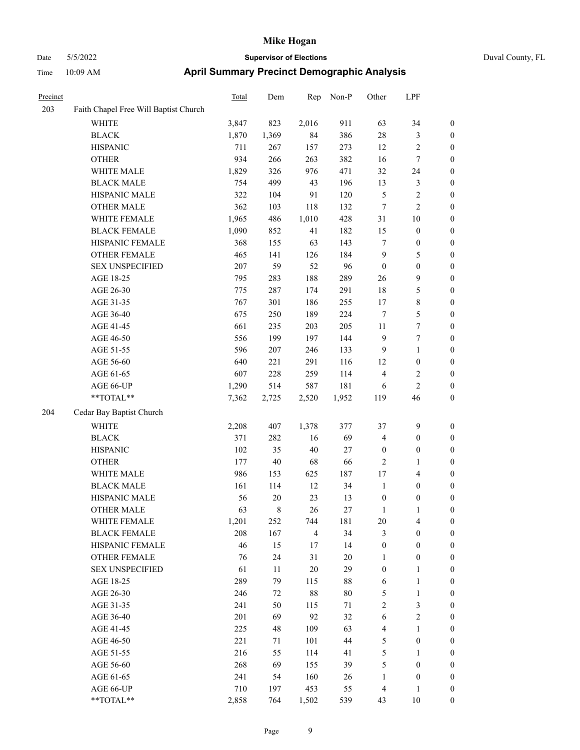| Duval County, FL |  |
|------------------|--|
|                  |  |

| Precinct |                                       | Total | Dem     | Rep            | Non-P  | Other                   | LPF              |                  |
|----------|---------------------------------------|-------|---------|----------------|--------|-------------------------|------------------|------------------|
| 203      | Faith Chapel Free Will Baptist Church |       |         |                |        |                         |                  |                  |
|          | <b>WHITE</b>                          | 3,847 | 823     | 2,016          | 911    | 63                      | 34               | $\boldsymbol{0}$ |
|          | <b>BLACK</b>                          | 1,870 | 1,369   | 84             | 386    | 28                      | 3                | $\boldsymbol{0}$ |
|          | <b>HISPANIC</b>                       | 711   | 267     | 157            | 273    | 12                      | $\sqrt{2}$       | 0                |
|          | <b>OTHER</b>                          | 934   | 266     | 263            | 382    | 16                      | $\boldsymbol{7}$ | 0                |
|          | WHITE MALE                            | 1,829 | 326     | 976            | 471    | 32                      | 24               | $\boldsymbol{0}$ |
|          | <b>BLACK MALE</b>                     | 754   | 499     | 43             | 196    | 13                      | $\mathfrak{Z}$   | $\boldsymbol{0}$ |
|          | HISPANIC MALE                         | 322   | 104     | 91             | 120    | 5                       | $\sqrt{2}$       | $\boldsymbol{0}$ |
|          | <b>OTHER MALE</b>                     | 362   | 103     | 118            | 132    | 7                       | $\sqrt{2}$       | $\boldsymbol{0}$ |
|          | WHITE FEMALE                          | 1,965 | 486     | 1,010          | 428    | 31                      | $10\,$           | $\boldsymbol{0}$ |
|          | <b>BLACK FEMALE</b>                   | 1,090 | 852     | 41             | 182    | 15                      | $\boldsymbol{0}$ | $\boldsymbol{0}$ |
|          | HISPANIC FEMALE                       | 368   | 155     | 63             | 143    | $\tau$                  | $\boldsymbol{0}$ | $\boldsymbol{0}$ |
|          | OTHER FEMALE                          | 465   | 141     | 126            | 184    | $\overline{9}$          | 5                | 0                |
|          | <b>SEX UNSPECIFIED</b>                | 207   | 59      | 52             | 96     | $\boldsymbol{0}$        | $\boldsymbol{0}$ | 0                |
|          | AGE 18-25                             | 795   | 283     | 188            | 289    | 26                      | $\mathbf{9}$     | $\boldsymbol{0}$ |
|          | AGE 26-30                             | 775   | 287     | 174            | 291    | 18                      | 5                | $\boldsymbol{0}$ |
|          | AGE 31-35                             | 767   | 301     | 186            | 255    | 17                      | $\,$ 8 $\,$      | $\boldsymbol{0}$ |
|          | AGE 36-40                             | 675   | 250     | 189            | 224    | 7                       | 5                | $\boldsymbol{0}$ |
|          | AGE 41-45                             | 661   | 235     | 203            | 205    | 11                      | 7                | $\boldsymbol{0}$ |
|          | AGE 46-50                             | 556   | 199     | 197            | 144    | $\overline{9}$          | $\boldsymbol{7}$ | $\boldsymbol{0}$ |
|          | AGE 51-55                             | 596   | $207\,$ | 246            | 133    | $\overline{9}$          | $\mathbf{1}$     | $\boldsymbol{0}$ |
|          | AGE 56-60                             | 640   | 221     | 291            | 116    | 12                      | $\boldsymbol{0}$ | 0                |
|          | AGE 61-65                             | 607   | 228     | 259            | 114    | $\overline{4}$          | $\sqrt{2}$       | 0                |
|          | AGE 66-UP                             | 1,290 | 514     | 587            | 181    | 6                       | $\sqrt{2}$       | 0                |
|          | **TOTAL**                             | 7,362 | 2,725   | 2,520          | 1,952  | 119                     | 46               | $\boldsymbol{0}$ |
| 204      | Cedar Bay Baptist Church              |       |         |                |        |                         |                  |                  |
|          | <b>WHITE</b>                          | 2,208 | 407     | 1,378          | 377    | 37                      | 9                | $\boldsymbol{0}$ |
|          | <b>BLACK</b>                          | 371   | 282     | 16             | 69     | 4                       | $\boldsymbol{0}$ | $\boldsymbol{0}$ |
|          | <b>HISPANIC</b>                       | 102   | 35      | $40\,$         | 27     | $\boldsymbol{0}$        | $\boldsymbol{0}$ | $\boldsymbol{0}$ |
|          | <b>OTHER</b>                          | 177   | $40\,$  | 68             | 66     | 2                       | $\mathbf{1}$     | $\boldsymbol{0}$ |
|          | WHITE MALE                            | 986   | 153     | 625            | 187    | 17                      | $\overline{4}$   | $\boldsymbol{0}$ |
|          | <b>BLACK MALE</b>                     | 161   | 114     | 12             | 34     | $\mathbf{1}$            | $\boldsymbol{0}$ | $\boldsymbol{0}$ |
|          | HISPANIC MALE                         | 56    | 20      | 23             | 13     | $\boldsymbol{0}$        | $\boldsymbol{0}$ | 0                |
|          | <b>OTHER MALE</b>                     | 63    | 8       | 26             | 27     | 1                       | 1                | $\boldsymbol{0}$ |
|          | WHITE FEMALE                          | 1,201 | 252     | 744            | 181    | 20                      | $\overline{4}$   | 0                |
|          | <b>BLACK FEMALE</b>                   | 208   | 167     | $\overline{4}$ | 34     | 3                       | $\boldsymbol{0}$ | 0                |
|          | HISPANIC FEMALE                       | 46    | 15      | 17             | 14     | $\boldsymbol{0}$        | $\boldsymbol{0}$ | 0                |
|          | <b>OTHER FEMALE</b>                   | 76    | 24      | 31             | $20\,$ | 1                       | $\boldsymbol{0}$ | 0                |
|          | <b>SEX UNSPECIFIED</b>                | 61    | 11      | $20\,$         | 29     | $\boldsymbol{0}$        | $\mathbf{1}$     | $\boldsymbol{0}$ |
|          | AGE 18-25                             | 289   | 79      | 115            | 88     | 6                       | $\mathbf{1}$     | 0                |
|          | AGE 26-30                             | 246   | 72      | $88\,$         | $80\,$ | 5                       | $\mathbf{1}$     | 0                |
|          | AGE 31-35                             | 241   | 50      | 115            | 71     | 2                       | $\mathfrak{Z}$   | 0                |
|          | AGE 36-40                             | 201   | 69      | 92             | 32     | 6                       | $\sqrt{2}$       | 0                |
|          | AGE 41-45                             | 225   | 48      | 109            | 63     | $\overline{\mathbf{4}}$ | $\mathbf{1}$     | 0                |
|          | AGE 46-50                             | 221   | 71      | 101            | 44     | $\mathfrak{S}$          | $\boldsymbol{0}$ | 0                |
|          | AGE 51-55                             | 216   | 55      | 114            | 41     | $\mathfrak s$           | $\mathbf{1}$     | 0                |
|          | AGE 56-60                             | 268   | 69      | 155            | 39     | 5                       | $\boldsymbol{0}$ | 0                |
|          | AGE 61-65                             | 241   | 54      | 160            | 26     | $\mathbf{1}$            | $\boldsymbol{0}$ | 0                |
|          | AGE 66-UP                             | 710   | 197     | 453            | 55     | 4                       | $\mathbf{1}$     | $\boldsymbol{0}$ |
|          | $**TOTAL**$                           | 2,858 | 764     | 1,502          | 539    | 43                      | $10\,$           | $\boldsymbol{0}$ |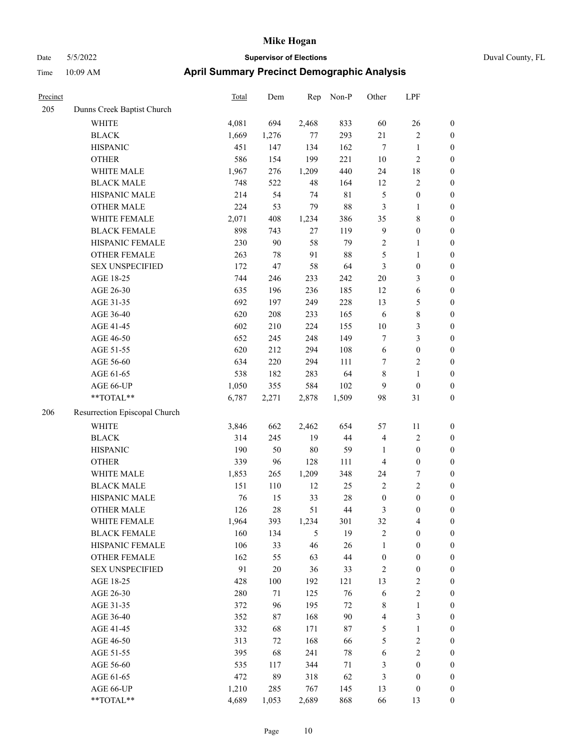| Duval County, FL |
|------------------|
|------------------|

| Precinct |                                                             | <b>Total</b> | Dem   | Rep   | Non-P       | Other            | LPF              |                  |
|----------|-------------------------------------------------------------|--------------|-------|-------|-------------|------------------|------------------|------------------|
| 205      | Dunns Creek Baptist Church                                  |              |       |       |             |                  |                  |                  |
|          | <b>WHITE</b>                                                | 4,081        | 694   | 2,468 | 833         | 60               | 26               | $\boldsymbol{0}$ |
|          | <b>BLACK</b>                                                | 1,669        | 1,276 | 77    | 293         | 21               | $\sqrt{2}$       | $\boldsymbol{0}$ |
|          | <b>HISPANIC</b>                                             | 451          | 147   | 134   | 162         | 7                | $\mathbf{1}$     | $\boldsymbol{0}$ |
|          | <b>OTHER</b>                                                | 586          | 154   | 199   | 221         | 10               | $\sqrt{2}$       | $\boldsymbol{0}$ |
|          | WHITE MALE                                                  | 1,967        | 276   | 1,209 | 440         | 24               | $18\,$           | $\boldsymbol{0}$ |
|          | <b>BLACK MALE</b>                                           | 748          | 522   | 48    | 164         | 12               | $\sqrt{2}$       | $\boldsymbol{0}$ |
|          | HISPANIC MALE                                               | 214          | 54    | 74    | $8\sqrt{1}$ | $\mathfrak{S}$   | $\boldsymbol{0}$ | $\boldsymbol{0}$ |
|          | <b>OTHER MALE</b>                                           | 224          | 53    | 79    | 88          | $\mathfrak{Z}$   | $\mathbf{1}$     | $\boldsymbol{0}$ |
|          | WHITE FEMALE                                                | 2,071        | 408   | 1,234 | 386         | 35               | $8\,$            | $\boldsymbol{0}$ |
|          | <b>BLACK FEMALE</b>                                         | 898          | 743   | 27    | 119         | $\overline{9}$   | $\boldsymbol{0}$ | 0                |
|          | HISPANIC FEMALE                                             | 230          | 90    | 58    | 79          | 2                | $\mathbf{1}$     | $\boldsymbol{0}$ |
|          | OTHER FEMALE                                                | 263          | 78    | 91    | $88\,$      | 5                | $\mathbf{1}$     | $\boldsymbol{0}$ |
|          | <b>SEX UNSPECIFIED</b>                                      | 172          | 47    | 58    | 64          | $\mathfrak{Z}$   | $\boldsymbol{0}$ | $\boldsymbol{0}$ |
|          | AGE 18-25                                                   | 744          | 246   | 233   | 242         | $20\,$           | $\mathfrak{Z}$   | $\boldsymbol{0}$ |
|          | AGE 26-30                                                   | 635          | 196   | 236   | 185         | 12               | 6                | $\boldsymbol{0}$ |
|          | AGE 31-35                                                   | 692          | 197   | 249   | 228         | 13               | 5                | $\boldsymbol{0}$ |
|          | AGE 36-40                                                   | 620          | 208   | 233   | 165         | 6                | $8\,$            | $\boldsymbol{0}$ |
|          | AGE 41-45                                                   | 602          | 210   | 224   | 155         | 10               | $\mathfrak{Z}$   | $\boldsymbol{0}$ |
|          | AGE 46-50                                                   | 652          | 245   | 248   | 149         | 7                | $\mathfrak{Z}$   | $\boldsymbol{0}$ |
|          | AGE 51-55                                                   | 620          | 212   | 294   | 108         | 6                | $\boldsymbol{0}$ | 0                |
|          | AGE 56-60                                                   | 634          | 220   | 294   | 111         | 7                | $\sqrt{2}$       | $\boldsymbol{0}$ |
|          | AGE 61-65                                                   | 538          | 182   | 283   | 64          | 8                | $\mathbf{1}$     | $\boldsymbol{0}$ |
|          | AGE 66-UP                                                   | 1,050        | 355   | 584   | 102         | 9                | $\boldsymbol{0}$ | $\boldsymbol{0}$ |
|          | **TOTAL**                                                   | 6,787        | 2,271 | 2,878 | 1,509       | 98               | 31               | $\boldsymbol{0}$ |
| 206      | Resurrection Episcopal Church                               |              |       |       |             |                  |                  |                  |
|          | <b>WHITE</b>                                                | 3,846        | 662   | 2,462 | 654         | 57               | 11               | $\boldsymbol{0}$ |
|          | <b>BLACK</b>                                                | 314          | 245   | 19    | 44          | $\overline{4}$   | $\sqrt{2}$       | $\boldsymbol{0}$ |
|          | <b>HISPANIC</b>                                             | 190          | 50    | 80    | 59          | $\mathbf{1}$     | $\boldsymbol{0}$ | $\boldsymbol{0}$ |
|          | <b>OTHER</b>                                                | 339          | 96    | 128   | 111         | $\overline{4}$   | $\boldsymbol{0}$ | $\boldsymbol{0}$ |
|          | WHITE MALE                                                  | 1,853        | 265   | 1,209 | 348         | 24               | 7                | $\boldsymbol{0}$ |
|          | <b>BLACK MALE</b>                                           | 151          | 110   | 12    | 25          | $\sqrt{2}$       | $\sqrt{2}$       | $\boldsymbol{0}$ |
|          | HISPANIC MALE                                               | 76           | 15    | 33    | 28          | $\boldsymbol{0}$ | $\boldsymbol{0}$ | 0                |
|          | <b>OTHER MALE</b>                                           | 126          | 28    | 51    | 44          | 3                | $\boldsymbol{0}$ | $\boldsymbol{0}$ |
|          | WHITE FEMALE                                                | 1,964        | 393   | 1,234 | 301         | 32               | $\overline{4}$   | 0                |
|          | <b>BLACK FEMALE</b>                                         | 160          | 134   | 5     | 19          | $\sqrt{2}$       | $\boldsymbol{0}$ | $\boldsymbol{0}$ |
|          | HISPANIC FEMALE                                             | 106          | 33    | 46    | 26          | $\mathbf{1}$     | $\boldsymbol{0}$ | $\boldsymbol{0}$ |
|          | <b>OTHER FEMALE</b>                                         | 162          | 55    | 63    | $44\,$      | $\boldsymbol{0}$ | $\boldsymbol{0}$ | 0                |
|          | <b>SEX UNSPECIFIED</b>                                      | 91           | 20    | 36    | 33          | 2                | $\boldsymbol{0}$ | 0                |
|          | AGE 18-25                                                   | 428          | 100   | 192   | 121         | 13               | $\sqrt{2}$       | 0                |
|          | AGE 26-30                                                   | 280          | 71    | 125   | 76          | 6                | $\sqrt{2}$       | 0                |
|          | AGE 31-35                                                   | 372          | 96    | 195   | $72\,$      | $\,$ 8 $\,$      | $\mathbf{1}$     | 0                |
|          | AGE 36-40                                                   | 352          | 87    | 168   | 90          | $\overline{4}$   | $\mathfrak{Z}$   | 0                |
|          | AGE 41-45                                                   | 332          | 68    | 171   | $87\,$      | $\mathfrak s$    | $\mathbf{1}$     | 0                |
|          | AGE 46-50                                                   | 313          | 72    | 168   | 66          | 5                | $\sqrt{2}$       | $\boldsymbol{0}$ |
|          | AGE 51-55                                                   | 395          | 68    | 241   | $78\,$      | 6                | $\sqrt{2}$       | $\boldsymbol{0}$ |
|          | AGE 56-60                                                   | 535          | 117   | 344   | 71          | $\mathfrak{Z}$   | $\boldsymbol{0}$ | $\boldsymbol{0}$ |
|          | AGE 61-65                                                   | 472          | 89    | 318   | 62          | 3                | $\boldsymbol{0}$ | 0                |
|          | AGE 66-UP                                                   | 1,210        | 285   | 767   | 145         | 13               | $\boldsymbol{0}$ | $\boldsymbol{0}$ |
|          | $\mathrm{*}\mathrm{*} \mathrm{TOTAL} \mathrm{*} \mathrm{*}$ | 4,689        | 1,053 | 2,689 | 868         | 66               | 13               | $\boldsymbol{0}$ |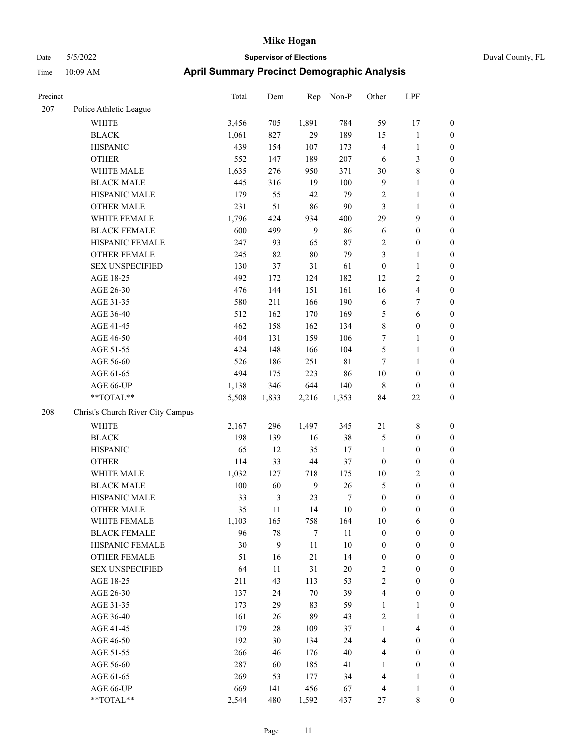|  | Duval |
|--|-------|
|  |       |

| Precinct |                                   | Total | Dem    | Rep              | Non-P  | Other                   | LPF                     |                  |
|----------|-----------------------------------|-------|--------|------------------|--------|-------------------------|-------------------------|------------------|
| 207      | Police Athletic League            |       |        |                  |        |                         |                         |                  |
|          | <b>WHITE</b>                      | 3,456 | 705    | 1,891            | 784    | 59                      | 17                      | $\boldsymbol{0}$ |
|          | <b>BLACK</b>                      | 1,061 | 827    | 29               | 189    | 15                      | $\mathbf{1}$            | $\boldsymbol{0}$ |
|          | <b>HISPANIC</b>                   | 439   | 154    | 107              | 173    | 4                       | $\mathbf{1}$            | $\boldsymbol{0}$ |
|          | <b>OTHER</b>                      | 552   | 147    | 189              | 207    | 6                       | $\mathfrak{Z}$          | $\boldsymbol{0}$ |
|          | WHITE MALE                        | 1,635 | 276    | 950              | 371    | 30                      | $8\,$                   | $\boldsymbol{0}$ |
|          | <b>BLACK MALE</b>                 | 445   | 316    | 19               | 100    | $\overline{9}$          | $\mathbf{1}$            | $\boldsymbol{0}$ |
|          | HISPANIC MALE                     | 179   | 55     | 42               | 79     | $\sqrt{2}$              | $\mathbf{1}$            | $\boldsymbol{0}$ |
|          | <b>OTHER MALE</b>                 | 231   | 51     | 86               | 90     | $\mathfrak{Z}$          | $\mathbf{1}$            | $\boldsymbol{0}$ |
|          | WHITE FEMALE                      | 1,796 | 424    | 934              | 400    | 29                      | $\mathbf{9}$            | 0                |
|          | <b>BLACK FEMALE</b>               | 600   | 499    | 9                | 86     | 6                       | $\boldsymbol{0}$        | $\boldsymbol{0}$ |
|          | HISPANIC FEMALE                   | 247   | 93     | 65               | 87     | $\sqrt{2}$              | $\boldsymbol{0}$        | $\boldsymbol{0}$ |
|          | OTHER FEMALE                      | 245   | 82     | $80\,$           | 79     | 3                       | $\mathbf{1}$            | $\boldsymbol{0}$ |
|          | <b>SEX UNSPECIFIED</b>            | 130   | 37     | 31               | 61     | $\boldsymbol{0}$        | $\mathbf{1}$            | $\boldsymbol{0}$ |
|          | AGE 18-25                         | 492   | 172    | 124              | 182    | 12                      | $\sqrt{2}$              | $\boldsymbol{0}$ |
|          | AGE 26-30                         | 476   | 144    | 151              | 161    | 16                      | $\overline{\mathbf{4}}$ | $\boldsymbol{0}$ |
|          | AGE 31-35                         | 580   | 211    | 166              | 190    | 6                       | $\tau$                  | $\boldsymbol{0}$ |
|          | AGE 36-40                         | 512   | 162    | 170              | 169    | 5                       | 6                       | $\boldsymbol{0}$ |
|          | AGE 41-45                         | 462   | 158    | 162              | 134    | 8                       | $\boldsymbol{0}$        | $\boldsymbol{0}$ |
|          | AGE 46-50                         | 404   | 131    | 159              | 106    | $\tau$                  | $\mathbf{1}$            | 0                |
|          | AGE 51-55                         | 424   | 148    | 166              | 104    | 5                       | $\mathbf{1}$            | $\boldsymbol{0}$ |
|          | AGE 56-60                         | 526   | 186    | 251              | 81     | $\tau$                  | $\mathbf{1}$            | $\boldsymbol{0}$ |
|          | AGE 61-65                         | 494   | 175    | 223              | 86     | 10                      | $\boldsymbol{0}$        | $\boldsymbol{0}$ |
|          | AGE 66-UP                         | 1,138 | 346    | 644              | 140    | $\,$ 8 $\,$             | $\boldsymbol{0}$        | $\boldsymbol{0}$ |
|          | $**TOTAL**$                       | 5,508 | 1,833  | 2,216            | 1,353  | 84                      | $22\,$                  | $\boldsymbol{0}$ |
| 208      | Christ's Church River City Campus |       |        |                  |        |                         |                         |                  |
|          | <b>WHITE</b>                      | 2,167 | 296    | 1,497            | 345    | $21\,$                  | $\,$ 8 $\,$             | $\boldsymbol{0}$ |
|          | <b>BLACK</b>                      | 198   | 139    | 16               | 38     | 5                       | $\boldsymbol{0}$        | $\boldsymbol{0}$ |
|          | <b>HISPANIC</b>                   | 65    | 12     | 35               | 17     | $\mathbf{1}$            | $\boldsymbol{0}$        | $\boldsymbol{0}$ |
|          | <b>OTHER</b>                      | 114   | 33     | 44               | 37     | $\boldsymbol{0}$        | $\boldsymbol{0}$        | $\boldsymbol{0}$ |
|          | WHITE MALE                        | 1,032 | 127    | 718              | 175    | $10\,$                  | $\sqrt{2}$              | $\boldsymbol{0}$ |
|          | <b>BLACK MALE</b>                 | 100   | 60     | 9                | 26     | 5                       | $\boldsymbol{0}$        | 0                |
|          | HISPANIC MALE                     | 33    | 3      | 23               | 7      | $\boldsymbol{0}$        | $\boldsymbol{0}$        | 0                |
|          | <b>OTHER MALE</b>                 | 35    | 11     | 14               | 10     | $\boldsymbol{0}$        | $\boldsymbol{0}$        | $\boldsymbol{0}$ |
|          | WHITE FEMALE                      | 1,103 | 165    | 758              | 164    | $10\,$                  | 6                       | $\boldsymbol{0}$ |
|          | <b>BLACK FEMALE</b>               | 96    | 78     | $\boldsymbol{7}$ | 11     | $\boldsymbol{0}$        | $\boldsymbol{0}$        | $\overline{0}$   |
|          | HISPANIC FEMALE                   | 30    | 9      | $11\,$           | 10     | $\boldsymbol{0}$        | $\boldsymbol{0}$        | $\overline{0}$   |
|          | <b>OTHER FEMALE</b>               | 51    | 16     | $21\,$           | 14     | $\boldsymbol{0}$        | $\boldsymbol{0}$        | $\overline{0}$   |
|          | <b>SEX UNSPECIFIED</b>            | 64    | 11     | 31               | $20\,$ | 2                       | $\boldsymbol{0}$        | $\theta$         |
|          | AGE 18-25                         | 211   | 43     | 113              | 53     | $\sqrt{2}$              | $\boldsymbol{0}$        | 0                |
|          | AGE 26-30                         | 137   | 24     | 70               | 39     | $\overline{\mathbf{4}}$ | $\boldsymbol{0}$        | 0                |
|          | AGE 31-35                         | 173   | 29     | 83               | 59     | $\mathbf{1}$            | $\mathbf{1}$            | 0                |
|          | AGE 36-40                         | 161   | 26     | 89               | 43     | $\sqrt{2}$              | $\mathbf{1}$            | 0                |
|          | AGE 41-45                         | 179   | $28\,$ | 109              | 37     | $\mathbf{1}$            | $\overline{4}$          | 0                |
|          | AGE 46-50                         | 192   | 30     | 134              | 24     | 4                       | $\boldsymbol{0}$        | $\boldsymbol{0}$ |
|          | AGE 51-55                         | 266   | 46     | 176              | 40     | 4                       | $\boldsymbol{0}$        | $\boldsymbol{0}$ |
|          | AGE 56-60                         | 287   | 60     | 185              | 41     | $\mathbf{1}$            | $\boldsymbol{0}$        | $\boldsymbol{0}$ |
|          | AGE 61-65                         | 269   | 53     | 177              | 34     | 4                       | $\mathbf{1}$            | $\boldsymbol{0}$ |
|          | AGE 66-UP                         | 669   | 141    | 456              | 67     | $\overline{4}$          | $\mathbf{1}$            | $\boldsymbol{0}$ |
|          | **TOTAL**                         | 2,544 | 480    | 1,592            | 437    | 27                      | $\,$ 8 $\,$             | $\overline{0}$   |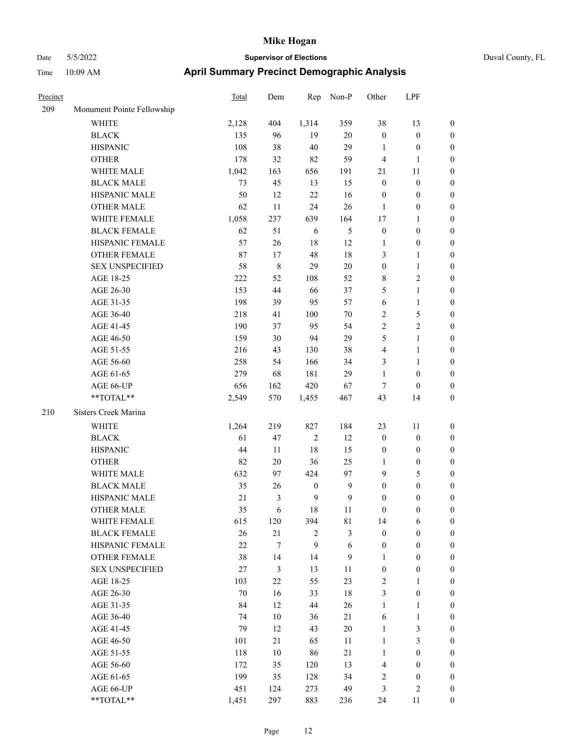| Precinct |                            | <b>Total</b> | Dem              | Rep              | Non-P            | Other            | LPF              |                  |
|----------|----------------------------|--------------|------------------|------------------|------------------|------------------|------------------|------------------|
| 209      | Monument Pointe Fellowship |              |                  |                  |                  |                  |                  |                  |
|          | WHITE                      | 2,128        | 404              | 1,314            | 359              | 38               | 13               | $\boldsymbol{0}$ |
|          | <b>BLACK</b>               | 135          | 96               | 19               | $20\,$           | $\boldsymbol{0}$ | $\boldsymbol{0}$ | $\boldsymbol{0}$ |
|          | <b>HISPANIC</b>            | 108          | 38               | 40               | 29               | 1                | $\boldsymbol{0}$ | 0                |
|          | <b>OTHER</b>               | 178          | 32               | 82               | 59               | $\overline{4}$   | 1                | 0                |
|          | WHITE MALE                 | 1,042        | 163              | 656              | 191              | 21               | 11               | $\boldsymbol{0}$ |
|          | <b>BLACK MALE</b>          | 73           | 45               | 13               | 15               | $\boldsymbol{0}$ | $\boldsymbol{0}$ | $\boldsymbol{0}$ |
|          | HISPANIC MALE              | 50           | 12               | $22\,$           | 16               | $\boldsymbol{0}$ | $\boldsymbol{0}$ | $\boldsymbol{0}$ |
|          | <b>OTHER MALE</b>          | 62           | 11               | 24               | 26               | $\mathbf{1}$     | $\boldsymbol{0}$ | $\boldsymbol{0}$ |
|          | WHITE FEMALE               | 1,058        | 237              | 639              | 164              | 17               | $\mathbf{1}$     | $\boldsymbol{0}$ |
|          | <b>BLACK FEMALE</b>        | 62           | 51               | 6                | $\mathfrak{S}$   | $\boldsymbol{0}$ | $\boldsymbol{0}$ | $\boldsymbol{0}$ |
|          | HISPANIC FEMALE            | 57           | 26               | 18               | 12               | $\mathbf{1}$     | $\boldsymbol{0}$ | 0                |
|          | OTHER FEMALE               | 87           | 17               | 48               | $18\,$           | 3                | $\mathbf{1}$     | 0                |
|          | <b>SEX UNSPECIFIED</b>     | 58           | $\,8\,$          | 29               | 20               | $\boldsymbol{0}$ | $\mathbf{1}$     | 0                |
|          | AGE 18-25                  | 222          | 52               | 108              | 52               | 8                | $\sqrt{2}$       | 0                |
|          | AGE 26-30                  | 153          | 44               | 66               | 37               | 5                | $\mathbf{1}$     | 0                |
|          | AGE 31-35                  | 198          | 39               | 95               | 57               | 6                | $\mathbf{1}$     | $\boldsymbol{0}$ |
|          | AGE 36-40                  | 218          | 41               | 100              | $70\,$           | $\overline{c}$   | $\mathfrak{S}$   | $\boldsymbol{0}$ |
|          | AGE 41-45                  | 190          | 37               | 95               | 54               | $\sqrt{2}$       | $\sqrt{2}$       | 0                |
|          | AGE 46-50                  | 159          | 30               | 94               | 29               | 5                | $\mathbf{1}$     | $\boldsymbol{0}$ |
|          | AGE 51-55                  | 216          | 43               | 130              | 38               | 4                | $\mathbf{1}$     | $\boldsymbol{0}$ |
|          | AGE 56-60                  | 258          | 54               | 166              | 34               | 3                | $\mathbf{1}$     | 0                |
|          | AGE 61-65                  | 279          | 68               | 181              | 29               | $\mathbf{1}$     | $\boldsymbol{0}$ | 0                |
|          | AGE 66-UP                  | 656          | 162              | 420              | 67               | 7                | $\boldsymbol{0}$ | 0                |
|          | $**TOTAL**$                | 2,549        | 570              | 1,455            | 467              | 43               | 14               | $\boldsymbol{0}$ |
| 210      | Sisters Creek Marina       |              |                  |                  |                  |                  |                  |                  |
|          | <b>WHITE</b>               | 1,264        | 219              | 827              | 184              | 23               | 11               | 0                |
|          | <b>BLACK</b>               | 61           | 47               | $\sqrt{2}$       | 12               | $\boldsymbol{0}$ | $\boldsymbol{0}$ | $\boldsymbol{0}$ |
|          | <b>HISPANIC</b>            | 44           | 11               | $18\,$           | 15               | $\boldsymbol{0}$ | $\boldsymbol{0}$ | 0                |
|          | <b>OTHER</b>               | 82           | $20\,$           | 36               | 25               | 1                | $\boldsymbol{0}$ | $\boldsymbol{0}$ |
|          | WHITE MALE                 | 632          | 97               | 424              | 97               | $\overline{9}$   | $\mathfrak{S}$   | $\boldsymbol{0}$ |
|          | <b>BLACK MALE</b>          | 35           | 26               | $\boldsymbol{0}$ | $\boldsymbol{9}$ | $\boldsymbol{0}$ | $\boldsymbol{0}$ | $\boldsymbol{0}$ |
|          | HISPANIC MALE              | 21           | 3                | 9                | 9                | $\boldsymbol{0}$ | $\boldsymbol{0}$ | $\boldsymbol{0}$ |
|          | <b>OTHER MALE</b>          | 35           | 6                | 18               | 11               | $\boldsymbol{0}$ | $\boldsymbol{0}$ | $\boldsymbol{0}$ |
|          | WHITE FEMALE               | 615          | 120              | 394              | 81               | 14               | 6                | 0                |
|          | <b>BLACK FEMALE</b>        | 26           | 21               | $\overline{c}$   | $\mathfrak{Z}$   | $\boldsymbol{0}$ | $\boldsymbol{0}$ | 0                |
|          | HISPANIC FEMALE            | 22           | $\boldsymbol{7}$ | 9                | $\sqrt{6}$       | $\boldsymbol{0}$ | $\boldsymbol{0}$ | 0                |
|          | OTHER FEMALE               | 38           | 14               | 14               | 9                | $\mathbf{1}$     | $\boldsymbol{0}$ | $\overline{0}$   |
|          | <b>SEX UNSPECIFIED</b>     | $27\,$       | 3                | 13               | 11               | $\boldsymbol{0}$ | $\boldsymbol{0}$ | $\overline{0}$   |
|          | AGE 18-25                  | 103          | $22\,$           | 55               | 23               | $\overline{c}$   | $\mathbf{1}$     | $\overline{0}$   |
|          | AGE 26-30                  | 70           | 16               | 33               | $18\,$           | 3                | $\boldsymbol{0}$ | 0                |
|          | AGE 31-35                  | 84           | 12               | $44\,$           | 26               | $\mathbf{1}$     | $\mathbf{1}$     | 0                |
|          | AGE 36-40                  | 74           | 10               | 36               | 21               | 6                | $\mathbf{1}$     | 0                |
|          | AGE 41-45                  | 79           | 12               | 43               | $20\,$           | $\mathbf{1}$     | $\mathfrak{Z}$   | 0                |
|          | AGE 46-50                  | 101          | 21               | 65               | 11               | $\mathbf{1}$     | $\mathfrak{Z}$   | 0                |
|          | AGE 51-55                  | 118          | 10               | 86               | 21               | $\mathbf{1}$     | $\boldsymbol{0}$ | 0                |
|          | AGE 56-60                  | 172          | 35               | 120              | 13               | 4                | $\boldsymbol{0}$ | 0                |
|          | AGE 61-65                  | 199          | 35               | 128              | 34               | $\sqrt{2}$       | $\boldsymbol{0}$ | 0                |
|          | AGE 66-UP                  | 451          | 124              | 273              | 49               | 3                | $\sqrt{2}$       | $\boldsymbol{0}$ |
|          | $**TOTAL**$                | 1,451        | 297              | 883              | 236              | 24               | 11               | $\boldsymbol{0}$ |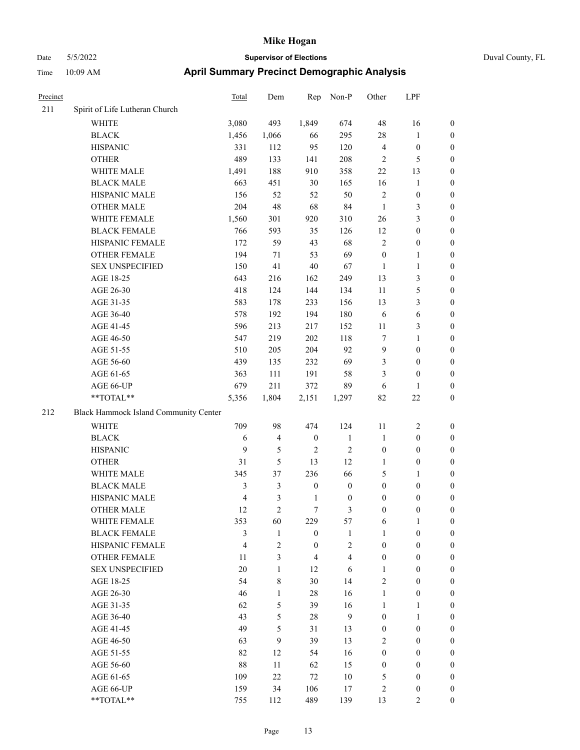### Date 5/5/2022 **Supervisor of Elections** Duval County, FL Time 10:09 AM **April Summary Precinct Demographic Analysis**

| Precinct |                                       | <b>Total</b>   | Dem            | Rep              | Non-P            | Other            | LPF              |                  |
|----------|---------------------------------------|----------------|----------------|------------------|------------------|------------------|------------------|------------------|
| 211      | Spirit of Life Lutheran Church        |                |                |                  |                  |                  |                  |                  |
|          | <b>WHITE</b>                          | 3,080          | 493            | 1,849            | 674              | 48               | 16               | $\mathbf{0}$     |
|          | <b>BLACK</b>                          | 1,456          | 1,066          | 66               | 295              | 28               | 1                | $\boldsymbol{0}$ |
|          | <b>HISPANIC</b>                       | 331            | 112            | 95               | 120              | $\overline{4}$   | $\boldsymbol{0}$ | $\boldsymbol{0}$ |
|          | <b>OTHER</b>                          | 489            | 133            | 141              | 208              | $\mathfrak{2}$   | 5                | $\boldsymbol{0}$ |
|          | WHITE MALE                            | 1,491          | 188            | 910              | 358              | 22               | 13               | $\boldsymbol{0}$ |
|          | <b>BLACK MALE</b>                     | 663            | 451            | 30               | 165              | 16               | 1                | $\boldsymbol{0}$ |
|          | HISPANIC MALE                         | 156            | 52             | 52               | 50               | $\overline{2}$   | $\boldsymbol{0}$ | $\boldsymbol{0}$ |
|          | <b>OTHER MALE</b>                     | 204            | 48             | 68               | 84               | $\mathbf{1}$     | 3                | $\boldsymbol{0}$ |
|          | WHITE FEMALE                          | 1,560          | 301            | 920              | 310              | 26               | 3                | $\boldsymbol{0}$ |
|          | <b>BLACK FEMALE</b>                   | 766            | 593            | 35               | 126              | 12               | $\boldsymbol{0}$ | $\boldsymbol{0}$ |
|          | HISPANIC FEMALE                       | 172            | 59             | 43               | 68               | $\overline{2}$   | $\boldsymbol{0}$ | $\boldsymbol{0}$ |
|          | OTHER FEMALE                          | 194            | 71             | 53               | 69               | $\boldsymbol{0}$ | 1                | $\boldsymbol{0}$ |
|          | <b>SEX UNSPECIFIED</b>                | 150            | 41             | 40               | 67               | $\mathbf{1}$     | $\mathbf{1}$     | $\boldsymbol{0}$ |
|          | AGE 18-25                             | 643            | 216            | 162              | 249              | 13               | 3                | $\boldsymbol{0}$ |
|          | AGE 26-30                             | 418            | 124            | 144              | 134              | 11               | 5                | $\boldsymbol{0}$ |
|          | AGE 31-35                             | 583            | 178            | 233              | 156              | 13               | 3                | $\boldsymbol{0}$ |
|          | AGE 36-40                             | 578            | 192            | 194              | 180              | 6                | 6                | $\boldsymbol{0}$ |
|          | AGE 41-45                             | 596            | 213            | 217              | 152              | 11               | 3                | $\boldsymbol{0}$ |
|          | AGE 46-50                             | 547            | 219            | 202              | 118              | $\tau$           | 1                | $\boldsymbol{0}$ |
|          | AGE 51-55                             | 510            | 205            | 204              | 92               | 9                | $\boldsymbol{0}$ | $\boldsymbol{0}$ |
|          | AGE 56-60                             | 439            | 135            | 232              | 69               | 3                | $\boldsymbol{0}$ | $\boldsymbol{0}$ |
|          | AGE 61-65                             | 363            | 111            | 191              | 58               | 3                | $\theta$         | $\boldsymbol{0}$ |
|          | AGE 66-UP                             | 679            | 211            | 372              | 89               | 6                | 1                | $\boldsymbol{0}$ |
|          | **TOTAL**                             | 5,356          | 1,804          | 2,151            | 1,297            | 82               | $22\,$           | $\boldsymbol{0}$ |
| 212      | Black Hammock Island Community Center |                |                |                  |                  |                  |                  |                  |
|          | <b>WHITE</b>                          | 709            | 98             | 474              | 124              | 11               | $\sqrt{2}$       | $\boldsymbol{0}$ |
|          | <b>BLACK</b>                          | 6              | $\overline{4}$ | $\boldsymbol{0}$ | $\mathbf{1}$     | $\mathbf{1}$     | $\boldsymbol{0}$ | $\boldsymbol{0}$ |
|          | <b>HISPANIC</b>                       | 9              | 5              | $\mathbf{2}$     | $\mathfrak{2}$   | $\boldsymbol{0}$ | $\boldsymbol{0}$ | $\boldsymbol{0}$ |
|          | <b>OTHER</b>                          | 31             | 5              | 13               | 12               | 1                | $\boldsymbol{0}$ | $\boldsymbol{0}$ |
|          | WHITE MALE                            | 345            | 37             | 236              | 66               | 5                | 1                | $\boldsymbol{0}$ |
|          | <b>BLACK MALE</b>                     | 3              | 3              | $\boldsymbol{0}$ | $\boldsymbol{0}$ | $\boldsymbol{0}$ | $\boldsymbol{0}$ | $\boldsymbol{0}$ |
|          | HISPANIC MALE                         | $\overline{4}$ | 3              | $\mathbf{1}$     | $\boldsymbol{0}$ | $\boldsymbol{0}$ | $\boldsymbol{0}$ | $\boldsymbol{0}$ |
|          | <b>OTHER MALE</b>                     | 12             | $\overline{2}$ | $\tau$           | 3                | $\boldsymbol{0}$ | $\boldsymbol{0}$ | $\boldsymbol{0}$ |
|          | WHITE FEMALE                          | 353            | 60             | 229              | 57               | 6                | 1                | $\boldsymbol{0}$ |
|          | <b>BLACK FEMALE</b>                   | 3              | $\mathbf{1}$   | $\boldsymbol{0}$ | 1                | 1                | $\boldsymbol{0}$ | $\boldsymbol{0}$ |
|          | HISPANIC FEMALE                       | $\overline{4}$ | 2              | $\mathbf{0}$     | $\overline{c}$   | $\boldsymbol{0}$ | $\boldsymbol{0}$ | $\boldsymbol{0}$ |
|          | <b>OTHER FEMALE</b>                   | 11             | 3              | $\overline{4}$   | $\overline{4}$   | $\boldsymbol{0}$ | $\boldsymbol{0}$ | $\boldsymbol{0}$ |
|          | <b>SEX UNSPECIFIED</b>                | 20             | $\mathbf{1}$   | 12               | 6                | $\mathbf{1}$     | $\boldsymbol{0}$ | $\boldsymbol{0}$ |
|          | AGE 18-25                             | 54             | 8              | 30               | 14               | $\overline{2}$   | $\theta$         | $\boldsymbol{0}$ |
|          | AGE 26-30                             | 46             | $\mathbf{1}$   | $28\,$           | 16               | $\mathbf{1}$     | $\boldsymbol{0}$ | $\boldsymbol{0}$ |
|          | AGE 31-35                             | 62             | 5              | 39               | 16               | 1                | $\mathbf{1}$     | $\boldsymbol{0}$ |
|          | AGE 36-40                             | 43             | 5              | $28\,$           | 9                | $\boldsymbol{0}$ | $\mathbf{1}$     | $\boldsymbol{0}$ |
|          | AGE 41-45                             | 49             | 5              | 31               | 13               | $\boldsymbol{0}$ | $\boldsymbol{0}$ | $\boldsymbol{0}$ |
|          | AGE 46-50                             | 63             | 9              | 39               | 13               | 2                | $\theta$         | $\mathbf{0}$     |
|          | AGE 51-55                             | 82             | 12             | 54               | 16               | $\boldsymbol{0}$ | $\boldsymbol{0}$ | $\boldsymbol{0}$ |
|          | AGE 56-60                             | 88             | 11             | 62               | 15               | $\boldsymbol{0}$ | $\boldsymbol{0}$ | $\overline{0}$   |
|          |                                       |                |                |                  |                  |                  |                  |                  |

AGE 61-65 109 22 72 10 5 0 0 AGE 66-UP 159 34 106 17 2 0 0 \*\*TOTAL\*\* 755 112 489 139 13 2 0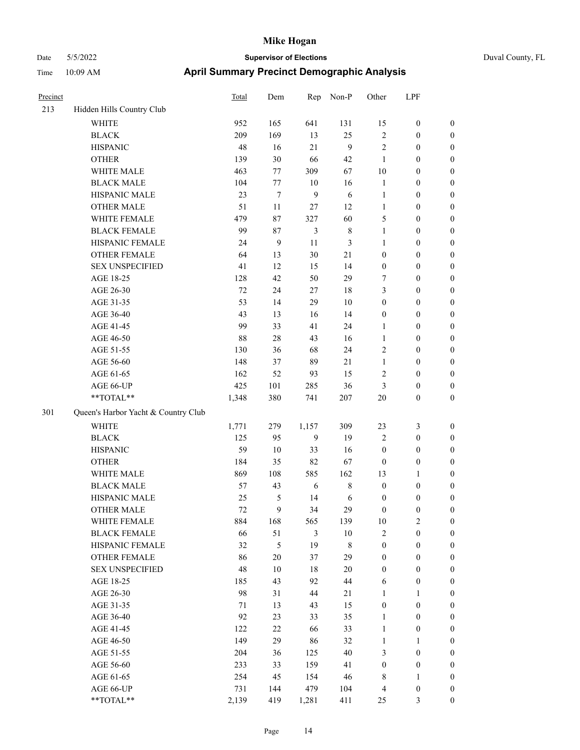### Date 5/5/2022 **Supervisor of Elections** Duval County, FL Time 10:09 AM **April Summary Precinct Demographic Analysis**

| Precinct |                                     | <b>Total</b> | Dem            |                | Rep Non-P   | Other            | LPF              |                  |
|----------|-------------------------------------|--------------|----------------|----------------|-------------|------------------|------------------|------------------|
| 213      | Hidden Hills Country Club           |              |                |                |             |                  |                  |                  |
|          | <b>WHITE</b>                        | 952          | 165            | 641            | 131         | 15               | $\boldsymbol{0}$ | $\boldsymbol{0}$ |
|          | <b>BLACK</b>                        | 209          | 169            | 13             | 25          | $\overline{2}$   | $\boldsymbol{0}$ | $\boldsymbol{0}$ |
|          | <b>HISPANIC</b>                     | 48           | 16             | 21             | 9           | $\overline{2}$   | $\boldsymbol{0}$ | $\boldsymbol{0}$ |
|          | <b>OTHER</b>                        | 139          | 30             | 66             | 42          | $\mathbf{1}$     | $\boldsymbol{0}$ | $\boldsymbol{0}$ |
|          | WHITE MALE                          | 463          | 77             | 309            | 67          | $10\,$           | $\boldsymbol{0}$ | $\boldsymbol{0}$ |
|          | <b>BLACK MALE</b>                   | 104          | 77             | 10             | 16          | $\mathbf{1}$     | $\boldsymbol{0}$ | $\boldsymbol{0}$ |
|          | HISPANIC MALE                       | 23           | $\tau$         | $\mathbf{9}$   | $\sqrt{6}$  | $\mathbf{1}$     | $\boldsymbol{0}$ | $\boldsymbol{0}$ |
|          | <b>OTHER MALE</b>                   | 51           | 11             | 27             | 12          | $\mathbf{1}$     | $\boldsymbol{0}$ | $\boldsymbol{0}$ |
|          | WHITE FEMALE                        | 479          | 87             | 327            | 60          | 5                | $\boldsymbol{0}$ | $\boldsymbol{0}$ |
|          | <b>BLACK FEMALE</b>                 | 99           | 87             | 3              | $\,$ 8 $\,$ | $\mathbf{1}$     | $\boldsymbol{0}$ | $\boldsymbol{0}$ |
|          | HISPANIC FEMALE                     | 24           | $\overline{9}$ | 11             | 3           | $\mathbf{1}$     | $\boldsymbol{0}$ | $\boldsymbol{0}$ |
|          | OTHER FEMALE                        | 64           | 13             | 30             | 21          | $\overline{0}$   | $\boldsymbol{0}$ | $\boldsymbol{0}$ |
|          | <b>SEX UNSPECIFIED</b>              | 41           | 12             | 15             | 14          | $\boldsymbol{0}$ | $\boldsymbol{0}$ | $\boldsymbol{0}$ |
|          | AGE 18-25                           | 128          | 42             | 50             | 29          | 7                | $\boldsymbol{0}$ | $\boldsymbol{0}$ |
|          | AGE 26-30                           | 72           | 24             | 27             | 18          | 3                | $\boldsymbol{0}$ | $\boldsymbol{0}$ |
|          | AGE 31-35                           | 53           | 14             | 29             | 10          | $\boldsymbol{0}$ | $\boldsymbol{0}$ | $\boldsymbol{0}$ |
|          | AGE 36-40                           | 43           | 13             | 16             | 14          | $\boldsymbol{0}$ | $\boldsymbol{0}$ | $\boldsymbol{0}$ |
|          | AGE 41-45                           | 99           | 33             | 41             | 24          | $\mathbf{1}$     | $\boldsymbol{0}$ | $\boldsymbol{0}$ |
|          | AGE 46-50                           | 88           | 28             | 43             | 16          | $\mathbf{1}$     | $\boldsymbol{0}$ | $\boldsymbol{0}$ |
|          | AGE 51-55                           | 130          | 36             | 68             | 24          | $\overline{c}$   | $\boldsymbol{0}$ | $\boldsymbol{0}$ |
|          | AGE 56-60                           | 148          | 37             | 89             | 21          | $\mathbf{1}$     | $\boldsymbol{0}$ | $\boldsymbol{0}$ |
|          | AGE 61-65                           | 162          | 52             | 93             | 15          | $\overline{c}$   | $\boldsymbol{0}$ | $\boldsymbol{0}$ |
|          | AGE 66-UP                           | 425          | 101            | 285            | 36          | 3                | $\boldsymbol{0}$ | $\boldsymbol{0}$ |
|          | **TOTAL**                           | 1,348        | 380            | 741            | 207         | $20\,$           | $\boldsymbol{0}$ | $\overline{0}$   |
| 301      | Queen's Harbor Yacht & Country Club |              |                |                |             |                  |                  |                  |
|          | <b>WHITE</b>                        | 1,771        | 279            | 1,157          | 309         | 23               | 3                | $\boldsymbol{0}$ |
|          | <b>BLACK</b>                        | 125          | 95             | $\overline{9}$ | 19          | 2                | $\boldsymbol{0}$ | $\boldsymbol{0}$ |
|          | <b>HISPANIC</b>                     | 59           | 10             | 33             | 16          | $\boldsymbol{0}$ | $\boldsymbol{0}$ | $\boldsymbol{0}$ |
|          | <b>OTHER</b>                        | 184          | 35             | 82             | 67          | $\boldsymbol{0}$ | $\boldsymbol{0}$ | $\boldsymbol{0}$ |
|          | WHITE MALE                          | 869          | 108            | 585            | 162         | 13               | $\mathbf{1}$     | $\boldsymbol{0}$ |
|          | <b>BLACK MALE</b>                   | 57           | 43             | 6              | $\,$ 8 $\,$ | $\boldsymbol{0}$ | $\boldsymbol{0}$ | $\boldsymbol{0}$ |
|          | HISPANIC MALE                       | 25           | 5              | 14             | 6           | $\boldsymbol{0}$ | $\boldsymbol{0}$ | $\boldsymbol{0}$ |
|          | <b>OTHER MALE</b>                   | 72           | 9              | 34             | 29          | $\overline{0}$   | $\overline{0}$   | $\overline{0}$   |
|          | WHITE FEMALE                        | 884          | 168            | 565            | 139         | 10               | $\overline{2}$   | $\boldsymbol{0}$ |
|          | <b>BLACK FEMALE</b>                 | 66           | 51             | 3              | $10\,$      | $\overline{2}$   | $\boldsymbol{0}$ | $\boldsymbol{0}$ |
|          | HISPANIC FEMALE                     | 32           | 5              | 19             | 8           | $\boldsymbol{0}$ | $\boldsymbol{0}$ | $\boldsymbol{0}$ |
|          | <b>OTHER FEMALE</b>                 | 86           | $20\,$         | 37             | 29          | $\boldsymbol{0}$ | $\boldsymbol{0}$ | $\boldsymbol{0}$ |
|          | <b>SEX UNSPECIFIED</b>              | 48           | $10\,$         | 18             | 20          | $\boldsymbol{0}$ | $\boldsymbol{0}$ | $\boldsymbol{0}$ |
|          | AGE 18-25                           | 185          | 43             | 92             | 44          | 6                | $\boldsymbol{0}$ | $\boldsymbol{0}$ |
|          | AGE 26-30                           | 98           | 31             | 44             | 21          | $\mathbf{1}$     | $\mathbf{1}$     | $\boldsymbol{0}$ |
|          | AGE 31-35                           | $71\,$       | 13             | 43             | 15          | $\boldsymbol{0}$ | $\boldsymbol{0}$ | $\boldsymbol{0}$ |
|          | AGE 36-40                           | 92           | 23             | 33             | 35          | $\mathbf{1}$     | $\boldsymbol{0}$ | $\boldsymbol{0}$ |
|          | AGE 41-45                           | 122          | $22\,$         | 66             | 33          | $\mathbf{1}$     | $\boldsymbol{0}$ | $\boldsymbol{0}$ |
|          | AGE 46-50                           | 149          | 29             | 86             | 32          | $\mathbf{1}$     | $\mathbf{1}$     | $\boldsymbol{0}$ |

AGE 51-55 204 36 125 40 3 0 0 AGE 56-60 233 33 159 41 0 0 0 AGE 61-65 254 45 154 46 8 1 0 AGE 66-UP 731 144 479 104 4 0 0 \*\*TOTAL\*\* 2,139 419 1,281 411 25 3 0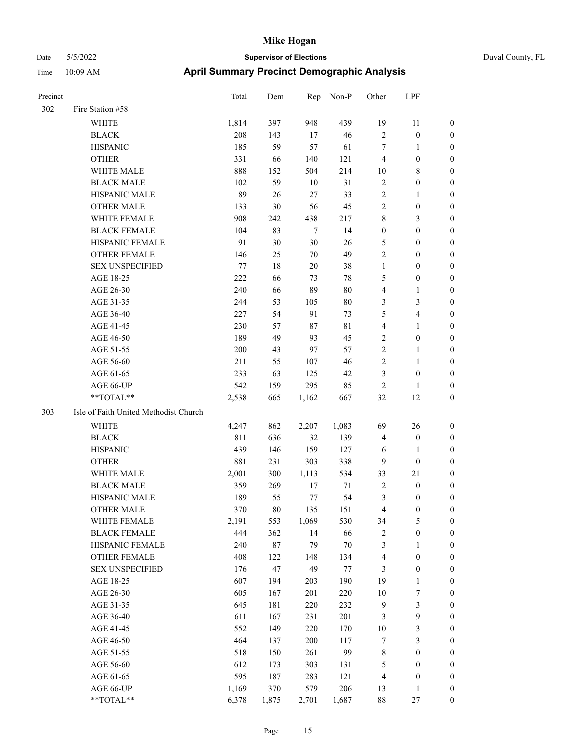| Precinct |                                       | Total | Dem    | Rep    | Non-P       | Other            | LPF              |                  |
|----------|---------------------------------------|-------|--------|--------|-------------|------------------|------------------|------------------|
| 302      | Fire Station #58                      |       |        |        |             |                  |                  |                  |
|          | <b>WHITE</b>                          | 1,814 | 397    | 948    | 439         | 19               | 11               | $\boldsymbol{0}$ |
|          | <b>BLACK</b>                          | 208   | 143    | 17     | 46          | $\overline{2}$   | $\boldsymbol{0}$ | $\boldsymbol{0}$ |
|          | <b>HISPANIC</b>                       | 185   | 59     | 57     | 61          | 7                | 1                | $\boldsymbol{0}$ |
|          | <b>OTHER</b>                          | 331   | 66     | 140    | 121         | $\overline{4}$   | $\boldsymbol{0}$ | $\boldsymbol{0}$ |
|          | WHITE MALE                            | 888   | 152    | 504    | 214         | 10               | 8                | $\boldsymbol{0}$ |
|          | <b>BLACK MALE</b>                     | 102   | 59     | 10     | 31          | $\sqrt{2}$       | $\boldsymbol{0}$ | $\boldsymbol{0}$ |
|          | HISPANIC MALE                         | 89    | 26     | 27     | 33          | $\overline{2}$   | 1                | $\boldsymbol{0}$ |
|          | <b>OTHER MALE</b>                     | 133   | 30     | 56     | 45          | $\overline{2}$   | $\boldsymbol{0}$ | $\boldsymbol{0}$ |
|          | WHITE FEMALE                          | 908   | 242    | 438    | 217         | $\,$ 8 $\,$      | 3                | $\boldsymbol{0}$ |
|          | <b>BLACK FEMALE</b>                   | 104   | 83     | $\tau$ | 14          | $\boldsymbol{0}$ | $\boldsymbol{0}$ | $\boldsymbol{0}$ |
|          | HISPANIC FEMALE                       | 91    | 30     | $30\,$ | 26          | $\mathfrak{S}$   | $\boldsymbol{0}$ | $\boldsymbol{0}$ |
|          | <b>OTHER FEMALE</b>                   | 146   | 25     | 70     | 49          | $\overline{2}$   | $\boldsymbol{0}$ | $\boldsymbol{0}$ |
|          | <b>SEX UNSPECIFIED</b>                | 77    | 18     | 20     | 38          | $\mathbf{1}$     | $\boldsymbol{0}$ | $\boldsymbol{0}$ |
|          | AGE 18-25                             | 222   | 66     | 73     | $78\,$      | 5                | $\boldsymbol{0}$ | $\boldsymbol{0}$ |
|          | AGE 26-30                             | 240   | 66     | 89     | 80          | $\overline{4}$   | 1                | $\boldsymbol{0}$ |
|          | AGE 31-35                             | 244   | 53     | 105    | $80\,$      | $\mathfrak{Z}$   | 3                | $\boldsymbol{0}$ |
|          | AGE 36-40                             | 227   | 54     | 91     | 73          | 5                | 4                | $\boldsymbol{0}$ |
|          | AGE 41-45                             | 230   | 57     | 87     | $8\sqrt{1}$ | $\overline{4}$   | 1                | $\boldsymbol{0}$ |
|          | AGE 46-50                             | 189   | 49     | 93     | 45          | $\overline{2}$   | $\boldsymbol{0}$ | $\boldsymbol{0}$ |
|          | AGE 51-55                             | 200   | 43     | 97     | 57          | $\overline{c}$   | 1                | $\boldsymbol{0}$ |
|          | AGE 56-60                             | 211   | 55     | 107    | 46          | $\sqrt{2}$       | 1                | $\boldsymbol{0}$ |
|          | AGE 61-65                             | 233   | 63     | 125    | 42          | 3                | $\boldsymbol{0}$ | $\boldsymbol{0}$ |
|          | AGE 66-UP                             | 542   | 159    | 295    | 85          | $\overline{2}$   | 1                | $\boldsymbol{0}$ |
|          | **TOTAL**                             | 2,538 | 665    | 1,162  | 667         | 32               | 12               | $\boldsymbol{0}$ |
| 303      | Isle of Faith United Methodist Church |       |        |        |             |                  |                  |                  |
|          | WHITE                                 | 4,247 | 862    | 2,207  | 1,083       | 69               | 26               | $\boldsymbol{0}$ |
|          | <b>BLACK</b>                          | 811   | 636    | 32     | 139         | $\overline{4}$   | $\boldsymbol{0}$ | $\boldsymbol{0}$ |
|          | <b>HISPANIC</b>                       | 439   | 146    | 159    | 127         | 6                | 1                | $\boldsymbol{0}$ |
|          | <b>OTHER</b>                          | 881   | 231    | 303    | 338         | 9                | $\boldsymbol{0}$ | $\boldsymbol{0}$ |
|          | WHITE MALE                            | 2,001 | 300    | 1,113  | 534         | 33               | 21               | $\boldsymbol{0}$ |
|          | <b>BLACK MALE</b>                     | 359   | 269    | 17     | 71          | $\overline{2}$   | $\boldsymbol{0}$ | $\boldsymbol{0}$ |
|          | HISPANIC MALE                         | 189   | 55     | 77     | 54          | 3                | $\boldsymbol{0}$ | $\boldsymbol{0}$ |
|          | <b>OTHER MALE</b>                     | 370   | 80     | 135    | 151         | 4                | $\boldsymbol{0}$ | $\boldsymbol{0}$ |
|          | WHITE FEMALE                          | 2,191 | 553    | 1,069  | 530         | 34               | 5                | $\boldsymbol{0}$ |
|          | <b>BLACK FEMALE</b>                   | 444   | 362    | 14     | 66          | $\sqrt{2}$       | $\boldsymbol{0}$ | $\boldsymbol{0}$ |
|          | HISPANIC FEMALE                       | 240   | $87\,$ | 79     | $70\,$      | $\mathfrak{Z}$   | $\mathbf{1}$     | $\boldsymbol{0}$ |
|          | <b>OTHER FEMALE</b>                   | 408   | 122    | 148    | 134         | $\overline{4}$   | $\boldsymbol{0}$ | $\boldsymbol{0}$ |
|          | <b>SEX UNSPECIFIED</b>                | 176   | 47     | 49     | $77\,$      | $\mathfrak{Z}$   | $\boldsymbol{0}$ | $\boldsymbol{0}$ |
|          | AGE 18-25                             | 607   | 194    | 203    | 190         | 19               | $\mathbf{1}$     | $\boldsymbol{0}$ |
|          | AGE 26-30                             | 605   | 167    | 201    | 220         | 10               | $\boldsymbol{7}$ | $\boldsymbol{0}$ |
|          | AGE 31-35                             | 645   | 181    | 220    | 232         | 9                | 3                | $\boldsymbol{0}$ |
|          | AGE 36-40                             | 611   | 167    | 231    | 201         | $\mathfrak{Z}$   | 9                | $\boldsymbol{0}$ |
|          | AGE 41-45                             | 552   | 149    | 220    | 170         | 10               | 3                | $\boldsymbol{0}$ |
|          | AGE 46-50                             | 464   | 137    | 200    | 117         | $\tau$           | 3                | $\boldsymbol{0}$ |
|          | AGE 51-55                             | 518   | 150    | 261    | 99          | $\,$ $\,$        | $\boldsymbol{0}$ | $\boldsymbol{0}$ |
|          | AGE 56-60                             | 612   | 173    | 303    | 131         | $\mathfrak s$    | $\boldsymbol{0}$ | $\boldsymbol{0}$ |
|          | AGE 61-65                             | 595   | 187    | 283    | 121         | $\overline{4}$   | $\boldsymbol{0}$ | $\boldsymbol{0}$ |
|          | AGE 66-UP                             | 1,169 | 370    | 579    | 206         | 13               | $\mathbf{1}$     | $\boldsymbol{0}$ |
|          | **TOTAL**                             | 6,378 | 1,875  | 2,701  | 1,687       | $88\,$           | $27\,$           | $\boldsymbol{0}$ |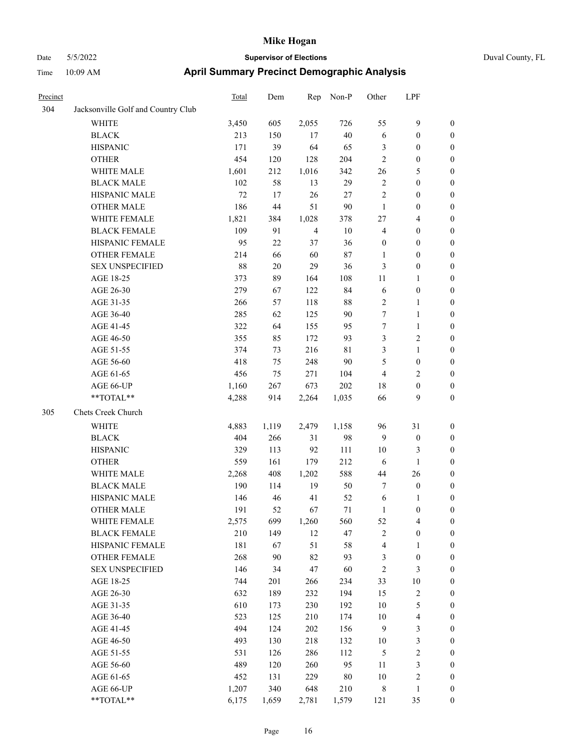|  | Duval County, FL |  |
|--|------------------|--|
|--|------------------|--|

| Precinct |                                    | <b>Total</b> | Dem   | Rep            | Non-P  | Other            | LPF                     |                  |
|----------|------------------------------------|--------------|-------|----------------|--------|------------------|-------------------------|------------------|
| 304      | Jacksonville Golf and Country Club |              |       |                |        |                  |                         |                  |
|          | <b>WHITE</b>                       | 3,450        | 605   | 2,055          | 726    | 55               | 9                       | $\boldsymbol{0}$ |
|          | <b>BLACK</b>                       | 213          | 150   | 17             | $40\,$ | 6                | $\boldsymbol{0}$        | $\boldsymbol{0}$ |
|          | <b>HISPANIC</b>                    | 171          | 39    | 64             | 65     | 3                | $\boldsymbol{0}$        | $\boldsymbol{0}$ |
|          | <b>OTHER</b>                       | 454          | 120   | 128            | 204    | $\overline{c}$   | $\boldsymbol{0}$        | $\boldsymbol{0}$ |
|          | WHITE MALE                         | 1,601        | 212   | 1,016          | 342    | 26               | 5                       | $\boldsymbol{0}$ |
|          | <b>BLACK MALE</b>                  | 102          | 58    | 13             | 29     | $\sqrt{2}$       | $\boldsymbol{0}$        | $\boldsymbol{0}$ |
|          | HISPANIC MALE                      | $72\,$       | 17    | 26             | $27\,$ | 2                | $\boldsymbol{0}$        | $\boldsymbol{0}$ |
|          | <b>OTHER MALE</b>                  | 186          | 44    | 51             | $90\,$ | $\mathbf{1}$     | $\boldsymbol{0}$        | $\boldsymbol{0}$ |
|          | WHITE FEMALE                       | 1,821        | 384   | 1,028          | 378    | 27               | $\overline{4}$          | $\boldsymbol{0}$ |
|          | <b>BLACK FEMALE</b>                | 109          | 91    | $\overline{4}$ | 10     | $\overline{4}$   | $\boldsymbol{0}$        | 0                |
|          | HISPANIC FEMALE                    | 95           | 22    | 37             | 36     | $\boldsymbol{0}$ | $\boldsymbol{0}$        | 0                |
|          | OTHER FEMALE                       | 214          | 66    | 60             | 87     | 1                | $\boldsymbol{0}$        | 0                |
|          | <b>SEX UNSPECIFIED</b>             | 88           | 20    | 29             | 36     | 3                | $\boldsymbol{0}$        | $\boldsymbol{0}$ |
|          | AGE 18-25                          | 373          | 89    | 164            | 108    | 11               | 1                       | $\boldsymbol{0}$ |
|          | AGE 26-30                          | 279          | 67    | 122            | 84     | 6                | $\boldsymbol{0}$        | $\boldsymbol{0}$ |
|          | AGE 31-35                          | 266          | 57    | 118            | $88\,$ | 2                | $\mathbf{1}$            | $\boldsymbol{0}$ |
|          | AGE 36-40                          | 285          | 62    | 125            | 90     | 7                | $\mathbf{1}$            | $\boldsymbol{0}$ |
|          | AGE 41-45                          | 322          | 64    | 155            | 95     | 7                | $\mathbf{1}$            | $\boldsymbol{0}$ |
|          | AGE 46-50                          | 355          | 85    | 172            | 93     | 3                | $\sqrt{2}$              | 0                |
|          | AGE 51-55                          | 374          | 73    | 216            | 81     | 3                | $\mathbf{1}$            | 0                |
|          | AGE 56-60                          | 418          | 75    | 248            | 90     | 5                | $\boldsymbol{0}$        | 0                |
|          | AGE 61-65                          | 456          | 75    | 271            | 104    | 4                | $\overline{c}$          | 0                |
|          | AGE 66-UP                          | 1,160        | 267   | 673            | 202    | 18               | $\boldsymbol{0}$        | $\boldsymbol{0}$ |
|          | **TOTAL**                          | 4,288        | 914   | 2,264          | 1,035  | 66               | 9                       | $\boldsymbol{0}$ |
| 305      | Chets Creek Church                 |              |       |                |        |                  |                         |                  |
|          | <b>WHITE</b>                       | 4,883        | 1,119 | 2,479          | 1,158  | 96               | 31                      | $\boldsymbol{0}$ |
|          | <b>BLACK</b>                       | 404          | 266   | 31             | 98     | 9                | $\boldsymbol{0}$        | $\boldsymbol{0}$ |
|          | <b>HISPANIC</b>                    | 329          | 113   | 92             | 111    | 10               | 3                       | $\boldsymbol{0}$ |
|          | <b>OTHER</b>                       | 559          | 161   | 179            | 212    | 6                | $\mathbf{1}$            | $\boldsymbol{0}$ |
|          | WHITE MALE                         | 2,268        | 408   | 1,202          | 588    | 44               | 26                      | $\boldsymbol{0}$ |
|          | <b>BLACK MALE</b>                  | 190          | 114   | 19             | 50     | 7                | $\boldsymbol{0}$        | $\boldsymbol{0}$ |
|          | HISPANIC MALE                      | 146          | 46    | 41             | 52     | 6                | 1                       | 0                |
|          | <b>OTHER MALE</b>                  | 191          | 52    | 67             | 71     | 1                | $\boldsymbol{0}$        | $\overline{0}$   |
|          | WHITE FEMALE                       | 2,575        | 699   | 1,260          | 560    | 52               | $\overline{\mathbf{4}}$ | 0                |
|          | <b>BLACK FEMALE</b>                | 210          | 149   | 12             | 47     | 2                | $\boldsymbol{0}$        | 0                |
|          | HISPANIC FEMALE                    | 181          | 67    | 51             | 58     | 4                | $\mathbf{1}$            | $\boldsymbol{0}$ |
|          | <b>OTHER FEMALE</b>                | 268          | 90    | 82             | 93     | 3                | $\boldsymbol{0}$        | 0                |
|          | <b>SEX UNSPECIFIED</b>             | 146          | 34    | 47             | 60     | $\sqrt{2}$       | $\mathfrak{Z}$          | 0                |
|          | AGE 18-25                          | 744          | 201   | 266            | 234    | 33               | $10\,$                  | 0                |
|          | AGE 26-30                          | 632          | 189   | 232            | 194    | 15               | $\sqrt{2}$              | 0                |
|          | AGE 31-35                          | 610          | 173   | 230            | 192    | $10\,$           | $\mathfrak s$           | 0                |
|          | AGE 36-40                          | 523          | 125   | 210            | 174    | 10               | $\overline{\mathbf{4}}$ | 0                |
|          | AGE 41-45                          | 494          | 124   | 202            | 156    | $\overline{9}$   | $\mathfrak{Z}$          | 0                |
|          | AGE 46-50                          | 493          | 130   | 218            | 132    | 10               | $\mathfrak{Z}$          | $\boldsymbol{0}$ |
|          | AGE 51-55                          | 531          | 126   | 286            | 112    | 5                | $\sqrt{2}$              | $\boldsymbol{0}$ |
|          | AGE 56-60                          | 489          | 120   | 260            | 95     | 11               | $\mathfrak{Z}$          | $\boldsymbol{0}$ |
|          | AGE 61-65                          | 452          | 131   | 229            | 80     | $10\,$           | $\sqrt{2}$              | 0                |
|          | AGE 66-UP                          | 1,207        | 340   | 648            | 210    | $\,$ 8 $\,$      | $\mathbf{1}$            | $\boldsymbol{0}$ |
|          | **TOTAL**                          | 6,175        | 1,659 | 2,781          | 1,579  | 121              | 35                      | $\boldsymbol{0}$ |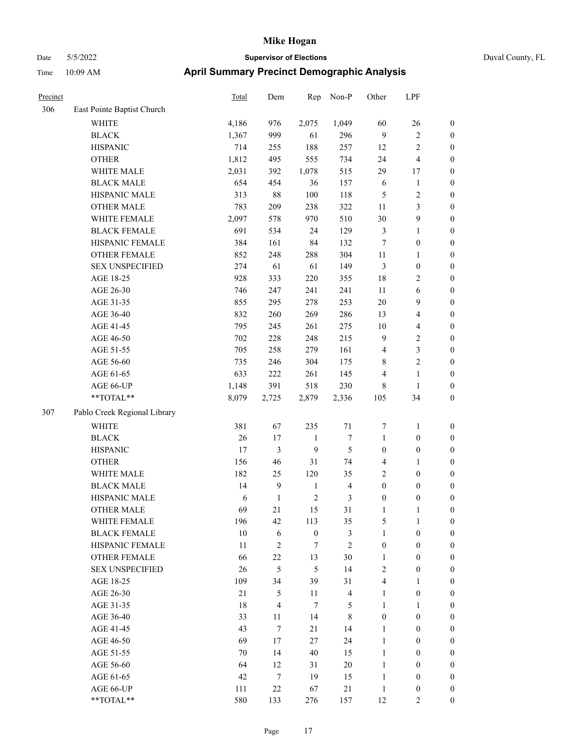### Date 5/5/2022 **Supervisor of Elections** Duval County, FL Time 10:09 AM **April Summary Precinct Demographic Analysis**

| Precinct |                              | Total  | Dem            | Rep              | Non-P                   | Other            | LPF                     |                  |
|----------|------------------------------|--------|----------------|------------------|-------------------------|------------------|-------------------------|------------------|
| 306      | East Pointe Baptist Church   |        |                |                  |                         |                  |                         |                  |
|          | <b>WHITE</b>                 | 4,186  | 976            | 2,075            | 1,049                   | 60               | 26                      | $\boldsymbol{0}$ |
|          | <b>BLACK</b>                 | 1,367  | 999            | 61               | 296                     | $\overline{9}$   | $\mathfrak{2}$          | $\boldsymbol{0}$ |
|          | <b>HISPANIC</b>              | 714    | 255            | 188              | 257                     | 12               | 2                       | $\boldsymbol{0}$ |
|          | <b>OTHER</b>                 | 1,812  | 495            | 555              | 734                     | 24               | $\overline{\mathbf{4}}$ | $\boldsymbol{0}$ |
|          | WHITE MALE                   | 2,031  | 392            | 1,078            | 515                     | 29               | 17                      | $\boldsymbol{0}$ |
|          | <b>BLACK MALE</b>            | 654    | 454            | 36               | 157                     | 6                | $\mathbf{1}$            | $\boldsymbol{0}$ |
|          | HISPANIC MALE                | 313    | $88\,$         | 100              | 118                     | 5                | $\overline{c}$          | $\boldsymbol{0}$ |
|          | <b>OTHER MALE</b>            | 783    | 209            | 238              | 322                     | 11               | 3                       | $\boldsymbol{0}$ |
|          | WHITE FEMALE                 | 2,097  | 578            | 970              | 510                     | 30               | 9                       | $\boldsymbol{0}$ |
|          | <b>BLACK FEMALE</b>          | 691    | 534            | 24               | 129                     | $\mathfrak{Z}$   | $\mathbf{1}$            | $\boldsymbol{0}$ |
|          | HISPANIC FEMALE              | 384    | 161            | 84               | 132                     | 7                | $\boldsymbol{0}$        | $\boldsymbol{0}$ |
|          | <b>OTHER FEMALE</b>          | 852    | 248            | 288              | 304                     | $11\,$           | $\mathbf{1}$            | $\boldsymbol{0}$ |
|          | <b>SEX UNSPECIFIED</b>       | 274    | 61             | 61               | 149                     | $\mathfrak{Z}$   | $\boldsymbol{0}$        | $\boldsymbol{0}$ |
|          | AGE 18-25                    | 928    | 333            | 220              | 355                     | 18               | $\mathbf{2}$            | $\boldsymbol{0}$ |
|          | AGE 26-30                    | 746    | 247            | 241              | 241                     | 11               | $\sqrt{6}$              | $\boldsymbol{0}$ |
|          | AGE 31-35                    | 855    | 295            | 278              | 253                     | 20               | 9                       | $\boldsymbol{0}$ |
|          | AGE 36-40                    | 832    | 260            | 269              | 286                     | 13               | 4                       | $\boldsymbol{0}$ |
|          | AGE 41-45                    | 795    | 245            | 261              | 275                     | 10               | 4                       | $\boldsymbol{0}$ |
|          | AGE 46-50                    | 702    | 228            | 248              | 215                     | $\mathbf{9}$     | 2                       | $\boldsymbol{0}$ |
|          | AGE 51-55                    | 705    | 258            | 279              | 161                     | 4                | 3                       | $\boldsymbol{0}$ |
|          | AGE 56-60                    | 735    | 246            | 304              | 175                     | 8                | 2                       | $\boldsymbol{0}$ |
|          | AGE 61-65                    | 633    | 222            | 261              | 145                     | $\overline{4}$   | $\mathbf{1}$            | $\boldsymbol{0}$ |
|          | AGE 66-UP                    | 1,148  | 391            | 518              | 230                     | 8                | 1                       | $\boldsymbol{0}$ |
|          | **TOTAL**                    | 8,079  | 2,725          | 2,879            | 2,336                   | 105              | 34                      | $\boldsymbol{0}$ |
| 307      | Pablo Creek Regional Library |        |                |                  |                         |                  |                         |                  |
|          | <b>WHITE</b>                 | 381    | 67             | 235              | 71                      | 7                | 1                       | $\boldsymbol{0}$ |
|          | <b>BLACK</b>                 | 26     | 17             | 1                | 7                       | $\mathbf{1}$     | $\boldsymbol{0}$        | $\boldsymbol{0}$ |
|          | <b>HISPANIC</b>              | 17     | 3              | 9                | 5                       | $\boldsymbol{0}$ | $\boldsymbol{0}$        | $\boldsymbol{0}$ |
|          | <b>OTHER</b>                 | 156    | 46             | 31               | 74                      | $\overline{4}$   | 1                       | $\boldsymbol{0}$ |
|          | WHITE MALE                   | 182    | 25             | 120              | 35                      | $\sqrt{2}$       | $\boldsymbol{0}$        | 0                |
|          | <b>BLACK MALE</b>            | 14     | 9              | $\mathbf{1}$     | $\overline{4}$          | $\boldsymbol{0}$ | $\boldsymbol{0}$        | $\boldsymbol{0}$ |
|          | HISPANIC MALE                | 6      | $\mathbf{1}$   | $\overline{2}$   | 3                       | $\boldsymbol{0}$ | $\boldsymbol{0}$        | $\boldsymbol{0}$ |
|          | <b>OTHER MALE</b>            | 69     | 21             | 15               | 31                      | 1                | 1                       | $\boldsymbol{0}$ |
|          | WHITE FEMALE                 | 196    | 42             | 113              | 35                      | 5                | $\mathbf{1}$            | $\boldsymbol{0}$ |
|          | <b>BLACK FEMALE</b>          | $10\,$ | 6              | $\boldsymbol{0}$ | 3                       | $\mathbf{1}$     | $\boldsymbol{0}$        | $\boldsymbol{0}$ |
|          | HISPANIC FEMALE              | 11     | $\overline{2}$ | 7                | $\mathfrak{2}$          | $\boldsymbol{0}$ | $\boldsymbol{0}$        | $\boldsymbol{0}$ |
|          | <b>OTHER FEMALE</b>          | 66     | 22             | 13               | 30                      | $\mathbf{1}$     | $\boldsymbol{0}$        | $\theta$         |
|          | <b>SEX UNSPECIFIED</b>       | 26     | 5              | 5                | 14                      | $\mathfrak{2}$   | $\boldsymbol{0}$        | $\theta$         |
|          | AGE 18-25                    | 109    | 34             | 39               | 31                      | $\overline{4}$   | $\mathbf{1}$            | $\mathbf{0}$     |
|          | AGE 26-30                    | 21     | 5              | 11               | $\overline{\mathbf{4}}$ | $\mathbf{1}$     | $\boldsymbol{0}$        | 0                |
|          | AGE 31-35                    | $18\,$ | $\overline{4}$ | $\tau$           | 5                       | $\mathbf{1}$     | $\mathbf{1}$            | 0                |
|          | AGE 36-40                    | 33     | 11             | 14               | $\,$ 8 $\,$             | $\boldsymbol{0}$ | $\boldsymbol{0}$        | $\boldsymbol{0}$ |
|          | AGE 41-45                    | 43     | $\tau$         | 21               | 14                      | $\mathbf{1}$     | $\boldsymbol{0}$        | $\boldsymbol{0}$ |
|          | AGE 46-50                    | 69     | 17             | 27               | 24                      | 1                | $\boldsymbol{0}$        | 0                |

AGE 51-55 70 14 40 15 1 0 0 AGE 56-60 64 12 31 20 1 0 0 AGE 61-65 42 7 19 15 1 0 0 AGE 66-UP 111 22 67 21 1 0 0 \*\*TOTAL\*\* 580 133 276 157 12 2 0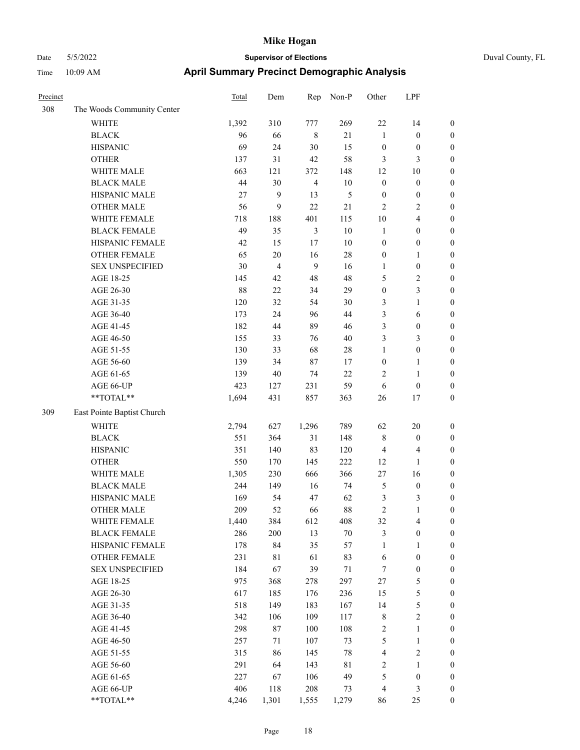| Precinct |                            | Total | Dem            | Rep            | Non-P       | Other            | LPF                     |                  |
|----------|----------------------------|-------|----------------|----------------|-------------|------------------|-------------------------|------------------|
| 308      | The Woods Community Center |       |                |                |             |                  |                         |                  |
|          | <b>WHITE</b>               | 1,392 | 310            | 777            | 269         | 22               | 14                      | $\boldsymbol{0}$ |
|          | <b>BLACK</b>               | 96    | 66             | $\,8\,$        | 21          | $\mathbf{1}$     | $\boldsymbol{0}$        | $\boldsymbol{0}$ |
|          | <b>HISPANIC</b>            | 69    | 24             | $30\,$         | 15          | $\boldsymbol{0}$ | $\boldsymbol{0}$        | $\boldsymbol{0}$ |
|          | <b>OTHER</b>               | 137   | 31             | 42             | 58          | 3                | 3                       | $\boldsymbol{0}$ |
|          | WHITE MALE                 | 663   | 121            | 372            | 148         | 12               | 10                      | $\boldsymbol{0}$ |
|          | <b>BLACK MALE</b>          | 44    | 30             | $\overline{4}$ | 10          | $\boldsymbol{0}$ | $\boldsymbol{0}$        | $\boldsymbol{0}$ |
|          | HISPANIC MALE              | 27    | 9              | 13             | 5           | $\boldsymbol{0}$ | $\boldsymbol{0}$        | $\boldsymbol{0}$ |
|          | <b>OTHER MALE</b>          | 56    | 9              | 22             | $21\,$      | $\overline{2}$   | 2                       | $\boldsymbol{0}$ |
|          | WHITE FEMALE               | 718   | 188            | 401            | 115         | $10\,$           | 4                       | $\boldsymbol{0}$ |
|          | <b>BLACK FEMALE</b>        | 49    | 35             | $\mathfrak{Z}$ | $10\,$      | $\mathbf{1}$     | $\boldsymbol{0}$        | $\boldsymbol{0}$ |
|          | HISPANIC FEMALE            | 42    | 15             | 17             | 10          | $\boldsymbol{0}$ | $\boldsymbol{0}$        | $\boldsymbol{0}$ |
|          | <b>OTHER FEMALE</b>        | 65    | $20\,$         | 16             | $28\,$      | $\boldsymbol{0}$ | 1                       | $\boldsymbol{0}$ |
|          | <b>SEX UNSPECIFIED</b>     | 30    | $\overline{4}$ | 9              | 16          | $\mathbf{1}$     | $\boldsymbol{0}$        | $\boldsymbol{0}$ |
|          | AGE 18-25                  | 145   | 42             | 48             | 48          | 5                | 2                       | $\boldsymbol{0}$ |
|          | AGE 26-30                  | 88    | 22             | 34             | 29          | $\boldsymbol{0}$ | 3                       | $\boldsymbol{0}$ |
|          | AGE 31-35                  | 120   | 32             | 54             | 30          | 3                | $\mathbf{1}$            | $\boldsymbol{0}$ |
|          | AGE 36-40                  | 173   | 24             | 96             | 44          | 3                | 6                       | $\boldsymbol{0}$ |
|          | AGE 41-45                  | 182   | 44             | 89             | 46          | 3                | $\boldsymbol{0}$        | $\boldsymbol{0}$ |
|          | AGE 46-50                  | 155   | 33             | 76             | 40          | 3                | 3                       | $\boldsymbol{0}$ |
|          | AGE 51-55                  | 130   | 33             | 68             | 28          | $\mathbf{1}$     | $\boldsymbol{0}$        | $\boldsymbol{0}$ |
|          | AGE 56-60                  | 139   | 34             | 87             | 17          | $\boldsymbol{0}$ | 1                       | $\boldsymbol{0}$ |
|          | AGE 61-65                  | 139   | $40\,$         | 74             | 22          | $\overline{2}$   | 1                       | $\boldsymbol{0}$ |
|          | AGE 66-UP                  | 423   | 127            | 231            | 59          | 6                | $\boldsymbol{0}$        | $\boldsymbol{0}$ |
|          | **TOTAL**                  | 1,694 | 431            | 857            | 363         | 26               | 17                      | $\boldsymbol{0}$ |
| 309      | East Pointe Baptist Church |       |                |                |             |                  |                         |                  |
|          | <b>WHITE</b>               | 2,794 | 627            | 1,296          | 789         | 62               | 20                      | $\boldsymbol{0}$ |
|          | <b>BLACK</b>               | 551   | 364            | 31             | 148         | $\,$ 8 $\,$      | $\boldsymbol{0}$        | $\boldsymbol{0}$ |
|          | <b>HISPANIC</b>            | 351   | 140            | 83             | 120         | $\overline{4}$   | 4                       | $\boldsymbol{0}$ |
|          | <b>OTHER</b>               | 550   | 170            | 145            | 222         | 12               | 1                       | $\boldsymbol{0}$ |
|          | WHITE MALE                 | 1,305 | 230            | 666            | 366         | 27               | 16                      | $\boldsymbol{0}$ |
|          | <b>BLACK MALE</b>          | 244   | 149            | 16             | 74          | $\mathfrak{S}$   | $\boldsymbol{0}$        | $\boldsymbol{0}$ |
|          | HISPANIC MALE              | 169   | 54             | 47             | 62          | $\mathfrak{Z}$   | 3                       | $\boldsymbol{0}$ |
|          | <b>OTHER MALE</b>          | 209   | 52             | 66             | 88          | $\sqrt{2}$       | 1                       | $\boldsymbol{0}$ |
|          | WHITE FEMALE               | 1,440 | 384            | 612            | 408         | 32               | $\overline{4}$          | $\boldsymbol{0}$ |
|          | <b>BLACK FEMALE</b>        | 286   | 200            | 13             | $70\,$      | $\mathfrak z$    | $\boldsymbol{0}$        | $\boldsymbol{0}$ |
|          | HISPANIC FEMALE            | 178   | 84             | 35             | 57          | $\mathbf{1}$     | $\mathbf{1}$            | $\boldsymbol{0}$ |
|          | <b>OTHER FEMALE</b>        | 231   | $8\sqrt{1}$    | 61             | 83          | 6                | $\boldsymbol{0}$        | $\boldsymbol{0}$ |
|          | <b>SEX UNSPECIFIED</b>     | 184   | 67             | 39             | $71\,$      | $\tau$           | $\boldsymbol{0}$        | $\boldsymbol{0}$ |
|          | AGE 18-25                  | 975   | 368            | 278            | 297         | $27\,$           | 5                       | $\boldsymbol{0}$ |
|          | AGE 26-30                  | 617   | 185            | 176            | 236         | 15               | 5                       | $\boldsymbol{0}$ |
|          | AGE 31-35                  | 518   | 149            | 183            | 167         | 14               | 5                       | $\boldsymbol{0}$ |
|          | AGE 36-40                  | 342   | 106            | 109            | 117         | $\,$ 8 $\,$      | $\sqrt{2}$              | $\boldsymbol{0}$ |
|          | AGE 41-45                  | 298   | $87\,$         | 100            | 108         | $\sqrt{2}$       | 1                       | $\boldsymbol{0}$ |
|          | AGE 46-50                  | 257   | 71             | 107            | 73          | $\sqrt{5}$       | 1                       | $\boldsymbol{0}$ |
|          | AGE 51-55                  | 315   | 86             | 145            | $78\,$      | $\overline{4}$   | $\overline{\mathbf{c}}$ | $\boldsymbol{0}$ |
|          | AGE 56-60                  | 291   | 64             | 143            | $8\sqrt{1}$ | $\sqrt{2}$       | $\mathbf{1}$            | $\boldsymbol{0}$ |
|          | AGE 61-65                  | 227   | 67             | 106            | 49          | $\mathfrak{S}$   | $\boldsymbol{0}$        | $\boldsymbol{0}$ |
|          | AGE 66-UP                  | 406   | 118            | 208            | 73          | $\overline{4}$   | 3                       | $\boldsymbol{0}$ |
|          | **TOTAL**                  | 4,246 | 1,301          | 1,555          | 1,279       | 86               | 25                      | $\boldsymbol{0}$ |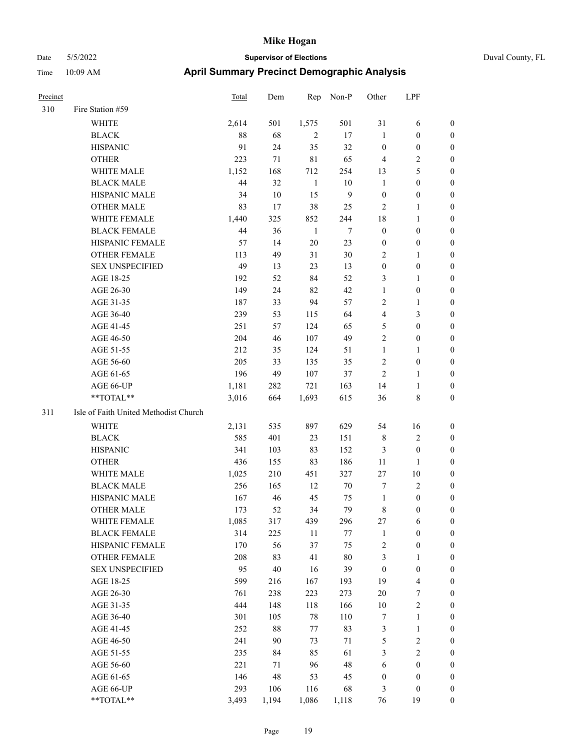| Duval County, FL |  |
|------------------|--|

| Precinct |                                       | Total | Dem         | Rep          | Non-P  | Other            | LPF                     |                  |
|----------|---------------------------------------|-------|-------------|--------------|--------|------------------|-------------------------|------------------|
| 310      | Fire Station #59                      |       |             |              |        |                  |                         |                  |
|          | <b>WHITE</b>                          | 2,614 | 501         | 1,575        | 501    | 31               | 6                       | $\boldsymbol{0}$ |
|          | <b>BLACK</b>                          | 88    | 68          | $\sqrt{2}$   | $17\,$ | $\mathbf{1}$     | $\boldsymbol{0}$        | $\boldsymbol{0}$ |
|          | <b>HISPANIC</b>                       | 91    | 24          | 35           | 32     | $\boldsymbol{0}$ | $\boldsymbol{0}$        | $\boldsymbol{0}$ |
|          | <b>OTHER</b>                          | 223   | 71          | $8\sqrt{1}$  | 65     | $\overline{4}$   | 2                       | $\boldsymbol{0}$ |
|          | WHITE MALE                            | 1,152 | 168         | 712          | 254    | 13               | 5                       | $\boldsymbol{0}$ |
|          | <b>BLACK MALE</b>                     | 44    | 32          | $\mathbf{1}$ | $10\,$ | $\mathbf{1}$     | $\boldsymbol{0}$        | $\boldsymbol{0}$ |
|          | HISPANIC MALE                         | 34    | $10\,$      | 15           | 9      | $\boldsymbol{0}$ | $\boldsymbol{0}$        | $\boldsymbol{0}$ |
|          | <b>OTHER MALE</b>                     | 83    | 17          | 38           | 25     | $\overline{2}$   | 1                       | $\boldsymbol{0}$ |
|          | WHITE FEMALE                          | 1,440 | 325         | 852          | 244    | 18               | $\mathbf{1}$            | $\boldsymbol{0}$ |
|          | <b>BLACK FEMALE</b>                   | 44    | 36          | $\mathbf{1}$ | $\tau$ | $\boldsymbol{0}$ | $\boldsymbol{0}$        | $\boldsymbol{0}$ |
|          | HISPANIC FEMALE                       | 57    | 14          | 20           | 23     | $\boldsymbol{0}$ | $\boldsymbol{0}$        | $\boldsymbol{0}$ |
|          | <b>OTHER FEMALE</b>                   | 113   | 49          | 31           | 30     | $\sqrt{2}$       | $\mathbf{1}$            | $\boldsymbol{0}$ |
|          | <b>SEX UNSPECIFIED</b>                | 49    | 13          | 23           | 13     | $\boldsymbol{0}$ | $\boldsymbol{0}$        | $\boldsymbol{0}$ |
|          | AGE 18-25                             | 192   | 52          | 84           | 52     | $\mathfrak{Z}$   | 1                       | $\boldsymbol{0}$ |
|          | AGE 26-30                             | 149   | 24          | 82           | 42     | $\mathbf{1}$     | $\boldsymbol{0}$        | $\boldsymbol{0}$ |
|          | AGE 31-35                             | 187   | 33          | 94           | 57     | $\overline{2}$   | 1                       | $\boldsymbol{0}$ |
|          | AGE 36-40                             | 239   | 53          | 115          | 64     | $\overline{4}$   | 3                       | $\boldsymbol{0}$ |
|          | AGE 41-45                             | 251   | 57          | 124          | 65     | 5                | $\boldsymbol{0}$        | $\boldsymbol{0}$ |
|          | AGE 46-50                             | 204   | 46          | 107          | 49     | $\overline{2}$   | $\boldsymbol{0}$        | $\boldsymbol{0}$ |
|          | AGE 51-55                             | 212   | 35          | 124          | 51     | $\mathbf{1}$     | 1                       | $\boldsymbol{0}$ |
|          | AGE 56-60                             | 205   | 33          | 135          | 35     | $\sqrt{2}$       | $\boldsymbol{0}$        | $\boldsymbol{0}$ |
|          | AGE 61-65                             | 196   | 49          | 107          | 37     | $\sqrt{2}$       | 1                       | $\boldsymbol{0}$ |
|          | AGE 66-UP                             | 1,181 | 282         | 721          | 163    | 14               | 1                       | $\mathbf{0}$     |
|          | **TOTAL**                             | 3,016 | 664         | 1,693        | 615    | 36               | 8                       | $\boldsymbol{0}$ |
| 311      | Isle of Faith United Methodist Church |       |             |              |        |                  |                         |                  |
|          |                                       |       |             |              |        |                  |                         |                  |
|          | WHITE                                 | 2,131 | 535         | 897          | 629    | 54               | 16                      | $\mathbf{0}$     |
|          | <b>BLACK</b>                          | 585   | 401         | 23           | 151    | 8                | $\overline{2}$          | $\boldsymbol{0}$ |
|          | <b>HISPANIC</b>                       | 341   | 103         | 83           | 152    | 3                | $\boldsymbol{0}$        | $\boldsymbol{0}$ |
|          | <b>OTHER</b>                          | 436   | 155         | 83           | 186    | 11               | 1                       | $\boldsymbol{0}$ |
|          | WHITE MALE                            | 1,025 | 210         | 451          | 327    | $27\,$           | 10                      | $\boldsymbol{0}$ |
|          | <b>BLACK MALE</b>                     | 256   | 165         | 12           | 70     | $\tau$           | 2                       | $\boldsymbol{0}$ |
|          | HISPANIC MALE                         | 167   | 46          | 45           | 75     | $\mathbf{1}$     | $\boldsymbol{0}$        | $\boldsymbol{0}$ |
|          | <b>OTHER MALE</b>                     | 173   | 52          | 34           | 79     | $\,8\,$          | $\boldsymbol{0}$        | $\boldsymbol{0}$ |
|          | WHITE FEMALE                          | 1,085 | 317         | 439          | 296    | 27               | 6                       | $\boldsymbol{0}$ |
|          | <b>BLACK FEMALE</b>                   | 314   | 225         | 11           | 77     | $\mathbf{1}$     | $\boldsymbol{0}$        | $\boldsymbol{0}$ |
|          | HISPANIC FEMALE                       | 170   | 56          | 37           | 75     | $\sqrt{2}$       | $\boldsymbol{0}$        | $\boldsymbol{0}$ |
|          | OTHER FEMALE                          | 208   | 83          | 41           | $80\,$ | $\mathfrak{Z}$   | 1                       | $\boldsymbol{0}$ |
|          | <b>SEX UNSPECIFIED</b>                | 95    | $40\,$      | 16           | 39     | $\boldsymbol{0}$ | $\boldsymbol{0}$        | $\boldsymbol{0}$ |
|          | AGE 18-25                             | 599   | 216         | 167          | 193    | 19               | 4                       | $\boldsymbol{0}$ |
|          | AGE 26-30                             | 761   | 238         | 223          | 273    | $20\,$           | 7                       | $\boldsymbol{0}$ |
|          | AGE 31-35                             | 444   | 148         | 118          | 166    | $10\,$           | $\sqrt{2}$              | $\boldsymbol{0}$ |
|          | AGE 36-40                             | 301   | 105         | $78\,$       | 110    | $\tau$           | $\mathbf{1}$            | $\boldsymbol{0}$ |
|          | AGE 41-45                             | 252   | 88          | 77           | 83     | $\mathfrak z$    | 1                       | $\boldsymbol{0}$ |
|          | AGE 46-50                             | 241   | 90          | 73           | 71     | $\mathfrak s$    | $\overline{\mathbf{c}}$ | $\boldsymbol{0}$ |
|          | AGE 51-55                             | 235   | 84          | 85           | 61     | $\mathfrak{Z}$   | $\overline{c}$          | $\boldsymbol{0}$ |
|          | AGE 56-60                             | 221   | 71          | 96           | 48     | 6                | $\boldsymbol{0}$        | $\boldsymbol{0}$ |
|          | AGE 61-65                             | 146   | $\sqrt{48}$ | 53           | 45     | $\boldsymbol{0}$ | $\boldsymbol{0}$        | $\boldsymbol{0}$ |
|          | AGE 66-UP                             | 293   | 106         | 116          | 68     | 3                | $\boldsymbol{0}$        | $\boldsymbol{0}$ |
|          | **TOTAL**                             | 3,493 | 1,194       | 1,086        | 1,118  | 76               | 19                      | $\boldsymbol{0}$ |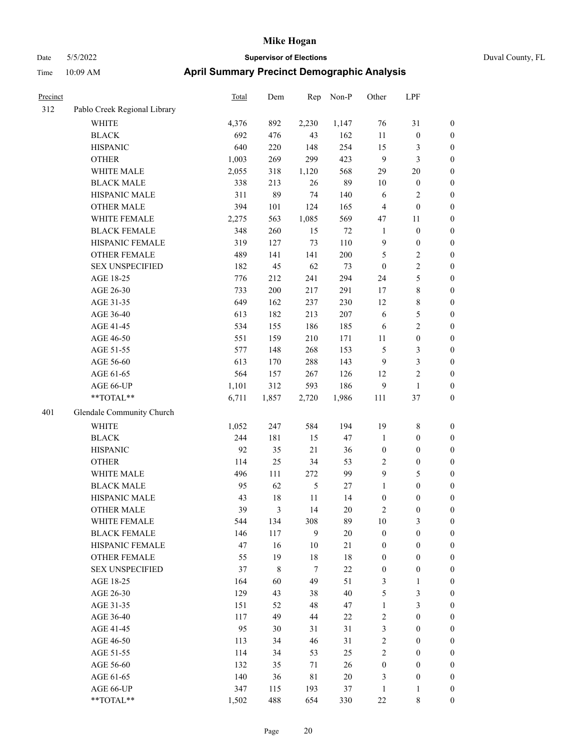| Precinct |                              | Total | Dem         | Rep         | Non-P  | Other            | LPF              |                  |
|----------|------------------------------|-------|-------------|-------------|--------|------------------|------------------|------------------|
| 312      | Pablo Creek Regional Library |       |             |             |        |                  |                  |                  |
|          | WHITE                        | 4,376 | 892         | 2,230       | 1,147  | 76               | 31               | $\boldsymbol{0}$ |
|          | <b>BLACK</b>                 | 692   | 476         | 43          | 162    | 11               | $\boldsymbol{0}$ | $\boldsymbol{0}$ |
|          | <b>HISPANIC</b>              | 640   | 220         | 148         | 254    | 15               | 3                | $\boldsymbol{0}$ |
|          | <b>OTHER</b>                 | 1,003 | 269         | 299         | 423    | $\overline{9}$   | 3                | $\boldsymbol{0}$ |
|          | WHITE MALE                   | 2,055 | 318         | 1,120       | 568    | 29               | 20               | $\boldsymbol{0}$ |
|          | <b>BLACK MALE</b>            | 338   | 213         | 26          | 89     | 10               | $\boldsymbol{0}$ | $\boldsymbol{0}$ |
|          | HISPANIC MALE                | 311   | 89          | 74          | 140    | 6                | 2                | $\boldsymbol{0}$ |
|          | <b>OTHER MALE</b>            | 394   | 101         | 124         | 165    | $\overline{4}$   | $\boldsymbol{0}$ | $\boldsymbol{0}$ |
|          | WHITE FEMALE                 | 2,275 | 563         | 1,085       | 569    | 47               | 11               | $\boldsymbol{0}$ |
|          | <b>BLACK FEMALE</b>          | 348   | 260         | 15          | $72\,$ | $\mathbf{1}$     | $\boldsymbol{0}$ | $\boldsymbol{0}$ |
|          | HISPANIC FEMALE              | 319   | 127         | 73          | 110    | 9                | $\boldsymbol{0}$ | $\boldsymbol{0}$ |
|          | <b>OTHER FEMALE</b>          | 489   | 141         | 141         | 200    | $\mathfrak{S}$   | 2                | $\boldsymbol{0}$ |
|          | <b>SEX UNSPECIFIED</b>       | 182   | 45          | 62          | 73     | $\boldsymbol{0}$ | 2                | $\boldsymbol{0}$ |
|          | AGE 18-25                    | 776   | 212         | 241         | 294    | 24               | 5                | $\boldsymbol{0}$ |
|          | AGE 26-30                    | 733   | $200\,$     | 217         | 291    | 17               | 8                | $\boldsymbol{0}$ |
|          | AGE 31-35                    | 649   | 162         | 237         | 230    | 12               | 8                | $\boldsymbol{0}$ |
|          | AGE 36-40                    | 613   | 182         | 213         | 207    | 6                | 5                | $\boldsymbol{0}$ |
|          | AGE 41-45                    | 534   | 155         | 186         | 185    | 6                | 2                | $\boldsymbol{0}$ |
|          | AGE 46-50                    | 551   | 159         | 210         | 171    | 11               | $\boldsymbol{0}$ | $\boldsymbol{0}$ |
|          | AGE 51-55                    | 577   | 148         | 268         | 153    | 5                | 3                | $\boldsymbol{0}$ |
|          | AGE 56-60                    | 613   | 170         | 288         | 143    | 9                | 3                | $\boldsymbol{0}$ |
|          | AGE 61-65                    | 564   | 157         | 267         | 126    | 12               | $\overline{c}$   | $\boldsymbol{0}$ |
|          | AGE 66-UP                    | 1,101 | 312         | 593         | 186    | 9                | $\mathbf{1}$     | $\boldsymbol{0}$ |
|          | **TOTAL**                    | 6,711 | 1,857       | 2,720       | 1,986  | 111              | 37               | $\boldsymbol{0}$ |
| 401      | Glendale Community Church    |       |             |             |        |                  |                  |                  |
|          | <b>WHITE</b>                 | 1,052 | 247         | 584         | 194    | 19               | $\,$ 8 $\,$      | $\boldsymbol{0}$ |
|          | <b>BLACK</b>                 | 244   | 181         | 15          | 47     | $\mathbf{1}$     | $\boldsymbol{0}$ | $\boldsymbol{0}$ |
|          | <b>HISPANIC</b>              | 92    | 35          | 21          | 36     | $\boldsymbol{0}$ | $\boldsymbol{0}$ | $\boldsymbol{0}$ |
|          | <b>OTHER</b>                 | 114   | 25          | 34          | 53     | $\overline{2}$   | $\boldsymbol{0}$ | $\boldsymbol{0}$ |
|          | WHITE MALE                   | 496   | 111         | 272         | 99     | 9                | 5                | $\boldsymbol{0}$ |
|          | <b>BLACK MALE</b>            | 95    | 62          | 5           | 27     | 1                | $\boldsymbol{0}$ | $\boldsymbol{0}$ |
|          | HISPANIC MALE                | 43    | $18\,$      | 11          | 14     | $\boldsymbol{0}$ | $\boldsymbol{0}$ | $\boldsymbol{0}$ |
|          | <b>OTHER MALE</b>            | 39    | 3           | 14          | $20\,$ | $\overline{2}$   | $\boldsymbol{0}$ | $\boldsymbol{0}$ |
|          | WHITE FEMALE                 | 544   | 134         | 308         | 89     | 10               | 3                | $\boldsymbol{0}$ |
|          | <b>BLACK FEMALE</b>          | 146   | 117         | 9           | $20\,$ | $\boldsymbol{0}$ | $\boldsymbol{0}$ | $\boldsymbol{0}$ |
|          | HISPANIC FEMALE              | 47    | 16          | $10\,$      | 21     | $\boldsymbol{0}$ | $\boldsymbol{0}$ | $\boldsymbol{0}$ |
|          | OTHER FEMALE                 | 55    | 19          | $18\,$      | $18\,$ | $\boldsymbol{0}$ | $\boldsymbol{0}$ | $\boldsymbol{0}$ |
|          | <b>SEX UNSPECIFIED</b>       | 37    | $\,$ 8 $\,$ | $\tau$      | $22\,$ | $\boldsymbol{0}$ | $\boldsymbol{0}$ | $\boldsymbol{0}$ |
|          | AGE 18-25                    | 164   | 60          | 49          | 51     | $\mathfrak{Z}$   | 1                | $\boldsymbol{0}$ |
|          | AGE 26-30                    | 129   | 43          | 38          | 40     | $\sqrt{5}$       | 3                | $\boldsymbol{0}$ |
|          | AGE 31-35                    | 151   | 52          | 48          | 47     | $\mathbf{1}$     | 3                | $\boldsymbol{0}$ |
|          | AGE 36-40                    | 117   | 49          | 44          | 22     | $\sqrt{2}$       | $\boldsymbol{0}$ | $\boldsymbol{0}$ |
|          | AGE 41-45                    | 95    | 30          | 31          | 31     | $\mathfrak{Z}$   | $\boldsymbol{0}$ | $\boldsymbol{0}$ |
|          | AGE 46-50                    | 113   | 34          | 46          | 31     | $\sqrt{2}$       | $\boldsymbol{0}$ | $\boldsymbol{0}$ |
|          | AGE 51-55                    | 114   | 34          | 53          | 25     | $\sqrt{2}$       | $\boldsymbol{0}$ | $\boldsymbol{0}$ |
|          | AGE 56-60                    | 132   | 35          | 71          | 26     | $\boldsymbol{0}$ | $\boldsymbol{0}$ | $\boldsymbol{0}$ |
|          | AGE 61-65                    | 140   | 36          | $8\sqrt{1}$ | $20\,$ | $\mathfrak{Z}$   | $\boldsymbol{0}$ | $\boldsymbol{0}$ |
|          | AGE 66-UP                    | 347   | 115         | 193         | 37     | $\mathbf{1}$     | 1                | $\boldsymbol{0}$ |
|          | **TOTAL**                    | 1,502 | 488         | 654         | 330    | $22\,$           | $\,$ 8 $\,$      | $\boldsymbol{0}$ |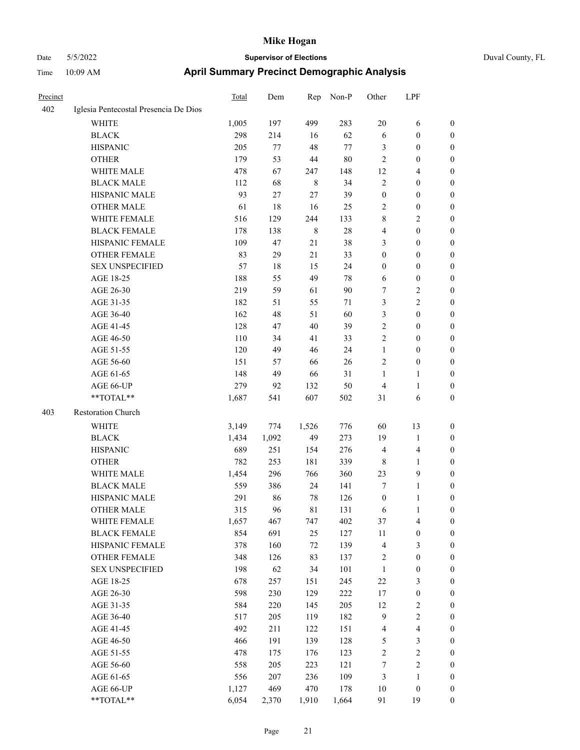| Duval County, FL |  |
|------------------|--|
|                  |  |

| Precinct |                                       | <b>Total</b> | Dem   | Rep         | Non-P  | Other            | LPF                     |                  |
|----------|---------------------------------------|--------------|-------|-------------|--------|------------------|-------------------------|------------------|
| 402      | Iglesia Pentecostal Presencia De Dios |              |       |             |        |                  |                         |                  |
|          | WHITE                                 | 1,005        | 197   | 499         | 283    | 20               | 6                       | 0                |
|          | <b>BLACK</b>                          | 298          | 214   | 16          | 62     | 6                | $\boldsymbol{0}$        | 0                |
|          | <b>HISPANIC</b>                       | 205          | 77    | 48          | 77     | 3                | $\boldsymbol{0}$        | 0                |
|          | <b>OTHER</b>                          | 179          | 53    | 44          | 80     | $\overline{c}$   | $\boldsymbol{0}$        | $\boldsymbol{0}$ |
|          | WHITE MALE                            | 478          | 67    | 247         | 148    | 12               | $\overline{\mathbf{4}}$ | $\boldsymbol{0}$ |
|          | <b>BLACK MALE</b>                     | 112          | 68    | $\,$ 8 $\,$ | 34     | $\sqrt{2}$       | $\boldsymbol{0}$        | $\boldsymbol{0}$ |
|          | HISPANIC MALE                         | 93           | 27    | 27          | 39     | $\boldsymbol{0}$ | $\boldsymbol{0}$        | $\boldsymbol{0}$ |
|          | <b>OTHER MALE</b>                     | 61           | 18    | 16          | 25     | $\sqrt{2}$       | $\boldsymbol{0}$        | $\boldsymbol{0}$ |
|          | WHITE FEMALE                          | 516          | 129   | 244         | 133    | 8                | $\mathbf{2}$            | 0                |
|          | <b>BLACK FEMALE</b>                   | 178          | 138   | $\,$ 8 $\,$ | $28\,$ | 4                | $\boldsymbol{0}$        | 0                |
|          | HISPANIC FEMALE                       | 109          | 47    | 21          | 38     | 3                | $\boldsymbol{0}$        | 0                |
|          | OTHER FEMALE                          | 83           | 29    | 21          | 33     | $\boldsymbol{0}$ | $\boldsymbol{0}$        | 0                |
|          | <b>SEX UNSPECIFIED</b>                | 57           | 18    | 15          | 24     | $\boldsymbol{0}$ | $\boldsymbol{0}$        | 0                |
|          | AGE 18-25                             | 188          | 55    | 49          | 78     | 6                | $\boldsymbol{0}$        | 0                |
|          | AGE 26-30                             | 219          | 59    | 61          | 90     | 7                | $\sqrt{2}$              | $\boldsymbol{0}$ |
|          | AGE 31-35                             | 182          | 51    | 55          | 71     | 3                | $\sqrt{2}$              | 0                |
|          | AGE 36-40                             | 162          | 48    | 51          | 60     | 3                | $\boldsymbol{0}$        | $\boldsymbol{0}$ |
|          | AGE 41-45                             | 128          | 47    | 40          | 39     | $\mathbf{2}$     | $\boldsymbol{0}$        | $\boldsymbol{0}$ |
|          | AGE 46-50                             | 110          | 34    | 41          | 33     | $\overline{c}$   | $\boldsymbol{0}$        | 0                |
|          | AGE 51-55                             | 120          | 49    | 46          | 24     | $\mathbf{1}$     | $\boldsymbol{0}$        | 0                |
|          | AGE 56-60                             | 151          | 57    | 66          | 26     | $\overline{c}$   | $\boldsymbol{0}$        | 0                |
|          | AGE 61-65                             | 148          | 49    | 66          | 31     | $\mathbf{1}$     | $\mathbf{1}$            | 0                |
|          | AGE 66-UP                             | 279          | 92    | 132         | 50     | $\overline{4}$   | $\mathbf{1}$            | 0                |
|          | **TOTAL**                             | 1,687        | 541   | 607         | 502    | 31               | 6                       | $\boldsymbol{0}$ |
| 403      | Restoration Church                    |              |       |             |        |                  |                         |                  |
|          | WHITE                                 | 3,149        | 774   | 1,526       | 776    | 60               | 13                      | $\boldsymbol{0}$ |
|          | <b>BLACK</b>                          | 1,434        | 1,092 | 49          | 273    | 19               | $\mathbf{1}$            | $\boldsymbol{0}$ |
|          | <b>HISPANIC</b>                       | 689          | 251   | 154         | 276    | $\overline{4}$   | $\overline{\mathbf{4}}$ | 0                |
|          | <b>OTHER</b>                          | 782          | 253   | 181         | 339    | 8                | $\mathbf{1}$            | $\boldsymbol{0}$ |
|          | WHITE MALE                            | 1,454        | 296   | 766         | 360    | 23               | $\mathbf{9}$            | 0                |
|          | <b>BLACK MALE</b>                     | 559          | 386   | 24          | 141    | 7                | $\mathbf{1}$            | $\boldsymbol{0}$ |
|          | HISPANIC MALE                         | 291          | 86    | 78          | 126    | $\boldsymbol{0}$ | 1                       | 0                |
|          | <b>OTHER MALE</b>                     | 315          | 96    | 81          | 131    | 6                | 1                       | $\boldsymbol{0}$ |
|          | WHITE FEMALE                          | 1,657        | 467   | 747         | 402    | 37               | $\overline{\mathbf{4}}$ | 0                |
|          | <b>BLACK FEMALE</b>                   | 854          | 691   | 25          | 127    | $11\,$           | $\boldsymbol{0}$        | 0                |
|          | HISPANIC FEMALE                       | 378          | 160   | 72          | 139    | 4                | $\mathfrak{Z}$          | $\boldsymbol{0}$ |
|          | <b>OTHER FEMALE</b>                   | 348          | 126   | 83          | 137    | 2                | $\boldsymbol{0}$        | 0                |
|          | <b>SEX UNSPECIFIED</b>                | 198          | 62    | 34          | 101    | $\mathbf{1}$     | $\boldsymbol{0}$        | 0                |
|          | AGE 18-25                             | 678          | 257   | 151         | 245    | 22               | $\mathfrak{Z}$          | 0                |
|          | AGE 26-30                             | 598          | 230   | 129         | 222    | 17               | $\boldsymbol{0}$        | 0                |
|          | AGE 31-35                             | 584          | 220   | 145         | 205    | 12               | $\boldsymbol{2}$        | 0                |
|          | AGE 36-40                             | 517          | 205   | 119         | 182    | $\overline{9}$   | $\sqrt{2}$              | 0                |
|          | AGE 41-45                             | 492          | 211   | 122         | 151    | $\overline{4}$   | $\overline{\mathbf{4}}$ | 0                |
|          | AGE 46-50                             | 466          | 191   | 139         | 128    | $\mathfrak{S}$   | $\mathfrak{Z}$          | 0                |
|          | AGE 51-55                             | 478          | 175   | 176         | 123    | $\sqrt{2}$       | $\sqrt{2}$              | $\boldsymbol{0}$ |
|          | AGE 56-60                             | 558          | 205   | 223         | 121    | 7                | $\sqrt{2}$              | $\boldsymbol{0}$ |
|          | AGE 61-65                             | 556          | 207   | 236         | 109    | 3                | $\mathbf{1}$            | $\boldsymbol{0}$ |
|          | AGE 66-UP                             | 1,127        | 469   | 470         | 178    | $10\,$           | $\boldsymbol{0}$        | $\boldsymbol{0}$ |
|          | **TOTAL**                             | 6,054        | 2,370 | 1,910       | 1,664  | 91               | 19                      | $\boldsymbol{0}$ |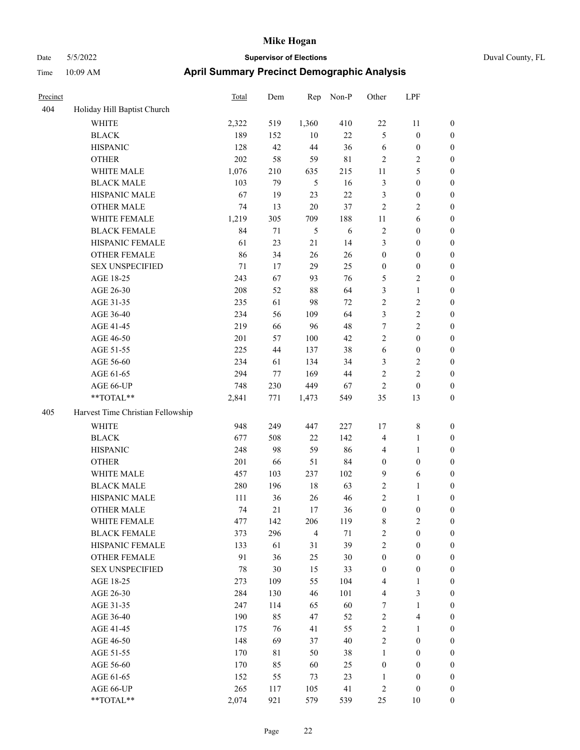|  | Duval County, F |  |
|--|-----------------|--|
|  |                 |  |

| Precinct |                                   | Total | Dem | Rep            | Non-P       | Other            | LPF                     |                  |
|----------|-----------------------------------|-------|-----|----------------|-------------|------------------|-------------------------|------------------|
| 404      | Holiday Hill Baptist Church       |       |     |                |             |                  |                         |                  |
|          | WHITE                             | 2,322 | 519 | 1,360          | 410         | $22\,$           | 11                      | $\boldsymbol{0}$ |
|          | <b>BLACK</b>                      | 189   | 152 | 10             | $22\,$      | 5                | $\boldsymbol{0}$        | $\boldsymbol{0}$ |
|          | <b>HISPANIC</b>                   | 128   | 42  | 44             | 36          | 6                | $\boldsymbol{0}$        | 0                |
|          | <b>OTHER</b>                      | 202   | 58  | 59             | $8\sqrt{1}$ | 2                | $\sqrt{2}$              | 0                |
|          | WHITE MALE                        | 1,076 | 210 | 635            | 215         | 11               | $\mathfrak{S}$          | $\boldsymbol{0}$ |
|          | <b>BLACK MALE</b>                 | 103   | 79  | $\mathfrak s$  | 16          | $\mathfrak{Z}$   | $\boldsymbol{0}$        | $\boldsymbol{0}$ |
|          | HISPANIC MALE                     | 67    | 19  | 23             | $22\,$      | 3                | $\boldsymbol{0}$        | $\boldsymbol{0}$ |
|          | <b>OTHER MALE</b>                 | 74    | 13  | $20\,$         | 37          | $\sqrt{2}$       | $\sqrt{2}$              | $\boldsymbol{0}$ |
|          | WHITE FEMALE                      | 1,219 | 305 | 709            | 188         | $11\,$           | $\sqrt{6}$              | $\boldsymbol{0}$ |
|          | <b>BLACK FEMALE</b>               | 84    | 71  | $\mathfrak s$  | $\sqrt{6}$  | $\sqrt{2}$       | $\boldsymbol{0}$        | $\boldsymbol{0}$ |
|          | HISPANIC FEMALE                   | 61    | 23  | 21             | 14          | 3                | $\boldsymbol{0}$        | $\boldsymbol{0}$ |
|          | OTHER FEMALE                      | 86    | 34  | 26             | 26          | $\boldsymbol{0}$ | $\boldsymbol{0}$        | $\boldsymbol{0}$ |
|          | <b>SEX UNSPECIFIED</b>            | 71    | 17  | 29             | 25          | $\boldsymbol{0}$ | $\boldsymbol{0}$        | 0                |
|          | AGE 18-25                         | 243   | 67  | 93             | 76          | 5                | $\overline{c}$          | 0                |
|          | AGE 26-30                         | 208   | 52  | 88             | 64          | 3                | $\mathbf{1}$            | $\boldsymbol{0}$ |
|          | AGE 31-35                         | 235   | 61  | 98             | 72          | 2                | $\sqrt{2}$              | $\boldsymbol{0}$ |
|          | AGE 36-40                         | 234   | 56  | 109            | 64          | 3                | $\sqrt{2}$              | $\boldsymbol{0}$ |
|          | AGE 41-45                         | 219   | 66  | 96             | 48          | 7                | $\sqrt{2}$              | $\boldsymbol{0}$ |
|          | AGE 46-50                         | 201   | 57  | 100            | 42          | $\overline{c}$   | $\boldsymbol{0}$        | $\boldsymbol{0}$ |
|          | AGE 51-55                         | 225   | 44  | 137            | 38          | 6                | $\boldsymbol{0}$        | $\boldsymbol{0}$ |
|          | AGE 56-60                         | 234   | 61  | 134            | 34          | 3                | $\sqrt{2}$              | $\boldsymbol{0}$ |
|          | AGE 61-65                         | 294   | 77  | 169            | 44          | $\sqrt{2}$       | $\sqrt{2}$              | $\boldsymbol{0}$ |
|          | AGE 66-UP                         | 748   | 230 | 449            | 67          | 2                | $\boldsymbol{0}$        | 0                |
|          | **TOTAL**                         | 2,841 | 771 | 1,473          | 549         | 35               | 13                      | $\boldsymbol{0}$ |
| 405      | Harvest Time Christian Fellowship |       |     |                |             |                  |                         |                  |
|          | <b>WHITE</b>                      | 948   | 249 | 447            | 227         | 17               | $\,8\,$                 | 0                |
|          | <b>BLACK</b>                      | 677   | 508 | 22             | 142         | $\overline{4}$   | $\mathbf{1}$            | $\boldsymbol{0}$ |
|          | <b>HISPANIC</b>                   | 248   | 98  | 59             | 86          | 4                | $\mathbf{1}$            | 0                |
|          | <b>OTHER</b>                      | 201   | 66  | 51             | 84          | $\boldsymbol{0}$ | $\boldsymbol{0}$        | $\boldsymbol{0}$ |
|          | WHITE MALE                        | 457   | 103 | 237            | 102         | 9                | 6                       | $\boldsymbol{0}$ |
|          | <b>BLACK MALE</b>                 | 280   | 196 | 18             | 63          | 2                | $\mathbf{1}$            | $\boldsymbol{0}$ |
|          | HISPANIC MALE                     | 111   | 36  | 26             | 46          | 2                | $\mathbf{1}$            | 0                |
|          | <b>OTHER MALE</b>                 | 74    | 21  | 17             | 36          | $\boldsymbol{0}$ | $\boldsymbol{0}$        | $\boldsymbol{0}$ |
|          | WHITE FEMALE                      | 477   | 142 | 206            | 119         | 8                | $\sqrt{2}$              | 0                |
|          | <b>BLACK FEMALE</b>               | 373   | 296 | $\overline{4}$ | $71\,$      | $\sqrt{2}$       | $\boldsymbol{0}$        | 0                |
|          | HISPANIC FEMALE                   | 133   | 61  | 31             | 39          | $\sqrt{2}$       | $\boldsymbol{0}$        | 0                |
|          | <b>OTHER FEMALE</b>               | 91    | 36  | 25             | 30          | $\boldsymbol{0}$ | $\boldsymbol{0}$        | 0                |
|          | <b>SEX UNSPECIFIED</b>            | 78    | 30  | 15             | 33          | $\boldsymbol{0}$ | $\boldsymbol{0}$        | $\overline{0}$   |
|          | AGE 18-25                         | 273   | 109 | 55             | 104         | 4                | $\mathbf{1}$            | 0                |
|          | AGE 26-30                         | 284   | 130 | 46             | 101         | $\overline{4}$   | $\mathfrak{Z}$          | 0                |
|          | AGE 31-35                         | 247   | 114 | 65             | 60          | 7                | $\mathbf{1}$            | 0                |
|          | AGE 36-40                         | 190   | 85  | 47             | 52          | $\sqrt{2}$       | $\overline{\mathbf{4}}$ | 0                |
|          | AGE 41-45                         | 175   | 76  | 41             | 55          | $\sqrt{2}$       | $\mathbf{1}$            | 0                |
|          | AGE 46-50                         | 148   | 69  | 37             | 40          | $\sqrt{2}$       | $\boldsymbol{0}$        | 0                |
|          | AGE 51-55                         | 170   | 81  | 50             | 38          | $\mathbf{1}$     | $\boldsymbol{0}$        | 0                |
|          | AGE 56-60                         | 170   | 85  | 60             | 25          | $\boldsymbol{0}$ | $\boldsymbol{0}$        | 0                |
|          | AGE 61-65                         | 152   | 55  | 73             | 23          | $\mathbf{1}$     | $\boldsymbol{0}$        | $\boldsymbol{0}$ |
|          | AGE 66-UP                         | 265   | 117 | 105            | 41          | 2                | $\boldsymbol{0}$        | $\boldsymbol{0}$ |
|          | $**TOTAL**$                       | 2,074 | 921 | 579            | 539         | 25               | $10\,$                  | $\boldsymbol{0}$ |
|          |                                   |       |     |                |             |                  |                         |                  |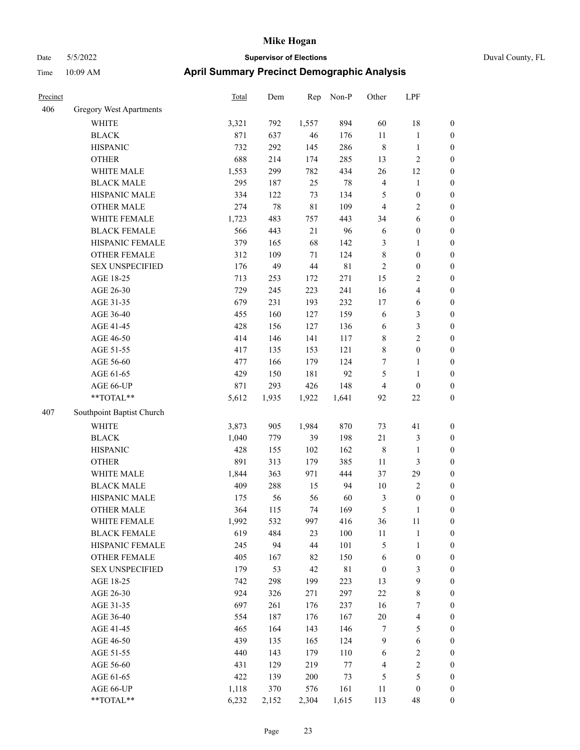| Duval County, FL |  |
|------------------|--|
|                  |  |

| Precinct |                           | <b>Total</b> | Dem    | Rep    | Non-P       | Other            | LPF                     |                  |
|----------|---------------------------|--------------|--------|--------|-------------|------------------|-------------------------|------------------|
| 406      | Gregory West Apartments   |              |        |        |             |                  |                         |                  |
|          | WHITE                     | 3,321        | 792    | 1,557  | 894         | 60               | 18                      | $\boldsymbol{0}$ |
|          | <b>BLACK</b>              | 871          | 637    | 46     | 176         | $11\,$           | $\mathbf{1}$            | $\boldsymbol{0}$ |
|          | <b>HISPANIC</b>           | 732          | 292    | 145    | 286         | $\,$ 8 $\,$      | $\mathbf{1}$            | $\boldsymbol{0}$ |
|          | <b>OTHER</b>              | 688          | 214    | 174    | 285         | 13               | $\overline{c}$          | $\boldsymbol{0}$ |
|          | WHITE MALE                | 1,553        | 299    | 782    | 434         | 26               | 12                      | $\boldsymbol{0}$ |
|          | <b>BLACK MALE</b>         | 295          | 187    | 25     | 78          | $\overline{4}$   | $\mathbf{1}$            | $\boldsymbol{0}$ |
|          | HISPANIC MALE             | 334          | 122    | 73     | 134         | $\mathfrak{S}$   | $\boldsymbol{0}$        | $\boldsymbol{0}$ |
|          | <b>OTHER MALE</b>         | 274          | $78\,$ | 81     | 109         | $\overline{4}$   | 2                       | $\boldsymbol{0}$ |
|          | WHITE FEMALE              | 1,723        | 483    | 757    | 443         | 34               | 6                       | $\boldsymbol{0}$ |
|          | <b>BLACK FEMALE</b>       | 566          | 443    | 21     | 96          | 6                | $\boldsymbol{0}$        | $\boldsymbol{0}$ |
|          | HISPANIC FEMALE           | 379          | 165    | 68     | 142         | $\mathfrak{Z}$   | 1                       | $\boldsymbol{0}$ |
|          | <b>OTHER FEMALE</b>       | 312          | 109    | 71     | 124         | $\,$ 8 $\,$      | $\boldsymbol{0}$        | $\boldsymbol{0}$ |
|          | <b>SEX UNSPECIFIED</b>    | 176          | 49     | 44     | $8\sqrt{1}$ | $\overline{2}$   | $\boldsymbol{0}$        | $\boldsymbol{0}$ |
|          | AGE 18-25                 | 713          | 253    | 172    | 271         | 15               | 2                       | $\boldsymbol{0}$ |
|          | AGE 26-30                 | 729          | 245    | 223    | 241         | 16               | 4                       | $\boldsymbol{0}$ |
|          | AGE 31-35                 | 679          | 231    | 193    | 232         | $17$             | 6                       | $\boldsymbol{0}$ |
|          | AGE 36-40                 | 455          | 160    | 127    | 159         | 6                | 3                       | $\boldsymbol{0}$ |
|          | AGE 41-45                 | 428          | 156    | 127    | 136         | 6                | 3                       | $\boldsymbol{0}$ |
|          | AGE 46-50                 | 414          | 146    | 141    | 117         | $\,$ 8 $\,$      | $\overline{c}$          | $\boldsymbol{0}$ |
|          | AGE 51-55                 | 417          | 135    | 153    | 121         | $\,$ 8 $\,$      | $\boldsymbol{0}$        | $\boldsymbol{0}$ |
|          | AGE 56-60                 | 477          | 166    | 179    | 124         | 7                | 1                       | $\boldsymbol{0}$ |
|          | AGE 61-65                 | 429          | 150    | 181    | 92          | 5                | $\mathbf{1}$            | $\boldsymbol{0}$ |
|          | AGE 66-UP                 | 871          | 293    | 426    | 148         | $\overline{4}$   | $\boldsymbol{0}$        | $\boldsymbol{0}$ |
|          | **TOTAL**                 | 5,612        | 1,935  | 1,922  | 1,641       | 92               | 22                      | $\boldsymbol{0}$ |
| 407      | Southpoint Baptist Church |              |        |        |             |                  |                         |                  |
|          | <b>WHITE</b>              | 3,873        | 905    | 1,984  | 870         | 73               | 41                      | $\boldsymbol{0}$ |
|          | <b>BLACK</b>              | 1,040        | 779    | 39     | 198         | 21               | 3                       | $\boldsymbol{0}$ |
|          | <b>HISPANIC</b>           | 428          | 155    | 102    | 162         | $\,$ 8 $\,$      | 1                       | $\boldsymbol{0}$ |
|          | <b>OTHER</b>              | 891          | 313    | 179    | 385         | 11               | 3                       | $\boldsymbol{0}$ |
|          | WHITE MALE                | 1,844        | 363    | 971    | 444         | 37               | 29                      | $\boldsymbol{0}$ |
|          | <b>BLACK MALE</b>         | 409          | 288    | 15     | 94          | 10               | $\sqrt{2}$              | $\boldsymbol{0}$ |
|          | HISPANIC MALE             | 175          | 56     | 56     | 60          | $\mathfrak{Z}$   | $\boldsymbol{0}$        | $\boldsymbol{0}$ |
|          | <b>OTHER MALE</b>         | 364          | 115    | 74     | 169         | 5                | 1                       | $\boldsymbol{0}$ |
|          | WHITE FEMALE              | 1,992        | 532    | 997    | 416         | 36               | 11                      | $\boldsymbol{0}$ |
|          | <b>BLACK FEMALE</b>       | 619          | 484    | 23     | 100         | $11\,$           | 1                       | $\boldsymbol{0}$ |
|          | HISPANIC FEMALE           | 245          | 94     | 44     | 101         | $\mathfrak{S}$   | 1                       | $\boldsymbol{0}$ |
|          | <b>OTHER FEMALE</b>       | 405          | 167    | 82     | 150         | 6                | $\boldsymbol{0}$        | $\boldsymbol{0}$ |
|          | <b>SEX UNSPECIFIED</b>    | 179          | 53     | $42\,$ | 81          | $\boldsymbol{0}$ | 3                       | $\boldsymbol{0}$ |
|          | AGE 18-25                 | 742          | 298    | 199    | 223         | 13               | 9                       | $\boldsymbol{0}$ |
|          | AGE 26-30                 | 924          | 326    | 271    | 297         | $22\,$           | 8                       | $\boldsymbol{0}$ |
|          | AGE 31-35                 | 697          | 261    | 176    | 237         | 16               | 7                       | $\boldsymbol{0}$ |
|          | AGE 36-40                 | 554          | 187    | 176    | 167         | 20               | $\overline{\mathbf{4}}$ | $\boldsymbol{0}$ |
|          | AGE 41-45                 | 465          | 164    | 143    | 146         | $\tau$           | 5                       | $\boldsymbol{0}$ |
|          | AGE 46-50                 | 439          | 135    | 165    | 124         | $\overline{9}$   | 6                       | $\boldsymbol{0}$ |
|          | AGE 51-55                 | 440          | 143    | 179    | 110         | 6                | $\mathbf{2}$            | $\boldsymbol{0}$ |
|          | AGE 56-60                 | 431          | 129    | 219    | $77\,$      | $\overline{4}$   | $\overline{c}$          | $\boldsymbol{0}$ |
|          | AGE 61-65                 | 422          | 139    | 200    | 73          | $\mathfrak{S}$   | 5                       | $\boldsymbol{0}$ |
|          | AGE 66-UP                 | 1,118        | 370    | 576    | 161         | 11               | $\boldsymbol{0}$        | $\boldsymbol{0}$ |
|          | **TOTAL**                 | 6,232        | 2,152  | 2,304  | 1,615       | 113              | 48                      | $\boldsymbol{0}$ |
|          |                           |              |        |        |             |                  |                         |                  |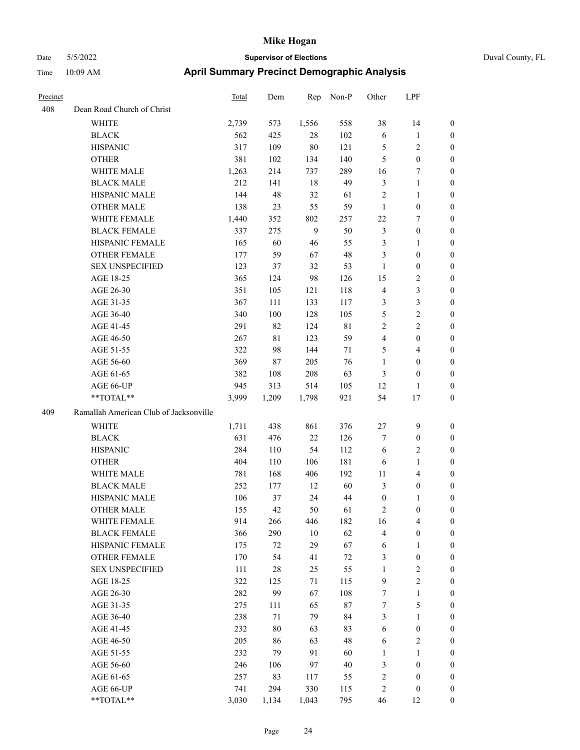| Precinct |                                        | Total | Dem    | Rep    | Non-P       | Other            | LPF                     |                  |
|----------|----------------------------------------|-------|--------|--------|-------------|------------------|-------------------------|------------------|
| 408      | Dean Road Church of Christ             |       |        |        |             |                  |                         |                  |
|          | <b>WHITE</b>                           | 2,739 | 573    | 1,556  | 558         | 38               | 14                      | $\boldsymbol{0}$ |
|          | <b>BLACK</b>                           | 562   | 425    | 28     | 102         | 6                | 1                       | $\mathbf{0}$     |
|          | <b>HISPANIC</b>                        | 317   | 109    | 80     | 121         | 5                | 2                       | $\boldsymbol{0}$ |
|          | <b>OTHER</b>                           | 381   | 102    | 134    | 140         | 5                | $\boldsymbol{0}$        | $\boldsymbol{0}$ |
|          | WHITE MALE                             | 1,263 | 214    | 737    | 289         | 16               | 7                       | $\boldsymbol{0}$ |
|          | <b>BLACK MALE</b>                      | 212   | 141    | 18     | 49          | $\mathfrak{Z}$   | $\mathbf{1}$            | $\boldsymbol{0}$ |
|          | HISPANIC MALE                          | 144   | 48     | 32     | 61          | $\sqrt{2}$       | 1                       | $\boldsymbol{0}$ |
|          | <b>OTHER MALE</b>                      | 138   | 23     | 55     | 59          | $\mathbf{1}$     | $\boldsymbol{0}$        | $\boldsymbol{0}$ |
|          | WHITE FEMALE                           | 1,440 | 352    | 802    | 257         | $22\,$           | 7                       | $\boldsymbol{0}$ |
|          | <b>BLACK FEMALE</b>                    | 337   | 275    | 9      | 50          | $\mathfrak{Z}$   | $\boldsymbol{0}$        | $\boldsymbol{0}$ |
|          | HISPANIC FEMALE                        | 165   | 60     | 46     | 55          | $\mathfrak{Z}$   | 1                       | $\boldsymbol{0}$ |
|          | <b>OTHER FEMALE</b>                    | 177   | 59     | 67     | 48          | 3                | $\boldsymbol{0}$        | $\boldsymbol{0}$ |
|          | <b>SEX UNSPECIFIED</b>                 | 123   | 37     | 32     | 53          | $\mathbf{1}$     | $\boldsymbol{0}$        | $\boldsymbol{0}$ |
|          | AGE 18-25                              | 365   | 124    | 98     | 126         | 15               | 2                       | $\boldsymbol{0}$ |
|          | AGE 26-30                              | 351   | 105    | 121    | 118         | $\overline{4}$   | 3                       | $\boldsymbol{0}$ |
|          | AGE 31-35                              | 367   | 111    | 133    | 117         | 3                | 3                       | $\boldsymbol{0}$ |
|          | AGE 36-40                              | 340   | 100    | 128    | 105         | $\mathfrak{H}$   | $\mathbf{2}$            | $\boldsymbol{0}$ |
|          | AGE 41-45                              | 291   | 82     | 124    | $8\sqrt{1}$ | $\sqrt{2}$       | 2                       | $\boldsymbol{0}$ |
|          | AGE 46-50                              | 267   | 81     | 123    | 59          | $\overline{4}$   | $\boldsymbol{0}$        | $\boldsymbol{0}$ |
|          | AGE 51-55                              | 322   | 98     | 144    | 71          | 5                | 4                       | $\boldsymbol{0}$ |
|          | AGE 56-60                              | 369   | 87     | 205    | 76          | $\mathbf{1}$     | $\boldsymbol{0}$        | $\boldsymbol{0}$ |
|          | AGE 61-65                              | 382   | 108    | 208    | 63          | 3                | 0                       | $\mathbf{0}$     |
|          | AGE 66-UP                              | 945   | 313    | 514    | 105         | 12               | 1                       | $\boldsymbol{0}$ |
|          | **TOTAL**                              | 3,999 | 1,209  | 1,798  | 921         | 54               | $17$                    | $\boldsymbol{0}$ |
| 409      | Ramallah American Club of Jacksonville |       |        |        |             |                  |                         |                  |
|          | <b>WHITE</b>                           | 1,711 | 438    | 861    | 376         | 27               | 9                       | $\mathbf{0}$     |
|          | <b>BLACK</b>                           | 631   | 476    | 22     | 126         | $\tau$           | $\boldsymbol{0}$        | $\mathbf{0}$     |
|          | <b>HISPANIC</b>                        | 284   | 110    | 54     | 112         | 6                | 2                       | $\boldsymbol{0}$ |
|          | <b>OTHER</b>                           | 404   | 110    | 106    | 181         | 6                | $\mathbf{1}$            | $\boldsymbol{0}$ |
|          | WHITE MALE                             | 781   | 168    | 406    | 192         | 11               | 4                       | $\boldsymbol{0}$ |
|          | <b>BLACK MALE</b>                      | 252   | 177    | 12     | 60          | 3                | $\boldsymbol{0}$        | $\boldsymbol{0}$ |
|          | HISPANIC MALE                          | 106   | 37     | 24     | 44          | $\boldsymbol{0}$ | 1                       | $\boldsymbol{0}$ |
|          | <b>OTHER MALE</b>                      | 155   | 42     | 50     | 61          | $\sqrt{2}$       | $\boldsymbol{0}$        | $\boldsymbol{0}$ |
|          | WHITE FEMALE                           | 914   | 266    | 446    | 182         | 16               | $\overline{4}$          | $\boldsymbol{0}$ |
|          | <b>BLACK FEMALE</b>                    | 366   | 290    | $10\,$ | 62          | $\overline{4}$   | $\boldsymbol{0}$        | $\boldsymbol{0}$ |
|          | HISPANIC FEMALE                        | 175   | $72\,$ | 29     | 67          | 6                | $\mathbf{1}$            | $\boldsymbol{0}$ |
|          | <b>OTHER FEMALE</b>                    | 170   | 54     | 41     | $72\,$      | $\mathfrak{Z}$   | $\boldsymbol{0}$        | $\boldsymbol{0}$ |
|          | <b>SEX UNSPECIFIED</b>                 | 111   | $28\,$ | 25     | 55          | $\mathbf{1}$     | $\sqrt{2}$              | $\boldsymbol{0}$ |
|          | AGE 18-25                              | 322   | 125    | 71     | 115         | $\overline{9}$   | $\overline{c}$          | $\boldsymbol{0}$ |
|          | AGE 26-30                              | 282   | 99     | 67     | 108         | $\boldsymbol{7}$ | $\mathbf{1}$            | $\boldsymbol{0}$ |
|          | AGE 31-35                              | 275   | 111    | 65     | $87\,$      | $\boldsymbol{7}$ | 5                       | $\boldsymbol{0}$ |
|          | AGE 36-40                              | 238   | $71\,$ | 79     | 84          | $\mathfrak{Z}$   | $\mathbf{1}$            | $\boldsymbol{0}$ |
|          | AGE 41-45                              | 232   | $80\,$ | 63     | 83          | 6                | $\boldsymbol{0}$        | $\boldsymbol{0}$ |
|          | AGE 46-50                              | 205   | 86     | 63     | 48          | 6                | $\overline{\mathbf{c}}$ | $\boldsymbol{0}$ |
|          | AGE 51-55                              | 232   | 79     | 91     | 60          | $\mathbf{1}$     | 1                       | $\boldsymbol{0}$ |
|          | AGE 56-60                              | 246   | 106    | 97     | $40\,$      | 3                | $\boldsymbol{0}$        | $\boldsymbol{0}$ |
|          | AGE 61-65                              | 257   | 83     | 117    | 55          | $\sqrt{2}$       | $\boldsymbol{0}$        | $\boldsymbol{0}$ |
|          | AGE 66-UP                              | 741   | 294    | 330    | 115         | $\sqrt{2}$       | $\boldsymbol{0}$        | $\boldsymbol{0}$ |
|          | **TOTAL**                              | 3,030 | 1,134  | 1,043  | 795         | 46               | 12                      | $\boldsymbol{0}$ |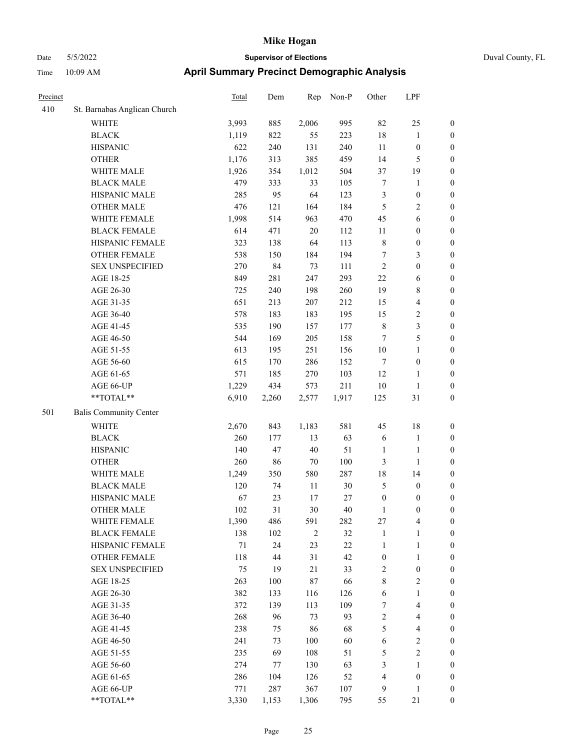|  | Duval County, |
|--|---------------|

| Precinct |                                                             | Total  | Dem   | Rep        | Non-P  | Other            | LPF                     |                  |
|----------|-------------------------------------------------------------|--------|-------|------------|--------|------------------|-------------------------|------------------|
| 410      | St. Barnabas Anglican Church                                |        |       |            |        |                  |                         |                  |
|          | <b>WHITE</b>                                                | 3,993  | 885   | 2,006      | 995    | 82               | $25\,$                  | $\boldsymbol{0}$ |
|          | <b>BLACK</b>                                                | 1,119  | 822   | 55         | 223    | 18               | $\mathbf{1}$            | $\boldsymbol{0}$ |
|          | <b>HISPANIC</b>                                             | 622    | 240   | 131        | 240    | 11               | $\boldsymbol{0}$        | $\boldsymbol{0}$ |
|          | <b>OTHER</b>                                                | 1,176  | 313   | 385        | 459    | 14               | 5                       | $\boldsymbol{0}$ |
|          | WHITE MALE                                                  | 1,926  | 354   | 1,012      | 504    | 37               | 19                      | $\boldsymbol{0}$ |
|          | <b>BLACK MALE</b>                                           | 479    | 333   | 33         | 105    | 7                | $\mathbf{1}$            | $\boldsymbol{0}$ |
|          | HISPANIC MALE                                               | 285    | 95    | 64         | 123    | 3                | $\boldsymbol{0}$        | 0                |
|          | <b>OTHER MALE</b>                                           | 476    | 121   | 164        | 184    | 5                | $\sqrt{2}$              | $\boldsymbol{0}$ |
|          | WHITE FEMALE                                                | 1,998  | 514   | 963        | 470    | 45               | $\sqrt{6}$              | $\boldsymbol{0}$ |
|          | <b>BLACK FEMALE</b>                                         | 614    | 471   | $20\,$     | 112    | 11               | $\boldsymbol{0}$        | $\boldsymbol{0}$ |
|          | HISPANIC FEMALE                                             | 323    | 138   | 64         | 113    | $\,$ $\,$        | $\boldsymbol{0}$        | $\boldsymbol{0}$ |
|          | OTHER FEMALE                                                | 538    | 150   | 184        | 194    | 7                | $\mathfrak{Z}$          | $\boldsymbol{0}$ |
|          | <b>SEX UNSPECIFIED</b>                                      | 270    | 84    | 73         | 111    | $\sqrt{2}$       | $\boldsymbol{0}$        | $\boldsymbol{0}$ |
|          | AGE 18-25                                                   | 849    | 281   | 247        | 293    | $22\,$           | 6                       | $\boldsymbol{0}$ |
|          | AGE 26-30                                                   | 725    | 240   | 198        | 260    | 19               | $\,$ 8 $\,$             | $\boldsymbol{0}$ |
|          | AGE 31-35                                                   | 651    | 213   | 207        | 212    | 15               | $\overline{\mathbf{4}}$ | $\boldsymbol{0}$ |
|          | AGE 36-40                                                   | 578    | 183   | 183        | 195    | 15               | $\sqrt{2}$              | 0                |
|          | AGE 41-45                                                   | 535    | 190   | 157        | 177    | $\,$ 8 $\,$      | $\mathfrak{Z}$          | $\boldsymbol{0}$ |
|          | AGE 46-50                                                   | 544    | 169   | 205        | 158    | 7                | $\mathfrak{S}$          | $\boldsymbol{0}$ |
|          | AGE 51-55                                                   | 613    | 195   | 251        | 156    | $10\,$           | $\mathbf{1}$            | $\boldsymbol{0}$ |
|          | AGE 56-60                                                   | 615    | 170   | 286        | 152    | 7                | $\boldsymbol{0}$        | $\boldsymbol{0}$ |
|          | AGE 61-65                                                   | 571    | 185   | 270        | 103    | 12               | $\mathbf{1}$            | $\boldsymbol{0}$ |
|          | AGE 66-UP                                                   | 1,229  | 434   | 573        | 211    | 10               | $\mathbf{1}$            | $\boldsymbol{0}$ |
|          | $\mathrm{*}\mathrm{*} \mathrm{TOTAL} \mathrm{*} \mathrm{*}$ | 6,910  | 2,260 | 2,577      | 1,917  | 125              | 31                      | $\boldsymbol{0}$ |
| 501      | <b>Balis Community Center</b>                               |        |       |            |        |                  |                         |                  |
|          | WHITE                                                       | 2,670  | 843   | 1,183      | 581    | 45               | 18                      | $\boldsymbol{0}$ |
|          | <b>BLACK</b>                                                | 260    | 177   | 13         | 63     | 6                | $\mathbf{1}$            | $\boldsymbol{0}$ |
|          | <b>HISPANIC</b>                                             | 140    | 47    | $40\,$     | 51     | 1                | $\mathbf{1}$            | $\boldsymbol{0}$ |
|          | <b>OTHER</b>                                                | 260    | 86    | $70\,$     | 100    | 3                | $\mathbf{1}$            | 0                |
|          | WHITE MALE                                                  | 1,249  | 350   | 580        | 287    | 18               | 14                      | 0                |
|          | <b>BLACK MALE</b>                                           | 120    | 74    | 11         | 30     | 5                | $\boldsymbol{0}$        | 0                |
|          | HISPANIC MALE                                               | 67     | 23    | 17         | $27\,$ | $\boldsymbol{0}$ | $\boldsymbol{0}$        | $\boldsymbol{0}$ |
|          | <b>OTHER MALE</b>                                           | 102    | 31    | $30\,$     | 40     | $\mathbf{1}$     | $\boldsymbol{0}$        | $\boldsymbol{0}$ |
|          | WHITE FEMALE                                                | 1,390  | 486   | 591        | 282    | 27               | $\overline{4}$          | $\boldsymbol{0}$ |
|          | <b>BLACK FEMALE</b>                                         | 138    | 102   | $\sqrt{2}$ | 32     | $\mathbf{1}$     | $\mathbf{1}$            | $\overline{0}$   |
|          | HISPANIC FEMALE                                             | $71\,$ | 24    | 23         | $22\,$ | $\mathbf{1}$     | $\mathbf{1}$            | $\overline{0}$   |
|          | <b>OTHER FEMALE</b>                                         | 118    | 44    | 31         | 42     | $\boldsymbol{0}$ | $\mathbf{1}$            | 0                |
|          | <b>SEX UNSPECIFIED</b>                                      | 75     | 19    | 21         | 33     | $\sqrt{2}$       | $\boldsymbol{0}$        | 0                |
|          | AGE 18-25                                                   | 263    | 100   | $87\,$     | 66     | 8                | $\sqrt{2}$              | 0                |
|          | AGE 26-30                                                   | 382    | 133   | 116        | 126    | $\sqrt{6}$       | $\mathbf{1}$            | 0                |
|          | AGE 31-35                                                   | 372    | 139   | 113        | 109    | 7                | $\overline{\mathbf{4}}$ | 0                |
|          | AGE 36-40                                                   | 268    | 96    | 73         | 93     | $\overline{c}$   | $\overline{\mathbf{4}}$ | $\boldsymbol{0}$ |
|          | AGE 41-45                                                   | 238    | 75    | 86         | 68     | 5                | $\overline{\mathbf{4}}$ | $\boldsymbol{0}$ |
|          | AGE 46-50                                                   | 241    | 73    | 100        | 60     | 6                | $\mathfrak{2}$          | $\boldsymbol{0}$ |
|          | AGE 51-55                                                   | 235    | 69    | 108        | 51     | 5                | $\sqrt{2}$              | $\overline{0}$   |
|          | AGE 56-60                                                   | 274    | 77    | 130        | 63     | 3                | $\mathbf{1}$            | $\overline{0}$   |
|          | AGE 61-65                                                   | 286    | 104   | 126        | 52     | $\overline{4}$   | $\boldsymbol{0}$        | $\overline{0}$   |
|          | AGE 66-UP                                                   | 771    | 287   | 367        | 107    | 9                | $\mathbf{1}$            | $\boldsymbol{0}$ |
|          | **TOTAL**                                                   | 3,330  | 1,153 | 1,306      | 795    | 55               | $21\,$                  | $\boldsymbol{0}$ |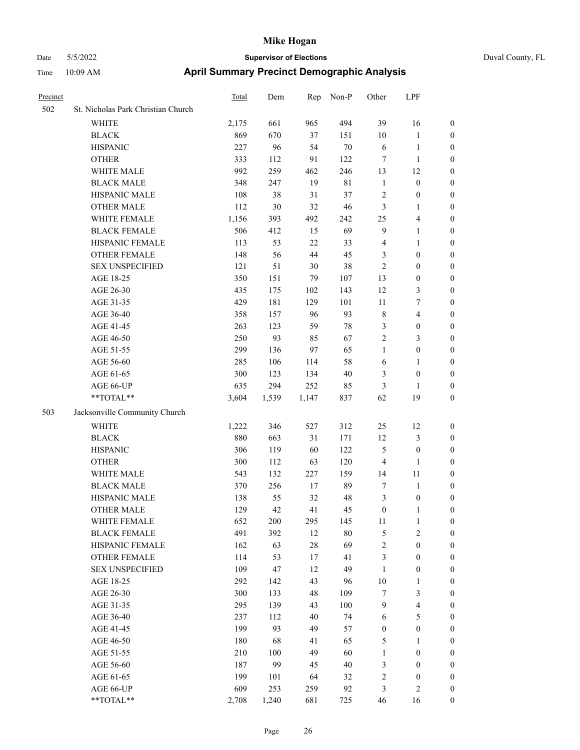|  | Duval County, FL |  |
|--|------------------|--|
|--|------------------|--|

| Precinct |                                    | <b>Total</b> | Dem   | Rep    | Non-P       | Other            | LPF                     |                  |
|----------|------------------------------------|--------------|-------|--------|-------------|------------------|-------------------------|------------------|
| 502      | St. Nicholas Park Christian Church |              |       |        |             |                  |                         |                  |
|          | WHITE                              | 2,175        | 661   | 965    | 494         | 39               | 16                      | $\boldsymbol{0}$ |
|          | <b>BLACK</b>                       | 869          | 670   | 37     | 151         | 10               | $\mathbf{1}$            | 0                |
|          | <b>HISPANIC</b>                    | 227          | 96    | 54     | $70\,$      | 6                | $\mathbf{1}$            | 0                |
|          | <b>OTHER</b>                       | 333          | 112   | 91     | 122         | 7                | $\mathbf{1}$            | 0                |
|          | WHITE MALE                         | 992          | 259   | 462    | 246         | 13               | 12                      | $\boldsymbol{0}$ |
|          | <b>BLACK MALE</b>                  | 348          | 247   | 19     | $8\sqrt{1}$ | $\mathbf{1}$     | $\boldsymbol{0}$        | $\boldsymbol{0}$ |
|          | HISPANIC MALE                      | 108          | 38    | 31     | 37          | $\overline{c}$   | $\boldsymbol{0}$        | $\boldsymbol{0}$ |
|          | <b>OTHER MALE</b>                  | 112          | 30    | 32     | 46          | 3                | $\mathbf{1}$            | $\boldsymbol{0}$ |
|          | WHITE FEMALE                       | 1,156        | 393   | 492    | 242         | 25               | $\overline{\mathbf{4}}$ | $\boldsymbol{0}$ |
|          | <b>BLACK FEMALE</b>                | 506          | 412   | 15     | 69          | $\overline{9}$   | $\mathbf{1}$            | $\boldsymbol{0}$ |
|          | HISPANIC FEMALE                    | 113          | 53    | 22     | 33          | 4                | $\mathbf{1}$            | $\boldsymbol{0}$ |
|          | OTHER FEMALE                       | 148          | 56    | 44     | 45          | 3                | $\boldsymbol{0}$        | 0                |
|          | <b>SEX UNSPECIFIED</b>             | 121          | 51    | 30     | 38          | $\overline{c}$   | $\boldsymbol{0}$        | 0                |
|          | AGE 18-25                          | 350          | 151   | 79     | 107         | 13               | $\boldsymbol{0}$        | 0                |
|          | AGE 26-30                          | 435          | 175   | 102    | 143         | 12               | 3                       | $\boldsymbol{0}$ |
|          | AGE 31-35                          | 429          | 181   | 129    | 101         | $11\,$           | 7                       | $\boldsymbol{0}$ |
|          | AGE 36-40                          | 358          | 157   | 96     | 93          | 8                | $\overline{\mathbf{4}}$ | $\boldsymbol{0}$ |
|          | AGE 41-45                          | 263          | 123   | 59     | $78\,$      | 3                | $\boldsymbol{0}$        | $\boldsymbol{0}$ |
|          | AGE 46-50                          | 250          | 93    | 85     | 67          | $\overline{c}$   | $\mathfrak{Z}$          | $\boldsymbol{0}$ |
|          | AGE 51-55                          | 299          | 136   | 97     | 65          | $\mathbf{1}$     | $\boldsymbol{0}$        | 0                |
|          | AGE 56-60                          | 285          | 106   | 114    | 58          | 6                | 1                       | 0                |
|          | AGE 61-65                          | 300          | 123   | 134    | 40          | 3                | $\boldsymbol{0}$        | 0                |
|          | AGE 66-UP                          | 635          | 294   | 252    | 85          | 3                | $\mathbf{1}$            | 0                |
|          | **TOTAL**                          | 3,604        | 1,539 | 1,147  | 837         | 62               | 19                      | $\boldsymbol{0}$ |
| 503      | Jacksonville Community Church      |              |       |        |             |                  |                         |                  |
|          | <b>WHITE</b>                       | 1,222        | 346   | 527    | 312         | 25               | 12                      | 0                |
|          | <b>BLACK</b>                       | 880          | 663   | 31     | 171         | 12               | $\mathfrak{Z}$          | 0                |
|          | <b>HISPANIC</b>                    | 306          | 119   | 60     | 122         | 5                | $\boldsymbol{0}$        | $\boldsymbol{0}$ |
|          | <b>OTHER</b>                       | 300          | 112   | 63     | 120         | 4                | $\mathbf{1}$            | $\boldsymbol{0}$ |
|          | WHITE MALE                         | 543          | 132   | 227    | 159         | 14               | 11                      | 0                |
|          | <b>BLACK MALE</b>                  | 370          | 256   | 17     | 89          | 7                | $\mathbf{1}$            | $\boldsymbol{0}$ |
|          | HISPANIC MALE                      | 138          | 55    | 32     | 48          | 3                | $\boldsymbol{0}$        | 0                |
|          | <b>OTHER MALE</b>                  | 129          | 42    | 41     | 45          | $\boldsymbol{0}$ | $\mathbf{1}$            | $\boldsymbol{0}$ |
|          | WHITE FEMALE                       | 652          | 200   | 295    | 145         | 11               | $\mathbf{1}$            | 0                |
|          | <b>BLACK FEMALE</b>                | 491          | 392   | 12     | $80\,$      | 5                | $\sqrt{2}$              | 0                |
|          | HISPANIC FEMALE                    | 162          | 63    | $28\,$ | 69          | $\overline{c}$   | $\boldsymbol{0}$        | 0                |
|          | <b>OTHER FEMALE</b>                | 114          | 53    | 17     | 41          | 3                | $\boldsymbol{0}$        | 0                |
|          | <b>SEX UNSPECIFIED</b>             | 109          | 47    | 12     | 49          | $\mathbf{1}$     | $\boldsymbol{0}$        | 0                |
|          | AGE 18-25                          | 292          | 142   | 43     | 96          | 10               | $\mathbf{1}$            | 0                |
|          | AGE 26-30                          | 300          | 133   | 48     | 109         | 7                | $\mathfrak{Z}$          | 0                |
|          | AGE 31-35                          | 295          | 139   | 43     | 100         | 9                | $\overline{\mathbf{4}}$ | 0                |
|          | AGE 36-40                          | 237          | 112   | 40     | 74          | 6                | $\mathfrak{S}$          | 0                |
|          | AGE 41-45                          | 199          | 93    | 49     | 57          | $\boldsymbol{0}$ | $\boldsymbol{0}$        | 0                |
|          | AGE 46-50                          | 180          | 68    | 41     | 65          | 5                | $\mathbf{1}$            | 0                |
|          | AGE 51-55                          | 210          | 100   | 49     | 60          | $\mathbf{1}$     | $\boldsymbol{0}$        | 0                |
|          | AGE 56-60                          | 187          | 99    | 45     | 40          | 3                | $\boldsymbol{0}$        | 0                |
|          | AGE 61-65                          | 199          | 101   | 64     | 32          | $\sqrt{2}$       | $\boldsymbol{0}$        | 0                |
|          | AGE 66-UP                          | 609          | 253   | 259    | 92          | 3                | $\sqrt{2}$              | $\boldsymbol{0}$ |
|          | $**TOTAL**$                        | 2,708        | 1,240 | 681    | 725         | 46               | 16                      | $\boldsymbol{0}$ |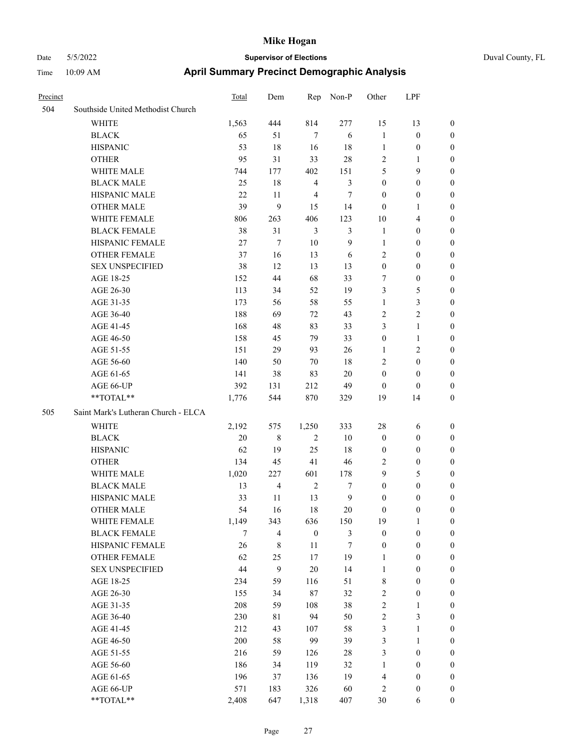| Precinct |                                     | Total  | Dem            | Rep              | Non-P            | Other            | LPF              |                  |
|----------|-------------------------------------|--------|----------------|------------------|------------------|------------------|------------------|------------------|
| 504      | Southside United Methodist Church   |        |                |                  |                  |                  |                  |                  |
|          | WHITE                               | 1,563  | 444            | 814              | 277              | 15               | 13               | $\boldsymbol{0}$ |
|          | <b>BLACK</b>                        | 65     | 51             | $7\phantom{.0}$  | 6                | $\mathbf{1}$     | $\boldsymbol{0}$ | $\boldsymbol{0}$ |
|          | <b>HISPANIC</b>                     | 53     | 18             | 16               | 18               | $\mathbf{1}$     | $\boldsymbol{0}$ | $\mathbf{0}$     |
|          | <b>OTHER</b>                        | 95     | 31             | 33               | 28               | $\sqrt{2}$       | 1                | $\boldsymbol{0}$ |
|          | WHITE MALE                          | 744    | 177            | 402              | 151              | 5                | 9                | $\boldsymbol{0}$ |
|          | <b>BLACK MALE</b>                   | 25     | 18             | $\overline{4}$   | 3                | $\boldsymbol{0}$ | $\boldsymbol{0}$ | $\boldsymbol{0}$ |
|          | HISPANIC MALE                       | 22     | 11             | $\overline{4}$   | $\tau$           | $\boldsymbol{0}$ | $\boldsymbol{0}$ | $\boldsymbol{0}$ |
|          | <b>OTHER MALE</b>                   | 39     | 9              | 15               | 14               | $\mathbf{0}$     | 1                | $\boldsymbol{0}$ |
|          | WHITE FEMALE                        | 806    | 263            | 406              | 123              | 10               | 4                | $\boldsymbol{0}$ |
|          | <b>BLACK FEMALE</b>                 | 38     | 31             | $\mathfrak{Z}$   | 3                | $\mathbf{1}$     | $\boldsymbol{0}$ | $\boldsymbol{0}$ |
|          | HISPANIC FEMALE                     | $27\,$ | 7              | 10               | 9                | $\mathbf{1}$     | $\boldsymbol{0}$ | $\boldsymbol{0}$ |
|          | <b>OTHER FEMALE</b>                 | 37     | 16             | 13               | 6                | $\overline{2}$   | $\boldsymbol{0}$ | $\boldsymbol{0}$ |
|          | <b>SEX UNSPECIFIED</b>              | 38     | 12             | 13               | 13               | $\boldsymbol{0}$ | $\boldsymbol{0}$ | $\boldsymbol{0}$ |
|          | AGE 18-25                           | 152    | 44             | 68               | 33               | $\tau$           | $\boldsymbol{0}$ | $\boldsymbol{0}$ |
|          | AGE 26-30                           | 113    | 34             | 52               | 19               | 3                | 5                | $\boldsymbol{0}$ |
|          | AGE 31-35                           | 173    | 56             | 58               | 55               | $\mathbf{1}$     | 3                | $\boldsymbol{0}$ |
|          | AGE 36-40                           | 188    | 69             | 72               | 43               | $\overline{2}$   | 2                | $\boldsymbol{0}$ |
|          | AGE 41-45                           | 168    | 48             | 83               | 33               | 3                | $\mathbf{1}$     | $\boldsymbol{0}$ |
|          | AGE 46-50                           | 158    | 45             | 79               | 33               | $\boldsymbol{0}$ | 1                | $\boldsymbol{0}$ |
|          | AGE 51-55                           | 151    | 29             | 93               | 26               | $\mathbf{1}$     | 2                | $\boldsymbol{0}$ |
|          | AGE 56-60                           | 140    | 50             | 70               | $18\,$           | $\sqrt{2}$       | $\boldsymbol{0}$ | $\boldsymbol{0}$ |
|          | AGE 61-65                           | 141    | 38             | 83               | 20               | $\boldsymbol{0}$ | $\boldsymbol{0}$ | $\boldsymbol{0}$ |
|          | AGE 66-UP                           | 392    | 131            | 212              | 49               | $\mathbf{0}$     | $\overline{0}$   | $\mathbf{0}$     |
|          | **TOTAL**                           | 1,776  | 544            | 870              | 329              | 19               | 14               | $\boldsymbol{0}$ |
| 505      | Saint Mark's Lutheran Church - ELCA |        |                |                  |                  |                  |                  |                  |
|          | WHITE                               | 2,192  | 575            | 1,250            | 333              | 28               | 6                | $\boldsymbol{0}$ |
|          | <b>BLACK</b>                        | 20     | $\,8\,$        | $\overline{2}$   | $10\,$           | $\boldsymbol{0}$ | $\boldsymbol{0}$ | $\mathbf{0}$     |
|          | <b>HISPANIC</b>                     | 62     | 19             | 25               | 18               | $\boldsymbol{0}$ | $\boldsymbol{0}$ | $\mathbf{0}$     |
|          | <b>OTHER</b>                        | 134    | 45             | 41               | 46               | $\overline{2}$   | $\boldsymbol{0}$ | $\boldsymbol{0}$ |
|          | WHITE MALE                          | 1,020  | 227            | 601              | 178              | 9                | 5                | $\boldsymbol{0}$ |
|          | <b>BLACK MALE</b>                   | 13     | $\overline{4}$ | $\overline{2}$   | 7                | $\mathbf{0}$     | $\boldsymbol{0}$ | $\boldsymbol{0}$ |
|          | HISPANIC MALE                       | 33     | 11             | 13               | 9                | $\boldsymbol{0}$ | $\boldsymbol{0}$ | $\boldsymbol{0}$ |
|          | <b>OTHER MALE</b>                   | 54     | 16             | 18               | 20               | $\boldsymbol{0}$ | $\boldsymbol{0}$ | $\boldsymbol{0}$ |
|          | WHITE FEMALE                        | 1,149  | 343            | 636              | 150              | 19               | $\mathbf{1}$     | $\boldsymbol{0}$ |
|          | <b>BLACK FEMALE</b>                 | $\tau$ | $\overline{4}$ | $\boldsymbol{0}$ | $\mathfrak{Z}$   | $\boldsymbol{0}$ | $\boldsymbol{0}$ | $\boldsymbol{0}$ |
|          | HISPANIC FEMALE                     | 26     | $\,$ 8 $\,$    | $11\,$           | $\boldsymbol{7}$ | $\boldsymbol{0}$ | $\boldsymbol{0}$ | $\boldsymbol{0}$ |
|          | <b>OTHER FEMALE</b>                 | 62     | 25             | 17               | 19               | $\mathbf{1}$     | $\boldsymbol{0}$ | $\boldsymbol{0}$ |
|          | <b>SEX UNSPECIFIED</b>              | 44     | 9              | $20\,$           | 14               | $\mathbf{1}$     | $\boldsymbol{0}$ | $\boldsymbol{0}$ |
|          | AGE 18-25                           | 234    | 59             | 116              | 51               | $\,$ 8 $\,$      | $\boldsymbol{0}$ | $\boldsymbol{0}$ |
|          | AGE 26-30                           | 155    | 34             | $87\,$           | 32               | $\sqrt{2}$       | $\boldsymbol{0}$ | $\boldsymbol{0}$ |
|          | AGE 31-35                           | 208    | 59             | 108              | 38               | $\sqrt{2}$       | $\mathbf{1}$     | $\boldsymbol{0}$ |
|          | AGE 36-40                           | 230    | 81             | 94               | 50               | $\sqrt{2}$       | 3                | $\boldsymbol{0}$ |
|          | AGE 41-45                           | 212    | 43             | 107              | 58               | 3                | $\mathbf{1}$     | $\boldsymbol{0}$ |
|          | AGE 46-50                           | 200    | 58             | 99               | 39               | 3                | $\mathbf{1}$     | $\boldsymbol{0}$ |
|          | AGE 51-55                           | 216    | 59             | 126              | 28               | 3                | $\boldsymbol{0}$ | $\boldsymbol{0}$ |
|          | AGE 56-60                           | 186    | 34             | 119              | 32               | $\mathbf{1}$     | $\boldsymbol{0}$ | $\boldsymbol{0}$ |
|          | AGE 61-65                           | 196    | 37             | 136              | 19               | $\overline{4}$   | $\boldsymbol{0}$ | $\mathbf{0}$     |
|          | AGE 66-UP                           | 571    | 183            | 326              | 60               | $\sqrt{2}$       | $\boldsymbol{0}$ | $\mathbf{0}$     |
|          | $**TOTAL**$                         | 2,408  | 647            | 1,318            | 407              | 30               | 6                | $\boldsymbol{0}$ |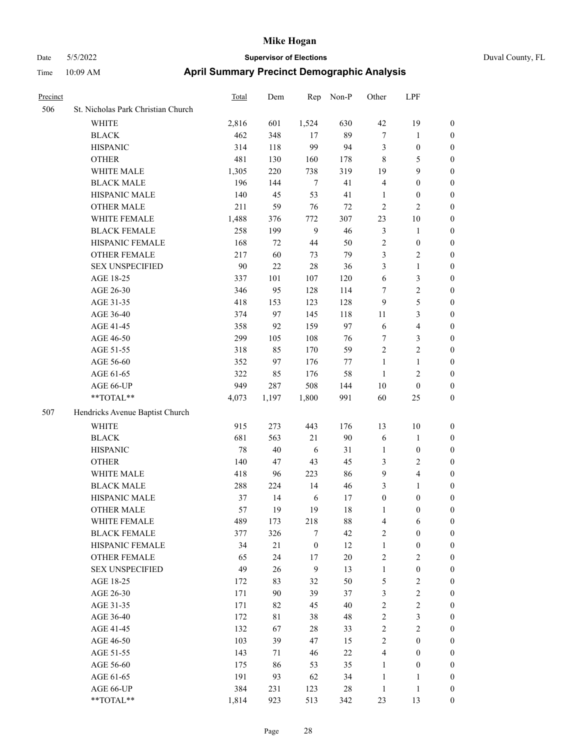| Precinct |                                    | Total | Dem   | Rep              | Non-P  | Other            | LPF              |                  |
|----------|------------------------------------|-------|-------|------------------|--------|------------------|------------------|------------------|
| 506      | St. Nicholas Park Christian Church |       |       |                  |        |                  |                  |                  |
|          | <b>WHITE</b>                       | 2,816 | 601   | 1,524            | 630    | 42               | 19               | $\mathbf{0}$     |
|          | <b>BLACK</b>                       | 462   | 348   | 17               | 89     | $\boldsymbol{7}$ | 1                | $\mathbf{0}$     |
|          | <b>HISPANIC</b>                    | 314   | 118   | 99               | 94     | 3                | $\boldsymbol{0}$ | $\boldsymbol{0}$ |
|          | <b>OTHER</b>                       | 481   | 130   | 160              | 178    | $\,8\,$          | 5                | $\boldsymbol{0}$ |
|          | WHITE MALE                         | 1,305 | 220   | 738              | 319    | 19               | 9                | $\boldsymbol{0}$ |
|          | <b>BLACK MALE</b>                  | 196   | 144   | $\tau$           | 41     | $\overline{4}$   | $\boldsymbol{0}$ | $\boldsymbol{0}$ |
|          | HISPANIC MALE                      | 140   | 45    | 53               | 41     | 1                | $\boldsymbol{0}$ | $\boldsymbol{0}$ |
|          | <b>OTHER MALE</b>                  | 211   | 59    | 76               | 72     | $\overline{2}$   | 2                | $\boldsymbol{0}$ |
|          | WHITE FEMALE                       | 1,488 | 376   | 772              | 307    | 23               | $10\,$           | $\boldsymbol{0}$ |
|          | <b>BLACK FEMALE</b>                | 258   | 199   | 9                | 46     | $\mathfrak{Z}$   | $\mathbf{1}$     | $\boldsymbol{0}$ |
|          | HISPANIC FEMALE                    | 168   | 72    | 44               | 50     | $\sqrt{2}$       | $\boldsymbol{0}$ | $\boldsymbol{0}$ |
|          | <b>OTHER FEMALE</b>                | 217   | 60    | 73               | 79     | $\mathfrak{Z}$   | 2                | $\boldsymbol{0}$ |
|          | <b>SEX UNSPECIFIED</b>             | 90    | 22    | 28               | 36     | 3                | $\mathbf{1}$     | $\boldsymbol{0}$ |
|          | AGE 18-25                          | 337   | 101   | 107              | 120    | 6                | 3                | $\boldsymbol{0}$ |
|          | AGE 26-30                          | 346   | 95    | 128              | 114    | $\tau$           | $\mathbf{2}$     | $\boldsymbol{0}$ |
|          | AGE 31-35                          | 418   | 153   | 123              | 128    | 9                | 5                | $\boldsymbol{0}$ |
|          | AGE 36-40                          | 374   | 97    | 145              | 118    | 11               | 3                | $\boldsymbol{0}$ |
|          | AGE 41-45                          | 358   | 92    | 159              | 97     | 6                | 4                | $\boldsymbol{0}$ |
|          | AGE 46-50                          | 299   | 105   | 108              | 76     | $\tau$           | 3                | $\boldsymbol{0}$ |
|          | AGE 51-55                          | 318   | 85    | 170              | 59     | $\sqrt{2}$       | 2                | $\boldsymbol{0}$ |
|          | AGE 56-60                          | 352   | 97    | 176              | 77     | $\mathbf{1}$     | $\mathbf{1}$     | $\boldsymbol{0}$ |
|          | AGE 61-65                          | 322   | 85    | 176              | 58     | 1                | $\overline{c}$   | $\boldsymbol{0}$ |
|          | AGE 66-UP                          | 949   | 287   | 508              | 144    | 10               | $\boldsymbol{0}$ | $\boldsymbol{0}$ |
|          | **TOTAL**                          | 4,073 | 1,197 | 1,800            | 991    | 60               | 25               | $\boldsymbol{0}$ |
| 507      | Hendricks Avenue Baptist Church    |       |       |                  |        |                  |                  |                  |
|          | <b>WHITE</b>                       | 915   | 273   | 443              | 176    | 13               | 10               | $\boldsymbol{0}$ |
|          | <b>BLACK</b>                       | 681   | 563   | 21               | 90     | 6                | 1                | $\boldsymbol{0}$ |
|          | <b>HISPANIC</b>                    | 78    | 40    | 6                | 31     | $\mathbf{1}$     | $\boldsymbol{0}$ | $\boldsymbol{0}$ |
|          | <b>OTHER</b>                       | 140   | 47    | 43               | 45     | 3                | 2                | $\boldsymbol{0}$ |
|          | WHITE MALE                         | 418   | 96    | 223              | 86     | 9                | 4                | $\boldsymbol{0}$ |
|          | <b>BLACK MALE</b>                  | 288   | 224   | 14               | 46     | 3                | 1                | $\boldsymbol{0}$ |
|          | HISPANIC MALE                      | 37    | 14    | 6                | 17     | $\boldsymbol{0}$ | $\boldsymbol{0}$ | $\boldsymbol{0}$ |
|          | <b>OTHER MALE</b>                  | 57    | 19    | 19               | 18     | $\mathbf{1}$     | $\boldsymbol{0}$ | $\boldsymbol{0}$ |
|          | WHITE FEMALE                       | 489   | 173   | 218              | $88\,$ | $\overline{4}$   | 6                | $\boldsymbol{0}$ |
|          | <b>BLACK FEMALE</b>                | 377   | 326   | $\tau$           | 42     | $\sqrt{2}$       | $\boldsymbol{0}$ | $\boldsymbol{0}$ |
|          | HISPANIC FEMALE                    | 34    | 21    | $\boldsymbol{0}$ | 12     | $\mathbf{1}$     | $\boldsymbol{0}$ | $\boldsymbol{0}$ |
|          | OTHER FEMALE                       | 65    | 24    | 17               | $20\,$ | $\sqrt{2}$       | $\sqrt{2}$       | $\boldsymbol{0}$ |
|          | <b>SEX UNSPECIFIED</b>             | 49    | 26    | 9                | 13     | $\mathbf{1}$     | $\boldsymbol{0}$ | $\boldsymbol{0}$ |
|          | AGE 18-25                          | 172   | 83    | 32               | 50     | $\sqrt{5}$       | $\mathbf{2}$     | $\boldsymbol{0}$ |
|          | AGE 26-30                          | 171   | 90    | 39               | 37     | $\mathfrak{Z}$   | $\mathbf{2}$     | $\boldsymbol{0}$ |
|          | AGE 31-35                          | 171   | 82    | 45               | 40     | $\sqrt{2}$       | $\overline{c}$   | $\boldsymbol{0}$ |
|          | AGE 36-40                          | 172   | 81    | 38               | 48     | $\sqrt{2}$       | 3                | $\boldsymbol{0}$ |
|          | AGE 41-45                          | 132   | 67    | $28\,$           | 33     | $\sqrt{2}$       | $\mathbf{2}$     | $\boldsymbol{0}$ |
|          | AGE 46-50                          | 103   | 39    | 47               | 15     | $\sqrt{2}$       | $\boldsymbol{0}$ | $\boldsymbol{0}$ |
|          | AGE 51-55                          | 143   | 71    | 46               | 22     | $\overline{4}$   | $\boldsymbol{0}$ | $\boldsymbol{0}$ |
|          | AGE 56-60                          | 175   | 86    | 53               | 35     | $\mathbf{1}$     | $\boldsymbol{0}$ | $\boldsymbol{0}$ |
|          | AGE 61-65                          | 191   | 93    | 62               | 34     | $\mathbf{1}$     | 1                | $\boldsymbol{0}$ |
|          | AGE 66-UP                          | 384   | 231   | 123              | $28\,$ | $\mathbf{1}$     | $\mathbf{1}$     | $\mathbf{0}$     |
|          | **TOTAL**                          | 1,814 | 923   | 513              | 342    | 23               | 13               | $\mathbf{0}$     |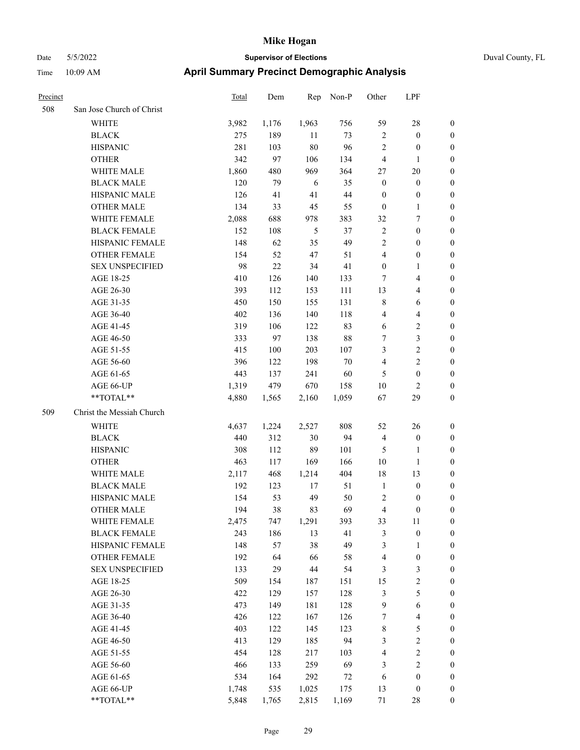| Precinct |                           | <b>Total</b> | Dem   | Rep    | Non-P | Other            | LPF                     |                  |
|----------|---------------------------|--------------|-------|--------|-------|------------------|-------------------------|------------------|
| 508      | San Jose Church of Christ |              |       |        |       |                  |                         |                  |
|          | WHITE                     | 3,982        | 1,176 | 1,963  | 756   | 59               | $28\,$                  | 0                |
|          | <b>BLACK</b>              | 275          | 189   | 11     | 73    | $\overline{2}$   | $\boldsymbol{0}$        | $\boldsymbol{0}$ |
|          | <b>HISPANIC</b>           | 281          | 103   | $80\,$ | 96    | $\sqrt{2}$       | $\boldsymbol{0}$        | $\boldsymbol{0}$ |
|          | <b>OTHER</b>              | 342          | 97    | 106    | 134   | 4                | $\mathbf{1}$            | $\boldsymbol{0}$ |
|          | WHITE MALE                | 1,860        | 480   | 969    | 364   | 27               | $20\,$                  | $\boldsymbol{0}$ |
|          | <b>BLACK MALE</b>         | 120          | 79    | 6      | 35    | $\boldsymbol{0}$ | $\boldsymbol{0}$        | $\boldsymbol{0}$ |
|          | HISPANIC MALE             | 126          | 41    | 41     | 44    | $\boldsymbol{0}$ | $\boldsymbol{0}$        | $\boldsymbol{0}$ |
|          | <b>OTHER MALE</b>         | 134          | 33    | 45     | 55    | $\boldsymbol{0}$ | $\mathbf{1}$            | $\boldsymbol{0}$ |
|          | WHITE FEMALE              | 2,088        | 688   | 978    | 383   | 32               | $\boldsymbol{7}$        | $\boldsymbol{0}$ |
|          | <b>BLACK FEMALE</b>       | 152          | 108   | 5      | 37    | $\sqrt{2}$       | $\boldsymbol{0}$        | $\boldsymbol{0}$ |
|          | HISPANIC FEMALE           | 148          | 62    | 35     | 49    | $\overline{c}$   | $\boldsymbol{0}$        | 0                |
|          | OTHER FEMALE              | 154          | 52    | 47     | 51    | 4                | $\boldsymbol{0}$        | 0                |
|          | <b>SEX UNSPECIFIED</b>    | 98           | 22    | 34     | 41    | $\boldsymbol{0}$ | $\mathbf{1}$            | $\boldsymbol{0}$ |
|          | AGE 18-25                 | 410          | 126   | 140    | 133   | 7                | $\overline{\mathbf{4}}$ | $\boldsymbol{0}$ |
|          | AGE 26-30                 | 393          | 112   | 153    | 111   | 13               | $\overline{\mathbf{4}}$ | $\boldsymbol{0}$ |
|          | AGE 31-35                 | 450          | 150   | 155    | 131   | 8                | 6                       | $\boldsymbol{0}$ |
|          | AGE 36-40                 | 402          | 136   | 140    | 118   | 4                | $\overline{\mathbf{4}}$ | $\boldsymbol{0}$ |
|          | AGE 41-45                 | 319          | 106   | 122    | 83    | 6                | $\sqrt{2}$              | $\boldsymbol{0}$ |
|          | AGE 46-50                 | 333          | 97    | 138    | 88    | 7                | $\mathfrak{Z}$          | $\boldsymbol{0}$ |
|          | AGE 51-55                 | 415          | 100   | 203    | 107   | 3                | $\sqrt{2}$              | 0                |
|          | AGE 56-60                 | 396          | 122   | 198    | 70    | $\overline{4}$   | $\sqrt{2}$              | 0                |
|          | AGE 61-65                 | 443          | 137   | 241    | 60    | 5                | $\boldsymbol{0}$        | 0                |
|          | AGE 66-UP                 | 1,319        | 479   | 670    | 158   | $10\,$           | $\overline{c}$          | 0                |
|          | **TOTAL**                 | 4,880        | 1,565 | 2,160  | 1,059 | 67               | 29                      | $\boldsymbol{0}$ |
| 509      | Christ the Messiah Church |              |       |        |       |                  |                         |                  |
|          |                           |              |       |        |       |                  |                         |                  |
|          | WHITE                     | 4,637        | 1,224 | 2,527  | 808   | 52               | 26                      | $\boldsymbol{0}$ |
|          | <b>BLACK</b>              | 440          | 312   | 30     | 94    | $\overline{4}$   | $\boldsymbol{0}$        | $\boldsymbol{0}$ |
|          | <b>HISPANIC</b>           | 308          | 112   | 89     | 101   | 5                | $\mathbf{1}$            | $\boldsymbol{0}$ |
|          | <b>OTHER</b>              | 463          | 117   | 169    | 166   | 10               | $\mathbf{1}$            | $\boldsymbol{0}$ |
|          | WHITE MALE                | 2,117        | 468   | 1,214  | 404   | 18               | 13                      | $\boldsymbol{0}$ |
|          | <b>BLACK MALE</b>         | 192          | 123   | 17     | 51    | $\mathbf{1}$     | $\boldsymbol{0}$        | $\boldsymbol{0}$ |
|          | HISPANIC MALE             | 154          | 53    | 49     | 50    | $\overline{c}$   | 0                       | 0                |
|          | <b>OTHER MALE</b>         | 194          | 38    | 83     | 69    | 4                | $\boldsymbol{0}$        | $\boldsymbol{0}$ |
|          | WHITE FEMALE              | 2,475        | 747   | 1,291  | 393   | 33               | 11                      | 0                |
|          | <b>BLACK FEMALE</b>       | 243          | 186   | 13     | 41    | 3                | $\boldsymbol{0}$        | 0                |
|          | HISPANIC FEMALE           | 148          | 57    | 38     | 49    | 3                | 1                       | 0                |
|          | <b>OTHER FEMALE</b>       | 192          | 64    | 66     | 58    | $\overline{4}$   | $\boldsymbol{0}$        | 0                |
|          | <b>SEX UNSPECIFIED</b>    | 133          | 29    | $44\,$ | 54    | 3                | $\mathfrak{Z}$          | 0                |
|          | AGE 18-25                 | 509          | 154   | 187    | 151   | 15               | $\sqrt{2}$              | 0                |
|          | AGE 26-30                 | 422          | 129   | 157    | 128   | $\mathfrak{Z}$   | $\mathfrak{S}$          | 0                |
|          | AGE 31-35                 | 473          | 149   | 181    | 128   | $\overline{9}$   | $\sqrt{6}$              | 0                |
|          | AGE 36-40                 | 426          | 122   | 167    | 126   | 7                | $\overline{\mathbf{4}}$ | 0                |
|          | AGE 41-45                 | 403          | 122   | 145    | 123   | $\,$ 8 $\,$      | 5                       | 0                |
|          | AGE 46-50                 | 413          | 129   | 185    | 94    | 3                | $\sqrt{2}$              | 0                |
|          | AGE 51-55                 | 454          | 128   | 217    | 103   | 4                | $\sqrt{2}$              | $\boldsymbol{0}$ |
|          | AGE 56-60                 | 466          | 133   | 259    | 69    | 3                | $\sqrt{2}$              | $\boldsymbol{0}$ |
|          | AGE 61-65                 | 534          | 164   | 292    | 72    | 6                | $\boldsymbol{0}$        | $\boldsymbol{0}$ |
|          | AGE 66-UP                 | 1,748        | 535   | 1,025  | 175   | 13               | $\boldsymbol{0}$        | $\boldsymbol{0}$ |
|          | **TOTAL**                 | 5,848        | 1,765 | 2,815  | 1,169 | 71               | $28\,$                  | $\boldsymbol{0}$ |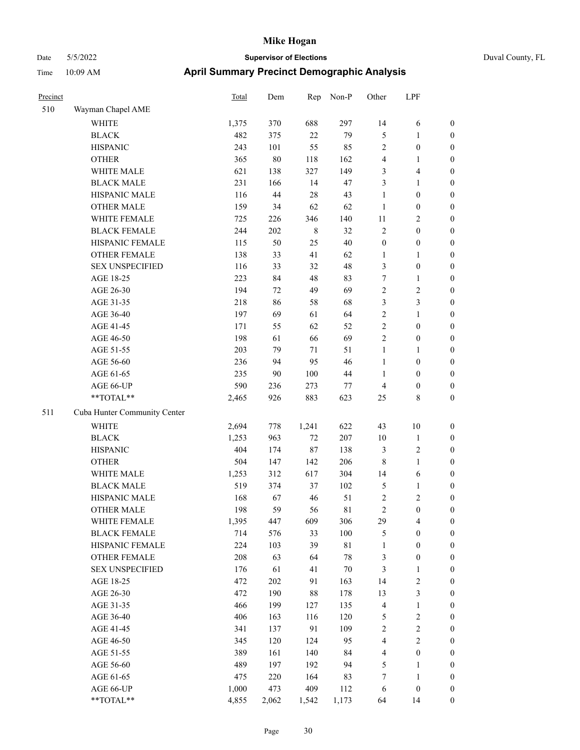| Precinct |                              | Total | Dem    | Rep         | Non-P       | Other            | LPF                     |                  |
|----------|------------------------------|-------|--------|-------------|-------------|------------------|-------------------------|------------------|
| 510      | Wayman Chapel AME            |       |        |             |             |                  |                         |                  |
|          | <b>WHITE</b>                 | 1,375 | 370    | 688         | 297         | 14               | 6                       | $\boldsymbol{0}$ |
|          | <b>BLACK</b>                 | 482   | 375    | 22          | 79          | $\mathfrak{S}$   | 1                       | $\boldsymbol{0}$ |
|          | <b>HISPANIC</b>              | 243   | 101    | 55          | 85          | $\sqrt{2}$       | $\boldsymbol{0}$        | $\boldsymbol{0}$ |
|          | <b>OTHER</b>                 | 365   | $80\,$ | 118         | 162         | $\overline{4}$   | 1                       | $\boldsymbol{0}$ |
|          | WHITE MALE                   | 621   | 138    | 327         | 149         | 3                | 4                       | $\boldsymbol{0}$ |
|          | <b>BLACK MALE</b>            | 231   | 166    | 14          | 47          | 3                | 1                       | $\boldsymbol{0}$ |
|          | HISPANIC MALE                | 116   | 44     | 28          | 43          | $\mathbf{1}$     | $\boldsymbol{0}$        | $\boldsymbol{0}$ |
|          | <b>OTHER MALE</b>            | 159   | 34     | 62          | 62          | 1                | $\boldsymbol{0}$        | $\boldsymbol{0}$ |
|          | WHITE FEMALE                 | 725   | 226    | 346         | 140         | $11\,$           | 2                       | $\boldsymbol{0}$ |
|          | <b>BLACK FEMALE</b>          | 244   | 202    | $\,$ 8 $\,$ | 32          | $\sqrt{2}$       | $\boldsymbol{0}$        | $\boldsymbol{0}$ |
|          | HISPANIC FEMALE              | 115   | 50     | 25          | 40          | $\boldsymbol{0}$ | $\boldsymbol{0}$        | $\boldsymbol{0}$ |
|          | <b>OTHER FEMALE</b>          | 138   | 33     | 41          | 62          | $\mathbf{1}$     | 1                       | $\boldsymbol{0}$ |
|          | <b>SEX UNSPECIFIED</b>       | 116   | 33     | 32          | 48          | 3                | $\boldsymbol{0}$        | $\boldsymbol{0}$ |
|          | AGE 18-25                    | 223   | 84     | 48          | 83          | $\boldsymbol{7}$ | 1                       | $\boldsymbol{0}$ |
|          | AGE 26-30                    | 194   | 72     | 49          | 69          | $\sqrt{2}$       | 2                       | $\boldsymbol{0}$ |
|          | AGE 31-35                    | 218   | 86     | 58          | 68          | 3                | 3                       | $\boldsymbol{0}$ |
|          | AGE 36-40                    | 197   | 69     | 61          | 64          | $\sqrt{2}$       | 1                       | $\boldsymbol{0}$ |
|          | AGE 41-45                    | 171   | 55     | 62          | 52          | $\sqrt{2}$       | $\boldsymbol{0}$        | $\boldsymbol{0}$ |
|          | AGE 46-50                    | 198   | 61     | 66          | 69          | $\sqrt{2}$       | $\boldsymbol{0}$        | $\boldsymbol{0}$ |
|          | AGE 51-55                    | 203   | 79     | 71          | 51          | $\mathbf{1}$     | 1                       | $\boldsymbol{0}$ |
|          | AGE 56-60                    | 236   | 94     | 95          | 46          | $\mathbf{1}$     | $\boldsymbol{0}$        | $\boldsymbol{0}$ |
|          | AGE 61-65                    | 235   | 90     | 100         | $44\,$      | 1                | $\boldsymbol{0}$        | $\boldsymbol{0}$ |
|          | AGE 66-UP                    | 590   | 236    | 273         | 77          | $\overline{4}$   | $\boldsymbol{0}$        | $\boldsymbol{0}$ |
|          | **TOTAL**                    | 2,465 | 926    | 883         | 623         | 25               | 8                       | $\boldsymbol{0}$ |
| 511      | Cuba Hunter Community Center |       |        |             |             |                  |                         |                  |
|          | <b>WHITE</b>                 | 2,694 | 778    | 1,241       | 622         | 43               | 10                      | $\boldsymbol{0}$ |
|          | <b>BLACK</b>                 | 1,253 | 963    | 72          | 207         | 10               | $\mathbf{1}$            | $\boldsymbol{0}$ |
|          | <b>HISPANIC</b>              | 404   | 174    | 87          | 138         | 3                | 2                       | $\boldsymbol{0}$ |
|          | <b>OTHER</b>                 | 504   | 147    | 142         | 206         | $\,8\,$          | $\mathbf{1}$            | $\boldsymbol{0}$ |
|          | WHITE MALE                   | 1,253 | 312    | 617         | 304         | 14               | 6                       | $\boldsymbol{0}$ |
|          | <b>BLACK MALE</b>            | 519   | 374    | 37          | 102         | $\mathfrak{S}$   | 1                       | $\boldsymbol{0}$ |
|          | HISPANIC MALE                | 168   | 67     | 46          | 51          | $\sqrt{2}$       | $\overline{\mathbf{c}}$ | $\boldsymbol{0}$ |
|          | <b>OTHER MALE</b>            | 198   | 59     | 56          | $8\sqrt{1}$ | $\overline{2}$   | $\boldsymbol{0}$        | $\boldsymbol{0}$ |
|          | WHITE FEMALE                 | 1,395 | 447    | 609         | 306         | 29               | 4                       | $\boldsymbol{0}$ |
|          | <b>BLACK FEMALE</b>          | 714   | 576    | 33          | 100         | $\mathfrak{S}$   | $\boldsymbol{0}$        | $\boldsymbol{0}$ |
|          | HISPANIC FEMALE              | 224   | 103    | 39          | $8\sqrt{1}$ | $\mathbf{1}$     | $\boldsymbol{0}$        | $\boldsymbol{0}$ |
|          | OTHER FEMALE                 | 208   | 63     | 64          | $78\,$      | $\mathfrak{Z}$   | $\boldsymbol{0}$        | $\boldsymbol{0}$ |
|          | <b>SEX UNSPECIFIED</b>       | 176   | 61     | 41          | $70\,$      | $\mathfrak{Z}$   | 1                       | $\boldsymbol{0}$ |
|          | AGE 18-25                    | 472   | 202    | 91          | 163         | 14               | $\overline{\mathbf{c}}$ | $\boldsymbol{0}$ |
|          | AGE 26-30                    | 472   | 190    | $88\,$      | 178         | 13               | 3                       | $\boldsymbol{0}$ |
|          | AGE 31-35                    | 466   | 199    | 127         | 135         | $\overline{4}$   | 1                       | $\boldsymbol{0}$ |
|          | AGE 36-40                    | 406   | 163    | 116         | 120         | $\mathfrak s$    | $\sqrt{2}$              | $\boldsymbol{0}$ |
|          | AGE 41-45                    | 341   | 137    | 91          | 109         | $\sqrt{2}$       | $\mathbf{2}$            | $\boldsymbol{0}$ |
|          | AGE 46-50                    | 345   | 120    | 124         | 95          | $\overline{4}$   | $\overline{c}$          | $\boldsymbol{0}$ |
|          | AGE 51-55                    | 389   | 161    | 140         | 84          | $\overline{4}$   | $\boldsymbol{0}$        | $\boldsymbol{0}$ |
|          | AGE 56-60                    | 489   | 197    | 192         | 94          | $\mathfrak{S}$   | 1                       | $\boldsymbol{0}$ |
|          | AGE 61-65                    | 475   | 220    | 164         | 83          | $\tau$           | $\mathbf{1}$            | $\boldsymbol{0}$ |
|          | AGE 66-UP                    | 1,000 | 473    | 409         | 112         | 6                | $\boldsymbol{0}$        | $\boldsymbol{0}$ |
|          | **TOTAL**                    | 4,855 | 2,062  | 1,542       | 1,173       | 64               | 14                      | $\mathbf{0}$     |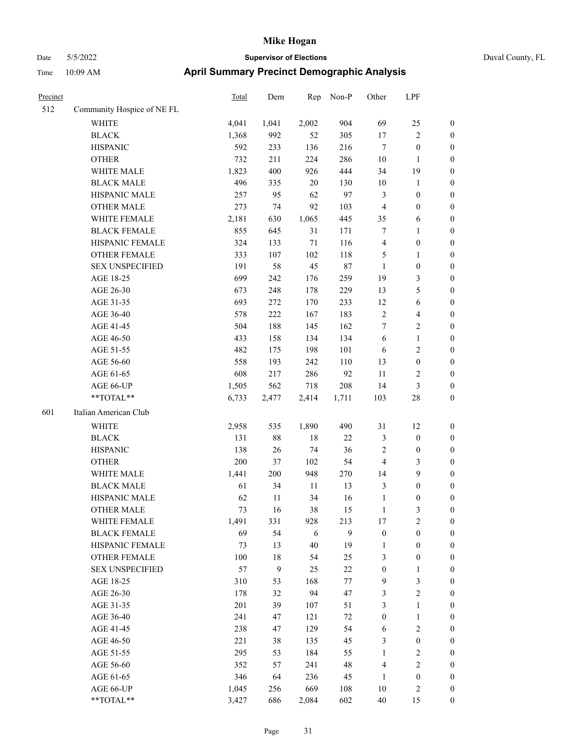|  | Duval County, I |  |
|--|-----------------|--|

| Precinct |                            | Total | Dem          | Rep    | Non-P  | Other            | LPF              |                  |
|----------|----------------------------|-------|--------------|--------|--------|------------------|------------------|------------------|
| 512      | Community Hospice of NE FL |       |              |        |        |                  |                  |                  |
|          | <b>WHITE</b>               | 4,041 | 1,041        | 2,002  | 904    | 69               | 25               | $\boldsymbol{0}$ |
|          | <b>BLACK</b>               | 1,368 | 992          | 52     | 305    | 17               | $\sqrt{2}$       | $\boldsymbol{0}$ |
|          | <b>HISPANIC</b>            | 592   | 233          | 136    | 216    | $\tau$           | $\boldsymbol{0}$ | $\boldsymbol{0}$ |
|          | <b>OTHER</b>               | 732   | 211          | 224    | 286    | 10               | $\mathbf{1}$     | $\boldsymbol{0}$ |
|          | WHITE MALE                 | 1,823 | 400          | 926    | 444    | 34               | 19               | $\boldsymbol{0}$ |
|          | <b>BLACK MALE</b>          | 496   | 335          | $20\,$ | 130    | $10\,$           | $\mathbf{1}$     | $\boldsymbol{0}$ |
|          | HISPANIC MALE              | 257   | 95           | 62     | 97     | $\mathfrak{Z}$   | $\boldsymbol{0}$ | $\boldsymbol{0}$ |
|          | <b>OTHER MALE</b>          | 273   | 74           | 92     | 103    | $\overline{4}$   | $\boldsymbol{0}$ | 0                |
|          | WHITE FEMALE               | 2,181 | 630          | 1,065  | 445    | 35               | 6                | 0                |
|          | <b>BLACK FEMALE</b>        | 855   | 645          | 31     | 171    | 7                | $\mathbf{1}$     | $\boldsymbol{0}$ |
|          | HISPANIC FEMALE            | 324   | 133          | $71\,$ | 116    | 4                | $\boldsymbol{0}$ | $\boldsymbol{0}$ |
|          | OTHER FEMALE               | 333   | 107          | 102    | 118    | 5                | $\mathbf{1}$     | $\boldsymbol{0}$ |
|          | <b>SEX UNSPECIFIED</b>     | 191   | 58           | 45     | $87\,$ | $\mathbf{1}$     | $\boldsymbol{0}$ | $\boldsymbol{0}$ |
|          | AGE 18-25                  | 699   | 242          | 176    | 259    | 19               | $\mathfrak{Z}$   | $\boldsymbol{0}$ |
|          | AGE 26-30                  | 673   | 248          | 178    | 229    | 13               | $\mathfrak{S}$   | $\boldsymbol{0}$ |
|          | AGE 31-35                  | 693   | 272          | 170    | 233    | 12               | $\sqrt{6}$       | $\boldsymbol{0}$ |
|          | AGE 36-40                  | 578   | 222          | 167    | 183    | $\sqrt{2}$       | $\overline{4}$   | $\boldsymbol{0}$ |
|          | AGE 41-45                  | 504   | 188          | 145    | 162    | $\tau$           | $\sqrt{2}$       | 0                |
|          | AGE 46-50                  | 433   | 158          | 134    | 134    | 6                | $\mathbf{1}$     | 0                |
|          | AGE 51-55                  | 482   | 175          | 198    | 101    | 6                | $\sqrt{2}$       | $\boldsymbol{0}$ |
|          | AGE 56-60                  | 558   | 193          | 242    | 110    | 13               | $\boldsymbol{0}$ | $\boldsymbol{0}$ |
|          | AGE 61-65                  | 608   | 217          | 286    | 92     | $11\,$           | $\sqrt{2}$       | $\boldsymbol{0}$ |
|          | AGE 66-UP                  | 1,505 | 562          | 718    | 208    | 14               | $\mathfrak{Z}$   | $\boldsymbol{0}$ |
|          | $**TOTAL**$                | 6,733 | 2,477        | 2,414  | 1,711  | 103              | $28\,$           | $\boldsymbol{0}$ |
| 601      | Italian American Club      |       |              |        |        |                  |                  |                  |
|          | WHITE                      | 2,958 | 535          | 1,890  | 490    | 31               | 12               | $\boldsymbol{0}$ |
|          | <b>BLACK</b>               | 131   | 88           | $18\,$ | $22\,$ | $\mathfrak{Z}$   | $\boldsymbol{0}$ | $\boldsymbol{0}$ |
|          | <b>HISPANIC</b>            | 138   | 26           | 74     | 36     | $\sqrt{2}$       | $\boldsymbol{0}$ | $\boldsymbol{0}$ |
|          | <b>OTHER</b>               | 200   | 37           | 102    | 54     | $\overline{4}$   | $\mathfrak{Z}$   | $\boldsymbol{0}$ |
|          | WHITE MALE                 | 1,441 | 200          | 948    | 270    | 14               | $\boldsymbol{9}$ | 0                |
|          | <b>BLACK MALE</b>          | 61    | 34           | 11     | 13     | 3                | $\boldsymbol{0}$ | 0                |
|          | HISPANIC MALE              | 62    | 11           | 34     | 16     | $\mathbf{1}$     | $\boldsymbol{0}$ | 0                |
|          | <b>OTHER MALE</b>          | 73    | 16           | 38     | 15     | $\mathbf{1}$     | 3                | $\boldsymbol{0}$ |
|          | WHITE FEMALE               | 1,491 | 331          | 928    | 213    | $17$             | $\sqrt{2}$       | $\boldsymbol{0}$ |
|          | <b>BLACK FEMALE</b>        | 69    | 54           | 6      | 9      | $\boldsymbol{0}$ | $\boldsymbol{0}$ | $\overline{0}$   |
|          | HISPANIC FEMALE            | 73    | 13           | $40\,$ | 19     | $\mathbf{1}$     | $\boldsymbol{0}$ | $\overline{0}$   |
|          | <b>OTHER FEMALE</b>        | 100   | $18\,$       | 54     | 25     | 3                | $\boldsymbol{0}$ | $\theta$         |
|          | <b>SEX UNSPECIFIED</b>     | 57    | $\mathbf{9}$ | 25     | $22\,$ | $\boldsymbol{0}$ | $\mathbf{1}$     | $\overline{0}$   |
|          | AGE 18-25                  | 310   | 53           | 168    | 77     | 9                | $\mathfrak{Z}$   | 0                |
|          | AGE 26-30                  | 178   | 32           | 94     | 47     | 3                | $\sqrt{2}$       | 0                |
|          | AGE 31-35                  | 201   | 39           | 107    | 51     | 3                | $\mathbf{1}$     | 0                |
|          | AGE 36-40                  | 241   | 47           | 121    | $72\,$ | $\boldsymbol{0}$ | $\mathbf{1}$     | 0                |
|          | AGE 41-45                  | 238   | 47           | 129    | 54     | 6                | $\sqrt{2}$       | $\overline{0}$   |
|          | AGE 46-50                  | 221   | 38           | 135    | 45     | 3                | $\boldsymbol{0}$ | $\boldsymbol{0}$ |
|          | AGE 51-55                  | 295   | 53           | 184    | 55     | $\mathbf{1}$     | $\mathfrak{2}$   | $\boldsymbol{0}$ |
|          | AGE 56-60                  | 352   | 57           | 241    | 48     | 4                | $\sqrt{2}$       | $\boldsymbol{0}$ |
|          | AGE 61-65                  | 346   | 64           | 236    | 45     | $\mathbf{1}$     | $\boldsymbol{0}$ | $\overline{0}$   |
|          | AGE 66-UP                  | 1,045 | 256          | 669    | 108    | $10\,$           | $\mathfrak{2}$   | $\boldsymbol{0}$ |
|          | **TOTAL**                  | 3,427 | 686          | 2,084  | 602    | $40\,$           | 15               | $\boldsymbol{0}$ |
|          |                            |       |              |        |        |                  |                  |                  |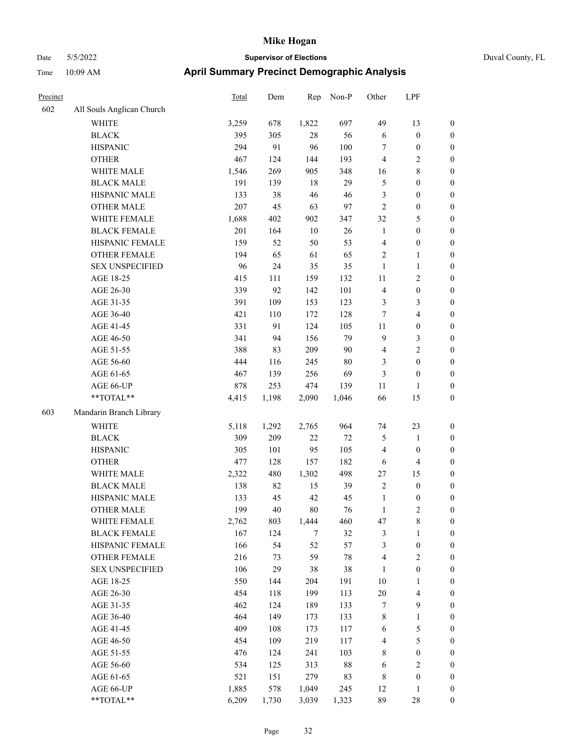| Duval County, FL |  |
|------------------|--|
|------------------|--|

| Precinct |                           | <b>Total</b> | Dem   | Rep    | Non-P  | Other          | LPF                     |                  |
|----------|---------------------------|--------------|-------|--------|--------|----------------|-------------------------|------------------|
| 602      | All Souls Anglican Church |              |       |        |        |                |                         |                  |
|          | WHITE                     | 3,259        | 678   | 1,822  | 697    | 49             | 13                      | $\boldsymbol{0}$ |
|          | <b>BLACK</b>              | 395          | 305   | $28\,$ | 56     | 6              | $\boldsymbol{0}$        | $\boldsymbol{0}$ |
|          | <b>HISPANIC</b>           | 294          | 91    | 96     | 100    | 7              | $\boldsymbol{0}$        | $\boldsymbol{0}$ |
|          | <b>OTHER</b>              | 467          | 124   | 144    | 193    | $\overline{4}$ | $\sqrt{2}$              | 0                |
|          | WHITE MALE                | 1,546        | 269   | 905    | 348    | 16             | $\,$ 8 $\,$             | $\boldsymbol{0}$ |
|          | <b>BLACK MALE</b>         | 191          | 139   | 18     | 29     | 5              | $\boldsymbol{0}$        | $\boldsymbol{0}$ |
|          | HISPANIC MALE             | 133          | 38    | 46     | 46     | 3              | $\boldsymbol{0}$        | $\boldsymbol{0}$ |
|          | <b>OTHER MALE</b>         | 207          | 45    | 63     | 97     | $\sqrt{2}$     | $\boldsymbol{0}$        | $\boldsymbol{0}$ |
|          | WHITE FEMALE              | 1,688        | 402   | 902    | 347    | 32             | $\mathfrak{S}$          | $\boldsymbol{0}$ |
|          | <b>BLACK FEMALE</b>       | 201          | 164   | $10\,$ | 26     | $\mathbf{1}$   | $\boldsymbol{0}$        | $\boldsymbol{0}$ |
|          | HISPANIC FEMALE           | 159          | 52    | 50     | 53     | $\overline{4}$ | $\boldsymbol{0}$        | $\boldsymbol{0}$ |
|          | <b>OTHER FEMALE</b>       | 194          | 65    | 61     | 65     | 2              | $\mathbf{1}$            | $\boldsymbol{0}$ |
|          | <b>SEX UNSPECIFIED</b>    | 96           | 24    | 35     | 35     | $\mathbf{1}$   | $\mathbf{1}$            | 0                |
|          | AGE 18-25                 | 415          | 111   | 159    | 132    | 11             | $\sqrt{2}$              | 0                |
|          | AGE 26-30                 | 339          | 92    | 142    | 101    | $\overline{4}$ | $\boldsymbol{0}$        | 0                |
|          | AGE 31-35                 | 391          | 109   | 153    | 123    | 3              | 3                       | $\boldsymbol{0}$ |
|          | AGE 36-40                 | 421          | 110   | 172    | 128    | 7              | $\overline{\mathbf{4}}$ | $\boldsymbol{0}$ |
|          | AGE 41-45                 | 331          | 91    | 124    | 105    | 11             | $\boldsymbol{0}$        | $\boldsymbol{0}$ |
|          | AGE 46-50                 | 341          | 94    | 156    | 79     | 9              | $\mathfrak{Z}$          | $\boldsymbol{0}$ |
|          | AGE 51-55                 | 388          | 83    | 209    | $90\,$ | 4              | $\sqrt{2}$              | $\boldsymbol{0}$ |
|          | AGE 56-60                 | 444          | 116   | 245    | $80\,$ | 3              | $\boldsymbol{0}$        | $\boldsymbol{0}$ |
|          | AGE 61-65                 | 467          | 139   | 256    | 69     | $\mathfrak{Z}$ | $\boldsymbol{0}$        | $\boldsymbol{0}$ |
|          | AGE 66-UP                 | 878          | 253   | 474    | 139    | $11\,$         | 1                       | 0                |
|          | $**TOTAL**$               | 4,415        | 1,198 | 2,090  | 1,046  | 66             | 15                      | 0                |
| 603      | Mandarin Branch Library   |              |       |        |        |                |                         |                  |
|          | <b>WHITE</b>              | 5,118        | 1,292 | 2,765  | 964    | 74             | 23                      | 0                |
|          | <b>BLACK</b>              | 309          | 209   | 22     | $72\,$ | 5              | $\mathbf{1}$            | 0                |
|          | <b>HISPANIC</b>           | 305          | 101   | 95     | 105    | 4              | $\boldsymbol{0}$        | 0                |
|          | <b>OTHER</b>              | 477          | 128   | 157    | 182    | 6              | $\overline{\mathbf{4}}$ | $\boldsymbol{0}$ |
|          | WHITE MALE                | 2,322        | 480   | 1,302  | 498    | $27\,$         | 15                      | $\boldsymbol{0}$ |
|          | <b>BLACK MALE</b>         | 138          | 82    | 15     | 39     | $\overline{c}$ | $\boldsymbol{0}$        | $\boldsymbol{0}$ |
|          | HISPANIC MALE             | 133          | 45    | 42     | 45     | $\mathbf{1}$   | $\boldsymbol{0}$        | $\boldsymbol{0}$ |
|          | <b>OTHER MALE</b>         | 199          | 40    | 80     | 76     | $\mathbf{1}$   | $\mathfrak{2}$          | $\boldsymbol{0}$ |
|          | WHITE FEMALE              | 2,762        | 803   | 1,444  | 460    | 47             | $\,$ 8 $\,$             | 0                |
|          | <b>BLACK FEMALE</b>       | 167          | 124   | $\tau$ | 32     | 3              | $\mathbf{1}$            | 0                |
|          | HISPANIC FEMALE           | 166          | 54    | 52     | 57     | 3              | $\boldsymbol{0}$        | 0                |
|          | <b>OTHER FEMALE</b>       | 216          | 73    | 59     | $78\,$ | 4              | $\sqrt{2}$              | 0                |
|          | <b>SEX UNSPECIFIED</b>    | 106          | 29    | $38\,$ | $38\,$ | 1              | $\boldsymbol{0}$        | 0                |
|          | AGE 18-25                 | 550          | 144   | 204    | 191    | 10             | $\mathbf{1}$            | 0                |
|          | AGE 26-30                 | 454          | 118   | 199    | 113    | $20\,$         | $\overline{\mathbf{4}}$ | 0                |
|          | AGE 31-35                 | 462          | 124   | 189    | 133    | 7              | $\mathbf{9}$            | 0                |
|          | AGE 36-40                 | 464          | 149   | 173    | 133    | $\,$ 8 $\,$    | $\mathbf{1}$            | 0                |
|          | AGE 41-45                 | 409          | 108   | 173    | 117    | 6              | $\mathfrak s$           | $\overline{0}$   |
|          | AGE 46-50                 | 454          | 109   | 219    | 117    | 4              | $\mathfrak s$           | 0                |
|          | AGE 51-55                 | 476          | 124   | 241    | 103    | 8              | $\boldsymbol{0}$        | 0                |
|          | AGE 56-60                 | 534          | 125   | 313    | $88\,$ | 6              | $\sqrt{2}$              | 0                |
|          | AGE 61-65                 | 521          | 151   | 279    | 83     | $\,8\,$        | $\boldsymbol{0}$        | 0                |
|          | AGE 66-UP                 | 1,885        | 578   | 1,049  | 245    | 12             | $\mathbf{1}$            | 0                |
|          | $**TOTAL**$               | 6,209        | 1,730 | 3,039  | 1,323  | 89             | $28\,$                  | $\boldsymbol{0}$ |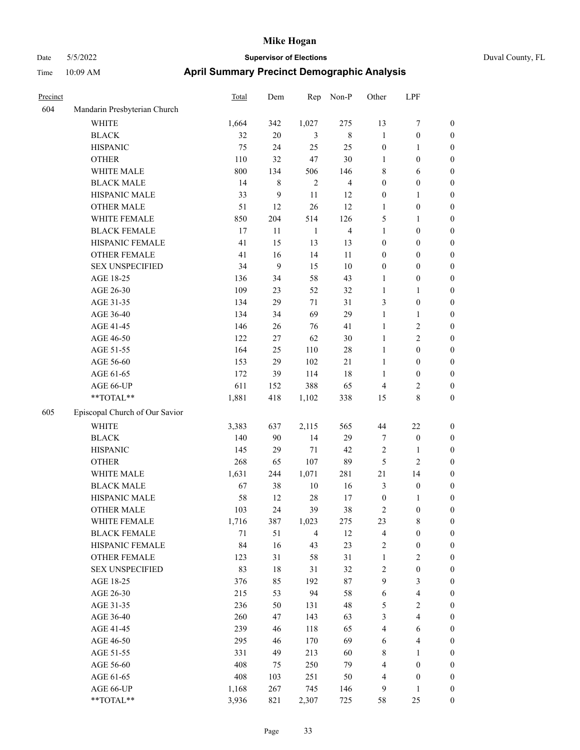| Precinct |                                | Total  | Dem    | Rep            | Non-P          | Other            | LPF              |                  |
|----------|--------------------------------|--------|--------|----------------|----------------|------------------|------------------|------------------|
| 604      | Mandarin Presbyterian Church   |        |        |                |                |                  |                  |                  |
|          | <b>WHITE</b>                   | 1,664  | 342    | 1,027          | 275            | 13               | 7                | $\boldsymbol{0}$ |
|          | <b>BLACK</b>                   | 32     | $20\,$ | 3              | $\,$ 8 $\,$    | $\mathbf{1}$     | $\boldsymbol{0}$ | $\boldsymbol{0}$ |
|          | <b>HISPANIC</b>                | 75     | 24     | 25             | 25             | $\boldsymbol{0}$ | 1                | $\boldsymbol{0}$ |
|          | <b>OTHER</b>                   | 110    | 32     | 47             | 30             | 1                | $\boldsymbol{0}$ | $\boldsymbol{0}$ |
|          | WHITE MALE                     | 800    | 134    | 506            | 146            | $\,8\,$          | 6                | $\boldsymbol{0}$ |
|          | <b>BLACK MALE</b>              | 14     | 8      | $\overline{2}$ | $\overline{4}$ | $\boldsymbol{0}$ | $\boldsymbol{0}$ | $\boldsymbol{0}$ |
|          | HISPANIC MALE                  | 33     | 9      | 11             | 12             | $\boldsymbol{0}$ | 1                | $\boldsymbol{0}$ |
|          | <b>OTHER MALE</b>              | 51     | 12     | 26             | 12             | 1                | $\boldsymbol{0}$ | $\boldsymbol{0}$ |
|          | WHITE FEMALE                   | 850    | 204    | 514            | 126            | 5                | 1                | $\boldsymbol{0}$ |
|          | <b>BLACK FEMALE</b>            | 17     | 11     | $\mathbf{1}$   | 4              | $\mathbf{1}$     | $\boldsymbol{0}$ | $\boldsymbol{0}$ |
|          | HISPANIC FEMALE                | 41     | 15     | 13             | 13             | $\boldsymbol{0}$ | $\boldsymbol{0}$ | $\boldsymbol{0}$ |
|          | <b>OTHER FEMALE</b>            | 41     | 16     | 14             | 11             | $\boldsymbol{0}$ | $\boldsymbol{0}$ | $\boldsymbol{0}$ |
|          | <b>SEX UNSPECIFIED</b>         | 34     | 9      | 15             | 10             | $\boldsymbol{0}$ | $\boldsymbol{0}$ | $\boldsymbol{0}$ |
|          | AGE 18-25                      | 136    | 34     | 58             | 43             | 1                | $\boldsymbol{0}$ | $\boldsymbol{0}$ |
|          | AGE 26-30                      | 109    | 23     | 52             | 32             | $\mathbf{1}$     | 1                | $\boldsymbol{0}$ |
|          | AGE 31-35                      | 134    | 29     | 71             | 31             | 3                | $\boldsymbol{0}$ | $\boldsymbol{0}$ |
|          | AGE 36-40                      | 134    | 34     | 69             | 29             | $\mathbf{1}$     | 1                | $\boldsymbol{0}$ |
|          | AGE 41-45                      | 146    | 26     | 76             | 41             | $\mathbf{1}$     | 2                | $\boldsymbol{0}$ |
|          | AGE 46-50                      | 122    | 27     | 62             | $30\,$         | $\mathbf{1}$     | 2                | $\boldsymbol{0}$ |
|          | AGE 51-55                      | 164    | 25     | 110            | 28             | $\mathbf{1}$     | $\boldsymbol{0}$ | $\boldsymbol{0}$ |
|          | AGE 56-60                      | 153    | 29     | 102            | 21             | 1                | $\boldsymbol{0}$ | $\boldsymbol{0}$ |
|          | AGE 61-65                      | 172    | 39     | 114            | 18             | $\mathbf{1}$     | $\boldsymbol{0}$ | $\boldsymbol{0}$ |
|          | AGE 66-UP                      | 611    | 152    | 388            | 65             | $\overline{4}$   | 2                | $\mathbf{0}$     |
|          | **TOTAL**                      | 1,881  | 418    | 1,102          | 338            | 15               | 8                | $\boldsymbol{0}$ |
| 605      | Episcopal Church of Our Savior |        |        |                |                |                  |                  |                  |
|          | WHITE                          | 3,383  | 637    | 2,115          | 565            | 44               | 22               | $\boldsymbol{0}$ |
|          | <b>BLACK</b>                   | 140    | 90     | 14             | 29             | $\tau$           | $\boldsymbol{0}$ | $\boldsymbol{0}$ |
|          | <b>HISPANIC</b>                | 145    | 29     | 71             | 42             | $\sqrt{2}$       | 1                | $\boldsymbol{0}$ |
|          | <b>OTHER</b>                   | 268    | 65     | 107            | 89             | 5                | 2                | $\boldsymbol{0}$ |
|          | WHITE MALE                     | 1,631  | 244    | 1,071          | 281            | 21               | 14               | $\boldsymbol{0}$ |
|          | <b>BLACK MALE</b>              | 67     | 38     | 10             | 16             | $\mathfrak{Z}$   | $\boldsymbol{0}$ | $\boldsymbol{0}$ |
|          | HISPANIC MALE                  | 58     | 12     | $28\,$         | 17             | $\boldsymbol{0}$ | 1                | $\boldsymbol{0}$ |
|          | <b>OTHER MALE</b>              | 103    | 24     | 39             | 38             | $\overline{2}$   | $\boldsymbol{0}$ | $\boldsymbol{0}$ |
|          | WHITE FEMALE                   | 1,716  | 387    | 1,023          | 275            | 23               | $\,$ $\,$        | $\boldsymbol{0}$ |
|          | <b>BLACK FEMALE</b>            | $71\,$ | 51     | $\overline{4}$ | 12             | $\overline{4}$   | $\boldsymbol{0}$ | $\boldsymbol{0}$ |
|          | HISPANIC FEMALE                | 84     | 16     | 43             | 23             | $\sqrt{2}$       | $\boldsymbol{0}$ | $\boldsymbol{0}$ |
|          | OTHER FEMALE                   | 123    | 31     | 58             | 31             | $\mathbf{1}$     | $\mathbf{2}$     | $\boldsymbol{0}$ |
|          | <b>SEX UNSPECIFIED</b>         | 83     | $18\,$ | 31             | 32             | $\sqrt{2}$       | $\boldsymbol{0}$ | $\boldsymbol{0}$ |
|          | AGE 18-25                      | 376    | 85     | 192            | $87\,$         | 9                | 3                | $\boldsymbol{0}$ |
|          | AGE 26-30                      | 215    | 53     | 94             | 58             | 6                | 4                | $\boldsymbol{0}$ |
|          | AGE 31-35                      | 236    | 50     | 131            | 48             | $\sqrt{5}$       | $\sqrt{2}$       | $\boldsymbol{0}$ |
|          | AGE 36-40                      | 260    | 47     | 143            | 63             | $\mathfrak{Z}$   | 4                | $\boldsymbol{0}$ |
|          | AGE 41-45                      | 239    | 46     | 118            | 65             | $\overline{4}$   | 6                | $\boldsymbol{0}$ |
|          | AGE 46-50                      | 295    | 46     | 170            | 69             | 6                | 4                | $\boldsymbol{0}$ |
|          | AGE 51-55                      | 331    | 49     | 213            | 60             | $\,$ 8 $\,$      | 1                | $\boldsymbol{0}$ |
|          | AGE 56-60                      | 408    | 75     | 250            | 79             | $\overline{4}$   | $\boldsymbol{0}$ | $\boldsymbol{0}$ |
|          | AGE 61-65                      | 408    | 103    | 251            | 50             | $\overline{4}$   | $\boldsymbol{0}$ | $\boldsymbol{0}$ |
|          | AGE 66-UP                      | 1,168  | 267    | 745            | 146            | 9                | 1                | $\boldsymbol{0}$ |
|          | **TOTAL**                      | 3,936  | 821    | 2,307          | 725            | 58               | 25               | $\boldsymbol{0}$ |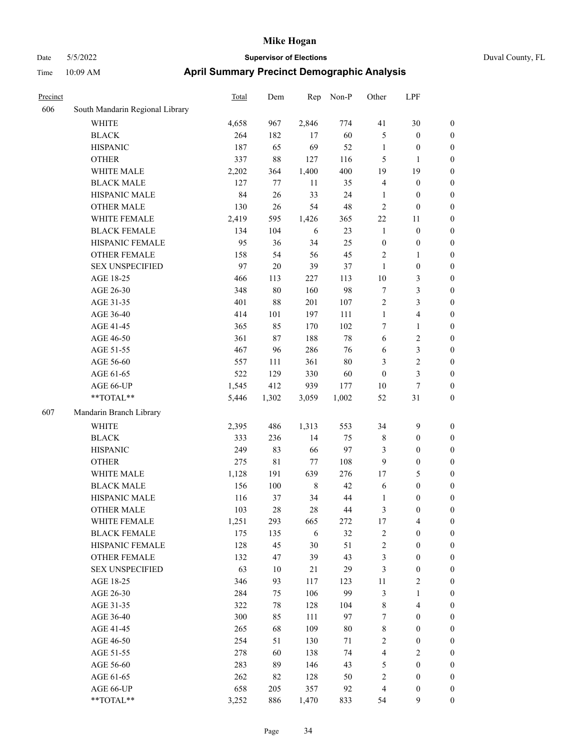### Date 5/5/2022 **Supervisor of Elections** Duval County, FL Time 10:09 AM **April Summary Precinct Demographic Analysis**

| Precinct |                                 | Total | Dem     | Rep        | Non-P  | Other                    | LPF                     |                  |
|----------|---------------------------------|-------|---------|------------|--------|--------------------------|-------------------------|------------------|
| 606      | South Mandarin Regional Library |       |         |            |        |                          |                         |                  |
|          | <b>WHITE</b>                    | 4,658 | 967     | 2,846      | 774    | 41                       | 30                      | $\boldsymbol{0}$ |
|          | <b>BLACK</b>                    | 264   | 182     | $17\,$     | 60     | 5                        | $\boldsymbol{0}$        | $\boldsymbol{0}$ |
|          | <b>HISPANIC</b>                 | 187   | 65      | 69         | 52     | $\mathbf{1}$             | $\boldsymbol{0}$        | $\boldsymbol{0}$ |
|          | <b>OTHER</b>                    | 337   | $88\,$  | 127        | 116    | 5                        | $\mathbf{1}$            | $\boldsymbol{0}$ |
|          | WHITE MALE                      | 2,202 | 364     | 1,400      | 400    | 19                       | 19                      | $\mathbf{0}$     |
|          | <b>BLACK MALE</b>               | 127   | 77      | 11         | 35     | $\overline{\mathcal{L}}$ | $\boldsymbol{0}$        | $\boldsymbol{0}$ |
|          | HISPANIC MALE                   | 84    | 26      | 33         | 24     | $\mathbf{1}$             | $\boldsymbol{0}$        | $\boldsymbol{0}$ |
|          | <b>OTHER MALE</b>               | 130   | 26      | 54         | 48     | $\overline{c}$           | $\boldsymbol{0}$        | $\boldsymbol{0}$ |
|          | WHITE FEMALE                    | 2,419 | 595     | 1,426      | 365    | 22                       | 11                      | $\boldsymbol{0}$ |
|          | <b>BLACK FEMALE</b>             | 134   | 104     | $\sqrt{6}$ | 23     | $\mathbf{1}$             | $\boldsymbol{0}$        | $\mathbf{0}$     |
|          | HISPANIC FEMALE                 | 95    | 36      | 34         | 25     | $\boldsymbol{0}$         | $\boldsymbol{0}$        | $\boldsymbol{0}$ |
|          | <b>OTHER FEMALE</b>             | 158   | 54      | 56         | 45     | $\overline{2}$           | $\mathbf{1}$            | $\boldsymbol{0}$ |
|          | <b>SEX UNSPECIFIED</b>          | 97    | 20      | 39         | 37     | $\,1$                    | $\boldsymbol{0}$        | $\boldsymbol{0}$ |
|          | AGE 18-25                       | 466   | 113     | 227        | 113    | $10\,$                   | 3                       | $\boldsymbol{0}$ |
|          | AGE 26-30                       | 348   | $80\,$  | 160        | 98     | $\boldsymbol{7}$         | $\overline{\mathbf{3}}$ | $\boldsymbol{0}$ |
|          | AGE 31-35                       | 401   | $88\,$  | 201        | 107    | $\overline{c}$           | 3                       | $\boldsymbol{0}$ |
|          | AGE 36-40                       | 414   | 101     | 197        | 111    | $\mathbf{1}$             | 4                       | $\boldsymbol{0}$ |
|          | AGE 41-45                       | 365   | 85      | 170        | 102    | 7                        | $\mathbf{1}$            | $\boldsymbol{0}$ |
|          | AGE 46-50                       | 361   | $87\,$  | 188        | 78     | 6                        | $\overline{c}$          | $\boldsymbol{0}$ |
|          | AGE 51-55                       | 467   | 96      | 286        | 76     | 6                        | 3                       | $\mathbf{0}$     |
|          | AGE 56-60                       | 557   | 111     | 361        | 80     | 3                        | $\overline{c}$          | $\boldsymbol{0}$ |
|          | AGE 61-65                       | 522   | 129     | 330        | 60     | $\boldsymbol{0}$         | 3                       | $\boldsymbol{0}$ |
|          | AGE 66-UP                       | 1,545 | 412     | 939        | 177    | $10\,$                   | $\tau$                  | $\boldsymbol{0}$ |
|          | **TOTAL**                       | 5,446 | 1,302   | 3,059      | 1,002  | 52                       | 31                      | $\boldsymbol{0}$ |
| 607      | Mandarin Branch Library         |       |         |            |        |                          |                         |                  |
|          | <b>WHITE</b>                    | 2,395 | 486     | 1,313      | 553    | 34                       | 9                       | $\boldsymbol{0}$ |
|          | <b>BLACK</b>                    | 333   | 236     | 14         | 75     | $\,$ 8 $\,$              | $\boldsymbol{0}$        | $\boldsymbol{0}$ |
|          | <b>HISPANIC</b>                 | 249   | 83      | 66         | 97     | 3                        | $\boldsymbol{0}$        | $\boldsymbol{0}$ |
|          | <b>OTHER</b>                    | 275   | 81      | $77 \,$    | 108    | 9                        | $\boldsymbol{0}$        | $\boldsymbol{0}$ |
|          | WHITE MALE                      | 1,128 | 191     | 639        | 276    | $17\,$                   | 5                       | $\boldsymbol{0}$ |
|          | <b>BLACK MALE</b>               | 156   | $100\,$ | $\,8\,$    | 42     | 6                        | $\mathbf{0}$            | $\mathbf{0}$     |
|          | HISPANIC MALE                   | 116   | 37      | 34         | $44\,$ | $\mathbf{1}$             | $\boldsymbol{0}$        | $\boldsymbol{0}$ |
|          | <b>OTHER MALE</b>               | 103   | $28\,$  | $28\,$     | $44\,$ | 3                        | $\boldsymbol{0}$        | $\boldsymbol{0}$ |
|          | WHITE FEMALE                    | 1,251 | 293     | 665        | 272    | 17                       | $\overline{4}$          | $\boldsymbol{0}$ |
|          | <b>BLACK FEMALE</b>             | 175   | 135     | $\sqrt{6}$ | 32     | $\overline{c}$           | $\boldsymbol{0}$        | $\boldsymbol{0}$ |
|          | <b>HISPANIC FEMALE</b>          | 128   | 45      | 30         | 51     | $\overline{c}$           | $\boldsymbol{0}$        | $\boldsymbol{0}$ |
|          | <b>OTHER FEMALE</b>             | 132   | 47      | 39         | 43     | 3                        | $\overline{0}$          | $\boldsymbol{0}$ |

SEX UNSPECIFIED 63 10 21 29 3 0 0 AGE 18-25 346 93 117 123 11 2 0 AGE 26-30 284 75 106 99 3 1 0 AGE 31-35 322 78 128 104 8 4 0 AGE 36-40 300 85 111 97 7 0 0 AGE 41-45 265 68 109 80 8 0 0 AGE 46-50 254 51 130 71 2 0 0 AGE 51-55 278 60 138 74 4 2 0 AGE 56-60 283 89 146 43 5 0 0 AGE 61-65 262 82 128 50 2 0 0 AGE 66-UP 658 205 357 92 4 0 0 \*\*TOTAL\*\* 3,252 886 1,470 833 54 9 0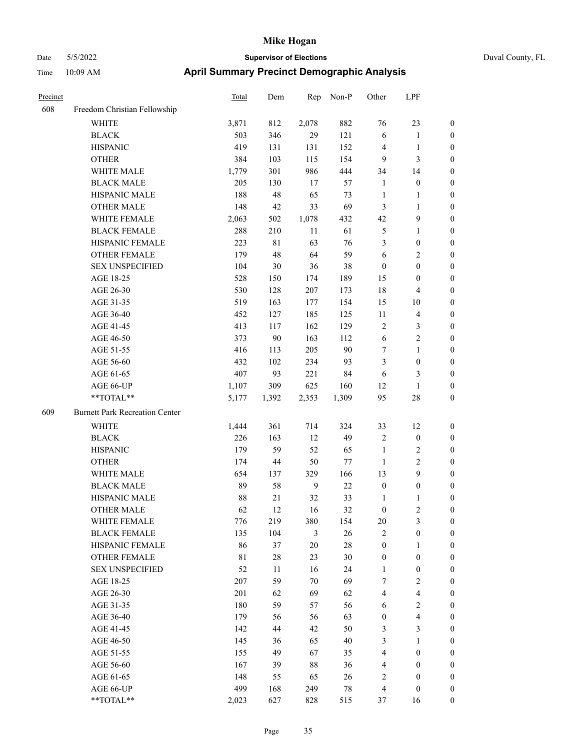| Duval County, FL |  |
|------------------|--|

| Precinct |                                       | <b>Total</b> | Dem    | Rep    | Non-P  | Other                   | LPF                     |                  |
|----------|---------------------------------------|--------------|--------|--------|--------|-------------------------|-------------------------|------------------|
| 608      | Freedom Christian Fellowship          |              |        |        |        |                         |                         |                  |
|          | WHITE                                 | 3,871        | 812    | 2,078  | 882    | 76                      | 23                      | $\boldsymbol{0}$ |
|          | <b>BLACK</b>                          | 503          | 346    | 29     | 121    | 6                       | $\mathbf{1}$            | $\boldsymbol{0}$ |
|          | <b>HISPANIC</b>                       | 419          | 131    | 131    | 152    | $\overline{4}$          | $\mathbf{1}$            | 0                |
|          | <b>OTHER</b>                          | 384          | 103    | 115    | 154    | 9                       | $\mathfrak{Z}$          | 0                |
|          | WHITE MALE                            | 1,779        | 301    | 986    | 444    | 34                      | 14                      | $\boldsymbol{0}$ |
|          | <b>BLACK MALE</b>                     | 205          | 130    | 17     | 57     | $\mathbf{1}$            | $\boldsymbol{0}$        | $\boldsymbol{0}$ |
|          | HISPANIC MALE                         | 188          | 48     | 65     | 73     | $\mathbf{1}$            | $\mathbf{1}$            | $\boldsymbol{0}$ |
|          | <b>OTHER MALE</b>                     | 148          | 42     | 33     | 69     | 3                       | $\mathbf{1}$            | $\boldsymbol{0}$ |
|          | WHITE FEMALE                          | 2,063        | 502    | 1,078  | 432    | 42                      | $\mathbf{9}$            | $\boldsymbol{0}$ |
|          | <b>BLACK FEMALE</b>                   | 288          | 210    | $11\,$ | 61     | 5                       | $\mathbf{1}$            | $\boldsymbol{0}$ |
|          | HISPANIC FEMALE                       | 223          | 81     | 63     | 76     | 3                       | $\boldsymbol{0}$        | $\boldsymbol{0}$ |
|          | OTHER FEMALE                          | 179          | 48     | 64     | 59     | 6                       | $\sqrt{2}$              | 0                |
|          | <b>SEX UNSPECIFIED</b>                | 104          | 30     | 36     | 38     | $\boldsymbol{0}$        | $\boldsymbol{0}$        | 0                |
|          | AGE 18-25                             | 528          | 150    | 174    | 189    | 15                      | $\boldsymbol{0}$        | 0                |
|          | AGE 26-30                             | 530          | 128    | 207    | 173    | 18                      | $\overline{\mathbf{4}}$ | 0                |
|          | AGE 31-35                             | 519          | 163    | 177    | 154    | 15                      | $10\,$                  | $\boldsymbol{0}$ |
|          | AGE 36-40                             | 452          | 127    | 185    | 125    | 11                      | $\overline{\mathbf{4}}$ | $\boldsymbol{0}$ |
|          | AGE 41-45                             | 413          | 117    | 162    | 129    | 2                       | $\mathfrak{Z}$          | $\boldsymbol{0}$ |
|          | AGE 46-50                             | 373          | 90     | 163    | 112    | 6                       | $\sqrt{2}$              | $\boldsymbol{0}$ |
|          | AGE 51-55                             | 416          | 113    | 205    | $90\,$ | 7                       | $\mathbf{1}$            | $\boldsymbol{0}$ |
|          | AGE 56-60                             | 432          | 102    | 234    | 93     | 3                       | $\boldsymbol{0}$        | $\boldsymbol{0}$ |
|          | AGE 61-65                             | 407          | 93     | 221    | 84     | 6                       | $\mathfrak{Z}$          | 0                |
|          | AGE 66-UP                             | 1,107        | 309    | 625    | 160    | 12                      | $\mathbf{1}$            | 0                |
|          | **TOTAL**                             | 5,177        | 1,392  | 2,353  | 1,309  | 95                      | $28\,$                  | 0                |
| 609      | <b>Burnett Park Recreation Center</b> |              |        |        |        |                         |                         |                  |
|          | WHITE                                 | 1,444        | 361    | 714    | 324    | 33                      | 12                      | 0                |
|          | <b>BLACK</b>                          | 226          | 163    | 12     | 49     | $\sqrt{2}$              | $\boldsymbol{0}$        | 0                |
|          | <b>HISPANIC</b>                       | 179          | 59     | 52     | 65     | $\mathbf{1}$            | $\overline{c}$          | 0                |
|          | <b>OTHER</b>                          | 174          | 44     | 50     | 77     | $\mathbf{1}$            | $\sqrt{2}$              | $\boldsymbol{0}$ |
|          | WHITE MALE                            | 654          | 137    | 329    | 166    | 13                      | $\mathbf{9}$            | $\boldsymbol{0}$ |
|          | <b>BLACK MALE</b>                     | 89           | 58     | 9      | $22\,$ | $\boldsymbol{0}$        | $\boldsymbol{0}$        | $\boldsymbol{0}$ |
|          | HISPANIC MALE                         | 88           | 21     | 32     | 33     | $\mathbf{1}$            | $\mathbf{1}$            | $\boldsymbol{0}$ |
|          | <b>OTHER MALE</b>                     | 62           | 12     | 16     | 32     | $\boldsymbol{0}$        | $\mathbf{2}$            | $\boldsymbol{0}$ |
|          | WHITE FEMALE                          | 776          | 219    | 380    | 154    | $20\,$                  | $\mathfrak{Z}$          | 0                |
|          | <b>BLACK FEMALE</b>                   | 135          | 104    | 3      | $26\,$ | $\mathfrak{2}$          | $\boldsymbol{0}$        | 0                |
|          | HISPANIC FEMALE                       | 86           | 37     | 20     | $28\,$ | $\boldsymbol{0}$        | $\mathbf{1}$            | 0                |
|          | OTHER FEMALE                          | $8\sqrt{1}$  | $28\,$ | 23     | 30     | $\boldsymbol{0}$        | $\boldsymbol{0}$        | 0                |
|          | <b>SEX UNSPECIFIED</b>                | 52           | 11     | 16     | 24     | $\mathbf{1}$            | $\boldsymbol{0}$        | 0                |
|          | AGE 18-25                             | 207          | 59     | 70     | 69     | 7                       | $\sqrt{2}$              | $\overline{0}$   |
|          | AGE 26-30                             | 201          | 62     | 69     | 62     | 4                       | $\overline{\mathbf{4}}$ | 0                |
|          | AGE 31-35                             | 180          | 59     | 57     | 56     | 6                       | $\sqrt{2}$              | 0                |
|          | AGE 36-40                             | 179          | 56     | 56     | 63     | $\boldsymbol{0}$        | $\overline{\mathbf{4}}$ | 0                |
|          | AGE 41-45                             | 142          | 44     | 42     | 50     | 3                       | $\mathfrak{Z}$          | $\overline{0}$   |
|          | AGE 46-50                             | 145          | 36     | 65     | $40\,$ | $\mathfrak{Z}$          | $\mathbf{1}$            | $\overline{0}$   |
|          | AGE 51-55                             | 155          | 49     | 67     | 35     | $\overline{4}$          | $\boldsymbol{0}$        | 0                |
|          | AGE 56-60                             | 167          | 39     | $88\,$ | 36     | $\overline{\mathbf{4}}$ | $\boldsymbol{0}$        | 0                |
|          | AGE 61-65                             | 148          | 55     | 65     | 26     | $\sqrt{2}$              | $\boldsymbol{0}$        | $\overline{0}$   |
|          | AGE 66-UP                             | 499          | 168    | 249    | 78     | $\overline{4}$          | $\boldsymbol{0}$        | 0                |
|          | **TOTAL**                             | 2,023        | 627    | 828    | 515    | 37                      | 16                      | $\boldsymbol{0}$ |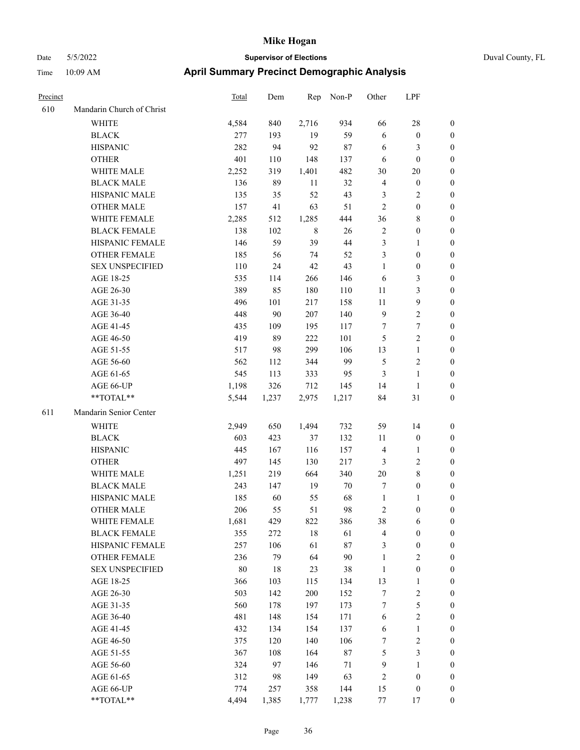# Date 5/5/2022 **Supervisor of Elections** Duval County, FL Time 10:09 AM **April Summary Precinct Demographic Analysis**

| Precinct |                           | <b>Total</b> | Dem   | Rep   | Non-P  | Other            | LPF              |                  |
|----------|---------------------------|--------------|-------|-------|--------|------------------|------------------|------------------|
| 610      | Mandarin Church of Christ |              |       |       |        |                  |                  |                  |
|          | <b>WHITE</b>              | 4,584        | 840   | 2,716 | 934    | 66               | 28               | $\mathbf{0}$     |
|          | <b>BLACK</b>              | 277          | 193   | 19    | 59     | 6                | $\boldsymbol{0}$ | $\mathbf{0}$     |
|          | <b>HISPANIC</b>           | 282          | 94    | 92    | $87\,$ | 6                | 3                | $\boldsymbol{0}$ |
|          | <b>OTHER</b>              | 401          | 110   | 148   | 137    | 6                | $\mathbf{0}$     | $\boldsymbol{0}$ |
|          | WHITE MALE                | 2,252        | 319   | 1,401 | 482    | 30               | 20               | $\boldsymbol{0}$ |
|          | <b>BLACK MALE</b>         | 136          | 89    | 11    | 32     | $\overline{4}$   | $\boldsymbol{0}$ | $\boldsymbol{0}$ |
|          | HISPANIC MALE             | 135          | 35    | 52    | 43     | $\mathfrak{Z}$   | 2                | $\boldsymbol{0}$ |
|          | <b>OTHER MALE</b>         | 157          | 41    | 63    | 51     | $\overline{2}$   | $\boldsymbol{0}$ | $\boldsymbol{0}$ |
|          | WHITE FEMALE              | 2,285        | 512   | 1,285 | 444    | 36               | 8                | $\boldsymbol{0}$ |
|          | <b>BLACK FEMALE</b>       | 138          | 102   | 8     | 26     | $\sqrt{2}$       | $\boldsymbol{0}$ | $\boldsymbol{0}$ |
|          | HISPANIC FEMALE           | 146          | 59    | 39    | 44     | $\mathfrak{Z}$   | 1                | $\boldsymbol{0}$ |
|          | <b>OTHER FEMALE</b>       | 185          | 56    | 74    | 52     | 3                | $\boldsymbol{0}$ | $\boldsymbol{0}$ |
|          | <b>SEX UNSPECIFIED</b>    | 110          | 24    | 42    | 43     | $\mathbf{1}$     | $\boldsymbol{0}$ | $\boldsymbol{0}$ |
|          | AGE 18-25                 | 535          | 114   | 266   | 146    | 6                | 3                | $\boldsymbol{0}$ |
|          | AGE 26-30                 | 389          | 85    | 180   | 110    | 11               | 3                | $\boldsymbol{0}$ |
|          | AGE 31-35                 | 496          | 101   | 217   | 158    | 11               | 9                | $\boldsymbol{0}$ |
|          | AGE 36-40                 | 448          | 90    | 207   | 140    | 9                | $\overline{c}$   | $\boldsymbol{0}$ |
|          | AGE 41-45                 | 435          | 109   | 195   | 117    | $\tau$           | 7                | $\boldsymbol{0}$ |
|          | AGE 46-50                 | 419          | 89    | 222   | 101    | 5                | $\overline{c}$   | $\boldsymbol{0}$ |
|          | AGE 51-55                 | 517          | 98    | 299   | 106    | 13               | $\mathbf{1}$     | $\boldsymbol{0}$ |
|          | AGE 56-60                 | 562          | 112   | 344   | 99     | 5                | 2                | $\boldsymbol{0}$ |
|          | AGE 61-65                 | 545          | 113   | 333   | 95     | 3                | $\mathbf{1}$     | $\boldsymbol{0}$ |
|          | AGE 66-UP                 | 1,198        | 326   | 712   | 145    | 14               | 1                | $\mathbf{0}$     |
|          | **TOTAL**                 | 5,544        | 1,237 | 2,975 | 1,217  | 84               | 31               | $\boldsymbol{0}$ |
| 611      | Mandarin Senior Center    |              |       |       |        |                  |                  |                  |
|          | <b>WHITE</b>              | 2,949        | 650   | 1,494 | 732    | 59               | 14               | $\boldsymbol{0}$ |
|          | <b>BLACK</b>              | 603          | 423   | 37    | 132    | 11               | $\boldsymbol{0}$ | $\boldsymbol{0}$ |
|          | <b>HISPANIC</b>           | 445          | 167   | 116   | 157    | $\overline{4}$   | 1                | $\boldsymbol{0}$ |
|          | <b>OTHER</b>              | 497          | 145   | 130   | 217    | $\mathfrak{Z}$   | 2                | $\boldsymbol{0}$ |
|          | WHITE MALE                | 1,251        | 219   | 664   | 340    | 20               | 8                | $\boldsymbol{0}$ |
|          | <b>BLACK MALE</b>         | 243          | 147   | 19    | 70     | $\tau$           | $\boldsymbol{0}$ | $\boldsymbol{0}$ |
|          | HISPANIC MALE             | 185          | 60    | 55    | 68     | $\mathbf{1}$     | 1                | $\boldsymbol{0}$ |
|          | <b>OTHER MALE</b>         | 206          | 55    | 51    | 98     | $\overline{2}$   | $\boldsymbol{0}$ | $\boldsymbol{0}$ |
|          | WHITE FEMALE              | 1,681        | 429   | 822   | 386    | 38               | 6                | $\boldsymbol{0}$ |
|          | <b>BLACK FEMALE</b>       | 355          | 272   | 18    | 61     | $\overline{4}$   | $\boldsymbol{0}$ | $\boldsymbol{0}$ |
|          | HISPANIC FEMALE           | 257          | 106   | 61    | $87\,$ | $\mathfrak{Z}$   | $\boldsymbol{0}$ | $\boldsymbol{0}$ |
|          | <b>OTHER FEMALE</b>       | 236          | 79    | 64    | 90     | $\mathbf{1}$     | $\sqrt{2}$       | $\boldsymbol{0}$ |
|          | <b>SEX UNSPECIFIED</b>    | $80\,$       | 18    | 23    | 38     | $\mathbf{1}$     | $\boldsymbol{0}$ | $\boldsymbol{0}$ |
|          | AGE 18-25                 | 366          | 103   | 115   | 134    | 13               | 1                | $\boldsymbol{0}$ |
|          | AGE 26-30                 | 503          | 142   | 200   | 152    | $\tau$           | $\mathbf{2}$     | $\boldsymbol{0}$ |
|          | AGE 31-35                 | 560          | 178   | 197   | 173    | $\boldsymbol{7}$ | 5                | $\boldsymbol{0}$ |
|          | AGE 36-40                 | 481          | 148   | 154   | 171    | 6                | $\overline{c}$   | $\boldsymbol{0}$ |
|          | AGE 41-45                 | 432          | 134   | 154   | 137    | 6                | $\mathbf{1}$     | $\boldsymbol{0}$ |
|          | AGE 46-50                 | 375          | 120   | 140   | 106    | 7                | 2                | $\boldsymbol{0}$ |
|          | AGE 51-55                 | 367          | 108   | 164   | $87\,$ | 5                | 3                | $\boldsymbol{0}$ |
|          | AGE 56-60                 | 324          | 97    | 146   | 71     | 9                | $\mathbf{1}$     | $\boldsymbol{0}$ |
|          | AGE 61-65                 | 312          | 98    | 149   | 63     | $\overline{2}$   | $\boldsymbol{0}$ | $\boldsymbol{0}$ |
|          | AGE 66-UP                 | 774          | 257   | 358   | 144    | 15               | $\boldsymbol{0}$ | $\boldsymbol{0}$ |

\*\*TOTAL\*\* 4,494 1,385 1,777 1,238 77 17 0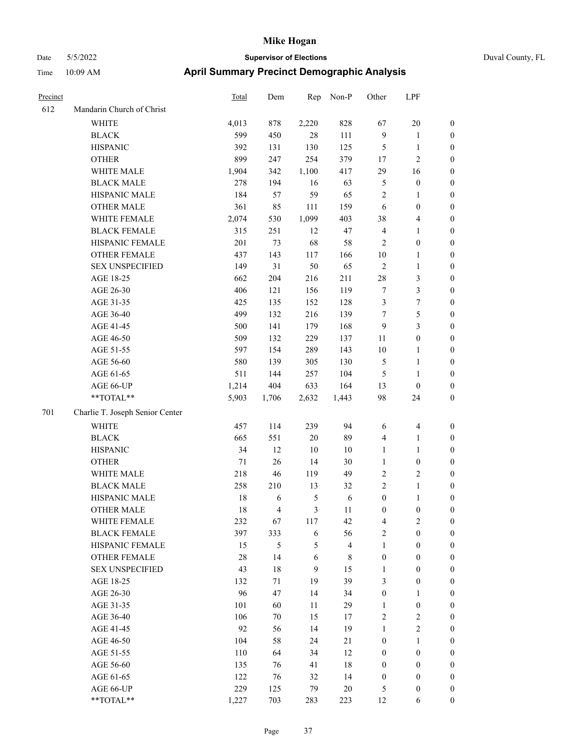| Precinct |                                 | <b>Total</b> | Dem   | Rep           | Non-P                   | Other            | LPF                     |                  |
|----------|---------------------------------|--------------|-------|---------------|-------------------------|------------------|-------------------------|------------------|
| 612      | Mandarin Church of Christ       |              |       |               |                         |                  |                         |                  |
|          | WHITE                           | 4,013        | 878   | 2,220         | 828                     | 67               | $20\,$                  | $\boldsymbol{0}$ |
|          | <b>BLACK</b>                    | 599          | 450   | 28            | 111                     | $\overline{9}$   | $\mathbf{1}$            | $\boldsymbol{0}$ |
|          | <b>HISPANIC</b>                 | 392          | 131   | 130           | 125                     | 5                | $\mathbf{1}$            | 0                |
|          | <b>OTHER</b>                    | 899          | 247   | 254           | 379                     | 17               | $\sqrt{2}$              | 0                |
|          | WHITE MALE                      | 1,904        | 342   | 1,100         | 417                     | 29               | 16                      | $\boldsymbol{0}$ |
|          | <b>BLACK MALE</b>               | 278          | 194   | 16            | 63                      | 5                | $\boldsymbol{0}$        | $\boldsymbol{0}$ |
|          | HISPANIC MALE                   | 184          | 57    | 59            | 65                      | $\overline{c}$   | $\mathbf{1}$            | $\boldsymbol{0}$ |
|          | <b>OTHER MALE</b>               | 361          | 85    | 111           | 159                     | 6                | $\boldsymbol{0}$        | $\boldsymbol{0}$ |
|          | WHITE FEMALE                    | 2,074        | 530   | 1,099         | 403                     | 38               | $\overline{\mathbf{4}}$ | $\boldsymbol{0}$ |
|          | <b>BLACK FEMALE</b>             | 315          | 251   | 12            | 47                      | $\overline{4}$   | $\mathbf{1}$            | $\boldsymbol{0}$ |
|          | HISPANIC FEMALE                 | 201          | 73    | 68            | 58                      | $\overline{2}$   | $\boldsymbol{0}$        | $\boldsymbol{0}$ |
|          | OTHER FEMALE                    | 437          | 143   | 117           | 166                     | $10\,$           | $\mathbf{1}$            | $\boldsymbol{0}$ |
|          | <b>SEX UNSPECIFIED</b>          | 149          | 31    | 50            | 65                      | $\sqrt{2}$       | $\mathbf{1}$            | 0                |
|          | AGE 18-25                       | 662          | 204   | 216           | 211                     | $28\,$           | $\mathfrak{Z}$          | 0                |
|          | AGE 26-30                       | 406          | 121   | 156           | 119                     | 7                | $\mathfrak{Z}$          | 0                |
|          | AGE 31-35                       | 425          | 135   | 152           | 128                     | 3                | $\boldsymbol{7}$        | $\boldsymbol{0}$ |
|          | AGE 36-40                       | 499          | 132   | 216           | 139                     | 7                | $\mathfrak{S}$          | $\boldsymbol{0}$ |
|          | AGE 41-45                       | 500          | 141   | 179           | 168                     | $\overline{9}$   | $\mathfrak{Z}$          | $\boldsymbol{0}$ |
|          | AGE 46-50                       | 509          | 132   | 229           | 137                     | 11               | $\boldsymbol{0}$        | $\boldsymbol{0}$ |
|          | AGE 51-55                       | 597          | 154   | 289           | 143                     | $10\,$           | $\mathbf{1}$            | $\boldsymbol{0}$ |
|          | AGE 56-60                       | 580          | 139   | 305           | 130                     | 5                | $\mathbf{1}$            | $\boldsymbol{0}$ |
|          | AGE 61-65                       | 511          | 144   | 257           | 104                     | $\mathfrak{S}$   | $\mathbf{1}$            | 0                |
|          | AGE 66-UP                       | 1,214        | 404   | 633           | 164                     | 13               | $\boldsymbol{0}$        | 0                |
|          | **TOTAL**                       | 5,903        | 1,706 | 2,632         | 1,443                   | 98               | 24                      | 0                |
| 701      | Charlie T. Joseph Senior Center |              |       |               |                         |                  |                         |                  |
|          | WHITE                           | 457          | 114   | 239           | 94                      | 6                | $\overline{\mathbf{4}}$ | 0                |
|          | <b>BLACK</b>                    | 665          | 551   | $20\,$        | 89                      | 4                | $\mathbf{1}$            | $\boldsymbol{0}$ |
|          | <b>HISPANIC</b>                 | 34           | 12    | 10            | 10                      | $\mathbf{1}$     | $\mathbf{1}$            | $\boldsymbol{0}$ |
|          | <b>OTHER</b>                    | 71           | 26    | 14            | 30                      | $\mathbf{1}$     | $\boldsymbol{0}$        | $\boldsymbol{0}$ |
|          | WHITE MALE                      | 218          | 46    | 119           | 49                      | $\overline{c}$   | $\sqrt{2}$              | $\boldsymbol{0}$ |
|          | <b>BLACK MALE</b>               | 258          | 210   | 13            | 32                      | $\sqrt{2}$       | $\mathbf{1}$            | $\boldsymbol{0}$ |
|          | HISPANIC MALE                   | 18           | 6     | $\mathfrak s$ | 6                       | $\boldsymbol{0}$ | $\mathbf{1}$            | $\boldsymbol{0}$ |
|          | <b>OTHER MALE</b>               | 18           | 4     | 3             | 11                      | $\boldsymbol{0}$ | $\boldsymbol{0}$        | $\boldsymbol{0}$ |
|          | WHITE FEMALE                    | 232          | 67    | 117           | 42                      | 4                | $\sqrt{2}$              | 0                |
|          | <b>BLACK FEMALE</b>             | 397          | 333   | $\sqrt{6}$    | 56                      | $\mathbf{2}$     | $\boldsymbol{0}$        | 0                |
|          | HISPANIC FEMALE                 | 15           | 5     | 5             | $\overline{\mathbf{4}}$ | $\mathbf{1}$     | $\boldsymbol{0}$        | 0                |
|          | OTHER FEMALE                    | $28\,$       | 14    | $\sqrt{6}$    | $8\,$                   | $\boldsymbol{0}$ | $\boldsymbol{0}$        | 0                |
|          | <b>SEX UNSPECIFIED</b>          | 43           | 18    | 9             | 15                      | $\mathbf{1}$     | $\boldsymbol{0}$        | 0                |
|          | AGE 18-25                       | 132          | 71    | 19            | 39                      | 3                | $\boldsymbol{0}$        | $\overline{0}$   |
|          | AGE 26-30                       | 96           | 47    | 14            | 34                      | $\boldsymbol{0}$ | $\mathbf{1}$            | 0                |
|          | AGE 31-35                       | 101          | 60    | 11            | 29                      | $\mathbf{1}$     | $\boldsymbol{0}$        | 0                |
|          | AGE 36-40                       | 106          | 70    | 15            | 17                      | $\overline{c}$   | $\sqrt{2}$              | 0                |
|          | AGE 41-45                       | 92           | 56    | 14            | 19                      | $\mathbf{1}$     | $\overline{2}$          | $\overline{0}$   |
|          | AGE 46-50                       | 104          | 58    | 24            | 21                      | $\boldsymbol{0}$ | $\mathbf{1}$            | $\overline{0}$   |
|          | AGE 51-55                       | 110          | 64    | 34            | 12                      | $\boldsymbol{0}$ | $\boldsymbol{0}$        | 0                |
|          | AGE 56-60                       | 135          | 76    | 41            | $18\,$                  | $\boldsymbol{0}$ | $\boldsymbol{0}$        | 0                |
|          | AGE 61-65                       | 122          | 76    | 32            | 14                      | $\boldsymbol{0}$ | $\boldsymbol{0}$        | $\overline{0}$   |
|          | AGE 66-UP                       | 229          | 125   | 79            | $20\,$                  | 5                | $\boldsymbol{0}$        | 0                |
|          | **TOTAL**                       | 1,227        | 703   | 283           | 223                     | 12               | 6                       | $\boldsymbol{0}$ |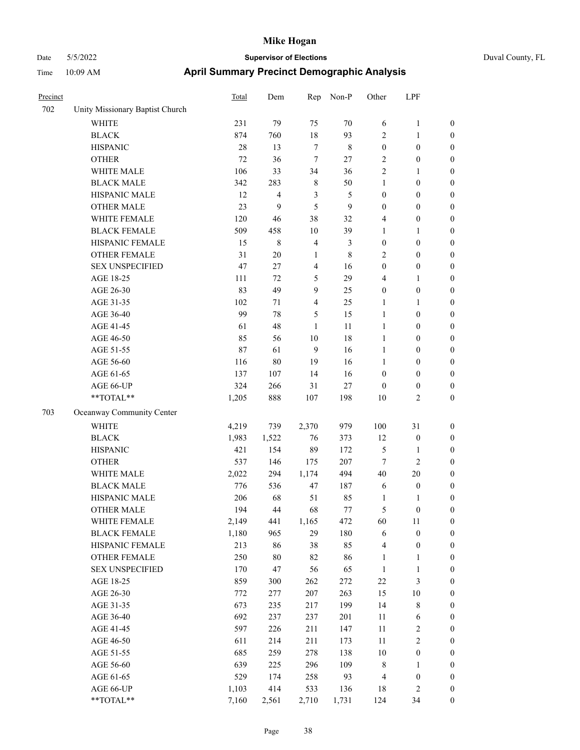| Precinct |                                 | Total  | Dem            | Rep            | Non-P       | Other            | LPF              |                  |
|----------|---------------------------------|--------|----------------|----------------|-------------|------------------|------------------|------------------|
| 702      | Unity Missionary Baptist Church |        |                |                |             |                  |                  |                  |
|          | WHITE                           | 231    | 79             | 75             | 70          | 6                | $\mathbf{1}$     | $\boldsymbol{0}$ |
|          | <b>BLACK</b>                    | 874    | 760            | $18\,$         | 93          | $\mathbf{2}$     | $\mathbf{1}$     | $\boldsymbol{0}$ |
|          | <b>HISPANIC</b>                 | 28     | 13             | $\tau$         | $\,$ 8 $\,$ | $\boldsymbol{0}$ | $\boldsymbol{0}$ | 0                |
|          | <b>OTHER</b>                    | $72\,$ | 36             | $\tau$         | $27\,$      | $\overline{c}$   | $\boldsymbol{0}$ | $\boldsymbol{0}$ |
|          | WHITE MALE                      | 106    | 33             | 34             | 36          | $\overline{c}$   | 1                | $\boldsymbol{0}$ |
|          | <b>BLACK MALE</b>               | 342    | 283            | $\,$ 8 $\,$    | 50          | $\mathbf{1}$     | $\boldsymbol{0}$ | $\boldsymbol{0}$ |
|          | HISPANIC MALE                   | 12     | $\overline{4}$ | 3              | 5           | $\boldsymbol{0}$ | $\boldsymbol{0}$ | $\boldsymbol{0}$ |
|          | <b>OTHER MALE</b>               | 23     | 9              | 5              | 9           | $\boldsymbol{0}$ | $\boldsymbol{0}$ | $\boldsymbol{0}$ |
|          | WHITE FEMALE                    | 120    | 46             | 38             | 32          | 4                | $\boldsymbol{0}$ | $\boldsymbol{0}$ |
|          | <b>BLACK FEMALE</b>             | 509    | 458            | 10             | 39          | 1                | 1                | $\boldsymbol{0}$ |
|          | HISPANIC FEMALE                 | 15     | $\,$ 8 $\,$    | $\overline{4}$ | 3           | $\boldsymbol{0}$ | $\boldsymbol{0}$ | $\boldsymbol{0}$ |
|          | OTHER FEMALE                    | 31     | 20             | $\mathbf{1}$   | $\,$ 8 $\,$ | $\overline{2}$   | $\boldsymbol{0}$ | 0                |
|          | <b>SEX UNSPECIFIED</b>          | 47     | 27             | $\overline{4}$ | 16          | $\boldsymbol{0}$ | $\boldsymbol{0}$ | 0                |
|          | AGE 18-25                       | 111    | 72             | 5              | 29          | 4                | $\mathbf{1}$     | $\boldsymbol{0}$ |
|          | AGE 26-30                       | 83     | 49             | 9              | 25          | $\boldsymbol{0}$ | $\boldsymbol{0}$ | $\boldsymbol{0}$ |
|          | AGE 31-35                       | 102    | 71             | 4              | 25          | 1                | 1                | $\boldsymbol{0}$ |
|          | AGE 36-40                       | 99     | 78             | 5              | 15          | $\mathbf{1}$     | $\boldsymbol{0}$ | $\boldsymbol{0}$ |
|          | AGE 41-45                       | 61     | 48             | 1              | 11          | $\mathbf{1}$     | $\boldsymbol{0}$ | $\boldsymbol{0}$ |
|          | AGE 46-50                       | 85     | 56             | 10             | 18          | $\mathbf{1}$     | $\boldsymbol{0}$ | $\boldsymbol{0}$ |
|          | AGE 51-55                       | 87     | 61             | $\overline{9}$ | 16          | $\mathbf{1}$     | $\boldsymbol{0}$ | $\boldsymbol{0}$ |
|          | AGE 56-60                       | 116    | $80\,$         | 19             | 16          | $\mathbf{1}$     | $\boldsymbol{0}$ | $\boldsymbol{0}$ |
|          | AGE 61-65                       | 137    | 107            | 14             | 16          | $\boldsymbol{0}$ | $\boldsymbol{0}$ | 0                |
|          | AGE 66-UP                       | 324    | 266            | 31             | $27\,$      | $\boldsymbol{0}$ | $\boldsymbol{0}$ | 0                |
|          | $**TOTAL**$                     | 1,205  | 888            | 107            | 198         | 10               | $\mathbf{2}$     | $\boldsymbol{0}$ |
| 703      | Oceanway Community Center       |        |                |                |             |                  |                  |                  |
|          | <b>WHITE</b>                    | 4,219  | 739            | 2,370          | 979         | 100              | 31               | $\boldsymbol{0}$ |
|          | <b>BLACK</b>                    | 1,983  | 1,522          | 76             | 373         | 12               | $\boldsymbol{0}$ | $\boldsymbol{0}$ |
|          | <b>HISPANIC</b>                 | 421    | 154            | 89             | 172         | 5                | 1                | $\boldsymbol{0}$ |
|          | <b>OTHER</b>                    | 537    | 146            | 175            | 207         | 7                | $\mathbf{2}$     | $\boldsymbol{0}$ |
|          | WHITE MALE                      | 2,022  | 294            | 1,174          | 494         | 40               | 20               | $\boldsymbol{0}$ |
|          | <b>BLACK MALE</b>               | 776    | 536            | 47             | 187         | 6                | $\boldsymbol{0}$ | $\boldsymbol{0}$ |
|          | HISPANIC MALE                   | 206    | 68             | 51             | 85          | 1                | 1                | $\boldsymbol{0}$ |
|          | <b>OTHER MALE</b>               | 194    | 44             | 68             | 77          | 5                | $\boldsymbol{0}$ | $\boldsymbol{0}$ |
|          | WHITE FEMALE                    | 2,149  | 441            | 1,165          | 472         | 60               | 11               | 0                |
|          | <b>BLACK FEMALE</b>             | 1,180  | 965            | 29             | 180         | 6                | $\boldsymbol{0}$ | 0                |
|          | HISPANIC FEMALE                 | 213    | 86             | 38             | 85          | $\overline{4}$   | $\boldsymbol{0}$ | 0                |
|          | <b>OTHER FEMALE</b>             | 250    | $80\,$         | 82             | 86          | 1                | $\mathbf{1}$     | 0                |
|          | <b>SEX UNSPECIFIED</b>          | 170    | 47             | 56             | 65          | $\mathbf{1}$     | $\mathbf{1}$     | $\boldsymbol{0}$ |
|          | AGE 18-25                       | 859    | 300            | 262            | 272         | $22\,$           | $\mathfrak{Z}$   | 0                |
|          | AGE 26-30                       | 772    | 277            | 207            | 263         | 15               | $10\,$           | 0                |
|          | AGE 31-35                       | 673    | 235            | 217            | 199         | 14               | $\,$ 8 $\,$      | 0                |
|          | AGE 36-40                       | 692    | 237            | 237            | 201         | 11               | 6                | 0                |
|          | AGE 41-45                       | 597    | 226            | 211            | 147         | $11\,$           | $\sqrt{2}$       | 0                |
|          | AGE 46-50                       | 611    | 214            | 211            | 173         | $11\,$           | $\sqrt{2}$       | 0                |
|          | AGE 51-55                       | 685    | 259            | 278            | 138         | $10\,$           | $\boldsymbol{0}$ | 0                |
|          | AGE 56-60                       | 639    | 225            | 296            | 109         | $\,$ 8 $\,$      | $\mathbf{1}$     | 0                |
|          | AGE 61-65                       | 529    | 174            | 258            | 93          | 4                | $\boldsymbol{0}$ | $\boldsymbol{0}$ |
|          | AGE 66-UP                       | 1,103  | 414            | 533            | 136         | 18               | $\sqrt{2}$       | $\boldsymbol{0}$ |
|          | $**TOTAL**$                     | 7,160  | 2,561          | 2,710          | 1,731       | 124              | 34               | $\boldsymbol{0}$ |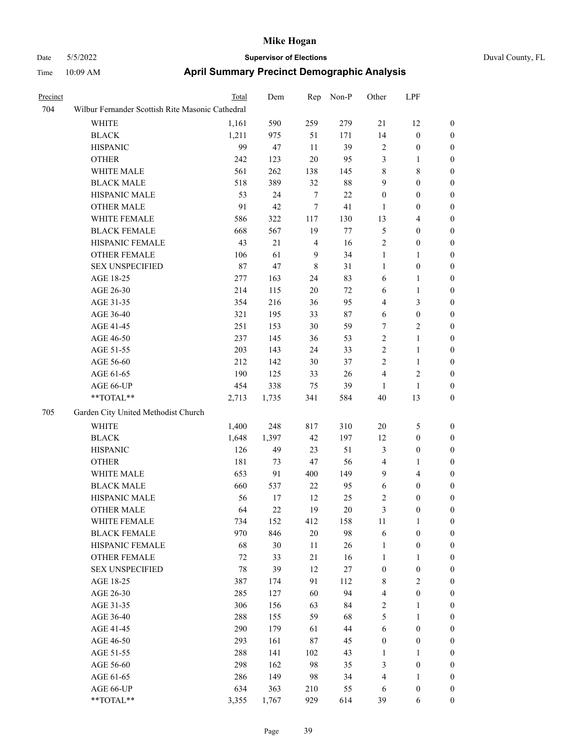| Precinct |                                                  | <b>Total</b> | Dem   | Rep            | Non-P  | Other            | LPF              |                  |  |  |
|----------|--------------------------------------------------|--------------|-------|----------------|--------|------------------|------------------|------------------|--|--|
| 704      | Wilbur Fernander Scottish Rite Masonic Cathedral |              |       |                |        |                  |                  |                  |  |  |
|          | WHITE                                            | 1,161        | 590   | 259            | 279    | 21               | 12               | $\mathbf{0}$     |  |  |
|          | <b>BLACK</b>                                     | 1,211        | 975   | 51             | 171    | 14               | $\boldsymbol{0}$ | $\mathbf{0}$     |  |  |
|          | <b>HISPANIC</b>                                  | 99           | 47    | 11             | 39     | $\overline{2}$   | $\boldsymbol{0}$ | $\boldsymbol{0}$ |  |  |
|          | <b>OTHER</b>                                     | 242          | 123   | 20             | 95     | 3                | 1                | $\boldsymbol{0}$ |  |  |
|          | WHITE MALE                                       | 561          | 262   | 138            | 145    | $\,$ 8 $\,$      | 8                | $\boldsymbol{0}$ |  |  |
|          | <b>BLACK MALE</b>                                | 518          | 389   | 32             | $88\,$ | 9                | $\boldsymbol{0}$ | $\boldsymbol{0}$ |  |  |
|          | HISPANIC MALE                                    | 53           | 24    | $\overline{7}$ | 22     | $\boldsymbol{0}$ | $\boldsymbol{0}$ | $\boldsymbol{0}$ |  |  |
|          | <b>OTHER MALE</b>                                | 91           | 42    | 7              | 41     | $\mathbf{1}$     | $\boldsymbol{0}$ | $\boldsymbol{0}$ |  |  |
|          | WHITE FEMALE                                     | 586          | 322   | 117            | 130    | 13               | 4                | $\boldsymbol{0}$ |  |  |
|          | <b>BLACK FEMALE</b>                              | 668          | 567   | 19             | 77     | $\mathfrak{S}$   | $\boldsymbol{0}$ | $\boldsymbol{0}$ |  |  |
|          | HISPANIC FEMALE                                  | 43           | 21    | $\overline{4}$ | 16     | $\sqrt{2}$       | $\boldsymbol{0}$ | $\boldsymbol{0}$ |  |  |
|          | <b>OTHER FEMALE</b>                              | 106          | 61    | 9              | 34     | 1                | 1                | $\boldsymbol{0}$ |  |  |
|          | <b>SEX UNSPECIFIED</b>                           | 87           | 47    | $\,$ 8 $\,$    | 31     | $\mathbf{1}$     | $\boldsymbol{0}$ | $\boldsymbol{0}$ |  |  |
|          | AGE 18-25                                        | 277          | 163   | 24             | 83     | 6                | 1                | $\boldsymbol{0}$ |  |  |
|          | AGE 26-30                                        | 214          | 115   | 20             | 72     | 6                | 1                | $\boldsymbol{0}$ |  |  |
|          | AGE 31-35                                        | 354          | 216   | 36             | 95     | $\overline{4}$   | 3                | $\boldsymbol{0}$ |  |  |
|          | AGE 36-40                                        | 321          | 195   | 33             | 87     | 6                | $\boldsymbol{0}$ | $\boldsymbol{0}$ |  |  |
|          | AGE 41-45                                        | 251          | 153   | 30             | 59     | $\tau$           | 2                | $\boldsymbol{0}$ |  |  |
|          | AGE 46-50                                        | 237          | 145   | 36             | 53     | $\sqrt{2}$       | 1                | $\boldsymbol{0}$ |  |  |
|          | AGE 51-55                                        | 203          | 143   | 24             | 33     | $\sqrt{2}$       | 1                | $\boldsymbol{0}$ |  |  |
|          | AGE 56-60                                        | 212          | 142   | 30             | 37     | $\overline{2}$   | 1                | $\boldsymbol{0}$ |  |  |
|          | AGE 61-65                                        | 190          | 125   | 33             | 26     | $\overline{4}$   | 2                | $\boldsymbol{0}$ |  |  |
|          | AGE 66-UP                                        | 454          | 338   | 75             | 39     | $\mathbf{1}$     | $\mathbf{1}$     | $\boldsymbol{0}$ |  |  |
|          | **TOTAL**                                        | 2,713        | 1,735 | 341            | 584    | 40               | 13               | $\boldsymbol{0}$ |  |  |
| 705      | Garden City United Methodist Church              |              |       |                |        |                  |                  |                  |  |  |
|          | <b>WHITE</b>                                     | 1,400        | 248   | 817            | 310    | 20               | 5                | $\boldsymbol{0}$ |  |  |
|          | <b>BLACK</b>                                     | 1,648        | 1,397 | 42             | 197    | 12               | $\boldsymbol{0}$ | $\boldsymbol{0}$ |  |  |
|          | <b>HISPANIC</b>                                  | 126          | 49    | 23             | 51     | 3                | $\boldsymbol{0}$ | $\boldsymbol{0}$ |  |  |
|          | <b>OTHER</b>                                     | 181          | 73    | 47             | 56     | $\overline{4}$   | 1                | $\boldsymbol{0}$ |  |  |
|          | WHITE MALE                                       | 653          | 91    | 400            | 149    | 9                | 4                | $\boldsymbol{0}$ |  |  |
|          | <b>BLACK MALE</b>                                | 660          | 537   | 22             | 95     | 6                | 0                | $\boldsymbol{0}$ |  |  |
|          | HISPANIC MALE                                    | 56           | 17    | 12             | 25     | $\sqrt{2}$       | $\boldsymbol{0}$ | $\boldsymbol{0}$ |  |  |
|          | <b>OTHER MALE</b>                                | 64           | 22    | 19             | 20     | 3                | $\boldsymbol{0}$ | $\boldsymbol{0}$ |  |  |
|          | WHITE FEMALE                                     | 734          | 152   | 412            | 158    | $11\,$           | $\mathbf{1}$     | $\mathbf{0}$     |  |  |
|          | <b>BLACK FEMALE</b>                              | 970          | 846   | $20\,$         | 98     | 6                | $\boldsymbol{0}$ | $\boldsymbol{0}$ |  |  |
|          | HISPANIC FEMALE                                  | 68           | 30    | 11             | 26     | 1                | $\boldsymbol{0}$ | $\boldsymbol{0}$ |  |  |
|          | <b>OTHER FEMALE</b>                              | $72\,$       | 33    | 21             | 16     | $\mathbf{1}$     | 1                | $\boldsymbol{0}$ |  |  |
|          | <b>SEX UNSPECIFIED</b>                           | 78           | 39    | 12             | $27\,$ | $\boldsymbol{0}$ | $\boldsymbol{0}$ | $\boldsymbol{0}$ |  |  |
|          | AGE 18-25                                        | 387          | 174   | 91             | 112    | $\,$ 8 $\,$      | $\mathbf{2}$     | $\boldsymbol{0}$ |  |  |
|          | AGE 26-30                                        | 285          | 127   | 60             | 94     | $\overline{4}$   | $\boldsymbol{0}$ | $\boldsymbol{0}$ |  |  |
|          | AGE 31-35                                        | 306          | 156   | 63             | 84     | $\sqrt{2}$       | 1                | $\boldsymbol{0}$ |  |  |
|          | AGE 36-40                                        | 288          | 155   | 59             | 68     | $\mathfrak s$    | 1                | $\boldsymbol{0}$ |  |  |
|          | AGE 41-45                                        | 290          | 179   | 61             | $44\,$ | 6                | $\boldsymbol{0}$ | $\boldsymbol{0}$ |  |  |
|          | AGE 46-50                                        | 293          | 161   | 87             | 45     | $\boldsymbol{0}$ | $\boldsymbol{0}$ | $\boldsymbol{0}$ |  |  |
|          | AGE 51-55                                        | 288          | 141   | 102            | 43     | $\mathbf{1}$     | 1                | $\boldsymbol{0}$ |  |  |
|          | AGE 56-60                                        | 298          | 162   | 98             | 35     | $\mathfrak{Z}$   | $\boldsymbol{0}$ | $\boldsymbol{0}$ |  |  |
|          | AGE 61-65                                        | 286          | 149   | 98             | 34     | $\overline{4}$   | 1                | $\boldsymbol{0}$ |  |  |
|          | AGE 66-UP                                        | 634          | 363   | 210            | 55     | 6                | $\boldsymbol{0}$ | $\mathbf{0}$     |  |  |
|          | **TOTAL**                                        | 3,355        | 1,767 | 929            | 614    | 39               | 6                | $\mathbf{0}$     |  |  |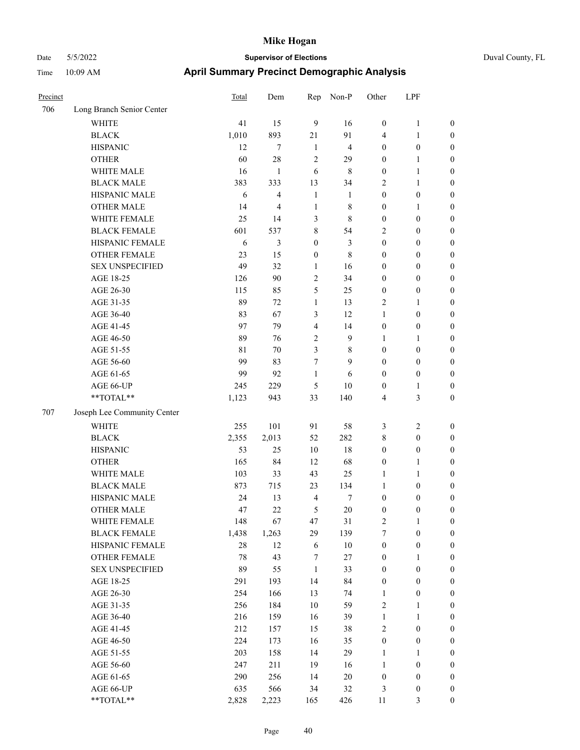| Precinct |                             | Total | Dem            | Rep              | Non-P          | Other            | LPF              |                  |
|----------|-----------------------------|-------|----------------|------------------|----------------|------------------|------------------|------------------|
| 706      | Long Branch Senior Center   |       |                |                  |                |                  |                  |                  |
|          | <b>WHITE</b>                | 41    | 15             | 9                | 16             | $\boldsymbol{0}$ | $\mathbf{1}$     | $\boldsymbol{0}$ |
|          | <b>BLACK</b>                | 1,010 | 893            | 21               | 91             | $\overline{4}$   | 1                | $\boldsymbol{0}$ |
|          | <b>HISPANIC</b>             | 12    | $\tau$         | 1                | $\overline{4}$ | $\boldsymbol{0}$ | $\boldsymbol{0}$ | $\boldsymbol{0}$ |
|          | <b>OTHER</b>                | 60    | 28             | $\overline{2}$   | 29             | $\boldsymbol{0}$ | 1                | $\boldsymbol{0}$ |
|          | WHITE MALE                  | 16    | 1              | 6                | 8              | $\boldsymbol{0}$ | $\mathbf{1}$     | $\boldsymbol{0}$ |
|          | <b>BLACK MALE</b>           | 383   | 333            | 13               | 34             | $\overline{2}$   | 1                | $\boldsymbol{0}$ |
|          | HISPANIC MALE               | 6     | $\overline{4}$ | $\mathbf{1}$     | $\mathbf{1}$   | $\boldsymbol{0}$ | $\boldsymbol{0}$ | $\boldsymbol{0}$ |
|          | <b>OTHER MALE</b>           | 14    | $\overline{4}$ | 1                | 8              | $\boldsymbol{0}$ | 1                | $\boldsymbol{0}$ |
|          | WHITE FEMALE                | 25    | 14             | 3                | 8              | $\boldsymbol{0}$ | $\boldsymbol{0}$ | $\boldsymbol{0}$ |
|          | <b>BLACK FEMALE</b>         | 601   | 537            | $\,8\,$          | 54             | $\overline{2}$   | $\boldsymbol{0}$ | $\boldsymbol{0}$ |
|          | HISPANIC FEMALE             | 6     | 3              | $\boldsymbol{0}$ | $\mathfrak{Z}$ | $\boldsymbol{0}$ | $\boldsymbol{0}$ | $\boldsymbol{0}$ |
|          | <b>OTHER FEMALE</b>         | 23    | 15             | $\boldsymbol{0}$ | 8              | $\boldsymbol{0}$ | $\boldsymbol{0}$ | $\boldsymbol{0}$ |
|          | <b>SEX UNSPECIFIED</b>      | 49    | 32             | 1                | 16             | $\boldsymbol{0}$ | $\boldsymbol{0}$ | $\boldsymbol{0}$ |
|          | AGE 18-25                   | 126   | 90             | $\mathfrak{2}$   | 34             | $\boldsymbol{0}$ | $\boldsymbol{0}$ | $\boldsymbol{0}$ |
|          | AGE 26-30                   | 115   | 85             | 5                | 25             | $\boldsymbol{0}$ | $\boldsymbol{0}$ | $\boldsymbol{0}$ |
|          | AGE 31-35                   | 89    | 72             | 1                | 13             | $\overline{2}$   | 1                | $\boldsymbol{0}$ |
|          | AGE 36-40                   | 83    | 67             | 3                | 12             | $\mathbf{1}$     | $\boldsymbol{0}$ | $\boldsymbol{0}$ |
|          | AGE 41-45                   | 97    | 79             | 4                | 14             | $\boldsymbol{0}$ | $\boldsymbol{0}$ | $\boldsymbol{0}$ |
|          | AGE 46-50                   | 89    | 76             | $\overline{2}$   | 9              | 1                | 1                | $\boldsymbol{0}$ |
|          | AGE 51-55                   | 81    | 70             | 3                | 8              | $\boldsymbol{0}$ | $\boldsymbol{0}$ | $\boldsymbol{0}$ |
|          | AGE 56-60                   | 99    | 83             | 7                | 9              | $\mathbf{0}$     | $\boldsymbol{0}$ | $\boldsymbol{0}$ |
|          | AGE 61-65                   | 99    | 92             | 1                | 6              | $\boldsymbol{0}$ | $\boldsymbol{0}$ | $\boldsymbol{0}$ |
|          | AGE 66-UP                   | 245   | 229            | 5                | $10\,$         | $\boldsymbol{0}$ | 1                | $\boldsymbol{0}$ |
|          | **TOTAL**                   | 1,123 | 943            | 33               | 140            | $\overline{4}$   | 3                | $\boldsymbol{0}$ |
| 707      | Joseph Lee Community Center |       |                |                  |                |                  |                  |                  |
|          | <b>WHITE</b>                | 255   | 101            | 91               | 58             | $\mathfrak{Z}$   | $\overline{c}$   | $\boldsymbol{0}$ |
|          | <b>BLACK</b>                | 2,355 | 2,013          | 52               | 282            | $\,$ 8 $\,$      | $\boldsymbol{0}$ | $\boldsymbol{0}$ |
|          | <b>HISPANIC</b>             | 53    | 25             | 10               | 18             | $\boldsymbol{0}$ | $\boldsymbol{0}$ | $\boldsymbol{0}$ |
|          | <b>OTHER</b>                | 165   | 84             | 12               | 68             | $\boldsymbol{0}$ | 1                | $\boldsymbol{0}$ |
|          | WHITE MALE                  | 103   | 33             | 43               | 25             | 1                | 1                | $\boldsymbol{0}$ |
|          | <b>BLACK MALE</b>           | 873   | 715            | 23               | 134            | 1                | $\boldsymbol{0}$ | $\boldsymbol{0}$ |
|          | HISPANIC MALE               | 24    | 13             | $\overline{4}$   | $\tau$         | $\boldsymbol{0}$ | $\boldsymbol{0}$ | $\boldsymbol{0}$ |
|          | <b>OTHER MALE</b>           | 47    | 22             | 5                | $20\,$         | $\boldsymbol{0}$ | $\boldsymbol{0}$ | $\boldsymbol{0}$ |
|          | WHITE FEMALE                | 148   | 67             | 47               | $31\,$         | $\sqrt{2}$       | $\mathbf{1}$     | $\boldsymbol{0}$ |
|          | <b>BLACK FEMALE</b>         | 1,438 | 1,263          | 29               | 139            | $\boldsymbol{7}$ | $\boldsymbol{0}$ | $\boldsymbol{0}$ |
|          | HISPANIC FEMALE             | 28    | 12             | 6                | $10\,$         | $\boldsymbol{0}$ | $\boldsymbol{0}$ | $\boldsymbol{0}$ |
|          | OTHER FEMALE                | 78    | 43             | 7                | 27             | $\boldsymbol{0}$ | 1                | $\boldsymbol{0}$ |
|          | <b>SEX UNSPECIFIED</b>      | 89    | 55             | $\mathbf{1}$     | 33             | $\boldsymbol{0}$ | $\boldsymbol{0}$ | $\boldsymbol{0}$ |
|          | AGE 18-25                   | 291   | 193            | 14               | 84             | $\boldsymbol{0}$ | $\boldsymbol{0}$ | $\boldsymbol{0}$ |
|          | AGE 26-30                   | 254   | 166            | 13               | 74             | $\mathbf{1}$     | $\boldsymbol{0}$ | $\boldsymbol{0}$ |
|          | AGE 31-35                   | 256   | 184            | $10\,$           | 59             | $\sqrt{2}$       | $\mathbf{1}$     | $\boldsymbol{0}$ |
|          | AGE 36-40                   | 216   | 159            | 16               | 39             | $\mathbf{1}$     | $\mathbf{1}$     | $\boldsymbol{0}$ |
|          | AGE 41-45                   | 212   | 157            | 15               | 38             | $\sqrt{2}$       | $\boldsymbol{0}$ | $\boldsymbol{0}$ |
|          | AGE 46-50                   | 224   | 173            | 16               | 35             | $\boldsymbol{0}$ | $\boldsymbol{0}$ | $\boldsymbol{0}$ |
|          | AGE 51-55                   | 203   | 158            | 14               | 29             | $\mathbf{1}$     | 1                | $\boldsymbol{0}$ |
|          | AGE 56-60                   | 247   | 211            | 19               | 16             | $\mathbf{1}$     | $\boldsymbol{0}$ | $\boldsymbol{0}$ |
|          | AGE 61-65                   | 290   | 256            | 14               | 20             | $\boldsymbol{0}$ | $\boldsymbol{0}$ | $\boldsymbol{0}$ |
|          | AGE 66-UP                   | 635   | 566            | 34               | 32             | 3                | $\boldsymbol{0}$ | $\boldsymbol{0}$ |
|          | **TOTAL**                   | 2,828 | 2,223          | 165              | 426            | 11               | 3                | $\mathbf{0}$     |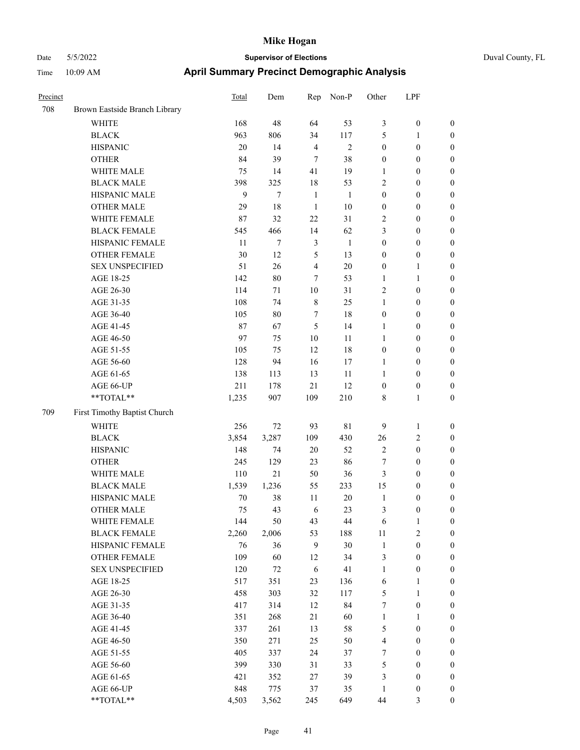|  | Duval County, F. |  |
|--|------------------|--|
|  |                  |  |

| Precinct |                               | <b>Total</b> | Dem    | Rep            | Non-P          | Other                   | LPF              |                  |
|----------|-------------------------------|--------------|--------|----------------|----------------|-------------------------|------------------|------------------|
| 708      | Brown Eastside Branch Library |              |        |                |                |                         |                  |                  |
|          | WHITE                         | 168          | 48     | 64             | 53             | 3                       | $\boldsymbol{0}$ | $\boldsymbol{0}$ |
|          | <b>BLACK</b>                  | 963          | 806    | 34             | 117            | 5                       | $\mathbf{1}$     | $\boldsymbol{0}$ |
|          | <b>HISPANIC</b>               | 20           | 14     | $\overline{4}$ | $\mathfrak{2}$ | $\boldsymbol{0}$        | $\boldsymbol{0}$ | 0                |
|          | <b>OTHER</b>                  | 84           | 39     | $\tau$         | 38             | $\boldsymbol{0}$        | $\boldsymbol{0}$ | 0                |
|          | WHITE MALE                    | 75           | 14     | 41             | 19             | 1                       | $\boldsymbol{0}$ | $\boldsymbol{0}$ |
|          | <b>BLACK MALE</b>             | 398          | 325    | $18\,$         | 53             | $\overline{c}$          | $\boldsymbol{0}$ | $\boldsymbol{0}$ |
|          | HISPANIC MALE                 | 9            | 7      | $\mathbf{1}$   | $\mathbf{1}$   | $\boldsymbol{0}$        | $\boldsymbol{0}$ | $\boldsymbol{0}$ |
|          | <b>OTHER MALE</b>             | 29           | 18     | $\mathbf{1}$   | 10             | $\boldsymbol{0}$        | $\boldsymbol{0}$ | $\boldsymbol{0}$ |
|          | WHITE FEMALE                  | 87           | 32     | 22             | 31             | 2                       | $\boldsymbol{0}$ | $\boldsymbol{0}$ |
|          | <b>BLACK FEMALE</b>           | 545          | 466    | 14             | 62             | 3                       | $\boldsymbol{0}$ | $\boldsymbol{0}$ |
|          | HISPANIC FEMALE               | 11           | 7      | $\mathfrak{Z}$ | $\mathbf{1}$   | $\boldsymbol{0}$        | $\boldsymbol{0}$ | $\boldsymbol{0}$ |
|          | OTHER FEMALE                  | 30           | 12     | 5              | 13             | $\boldsymbol{0}$        | $\boldsymbol{0}$ | 0                |
|          | <b>SEX UNSPECIFIED</b>        | 51           | 26     | $\overline{4}$ | 20             | $\boldsymbol{0}$        | $\mathbf{1}$     | 0                |
|          | AGE 18-25                     | 142          | 80     | 7              | 53             | 1                       | $\mathbf{1}$     | 0                |
|          | AGE 26-30                     | 114          | 71     | 10             | 31             | 2                       | $\boldsymbol{0}$ | 0                |
|          | AGE 31-35                     | 108          | 74     | $\,$ 8 $\,$    | 25             | 1                       | $\boldsymbol{0}$ | $\boldsymbol{0}$ |
|          | AGE 36-40                     | 105          | $80\,$ | 7              | 18             | $\boldsymbol{0}$        | $\boldsymbol{0}$ | $\boldsymbol{0}$ |
|          | AGE 41-45                     | 87           | 67     | 5              | 14             | $\mathbf{1}$            | $\boldsymbol{0}$ | $\boldsymbol{0}$ |
|          | AGE 46-50                     | 97           | 75     | 10             | 11             | $\mathbf{1}$            | $\boldsymbol{0}$ | $\boldsymbol{0}$ |
|          | AGE 51-55                     | 105          | 75     | 12             | 18             | $\boldsymbol{0}$        | $\boldsymbol{0}$ | $\boldsymbol{0}$ |
|          | AGE 56-60                     | 128          | 94     | 16             | 17             | 1                       | $\boldsymbol{0}$ | $\boldsymbol{0}$ |
|          | AGE 61-65                     | 138          | 113    | 13             | 11             | $\mathbf{1}$            | $\boldsymbol{0}$ | 0                |
|          | AGE 66-UP                     | 211          | 178    | 21             | 12             | $\boldsymbol{0}$        | $\boldsymbol{0}$ | 0                |
|          | $**TOTAL**$                   | 1,235        | 907    | 109            | 210            | 8                       | $\mathbf{1}$     | $\boldsymbol{0}$ |
| 709      | First Timothy Baptist Church  |              |        |                |                |                         |                  |                  |
|          | <b>WHITE</b>                  | 256          | 72     | 93             | 81             | 9                       | $\mathbf{1}$     | 0                |
|          | <b>BLACK</b>                  | 3,854        | 3,287  | 109            | 430            | 26                      | $\sqrt{2}$       | $\boldsymbol{0}$ |
|          | <b>HISPANIC</b>               | 148          | 74     | $20\,$         | 52             | $\sqrt{2}$              | $\boldsymbol{0}$ | 0                |
|          | <b>OTHER</b>                  | 245          | 129    | 23             | 86             | 7                       | $\boldsymbol{0}$ | $\boldsymbol{0}$ |
|          | WHITE MALE                    | 110          | 21     | 50             | 36             | 3                       | $\boldsymbol{0}$ | $\boldsymbol{0}$ |
|          | <b>BLACK MALE</b>             | 1,539        | 1,236  | 55             | 233            | 15                      | $\boldsymbol{0}$ | $\boldsymbol{0}$ |
|          | HISPANIC MALE                 | 70           | 38     | 11             | 20             | $\mathbf{1}$            | $\boldsymbol{0}$ | $\boldsymbol{0}$ |
|          | <b>OTHER MALE</b>             | 75           | 43     | 6              | 23             | 3                       | $\boldsymbol{0}$ | $\boldsymbol{0}$ |
|          | WHITE FEMALE                  | 144          | 50     | 43             | 44             | 6                       | $\mathbf{1}$     | 0                |
|          | <b>BLACK FEMALE</b>           | 2,260        | 2,006  | 53             | 188            | $11\,$                  | $\sqrt{2}$       | 0                |
|          | HISPANIC FEMALE               | 76           | 36     | $\overline{9}$ | 30             | $\mathbf{1}$            | $\boldsymbol{0}$ | 0                |
|          | OTHER FEMALE                  | 109          | 60     | 12             | 34             | 3                       | $\boldsymbol{0}$ | 0                |
|          | <b>SEX UNSPECIFIED</b>        | 120          | 72     | $\sqrt{6}$     | 41             | $\mathbf{1}$            | $\boldsymbol{0}$ | $\overline{0}$   |
|          | AGE 18-25                     | 517          | 351    | 23             | 136            | 6                       | $\mathbf{1}$     | $\boldsymbol{0}$ |
|          | AGE 26-30                     | 458          | 303    | 32             | 117            | 5                       | $\mathbf{1}$     | 0                |
|          | AGE 31-35                     | 417          | 314    | 12             | 84             | $\boldsymbol{7}$        | $\boldsymbol{0}$ | 0                |
|          | AGE 36-40                     | 351          | 268    | 21             | 60             | $\mathbf{1}$            | $\mathbf{1}$     | $\overline{0}$   |
|          | AGE 41-45                     | 337          | 261    | 13             | 58             | 5                       | $\boldsymbol{0}$ | $\overline{0}$   |
|          | AGE 46-50                     | 350          | 271    | 25             | 50             | $\overline{\mathbf{4}}$ | $\boldsymbol{0}$ | $\overline{0}$   |
|          | AGE 51-55                     | 405          | 337    | 24             | 37             | 7                       | $\boldsymbol{0}$ | 0                |
|          | AGE 56-60                     | 399          | 330    | 31             | 33             | 5                       | $\boldsymbol{0}$ | 0                |
|          | AGE 61-65                     | 421          | 352    | $27\,$         | 39             | 3                       | $\boldsymbol{0}$ | $\boldsymbol{0}$ |
|          | AGE 66-UP                     | 848          | 775    | 37             | 35             | $\mathbf{1}$            | $\boldsymbol{0}$ | $\boldsymbol{0}$ |
|          | **TOTAL**                     | 4,503        | 3,562  | 245            | 649            | $44\,$                  | $\mathfrak{Z}$   | $\boldsymbol{0}$ |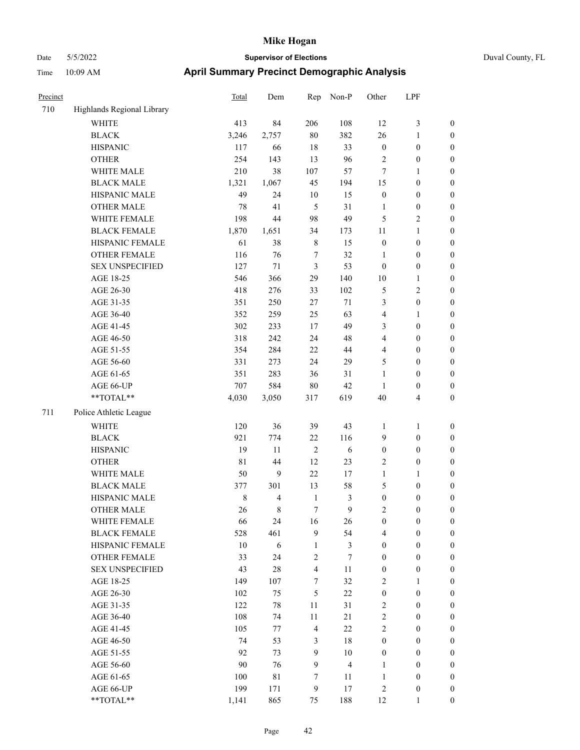| Duval County, |  |
|---------------|--|
|               |  |

| Precinct |                                                           | Total       | Dem         | Rep              | Non-P                   | Other            | LPF              |                  |
|----------|-----------------------------------------------------------|-------------|-------------|------------------|-------------------------|------------------|------------------|------------------|
| 710      | Highlands Regional Library                                |             |             |                  |                         |                  |                  |                  |
|          | <b>WHITE</b>                                              | 413         | 84          | 206              | 108                     | 12               | $\mathfrak{Z}$   | $\boldsymbol{0}$ |
|          | <b>BLACK</b>                                              | 3,246       | 2,757       | 80               | 382                     | 26               | $\mathbf{1}$     | $\boldsymbol{0}$ |
|          | <b>HISPANIC</b>                                           | 117         | 66          | 18               | 33                      | $\boldsymbol{0}$ | $\boldsymbol{0}$ | $\boldsymbol{0}$ |
|          | <b>OTHER</b>                                              | 254         | 143         | 13               | 96                      | $\sqrt{2}$       | $\boldsymbol{0}$ | $\boldsymbol{0}$ |
|          | WHITE MALE                                                | 210         | 38          | 107              | 57                      | 7                | $\mathbf{1}$     | $\boldsymbol{0}$ |
|          | <b>BLACK MALE</b>                                         | 1,321       | 1,067       | 45               | 194                     | 15               | $\boldsymbol{0}$ | 0                |
|          | HISPANIC MALE                                             | 49          | 24          | $10\,$           | 15                      | $\boldsymbol{0}$ | $\boldsymbol{0}$ | 0                |
|          | <b>OTHER MALE</b>                                         | 78          | 41          | 5                | 31                      | $\mathbf{1}$     | $\boldsymbol{0}$ | $\boldsymbol{0}$ |
|          | WHITE FEMALE                                              | 198         | 44          | 98               | 49                      | 5                | $\sqrt{2}$       | $\boldsymbol{0}$ |
|          | <b>BLACK FEMALE</b>                                       | 1,870       | 1,651       | 34               | 173                     | $11\,$           | $\mathbf{1}$     | $\boldsymbol{0}$ |
|          | HISPANIC FEMALE                                           | 61          | 38          | $\,$ 8 $\,$      | 15                      | $\boldsymbol{0}$ | $\boldsymbol{0}$ | $\boldsymbol{0}$ |
|          | OTHER FEMALE                                              | 116         | 76          | 7                | 32                      | $\mathbf{1}$     | $\boldsymbol{0}$ | $\boldsymbol{0}$ |
|          | <b>SEX UNSPECIFIED</b>                                    | 127         | $71\,$      | $\mathfrak{Z}$   | 53                      | $\boldsymbol{0}$ | $\boldsymbol{0}$ | $\boldsymbol{0}$ |
|          | AGE 18-25                                                 | 546         | 366         | 29               | 140                     | 10               | $\mathbf{1}$     | $\boldsymbol{0}$ |
|          | AGE 26-30                                                 | 418         | 276         | 33               | 102                     | 5                | $\sqrt{2}$       | $\boldsymbol{0}$ |
|          | AGE 31-35                                                 | 351         | 250         | 27               | 71                      | 3                | $\boldsymbol{0}$ | 0                |
|          | AGE 36-40                                                 | 352         | 259         | 25               | 63                      | $\overline{4}$   | $\mathbf{1}$     | 0                |
|          | AGE 41-45                                                 | 302         | 233         | 17               | 49                      | 3                | $\boldsymbol{0}$ | $\boldsymbol{0}$ |
|          | AGE 46-50                                                 | 318         | 242         | 24               | 48                      | 4                | $\boldsymbol{0}$ | $\boldsymbol{0}$ |
|          | AGE 51-55                                                 | 354         | 284         | 22               | 44                      | 4                | $\boldsymbol{0}$ | $\boldsymbol{0}$ |
|          | AGE 56-60                                                 | 331         | 273         | 24               | 29                      | 5                | $\boldsymbol{0}$ | $\boldsymbol{0}$ |
|          | AGE 61-65                                                 | 351         | 283         | 36               | 31                      | $\mathbf{1}$     | $\boldsymbol{0}$ | $\boldsymbol{0}$ |
|          | AGE 66-UP                                                 | 707         | 584         | $80\,$           | 42                      | $\mathbf{1}$     | $\boldsymbol{0}$ | $\boldsymbol{0}$ |
|          | $\mathrm{*}\mathrm{*}\mathrm{TOTAL} \mathrm{*}\mathrm{*}$ | 4,030       | 3,050       | 317              | 619                     | 40               | $\overline{4}$   | $\boldsymbol{0}$ |
| 711      | Police Athletic League                                    |             |             |                  |                         |                  |                  |                  |
|          | <b>WHITE</b>                                              | 120         | 36          | 39               | 43                      | $\mathbf{1}$     | $\mathbf{1}$     | $\boldsymbol{0}$ |
|          | <b>BLACK</b>                                              | 921         | 774         | 22               | 116                     | 9                | $\boldsymbol{0}$ | $\boldsymbol{0}$ |
|          | <b>HISPANIC</b>                                           | 19          | 11          | $\sqrt{2}$       | $\sqrt{6}$              | $\boldsymbol{0}$ | $\boldsymbol{0}$ | $\boldsymbol{0}$ |
|          | <b>OTHER</b>                                              | $8\sqrt{1}$ | 44          | 12               | 23                      | $\overline{c}$   | $\boldsymbol{0}$ | 0                |
|          | WHITE MALE                                                | 50          | 9           | 22               | 17                      | $\mathbf{1}$     | $\mathbf{1}$     | $\boldsymbol{0}$ |
|          | <b>BLACK MALE</b>                                         | 377         | 301         | 13               | 58                      | 5                | $\boldsymbol{0}$ | $\boldsymbol{0}$ |
|          | HISPANIC MALE                                             | $\,$ 8 $\,$ | 4           | $\mathbf{1}$     | 3                       | $\boldsymbol{0}$ | $\boldsymbol{0}$ | $\boldsymbol{0}$ |
|          | <b>OTHER MALE</b>                                         | 26          | 8           | 7                | 9                       | 2                | $\boldsymbol{0}$ | $\boldsymbol{0}$ |
|          | WHITE FEMALE                                              | 66          | 24          | 16               | 26                      | $\boldsymbol{0}$ | $\boldsymbol{0}$ | $\overline{0}$   |
|          | <b>BLACK FEMALE</b>                                       | 528         | 461         | 9                | 54                      | 4                | $\boldsymbol{0}$ | $\overline{0}$   |
|          | HISPANIC FEMALE                                           | $10\,$      | $\sqrt{6}$  | $\mathbf{1}$     | 3                       | $\boldsymbol{0}$ | $\boldsymbol{0}$ | $\overline{0}$   |
|          | <b>OTHER FEMALE</b>                                       | 33          | 24          | $\sqrt{2}$       | $\boldsymbol{7}$        | $\boldsymbol{0}$ | $\boldsymbol{0}$ | $\overline{0}$   |
|          | <b>SEX UNSPECIFIED</b>                                    | 43          | $28\,$      | $\overline{4}$   | 11                      | $\boldsymbol{0}$ | $\boldsymbol{0}$ | 0                |
|          | AGE 18-25                                                 | 149         | 107         | $\boldsymbol{7}$ | 32                      | $\overline{c}$   | $\mathbf{1}$     | 0                |
|          | AGE 26-30                                                 | 102         | 75          | $\sqrt{5}$       | $22\,$                  | $\boldsymbol{0}$ | $\boldsymbol{0}$ | $\overline{0}$   |
|          | AGE 31-35                                                 | 122         | 78          | 11               | 31                      | $\overline{c}$   | $\boldsymbol{0}$ | $\overline{0}$   |
|          | AGE 36-40                                                 | 108         | 74          | $11\,$           | 21                      | $\sqrt{2}$       | $\boldsymbol{0}$ | $\boldsymbol{0}$ |
|          | AGE 41-45                                                 | 105         | 77          | $\overline{4}$   | 22                      | $\overline{c}$   | $\boldsymbol{0}$ | $\overline{0}$   |
|          | AGE 46-50                                                 | 74          | 53          | $\mathfrak{Z}$   | $18\,$                  | $\boldsymbol{0}$ | $\boldsymbol{0}$ | $\boldsymbol{0}$ |
|          | AGE 51-55                                                 | 92          | 73          | $\mathbf{9}$     | $10\,$                  | $\boldsymbol{0}$ | $\boldsymbol{0}$ | $\overline{0}$   |
|          | AGE 56-60                                                 | 90          | 76          | 9                | $\overline{\mathbf{4}}$ | $\mathbf{1}$     | $\boldsymbol{0}$ | $\overline{0}$   |
|          | AGE 61-65                                                 | $100\,$     | $8\sqrt{1}$ | 7                | 11                      | $\mathbf{1}$     | $\boldsymbol{0}$ | $\overline{0}$   |
|          | AGE 66-UP                                                 | 199         | 171         | 9                | 17                      | $\sqrt{2}$       | $\boldsymbol{0}$ | $\boldsymbol{0}$ |
|          | $**TOTAL**$                                               | 1,141       | 865         | 75               | 188                     | 12               | 1                | $\overline{0}$   |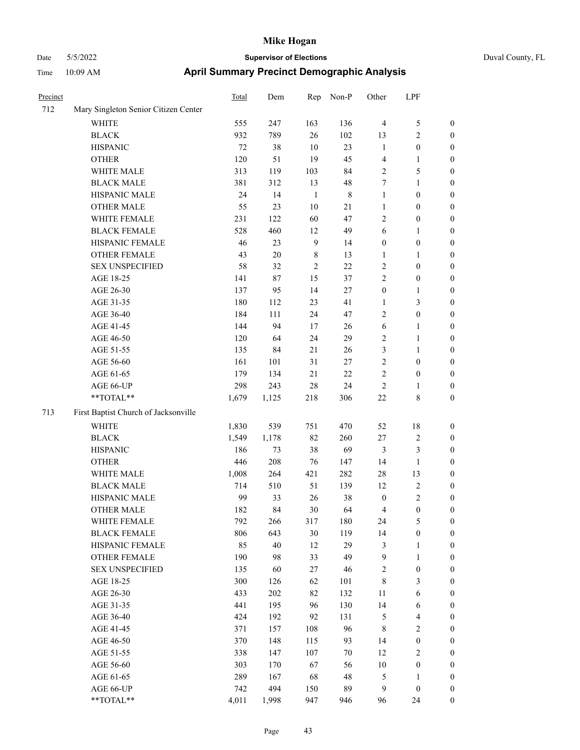| Precinct |                                      | Total | Dem    | Rep            | Non-P       | Other            | LPF              |                  |
|----------|--------------------------------------|-------|--------|----------------|-------------|------------------|------------------|------------------|
| 712      | Mary Singleton Senior Citizen Center |       |        |                |             |                  |                  |                  |
|          | WHITE                                | 555   | 247    | 163            | 136         | $\overline{4}$   | $\mathfrak{S}$   | $\boldsymbol{0}$ |
|          | <b>BLACK</b>                         | 932   | 789    | 26             | 102         | 13               | $\sqrt{2}$       | $\boldsymbol{0}$ |
|          | <b>HISPANIC</b>                      | 72    | 38     | $10\,$         | 23          | $\mathbf{1}$     | $\boldsymbol{0}$ | $\boldsymbol{0}$ |
|          | <b>OTHER</b>                         | 120   | 51     | 19             | 45          | 4                | $\mathbf{1}$     | $\boldsymbol{0}$ |
|          | WHITE MALE                           | 313   | 119    | 103            | 84          | $\overline{2}$   | $\mathfrak{S}$   | 0                |
|          | <b>BLACK MALE</b>                    | 381   | 312    | 13             | 48          | 7                | $\mathbf{1}$     | 0                |
|          | HISPANIC MALE                        | 24    | 14     | $\mathbf{1}$   | $\,$ 8 $\,$ | $\mathbf{1}$     | $\boldsymbol{0}$ | $\boldsymbol{0}$ |
|          | <b>OTHER MALE</b>                    | 55    | 23     | $10\,$         | $21\,$      | 1                | $\boldsymbol{0}$ | $\boldsymbol{0}$ |
|          | WHITE FEMALE                         | 231   | 122    | 60             | 47          | $\overline{c}$   | $\boldsymbol{0}$ | $\boldsymbol{0}$ |
|          | <b>BLACK FEMALE</b>                  | 528   | 460    | 12             | 49          | 6                | $\mathbf{1}$     | $\boldsymbol{0}$ |
|          | HISPANIC FEMALE                      | 46    | 23     | $\overline{9}$ | 14          | $\boldsymbol{0}$ | $\boldsymbol{0}$ | $\boldsymbol{0}$ |
|          | <b>OTHER FEMALE</b>                  | 43    | $20\,$ | $\,8\,$        | 13          | $\mathbf{1}$     | $\mathbf{1}$     | $\boldsymbol{0}$ |
|          | <b>SEX UNSPECIFIED</b>               | 58    | 32     | $\sqrt{2}$     | 22          | $\sqrt{2}$       | $\boldsymbol{0}$ | $\boldsymbol{0}$ |
|          | AGE 18-25                            | 141   | 87     | 15             | 37          | $\mathbf{2}$     | $\boldsymbol{0}$ | $\boldsymbol{0}$ |
|          | AGE 26-30                            | 137   | 95     | 14             | 27          | $\boldsymbol{0}$ | $\mathbf{1}$     | 0                |
|          | AGE 31-35                            | 180   | 112    | 23             | 41          | $\mathbf{1}$     | $\mathfrak{Z}$   | 0                |
|          | AGE 36-40                            | 184   | 111    | 24             | 47          | $\overline{c}$   | $\boldsymbol{0}$ | $\boldsymbol{0}$ |
|          | AGE 41-45                            | 144   | 94     | 17             | 26          | 6                | $\mathbf{1}$     | $\boldsymbol{0}$ |
|          | AGE 46-50                            | 120   | 64     | 24             | 29          | $\overline{c}$   | $\mathbf{1}$     | $\boldsymbol{0}$ |
|          | AGE 51-55                            | 135   | 84     | 21             | 26          | 3                | $\mathbf{1}$     | $\boldsymbol{0}$ |
|          | AGE 56-60                            | 161   | 101    | 31             | 27          | $\overline{c}$   | $\boldsymbol{0}$ | $\boldsymbol{0}$ |
|          | AGE 61-65                            | 179   | 134    | $21\,$         | $22\,$      | $\overline{c}$   | $\boldsymbol{0}$ | $\boldsymbol{0}$ |
|          | AGE 66-UP                            | 298   | 243    | 28             | 24          | $\overline{c}$   | 1                | $\boldsymbol{0}$ |
|          | **TOTAL**                            | 1,679 | 1,125  | 218            | 306         | $22\,$           | $8\,$            | $\boldsymbol{0}$ |
| 713      | First Baptist Church of Jacksonville |       |        |                |             |                  |                  |                  |
|          | WHITE                                | 1,830 | 539    | 751            | 470         | 52               | 18               | $\boldsymbol{0}$ |
|          | <b>BLACK</b>                         | 1,549 | 1,178  | 82             | 260         | $27\,$           | $\sqrt{2}$       | 0                |
|          | <b>HISPANIC</b>                      | 186   | 73     | 38             | 69          | 3                | $\mathfrak{Z}$   | 0                |
|          | <b>OTHER</b>                         | 446   | 208    | 76             | 147         | 14               | $\mathbf{1}$     | 0                |
|          | WHITE MALE                           | 1,008 | 264    | 421            | 282         | 28               | 13               | $\boldsymbol{0}$ |
|          | <b>BLACK MALE</b>                    | 714   | 510    | 51             | 139         | 12               | $\sqrt{2}$       | $\boldsymbol{0}$ |
|          | HISPANIC MALE                        | 99    | 33     | 26             | 38          | $\boldsymbol{0}$ | $\sqrt{2}$       | $\boldsymbol{0}$ |
|          | <b>OTHER MALE</b>                    | 182   | 84     | 30             | 64          | 4                | $\boldsymbol{0}$ | $\boldsymbol{0}$ |
|          | WHITE FEMALE                         | 792   | 266    | 317            | 180         | 24               | $\mathfrak{S}$   | $\overline{0}$   |
|          | <b>BLACK FEMALE</b>                  | 806   | 643    | $30\,$         | 119         | 14               | $\boldsymbol{0}$ | 0                |
|          | HISPANIC FEMALE                      | 85    | 40     | 12             | 29          | $\mathfrak z$    | $\mathbf{1}$     | 0                |
|          | <b>OTHER FEMALE</b>                  | 190   | 98     | 33             | 49          | $\overline{9}$   | $\mathbf{1}$     | 0                |
|          | <b>SEX UNSPECIFIED</b>               | 135   | 60     | $27\,$         | 46          | $\boldsymbol{2}$ | $\boldsymbol{0}$ | 0                |
|          | AGE 18-25                            | 300   | 126    | 62             | 101         | $\,$ 8 $\,$      | $\mathfrak{Z}$   | $\overline{0}$   |
|          | AGE 26-30                            | 433   | 202    | 82             | 132         | 11               | 6                | $\boldsymbol{0}$ |
|          | AGE 31-35                            | 441   | 195    | 96             | 130         | 14               | 6                | $\boldsymbol{0}$ |
|          | AGE 36-40                            | 424   | 192    | 92             | 131         | 5                | $\overline{4}$   | 0                |
|          | AGE 41-45                            | 371   | 157    | 108            | 96          | $\,$ 8 $\,$      | $\sqrt{2}$       | 0                |
|          | AGE 46-50                            | 370   | 148    | 115            | 93          | 14               | $\boldsymbol{0}$ | $\overline{0}$   |
|          | AGE 51-55                            | 338   | 147    | 107            | 70          | 12               | $\sqrt{2}$       | $\overline{0}$   |
|          | AGE 56-60                            | 303   | 170    | 67             | 56          | $10\,$           | $\boldsymbol{0}$ | $\boldsymbol{0}$ |
|          | AGE 61-65                            | 289   | 167    | 68             | 48          | 5                | $\mathbf{1}$     | 0                |
|          | AGE 66-UP                            | 742   | 494    | 150            | 89          | $\overline{9}$   | $\boldsymbol{0}$ | 0                |
|          | **TOTAL**                            | 4,011 | 1,998  | 947            | 946         | 96               | 24               | $\boldsymbol{0}$ |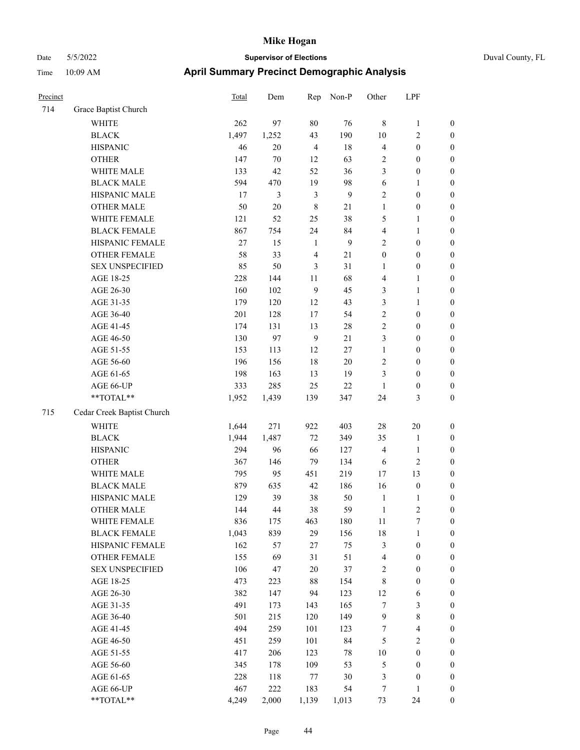| Precinct |                            | <b>Total</b> | Dem        | Rep            | Non-P    | Other                    | LPF                                  |                                      |
|----------|----------------------------|--------------|------------|----------------|----------|--------------------------|--------------------------------------|--------------------------------------|
| 714      | Grace Baptist Church       |              |            |                |          |                          |                                      |                                      |
|          | WHITE                      | 262          | 97         | $80\,$         | 76       | $\,8\,$                  | $\mathbf{1}$                         | $\boldsymbol{0}$                     |
|          | <b>BLACK</b>               | 1,497        | 1,252      | 43             | 190      | 10                       | 2                                    | $\boldsymbol{0}$                     |
|          | <b>HISPANIC</b>            | 46           | 20         | $\overline{4}$ | 18       | $\overline{4}$           | $\boldsymbol{0}$                     | $\boldsymbol{0}$                     |
|          | <b>OTHER</b>               | 147          | 70         | 12             | 63       | $\sqrt{2}$               | $\boldsymbol{0}$                     | $\boldsymbol{0}$                     |
|          | WHITE MALE                 | 133          | 42         | 52             | 36       | 3                        | $\boldsymbol{0}$                     | $\boldsymbol{0}$                     |
|          | <b>BLACK MALE</b>          | 594          | 470        | 19             | 98       | 6                        | 1                                    | $\boldsymbol{0}$                     |
|          | HISPANIC MALE              | 17           | 3          | $\mathfrak{Z}$ | 9        | $\sqrt{2}$               | $\boldsymbol{0}$                     | $\boldsymbol{0}$                     |
|          | <b>OTHER MALE</b>          | 50           | 20         | $\,8\,$        | 21       | $\mathbf{1}$             | $\boldsymbol{0}$                     | $\boldsymbol{0}$                     |
|          | WHITE FEMALE               | 121          | 52         | 25             | 38       | 5                        | 1                                    | $\boldsymbol{0}$                     |
|          | <b>BLACK FEMALE</b>        | 867          | 754        | 24             | 84       | $\overline{4}$           | 1                                    | $\boldsymbol{0}$                     |
|          | HISPANIC FEMALE            | 27           | 15         | 1              | 9        | $\sqrt{2}$               | $\boldsymbol{0}$                     | $\boldsymbol{0}$                     |
|          | <b>OTHER FEMALE</b>        | 58           | 33         | $\overline{4}$ | $21\,$   | $\boldsymbol{0}$         | $\boldsymbol{0}$                     | $\boldsymbol{0}$                     |
|          | <b>SEX UNSPECIFIED</b>     | 85           | 50         | 3              | 31       | 1                        | $\boldsymbol{0}$                     | $\boldsymbol{0}$                     |
|          | AGE 18-25                  | 228          | 144        | 11             | 68       | $\overline{4}$           | 1                                    | $\boldsymbol{0}$                     |
|          | AGE 26-30                  | 160          | 102        | 9              | 45       | 3                        | 1                                    | $\boldsymbol{0}$                     |
|          | AGE 31-35                  | 179          | 120        | 12             | 43       | 3                        | 1                                    | $\boldsymbol{0}$                     |
|          | AGE 36-40                  | 201          | 128        | 17             | 54       | $\sqrt{2}$               | $\boldsymbol{0}$                     | $\boldsymbol{0}$                     |
|          | AGE 41-45                  | 174          | 131        | 13             | 28       | $\overline{2}$           | $\boldsymbol{0}$                     | $\boldsymbol{0}$                     |
|          | AGE 46-50                  | 130          | 97         | $\overline{9}$ | 21       | 3                        | $\boldsymbol{0}$                     | $\boldsymbol{0}$                     |
|          | AGE 51-55                  | 153          | 113        | 12             | 27       | $\mathbf{1}$             | $\boldsymbol{0}$                     | $\boldsymbol{0}$                     |
|          | AGE 56-60                  | 196          | 156        | 18             | $20\,$   | $\overline{c}$           | $\boldsymbol{0}$                     | $\boldsymbol{0}$                     |
|          | AGE 61-65                  | 198          | 163        | 13             | 19       | 3                        | $\boldsymbol{0}$                     | $\boldsymbol{0}$                     |
|          | AGE 66-UP                  | 333          | 285        | 25             | 22       | $\mathbf{1}$             | $\boldsymbol{0}$                     | $\boldsymbol{0}$                     |
|          | **TOTAL**                  | 1,952        | 1,439      | 139            | 347      | 24                       | 3                                    | $\boldsymbol{0}$                     |
| 715      | Cedar Creek Baptist Church |              |            |                |          |                          |                                      |                                      |
|          | <b>WHITE</b>               | 1,644        | 271        | 922            | 403      | 28                       | 20                                   | $\boldsymbol{0}$                     |
|          | <b>BLACK</b>               | 1,944        | 1,487      | 72             | 349      | 35                       | $\mathbf{1}$                         | $\boldsymbol{0}$                     |
|          | <b>HISPANIC</b>            | 294          | 96         | 66             | 127      | $\overline{4}$           | 1                                    | $\boldsymbol{0}$                     |
|          | <b>OTHER</b>               | 367          | 146        | 79             | 134      | 6                        | 2                                    | $\boldsymbol{0}$                     |
|          | WHITE MALE                 | 795          | 95         | 451            | 219      | 17                       | 13                                   | $\boldsymbol{0}$                     |
|          | <b>BLACK MALE</b>          | 879          | 635        | 42             | 186      | 16                       | $\boldsymbol{0}$                     | $\boldsymbol{0}$                     |
|          | HISPANIC MALE              | 129          | 39         | 38             | 50       | $\mathbf{1}$             | 1                                    | $\boldsymbol{0}$                     |
|          | <b>OTHER MALE</b>          | 144          | 44         | 38             | 59       | 1                        | $\overline{c}$                       | $\boldsymbol{0}$                     |
|          | WHITE FEMALE               | 836          | 175        | 463            | 180      | $11\,$                   | $\boldsymbol{7}$                     | $\boldsymbol{0}$                     |
|          | <b>BLACK FEMALE</b>        | 1,043        | 839        | 29             | 156      | 18                       | 1                                    | $\boldsymbol{0}$                     |
|          | HISPANIC FEMALE            | 162          | 57         | $27\,$         | 75       | $\mathfrak{Z}$           | $\boldsymbol{0}$                     | $\boldsymbol{0}$                     |
|          | <b>OTHER FEMALE</b>        | 155          | 69         | 31             | 51       | $\overline{4}$           | $\boldsymbol{0}$                     | $\boldsymbol{0}$                     |
|          | <b>SEX UNSPECIFIED</b>     | 106          | 47         | $20\,$         | 37       | $\overline{2}$           | $\boldsymbol{0}$                     | $\boldsymbol{0}$                     |
|          | AGE 18-25                  | 473          | 223        | $88\,$         | 154      | $\,$ 8 $\,$              | $\boldsymbol{0}$                     | $\boldsymbol{0}$                     |
|          | AGE 26-30                  | 382          | 147        | 94             | 123      | 12                       | 6                                    | $\boldsymbol{0}$                     |
|          | AGE 31-35                  | 491          | 173        | 143            | 165      | $\boldsymbol{7}$         | 3                                    | $\boldsymbol{0}$                     |
|          | AGE 36-40                  | 501          | 215        | 120            | 149      | $\overline{9}$           | 8                                    | $\boldsymbol{0}$                     |
|          | AGE 41-45                  | 494          | 259        | 101            | 123      | 7                        | $\overline{\mathbf{4}}$              | $\boldsymbol{0}$                     |
|          |                            |              |            |                | 84       | $\sqrt{5}$               | $\mathbf{2}$                         | $\boldsymbol{0}$                     |
|          | AGE 46-50<br>AGE 51-55     | 451<br>417   | 259<br>206 | 101            | 78       | $10\,$                   |                                      |                                      |
|          |                            |              | 178        | 123            |          | $\mathfrak{S}$           | $\boldsymbol{0}$<br>$\boldsymbol{0}$ | $\boldsymbol{0}$<br>$\boldsymbol{0}$ |
|          | AGE 56-60<br>AGE 61-65     | 345<br>228   |            | 109            | 53<br>30 |                          | $\boldsymbol{0}$                     | $\boldsymbol{0}$                     |
|          | AGE 66-UP                  | 467          | 118<br>222 | 77<br>183      | 54       | $\mathfrak{Z}$<br>$\tau$ | 1                                    | $\bf{0}$                             |
|          | **TOTAL**                  | 4,249        |            |                |          |                          | 24                                   | $\mathbf{0}$                         |
|          |                            |              | 2,000      | 1,139          | 1,013    | 73                       |                                      |                                      |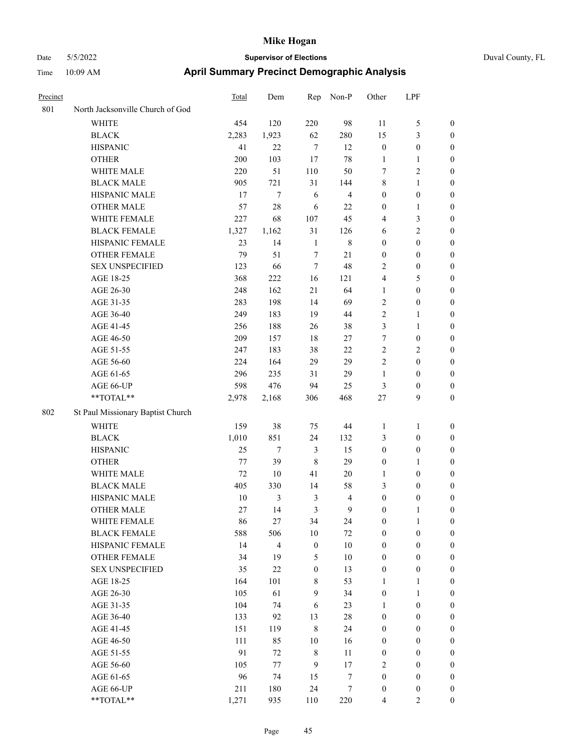| Precinct |                                   | Total | Dem                     | Rep              | Non-P                   | Other            | LPF              |                  |
|----------|-----------------------------------|-------|-------------------------|------------------|-------------------------|------------------|------------------|------------------|
| 801      | North Jacksonville Church of God  |       |                         |                  |                         |                  |                  |                  |
|          | WHITE                             | 454   | 120                     | 220              | 98                      | 11               | 5                | $\boldsymbol{0}$ |
|          | <b>BLACK</b>                      | 2,283 | 1,923                   | 62               | 280                     | 15               | $\mathfrak{Z}$   | 0                |
|          | <b>HISPANIC</b>                   | 41    | 22                      | $\tau$           | 12                      | $\boldsymbol{0}$ | $\boldsymbol{0}$ | 0                |
|          | <b>OTHER</b>                      | 200   | 103                     | 17               | $78\,$                  | $\mathbf{1}$     | $\mathbf{1}$     | 0                |
|          | WHITE MALE                        | 220   | 51                      | 110              | 50                      | 7                | $\sqrt{2}$       | $\boldsymbol{0}$ |
|          | <b>BLACK MALE</b>                 | 905   | 721                     | 31               | 144                     | 8                | $\mathbf{1}$     | $\boldsymbol{0}$ |
|          | HISPANIC MALE                     | 17    | $\tau$                  | 6                | $\overline{\mathbf{4}}$ | $\boldsymbol{0}$ | $\boldsymbol{0}$ | $\boldsymbol{0}$ |
|          | <b>OTHER MALE</b>                 | 57    | 28                      | 6                | 22                      | $\boldsymbol{0}$ | $\mathbf{1}$     | $\boldsymbol{0}$ |
|          | WHITE FEMALE                      | 227   | 68                      | 107              | 45                      | 4                | $\mathfrak{Z}$   | $\boldsymbol{0}$ |
|          | <b>BLACK FEMALE</b>               | 1,327 | 1,162                   | 31               | 126                     | 6                | $\overline{c}$   | $\boldsymbol{0}$ |
|          | HISPANIC FEMALE                   | 23    | 14                      | $\mathbf{1}$     | $\,$ 8 $\,$             | $\boldsymbol{0}$ | $\boldsymbol{0}$ | $\boldsymbol{0}$ |
|          | OTHER FEMALE                      | 79    | 51                      | $\tau$           | 21                      | $\boldsymbol{0}$ | $\boldsymbol{0}$ | 0                |
|          | <b>SEX UNSPECIFIED</b>            | 123   | 66                      | $\tau$           | 48                      | 2                | $\boldsymbol{0}$ | 0                |
|          | AGE 18-25                         | 368   | 222                     | 16               | 121                     | 4                | 5                | 0                |
|          | AGE 26-30                         | 248   | 162                     | 21               | 64                      | 1                | $\boldsymbol{0}$ | $\boldsymbol{0}$ |
|          | AGE 31-35                         | 283   | 198                     | 14               | 69                      | 2                | $\boldsymbol{0}$ | $\boldsymbol{0}$ |
|          | AGE 36-40                         | 249   | 183                     | 19               | $44\,$                  | $\overline{c}$   | $\mathbf{1}$     | $\boldsymbol{0}$ |
|          | AGE 41-45                         | 256   | 188                     | 26               | 38                      | 3                | $\mathbf{1}$     | $\boldsymbol{0}$ |
|          | AGE 46-50                         | 209   | 157                     | $18\,$           | 27                      | 7                | $\boldsymbol{0}$ | $\boldsymbol{0}$ |
|          | AGE 51-55                         | 247   | 183                     | 38               | $22\,$                  | $\mathbf{2}$     | $\mathbf{2}$     | $\boldsymbol{0}$ |
|          | AGE 56-60                         | 224   | 164                     | 29               | 29                      | $\overline{c}$   | $\boldsymbol{0}$ | $\boldsymbol{0}$ |
|          | AGE 61-65                         | 296   | 235                     | 31               | 29                      | $\mathbf{1}$     | $\boldsymbol{0}$ | 0                |
|          | AGE 66-UP                         | 598   | 476                     | 94               | 25                      | 3                | $\boldsymbol{0}$ | 0                |
|          | $**TOTAL**$                       | 2,978 | 2,168                   | 306              | 468                     | $27\,$           | 9                | $\boldsymbol{0}$ |
| 802      | St Paul Missionary Baptist Church |       |                         |                  |                         |                  |                  |                  |
|          | <b>WHITE</b>                      | 159   | 38                      | 75               | 44                      | 1                | $\mathbf{1}$     | $\boldsymbol{0}$ |
|          | <b>BLACK</b>                      | 1,010 | 851                     | 24               | 132                     | 3                | $\boldsymbol{0}$ | $\boldsymbol{0}$ |
|          | <b>HISPANIC</b>                   | 25    | 7                       | $\mathfrak{Z}$   | 15                      | $\boldsymbol{0}$ | $\boldsymbol{0}$ | $\boldsymbol{0}$ |
|          | <b>OTHER</b>                      | 77    | 39                      | $\,8\,$          | 29                      | $\boldsymbol{0}$ | $\mathbf{1}$     | $\boldsymbol{0}$ |
|          | WHITE MALE                        | 72    | 10                      | 41               | 20                      | $\mathbf{1}$     | $\boldsymbol{0}$ | $\boldsymbol{0}$ |
|          | <b>BLACK MALE</b>                 | 405   | 330                     | 14               | 58                      | 3                | $\boldsymbol{0}$ | $\boldsymbol{0}$ |
|          | HISPANIC MALE                     | 10    | 3                       | $\mathfrak{Z}$   | $\overline{4}$          | $\boldsymbol{0}$ | $\boldsymbol{0}$ | $\boldsymbol{0}$ |
|          | <b>OTHER MALE</b>                 | 27    | 14                      | 3                | 9                       | $\boldsymbol{0}$ | 1                | $\boldsymbol{0}$ |
|          | WHITE FEMALE                      | 86    | 27                      | 34               | 24                      | $\boldsymbol{0}$ | $\mathbf{1}$     | 0                |
|          | <b>BLACK FEMALE</b>               | 588   | 506                     | $10\,$           | 72                      | $\boldsymbol{0}$ | $\boldsymbol{0}$ | 0                |
|          | HISPANIC FEMALE                   | 14    | $\overline{\mathbf{4}}$ | $\boldsymbol{0}$ | $10\,$                  | $\boldsymbol{0}$ | $\boldsymbol{0}$ | 0                |
|          | OTHER FEMALE                      | 34    | 19                      | $\mathfrak{S}$   | $10\,$                  | $\boldsymbol{0}$ | $\boldsymbol{0}$ | $\overline{0}$   |
|          | <b>SEX UNSPECIFIED</b>            | 35    | 22                      | $\boldsymbol{0}$ | 13                      | $\boldsymbol{0}$ | $\boldsymbol{0}$ | $\overline{0}$   |
|          | AGE 18-25                         | 164   | 101                     | $8\,$            | 53                      | $\mathbf{1}$     | $\mathbf{1}$     | 0                |
|          | AGE 26-30                         | 105   | 61                      | $\mathbf{9}$     | 34                      | $\boldsymbol{0}$ | $\mathbf{1}$     | $\overline{0}$   |
|          | AGE 31-35                         | 104   | 74                      | 6                | 23                      | $\mathbf{1}$     | $\boldsymbol{0}$ | $\overline{0}$   |
|          | AGE 36-40                         | 133   | 92                      | 13               | $28\,$                  | $\boldsymbol{0}$ | $\boldsymbol{0}$ | $\overline{0}$   |
|          | AGE 41-45                         | 151   | 119                     | $\,8\,$          | 24                      | $\boldsymbol{0}$ | $\boldsymbol{0}$ | $\overline{0}$   |
|          | AGE 46-50                         | 111   | 85                      | $10\,$           | 16                      | $\boldsymbol{0}$ | $\boldsymbol{0}$ | 0                |
|          | AGE 51-55                         | 91    | 72                      | $\,$ 8 $\,$      | 11                      | $\boldsymbol{0}$ | $\boldsymbol{0}$ | $\boldsymbol{0}$ |
|          | AGE 56-60                         | 105   | $77 \,$                 | 9                | $17\,$                  | $\sqrt{2}$       | $\boldsymbol{0}$ | $\boldsymbol{0}$ |
|          | AGE 61-65                         | 96    | 74                      | 15               | 7                       | $\boldsymbol{0}$ | $\boldsymbol{0}$ | $\boldsymbol{0}$ |
|          | AGE 66-UP                         | 211   | 180                     | 24               | 7                       | $\boldsymbol{0}$ | $\boldsymbol{0}$ | $\boldsymbol{0}$ |
|          | $**TOTAL**$                       | 1,271 | 935                     | 110              | 220                     | $\overline{4}$   | $\overline{2}$   | $\boldsymbol{0}$ |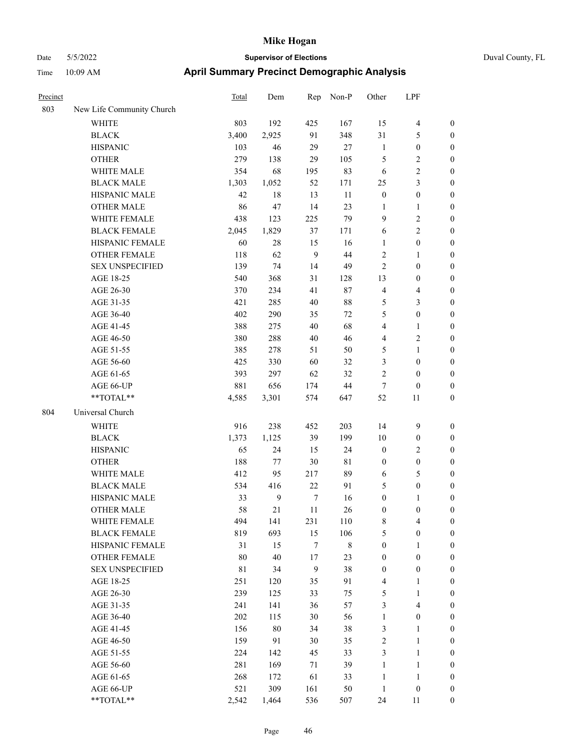|  | Duval County, Fl |  |
|--|------------------|--|
|  |                  |  |

| Precinct |                           | <b>Total</b> | Dem          | Rep              | Non-P       | Other            | LPF                     |                  |
|----------|---------------------------|--------------|--------------|------------------|-------------|------------------|-------------------------|------------------|
| 803      | New Life Community Church |              |              |                  |             |                  |                         |                  |
|          | WHITE                     | 803          | 192          | 425              | 167         | 15               | $\overline{4}$          | $\boldsymbol{0}$ |
|          | <b>BLACK</b>              | 3,400        | 2,925        | 91               | 348         | 31               | 5                       | $\boldsymbol{0}$ |
|          | <b>HISPANIC</b>           | 103          | 46           | 29               | 27          | $\mathbf{1}$     | $\boldsymbol{0}$        | 0                |
|          | <b>OTHER</b>              | 279          | 138          | 29               | 105         | 5                | $\sqrt{2}$              | 0                |
|          | WHITE MALE                | 354          | 68           | 195              | 83          | 6                | $\sqrt{2}$              | $\boldsymbol{0}$ |
|          | <b>BLACK MALE</b>         | 1,303        | 1,052        | 52               | 171         | $25\,$           | $\mathfrak{Z}$          | $\boldsymbol{0}$ |
|          | HISPANIC MALE             | 42           | 18           | 13               | 11          | $\boldsymbol{0}$ | $\boldsymbol{0}$        | $\boldsymbol{0}$ |
|          | <b>OTHER MALE</b>         | 86           | 47           | 14               | 23          | $\mathbf{1}$     | $\mathbf{1}$            | $\boldsymbol{0}$ |
|          | WHITE FEMALE              | 438          | 123          | 225              | 79          | 9                | $\sqrt{2}$              | $\boldsymbol{0}$ |
|          | <b>BLACK FEMALE</b>       | 2,045        | 1,829        | 37               | 171         | 6                | $\sqrt{2}$              | $\boldsymbol{0}$ |
|          | HISPANIC FEMALE           | 60           | $28\,$       | 15               | 16          | $\mathbf{1}$     | $\boldsymbol{0}$        | $\boldsymbol{0}$ |
|          | OTHER FEMALE              | 118          | 62           | $\mathbf{9}$     | 44          | $\sqrt{2}$       | $\mathbf{1}$            | $\boldsymbol{0}$ |
|          | <b>SEX UNSPECIFIED</b>    | 139          | 74           | 14               | 49          | $\sqrt{2}$       | $\boldsymbol{0}$        | 0                |
|          | AGE 18-25                 | 540          | 368          | 31               | 128         | 13               | $\boldsymbol{0}$        | 0                |
|          | AGE 26-30                 | 370          | 234          | 41               | $87\,$      | 4                | $\overline{\mathbf{4}}$ | 0                |
|          | AGE 31-35                 | 421          | 285          | 40               | $88\,$      | 5                | $\mathfrak{Z}$          | $\boldsymbol{0}$ |
|          | AGE 36-40                 | 402          | 290          | 35               | 72          | 5                | $\boldsymbol{0}$        | $\boldsymbol{0}$ |
|          | AGE 41-45                 | 388          | 275          | 40               | 68          | 4                | $\mathbf{1}$            | $\boldsymbol{0}$ |
|          | AGE 46-50                 | 380          | 288          | $40\,$           | 46          | 4                | $\sqrt{2}$              | $\boldsymbol{0}$ |
|          | AGE 51-55                 | 385          | 278          | 51               | 50          | 5                | $\mathbf{1}$            | $\boldsymbol{0}$ |
|          | AGE 56-60                 | 425          | 330          | 60               | 32          | 3                | $\boldsymbol{0}$        | $\boldsymbol{0}$ |
|          | AGE 61-65                 | 393          | 297          | 62               | 32          | $\overline{c}$   | $\boldsymbol{0}$        | 0                |
|          | AGE 66-UP                 | 881          | 656          | 174              | $44\,$      | $\tau$           | $\boldsymbol{0}$        | 0                |
|          | **TOTAL**                 | 4,585        | 3,301        | 574              | 647         | 52               | 11                      | $\boldsymbol{0}$ |
| 804      | Universal Church          |              |              |                  |             |                  |                         |                  |
|          | <b>WHITE</b>              | 916          | 238          | 452              | 203         | 14               | 9                       | 0                |
|          | <b>BLACK</b>              | 1,373        | 1,125        | 39               | 199         | 10               | $\boldsymbol{0}$        | 0                |
|          | <b>HISPANIC</b>           | 65           | 24           | 15               | 24          | $\boldsymbol{0}$ | $\sqrt{2}$              | 0                |
|          | <b>OTHER</b>              | 188          | 77           | $30\,$           | 81          | $\boldsymbol{0}$ | $\boldsymbol{0}$        | $\boldsymbol{0}$ |
|          | WHITE MALE                | 412          | 95           | 217              | 89          | 6                | 5                       | $\boldsymbol{0}$ |
|          | <b>BLACK MALE</b>         | 534          | 416          | $22\,$           | 91          | 5                | $\boldsymbol{0}$        | $\boldsymbol{0}$ |
|          | HISPANIC MALE             | 33           | $\mathbf{9}$ | $\tau$           | 16          | $\boldsymbol{0}$ | $\mathbf{1}$            | $\boldsymbol{0}$ |
|          | <b>OTHER MALE</b>         | 58           | 21           | 11               | 26          | $\boldsymbol{0}$ | $\boldsymbol{0}$        | $\boldsymbol{0}$ |
|          | WHITE FEMALE              | 494          | 141          | 231              | 110         | $\,$ 8 $\,$      | $\overline{4}$          | 0                |
|          | <b>BLACK FEMALE</b>       | 819          | 693          | 15               | 106         | 5                | $\boldsymbol{0}$        | 0                |
|          | HISPANIC FEMALE           | 31           | 15           | $\boldsymbol{7}$ | $\,$ 8 $\,$ | $\boldsymbol{0}$ | $\mathbf{1}$            | 0                |
|          | <b>OTHER FEMALE</b>       | 80           | 40           | $17\,$           | 23          | $\boldsymbol{0}$ | $\boldsymbol{0}$        | 0                |
|          | <b>SEX UNSPECIFIED</b>    | $8\sqrt{1}$  | 34           | $\overline{9}$   | 38          | $\boldsymbol{0}$ | $\boldsymbol{0}$        | $\overline{0}$   |
|          | AGE 18-25                 | 251          | 120          | 35               | 91          | 4                | $\mathbf{1}$            | $\boldsymbol{0}$ |
|          | AGE 26-30                 | 239          | 125          | 33               | 75          | 5                | $\mathbf{1}$            | 0                |
|          | AGE 31-35                 | 241          | 141          | 36               | 57          | 3                | $\overline{\mathbf{4}}$ | 0                |
|          | AGE 36-40                 | 202          | 115          | $30\,$           | 56          | $\mathbf{1}$     | $\boldsymbol{0}$        | $\overline{0}$   |
|          | AGE 41-45                 | 156          | $80\,$       | 34               | 38          | $\mathfrak{Z}$   | $\mathbf{1}$            | $\overline{0}$   |
|          | AGE 46-50                 | 159          | 91           | 30               | 35          | $\sqrt{2}$       | $\mathbf{1}$            | $\boldsymbol{0}$ |
|          | AGE 51-55                 | 224          | 142          | 45               | 33          | 3                | $\mathbf{1}$            | 0                |
|          | AGE 56-60                 | 281          | 169          | $71\,$           | 39          | $\mathbf{1}$     | $\mathbf{1}$            | 0                |
|          | AGE 61-65                 | 268          | 172          | 61               | 33          | $\mathbf{1}$     | $\mathbf{1}$            | $\boldsymbol{0}$ |
|          | AGE 66-UP                 | 521          | 309          | 161              | 50          | $\mathbf{1}$     | $\boldsymbol{0}$        | 0                |
|          | $**TOTAL**$               | 2,542        | 1,464        | 536              | 507         | 24               | 11                      | $\boldsymbol{0}$ |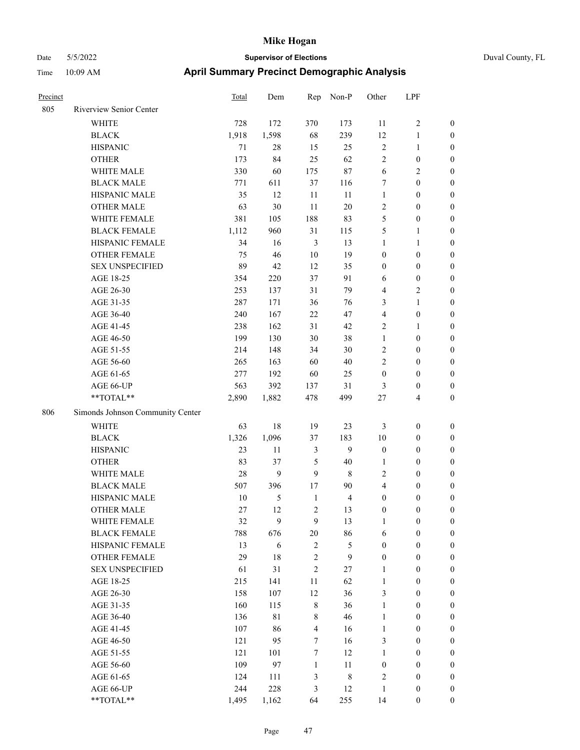# Date 5/5/2022 **Supervisor of Elections** Duval County, FL Time 10:09 AM **April Summary Precinct Demographic Analysis**

| Precinct |                                                           | Total | Dem         | Rep              | Non-P          | Other                   | LPF              |                  |
|----------|-----------------------------------------------------------|-------|-------------|------------------|----------------|-------------------------|------------------|------------------|
| 805      | Riverview Senior Center                                   |       |             |                  |                |                         |                  |                  |
|          | <b>WHITE</b>                                              | 728   | 172         | 370              | 173            | 11                      | $\sqrt{2}$       | $\boldsymbol{0}$ |
|          | <b>BLACK</b>                                              | 1,918 | 1,598       | 68               | 239            | $12\,$                  | $\mathbf{1}$     | $\boldsymbol{0}$ |
|          | <b>HISPANIC</b>                                           | 71    | $28\,$      | 15               | 25             | $\sqrt{2}$              | $\mathbf{1}$     | $\boldsymbol{0}$ |
|          | <b>OTHER</b>                                              | 173   | 84          | 25               | 62             | $\sqrt{2}$              | $\boldsymbol{0}$ | $\boldsymbol{0}$ |
|          | WHITE MALE                                                | 330   | 60          | 175              | 87             | 6                       | $\sqrt{2}$       | $\boldsymbol{0}$ |
|          | <b>BLACK MALE</b>                                         | 771   | 611         | 37               | 116            | $\tau$                  | $\boldsymbol{0}$ | $\boldsymbol{0}$ |
|          | HISPANIC MALE                                             | 35    | 12          | 11               | 11             | $\mathbf{1}$            | $\boldsymbol{0}$ | $\boldsymbol{0}$ |
|          | <b>OTHER MALE</b>                                         | 63    | 30          | 11               | $20\,$         | $\sqrt{2}$              | $\boldsymbol{0}$ | $\boldsymbol{0}$ |
|          | WHITE FEMALE                                              | 381   | 105         | 188              | 83             | 5                       | $\boldsymbol{0}$ | $\boldsymbol{0}$ |
|          | <b>BLACK FEMALE</b>                                       | 1,112 | 960         | 31               | 115            | 5                       | $\mathbf{1}$     | $\boldsymbol{0}$ |
|          | HISPANIC FEMALE                                           | 34    | 16          | $\mathfrak{Z}$   | 13             | $\mathbf{1}$            | $\mathbf{1}$     | $\boldsymbol{0}$ |
|          | OTHER FEMALE                                              | 75    | 46          | $10\,$           | 19             | $\boldsymbol{0}$        | $\boldsymbol{0}$ | $\boldsymbol{0}$ |
|          | <b>SEX UNSPECIFIED</b>                                    | 89    | 42          | 12               | 35             | $\boldsymbol{0}$        | $\boldsymbol{0}$ | $\boldsymbol{0}$ |
|          | AGE 18-25                                                 | 354   | 220         | 37               | 91             | 6                       | $\boldsymbol{0}$ | $\boldsymbol{0}$ |
|          | AGE 26-30                                                 | 253   | 137         | 31               | 79             | $\overline{4}$          | $\sqrt{2}$       | $\boldsymbol{0}$ |
|          | AGE 31-35                                                 | 287   | 171         | 36               | 76             | 3                       | $\mathbf{1}$     | $\boldsymbol{0}$ |
|          | AGE 36-40                                                 | 240   | 167         | 22               | 47             | $\overline{4}$          | $\boldsymbol{0}$ | $\boldsymbol{0}$ |
|          | AGE 41-45                                                 | 238   | 162         | 31               | 42             | $\mathbf{2}$            | 1                | $\boldsymbol{0}$ |
|          | AGE 46-50                                                 | 199   | 130         | 30               | 38             | $\mathbf{1}$            | $\boldsymbol{0}$ | $\boldsymbol{0}$ |
|          | AGE 51-55                                                 | 214   | 148         | 34               | 30             | $\sqrt{2}$              | $\boldsymbol{0}$ | $\boldsymbol{0}$ |
|          | AGE 56-60                                                 | 265   | 163         | 60               | $40\,$         | $\mathfrak{2}$          | $\boldsymbol{0}$ | $\boldsymbol{0}$ |
|          | AGE 61-65                                                 | 277   | 192         | 60               | 25             | $\boldsymbol{0}$        | $\boldsymbol{0}$ | $\boldsymbol{0}$ |
|          | AGE 66-UP                                                 | 563   | 392         | 137              | 31             | 3                       | $\boldsymbol{0}$ | $\boldsymbol{0}$ |
|          | $\mathrm{*}\mathrm{*}\mathrm{TOTAL} \mathrm{*}\mathrm{*}$ | 2,890 | 1,882       | 478              | 499            | $27\,$                  | 4                | $\boldsymbol{0}$ |
| 806      | Simonds Johnson Community Center                          |       |             |                  |                |                         |                  |                  |
|          | <b>WHITE</b>                                              | 63    | $18\,$      | 19               | 23             | 3                       | $\boldsymbol{0}$ | $\boldsymbol{0}$ |
|          | <b>BLACK</b>                                              | 1,326 | 1,096       | 37               | 183            | $10\,$                  | $\boldsymbol{0}$ | $\boldsymbol{0}$ |
|          | <b>HISPANIC</b>                                           | 23    | 11          | 3                | 9              | $\boldsymbol{0}$        | $\boldsymbol{0}$ | $\boldsymbol{0}$ |
|          | <b>OTHER</b>                                              | 83    | 37          | $\mathfrak{H}$   | 40             | 1                       | $\boldsymbol{0}$ | $\boldsymbol{0}$ |
|          | WHITE MALE                                                | 28    | 9           | 9                | $\,$ 8 $\,$    | $\mathfrak{2}$          | $\boldsymbol{0}$ | $\boldsymbol{0}$ |
|          | <b>BLACK MALE</b>                                         | 507   | 396         | 17               | 90             | $\overline{\mathbf{4}}$ | $\boldsymbol{0}$ | $\boldsymbol{0}$ |
|          | HISPANIC MALE                                             | 10    | 5           | $\mathbf{1}$     | $\overline{4}$ | $\boldsymbol{0}$        | $\boldsymbol{0}$ | $\boldsymbol{0}$ |
|          | <b>OTHER MALE</b>                                         | 27    | 12          | $\mathbf{2}$     | 13             | $\boldsymbol{0}$        | $\boldsymbol{0}$ | $\boldsymbol{0}$ |
|          | WHITE FEMALE                                              | 32    | 9           | 9                | 13             | $\mathbf{1}$            | $\boldsymbol{0}$ | $\mathbf{0}$     |
|          | <b>BLACK FEMALE</b>                                       | 788   | 676         | $20\,$           | 86             | $\sqrt{6}$              | $\boldsymbol{0}$ | $\theta$         |
|          | HISPANIC FEMALE                                           | 13    | $\sqrt{6}$  | $\sqrt{2}$       | 5              | $\boldsymbol{0}$        | $\boldsymbol{0}$ | $\theta$         |
|          | <b>OTHER FEMALE</b>                                       | 29    | 18          | $\sqrt{2}$       | 9              | $\boldsymbol{0}$        | $\boldsymbol{0}$ | $\mathbf{0}$     |
|          | <b>SEX UNSPECIFIED</b>                                    | 61    | 31          | $\overline{2}$   | 27             | $\mathbf{1}$            | $\boldsymbol{0}$ | $\theta$         |
|          | AGE 18-25                                                 | 215   | 141         | 11               | 62             | $\mathbf{1}$            | $\boldsymbol{0}$ | $\theta$         |
|          | AGE 26-30                                                 | 158   | 107         | 12               | 36             | $\mathfrak{Z}$          | $\boldsymbol{0}$ | $\boldsymbol{0}$ |
|          | AGE 31-35                                                 | 160   | 115         | 8                | 36             | $\mathbf{1}$            | $\boldsymbol{0}$ | $\mathbf{0}$     |
|          | AGE 36-40                                                 | 136   | $8\sqrt{1}$ | 8                | 46             | $\mathbf{1}$            | $\boldsymbol{0}$ | $\mathbf{0}$     |
|          | AGE 41-45                                                 | 107   | 86          | $\overline{4}$   | 16             | $\mathbf{1}$            | $\boldsymbol{0}$ | $\mathbf{0}$     |
|          | AGE 46-50                                                 | 121   | 95          | 7                | 16             | $\mathfrak{Z}$          | $\boldsymbol{0}$ | $\mathbf{0}$     |
|          | AGE 51-55                                                 | 121   | 101         | $\boldsymbol{7}$ | 12             | $\mathbf{1}$            | $\boldsymbol{0}$ | $\boldsymbol{0}$ |
|          | AGE 56-60                                                 | 109   | 97          | $\mathbf{1}$     | 11             | $\boldsymbol{0}$        | $\boldsymbol{0}$ | $\boldsymbol{0}$ |
|          | AGE 61-65                                                 | 124   | 111         | $\mathfrak{Z}$   | $\,$ 8 $\,$    | $\sqrt{2}$              | $\boldsymbol{0}$ | $\boldsymbol{0}$ |
|          | AGE 66-UP                                                 | 244   | 228         | $\mathfrak{Z}$   | 12             | $\mathbf{1}$            | $\boldsymbol{0}$ | $\boldsymbol{0}$ |

\*\*TOTAL\*\* 1,495 1,162 64 255 14 0 0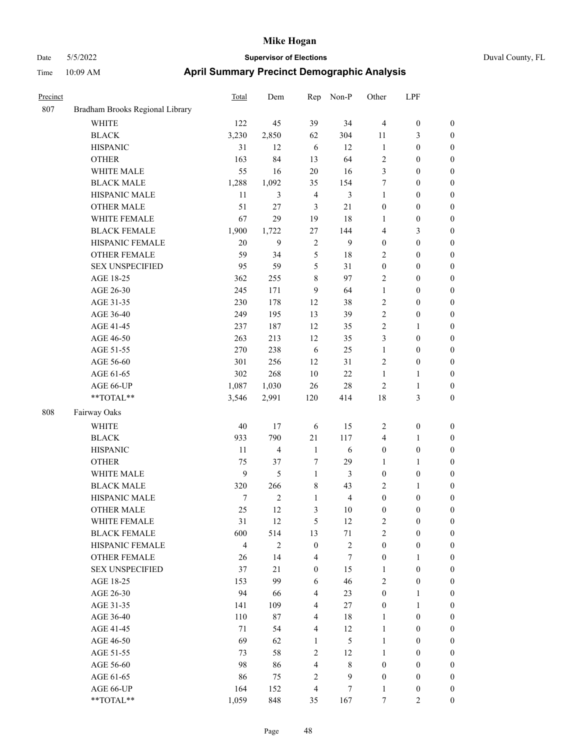| Precinct |                                 | <b>Total</b>   | Dem            | Rep              | Non-P         | Other            | LPF              |                  |
|----------|---------------------------------|----------------|----------------|------------------|---------------|------------------|------------------|------------------|
| 807      | Bradham Brooks Regional Library |                |                |                  |               |                  |                  |                  |
|          | <b>WHITE</b>                    | 122            | 45             | 39               | 34            | $\overline{4}$   | $\boldsymbol{0}$ | $\boldsymbol{0}$ |
|          | <b>BLACK</b>                    | 3,230          | 2,850          | 62               | 304           | 11               | 3                | $\boldsymbol{0}$ |
|          | <b>HISPANIC</b>                 | 31             | 12             | 6                | 12            | $\mathbf{1}$     | $\boldsymbol{0}$ | $\boldsymbol{0}$ |
|          | <b>OTHER</b>                    | 163            | 84             | 13               | 64            | $\sqrt{2}$       | $\boldsymbol{0}$ | $\boldsymbol{0}$ |
|          | WHITE MALE                      | 55             | 16             | $20\,$           | 16            | 3                | $\boldsymbol{0}$ | $\boldsymbol{0}$ |
|          | <b>BLACK MALE</b>               | 1,288          | 1,092          | 35               | 154           | 7                | $\boldsymbol{0}$ | $\boldsymbol{0}$ |
|          | HISPANIC MALE                   | 11             | 3              | $\overline{4}$   | 3             | $\mathbf{1}$     | $\boldsymbol{0}$ | $\boldsymbol{0}$ |
|          | <b>OTHER MALE</b>               | 51             | 27             | $\mathfrak{Z}$   | 21            | $\boldsymbol{0}$ | $\boldsymbol{0}$ | $\boldsymbol{0}$ |
|          | WHITE FEMALE                    | 67             | 29             | 19               | 18            | 1                | $\boldsymbol{0}$ | $\boldsymbol{0}$ |
|          | <b>BLACK FEMALE</b>             | 1,900          | 1,722          | 27               | 144           | $\overline{4}$   | 3                | $\boldsymbol{0}$ |
|          | HISPANIC FEMALE                 | 20             | 9              | $\overline{2}$   | 9             | $\boldsymbol{0}$ | $\boldsymbol{0}$ | $\boldsymbol{0}$ |
|          | <b>OTHER FEMALE</b>             | 59             | 34             | 5                | 18            | $\overline{2}$   | $\boldsymbol{0}$ | $\boldsymbol{0}$ |
|          | <b>SEX UNSPECIFIED</b>          | 95             | 59             | 5                | 31            | $\boldsymbol{0}$ | $\boldsymbol{0}$ | $\boldsymbol{0}$ |
|          | AGE 18-25                       | 362            | 255            | 8                | 97            | $\overline{2}$   | $\boldsymbol{0}$ | $\boldsymbol{0}$ |
|          | AGE 26-30                       | 245            | 171            | 9                | 64            | $\mathbf{1}$     | $\boldsymbol{0}$ | $\boldsymbol{0}$ |
|          | AGE 31-35                       | 230            | 178            | 12               | 38            | $\sqrt{2}$       | $\boldsymbol{0}$ | $\boldsymbol{0}$ |
|          | AGE 36-40                       | 249            | 195            | 13               | 39            | $\overline{2}$   | $\boldsymbol{0}$ | $\boldsymbol{0}$ |
|          | AGE 41-45                       | 237            | 187            | 12               | 35            | $\overline{2}$   | 1                | $\boldsymbol{0}$ |
|          | AGE 46-50                       | 263            | 213            | 12               | 35            | 3                | $\boldsymbol{0}$ | $\boldsymbol{0}$ |
|          | AGE 51-55                       | 270            | 238            | 6                | 25            | $\mathbf{1}$     | $\boldsymbol{0}$ | $\boldsymbol{0}$ |
|          | AGE 56-60                       | 301            | 256            | 12               | 31            | $\overline{2}$   | $\boldsymbol{0}$ | $\boldsymbol{0}$ |
|          | AGE 61-65                       | 302            | 268            | 10               | 22            | $\mathbf{1}$     | 1                | $\boldsymbol{0}$ |
|          | AGE 66-UP                       | 1,087          | 1,030          | 26               | 28            | $\overline{2}$   | $\mathbf{1}$     | $\boldsymbol{0}$ |
|          | **TOTAL**                       | 3,546          | 2,991          | 120              | 414           | 18               | 3                | $\boldsymbol{0}$ |
| 808      | Fairway Oaks                    |                |                |                  |               |                  |                  |                  |
|          | <b>WHITE</b>                    | 40             | 17             | 6                | 15            | $\overline{2}$   | $\boldsymbol{0}$ | $\boldsymbol{0}$ |
|          | <b>BLACK</b>                    | 933            | 790            | 21               | 117           | $\overline{4}$   | 1                | $\boldsymbol{0}$ |
|          | <b>HISPANIC</b>                 | 11             | $\overline{4}$ | $\mathbf{1}$     | 6             | $\boldsymbol{0}$ | $\boldsymbol{0}$ | $\boldsymbol{0}$ |
|          | <b>OTHER</b>                    | 75             | 37             | 7                | 29            | $\mathbf{1}$     | 1                | $\boldsymbol{0}$ |
|          | WHITE MALE                      | 9              | 5              | $\mathbf{1}$     | 3             | $\boldsymbol{0}$ | $\boldsymbol{0}$ | $\boldsymbol{0}$ |
|          | <b>BLACK MALE</b>               | 320            | 266            | $\,$ 8 $\,$      | 43            | $\sqrt{2}$       | 1                | $\boldsymbol{0}$ |
|          | HISPANIC MALE                   | 7              | $\mathbf{2}$   | $\mathbf{1}$     | 4             | $\boldsymbol{0}$ | $\boldsymbol{0}$ | $\boldsymbol{0}$ |
|          | <b>OTHER MALE</b>               | 25             | 12             | 3                | 10            | $\mathbf{0}$     | $\mathbf{0}$     | $\boldsymbol{0}$ |
|          | WHITE FEMALE                    | 31             | 12             | 5                | 12            | $\sqrt{2}$       | $\boldsymbol{0}$ | $\boldsymbol{0}$ |
|          | <b>BLACK FEMALE</b>             | 600            | 514            | 13               | 71            | $\sqrt{2}$       | $\boldsymbol{0}$ | $\boldsymbol{0}$ |
|          | HISPANIC FEMALE                 | $\overline{4}$ | $\overline{2}$ | $\boldsymbol{0}$ | $\sqrt{2}$    | $\boldsymbol{0}$ | $\boldsymbol{0}$ | $\mathbf{0}$     |
|          | <b>OTHER FEMALE</b>             | 26             | 14             | $\overline{4}$   | $\tau$        | $\boldsymbol{0}$ | 1                | $\boldsymbol{0}$ |
|          | <b>SEX UNSPECIFIED</b>          | 37             | 21             | $\boldsymbol{0}$ | 15            | $\mathbf{1}$     | $\boldsymbol{0}$ | $\boldsymbol{0}$ |
|          | AGE 18-25                       | 153            | 99             | 6                | 46            | $\sqrt{2}$       | $\boldsymbol{0}$ | $\boldsymbol{0}$ |
|          | AGE 26-30                       | 94             | 66             | $\overline{4}$   | 23            | $\boldsymbol{0}$ | $\mathbf{1}$     | $\boldsymbol{0}$ |
|          | AGE 31-35                       | 141            | 109            | $\overline{4}$   | $27\,$        | $\boldsymbol{0}$ | 1                | $\boldsymbol{0}$ |
|          | AGE 36-40                       | 110            | 87             | $\overline{4}$   | 18            | $\mathbf{1}$     | $\boldsymbol{0}$ | $\boldsymbol{0}$ |
|          | AGE 41-45                       | $71\,$         | 54             | $\overline{4}$   | 12            | $\mathbf{1}$     | $\boldsymbol{0}$ | $\boldsymbol{0}$ |
|          | AGE 46-50                       | 69             | 62             | $\mathbf{1}$     | $\mathfrak s$ | $\mathbf{1}$     | $\boldsymbol{0}$ | $\boldsymbol{0}$ |
|          | AGE 51-55                       | 73             | 58             | $\overline{2}$   | 12            | $\mathbf{1}$     | $\boldsymbol{0}$ | $\boldsymbol{0}$ |
|          | AGE 56-60                       | 98             | 86             | $\overline{4}$   | 8             | $\boldsymbol{0}$ | $\boldsymbol{0}$ | $\boldsymbol{0}$ |
|          | AGE 61-65                       | 86             | 75             | $\sqrt{2}$       | 9             | $\boldsymbol{0}$ | $\boldsymbol{0}$ | $\boldsymbol{0}$ |
|          | AGE 66-UP                       | 164            | 152            | $\overline{4}$   | $\tau$        | $\mathbf{1}$     | $\boldsymbol{0}$ | $\boldsymbol{0}$ |
|          | **TOTAL**                       | 1,059          | 848            | 35               | 167           | $\tau$           | $\overline{c}$   | $\boldsymbol{0}$ |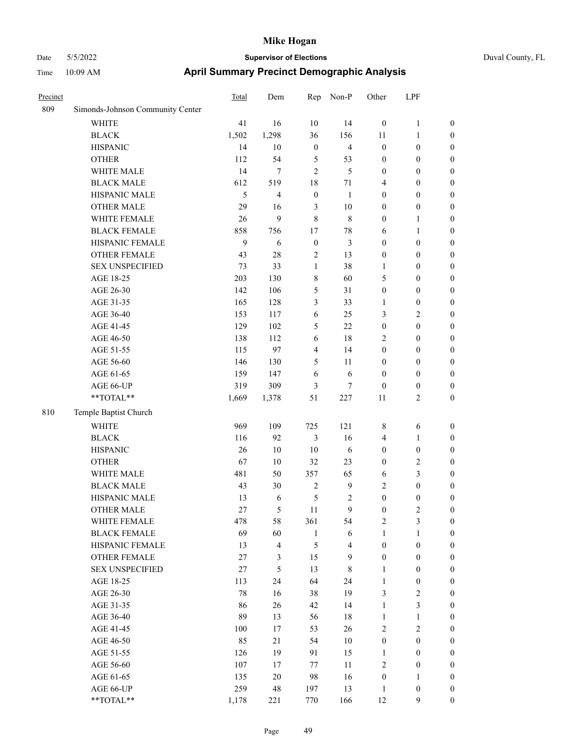|  | Duval County, FL |
|--|------------------|
|--|------------------|

| Precinct |                                  | Total  | Dem    | Rep              | Non-P          | Other            | LPF              |                  |
|----------|----------------------------------|--------|--------|------------------|----------------|------------------|------------------|------------------|
| 809      | Simonds-Johnson Community Center |        |        |                  |                |                  |                  |                  |
|          | WHITE                            | 41     | 16     | $10\,$           | 14             | $\boldsymbol{0}$ | $\mathbf{1}$     | $\boldsymbol{0}$ |
|          | <b>BLACK</b>                     | 1,502  | 1,298  | 36               | 156            | 11               | $\mathbf{1}$     | $\boldsymbol{0}$ |
|          | <b>HISPANIC</b>                  | 14     | 10     | $\boldsymbol{0}$ | $\overline{4}$ | $\boldsymbol{0}$ | $\boldsymbol{0}$ | 0                |
|          | <b>OTHER</b>                     | 112    | 54     | 5                | 53             | $\boldsymbol{0}$ | $\boldsymbol{0}$ | $\boldsymbol{0}$ |
|          | WHITE MALE                       | 14     | 7      | $\mathfrak{2}$   | 5              | $\boldsymbol{0}$ | $\boldsymbol{0}$ | $\boldsymbol{0}$ |
|          | <b>BLACK MALE</b>                | 612    | 519    | 18               | 71             | 4                | $\boldsymbol{0}$ | $\boldsymbol{0}$ |
|          | HISPANIC MALE                    | 5      | 4      | $\boldsymbol{0}$ | $\mathbf{1}$   | $\boldsymbol{0}$ | $\boldsymbol{0}$ | $\boldsymbol{0}$ |
|          | <b>OTHER MALE</b>                | 29     | 16     | $\mathfrak{Z}$   | 10             | $\boldsymbol{0}$ | $\boldsymbol{0}$ | $\boldsymbol{0}$ |
|          | WHITE FEMALE                     | 26     | 9      | $\,$ 8 $\,$      | $\,$ 8 $\,$    | $\boldsymbol{0}$ | $\mathbf{1}$     | $\boldsymbol{0}$ |
|          | <b>BLACK FEMALE</b>              | 858    | 756    | 17               | 78             | 6                | 1                | $\boldsymbol{0}$ |
|          | HISPANIC FEMALE                  | 9      | 6      | $\boldsymbol{0}$ | $\mathfrak{Z}$ | $\boldsymbol{0}$ | $\boldsymbol{0}$ | $\boldsymbol{0}$ |
|          | OTHER FEMALE                     | 43     | 28     | $\overline{2}$   | 13             | $\boldsymbol{0}$ | $\boldsymbol{0}$ | 0                |
|          | <b>SEX UNSPECIFIED</b>           | 73     | 33     | $\mathbf{1}$     | 38             | 1                | $\boldsymbol{0}$ | 0                |
|          | AGE 18-25                        | 203    | 130    | $\,$ 8 $\,$      | 60             | 5                | $\boldsymbol{0}$ | 0                |
|          | AGE 26-30                        | 142    | 106    | 5                | 31             | $\boldsymbol{0}$ | $\boldsymbol{0}$ | $\boldsymbol{0}$ |
|          | AGE 31-35                        | 165    | 128    | 3                | 33             | 1                | $\boldsymbol{0}$ | $\boldsymbol{0}$ |
|          | AGE 36-40                        | 153    | 117    | 6                | 25             | 3                | $\mathbf{2}$     | $\boldsymbol{0}$ |
|          | AGE 41-45                        | 129    | 102    | 5                | 22             | $\boldsymbol{0}$ | $\boldsymbol{0}$ | $\boldsymbol{0}$ |
|          | AGE 46-50                        | 138    | 112    | 6                | 18             | $\overline{c}$   | $\boldsymbol{0}$ | $\boldsymbol{0}$ |
|          | AGE 51-55                        | 115    | 97     | $\overline{4}$   | 14             | $\boldsymbol{0}$ | $\boldsymbol{0}$ | $\boldsymbol{0}$ |
|          | AGE 56-60                        | 146    | 130    | $\mathfrak{S}$   | 11             | $\boldsymbol{0}$ | $\boldsymbol{0}$ | $\boldsymbol{0}$ |
|          | AGE 61-65                        | 159    | 147    | $\sqrt{6}$       | 6              | $\boldsymbol{0}$ | $\boldsymbol{0}$ | 0                |
|          | AGE 66-UP                        | 319    | 309    | 3                | 7              | $\boldsymbol{0}$ | $\boldsymbol{0}$ | 0                |
|          | $**TOTAL**$                      | 1,669  | 1,378  | 51               | 227            | 11               | $\sqrt{2}$       | $\boldsymbol{0}$ |
| 810      | Temple Baptist Church            |        |        |                  |                |                  |                  |                  |
|          | <b>WHITE</b>                     | 969    | 109    | 725              | 121            | 8                | 6                | $\boldsymbol{0}$ |
|          | <b>BLACK</b>                     | 116    | 92     | 3                | 16             | 4                | $\mathbf{1}$     | $\boldsymbol{0}$ |
|          | <b>HISPANIC</b>                  | 26     | 10     | 10               | 6              | $\boldsymbol{0}$ | $\boldsymbol{0}$ | $\boldsymbol{0}$ |
|          | <b>OTHER</b>                     | 67     | 10     | 32               | 23             | $\boldsymbol{0}$ | $\mathfrak{2}$   | $\boldsymbol{0}$ |
|          | WHITE MALE                       | 481    | 50     | 357              | 65             | 6                | $\mathfrak{Z}$   | $\boldsymbol{0}$ |
|          | <b>BLACK MALE</b>                | 43     | 30     | $\sqrt{2}$       | $\mathbf{9}$   | $\overline{c}$   | $\boldsymbol{0}$ | $\boldsymbol{0}$ |
|          | HISPANIC MALE                    | 13     | 6      | 5                | 2              | $\boldsymbol{0}$ | $\boldsymbol{0}$ | $\boldsymbol{0}$ |
|          | <b>OTHER MALE</b>                | 27     | 5      | 11               | 9              | $\boldsymbol{0}$ | $\mathfrak{2}$   | $\boldsymbol{0}$ |
|          | WHITE FEMALE                     | 478    | 58     | 361              | 54             | $\mathfrak{2}$   | $\mathfrak{Z}$   | 0                |
|          | <b>BLACK FEMALE</b>              | 69     | 60     | $\mathbf{1}$     | 6              | $\mathbf{1}$     | $\mathbf{1}$     | 0                |
|          | HISPANIC FEMALE                  | 13     | 4      | $\sqrt{5}$       | $\overline{4}$ | $\boldsymbol{0}$ | $\boldsymbol{0}$ | 0                |
|          | OTHER FEMALE                     | 27     | 3      | 15               | 9              | $\boldsymbol{0}$ | $\boldsymbol{0}$ | 0                |
|          | <b>SEX UNSPECIFIED</b>           | $27\,$ | 5      | 13               | $\,$ 8 $\,$    | $\mathbf{1}$     | $\boldsymbol{0}$ | $\overline{0}$   |
|          | AGE 18-25                        | 113    | 24     | 64               | 24             | $\mathbf{1}$     | $\boldsymbol{0}$ | 0                |
|          | AGE 26-30                        | 78     | 16     | 38               | 19             | 3                | $\sqrt{2}$       | 0                |
|          | AGE 31-35                        | 86     | 26     | 42               | 14             | $\mathbf{1}$     | $\mathfrak{Z}$   | $\overline{0}$   |
|          | AGE 36-40                        | 89     | 13     | 56               | $18\,$         | $\mathbf{1}$     | $\mathbf{1}$     | 0                |
|          | AGE 41-45                        | 100    | 17     | 53               | 26             | $\mathbf{2}$     | $\sqrt{2}$       | 0                |
|          | AGE 46-50                        | 85     | 21     | 54               | $10\,$         | $\boldsymbol{0}$ | $\boldsymbol{0}$ | 0                |
|          | AGE 51-55                        | 126    | 19     | 91               | 15             | $\mathbf{1}$     | $\boldsymbol{0}$ | $\boldsymbol{0}$ |
|          | AGE 56-60                        | 107    | 17     | $77\,$           | 11             | $\sqrt{2}$       | $\boldsymbol{0}$ | $\overline{0}$   |
|          | AGE 61-65                        | 135    | $20\,$ | 98               | 16             | $\boldsymbol{0}$ | $\mathbf{1}$     | $\boldsymbol{0}$ |
|          | AGE 66-UP                        | 259    | 48     | 197              | 13             | $\mathbf{1}$     | $\boldsymbol{0}$ | $\boldsymbol{0}$ |
|          | $**TOTAL**$                      | 1,178  | 221    | 770              | 166            | 12               | 9                | $\boldsymbol{0}$ |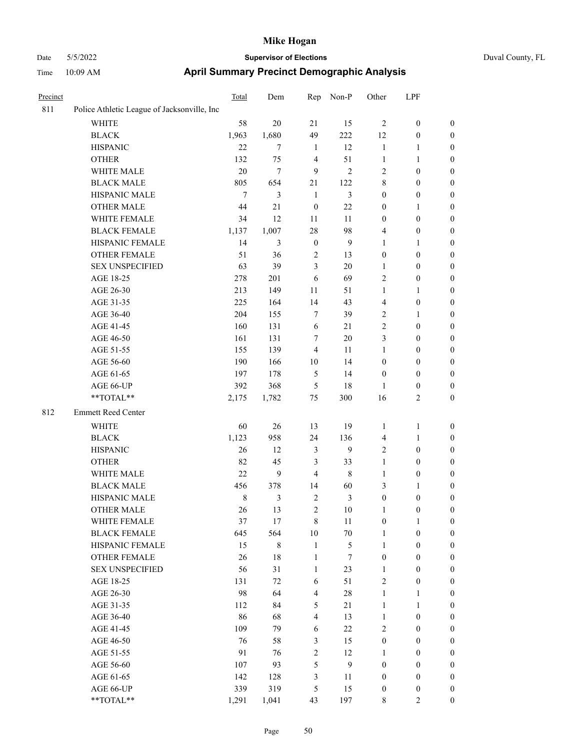| Duval County, FL |  |  |  |
|------------------|--|--|--|
|------------------|--|--|--|

| Precinct |                                                           | Total | Dem            | Rep              | Non-P          | Other            | LPF              |                  |
|----------|-----------------------------------------------------------|-------|----------------|------------------|----------------|------------------|------------------|------------------|
| 811      | Police Athletic League of Jacksonville, Inc               |       |                |                  |                |                  |                  |                  |
|          | WHITE                                                     | 58    | 20             | 21               | 15             | $\overline{2}$   | $\boldsymbol{0}$ | $\boldsymbol{0}$ |
|          | <b>BLACK</b>                                              | 1,963 | 1,680          | 49               | 222            | 12               | $\boldsymbol{0}$ | $\boldsymbol{0}$ |
|          | <b>HISPANIC</b>                                           | 22    | 7              | 1                | 12             | $\mathbf{1}$     | 1                | $\boldsymbol{0}$ |
|          | <b>OTHER</b>                                              | 132   | 75             | $\overline{4}$   | 51             | $\mathbf{1}$     | 1                | $\boldsymbol{0}$ |
|          | WHITE MALE                                                | 20    | $\overline{7}$ | 9                | $\overline{2}$ | $\overline{2}$   | $\boldsymbol{0}$ | $\boldsymbol{0}$ |
|          | <b>BLACK MALE</b>                                         | 805   | 654            | 21               | 122            | $\,8\,$          | $\boldsymbol{0}$ | $\boldsymbol{0}$ |
|          | HISPANIC MALE                                             | 7     | 3              | $\mathbf{1}$     | 3              | $\boldsymbol{0}$ | $\boldsymbol{0}$ | $\boldsymbol{0}$ |
|          | <b>OTHER MALE</b>                                         | 44    | 21             | $\boldsymbol{0}$ | 22             | $\boldsymbol{0}$ | 1                | $\boldsymbol{0}$ |
|          | WHITE FEMALE                                              | 34    | 12             | 11               | 11             | $\boldsymbol{0}$ | $\boldsymbol{0}$ | $\boldsymbol{0}$ |
|          | <b>BLACK FEMALE</b>                                       | 1,137 | 1,007          | 28               | 98             | $\overline{4}$   | $\boldsymbol{0}$ | $\boldsymbol{0}$ |
|          | HISPANIC FEMALE                                           | 14    | 3              | $\boldsymbol{0}$ | 9              | 1                | 1                | $\boldsymbol{0}$ |
|          | <b>OTHER FEMALE</b>                                       | 51    | 36             | $\overline{c}$   | 13             | $\boldsymbol{0}$ | $\boldsymbol{0}$ | $\boldsymbol{0}$ |
|          | <b>SEX UNSPECIFIED</b>                                    | 63    | 39             | 3                | 20             | 1                | $\boldsymbol{0}$ | $\boldsymbol{0}$ |
|          | AGE 18-25                                                 | 278   | 201            | 6                | 69             | $\overline{2}$   | $\boldsymbol{0}$ | $\boldsymbol{0}$ |
|          | AGE 26-30                                                 | 213   | 149            | 11               | 51             | $\mathbf{1}$     | 1                | $\boldsymbol{0}$ |
|          | AGE 31-35                                                 | 225   | 164            | 14               | 43             | $\overline{4}$   | $\boldsymbol{0}$ | $\boldsymbol{0}$ |
|          | AGE 36-40                                                 | 204   | 155            | 7                | 39             | $\sqrt{2}$       | 1                | $\boldsymbol{0}$ |
|          | AGE 41-45                                                 | 160   | 131            | 6                | 21             | $\sqrt{2}$       | $\boldsymbol{0}$ | $\boldsymbol{0}$ |
|          | AGE 46-50                                                 | 161   | 131            | 7                | 20             | 3                | $\boldsymbol{0}$ | $\boldsymbol{0}$ |
|          | AGE 51-55                                                 | 155   | 139            | $\overline{4}$   | 11             | 1                | $\boldsymbol{0}$ | $\boldsymbol{0}$ |
|          | AGE 56-60                                                 | 190   | 166            | 10               | 14             | $\boldsymbol{0}$ | $\boldsymbol{0}$ | $\boldsymbol{0}$ |
|          | AGE 61-65                                                 | 197   | 178            | 5                | 14             | $\boldsymbol{0}$ | $\boldsymbol{0}$ | $\boldsymbol{0}$ |
|          | AGE 66-UP                                                 | 392   | 368            | 5                | 18             | 1                | $\boldsymbol{0}$ | $\boldsymbol{0}$ |
|          | **TOTAL**                                                 | 2,175 | 1,782          | 75               | 300            | 16               | 2                | $\boldsymbol{0}$ |
| 812      | Emmett Reed Center                                        |       |                |                  |                |                  |                  |                  |
|          | <b>WHITE</b>                                              | 60    | 26             | 13               | 19             | 1                | 1                | $\boldsymbol{0}$ |
|          | <b>BLACK</b>                                              | 1,123 | 958            | 24               | 136            | $\overline{4}$   | 1                | $\boldsymbol{0}$ |
|          | <b>HISPANIC</b>                                           | 26    | 12             | 3                | 9              | $\sqrt{2}$       | $\boldsymbol{0}$ | $\boldsymbol{0}$ |
|          | <b>OTHER</b>                                              | 82    | 45             | 3                | 33             | $\mathbf{1}$     | $\boldsymbol{0}$ | $\boldsymbol{0}$ |
|          | WHITE MALE                                                | 22    | 9              | $\overline{4}$   | $\,8\,$        | 1                | $\boldsymbol{0}$ | $\boldsymbol{0}$ |
|          | <b>BLACK MALE</b>                                         | 456   | 378            | 14               | 60             | 3                | 1                | $\boldsymbol{0}$ |
|          | HISPANIC MALE                                             | 8     | 3              | $\mathfrak{2}$   | 3              | $\boldsymbol{0}$ | $\boldsymbol{0}$ | $\boldsymbol{0}$ |
|          | <b>OTHER MALE</b>                                         | 26    | 13             | $\overline{2}$   | 10             | 1                | 0                | $\boldsymbol{0}$ |
|          | WHITE FEMALE                                              | 37    | 17             | $\,$ 8 $\,$      | 11             | $\boldsymbol{0}$ | $\mathbf{1}$     | $\boldsymbol{0}$ |
|          | <b>BLACK FEMALE</b>                                       | 645   | 564            | 10               | $70\,$         | $\mathbf{1}$     | $\boldsymbol{0}$ | $\boldsymbol{0}$ |
|          | HISPANIC FEMALE                                           | 15    | $\,$ 8 $\,$    | $\mathbf{1}$     | 5              | $\mathbf{1}$     | $\boldsymbol{0}$ | $\boldsymbol{0}$ |
|          | <b>OTHER FEMALE</b>                                       | 26    | 18             | $\mathbf{1}$     | $\tau$         | $\boldsymbol{0}$ | $\boldsymbol{0}$ | $\boldsymbol{0}$ |
|          | <b>SEX UNSPECIFIED</b>                                    | 56    | 31             | 1                | 23             | $\mathbf{1}$     | $\boldsymbol{0}$ | $\boldsymbol{0}$ |
|          | AGE 18-25                                                 | 131   | 72             | 6                | 51             | $\sqrt{2}$       | $\boldsymbol{0}$ | $\boldsymbol{0}$ |
|          | AGE 26-30                                                 | 98    | 64             | $\overline{4}$   | $28\,$         | $\mathbf{1}$     | 1                | $\boldsymbol{0}$ |
|          | AGE 31-35                                                 | 112   | 84             | 5                | 21             | $\mathbf{1}$     | 1                | $\boldsymbol{0}$ |
|          | AGE 36-40                                                 | 86    | 68             | $\overline{4}$   | 13             | $\mathbf{1}$     | $\boldsymbol{0}$ | $\boldsymbol{0}$ |
|          | AGE 41-45                                                 | 109   | 79             | 6                | $22\,$         | $\sqrt{2}$       | $\boldsymbol{0}$ | $\boldsymbol{0}$ |
|          | AGE 46-50                                                 | 76    | 58             | 3                | 15             | $\boldsymbol{0}$ | $\boldsymbol{0}$ | $\boldsymbol{0}$ |
|          | AGE 51-55                                                 | 91    | 76             | $\sqrt{2}$       | 12             | $\mathbf{1}$     | $\boldsymbol{0}$ | $\boldsymbol{0}$ |
|          | AGE 56-60                                                 | 107   | 93             | 5                | 9              | $\boldsymbol{0}$ | $\boldsymbol{0}$ | $\boldsymbol{0}$ |
|          | AGE 61-65                                                 | 142   | 128            | $\mathfrak{Z}$   | 11             | $\boldsymbol{0}$ | $\boldsymbol{0}$ | $\boldsymbol{0}$ |
|          | AGE 66-UP                                                 | 339   | 319            | 5                | 15             | $\boldsymbol{0}$ | $\boldsymbol{0}$ | $\boldsymbol{0}$ |
|          | $\mathrm{*}\mathrm{*}\mathrm{TOTAL} \mathrm{*}\mathrm{*}$ | 1,291 | 1,041          | 43               | 197            | 8                | $\overline{2}$   | $\boldsymbol{0}$ |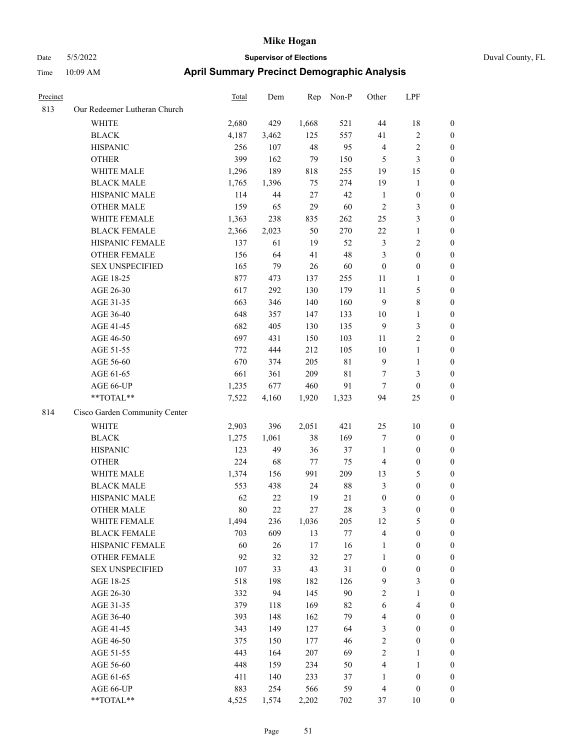| Precinct |                               | Total | Dem    | Rep    | Non-P       | Other            | LPF              |                  |
|----------|-------------------------------|-------|--------|--------|-------------|------------------|------------------|------------------|
| 813      | Our Redeemer Lutheran Church  |       |        |        |             |                  |                  |                  |
|          | <b>WHITE</b>                  | 2,680 | 429    | 1,668  | 521         | 44               | 18               | $\boldsymbol{0}$ |
|          | <b>BLACK</b>                  | 4,187 | 3,462  | 125    | 557         | 41               | 2                | $\boldsymbol{0}$ |
|          | <b>HISPANIC</b>               | 256   | 107    | 48     | 95          | $\overline{4}$   | $\overline{c}$   | $\boldsymbol{0}$ |
|          | <b>OTHER</b>                  | 399   | 162    | 79     | 150         | 5                | 3                | $\boldsymbol{0}$ |
|          | WHITE MALE                    | 1,296 | 189    | 818    | 255         | 19               | 15               | $\boldsymbol{0}$ |
|          | <b>BLACK MALE</b>             | 1,765 | 1,396  | 75     | 274         | 19               | $\mathbf{1}$     | $\boldsymbol{0}$ |
|          | HISPANIC MALE                 | 114   | $44\,$ | 27     | 42          | $\mathbf{1}$     | $\boldsymbol{0}$ | $\boldsymbol{0}$ |
|          | OTHER MALE                    | 159   | 65     | 29     | 60          | $\overline{2}$   | 3                | $\boldsymbol{0}$ |
|          | WHITE FEMALE                  | 1,363 | 238    | 835    | 262         | 25               | 3                | $\boldsymbol{0}$ |
|          | <b>BLACK FEMALE</b>           | 2,366 | 2,023  | 50     | 270         | $22\,$           | 1                | $\boldsymbol{0}$ |
|          | HISPANIC FEMALE               | 137   | 61     | 19     | 52          | $\mathfrak{Z}$   | $\overline{c}$   | $\boldsymbol{0}$ |
|          | <b>OTHER FEMALE</b>           | 156   | 64     | 41     | 48          | $\mathfrak{Z}$   | $\boldsymbol{0}$ | $\boldsymbol{0}$ |
|          | <b>SEX UNSPECIFIED</b>        | 165   | 79     | 26     | 60          | $\boldsymbol{0}$ | $\boldsymbol{0}$ | $\boldsymbol{0}$ |
|          | AGE 18-25                     | 877   | 473    | 137    | 255         | 11               | 1                | $\boldsymbol{0}$ |
|          | AGE 26-30                     | 617   | 292    | 130    | 179         | $11\,$           | 5                | $\boldsymbol{0}$ |
|          | AGE 31-35                     | 663   | 346    | 140    | 160         | 9                | 8                | $\boldsymbol{0}$ |
|          | AGE 36-40                     | 648   | 357    | 147    | 133         | $10\,$           | 1                | $\boldsymbol{0}$ |
|          | AGE 41-45                     | 682   | 405    | 130    | 135         | 9                | 3                | $\boldsymbol{0}$ |
|          | AGE 46-50                     | 697   | 431    | 150    | 103         | 11               | $\overline{c}$   | $\boldsymbol{0}$ |
|          | AGE 51-55                     | 772   | 444    | 212    | 105         | 10               | 1                | $\boldsymbol{0}$ |
|          | AGE 56-60                     | 670   | 374    | 205    | $8\sqrt{1}$ | 9                | $\mathbf{1}$     | $\boldsymbol{0}$ |
|          | AGE 61-65                     | 661   | 361    | 209    | $8\sqrt{1}$ | 7                | 3                | $\boldsymbol{0}$ |
|          | AGE 66-UP                     | 1,235 | 677    | 460    | 91          | $\tau$           | $\boldsymbol{0}$ | $\boldsymbol{0}$ |
|          | **TOTAL**                     | 7,522 | 4,160  | 1,920  | 1,323       | 94               | 25               | $\boldsymbol{0}$ |
| 814      | Cisco Garden Community Center |       |        |        |             |                  |                  |                  |
|          | <b>WHITE</b>                  | 2,903 | 396    | 2,051  | 421         | 25               | 10               | $\boldsymbol{0}$ |
|          | <b>BLACK</b>                  | 1,275 | 1,061  | 38     | 169         | $\tau$           | $\boldsymbol{0}$ | $\boldsymbol{0}$ |
|          | <b>HISPANIC</b>               | 123   | 49     | 36     | 37          | $\mathbf{1}$     | $\boldsymbol{0}$ | $\boldsymbol{0}$ |
|          | <b>OTHER</b>                  | 224   | 68     | 77     | 75          | $\overline{4}$   | $\boldsymbol{0}$ | $\boldsymbol{0}$ |
|          | WHITE MALE                    | 1,374 | 156    | 991    | 209         | 13               | 5                | $\boldsymbol{0}$ |
|          | <b>BLACK MALE</b>             | 553   | 438    | 24     | $88\,$      | $\mathfrak{Z}$   | $\boldsymbol{0}$ | $\boldsymbol{0}$ |
|          | HISPANIC MALE                 | 62    | 22     | 19     | $21\,$      | $\boldsymbol{0}$ | $\boldsymbol{0}$ | $\boldsymbol{0}$ |
|          | <b>OTHER MALE</b>             | 80    | 22     | 27     | 28          | 3                | $\boldsymbol{0}$ | $\boldsymbol{0}$ |
|          | WHITE FEMALE                  | 1,494 | 236    | 1,036  | 205         | 12               | 5                | $\boldsymbol{0}$ |
|          | <b>BLACK FEMALE</b>           | 703   | 609    | 13     | 77          | $\overline{4}$   | $\boldsymbol{0}$ | $\boldsymbol{0}$ |
|          | HISPANIC FEMALE               | 60    | 26     | 17     | 16          | $\mathbf{1}$     | $\boldsymbol{0}$ | $\boldsymbol{0}$ |
|          | OTHER FEMALE                  | 92    | 32     | $32\,$ | 27          | $\mathbf{1}$     | $\boldsymbol{0}$ | $\boldsymbol{0}$ |
|          | <b>SEX UNSPECIFIED</b>        | 107   | 33     | 43     | 31          | $\boldsymbol{0}$ | $\boldsymbol{0}$ | $\boldsymbol{0}$ |
|          | AGE 18-25                     | 518   | 198    | 182    | 126         | $\overline{9}$   | 3                | $\boldsymbol{0}$ |
|          | AGE 26-30                     | 332   | 94     | 145    | 90          | $\sqrt{2}$       | $\mathbf{1}$     | $\boldsymbol{0}$ |
|          | AGE 31-35                     | 379   | 118    | 169    | 82          | 6                | 4                | $\boldsymbol{0}$ |
|          | AGE 36-40                     | 393   | 148    | 162    | 79          | $\overline{4}$   | $\boldsymbol{0}$ | $\boldsymbol{0}$ |
|          | AGE 41-45                     | 343   | 149    | 127    | 64          | $\mathfrak{Z}$   | $\boldsymbol{0}$ | $\boldsymbol{0}$ |
|          | AGE 46-50                     | 375   | 150    | 177    | 46          | $\sqrt{2}$       | $\boldsymbol{0}$ | $\boldsymbol{0}$ |
|          | AGE 51-55                     | 443   | 164    | 207    | 69          | $\sqrt{2}$       | 1                | $\boldsymbol{0}$ |
|          | AGE 56-60                     | 448   | 159    | 234    | 50          | $\overline{4}$   | 1                | $\boldsymbol{0}$ |
|          | AGE 61-65                     | 411   | 140    | 233    | 37          | $\mathbf{1}$     | $\boldsymbol{0}$ | $\boldsymbol{0}$ |
|          | AGE 66-UP                     | 883   | 254    | 566    | 59          | $\overline{4}$   | $\boldsymbol{0}$ | $\boldsymbol{0}$ |
|          | **TOTAL**                     | 4,525 | 1,574  | 2,202  | 702         | 37               | $10\,$           | $\mathbf{0}$     |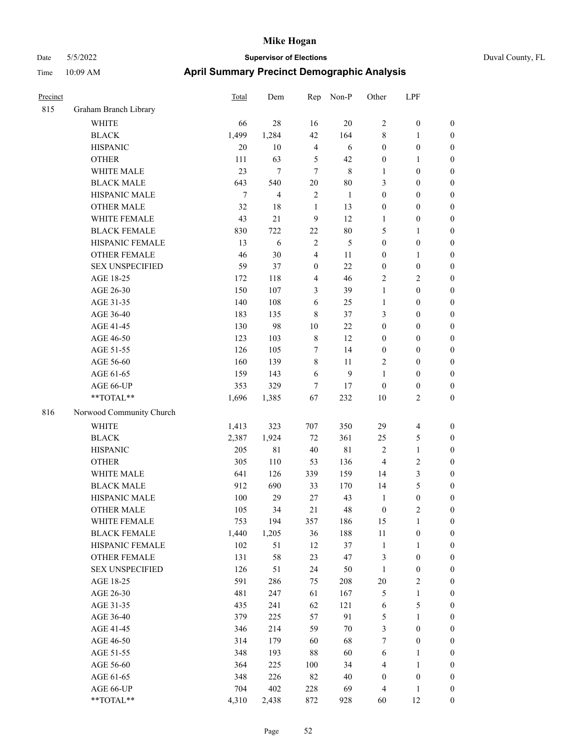| Precinct |                          | Total  | Dem            | Rep              | Non-P  | Other            | LPF                     |                  |
|----------|--------------------------|--------|----------------|------------------|--------|------------------|-------------------------|------------------|
| 815      | Graham Branch Library    |        |                |                  |        |                  |                         |                  |
|          | WHITE                    | 66     | 28             | 16               | 20     | $\sqrt{2}$       | $\boldsymbol{0}$        | $\boldsymbol{0}$ |
|          | <b>BLACK</b>             | 1,499  | 1,284          | 42               | 164    | $\,8\,$          | 1                       | $\boldsymbol{0}$ |
|          | <b>HISPANIC</b>          | 20     | $10\,$         | $\overline{4}$   | 6      | $\boldsymbol{0}$ | $\boldsymbol{0}$        | $\boldsymbol{0}$ |
|          | <b>OTHER</b>             | 111    | 63             | 5                | 42     | $\boldsymbol{0}$ | 1                       | $\boldsymbol{0}$ |
|          | WHITE MALE               | 23     | $\tau$         | $\overline{7}$   | 8      | 1                | $\boldsymbol{0}$        | $\boldsymbol{0}$ |
|          | <b>BLACK MALE</b>        | 643    | 540            | $20\,$           | 80     | 3                | $\boldsymbol{0}$        | $\boldsymbol{0}$ |
|          | HISPANIC MALE            | $\tau$ | $\overline{4}$ | $\overline{2}$   | 1      | $\boldsymbol{0}$ | $\boldsymbol{0}$        | $\boldsymbol{0}$ |
|          | <b>OTHER MALE</b>        | 32     | 18             | $\mathbf{1}$     | 13     | $\boldsymbol{0}$ | $\boldsymbol{0}$        | $\boldsymbol{0}$ |
|          | WHITE FEMALE             | 43     | 21             | 9                | 12     | 1                | $\boldsymbol{0}$        | $\boldsymbol{0}$ |
|          | <b>BLACK FEMALE</b>      | 830    | 722            | $22\,$           | $80\,$ | 5                | 1                       | $\boldsymbol{0}$ |
|          | HISPANIC FEMALE          | 13     | 6              | $\sqrt{2}$       | 5      | $\boldsymbol{0}$ | $\boldsymbol{0}$        | $\boldsymbol{0}$ |
|          | <b>OTHER FEMALE</b>      | 46     | 30             | 4                | 11     | $\boldsymbol{0}$ | 1                       | $\boldsymbol{0}$ |
|          | <b>SEX UNSPECIFIED</b>   | 59     | 37             | $\boldsymbol{0}$ | 22     | $\boldsymbol{0}$ | $\boldsymbol{0}$        | $\boldsymbol{0}$ |
|          | AGE 18-25                | 172    | 118            | 4                | 46     | $\overline{2}$   | 2                       | $\boldsymbol{0}$ |
|          | AGE 26-30                | 150    | 107            | 3                | 39     | $\mathbf{1}$     | $\boldsymbol{0}$        | $\boldsymbol{0}$ |
|          | AGE 31-35                | 140    | 108            | 6                | 25     | $\mathbf{1}$     | $\boldsymbol{0}$        | $\boldsymbol{0}$ |
|          | AGE 36-40                | 183    | 135            | $\,8\,$          | 37     | 3                | $\boldsymbol{0}$        | $\boldsymbol{0}$ |
|          | AGE 41-45                | 130    | 98             | 10               | 22     | $\boldsymbol{0}$ | $\boldsymbol{0}$        | $\boldsymbol{0}$ |
|          | AGE 46-50                | 123    | 103            | $\,8\,$          | 12     | $\boldsymbol{0}$ | $\boldsymbol{0}$        | $\boldsymbol{0}$ |
|          | AGE 51-55                | 126    | 105            | 7                | 14     | $\boldsymbol{0}$ | $\boldsymbol{0}$        | $\boldsymbol{0}$ |
|          | AGE 56-60                | 160    | 139            | $\,8\,$          | 11     | $\overline{2}$   | $\boldsymbol{0}$        | $\boldsymbol{0}$ |
|          | AGE 61-65                | 159    | 143            | 6                | 9      | 1                | $\boldsymbol{0}$        | $\boldsymbol{0}$ |
|          | AGE 66-UP                | 353    | 329            | 7                | 17     | $\boldsymbol{0}$ | $\boldsymbol{0}$        | $\boldsymbol{0}$ |
|          | **TOTAL**                | 1,696  | 1,385          | 67               | 232    | 10               | 2                       | $\boldsymbol{0}$ |
| 816      | Norwood Community Church |        |                |                  |        |                  |                         |                  |
|          | <b>WHITE</b>             | 1,413  | 323            | 707              | 350    | 29               | $\overline{\mathbf{4}}$ | $\boldsymbol{0}$ |
|          | <b>BLACK</b>             | 2,387  | 1,924          | 72               | 361    | 25               | 5                       | $\boldsymbol{0}$ |
|          | <b>HISPANIC</b>          | 205    | $8\sqrt{1}$    | 40               | 81     | $\overline{2}$   | $\mathbf{1}$            | $\boldsymbol{0}$ |
|          | <b>OTHER</b>             | 305    | 110            | 53               | 136    | $\overline{4}$   | 2                       | $\boldsymbol{0}$ |
|          | WHITE MALE               | 641    | 126            | 339              | 159    | 14               | 3                       | $\boldsymbol{0}$ |
|          | <b>BLACK MALE</b>        | 912    | 690            | 33               | 170    | 14               | 5                       | $\boldsymbol{0}$ |
|          | HISPANIC MALE            | 100    | 29             | $27\,$           | 43     | $\mathbf{1}$     | $\boldsymbol{0}$        | $\boldsymbol{0}$ |
|          | <b>OTHER MALE</b>        | 105    | 34             | 21               | 48     | $\boldsymbol{0}$ | $\overline{c}$          | $\boldsymbol{0}$ |
|          | WHITE FEMALE             | 753    | 194            | 357              | 186    | 15               | $\mathbf{1}$            | $\boldsymbol{0}$ |
|          | <b>BLACK FEMALE</b>      | 1,440  | 1,205          | 36               | 188    | 11               | $\boldsymbol{0}$        | $\boldsymbol{0}$ |
|          | HISPANIC FEMALE          | 102    | 51             | 12               | 37     | $\mathbf{1}$     | 1                       | $\boldsymbol{0}$ |
|          | OTHER FEMALE             | 131    | 58             | 23               | 47     | $\mathfrak z$    | $\boldsymbol{0}$        | $\boldsymbol{0}$ |
|          | <b>SEX UNSPECIFIED</b>   | 126    | 51             | 24               | 50     | $\mathbf{1}$     | $\boldsymbol{0}$        | $\boldsymbol{0}$ |
|          | AGE 18-25                | 591    | 286            | 75               | 208    | $20\,$           | $\mathbf{2}$            | $\boldsymbol{0}$ |
|          | AGE 26-30                | 481    | 247            | 61               | 167    | $\sqrt{5}$       | $\mathbf{1}$            | $\boldsymbol{0}$ |
|          | AGE 31-35                | 435    | 241            | 62               | 121    | 6                | 5                       | $\boldsymbol{0}$ |
|          | AGE 36-40                | 379    | 225            | 57               | 91     | $\sqrt{5}$       | 1                       | $\boldsymbol{0}$ |
|          | AGE 41-45                | 346    | 214            | 59               | $70\,$ | $\mathfrak{Z}$   | $\boldsymbol{0}$        | $\boldsymbol{0}$ |
|          | AGE 46-50                | 314    | 179            | 60               | 68     | 7                | $\boldsymbol{0}$        | $\boldsymbol{0}$ |
|          | AGE 51-55                | 348    | 193            | $88\,$           | 60     | $\sqrt{6}$       | 1                       | $\boldsymbol{0}$ |
|          | AGE 56-60                | 364    | 225            | 100              | 34     | $\overline{4}$   | 1                       | $\boldsymbol{0}$ |
|          | AGE 61-65                | 348    | 226            | $82\,$           | 40     | $\boldsymbol{0}$ | $\boldsymbol{0}$        | $\boldsymbol{0}$ |
|          | AGE 66-UP                | 704    | 402            | 228              | 69     | $\overline{4}$   | 1                       | $\boldsymbol{0}$ |
|          | **TOTAL**                | 4,310  | 2,438          | 872              | 928    | 60               | 12                      | $\mathbf{0}$     |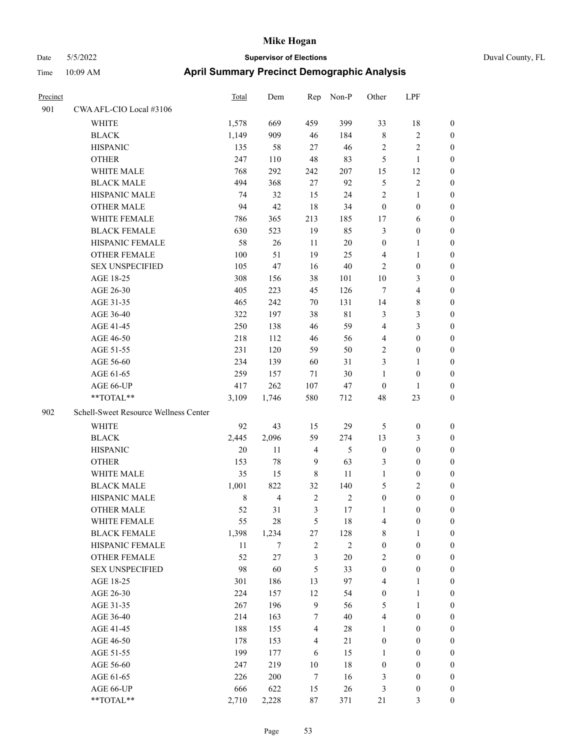| Precinct |                                       | Total       | Dem            | Rep            | Non-P      | Other            | LPF              |                  |
|----------|---------------------------------------|-------------|----------------|----------------|------------|------------------|------------------|------------------|
| 901      | CWA AFL-CIO Local #3106               |             |                |                |            |                  |                  |                  |
|          | WHITE                                 | 1,578       | 669            | 459            | 399        | 33               | 18               | $\boldsymbol{0}$ |
|          | <b>BLACK</b>                          | 1,149       | 909            | 46             | 184        | $\,8\,$          | 2                | $\boldsymbol{0}$ |
|          | <b>HISPANIC</b>                       | 135         | 58             | 27             | 46         | $\overline{2}$   | $\overline{c}$   | $\boldsymbol{0}$ |
|          | <b>OTHER</b>                          | 247         | 110            | 48             | 83         | $\mathfrak{H}$   | $\mathbf{1}$     | $\boldsymbol{0}$ |
|          | WHITE MALE                            | 768         | 292            | 242            | 207        | 15               | 12               | $\boldsymbol{0}$ |
|          | <b>BLACK MALE</b>                     | 494         | 368            | 27             | 92         | 5                | 2                | $\boldsymbol{0}$ |
|          | HISPANIC MALE                         | 74          | 32             | 15             | 24         | $\overline{2}$   | $\mathbf{1}$     | $\boldsymbol{0}$ |
|          | <b>OTHER MALE</b>                     | 94          | 42             | 18             | 34         | $\boldsymbol{0}$ | $\boldsymbol{0}$ | $\boldsymbol{0}$ |
|          | WHITE FEMALE                          | 786         | 365            | 213            | 185        | 17               | 6                | $\boldsymbol{0}$ |
|          | <b>BLACK FEMALE</b>                   | 630         | 523            | 19             | 85         | $\mathfrak{Z}$   | $\boldsymbol{0}$ | $\boldsymbol{0}$ |
|          | HISPANIC FEMALE                       | 58          | $26\,$         | 11             | $20\,$     | $\boldsymbol{0}$ | 1                | $\boldsymbol{0}$ |
|          | <b>OTHER FEMALE</b>                   | 100         | 51             | 19             | 25         | $\overline{4}$   | $\mathbf{1}$     | $\boldsymbol{0}$ |
|          | <b>SEX UNSPECIFIED</b>                | 105         | 47             | 16             | 40         | 2                | $\boldsymbol{0}$ | $\boldsymbol{0}$ |
|          | AGE 18-25                             | 308         | 156            | 38             | 101        | 10               | 3                | $\boldsymbol{0}$ |
|          | AGE 26-30                             | 405         | 223            | 45             | 126        | 7                | 4                | $\boldsymbol{0}$ |
|          | AGE 31-35                             | 465         | 242            | 70             | 131        | 14               | 8                | $\boldsymbol{0}$ |
|          | AGE 36-40                             | 322         | 197            | 38             | 81         | $\mathfrak{Z}$   | 3                | $\boldsymbol{0}$ |
|          | AGE 41-45                             | 250         | 138            | 46             | 59         | $\overline{4}$   | 3                | $\boldsymbol{0}$ |
|          | AGE 46-50                             | 218         | 112            | 46             | 56         | $\overline{4}$   | $\boldsymbol{0}$ | $\boldsymbol{0}$ |
|          | AGE 51-55                             | 231         | 120            | 59             | 50         | $\overline{2}$   | $\boldsymbol{0}$ | $\boldsymbol{0}$ |
|          | AGE 56-60                             | 234         | 139            | 60             | 31         | 3                | 1                | $\boldsymbol{0}$ |
|          | AGE 61-65                             | 259         | 157            | 71             | 30         | 1                | $\boldsymbol{0}$ | $\boldsymbol{0}$ |
|          | AGE 66-UP                             | 417         | 262            | 107            | 47         | $\boldsymbol{0}$ | 1                | $\boldsymbol{0}$ |
|          | **TOTAL**                             | 3,109       | 1,746          | 580            | 712        | 48               | 23               | $\boldsymbol{0}$ |
| 902      | Schell-Sweet Resource Wellness Center |             |                |                |            |                  |                  |                  |
|          | WHITE                                 | 92          | 43             | 15             | 29         | 5                | $\boldsymbol{0}$ | $\boldsymbol{0}$ |
|          | <b>BLACK</b>                          | 2,445       | 2,096          | 59             | 274        | 13               | 3                | $\boldsymbol{0}$ |
|          | <b>HISPANIC</b>                       | 20          | 11             | 4              | 5          | $\boldsymbol{0}$ | $\boldsymbol{0}$ | $\boldsymbol{0}$ |
|          | <b>OTHER</b>                          | 153         | 78             | 9              | 63         | 3                | $\boldsymbol{0}$ | $\boldsymbol{0}$ |
|          | <b>WHITE MALE</b>                     | 35          | 15             | 8              | 11         | 1                | $\boldsymbol{0}$ | $\boldsymbol{0}$ |
|          | <b>BLACK MALE</b>                     | 1,001       | 822            | 32             | 140        | 5                | 2                | $\boldsymbol{0}$ |
|          | HISPANIC MALE                         | $\,$ 8 $\,$ | $\overline{4}$ | $\sqrt{2}$     | $\sqrt{2}$ | $\boldsymbol{0}$ | $\boldsymbol{0}$ | $\boldsymbol{0}$ |
|          | <b>OTHER MALE</b>                     | 52          | 31             | 3              | 17         | 1                | $\theta$         | $\boldsymbol{0}$ |
|          | WHITE FEMALE                          | 55          | 28             | $\sqrt{5}$     | 18         | $\overline{4}$   | $\boldsymbol{0}$ | $\boldsymbol{0}$ |
|          | <b>BLACK FEMALE</b>                   | 1,398       | 1,234          | 27             | 128        | $\,$ 8 $\,$      | 1                | $\boldsymbol{0}$ |
|          | HISPANIC FEMALE                       | 11          | 7              | $\overline{c}$ | $\sqrt{2}$ | $\boldsymbol{0}$ | $\boldsymbol{0}$ | $\boldsymbol{0}$ |
|          | <b>OTHER FEMALE</b>                   | 52          | 27             | 3              | $20\,$     | $\sqrt{2}$       | $\boldsymbol{0}$ | $\boldsymbol{0}$ |
|          | <b>SEX UNSPECIFIED</b>                | 98          | 60             | 5              | 33         | $\mathbf{0}$     | $\boldsymbol{0}$ | $\boldsymbol{0}$ |
|          | AGE 18-25                             | 301         | 186            | 13             | 97         | $\overline{4}$   | $\mathbf{1}$     | $\boldsymbol{0}$ |
|          | AGE 26-30                             | 224         | 157            | 12             | 54         | $\boldsymbol{0}$ | $\mathbf{1}$     | $\boldsymbol{0}$ |
|          | AGE 31-35                             | 267         | 196            | 9              | 56         | 5                | $\mathbf{1}$     | $\boldsymbol{0}$ |
|          | AGE 36-40                             | 214         | 163            | 7              | 40         | $\overline{4}$   | $\boldsymbol{0}$ | $\boldsymbol{0}$ |
|          | AGE 41-45                             | 188         | 155            | $\overline{4}$ | 28         | $\mathbf{1}$     | $\boldsymbol{0}$ | $\boldsymbol{0}$ |
|          | AGE 46-50                             | 178         | 153            | $\overline{4}$ | $21\,$     | $\boldsymbol{0}$ | $\boldsymbol{0}$ | $\boldsymbol{0}$ |
|          | AGE 51-55                             | 199         | 177            | 6              | 15         | 1                | $\boldsymbol{0}$ | $\boldsymbol{0}$ |
|          | AGE 56-60                             | 247         | 219            | $10\,$         | $18\,$     | $\boldsymbol{0}$ | $\boldsymbol{0}$ | $\boldsymbol{0}$ |
|          | AGE 61-65                             | 226         | 200            | $\tau$         | 16         | 3                | $\boldsymbol{0}$ | $\boldsymbol{0}$ |
|          | AGE 66-UP                             | 666         | 622            | 15             | 26         | 3                | $\boldsymbol{0}$ | $\boldsymbol{0}$ |
|          | **TOTAL**                             | 2,710       | 2,228          | $87\,$         | 371        | 21               | 3                | $\boldsymbol{0}$ |
|          |                                       |             |                |                |            |                  |                  |                  |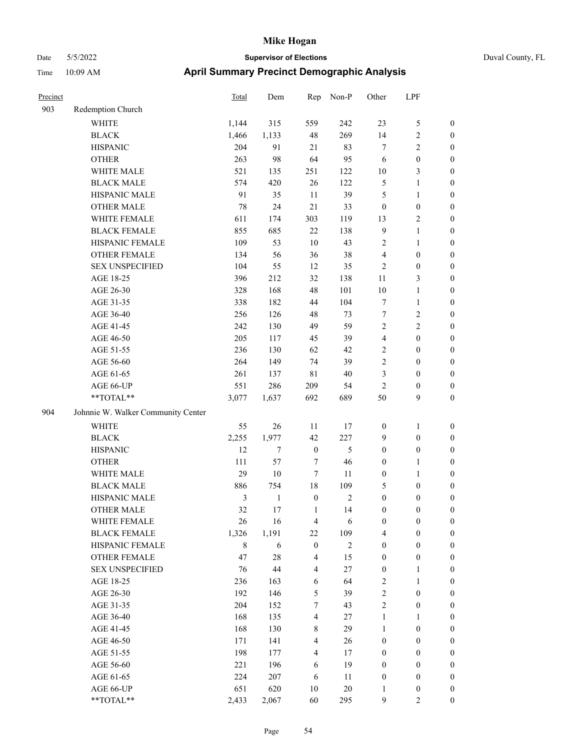| Precinct |                                    | Total          | Dem          | Rep                     | Non-P          | Other            | LPF              |                  |
|----------|------------------------------------|----------------|--------------|-------------------------|----------------|------------------|------------------|------------------|
| 903      | Redemption Church                  |                |              |                         |                |                  |                  |                  |
|          | <b>WHITE</b>                       | 1,144          | 315          | 559                     | 242            | 23               | 5                | $\boldsymbol{0}$ |
|          | <b>BLACK</b>                       | 1,466          | 1,133        | 48                      | 269            | 14               | $\overline{c}$   | $\boldsymbol{0}$ |
|          | <b>HISPANIC</b>                    | 204            | 91           | 21                      | 83             | $\tau$           | 2                | $\boldsymbol{0}$ |
|          | <b>OTHER</b>                       | 263            | 98           | 64                      | 95             | 6                | $\boldsymbol{0}$ | $\boldsymbol{0}$ |
|          | WHITE MALE                         | 521            | 135          | 251                     | 122            | $10\,$           | 3                | $\boldsymbol{0}$ |
|          | <b>BLACK MALE</b>                  | 574            | 420          | 26                      | 122            | $\mathfrak{S}$   | $\mathbf{1}$     | $\boldsymbol{0}$ |
|          | HISPANIC MALE                      | 91             | 35           | 11                      | 39             | 5                | 1                | $\boldsymbol{0}$ |
|          | <b>OTHER MALE</b>                  | 78             | 24           | 21                      | 33             | $\boldsymbol{0}$ | $\boldsymbol{0}$ | $\boldsymbol{0}$ |
|          | WHITE FEMALE                       | 611            | 174          | 303                     | 119            | 13               | 2                | $\boldsymbol{0}$ |
|          | <b>BLACK FEMALE</b>                | 855            | 685          | 22                      | 138            | 9                | 1                | $\boldsymbol{0}$ |
|          | HISPANIC FEMALE                    | 109            | 53           | 10                      | 43             | $\sqrt{2}$       | 1                | $\boldsymbol{0}$ |
|          | <b>OTHER FEMALE</b>                | 134            | 56           | 36                      | 38             | $\overline{4}$   | $\boldsymbol{0}$ | $\boldsymbol{0}$ |
|          | <b>SEX UNSPECIFIED</b>             | 104            | 55           | 12                      | 35             | $\sqrt{2}$       | $\boldsymbol{0}$ | $\boldsymbol{0}$ |
|          | AGE 18-25                          | 396            | 212          | 32                      | 138            | 11               | 3                | $\boldsymbol{0}$ |
|          | AGE 26-30                          | 328            | 168          | $48\,$                  | 101            | 10               | $\mathbf{1}$     | $\boldsymbol{0}$ |
|          | AGE 31-35                          | 338            | 182          | 44                      | 104            | $\tau$           | $\mathbf{1}$     | $\boldsymbol{0}$ |
|          | AGE 36-40                          | 256            | 126          | 48                      | 73             | $\tau$           | 2                | $\boldsymbol{0}$ |
|          | AGE 41-45                          | 242            | 130          | 49                      | 59             | $\sqrt{2}$       | 2                | $\boldsymbol{0}$ |
|          | AGE 46-50                          | 205            | 117          | 45                      | 39             | $\overline{4}$   | $\boldsymbol{0}$ | $\boldsymbol{0}$ |
|          | AGE 51-55                          | 236            | 130          | 62                      | 42             | $\sqrt{2}$       | $\boldsymbol{0}$ | $\boldsymbol{0}$ |
|          | AGE 56-60                          | 264            | 149          | 74                      | 39             | $\overline{2}$   | $\boldsymbol{0}$ | $\boldsymbol{0}$ |
|          | AGE 61-65                          | 261            | 137          | $8\sqrt{1}$             | $40\,$         | 3                | $\boldsymbol{0}$ | $\boldsymbol{0}$ |
|          | AGE 66-UP                          | 551            | 286          | 209                     | 54             | $\sqrt{2}$       | $\boldsymbol{0}$ | $\boldsymbol{0}$ |
|          | **TOTAL**                          | 3,077          | 1,637        | 692                     | 689            | 50               | 9                | $\boldsymbol{0}$ |
| 904      | Johnnie W. Walker Community Center |                |              |                         |                |                  |                  |                  |
|          | <b>WHITE</b>                       | 55             | 26           | 11                      | 17             | $\boldsymbol{0}$ | 1                | $\boldsymbol{0}$ |
|          | <b>BLACK</b>                       | 2,255          | 1,977        | 42                      | 227            | 9                | $\boldsymbol{0}$ | $\boldsymbol{0}$ |
|          | <b>HISPANIC</b>                    | 12             | $\tau$       | $\boldsymbol{0}$        | $\mathfrak{S}$ | $\boldsymbol{0}$ | $\boldsymbol{0}$ | $\boldsymbol{0}$ |
|          | <b>OTHER</b>                       | 111            | 57           | $\tau$                  | 46             | $\boldsymbol{0}$ | 1                | $\boldsymbol{0}$ |
|          | WHITE MALE                         | 29             | 10           | $\overline{7}$          | 11             | $\boldsymbol{0}$ | 1                | $\boldsymbol{0}$ |
|          | <b>BLACK MALE</b>                  | 886            | 754          | $18\,$                  | 109            | 5                | $\boldsymbol{0}$ | $\boldsymbol{0}$ |
|          | HISPANIC MALE                      | $\mathfrak{Z}$ | $\mathbf{1}$ | $\boldsymbol{0}$        | $\mathfrak{2}$ | $\boldsymbol{0}$ | $\boldsymbol{0}$ | $\boldsymbol{0}$ |
|          | <b>OTHER MALE</b>                  | 32             | 17           | $\mathbf{1}$            | 14             | $\boldsymbol{0}$ | $\boldsymbol{0}$ | $\boldsymbol{0}$ |
|          | WHITE FEMALE                       | 26             | 16           | $\overline{4}$          | 6              | $\boldsymbol{0}$ | $\boldsymbol{0}$ | $\mathbf{0}$     |
|          | <b>BLACK FEMALE</b>                | 1,326          | 1,191        | 22                      | 109            | $\overline{4}$   | $\boldsymbol{0}$ | $\boldsymbol{0}$ |
|          | HISPANIC FEMALE                    | $\,8\,$        | 6            | $\boldsymbol{0}$        | $\overline{c}$ | $\boldsymbol{0}$ | $\boldsymbol{0}$ | $\boldsymbol{0}$ |
|          | <b>OTHER FEMALE</b>                | 47             | $28\,$       | $\overline{4}$          | 15             | $\boldsymbol{0}$ | $\boldsymbol{0}$ | $\boldsymbol{0}$ |
|          | <b>SEX UNSPECIFIED</b>             | 76             | $44\,$       | $\overline{4}$          | $27\,$         | $\boldsymbol{0}$ | 1                | $\boldsymbol{0}$ |
|          | AGE 18-25                          | 236            | 163          | 6                       | 64             | $\overline{c}$   | 1                | $\boldsymbol{0}$ |
|          | AGE 26-30                          | 192            | 146          | 5                       | 39             | $\sqrt{2}$       | $\boldsymbol{0}$ | $\boldsymbol{0}$ |
|          | AGE 31-35                          | 204            | 152          | $\tau$                  | 43             | $\sqrt{2}$       | $\boldsymbol{0}$ | $\boldsymbol{0}$ |
|          | AGE 36-40                          | 168            | 135          | 4                       | 27             | $\mathbf{1}$     | 1                | $\boldsymbol{0}$ |
|          | AGE 41-45                          | 168            | 130          | 8                       | 29             | $\mathbf{1}$     | $\boldsymbol{0}$ | $\boldsymbol{0}$ |
|          | AGE 46-50                          | 171            | 141          | $\overline{\mathbf{4}}$ | 26             | $\boldsymbol{0}$ | $\boldsymbol{0}$ | $\boldsymbol{0}$ |
|          | AGE 51-55                          | 198            | 177          | $\overline{4}$          | 17             | $\boldsymbol{0}$ | $\boldsymbol{0}$ | $\boldsymbol{0}$ |
|          | AGE 56-60                          | 221            | 196          | 6                       | 19             | $\boldsymbol{0}$ | $\boldsymbol{0}$ | $\boldsymbol{0}$ |
|          | AGE 61-65                          | 224            | 207          | 6                       | 11             | $\boldsymbol{0}$ | $\boldsymbol{0}$ | $\boldsymbol{0}$ |
|          | AGE 66-UP                          | 651            | 620          | 10                      | $20\,$         | 1                | $\boldsymbol{0}$ | $\boldsymbol{0}$ |
|          | **TOTAL**                          | 2,433          | 2,067        | 60                      | 295            | 9                | 2                | $\overline{0}$   |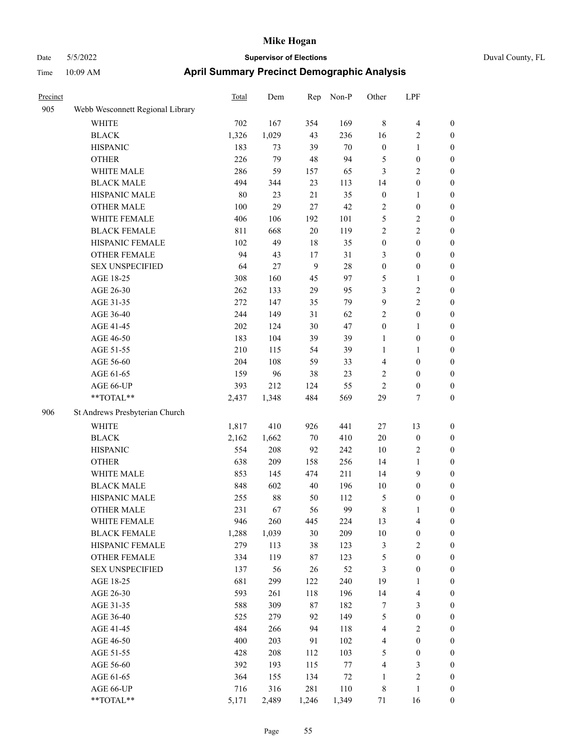| Precinct |                                  | Total | Dem    | Rep    | Non-P  | Other            | LPF              |                  |
|----------|----------------------------------|-------|--------|--------|--------|------------------|------------------|------------------|
| 905      | Webb Wesconnett Regional Library |       |        |        |        |                  |                  |                  |
|          | WHITE                            | 702   | 167    | 354    | 169    | $\,8\,$          | 4                | $\boldsymbol{0}$ |
|          | <b>BLACK</b>                     | 1,326 | 1,029  | 43     | 236    | 16               | 2                | $\boldsymbol{0}$ |
|          | <b>HISPANIC</b>                  | 183   | 73     | 39     | $70\,$ | $\boldsymbol{0}$ | 1                | $\mathbf{0}$     |
|          | <b>OTHER</b>                     | 226   | 79     | 48     | 94     | 5                | $\boldsymbol{0}$ | $\boldsymbol{0}$ |
|          | WHITE MALE                       | 286   | 59     | 157    | 65     | 3                | 2                | $\boldsymbol{0}$ |
|          | <b>BLACK MALE</b>                | 494   | 344    | 23     | 113    | 14               | $\boldsymbol{0}$ | $\boldsymbol{0}$ |
|          | HISPANIC MALE                    | 80    | 23     | 21     | 35     | $\boldsymbol{0}$ | 1                | $\boldsymbol{0}$ |
|          | <b>OTHER MALE</b>                | 100   | 29     | 27     | 42     | $\sqrt{2}$       | $\boldsymbol{0}$ | $\boldsymbol{0}$ |
|          | WHITE FEMALE                     | 406   | 106    | 192    | 101    | 5                | 2                | $\boldsymbol{0}$ |
|          | <b>BLACK FEMALE</b>              | 811   | 668    | 20     | 119    | $\sqrt{2}$       | $\overline{c}$   | $\boldsymbol{0}$ |
|          | HISPANIC FEMALE                  | 102   | 49     | $18\,$ | 35     | $\boldsymbol{0}$ | $\boldsymbol{0}$ | $\boldsymbol{0}$ |
|          | <b>OTHER FEMALE</b>              | 94    | 43     | 17     | 31     | 3                | $\boldsymbol{0}$ | $\boldsymbol{0}$ |
|          | <b>SEX UNSPECIFIED</b>           | 64    | 27     | 9      | 28     | $\boldsymbol{0}$ | $\boldsymbol{0}$ | $\boldsymbol{0}$ |
|          | AGE 18-25                        | 308   | 160    | 45     | 97     | 5                | 1                | $\boldsymbol{0}$ |
|          | AGE 26-30                        | 262   | 133    | 29     | 95     | 3                | 2                | $\boldsymbol{0}$ |
|          | AGE 31-35                        | 272   | 147    | 35     | 79     | 9                | 2                | $\boldsymbol{0}$ |
|          | AGE 36-40                        | 244   | 149    | 31     | 62     | $\overline{2}$   | $\boldsymbol{0}$ | $\boldsymbol{0}$ |
|          | AGE 41-45                        | 202   | 124    | $30\,$ | 47     | $\boldsymbol{0}$ | 1                | $\boldsymbol{0}$ |
|          | AGE 46-50                        | 183   | 104    | 39     | 39     | $\mathbf{1}$     | $\boldsymbol{0}$ | $\boldsymbol{0}$ |
|          | AGE 51-55                        | 210   | 115    | 54     | 39     | $\mathbf{1}$     | 1                | $\boldsymbol{0}$ |
|          | AGE 56-60                        | 204   | 108    | 59     | 33     | $\overline{4}$   | $\boldsymbol{0}$ | $\boldsymbol{0}$ |
|          | AGE 61-65                        | 159   | 96     | 38     | 23     | $\sqrt{2}$       | $\boldsymbol{0}$ | $\boldsymbol{0}$ |
|          | AGE 66-UP                        | 393   | 212    | 124    | 55     | $\overline{2}$   | $\boldsymbol{0}$ | $\boldsymbol{0}$ |
|          | **TOTAL**                        | 2,437 | 1,348  | 484    | 569    | 29               | 7                | $\boldsymbol{0}$ |
| 906      | St Andrews Presbyterian Church   |       |        |        |        |                  |                  |                  |
|          |                                  |       |        |        |        |                  |                  |                  |
|          | WHITE                            | 1,817 | 410    | 926    | 441    | 27               | 13               | $\boldsymbol{0}$ |
|          | <b>BLACK</b>                     | 2,162 | 1,662  | $70\,$ | 410    | 20               | $\boldsymbol{0}$ | $\boldsymbol{0}$ |
|          | <b>HISPANIC</b>                  | 554   | 208    | 92     | 242    | 10               | 2                | $\boldsymbol{0}$ |
|          | <b>OTHER</b>                     | 638   | 209    | 158    | 256    | 14               | 1                | $\boldsymbol{0}$ |
|          | WHITE MALE                       | 853   | 145    | 474    | 211    | 14               | 9                | $\boldsymbol{0}$ |
|          | <b>BLACK MALE</b>                | 848   | 602    | 40     | 196    | 10               | $\boldsymbol{0}$ | $\boldsymbol{0}$ |
|          | HISPANIC MALE                    | 255   | $88\,$ | 50     | 112    | 5                | 0                | $\boldsymbol{0}$ |
|          | <b>OTHER MALE</b>                | 231   | 67     | 56     | 99     | 8                | 1                | $\boldsymbol{0}$ |
|          | WHITE FEMALE                     | 946   | 260    | 445    | 224    | 13               | $\overline{4}$   | $\boldsymbol{0}$ |
|          | <b>BLACK FEMALE</b>              | 1,288 | 1,039  | 30     | 209    | $10\,$           | $\boldsymbol{0}$ | $\boldsymbol{0}$ |
|          | HISPANIC FEMALE                  | 279   | 113    | 38     | 123    | $\mathfrak{Z}$   | $\sqrt{2}$       | $\boldsymbol{0}$ |
|          | OTHER FEMALE                     | 334   | 119    | $87\,$ | 123    | $\mathfrak{S}$   | $\boldsymbol{0}$ | $\boldsymbol{0}$ |
|          | <b>SEX UNSPECIFIED</b>           | 137   | 56     | 26     | 52     | $\mathfrak{Z}$   | $\boldsymbol{0}$ | $\boldsymbol{0}$ |
|          | AGE 18-25                        | 681   | 299    | 122    | 240    | 19               | 1                | $\boldsymbol{0}$ |
|          | AGE 26-30                        | 593   | 261    | 118    | 196    | 14               | 4                | $\boldsymbol{0}$ |
|          | AGE 31-35                        | 588   | 309    | $87\,$ | 182    | $\tau$           | 3                | $\boldsymbol{0}$ |
|          | AGE 36-40                        | 525   | 279    | 92     | 149    | $\mathfrak{S}$   | $\boldsymbol{0}$ | $\boldsymbol{0}$ |
|          | AGE 41-45                        | 484   | 266    | 94     | 118    | $\overline{4}$   | 2                | $\boldsymbol{0}$ |
|          | AGE 46-50                        | 400   | 203    | 91     | 102    | $\overline{4}$   | $\boldsymbol{0}$ | $\boldsymbol{0}$ |
|          | AGE 51-55                        | 428   | 208    | 112    | 103    | $\mathfrak s$    | $\boldsymbol{0}$ | $\boldsymbol{0}$ |
|          | AGE 56-60                        | 392   | 193    | 115    | $77\,$ | $\overline{4}$   | 3                | $\boldsymbol{0}$ |
|          | AGE 61-65                        | 364   | 155    | 134    | $72\,$ | $\mathbf{1}$     | $\overline{c}$   | $\boldsymbol{0}$ |
|          | AGE 66-UP                        | 716   | 316    | 281    | 110    | $\,$ 8 $\,$      | $\mathbf{1}$     | $\boldsymbol{0}$ |
|          | **TOTAL**                        | 5,171 | 2,489  | 1,246  | 1,349  | $71\,$           | 16               | $\boldsymbol{0}$ |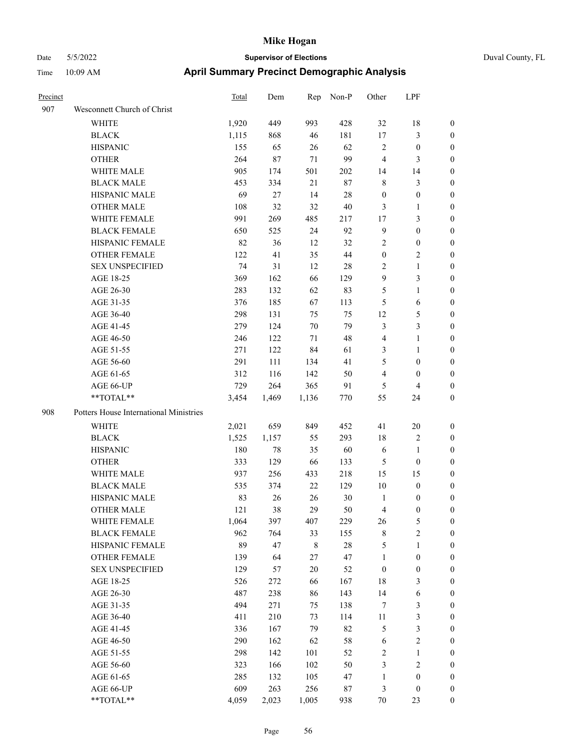|  | Duval County, FL |
|--|------------------|
|--|------------------|

| Precinct |                                        | <b>Total</b> | Dem   |             | Rep Non-P | Other            | LPF                     |                  |
|----------|----------------------------------------|--------------|-------|-------------|-----------|------------------|-------------------------|------------------|
| 907      | Wesconnett Church of Christ            |              |       |             |           |                  |                         |                  |
|          | WHITE                                  | 1,920        | 449   | 993         | 428       | 32               | 18                      | $\boldsymbol{0}$ |
|          | <b>BLACK</b>                           | 1,115        | 868   | 46          | 181       | 17               | $\mathfrak{Z}$          | $\boldsymbol{0}$ |
|          | <b>HISPANIC</b>                        | 155          | 65    | 26          | 62        | $\mathbf{2}$     | $\boldsymbol{0}$        | $\boldsymbol{0}$ |
|          | <b>OTHER</b>                           | 264          | 87    | 71          | 99        | $\overline{4}$   | 3                       | $\boldsymbol{0}$ |
|          | WHITE MALE                             | 905          | 174   | 501         | 202       | 14               | 14                      | 0                |
|          | <b>BLACK MALE</b>                      | 453          | 334   | 21          | 87        | 8                | $\mathfrak{Z}$          | 0                |
|          | HISPANIC MALE                          | 69           | 27    | 14          | 28        | $\boldsymbol{0}$ | $\boldsymbol{0}$        | 0                |
|          | <b>OTHER MALE</b>                      | 108          | 32    | 32          | $40\,$    | 3                | $\mathbf{1}$            | $\boldsymbol{0}$ |
|          | WHITE FEMALE                           | 991          | 269   | 485         | 217       | 17               | $\mathfrak{Z}$          | $\boldsymbol{0}$ |
|          | <b>BLACK FEMALE</b>                    | 650          | 525   | 24          | 92        | $\overline{9}$   | $\boldsymbol{0}$        | $\boldsymbol{0}$ |
|          | HISPANIC FEMALE                        | 82           | 36    | 12          | 32        | 2                | $\boldsymbol{0}$        | 0                |
|          | OTHER FEMALE                           | 122          | 41    | 35          | 44        | $\boldsymbol{0}$ | $\mathbf{2}$            | $\boldsymbol{0}$ |
|          | <b>SEX UNSPECIFIED</b>                 | 74           | 31    | 12          | 28        | $\overline{2}$   | $\mathbf{1}$            | $\boldsymbol{0}$ |
|          | AGE 18-25                              | 369          | 162   | 66          | 129       | 9                | $\mathfrak{Z}$          | 0                |
|          | AGE 26-30                              | 283          | 132   | 62          | 83        | 5                | $\mathbf{1}$            | 0                |
|          | AGE 31-35                              | 376          | 185   | 67          | 113       | 5                | 6                       | 0                |
|          | AGE 36-40                              | 298          | 131   | 75          | 75        | 12               | $\mathfrak{S}$          | 0                |
|          | AGE 41-45                              | 279          | 124   | 70          | 79        | 3                | $\mathfrak{Z}$          | $\boldsymbol{0}$ |
|          | AGE 46-50                              | 246          | 122   | 71          | 48        | 4                | $\mathbf{1}$            | $\boldsymbol{0}$ |
|          | AGE 51-55                              | 271          | 122   | 84          | 61        | 3                | $\mathbf{1}$            | $\boldsymbol{0}$ |
|          | AGE 56-60                              | 291          | 111   | 134         | 41        | 5                | $\boldsymbol{0}$        | $\boldsymbol{0}$ |
|          | AGE 61-65                              | 312          | 116   | 142         | 50        | 4                | $\boldsymbol{0}$        | $\overline{0}$   |
|          | AGE 66-UP                              | 729          | 264   | 365         | 91        | $\mathfrak{S}$   | $\overline{\mathbf{4}}$ | $\overline{0}$   |
|          | **TOTAL**                              | 3,454        | 1,469 | 1,136       | 770       | 55               | 24                      | $\boldsymbol{0}$ |
| 908      | Potters House International Ministries |              |       |             |           |                  |                         |                  |
|          | WHITE                                  | 2,021        | 659   | 849         | 452       | 41               | 20                      | 0                |
|          | <b>BLACK</b>                           | 1,525        | 1,157 | 55          | 293       | 18               | $\sqrt{2}$              | 0                |
|          | <b>HISPANIC</b>                        | 180          | 78    | 35          | 60        | 6                | $\mathbf{1}$            | 0                |
|          | <b>OTHER</b>                           | 333          | 129   | 66          | 133       | 5                | $\boldsymbol{0}$        | 0                |
|          | WHITE MALE                             | 937          | 256   | 433         | 218       | 15               | 15                      | $\boldsymbol{0}$ |
|          | <b>BLACK MALE</b>                      | 535          | 374   | 22          | 129       | 10               | $\boldsymbol{0}$        | 0                |
|          | HISPANIC MALE                          | 83           | 26    | 26          | 30        | $\mathbf{1}$     | $\boldsymbol{0}$        | $\boldsymbol{0}$ |
|          | <b>OTHER MALE</b>                      | 121          | 38    | 29          | 50        | $\overline{4}$   | $\boldsymbol{0}$        | $\Omega$         |
|          | WHITE FEMALE                           | 1,064        | 397   | 407         | 229       | 26               | $\mathfrak s$           | 0                |
|          | <b>BLACK FEMALE</b>                    | 962          | 764   | 33          | 155       | $\,$ 8 $\,$      | $\sqrt{2}$              | 0                |
|          | HISPANIC FEMALE                        | 89           | 47    | $\,$ 8 $\,$ | $28\,$    | 5                | $\mathbf{1}$            | 0                |
|          | <b>OTHER FEMALE</b>                    | 139          | 64    | $27\,$      | 47        | $\mathbf{1}$     | $\boldsymbol{0}$        | 0                |
|          | <b>SEX UNSPECIFIED</b>                 | 129          | 57    | 20          | 52        | $\boldsymbol{0}$ | $\boldsymbol{0}$        | 0                |
|          | AGE 18-25                              | 526          | 272   | 66          | 167       | 18               | 3                       | 0                |
|          | AGE 26-30                              | 487          | 238   | 86          | 143       | 14               | 6                       | 0                |
|          | AGE 31-35                              | 494          | 271   | 75          | 138       | 7                | $\mathfrak{Z}$          | 0                |
|          | AGE 36-40                              | 411          | 210   | 73          | 114       | 11               | $\mathfrak{Z}$          | 0                |
|          | AGE 41-45                              | 336          | 167   | 79          | 82        | 5                | $\mathfrak{Z}$          | 0                |
|          | AGE 46-50                              | 290          | 162   | 62          | 58        | 6                | $\sqrt{2}$              | 0                |
|          | AGE 51-55                              | 298          | 142   | 101         | 52        | $\sqrt{2}$       | $\mathbf{1}$            | 0                |
|          | AGE 56-60                              | 323          | 166   | 102         | 50        | 3                | $\sqrt{2}$              | 0                |
|          | AGE 61-65                              | 285          | 132   | 105         | 47        | $\mathbf{1}$     | $\boldsymbol{0}$        | 0                |
|          | AGE 66-UP                              | 609          | 263   | 256         | 87        | $\mathfrak{Z}$   | $\boldsymbol{0}$        | 0                |
|          | $\mathrm{``TOTAL}^{\mathrm{**}}$       | 4,059        | 2,023 | 1,005       | 938       | 70               | 23                      | 0                |
|          |                                        |              |       |             |           |                  |                         |                  |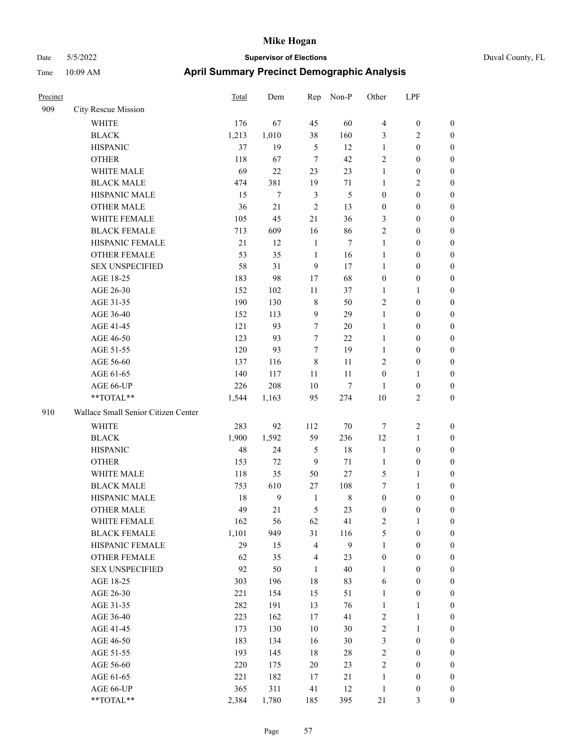| Precinct |                                     | <b>Total</b> | Dem            | Rep            | Non-P          | Other            | LPF              |                  |
|----------|-------------------------------------|--------------|----------------|----------------|----------------|------------------|------------------|------------------|
| 909      | City Rescue Mission                 |              |                |                |                |                  |                  |                  |
|          | WHITE                               | 176          | 67             | 45             | 60             | $\overline{4}$   | $\boldsymbol{0}$ | $\mathbf{0}$     |
|          | <b>BLACK</b>                        | 1,213        | 1,010          | 38             | 160            | 3                | 2                | $\boldsymbol{0}$ |
|          | <b>HISPANIC</b>                     | 37           | 19             | 5              | 12             | $\mathbf{1}$     | $\boldsymbol{0}$ | $\boldsymbol{0}$ |
|          | <b>OTHER</b>                        | 118          | 67             | $\tau$         | 42             | $\overline{2}$   | $\boldsymbol{0}$ | $\boldsymbol{0}$ |
|          | WHITE MALE                          | 69           | 22             | 23             | 23             | $\mathbf{1}$     | $\boldsymbol{0}$ | $\boldsymbol{0}$ |
|          | <b>BLACK MALE</b>                   | 474          | 381            | 19             | 71             | 1                | 2                | $\boldsymbol{0}$ |
|          | HISPANIC MALE                       | 15           | $\overline{7}$ | $\mathfrak{Z}$ | 5              | $\boldsymbol{0}$ | $\boldsymbol{0}$ | $\boldsymbol{0}$ |
|          | <b>OTHER MALE</b>                   | 36           | 21             | $\overline{2}$ | 13             | $\boldsymbol{0}$ | $\boldsymbol{0}$ | $\boldsymbol{0}$ |
|          | WHITE FEMALE                        | 105          | 45             | 21             | 36             | 3                | $\theta$         | $\boldsymbol{0}$ |
|          | <b>BLACK FEMALE</b>                 | 713          | 609            | 16             | 86             | $\sqrt{2}$       | $\boldsymbol{0}$ | $\boldsymbol{0}$ |
|          | HISPANIC FEMALE                     | 21           | 12             | 1              | $\overline{7}$ | 1                | $\boldsymbol{0}$ | $\boldsymbol{0}$ |
|          | <b>OTHER FEMALE</b>                 | 53           | 35             | 1              | 16             | 1                | $\boldsymbol{0}$ | $\boldsymbol{0}$ |
|          | <b>SEX UNSPECIFIED</b>              | 58           | 31             | 9              | 17             | $\mathbf{1}$     | $\boldsymbol{0}$ | $\boldsymbol{0}$ |
|          | AGE 18-25                           | 183          | 98             | 17             | 68             | $\mathbf{0}$     | $\boldsymbol{0}$ | $\boldsymbol{0}$ |
|          | AGE 26-30                           | 152          | 102            | 11             | 37             | 1                | 1                | $\boldsymbol{0}$ |
|          | AGE 31-35                           | 190          | 130            | $\,8\,$        | 50             | $\overline{2}$   | $\boldsymbol{0}$ | $\boldsymbol{0}$ |
|          | AGE 36-40                           | 152          | 113            | 9              | 29             | 1                | $\boldsymbol{0}$ | $\boldsymbol{0}$ |
|          | AGE 41-45                           | 121          | 93             | 7              | 20             | $\mathbf{1}$     | $\boldsymbol{0}$ | $\boldsymbol{0}$ |
|          | AGE 46-50                           | 123          | 93             | 7              | 22             | $\mathbf{1}$     | 0                | $\boldsymbol{0}$ |
|          | AGE 51-55                           | 120          | 93             | 7              | 19             | $\mathbf{1}$     | $\boldsymbol{0}$ | $\boldsymbol{0}$ |
|          | AGE 56-60                           | 137          | 116            | $\,8\,$        | 11             | $\overline{2}$   | $\boldsymbol{0}$ | $\boldsymbol{0}$ |
|          | AGE 61-65                           | 140          | 117            | 11             | 11             | $\boldsymbol{0}$ | $\mathbf{1}$     | $\boldsymbol{0}$ |
|          | AGE 66-UP                           | 226          | 208            | 10             | $\tau$         | $\mathbf{1}$     | $\boldsymbol{0}$ | $\boldsymbol{0}$ |
|          | **TOTAL**                           | 1,544        | 1,163          | 95             | 274            | 10               | 2                | $\boldsymbol{0}$ |
| 910      | Wallace Small Senior Citizen Center |              |                |                |                |                  |                  |                  |
|          | WHITE                               | 283          | 92             | 112            | 70             | $\tau$           | 2                | $\boldsymbol{0}$ |
|          | <b>BLACK</b>                        | 1,900        | 1,592          | 59             | 236            | 12               | $\mathbf{1}$     | $\boldsymbol{0}$ |
|          | <b>HISPANIC</b>                     | 48           | 24             | 5              | 18             | $\mathbf{1}$     | $\boldsymbol{0}$ | $\boldsymbol{0}$ |
|          | <b>OTHER</b>                        | 153          | 72             | 9              | 71             | 1                | $\boldsymbol{0}$ | $\boldsymbol{0}$ |
|          | WHITE MALE                          | 118          | 35             | 50             | 27             | 5                | 1                | $\boldsymbol{0}$ |
|          | <b>BLACK MALE</b>                   | 753          | 610            | 27             | 108            | 7                | 1                | $\boldsymbol{0}$ |
|          | HISPANIC MALE                       | 18           | 9              | $\mathbf{1}$   | 8              | $\boldsymbol{0}$ | $\boldsymbol{0}$ | $\boldsymbol{0}$ |
|          | <b>OTHER MALE</b>                   | 49           | 21             | 5              | 23             | $\boldsymbol{0}$ | $\boldsymbol{0}$ | $\boldsymbol{0}$ |
|          | WHITE FEMALE                        | 162          | 56             | 62             | 41             | $\sqrt{2}$       | $\mathbf{1}$     | $\boldsymbol{0}$ |
|          | <b>BLACK FEMALE</b>                 | 1,101        | 949            | 31             | 116            | $\mathfrak{S}$   | $\boldsymbol{0}$ | $\boldsymbol{0}$ |
|          | HISPANIC FEMALE                     | 29           | 15             | $\overline{4}$ | 9              | $\mathbf{1}$     | $\boldsymbol{0}$ | $\boldsymbol{0}$ |
|          | OTHER FEMALE                        | 62           | 35             | $\overline{4}$ | 23             | $\boldsymbol{0}$ | $\boldsymbol{0}$ | $\boldsymbol{0}$ |
|          | <b>SEX UNSPECIFIED</b>              | 92           | 50             | 1              | 40             | $\mathbf{1}$     | $\boldsymbol{0}$ | $\boldsymbol{0}$ |
|          | AGE 18-25                           | 303          | 196            | 18             | 83             | 6                | $\boldsymbol{0}$ | $\boldsymbol{0}$ |
|          | AGE 26-30                           | 221          | 154            | 15             | 51             | $\mathbf{1}$     | $\boldsymbol{0}$ | $\boldsymbol{0}$ |
|          | AGE 31-35                           | 282          | 191            | 13             | 76             | $\mathbf{1}$     | 1                | $\boldsymbol{0}$ |
|          | AGE 36-40                           | 223          | 162            | 17             | 41             | $\sqrt{2}$       | $\mathbf{1}$     | $\boldsymbol{0}$ |
|          | AGE 41-45                           | 173          | 130            | 10             | 30             | $\sqrt{2}$       | $\mathbf{1}$     | $\boldsymbol{0}$ |
|          | AGE 46-50                           | 183          | 134            | 16             | 30             | $\mathfrak{Z}$   | $\boldsymbol{0}$ | $\boldsymbol{0}$ |
|          | AGE 51-55                           | 193          | 145            | 18             | 28             | $\sqrt{2}$       | $\boldsymbol{0}$ | $\boldsymbol{0}$ |
|          | AGE 56-60                           | 220          | 175            | $20\,$         | 23             | $\sqrt{2}$       | $\boldsymbol{0}$ | $\boldsymbol{0}$ |
|          | AGE 61-65                           | 221          | 182            | 17             | $21\,$         | $\mathbf{1}$     | $\boldsymbol{0}$ | $\boldsymbol{0}$ |
|          | AGE 66-UP                           | 365          | 311            | 41             | 12             | $\mathbf{1}$     | $\boldsymbol{0}$ | $\boldsymbol{0}$ |
|          | **TOTAL**                           | 2,384        | 1,780          | 185            | 395            | 21               | $\mathfrak{Z}$   | $\mathbf{0}$     |
|          |                                     |              |                |                |                |                  |                  |                  |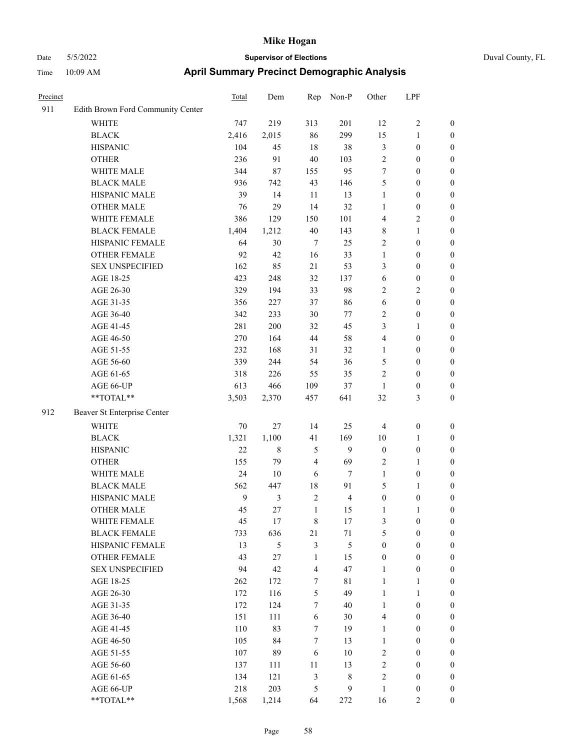|      | ------- |
|------|---------|
| ysis |         |
| I DE |         |

| Precinct |                                   | Total  | Dem            | Rep              | Non-P            | Other                   | LPF              |                  |
|----------|-----------------------------------|--------|----------------|------------------|------------------|-------------------------|------------------|------------------|
| 911      | Edith Brown Ford Community Center |        |                |                  |                  |                         |                  |                  |
|          | <b>WHITE</b>                      | 747    | 219            | 313              | 201              | 12                      | $\sqrt{2}$       | $\boldsymbol{0}$ |
|          | <b>BLACK</b>                      | 2,416  | 2,015          | 86               | 299              | 15                      | $\mathbf{1}$     | $\boldsymbol{0}$ |
|          | <b>HISPANIC</b>                   | 104    | 45             | 18               | 38               | 3                       | $\boldsymbol{0}$ | $\boldsymbol{0}$ |
|          | <b>OTHER</b>                      | 236    | 91             | $40\,$           | 103              | $\sqrt{2}$              | $\boldsymbol{0}$ | $\boldsymbol{0}$ |
|          | WHITE MALE                        | 344    | 87             | 155              | 95               | $\tau$                  | $\boldsymbol{0}$ | $\boldsymbol{0}$ |
|          | <b>BLACK MALE</b>                 | 936    | 742            | 43               | 146              | 5                       | $\boldsymbol{0}$ | $\boldsymbol{0}$ |
|          | HISPANIC MALE                     | 39     | 14             | $11\,$           | 13               | $\mathbf{1}$            | $\boldsymbol{0}$ | $\boldsymbol{0}$ |
|          | <b>OTHER MALE</b>                 | 76     | 29             | 14               | 32               | $\mathbf{1}$            | $\boldsymbol{0}$ | $\boldsymbol{0}$ |
|          | WHITE FEMALE                      | 386    | 129            | 150              | 101              | $\overline{\mathbf{4}}$ | $\sqrt{2}$       | $\boldsymbol{0}$ |
|          | <b>BLACK FEMALE</b>               | 1,404  | 1,212          | $40\,$           | 143              | $\,$ 8 $\,$             | $\mathbf{1}$     | $\boldsymbol{0}$ |
|          | HISPANIC FEMALE                   | 64     | 30             | $\tau$           | 25               | $\sqrt{2}$              | $\boldsymbol{0}$ | $\boldsymbol{0}$ |
|          | OTHER FEMALE                      | 92     | 42             | 16               | 33               | $\mathbf{1}$            | $\boldsymbol{0}$ | $\boldsymbol{0}$ |
|          | <b>SEX UNSPECIFIED</b>            | 162    | 85             | 21               | 53               | 3                       | $\boldsymbol{0}$ | $\boldsymbol{0}$ |
|          | AGE 18-25                         | 423    | 248            | 32               | 137              | $\sqrt{6}$              | $\boldsymbol{0}$ | $\boldsymbol{0}$ |
|          | AGE 26-30                         | 329    | 194            | 33               | 98               | $\overline{c}$          | $\sqrt{2}$       | $\boldsymbol{0}$ |
|          | AGE 31-35                         | 356    | 227            | 37               | 86               | $\sqrt{6}$              | $\boldsymbol{0}$ | $\boldsymbol{0}$ |
|          | AGE 36-40                         | 342    | 233            | 30               | $77\,$           | $\overline{c}$          | $\boldsymbol{0}$ | $\boldsymbol{0}$ |
|          | AGE 41-45                         | 281    | 200            | 32               | 45               | 3                       | $\mathbf{1}$     | $\boldsymbol{0}$ |
|          | AGE 46-50                         | 270    | 164            | $44\,$           | 58               | 4                       | $\boldsymbol{0}$ | $\boldsymbol{0}$ |
|          | AGE 51-55                         | 232    | 168            | 31               | 32               | $\mathbf{1}$            | $\boldsymbol{0}$ | $\boldsymbol{0}$ |
|          | AGE 56-60                         | 339    | 244            | 54               | 36               | 5                       | $\boldsymbol{0}$ | $\boldsymbol{0}$ |
|          | AGE 61-65                         | 318    | 226            | 55               | 35               | $\overline{c}$          | $\boldsymbol{0}$ | $\boldsymbol{0}$ |
|          | AGE 66-UP                         | 613    | 466            | 109              | 37               | $\mathbf{1}$            | $\boldsymbol{0}$ | $\boldsymbol{0}$ |
|          | $**TOTAL**$                       | 3,503  | 2,370          | 457              | 641              | 32                      | $\mathfrak{Z}$   | $\boldsymbol{0}$ |
| 912      | Beaver St Enterprise Center       |        |                |                  |                  |                         |                  |                  |
|          | <b>WHITE</b>                      | $70\,$ | 27             | 14               | 25               | $\overline{4}$          | $\boldsymbol{0}$ | $\boldsymbol{0}$ |
|          | <b>BLACK</b>                      | 1,321  | 1,100          | 41               | 169              | $10\,$                  | $\mathbf{1}$     | $\boldsymbol{0}$ |
|          | <b>HISPANIC</b>                   | 22     | $\,8\,$        | 5                | $\mathbf{9}$     | $\boldsymbol{0}$        | $\boldsymbol{0}$ | 0                |
|          | <b>OTHER</b>                      | 155    | 79             | $\overline{4}$   | 69               | $\overline{c}$          | $\mathbf{1}$     | $\boldsymbol{0}$ |
|          | WHITE MALE                        | 24     | 10             | 6                | $\tau$           | $\mathbf{1}$            | $\boldsymbol{0}$ | $\boldsymbol{0}$ |
|          | <b>BLACK MALE</b>                 | 562    | 447            | $18\,$           | 91               | 5                       | $\mathbf{1}$     | $\boldsymbol{0}$ |
|          | HISPANIC MALE                     | 9      | $\mathfrak{Z}$ | $\sqrt{2}$       | $\overline{4}$   | $\boldsymbol{0}$        | $\boldsymbol{0}$ | $\boldsymbol{0}$ |
|          | <b>OTHER MALE</b>                 | 45     | 27             | $\mathbf{1}$     | 15               | $\mathbf{1}$            | $\mathbf{1}$     | $\boldsymbol{0}$ |
|          | WHITE FEMALE                      | 45     | $17\,$         | $\,$ 8 $\,$      | 17               | 3                       | $\boldsymbol{0}$ | $\overline{0}$   |
|          | <b>BLACK FEMALE</b>               | 733    | 636            | 21               | $71\,$           | 5                       | $\boldsymbol{0}$ | 0                |
|          | <b>HISPANIC FEMALE</b>            | 13     | $\mathfrak s$  | $\mathfrak{Z}$   | 5                | $\boldsymbol{0}$        | $\boldsymbol{0}$ | 0                |
|          | <b>OTHER FEMALE</b>               | 43     | 27             | $\mathbf{1}$     | 15               | $\boldsymbol{0}$        | $\boldsymbol{0}$ | 0                |
|          | <b>SEX UNSPECIFIED</b>            | 94     | 42             | $\overline{4}$   | 47               | $\mathbf{1}$            | $\boldsymbol{0}$ | 0                |
|          | AGE 18-25                         | 262    | 172            | $\boldsymbol{7}$ | $8\sqrt{1}$      | $\mathbf{1}$            | $\mathbf{1}$     | 0                |
|          | AGE 26-30                         | 172    | 116            | $\mathfrak{S}$   | 49               | $\mathbf{1}$            | $\mathbf{1}$     | 0                |
|          | AGE 31-35                         | 172    | 124            | $\tau$           | 40               | $\mathbf{1}$            | $\boldsymbol{0}$ | $\overline{0}$   |
|          | AGE 36-40                         | 151    | 111            | 6                | 30               | $\overline{4}$          | $\boldsymbol{0}$ | $\overline{0}$   |
|          | AGE 41-45                         | 110    | 83             | $\boldsymbol{7}$ | 19               | $\mathbf{1}$            | $\boldsymbol{0}$ | $\overline{0}$   |
|          | AGE 46-50                         | 105    | 84             | $\boldsymbol{7}$ | 13               | $\mathbf{1}$            | $\boldsymbol{0}$ | $\overline{0}$   |
|          | AGE 51-55                         | 107    | 89             | $\sqrt{6}$       | 10               | 2                       | $\boldsymbol{0}$ | $\overline{0}$   |
|          | AGE 56-60                         | 137    | 111            | 11               | 13               | $\overline{c}$          | $\boldsymbol{0}$ | $\overline{0}$   |
|          | AGE 61-65                         | 134    | 121            | $\mathfrak{Z}$   | 8                | $\overline{c}$          | $\boldsymbol{0}$ | 0                |
|          | AGE 66-UP                         | 218    | 203            | $\mathfrak{S}$   | $\boldsymbol{9}$ | $\mathbf{1}$            | $\boldsymbol{0}$ | 0                |
|          | **TOTAL**                         | 1,568  | 1,214          | 64               | 272              | 16                      | $\overline{2}$   | $\boldsymbol{0}$ |
|          |                                   |        |                |                  |                  |                         |                  |                  |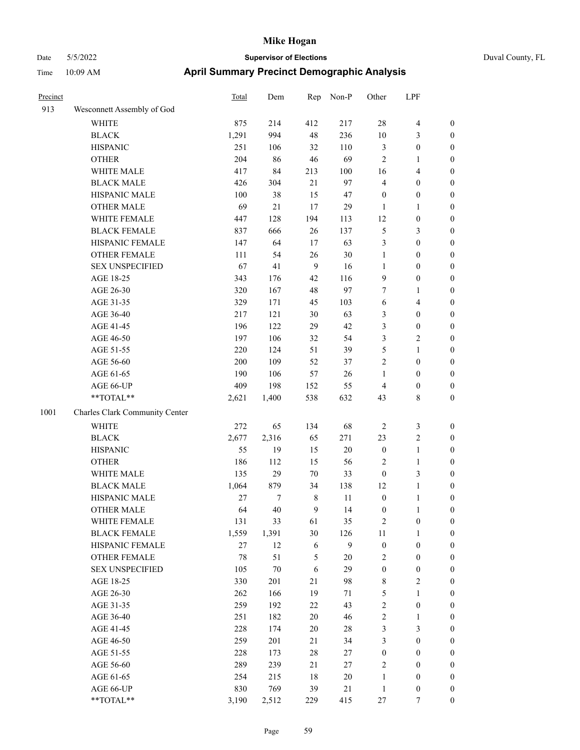| Duval County, FL |  |
|------------------|--|
|                  |  |

| Precinct |                                | <b>Total</b> | Dem    | Rep            | Non-P  | Other            | LPF                     |                  |
|----------|--------------------------------|--------------|--------|----------------|--------|------------------|-------------------------|------------------|
| 913      | Wesconnett Assembly of God     |              |        |                |        |                  |                         |                  |
|          | WHITE                          | 875          | 214    | 412            | 217    | 28               | $\overline{\mathbf{4}}$ | $\boldsymbol{0}$ |
|          | <b>BLACK</b>                   | 1,291        | 994    | 48             | 236    | 10               | $\mathfrak{Z}$          | $\boldsymbol{0}$ |
|          | <b>HISPANIC</b>                | 251          | 106    | 32             | 110    | 3                | $\boldsymbol{0}$        | 0                |
|          | <b>OTHER</b>                   | 204          | 86     | $46\,$         | 69     | $\overline{c}$   | $\mathbf{1}$            | 0                |
|          | WHITE MALE                     | 417          | 84     | 213            | 100    | 16               | $\overline{4}$          | $\boldsymbol{0}$ |
|          | <b>BLACK MALE</b>              | 426          | 304    | 21             | 97     | 4                | $\boldsymbol{0}$        | $\boldsymbol{0}$ |
|          | HISPANIC MALE                  | 100          | 38     | 15             | 47     | $\boldsymbol{0}$ | $\boldsymbol{0}$        | $\boldsymbol{0}$ |
|          | <b>OTHER MALE</b>              | 69           | 21     | 17             | 29     | $\mathbf{1}$     | $\mathbf{1}$            | $\boldsymbol{0}$ |
|          | WHITE FEMALE                   | 447          | 128    | 194            | 113    | 12               | $\boldsymbol{0}$        | $\boldsymbol{0}$ |
|          | <b>BLACK FEMALE</b>            | 837          | 666    | 26             | 137    | 5                | $\mathfrak{Z}$          | $\boldsymbol{0}$ |
|          | HISPANIC FEMALE                | 147          | 64     | 17             | 63     | 3                | $\boldsymbol{0}$        | $\boldsymbol{0}$ |
|          | OTHER FEMALE                   | 111          | 54     | 26             | 30     | $\mathbf{1}$     | $\boldsymbol{0}$        | $\boldsymbol{0}$ |
|          | <b>SEX UNSPECIFIED</b>         | 67           | 41     | $\overline{9}$ | 16     | $\mathbf{1}$     | $\boldsymbol{0}$        | 0                |
|          | AGE 18-25                      | 343          | 176    | 42             | 116    | $\overline{9}$   | $\boldsymbol{0}$        | 0                |
|          | AGE 26-30                      | 320          | 167    | 48             | 97     | 7                | $\mathbf{1}$            | $\boldsymbol{0}$ |
|          | AGE 31-35                      | 329          | 171    | 45             | 103    | 6                | $\overline{\mathbf{4}}$ | $\boldsymbol{0}$ |
|          | AGE 36-40                      | 217          | 121    | $30\,$         | 63     | 3                | $\boldsymbol{0}$        | $\boldsymbol{0}$ |
|          | AGE 41-45                      | 196          | 122    | 29             | 42     | 3                | $\boldsymbol{0}$        | $\boldsymbol{0}$ |
|          | AGE 46-50                      | 197          | 106    | 32             | 54     | 3                | $\sqrt{2}$              | $\boldsymbol{0}$ |
|          | AGE 51-55                      | 220          | 124    | 51             | 39     | 5                | $\mathbf{1}$            | $\boldsymbol{0}$ |
|          | AGE 56-60                      | 200          | 109    | 52             | 37     | $\mathfrak{2}$   | $\boldsymbol{0}$        | $\boldsymbol{0}$ |
|          | AGE 61-65                      | 190          | 106    | 57             | 26     | $\mathbf{1}$     | $\boldsymbol{0}$        | 0                |
|          | AGE 66-UP                      | 409          | 198    | 152            | 55     | $\overline{4}$   | $\boldsymbol{0}$        | 0                |
|          | $**TOTAL**$                    | 2,621        | 1,400  | 538            | 632    | 43               | $\,8\,$                 | $\boldsymbol{0}$ |
| 1001     | Charles Clark Community Center |              |        |                |        |                  |                         |                  |
|          | <b>WHITE</b>                   | 272          | 65     | 134            | 68     | $\overline{2}$   | $\mathfrak{Z}$          | 0                |
|          | <b>BLACK</b>                   | 2,677        | 2,316  | 65             | 271    | 23               | $\sqrt{2}$              | $\boldsymbol{0}$ |
|          | <b>HISPANIC</b>                | 55           | 19     | 15             | $20\,$ | $\boldsymbol{0}$ | $\mathbf{1}$            | 0                |
|          | <b>OTHER</b>                   | 186          | 112    | 15             | 56     | 2                | $\mathbf{1}$            | $\boldsymbol{0}$ |
|          | WHITE MALE                     | 135          | 29     | 70             | 33     | $\boldsymbol{0}$ | $\mathfrak{Z}$          | $\boldsymbol{0}$ |
|          | <b>BLACK MALE</b>              | 1,064        | 879    | 34             | 138    | 12               | $\mathbf{1}$            | $\boldsymbol{0}$ |
|          | HISPANIC MALE                  | $27\,$       | 7      | $\,$ 8 $\,$    | 11     | $\boldsymbol{0}$ | $\mathbf{1}$            | $\boldsymbol{0}$ |
|          | <b>OTHER MALE</b>              | 64           | 40     | 9              | 14     | $\boldsymbol{0}$ | $\mathbf{1}$            | $\boldsymbol{0}$ |
|          | WHITE FEMALE                   | 131          | 33     | 61             | 35     | $\sqrt{2}$       | $\boldsymbol{0}$        | 0                |
|          | <b>BLACK FEMALE</b>            | 1,559        | 1,391  | 30             | 126    | 11               | $\mathbf{1}$            | 0                |
|          | HISPANIC FEMALE                | $27\,$       | 12     | 6              | 9      | $\boldsymbol{0}$ | $\boldsymbol{0}$        | 0                |
|          | OTHER FEMALE                   | 78           | 51     | 5              | $20\,$ | $\overline{c}$   | $\boldsymbol{0}$        | 0                |
|          | <b>SEX UNSPECIFIED</b>         | 105          | $70\,$ | $\sqrt{6}$     | 29     | $\boldsymbol{0}$ | $\boldsymbol{0}$        | 0                |
|          | AGE 18-25                      | 330          | 201    | 21             | 98     | 8                | $\sqrt{2}$              | $\boldsymbol{0}$ |
|          | AGE 26-30                      | 262          | 166    | 19             | 71     | 5                | $\mathbf{1}$            | $\overline{0}$   |
|          | AGE 31-35                      | 259          | 192    | 22             | 43     | $\sqrt{2}$       | $\boldsymbol{0}$        | 0                |
|          | AGE 36-40                      | 251          | 182    | $20\,$         | 46     | $\sqrt{2}$       | $\mathbf{1}$            | $\overline{0}$   |
|          | AGE 41-45                      | 228          | 174    | $20\,$         | $28\,$ | 3                | $\mathfrak{Z}$          | $\overline{0}$   |
|          | AGE 46-50                      | 259          | 201    | 21             | 34     | $\mathfrak{Z}$   | $\boldsymbol{0}$        | $\overline{0}$   |
|          | AGE 51-55                      | 228          | 173    | $28\,$         | 27     | $\boldsymbol{0}$ | $\boldsymbol{0}$        | 0                |
|          | AGE 56-60                      | 289          | 239    | 21             | $27\,$ | $\sqrt{2}$       | $\boldsymbol{0}$        | 0                |
|          | AGE 61-65                      | 254          | 215    | 18             | $20\,$ | $\mathbf{1}$     | $\boldsymbol{0}$        | $\boldsymbol{0}$ |
|          | AGE 66-UP                      | 830          | 769    | 39             | $21\,$ | $\mathbf{1}$     | $\boldsymbol{0}$        | 0                |
|          | $**TOTAL**$                    | 3,190        | 2,512  | 229            | 415    | $27\,$           | $\tau$                  | $\boldsymbol{0}$ |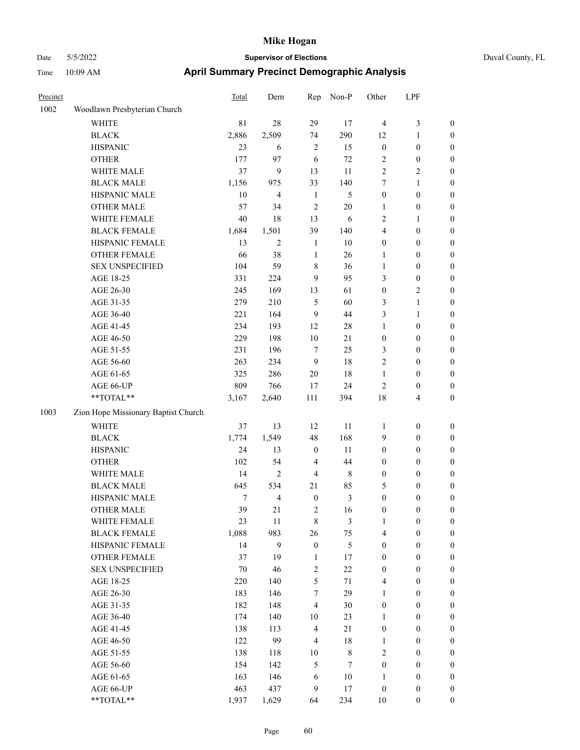#### Date 5/5/2022 **Supervisor of Elections** Duval County, FL Time 10:09 AM **April Summary Precinct Demographic Analysis**

| Precinct |                                     | Total  | Dem                      | Rep                      | Non-P       | Other            | LPF              |                  |
|----------|-------------------------------------|--------|--------------------------|--------------------------|-------------|------------------|------------------|------------------|
| 1002     | Woodlawn Presbyterian Church        |        |                          |                          |             |                  |                  |                  |
|          | <b>WHITE</b>                        | 81     | 28                       | 29                       | 17          | 4                | 3                | $\boldsymbol{0}$ |
|          | <b>BLACK</b>                        | 2,886  | 2,509                    | 74                       | 290         | 12               | $\mathbf{1}$     | $\mathbf{0}$     |
|          | <b>HISPANIC</b>                     | 23     | 6                        | $\overline{c}$           | 15          | $\boldsymbol{0}$ | $\boldsymbol{0}$ | $\boldsymbol{0}$ |
|          | <b>OTHER</b>                        | 177    | 97                       | 6                        | 72          | $\mathfrak{2}$   | $\boldsymbol{0}$ | $\boldsymbol{0}$ |
|          | WHITE MALE                          | 37     | 9                        | 13                       | 11          | $\overline{c}$   | $\overline{c}$   | $\boldsymbol{0}$ |
|          | <b>BLACK MALE</b>                   | 1,156  | 975                      | 33                       | 140         | 7                | $\mathbf{1}$     | $\boldsymbol{0}$ |
|          | HISPANIC MALE                       | 10     | $\overline{\mathcal{L}}$ | $\mathbf{1}$             | 5           | $\boldsymbol{0}$ | $\boldsymbol{0}$ | $\boldsymbol{0}$ |
|          | <b>OTHER MALE</b>                   | 57     | 34                       | $\overline{2}$           | 20          | $\mathbf{1}$     | $\boldsymbol{0}$ | $\boldsymbol{0}$ |
|          | WHITE FEMALE                        | 40     | 18                       | 13                       | 6           | $\overline{c}$   | $\mathbf{1}$     | $\boldsymbol{0}$ |
|          | <b>BLACK FEMALE</b>                 | 1,684  | 1,501                    | 39                       | 140         | 4                | $\boldsymbol{0}$ | $\boldsymbol{0}$ |
|          | HISPANIC FEMALE                     | 13     | $\overline{2}$           | $\mathbf{1}$             | 10          | $\boldsymbol{0}$ | $\boldsymbol{0}$ | $\boldsymbol{0}$ |
|          | <b>OTHER FEMALE</b>                 | 66     | 38                       | $\mathbf{1}$             | 26          | $\mathbf{1}$     | $\boldsymbol{0}$ | $\boldsymbol{0}$ |
|          | <b>SEX UNSPECIFIED</b>              | 104    | 59                       | 8                        | 36          | $\mathbf{1}$     | $\boldsymbol{0}$ | $\boldsymbol{0}$ |
|          | AGE 18-25                           | 331    | 224                      | 9                        | 95          | 3                | $\overline{0}$   | $\mathbf{0}$     |
|          | AGE 26-30                           | 245    | 169                      | 13                       | 61          | $\mathbf{0}$     | $\overline{2}$   | $\boldsymbol{0}$ |
|          | AGE 31-35                           | 279    | 210                      | 5                        | 60          | 3                | $\mathbf{1}$     | $\boldsymbol{0}$ |
|          | AGE 36-40                           | 221    | 164                      | 9                        | 44          | 3                | 1                | $\boldsymbol{0}$ |
|          | AGE 41-45                           | 234    | 193                      | 12                       | 28          | $\mathbf{1}$     | $\boldsymbol{0}$ | $\boldsymbol{0}$ |
|          | AGE 46-50                           | 229    | 198                      | 10                       | 21          | $\boldsymbol{0}$ | $\boldsymbol{0}$ | $\boldsymbol{0}$ |
|          | AGE 51-55                           | 231    | 196                      | 7                        | 25          | 3                | $\boldsymbol{0}$ | $\boldsymbol{0}$ |
|          | AGE 56-60                           | 263    | 234                      | 9                        | 18          | $\overline{c}$   | $\boldsymbol{0}$ | $\boldsymbol{0}$ |
|          | AGE 61-65                           | 325    | 286                      | $20\,$                   | 18          | $\mathbf{1}$     | $\boldsymbol{0}$ | $\boldsymbol{0}$ |
|          | AGE 66-UP                           | 809    | 766                      | 17                       | 24          | $\overline{2}$   | $\boldsymbol{0}$ | $\boldsymbol{0}$ |
|          | **TOTAL**                           | 3,167  | 2,640                    | 111                      | 394         | 18               | $\overline{4}$   | $\mathbf{0}$     |
| 1003     | Zion Hope Missionary Baptist Church |        |                          |                          |             |                  |                  |                  |
|          | <b>WHITE</b>                        | 37     | 13                       | 12                       | 11          | $\mathbf{1}$     | $\boldsymbol{0}$ | $\boldsymbol{0}$ |
|          | <b>BLACK</b>                        | 1,774  | 1,549                    | 48                       | 168         | 9                | $\boldsymbol{0}$ | $\boldsymbol{0}$ |
|          | <b>HISPANIC</b>                     | 24     | 13                       | $\boldsymbol{0}$         | 11          | $\boldsymbol{0}$ | $\boldsymbol{0}$ | $\boldsymbol{0}$ |
|          | <b>OTHER</b>                        | 102    | 54                       | 4                        | 44          | 0                | $\boldsymbol{0}$ | $\boldsymbol{0}$ |
|          | WHITE MALE                          | 14     | $\overline{c}$           | $\overline{\mathcal{L}}$ | $\,$ 8 $\,$ | $\boldsymbol{0}$ | $\boldsymbol{0}$ | $\boldsymbol{0}$ |
|          | <b>BLACK MALE</b>                   | 645    | 534                      | 21                       | 85          | 5                | $\overline{0}$   | $\mathbf{0}$     |
|          | HISPANIC MALE                       | $\tau$ | $\overline{4}$           | $\overline{0}$           | 3           | $\mathbf{0}$     | $\overline{0}$   | $\mathbf{0}$     |
|          | <b>OTHER MALE</b>                   | 39     | 21                       | $\overline{c}$           | 16          | $\mathbf{0}$     | $\overline{0}$   | $\mathbf{0}$     |
|          | WHITE FEMALE                        | 23     | 11                       | 8                        | 3           | $\mathbf{1}$     | $\mathbf{0}$     | $\mathbf{0}$     |
|          | <b>BLACK FEMALE</b>                 | 1,088  | 983                      | 26                       | 75          | 4                | $\overline{0}$   | $\mathbf{0}$     |
|          | HISPANIC FEMALE                     | 14     | 9                        | $\theta$                 | 5           | $\theta$         | $\theta$         | $\mathbf{0}$     |

OTHER FEMALE 37 19 1 17 0 0 0 SEX UNSPECIFIED 70 46 2 22 0 0 0 AGE 18-25 220 140 5 71 4 0 0 AGE 26-30 183 146 7 29 1 0 0 AGE 31-35 182 148 4 30 0 0 0 AGE 36-40 174 140 10 23 1 0 0 AGE 41-45 138 113 4 21 0 0 0 AGE 46-50 122 99 4 18 1 0 0 AGE 51-55 138 118 10 8 2 0 0 AGE 56-60 154 142 5 7 0 0 0 AGE 61-65 163 146 6 10 1 0 0 AGE 66-UP 463 437 9 17 0 0 0 \*\*TOTAL\*\* 1,937 1,629 64 234 10 0 0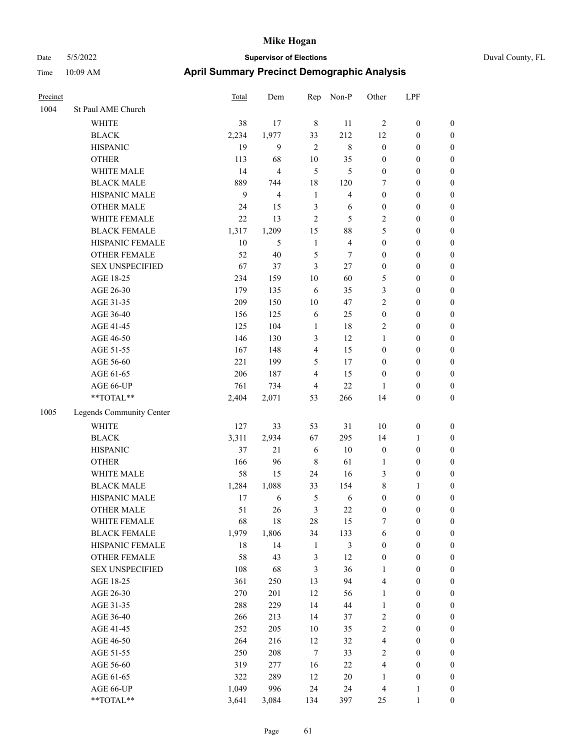# Date 5/5/2022 **Supervisor of Elections** Duval County, FL Time 10:09 AM **April Summary Precinct Demographic Analysis**

| Precinct |                          | Total | Dem                     | Rep            | Non-P                   | Other                   | LPF              |                  |
|----------|--------------------------|-------|-------------------------|----------------|-------------------------|-------------------------|------------------|------------------|
| 1004     | St Paul AME Church       |       |                         |                |                         |                         |                  |                  |
|          | WHITE                    | 38    | 17                      | $\,$ 8 $\,$    | 11                      | $\sqrt{2}$              | $\boldsymbol{0}$ | $\boldsymbol{0}$ |
|          | <b>BLACK</b>             | 2,234 | 1,977                   | 33             | 212                     | 12                      | $\boldsymbol{0}$ | 0                |
|          | <b>HISPANIC</b>          | 19    | 9                       | $\mathfrak{2}$ | $\,$ 8 $\,$             | $\boldsymbol{0}$        | $\boldsymbol{0}$ | $\boldsymbol{0}$ |
|          | <b>OTHER</b>             | 113   | 68                      | 10             | 35                      | $\boldsymbol{0}$        | $\boldsymbol{0}$ | $\boldsymbol{0}$ |
|          | WHITE MALE               | 14    | $\overline{\mathbf{4}}$ | 5              | 5                       | $\boldsymbol{0}$        | $\boldsymbol{0}$ | $\boldsymbol{0}$ |
|          | <b>BLACK MALE</b>        | 889   | 744                     | 18             | 120                     | 7                       | $\boldsymbol{0}$ | $\boldsymbol{0}$ |
|          | HISPANIC MALE            | 9     | $\overline{\mathbf{4}}$ | $\mathbf{1}$   | $\overline{\mathbf{4}}$ | $\boldsymbol{0}$        | $\boldsymbol{0}$ | $\boldsymbol{0}$ |
|          | <b>OTHER MALE</b>        | 24    | 15                      | $\mathfrak{Z}$ | 6                       | $\boldsymbol{0}$        | $\boldsymbol{0}$ | $\boldsymbol{0}$ |
|          | WHITE FEMALE             | 22    | 13                      | $\sqrt{2}$     | 5                       | $\mathbf{2}$            | $\boldsymbol{0}$ | $\boldsymbol{0}$ |
|          | <b>BLACK FEMALE</b>      | 1,317 | 1,209                   | 15             | 88                      | 5                       | $\boldsymbol{0}$ | $\boldsymbol{0}$ |
|          | HISPANIC FEMALE          | 10    | $\mathfrak{S}$          | $\mathbf{1}$   | $\overline{4}$          | $\boldsymbol{0}$        | $\boldsymbol{0}$ | $\boldsymbol{0}$ |
|          | OTHER FEMALE             | 52    | $40\,$                  | $\mathfrak s$  | 7                       | $\boldsymbol{0}$        | $\boldsymbol{0}$ | 0                |
|          | <b>SEX UNSPECIFIED</b>   | 67    | 37                      | $\mathfrak{Z}$ | $27\,$                  | $\boldsymbol{0}$        | $\boldsymbol{0}$ | $\boldsymbol{0}$ |
|          | AGE 18-25                | 234   | 159                     | 10             | 60                      | 5                       | $\boldsymbol{0}$ | $\boldsymbol{0}$ |
|          | AGE 26-30                | 179   | 135                     | 6              | 35                      | 3                       | $\boldsymbol{0}$ | $\boldsymbol{0}$ |
|          | AGE 31-35                | 209   | 150                     | 10             | 47                      | 2                       | $\boldsymbol{0}$ | $\boldsymbol{0}$ |
|          | AGE 36-40                | 156   | 125                     | 6              | 25                      | $\boldsymbol{0}$        | $\boldsymbol{0}$ | $\boldsymbol{0}$ |
|          | AGE 41-45                | 125   | 104                     | $\mathbf{1}$   | 18                      | $\overline{c}$          | $\boldsymbol{0}$ | $\boldsymbol{0}$ |
|          | AGE 46-50                | 146   | 130                     | 3              | 12                      | $\mathbf{1}$            | $\boldsymbol{0}$ | $\boldsymbol{0}$ |
|          | AGE 51-55                | 167   | 148                     | $\overline{4}$ | 15                      | $\boldsymbol{0}$        | $\boldsymbol{0}$ | $\boldsymbol{0}$ |
|          | AGE 56-60                | 221   | 199                     | $\mathfrak s$  | 17                      | $\boldsymbol{0}$        | $\boldsymbol{0}$ | 0                |
|          | AGE 61-65                | 206   | 187                     | $\overline{4}$ | 15                      | $\boldsymbol{0}$        | $\boldsymbol{0}$ | 0                |
|          | AGE 66-UP                | 761   | 734                     | $\overline{4}$ | 22                      | 1                       | $\boldsymbol{0}$ | 0                |
|          | $**TOTAL**$              | 2,404 | 2,071                   | 53             | 266                     | 14                      | $\boldsymbol{0}$ | $\boldsymbol{0}$ |
| 1005     | Legends Community Center |       |                         |                |                         |                         |                  |                  |
|          | <b>WHITE</b>             | 127   | 33                      | 53             | 31                      | $10\,$                  | $\boldsymbol{0}$ | $\boldsymbol{0}$ |
|          | <b>BLACK</b>             | 3,311 | 2,934                   | 67             | 295                     | 14                      | $\mathbf{1}$     | $\boldsymbol{0}$ |
|          | <b>HISPANIC</b>          | 37    | 21                      | 6              | $10\,$                  | $\boldsymbol{0}$        | $\boldsymbol{0}$ | $\boldsymbol{0}$ |
|          | <b>OTHER</b>             | 166   | 96                      | $\,$ 8 $\,$    | 61                      | $\mathbf{1}$            | $\boldsymbol{0}$ | $\boldsymbol{0}$ |
|          | WHITE MALE               | 58    | 15                      | 24             | 16                      | 3                       | $\boldsymbol{0}$ | $\boldsymbol{0}$ |
|          | <b>BLACK MALE</b>        | 1,284 | 1,088                   | 33             | 154                     | 8                       | $\mathbf{1}$     | $\boldsymbol{0}$ |
|          | HISPANIC MALE            | 17    | $\sqrt{6}$              | $\mathfrak s$  | 6                       | $\boldsymbol{0}$        | $\boldsymbol{0}$ | $\boldsymbol{0}$ |
|          | <b>OTHER MALE</b>        | 51    | 26                      | 3              | 22                      | $\boldsymbol{0}$        | $\boldsymbol{0}$ | $\boldsymbol{0}$ |
|          | WHITE FEMALE             | 68    | 18                      | 28             | 15                      | $\tau$                  | $\boldsymbol{0}$ | 0                |
|          | <b>BLACK FEMALE</b>      | 1,979 | 1,806                   | 34             | 133                     | 6                       | $\boldsymbol{0}$ | 0                |
|          | HISPANIC FEMALE          | 18    | 14                      | $\mathbf{1}$   | 3                       | $\boldsymbol{0}$        | $\boldsymbol{0}$ | 0                |
|          | OTHER FEMALE             | 58    | 43                      | $\mathfrak z$  | 12                      | $\boldsymbol{0}$        | $\boldsymbol{0}$ | 0                |
|          | <b>SEX UNSPECIFIED</b>   | 108   | 68                      | $\mathfrak{Z}$ | 36                      | $\mathbf{1}$            | $\boldsymbol{0}$ | $\overline{0}$   |
|          | AGE 18-25                | 361   | 250                     | 13             | 94                      | 4                       | $\boldsymbol{0}$ | 0                |
|          | AGE 26-30                | 270   | 201                     | 12             | 56                      | $\mathbf{1}$            | $\boldsymbol{0}$ | 0                |
|          | AGE 31-35                | 288   | 229                     | 14             | 44                      | $\mathbf{1}$            | $\boldsymbol{0}$ | 0                |
|          | AGE 36-40                | 266   | 213                     | 14             | 37                      | $\overline{c}$          | $\boldsymbol{0}$ | 0                |
|          | AGE 41-45                | 252   | 205                     | $10\,$         | 35                      | $\overline{c}$          | $\boldsymbol{0}$ | 0                |
|          | AGE 46-50                | 264   | 216                     | 12             | 32                      | $\overline{\mathbf{4}}$ | $\boldsymbol{0}$ | 0                |
|          | AGE 51-55                | 250   | 208                     | 7              | 33                      | $\mathbf{2}$            | $\boldsymbol{0}$ | 0                |
|          | AGE 56-60                | 319   | 277                     | 16             | $22\,$                  | $\overline{\mathbf{4}}$ | $\boldsymbol{0}$ | 0                |
|          | AGE 61-65                | 322   | 289                     | 12             | $20\,$                  | 1                       | $\boldsymbol{0}$ | 0                |
|          | AGE 66-UP                | 1,049 | 996                     | 24             | 24                      | 4                       | $\mathbf{1}$     | $\boldsymbol{0}$ |

\*\*TOTAL\*\* 3,641 3,084 134 397 25 1 0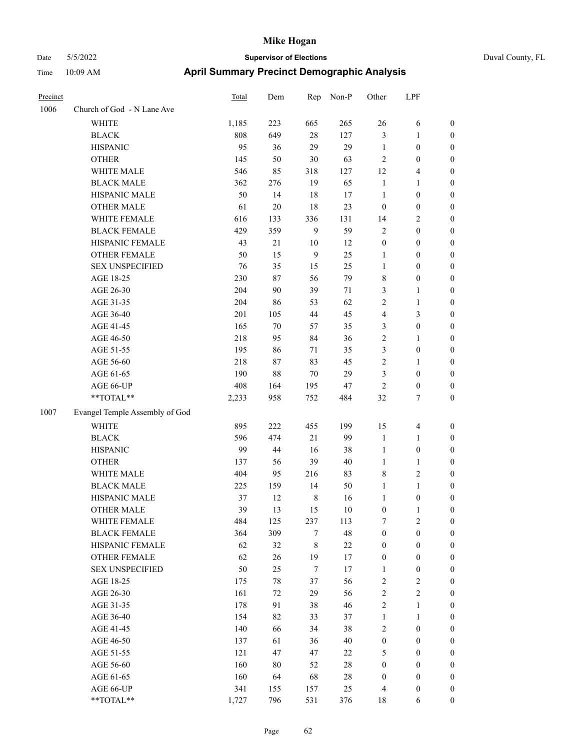| Precinct |                                | Total      | Dem      | Rep              | Non-P       | Other                      | LPF               |                                      |
|----------|--------------------------------|------------|----------|------------------|-------------|----------------------------|-------------------|--------------------------------------|
| 1006     | Church of God - N Lane Ave     |            |          |                  |             |                            |                   |                                      |
|          | WHITE                          | 1,185      | 223      | 665              | 265         | 26                         | 6                 | $\boldsymbol{0}$                     |
|          | <b>BLACK</b>                   | 808        | 649      | $28\,$           | 127         | $\mathfrak{Z}$             | 1                 | $\boldsymbol{0}$                     |
|          | <b>HISPANIC</b>                | 95         | 36       | 29               | 29          | $\mathbf{1}$               | $\boldsymbol{0}$  | $\boldsymbol{0}$                     |
|          | <b>OTHER</b>                   | 145        | 50       | $30\,$           | 63          | $\overline{2}$             | $\boldsymbol{0}$  | $\boldsymbol{0}$                     |
|          | WHITE MALE                     | 546        | 85       | 318              | 127         | 12                         | 4                 | $\boldsymbol{0}$                     |
|          | <b>BLACK MALE</b>              | 362        | 276      | 19               | 65          | $\mathbf{1}$               | 1                 | $\boldsymbol{0}$                     |
|          | HISPANIC MALE                  | 50         | 14       | 18               | 17          | $\mathbf{1}$               | $\boldsymbol{0}$  | $\boldsymbol{0}$                     |
|          | <b>OTHER MALE</b>              | 61         | $20\,$   | 18               | 23          | $\mathbf{0}$               | $\boldsymbol{0}$  | $\boldsymbol{0}$                     |
|          | WHITE FEMALE                   | 616        | 133      | 336              | 131         | 14                         | 2                 | $\boldsymbol{0}$                     |
|          | <b>BLACK FEMALE</b>            | 429        | 359      | 9                | 59          | $\sqrt{2}$                 | $\boldsymbol{0}$  | $\boldsymbol{0}$                     |
|          | HISPANIC FEMALE                | 43         | $21\,$   | $10\,$           | 12          | $\boldsymbol{0}$           | $\boldsymbol{0}$  | $\boldsymbol{0}$                     |
|          | <b>OTHER FEMALE</b>            | 50         | 15       | 9                | 25          | 1                          | $\boldsymbol{0}$  | $\boldsymbol{0}$                     |
|          | <b>SEX UNSPECIFIED</b>         | 76         | 35       | 15               | 25          | $\mathbf{1}$               | $\boldsymbol{0}$  | $\boldsymbol{0}$                     |
|          | AGE 18-25                      | 230        | 87       | 56               | 79          | $\,$ 8 $\,$                | $\boldsymbol{0}$  | $\boldsymbol{0}$                     |
|          | AGE 26-30                      | 204        | 90       | 39               | 71          | 3                          | 1                 | $\boldsymbol{0}$                     |
|          | AGE 31-35                      | 204        | 86       | 53               | 62          | $\sqrt{2}$                 | 1                 | $\boldsymbol{0}$                     |
|          | AGE 36-40                      | 201        | 105      | 44               | 45          | $\overline{4}$             | 3                 | $\boldsymbol{0}$                     |
|          | AGE 41-45                      | 165        | $70\,$   | 57               | 35          | 3                          | $\boldsymbol{0}$  | $\boldsymbol{0}$                     |
|          | AGE 46-50                      | 218        | 95       | 84               | 36          | $\sqrt{2}$                 | 1                 | $\boldsymbol{0}$                     |
|          | AGE 51-55                      | 195        | 86       | 71               | 35          | $\mathfrak{Z}$             | $\boldsymbol{0}$  | $\boldsymbol{0}$                     |
|          | AGE 56-60                      | 218        | 87       | 83               | 45          | $\sqrt{2}$                 | 1                 | $\boldsymbol{0}$                     |
|          | AGE 61-65                      | 190        | 88       | 70               | 29          | 3                          | $\boldsymbol{0}$  | $\boldsymbol{0}$                     |
|          | AGE 66-UP                      | 408        | 164      | 195              | 47          | $\overline{2}$             | $\boldsymbol{0}$  | $\boldsymbol{0}$                     |
|          | **TOTAL**                      | 2,233      | 958      | 752              | 484         | 32                         | 7                 | $\boldsymbol{0}$                     |
| 1007     | Evangel Temple Assembly of God |            |          |                  |             |                            |                   |                                      |
|          | <b>WHITE</b>                   | 895        | 222      | 455              | 199         | 15                         | 4                 | $\boldsymbol{0}$                     |
|          | <b>BLACK</b>                   | 596        | 474      | 21               | 99          | $\mathbf{1}$               | 1                 | $\boldsymbol{0}$                     |
|          | <b>HISPANIC</b>                | 99         | 44       | 16               | 38          | 1                          | $\boldsymbol{0}$  | $\boldsymbol{0}$                     |
|          | <b>OTHER</b>                   | 137        | 56       | 39               | 40          | $\mathbf{1}$               | 1                 | $\boldsymbol{0}$                     |
|          | WHITE MALE                     | 404        | 95       | 216              | 83          | $\,$ 8 $\,$                | 2                 | $\boldsymbol{0}$                     |
|          | <b>BLACK MALE</b>              | 225        | 159      | 14               | 50          | $\mathbf{1}$               | 1                 | $\boldsymbol{0}$                     |
|          | HISPANIC MALE                  | 37         | 12       | $\,$ 8 $\,$      | 16          | $\mathbf{1}$               | $\boldsymbol{0}$  | $\boldsymbol{0}$                     |
|          | <b>OTHER MALE</b>              | 39         | 13       | 15               | 10          | $\boldsymbol{0}$           | 1                 | $\boldsymbol{0}$                     |
|          | WHITE FEMALE                   | 484        | 125      | 237              | 113         | $\boldsymbol{7}$           | $\mathbf{2}$      | $\boldsymbol{0}$                     |
|          | <b>BLACK FEMALE</b>            | 364        | 309      | $\tau$           | $\sqrt{48}$ | $\boldsymbol{0}$           | $\boldsymbol{0}$  | $\boldsymbol{0}$                     |
|          | HISPANIC FEMALE                | 62         | 32       | $\,$ 8 $\,$      | $22\,$      | $\boldsymbol{0}$           | $\boldsymbol{0}$  | $\boldsymbol{0}$                     |
|          | OTHER FEMALE                   | 62         | $26\,$   | 19               | 17          | $\boldsymbol{0}$           | $\boldsymbol{0}$  | $\boldsymbol{0}$                     |
|          | <b>SEX UNSPECIFIED</b>         | 50         | 25       | $\boldsymbol{7}$ | 17          | 1                          | $\boldsymbol{0}$  | $\boldsymbol{0}$                     |
|          | AGE 18-25                      |            |          |                  | 56          | $\sqrt{2}$                 |                   |                                      |
|          | AGE 26-30                      | 175<br>161 | 78       | 37<br>29         | 56          | $\sqrt{2}$                 | 2<br>$\mathbf{2}$ | $\boldsymbol{0}$<br>$\boldsymbol{0}$ |
|          | AGE 31-35                      |            | 72<br>91 | 38               | 46          | $\sqrt{2}$                 |                   |                                      |
|          |                                | 178        |          |                  |             |                            | 1                 | $\boldsymbol{0}$                     |
|          | AGE 36-40                      | 154        | 82       | 33               | 37          | $\mathbf{1}$<br>$\sqrt{2}$ | $\mathbf{1}$      | $\boldsymbol{0}$<br>$\boldsymbol{0}$ |
|          | AGE 41-45                      | 140        | 66       | 34               | 38          |                            | $\boldsymbol{0}$  |                                      |
|          | AGE 46-50                      | 137        | 61       | 36               | 40          | $\boldsymbol{0}$           | $\boldsymbol{0}$  | $\boldsymbol{0}$                     |
|          | AGE 51-55                      | 121        | 47       | 47               | 22          | $\mathfrak s$              | $\boldsymbol{0}$  | $\boldsymbol{0}$                     |
|          | AGE 56-60                      | 160        | 80       | 52               | $28\,$      | $\boldsymbol{0}$           | $\boldsymbol{0}$  | $\boldsymbol{0}$                     |
|          | AGE 61-65                      | 160        | 64       | 68               | $28\,$      | $\boldsymbol{0}$           | $\boldsymbol{0}$  | $\boldsymbol{0}$                     |
|          | AGE 66-UP                      | 341        | 155      | 157              | 25          | $\overline{4}$             | $\boldsymbol{0}$  | $\boldsymbol{0}$                     |
|          | **TOTAL**                      | 1,727      | 796      | 531              | 376         | 18                         | 6                 | $\boldsymbol{0}$                     |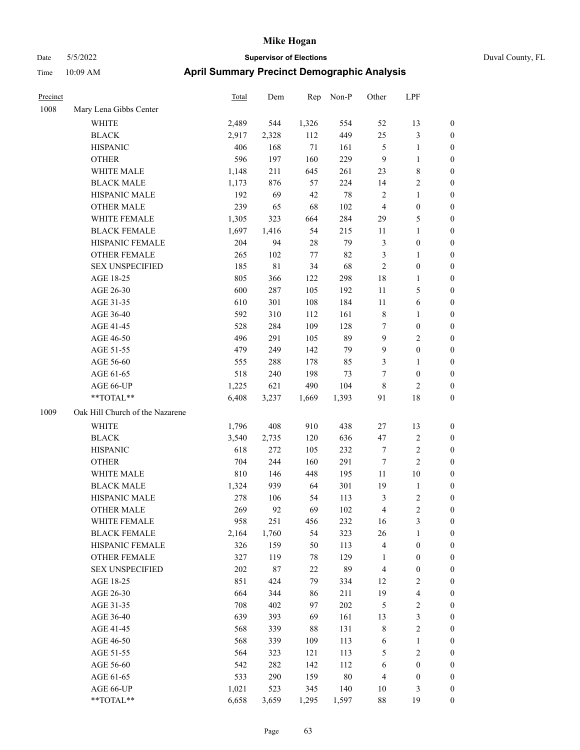### Date 5/5/2022 **Supervisor of Elections** Duval County, FL Time 10:09 AM **April Summary Precinct Demographic Analysis**

| Precinct |                                 | <b>Total</b> | Dem    |        | Rep Non-P | Other                   | LPF              |                  |
|----------|---------------------------------|--------------|--------|--------|-----------|-------------------------|------------------|------------------|
| 1008     | Mary Lena Gibbs Center          |              |        |        |           |                         |                  |                  |
|          | WHITE                           | 2,489        | 544    | 1,326  | 554       | 52                      | 13               | $\boldsymbol{0}$ |
|          | <b>BLACK</b>                    | 2,917        | 2,328  | 112    | 449       | 25                      | 3                | $\boldsymbol{0}$ |
|          | <b>HISPANIC</b>                 | 406          | 168    | $71\,$ | 161       | 5                       | $\mathbf{1}$     | $\boldsymbol{0}$ |
|          | <b>OTHER</b>                    | 596          | 197    | 160    | 229       | 9                       | $\mathbf{1}$     | $\boldsymbol{0}$ |
|          | WHITE MALE                      | 1,148        | 211    | 645    | 261       | 23                      | $\,8\,$          | $\boldsymbol{0}$ |
|          | <b>BLACK MALE</b>               | 1,173        | 876    | 57     | 224       | 14                      | $\sqrt{2}$       | $\boldsymbol{0}$ |
|          | HISPANIC MALE                   | 192          | 69     | 42     | 78        | $\mathfrak{2}$          | $\mathbf{1}$     | $\boldsymbol{0}$ |
|          | <b>OTHER MALE</b>               | 239          | 65     | 68     | $102\,$   | $\overline{\mathbf{4}}$ | $\boldsymbol{0}$ | $\boldsymbol{0}$ |
|          | WHITE FEMALE                    | 1,305        | 323    | 664    | 284       | 29                      | 5                | $\boldsymbol{0}$ |
|          | <b>BLACK FEMALE</b>             | 1,697        | 1,416  | 54     | 215       | 11                      | $\mathbf{1}$     | $\boldsymbol{0}$ |
|          | HISPANIC FEMALE                 | 204          | 94     | 28     | 79        | 3                       | $\boldsymbol{0}$ | $\boldsymbol{0}$ |
|          | OTHER FEMALE                    | 265          | 102    | 77     | 82        | 3                       | $\mathbf{1}$     | $\boldsymbol{0}$ |
|          | <b>SEX UNSPECIFIED</b>          | 185          | 81     | 34     | 68        | $\mathfrak{2}$          | $\boldsymbol{0}$ | $\boldsymbol{0}$ |
|          | AGE 18-25                       | 805          | 366    | 122    | 298       | 18                      | $\mathbf{1}$     | $\boldsymbol{0}$ |
|          | AGE 26-30                       | 600          | 287    | 105    | 192       | 11                      | 5                | $\boldsymbol{0}$ |
|          | AGE 31-35                       | 610          | 301    | 108    | 184       | 11                      | $\sqrt{6}$       | $\boldsymbol{0}$ |
|          | AGE 36-40                       | 592          | 310    | 112    | 161       | 8                       | $\mathbf{1}$     | $\boldsymbol{0}$ |
|          | AGE 41-45                       | 528          | 284    | 109    | 128       | 7                       | $\boldsymbol{0}$ | $\boldsymbol{0}$ |
|          | AGE 46-50                       | 496          | 291    | 105    | 89        | 9                       | $\sqrt{2}$       | $\boldsymbol{0}$ |
|          | AGE 51-55                       | 479          | 249    | 142    | 79        | 9                       | $\boldsymbol{0}$ | $\boldsymbol{0}$ |
|          | AGE 56-60                       | 555          | 288    | 178    | 85        | 3                       | $\mathbf{1}$     | $\boldsymbol{0}$ |
|          | AGE 61-65                       | 518          | 240    | 198    | 73        | 7                       | $\boldsymbol{0}$ | $\boldsymbol{0}$ |
|          | AGE 66-UP                       | 1,225        | 621    | 490    | 104       | 8                       | $\overline{c}$   | $\boldsymbol{0}$ |
|          | **TOTAL**                       | 6,408        | 3,237  | 1,669  | 1,393     | 91                      | 18               | $\overline{0}$   |
| 1009     | Oak Hill Church of the Nazarene |              |        |        |           |                         |                  |                  |
|          | WHITE                           | 1,796        | 408    | 910    | 438       | 27                      | 13               | $\boldsymbol{0}$ |
|          | <b>BLACK</b>                    | 3,540        | 2,735  | 120    | 636       | 47                      | $\sqrt{2}$       | $\boldsymbol{0}$ |
|          | <b>HISPANIC</b>                 | 618          | 272    | 105    | 232       | 7                       | 2                | $\boldsymbol{0}$ |
|          | <b>OTHER</b>                    | 704          | 244    | 160    | 291       | $\tau$                  | $\mathbf{2}$     | $\boldsymbol{0}$ |
|          | WHITE MALE                      | 810          | 146    | 448    | 195       | 11                      | $10\,$           | $\boldsymbol{0}$ |
|          | <b>BLACK MALE</b>               | 1,324        | 939    | 64     | 301       | 19                      | $\mathbf{1}$     | $\boldsymbol{0}$ |
|          | HISPANIC MALE                   | 278          | 106    | 54     | 113       | 3                       | $\sqrt{2}$       | $\boldsymbol{0}$ |
|          | <b>OTHER MALE</b>               | 269          | 92     | 69     | 102       | 4                       | 2                | $\boldsymbol{0}$ |
|          | WHITE FEMALE                    | 958          | 251    | 456    | 232       | 16                      | 3                | $\boldsymbol{0}$ |
|          | <b>BLACK FEMALE</b>             | 2,164        | 1,760  | 54     | 323       | 26                      | $\mathbf{1}$     | $\boldsymbol{0}$ |
|          | HISPANIC FEMALE                 | 326          | 159    | 50     | 113       | $\overline{4}$          | $\boldsymbol{0}$ | $\boldsymbol{0}$ |
|          | OTHER FEMALE                    | 327          | 119    | 78     | 129       | 1                       | $\boldsymbol{0}$ | $\boldsymbol{0}$ |
|          | <b>SEX UNSPECIFIED</b>          | 202          | $87\,$ | 22     | 89        | $\overline{\mathbf{4}}$ | $\boldsymbol{0}$ | $\boldsymbol{0}$ |
|          | AGE 18-25                       | 851          | 424    | 79     | 334       | 12                      | $\overline{2}$   | $\boldsymbol{0}$ |
|          | AGE 26-30                       | 664          | 344    | 86     | 211       | 19                      | $\overline{4}$   | $\boldsymbol{0}$ |
|          | AGE 31-35                       | 708          | 402    | 97     | 202       | $\mathfrak{S}$          | $\sqrt{2}$       | $\boldsymbol{0}$ |
|          | AGE 36-40                       | 639          | 393    | 69     | 161       | 13                      | $\mathfrak{Z}$   | $\boldsymbol{0}$ |

AGE 41-45 568 339 88 131 8 2 0 AGE 46-50 568 339 109 113 6 1 0 AGE 51-55 564 323 121 113 5 2 0 AGE 56-60 542 282 142 112 6 0 0 AGE 61-65 533 290 159 80 4 0 0 AGE 66-UP 1,021 523 345 140 10 3 0 \*\*TOTAL\*\* 6,658 3,659 1,295 1,597 88 19 0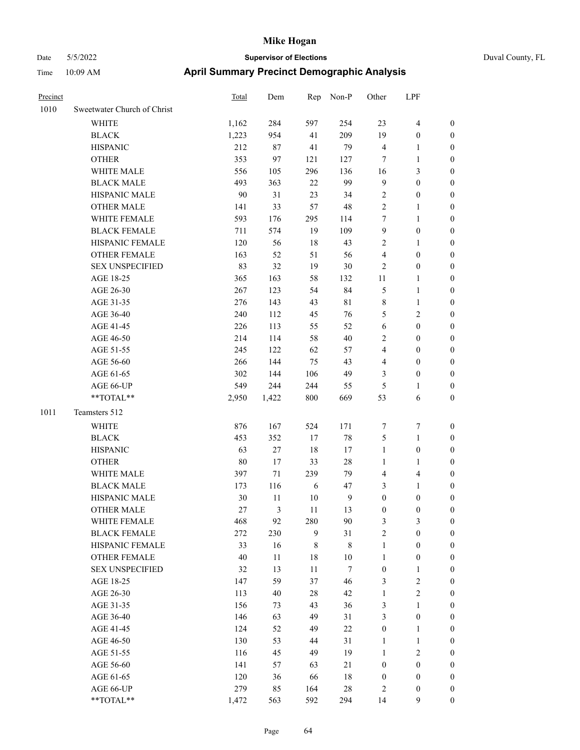| Precinct |                             | <b>Total</b> | Dem   | Rep    | Non-P       | Other            | LPF              |                  |
|----------|-----------------------------|--------------|-------|--------|-------------|------------------|------------------|------------------|
| 1010     | Sweetwater Church of Christ |              |       |        |             |                  |                  |                  |
|          | <b>WHITE</b>                | 1,162        | 284   | 597    | 254         | 23               | 4                | $\boldsymbol{0}$ |
|          | <b>BLACK</b>                | 1,223        | 954   | 41     | 209         | 19               | $\boldsymbol{0}$ | $\boldsymbol{0}$ |
|          | <b>HISPANIC</b>             | 212          | 87    | 41     | 79          | $\overline{4}$   | 1                | $\boldsymbol{0}$ |
|          | <b>OTHER</b>                | 353          | 97    | 121    | 127         | $\tau$           | 1                | $\boldsymbol{0}$ |
|          | WHITE MALE                  | 556          | 105   | 296    | 136         | 16               | 3                | $\boldsymbol{0}$ |
|          | <b>BLACK MALE</b>           | 493          | 363   | 22     | 99          | 9                | $\boldsymbol{0}$ | $\boldsymbol{0}$ |
|          | HISPANIC MALE               | 90           | 31    | 23     | 34          | $\sqrt{2}$       | $\boldsymbol{0}$ | $\boldsymbol{0}$ |
|          | <b>OTHER MALE</b>           | 141          | 33    | 57     | 48          | $\overline{2}$   | 1                | $\boldsymbol{0}$ |
|          | WHITE FEMALE                | 593          | 176   | 295    | 114         | $\boldsymbol{7}$ | 1                | $\boldsymbol{0}$ |
|          | <b>BLACK FEMALE</b>         | 711          | 574   | 19     | 109         | 9                | $\boldsymbol{0}$ | $\boldsymbol{0}$ |
|          | HISPANIC FEMALE             | 120          | 56    | 18     | 43          | $\sqrt{2}$       | 1                | $\boldsymbol{0}$ |
|          | <b>OTHER FEMALE</b>         | 163          | 52    | 51     | 56          | $\overline{4}$   | $\boldsymbol{0}$ | $\boldsymbol{0}$ |
|          | <b>SEX UNSPECIFIED</b>      | 83           | 32    | 19     | 30          | $\overline{2}$   | $\boldsymbol{0}$ | $\boldsymbol{0}$ |
|          | AGE 18-25                   | 365          | 163   | 58     | 132         | 11               | 1                | $\boldsymbol{0}$ |
|          | AGE 26-30                   | 267          | 123   | 54     | 84          | $\mathfrak{S}$   | 1                | $\boldsymbol{0}$ |
|          | AGE 31-35                   | 276          | 143   | 43     | $8\sqrt{1}$ | $\,$ 8 $\,$      | 1                | $\boldsymbol{0}$ |
|          | AGE 36-40                   | 240          | 112   | 45     | 76          | 5                | 2                | $\boldsymbol{0}$ |
|          | AGE 41-45                   | 226          | 113   | 55     | 52          | 6                | $\boldsymbol{0}$ | $\boldsymbol{0}$ |
|          | AGE 46-50                   | 214          | 114   | 58     | 40          | $\sqrt{2}$       | 0                | $\boldsymbol{0}$ |
|          | AGE 51-55                   | 245          | 122   | 62     | 57          | $\overline{4}$   | $\boldsymbol{0}$ | $\boldsymbol{0}$ |
|          | AGE 56-60                   | 266          | 144   | 75     | 43          | $\overline{4}$   | $\boldsymbol{0}$ | $\boldsymbol{0}$ |
|          | AGE 61-65                   | 302          | 144   | 106    | 49          | 3                | $\boldsymbol{0}$ | $\boldsymbol{0}$ |
|          | AGE 66-UP                   | 549          | 244   | 244    | 55          | 5                | 1                | $\boldsymbol{0}$ |
|          | **TOTAL**                   | 2,950        | 1,422 | 800    | 669         | 53               | 6                | $\boldsymbol{0}$ |
| 1011     | Teamsters 512               |              |       |        |             |                  |                  |                  |
|          | WHITE                       | 876          | 167   | 524    | 171         | $\tau$           | 7                | $\boldsymbol{0}$ |
|          | <b>BLACK</b>                | 453          | 352   | 17     | $78\,$      | 5                | 1                | $\boldsymbol{0}$ |
|          | <b>HISPANIC</b>             | 63           | 27    | 18     | 17          | $\mathbf{1}$     | $\boldsymbol{0}$ | $\boldsymbol{0}$ |
|          | <b>OTHER</b>                | 80           | 17    | 33     | 28          | 1                | 1                | $\boldsymbol{0}$ |
|          | WHITE MALE                  | 397          | 71    | 239    | 79          | $\overline{4}$   | 4                | $\boldsymbol{0}$ |
|          | <b>BLACK MALE</b>           | 173          | 116   | 6      | 47          | $\mathfrak{Z}$   | 1                | $\boldsymbol{0}$ |
|          | HISPANIC MALE               | 30           | 11    | 10     | 9           | $\boldsymbol{0}$ | $\boldsymbol{0}$ | $\boldsymbol{0}$ |
|          | <b>OTHER MALE</b>           | 27           | 3     | 11     | 13          | $\boldsymbol{0}$ | $\boldsymbol{0}$ | $\boldsymbol{0}$ |
|          | WHITE FEMALE                | 468          | 92    | 280    | 90          | $\mathfrak{Z}$   | 3                | $\boldsymbol{0}$ |
|          | <b>BLACK FEMALE</b>         | 272          | 230   | 9      | 31          | $\sqrt{2}$       | $\boldsymbol{0}$ | $\boldsymbol{0}$ |
|          | HISPANIC FEMALE             | 33           | 16    | 8      | $\,8\,$     | $\mathbf{1}$     | $\boldsymbol{0}$ | $\boldsymbol{0}$ |
|          | OTHER FEMALE                | 40           | 11    | 18     | 10          | $\mathbf{1}$     | $\boldsymbol{0}$ | $\boldsymbol{0}$ |
|          | <b>SEX UNSPECIFIED</b>      | 32           | 13    | $11\,$ | $\tau$      | $\boldsymbol{0}$ | $\mathbf{1}$     | $\boldsymbol{0}$ |
|          | AGE 18-25                   | 147          | 59    | 37     | 46          | $\mathfrak{Z}$   | $\overline{c}$   | $\boldsymbol{0}$ |
|          | AGE 26-30                   | 113          | 40    | $28\,$ | 42          | $\mathbf{1}$     | $\mathbf{2}$     | $\boldsymbol{0}$ |
|          | AGE 31-35                   | 156          | 73    | 43     | 36          | $\mathfrak{Z}$   | 1                | $\boldsymbol{0}$ |
|          | AGE 36-40                   | 146          | 63    | 49     | 31          | 3                | $\boldsymbol{0}$ | $\boldsymbol{0}$ |
|          | AGE 41-45                   | 124          | 52    | 49     | $22\,$      | $\boldsymbol{0}$ | 1                | $\boldsymbol{0}$ |
|          | AGE 46-50                   | 130          | 53    | 44     | 31          | $\mathbf{1}$     | 1                | $\boldsymbol{0}$ |
|          | AGE 51-55                   | 116          | 45    | 49     | 19          | $\mathbf{1}$     | $\mathbf{2}$     | $\boldsymbol{0}$ |
|          | AGE 56-60                   | 141          | 57    | 63     | $21\,$      | $\boldsymbol{0}$ | $\boldsymbol{0}$ | $\boldsymbol{0}$ |
|          | AGE 61-65                   | 120          | 36    | 66     | 18          | $\boldsymbol{0}$ | $\boldsymbol{0}$ | $\boldsymbol{0}$ |
|          | AGE 66-UP                   | 279          | 85    | 164    | $28\,$      | $\overline{2}$   | $\boldsymbol{0}$ | 0                |
|          | **TOTAL**                   | 1.472        | 563   | 592    | 294         | 14               | 9                | $\overline{0}$   |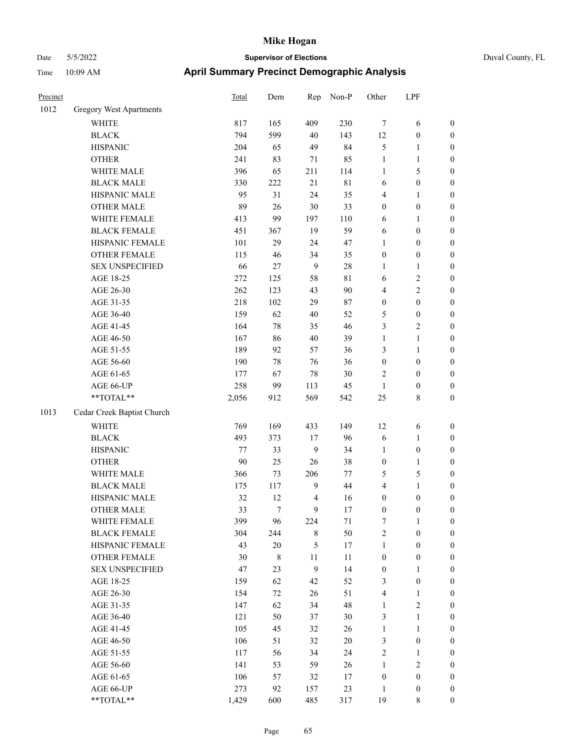| Precinct |                            | Total | Dem            | Rep              | Non-P       | Other            | LPF              |                  |
|----------|----------------------------|-------|----------------|------------------|-------------|------------------|------------------|------------------|
| 1012     | Gregory West Apartments    |       |                |                  |             |                  |                  |                  |
|          | WHITE                      | 817   | 165            | 409              | 230         | $\tau$           | 6                | $\boldsymbol{0}$ |
|          | <b>BLACK</b>               | 794   | 599            | 40               | 143         | 12               | $\boldsymbol{0}$ | $\boldsymbol{0}$ |
|          | <b>HISPANIC</b>            | 204   | 65             | 49               | 84          | 5                | $\mathbf{1}$     | $\boldsymbol{0}$ |
|          | <b>OTHER</b>               | 241   | 83             | 71               | 85          | $\mathbf{1}$     | $\mathbf{1}$     | $\boldsymbol{0}$ |
|          | WHITE MALE                 | 396   | 65             | 211              | 114         | $\mathbf{1}$     | 5                | $\boldsymbol{0}$ |
|          | <b>BLACK MALE</b>          | 330   | 222            | 21               | $8\sqrt{1}$ | 6                | $\boldsymbol{0}$ | $\boldsymbol{0}$ |
|          | HISPANIC MALE              | 95    | 31             | 24               | 35          | 4                | $\mathbf{1}$     | $\boldsymbol{0}$ |
|          | <b>OTHER MALE</b>          | 89    | 26             | $30\,$           | 33          | $\boldsymbol{0}$ | $\boldsymbol{0}$ | $\boldsymbol{0}$ |
|          | WHITE FEMALE               | 413   | 99             | 197              | 110         | 6                | 1                | $\boldsymbol{0}$ |
|          | <b>BLACK FEMALE</b>        | 451   | 367            | 19               | 59          | 6                | $\boldsymbol{0}$ | 0                |
|          | HISPANIC FEMALE            | 101   | 29             | 24               | 47          | 1                | $\boldsymbol{0}$ | 0                |
|          | OTHER FEMALE               | 115   | 46             | 34               | 35          | $\boldsymbol{0}$ | $\boldsymbol{0}$ | $\boldsymbol{0}$ |
|          | <b>SEX UNSPECIFIED</b>     | 66    | 27             | 9                | $28\,$      | 1                | $\mathbf{1}$     | $\boldsymbol{0}$ |
|          | AGE 18-25                  | 272   | 125            | 58               | $8\sqrt{1}$ | 6                | $\sqrt{2}$       | $\boldsymbol{0}$ |
|          | AGE 26-30                  | 262   | 123            | 43               | $90\,$      | 4                | $\mathbf{2}$     | $\boldsymbol{0}$ |
|          | AGE 31-35                  | 218   | 102            | 29               | 87          | $\boldsymbol{0}$ | $\boldsymbol{0}$ | $\boldsymbol{0}$ |
|          | AGE 36-40                  | 159   | 62             | $40\,$           | 52          | 5                | $\boldsymbol{0}$ | $\boldsymbol{0}$ |
|          | AGE 41-45                  | 164   | 78             | 35               | 46          | 3                | $\mathbf{2}$     | $\boldsymbol{0}$ |
|          | AGE 46-50                  | 167   | 86             | $40\,$           | 39          | $\mathbf{1}$     | $\mathbf{1}$     | $\boldsymbol{0}$ |
|          | AGE 51-55                  | 189   | 92             | 57               | 36          | 3                | $\mathbf{1}$     | 0                |
|          | AGE 56-60                  | 190   | 78             | 76               | 36          | $\boldsymbol{0}$ | $\boldsymbol{0}$ | 0                |
|          | AGE 61-65                  | 177   | 67             | 78               | 30          | 2                | $\boldsymbol{0}$ | $\boldsymbol{0}$ |
|          | AGE 66-UP                  | 258   | 99             | 113              | 45          | $\mathbf{1}$     | $\boldsymbol{0}$ | $\boldsymbol{0}$ |
|          | **TOTAL**                  | 2,056 | 912            | 569              | 542         | 25               | $\,8\,$          | $\boldsymbol{0}$ |
| 1013     | Cedar Creek Baptist Church |       |                |                  |             |                  |                  |                  |
|          | <b>WHITE</b>               | 769   | 169            | 433              | 149         | 12               | 6                | $\boldsymbol{0}$ |
|          | <b>BLACK</b>               | 493   | 373            | 17               | 96          | 6                | $\mathbf{1}$     | $\boldsymbol{0}$ |
|          | <b>HISPANIC</b>            | 77    | 33             | $\overline{9}$   | 34          | $\mathbf{1}$     | $\boldsymbol{0}$ | $\boldsymbol{0}$ |
|          | <b>OTHER</b>               | 90    | 25             | 26               | 38          | $\boldsymbol{0}$ | $\mathbf{1}$     | $\boldsymbol{0}$ |
|          | WHITE MALE                 | 366   | 73             | 206              | $77 \,$     | 5                | $\mathfrak{S}$   | $\boldsymbol{0}$ |
|          | <b>BLACK MALE</b>          | 175   | 117            | $\mathbf{9}$     | 44          | 4                | $\mathbf{1}$     | $\boldsymbol{0}$ |
|          | HISPANIC MALE              | 32    | 12             | $\overline{4}$   | 16          | $\boldsymbol{0}$ | $\boldsymbol{0}$ | 0                |
|          | <b>OTHER MALE</b>          | 33    | $\overline{7}$ | 9                | 17          | 0                | $\boldsymbol{0}$ | $\overline{0}$   |
|          | WHITE FEMALE               | 399   | 96             | 224              | 71          | 7                | $\mathbf{1}$     | $\boldsymbol{0}$ |
|          | <b>BLACK FEMALE</b>        | 304   | 244            | $\,8\,$          | 50          | $\sqrt{2}$       | $\boldsymbol{0}$ | $\boldsymbol{0}$ |
|          | HISPANIC FEMALE            | 43    | $20\,$         | $\mathfrak{S}$   | 17          | $\mathbf{1}$     | $\boldsymbol{0}$ | $\boldsymbol{0}$ |
|          | <b>OTHER FEMALE</b>        | 30    | $\,$ 8 $\,$    | 11               | 11          | $\boldsymbol{0}$ | $\boldsymbol{0}$ | 0                |
|          | <b>SEX UNSPECIFIED</b>     | 47    | 23             | $\boldsymbol{9}$ | 14          | $\boldsymbol{0}$ | $\mathbf{1}$     | 0                |
|          | AGE 18-25                  | 159   | 62             | 42               | 52          | 3                | $\boldsymbol{0}$ | 0                |
|          | AGE 26-30                  | 154   | 72             | 26               | 51          | 4                | $\mathbf{1}$     | 0                |
|          | AGE 31-35                  | 147   | 62             | 34               | 48          | $\mathbf{1}$     | $\sqrt{2}$       | 0                |
|          | AGE 36-40                  | 121   | 50             | 37               | 30          | 3                | $\mathbf{1}$     | 0                |
|          | AGE 41-45                  | 105   | 45             | 32               | 26          | $\mathbf{1}$     | $\mathbf{1}$     | 0                |
|          | AGE 46-50                  | 106   | 51             | 32               | $20\,$      | 3                | $\boldsymbol{0}$ | $\boldsymbol{0}$ |
|          | AGE 51-55                  | 117   | 56             | 34               | 24          | $\sqrt{2}$       | $\mathbf{1}$     | $\boldsymbol{0}$ |
|          | AGE 56-60                  | 141   | 53             | 59               | 26          | $\mathbf{1}$     | $\sqrt{2}$       | $\boldsymbol{0}$ |
|          | AGE 61-65                  | 106   | 57             | 32               | 17          | $\boldsymbol{0}$ | $\boldsymbol{0}$ | $\boldsymbol{0}$ |
|          | AGE 66-UP                  | 273   | 92             | 157              | 23          | $\mathbf{1}$     | $\boldsymbol{0}$ | $\boldsymbol{0}$ |
|          | $**TOTAL**$                | 1,429 | 600            | 485              | 317         | 19               | $\,8\,$          | $\overline{0}$   |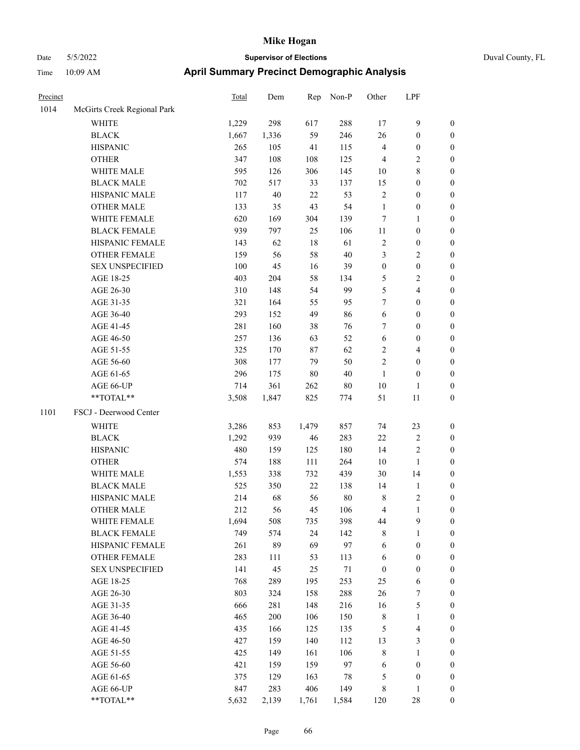| Precinct |                             | Total | Dem    | Rep    | Non-P  | Other            | LPF                     |                  |
|----------|-----------------------------|-------|--------|--------|--------|------------------|-------------------------|------------------|
| 1014     | McGirts Creek Regional Park |       |        |        |        |                  |                         |                  |
|          | <b>WHITE</b>                | 1,229 | 298    | 617    | 288    | 17               | 9                       | $\boldsymbol{0}$ |
|          | <b>BLACK</b>                | 1,667 | 1,336  | 59     | 246    | 26               | $\boldsymbol{0}$        | $\boldsymbol{0}$ |
|          | <b>HISPANIC</b>             | 265   | 105    | 41     | 115    | $\overline{4}$   | $\boldsymbol{0}$        | $\boldsymbol{0}$ |
|          | <b>OTHER</b>                | 347   | 108    | 108    | 125    | $\overline{4}$   | 2                       | $\boldsymbol{0}$ |
|          | WHITE MALE                  | 595   | 126    | 306    | 145    | 10               | 8                       | $\boldsymbol{0}$ |
|          | <b>BLACK MALE</b>           | 702   | 517    | 33     | 137    | 15               | $\boldsymbol{0}$        | $\boldsymbol{0}$ |
|          | HISPANIC MALE               | 117   | $40\,$ | 22     | 53     | $\sqrt{2}$       | $\boldsymbol{0}$        | $\boldsymbol{0}$ |
|          | <b>OTHER MALE</b>           | 133   | 35     | 43     | 54     | $\mathbf{1}$     | $\boldsymbol{0}$        | $\boldsymbol{0}$ |
|          | WHITE FEMALE                | 620   | 169    | 304    | 139    | $\tau$           | 1                       | $\boldsymbol{0}$ |
|          | <b>BLACK FEMALE</b>         | 939   | 797    | 25     | 106    | $11\,$           | $\boldsymbol{0}$        | $\boldsymbol{0}$ |
|          | HISPANIC FEMALE             | 143   | 62     | 18     | 61     | $\sqrt{2}$       | $\boldsymbol{0}$        | $\boldsymbol{0}$ |
|          | <b>OTHER FEMALE</b>         | 159   | 56     | 58     | 40     | 3                | 2                       | $\boldsymbol{0}$ |
|          | <b>SEX UNSPECIFIED</b>      | 100   | 45     | 16     | 39     | $\boldsymbol{0}$ | $\boldsymbol{0}$        | $\boldsymbol{0}$ |
|          | AGE 18-25                   | 403   | 204    | 58     | 134    | 5                | 2                       | $\boldsymbol{0}$ |
|          | AGE 26-30                   | 310   | 148    | 54     | 99     | $\mathfrak{H}$   | 4                       | $\boldsymbol{0}$ |
|          | AGE 31-35                   | 321   | 164    | 55     | 95     | $\tau$           | $\boldsymbol{0}$        | $\boldsymbol{0}$ |
|          | AGE 36-40                   | 293   | 152    | 49     | 86     | 6                | $\boldsymbol{0}$        | $\boldsymbol{0}$ |
|          | AGE 41-45                   | 281   | 160    | 38     | 76     | 7                | $\boldsymbol{0}$        | $\boldsymbol{0}$ |
|          | AGE 46-50                   | 257   | 136    | 63     | 52     | 6                | $\boldsymbol{0}$        | $\boldsymbol{0}$ |
|          | AGE 51-55                   | 325   | 170    | 87     | 62     | $\sqrt{2}$       | 4                       | $\boldsymbol{0}$ |
|          | AGE 56-60                   | 308   | 177    | 79     | 50     | $\sqrt{2}$       | $\boldsymbol{0}$        | $\boldsymbol{0}$ |
|          | AGE 61-65                   | 296   | 175    | 80     | $40\,$ | $\mathbf{1}$     | $\boldsymbol{0}$        | $\boldsymbol{0}$ |
|          | AGE 66-UP                   | 714   | 361    | 262    | $80\,$ | 10               | $\mathbf{1}$            | $\boldsymbol{0}$ |
|          | **TOTAL**                   | 3,508 | 1,847  | 825    | 774    | 51               | 11                      | $\boldsymbol{0}$ |
| 1101     | FSCJ - Deerwood Center      |       |        |        |        |                  |                         |                  |
|          | WHITE                       | 3,286 | 853    | 1,479  | 857    | 74               | 23                      | $\boldsymbol{0}$ |
|          | <b>BLACK</b>                | 1,292 | 939    | 46     | 283    | 22               | $\sqrt{2}$              | $\boldsymbol{0}$ |
|          | <b>HISPANIC</b>             | 480   | 159    | 125    | 180    | 14               | 2                       | $\boldsymbol{0}$ |
|          | <b>OTHER</b>                | 574   | 188    | 111    | 264    | 10               | $\mathbf{1}$            | $\boldsymbol{0}$ |
|          | WHITE MALE                  | 1,553 | 338    | 732    | 439    | 30               | 14                      | $\boldsymbol{0}$ |
|          | <b>BLACK MALE</b>           | 525   | 350    | $22\,$ | 138    | 14               | 1                       | $\boldsymbol{0}$ |
|          | HISPANIC MALE               | 214   | 68     | 56     | $80\,$ | $\,$ 8 $\,$      | $\overline{\mathbf{c}}$ | $\boldsymbol{0}$ |
|          | <b>OTHER MALE</b>           | 212   | 56     | 45     | 106    | $\overline{4}$   | 1                       | $\boldsymbol{0}$ |
|          | WHITE FEMALE                | 1,694 | 508    | 735    | 398    | 44               | $\mathbf{9}$            | $\boldsymbol{0}$ |
|          | <b>BLACK FEMALE</b>         | 749   | 574    | 24     | 142    | $\,$ 8 $\,$      | 1                       | $\boldsymbol{0}$ |
|          | HISPANIC FEMALE             | 261   | 89     | 69     | 97     | 6                | $\boldsymbol{0}$        | $\boldsymbol{0}$ |
|          | OTHER FEMALE                | 283   | 111    | 53     | 113    | 6                | $\boldsymbol{0}$        | $\boldsymbol{0}$ |
|          | <b>SEX UNSPECIFIED</b>      | 141   | 45     | 25     | $71\,$ | $\boldsymbol{0}$ | $\boldsymbol{0}$        | $\boldsymbol{0}$ |
|          | AGE 18-25                   | 768   | 289    | 195    | 253    | 25               | 6                       | $\boldsymbol{0}$ |
|          | AGE 26-30                   | 803   | 324    | 158    | 288    | 26               | $\boldsymbol{7}$        | $\boldsymbol{0}$ |
|          | AGE 31-35                   | 666   | 281    | 148    | 216    | 16               | 5                       | $\boldsymbol{0}$ |
|          | AGE 36-40                   | 465   | 200    | 106    | 150    | $\,$ 8 $\,$      | 1                       | $\boldsymbol{0}$ |
|          | AGE 41-45                   | 435   | 166    | 125    | 135    | $\mathfrak s$    | 4                       | $\boldsymbol{0}$ |
|          | AGE 46-50                   | 427   | 159    | 140    | 112    | 13               | 3                       | $\boldsymbol{0}$ |
|          | AGE 51-55                   | 425   | 149    | 161    | 106    | $\,$ $\,$        | 1                       | $\boldsymbol{0}$ |
|          | AGE 56-60                   | 421   | 159    | 159    | 97     | 6                | $\boldsymbol{0}$        | $\boldsymbol{0}$ |
|          | AGE 61-65                   | 375   | 129    | 163    | $78\,$ | 5                | $\boldsymbol{0}$        | $\boldsymbol{0}$ |
|          | AGE 66-UP                   | 847   | 283    | 406    | 149    | $\,$ 8 $\,$      | 1                       | $\boldsymbol{0}$ |
|          | **TOTAL**                   | 5,632 | 2,139  | 1,761  | 1,584  | 120              | 28                      | $\boldsymbol{0}$ |
|          |                             |       |        |        |        |                  |                         |                  |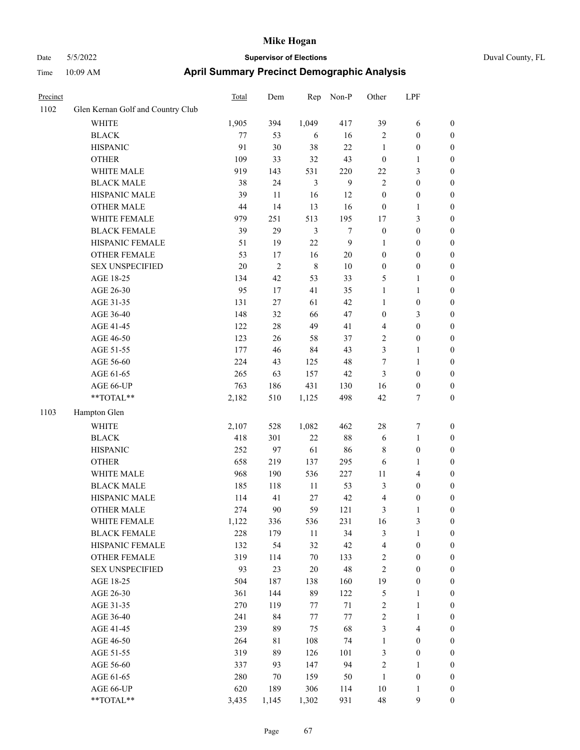| Precinct |                                   | Total   | Dem            | Rep         | Non-P  | Other            | LPF              |                  |
|----------|-----------------------------------|---------|----------------|-------------|--------|------------------|------------------|------------------|
| 1102     | Glen Kernan Golf and Country Club |         |                |             |        |                  |                  |                  |
|          | <b>WHITE</b>                      | 1,905   | 394            | 1,049       | 417    | 39               | 6                | $\boldsymbol{0}$ |
|          | <b>BLACK</b>                      | $77 \,$ | 53             | 6           | 16     | $\sqrt{2}$       | $\boldsymbol{0}$ | $\boldsymbol{0}$ |
|          | <b>HISPANIC</b>                   | 91      | 30             | 38          | 22     | $\mathbf{1}$     | $\boldsymbol{0}$ | $\boldsymbol{0}$ |
|          | <b>OTHER</b>                      | 109     | 33             | 32          | 43     | $\boldsymbol{0}$ | 1                | $\boldsymbol{0}$ |
|          | WHITE MALE                        | 919     | 143            | 531         | 220    | 22               | 3                | $\boldsymbol{0}$ |
|          | <b>BLACK MALE</b>                 | 38      | 24             | 3           | 9      | $\overline{2}$   | $\boldsymbol{0}$ | $\boldsymbol{0}$ |
|          | HISPANIC MALE                     | 39      | 11             | 16          | 12     | $\mathbf{0}$     | $\boldsymbol{0}$ | $\boldsymbol{0}$ |
|          | <b>OTHER MALE</b>                 | 44      | 14             | 13          | 16     | $\boldsymbol{0}$ | $\mathbf{1}$     | $\boldsymbol{0}$ |
|          | WHITE FEMALE                      | 979     | 251            | 513         | 195    | 17               | 3                | $\boldsymbol{0}$ |
|          | <b>BLACK FEMALE</b>               | 39      | 29             | 3           | $\tau$ | $\boldsymbol{0}$ | $\boldsymbol{0}$ | $\boldsymbol{0}$ |
|          | HISPANIC FEMALE                   | 51      | 19             | 22          | 9      | $\mathbf{1}$     | $\boldsymbol{0}$ | $\boldsymbol{0}$ |
|          | <b>OTHER FEMALE</b>               | 53      | 17             | 16          | $20\,$ | $\boldsymbol{0}$ | $\boldsymbol{0}$ | $\boldsymbol{0}$ |
|          | <b>SEX UNSPECIFIED</b>            | 20      | $\overline{2}$ | $\,$ 8 $\,$ | 10     | $\boldsymbol{0}$ | $\boldsymbol{0}$ | $\boldsymbol{0}$ |
|          | AGE 18-25                         | 134     | 42             | 53          | 33     | 5                | 1                | $\boldsymbol{0}$ |
|          | AGE 26-30                         | 95      | 17             | 41          | 35     | $\mathbf{1}$     | 1                | $\boldsymbol{0}$ |
|          | AGE 31-35                         | 131     | 27             | 61          | 42     | $\mathbf{1}$     | $\boldsymbol{0}$ | $\boldsymbol{0}$ |
|          | AGE 36-40                         | 148     | 32             | 66          | 47     | $\mathbf{0}$     | 3                | $\boldsymbol{0}$ |
|          | AGE 41-45                         | 122     | 28             | 49          | 41     | $\overline{4}$   | $\boldsymbol{0}$ | $\boldsymbol{0}$ |
|          | AGE 46-50                         | 123     | 26             | 58          | 37     | $\sqrt{2}$       | $\boldsymbol{0}$ | $\boldsymbol{0}$ |
|          | AGE 51-55                         | 177     | 46             | 84          | 43     | 3                | 1                | $\boldsymbol{0}$ |
|          | AGE 56-60                         | 224     | 43             | 125         | 48     | 7                | 1                | $\boldsymbol{0}$ |
|          | AGE 61-65                         | 265     | 63             | 157         | 42     | 3                | $\boldsymbol{0}$ | $\boldsymbol{0}$ |
|          | AGE 66-UP                         | 763     | 186            | 431         | 130    | 16               | $\boldsymbol{0}$ | $\boldsymbol{0}$ |
|          | **TOTAL**                         | 2,182   | 510            | 1,125       | 498    | 42               | 7                | $\boldsymbol{0}$ |
| 1103     | Hampton Glen                      |         |                |             |        |                  |                  |                  |
|          | WHITE                             | 2,107   | 528            | 1,082       | 462    | 28               | 7                | $\boldsymbol{0}$ |
|          | <b>BLACK</b>                      | 418     | 301            | $22\,$      | $88\,$ | 6                | 1                | $\boldsymbol{0}$ |
|          | <b>HISPANIC</b>                   | 252     | 97             | 61          | 86     | $\,$ 8 $\,$      | $\boldsymbol{0}$ | $\boldsymbol{0}$ |
|          | <b>OTHER</b>                      | 658     | 219            | 137         | 295    | 6                | 1                | $\boldsymbol{0}$ |
|          | WHITE MALE                        | 968     | 190            | 536         | 227    | 11               | 4                | $\boldsymbol{0}$ |
|          | <b>BLACK MALE</b>                 | 185     | 118            | 11          | 53     | $\mathfrak{Z}$   | $\boldsymbol{0}$ | $\boldsymbol{0}$ |
|          | HISPANIC MALE                     | 114     | 41             | 27          | 42     | $\overline{4}$   | $\boldsymbol{0}$ | $\boldsymbol{0}$ |
|          | <b>OTHER MALE</b>                 | 274     | 90             | 59          | 121    | 3                | 1                | $\boldsymbol{0}$ |
|          | WHITE FEMALE                      | 1,122   | 336            | 536         | 231    | 16               | 3                | $\boldsymbol{0}$ |
|          | <b>BLACK FEMALE</b>               | 228     | 179            | $11\,$      | 34     | $\mathfrak{Z}$   | 1                | $\boldsymbol{0}$ |
|          | HISPANIC FEMALE                   | 132     | 54             | 32          | 42     | $\overline{4}$   | $\boldsymbol{0}$ | $\boldsymbol{0}$ |
|          | <b>OTHER FEMALE</b>               | 319     | 114            | $70\,$      | 133    | $\sqrt{2}$       | $\boldsymbol{0}$ | $\boldsymbol{0}$ |
|          | <b>SEX UNSPECIFIED</b>            | 93      | 23             | $20\,$      | 48     | $\sqrt{2}$       | $\boldsymbol{0}$ | $\boldsymbol{0}$ |
|          | AGE 18-25                         | 504     | 187            | 138         | 160    | 19               | $\boldsymbol{0}$ | $\boldsymbol{0}$ |
|          | AGE 26-30                         | 361     | 144            | 89          | 122    | $\mathfrak s$    | 1                | $\boldsymbol{0}$ |
|          | AGE 31-35                         | 270     | 119            | 77          | 71     | $\sqrt{2}$       | 1                | $\boldsymbol{0}$ |
|          | AGE 36-40                         | 241     | 84             | 77          | 77     | $\sqrt{2}$       | 1                | $\boldsymbol{0}$ |
|          | AGE 41-45                         | 239     | 89             | 75          | 68     | $\mathfrak{Z}$   | 4                | $\boldsymbol{0}$ |
|          | AGE 46-50                         | 264     | 81             | 108         | 74     | $\mathbf{1}$     | $\boldsymbol{0}$ | $\boldsymbol{0}$ |
|          | AGE 51-55                         | 319     | 89             | 126         | 101    | 3                | $\boldsymbol{0}$ | $\boldsymbol{0}$ |
|          | AGE 56-60                         | 337     | 93             | 147         | 94     | $\sqrt{2}$       | 1                | $\boldsymbol{0}$ |
|          | AGE 61-65                         | 280     | 70             | 159         | 50     | $\mathbf{1}$     | $\boldsymbol{0}$ | $\boldsymbol{0}$ |
|          | AGE 66-UP                         | 620     | 189            | 306         | 114    | $10\,$           | 1                | $\boldsymbol{0}$ |
|          | **TOTAL**                         | 3,435   | 1,145          | 1,302       | 931    | 48               | 9                | $\boldsymbol{0}$ |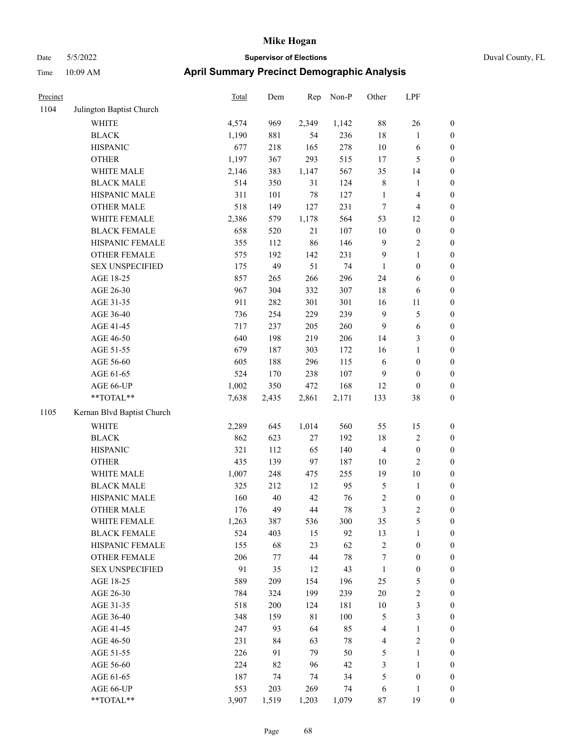|  | Duval County. |
|--|---------------|

| Precinct |                            | Total | Dem   | Rep    | Non-P  | Other            | LPF                     |                  |
|----------|----------------------------|-------|-------|--------|--------|------------------|-------------------------|------------------|
| 1104     | Julington Baptist Church   |       |       |        |        |                  |                         |                  |
|          | <b>WHITE</b>               | 4,574 | 969   | 2,349  | 1,142  | 88               | $26\,$                  | $\boldsymbol{0}$ |
|          | <b>BLACK</b>               | 1,190 | 881   | 54     | 236    | 18               | $\mathbf{1}$            | $\boldsymbol{0}$ |
|          | <b>HISPANIC</b>            | 677   | 218   | 165    | 278    | 10               | 6                       | $\boldsymbol{0}$ |
|          | <b>OTHER</b>               | 1,197 | 367   | 293    | 515    | 17               | $\mathfrak{S}$          | $\boldsymbol{0}$ |
|          | WHITE MALE                 | 2,146 | 383   | 1,147  | 567    | 35               | 14                      | $\boldsymbol{0}$ |
|          | <b>BLACK MALE</b>          | 514   | 350   | 31     | 124    | $\,$ 8 $\,$      | $\mathbf{1}$            | $\boldsymbol{0}$ |
|          | HISPANIC MALE              | 311   | 101   | 78     | 127    | $\mathbf{1}$     | $\overline{\mathbf{4}}$ | 0                |
|          | <b>OTHER MALE</b>          | 518   | 149   | 127    | 231    | $\boldsymbol{7}$ | $\overline{4}$          | 0                |
|          | WHITE FEMALE               | 2,386 | 579   | 1,178  | 564    | 53               | 12                      | $\boldsymbol{0}$ |
|          | <b>BLACK FEMALE</b>        | 658   | 520   | 21     | 107    | $10\,$           | $\boldsymbol{0}$        | $\boldsymbol{0}$ |
|          | HISPANIC FEMALE            | 355   | 112   | 86     | 146    | $\mathbf{9}$     | $\sqrt{2}$              | $\boldsymbol{0}$ |
|          | OTHER FEMALE               | 575   | 192   | 142    | 231    | 9                | $\mathbf{1}$            | $\boldsymbol{0}$ |
|          | <b>SEX UNSPECIFIED</b>     | 175   | 49    | 51     | 74     | $\mathbf{1}$     | $\boldsymbol{0}$        | $\boldsymbol{0}$ |
|          | AGE 18-25                  | 857   | 265   | 266    | 296    | 24               | 6                       | $\boldsymbol{0}$ |
|          | AGE 26-30                  | 967   | 304   | 332    | 307    | 18               | 6                       | $\boldsymbol{0}$ |
|          | AGE 31-35                  | 911   | 282   | 301    | 301    | 16               | 11                      | $\boldsymbol{0}$ |
|          | AGE 36-40                  | 736   | 254   | 229    | 239    | $\overline{9}$   | $\mathfrak{S}$          | 0                |
|          | AGE 41-45                  | 717   | 237   | 205    | 260    | $\overline{9}$   | 6                       | $\boldsymbol{0}$ |
|          | AGE 46-50                  | 640   | 198   | 219    | 206    | 14               | $\mathfrak{Z}$          | $\boldsymbol{0}$ |
|          | AGE 51-55                  | 679   | 187   | 303    | 172    | 16               | 1                       | $\boldsymbol{0}$ |
|          | AGE 56-60                  | 605   | 188   | 296    | 115    | 6                | $\boldsymbol{0}$        | $\boldsymbol{0}$ |
|          | AGE 61-65                  | 524   | 170   | 238    | 107    | $\overline{9}$   | $\boldsymbol{0}$        | $\boldsymbol{0}$ |
|          | AGE 66-UP                  | 1,002 | 350   | 472    | 168    | 12               | $\boldsymbol{0}$        | $\boldsymbol{0}$ |
|          | **TOTAL**                  | 7,638 | 2,435 | 2,861  | 2,171  | 133              | $38\,$                  | $\boldsymbol{0}$ |
| 1105     | Kernan Blvd Baptist Church |       |       |        |        |                  |                         |                  |
|          | WHITE                      | 2,289 | 645   | 1,014  | 560    | 55               | 15                      | $\boldsymbol{0}$ |
|          | <b>BLACK</b>               | 862   | 623   | 27     | 192    | 18               | $\sqrt{2}$              | $\boldsymbol{0}$ |
|          | <b>HISPANIC</b>            | 321   | 112   | 65     | 140    | $\overline{4}$   | $\boldsymbol{0}$        | $\boldsymbol{0}$ |
|          | <b>OTHER</b>               | 435   | 139   | 97     | 187    | 10               | $\mathbf{2}$            | 0                |
|          | WHITE MALE                 | 1,007 | 248   | 475    | 255    | 19               | $10\,$                  | 0                |
|          | <b>BLACK MALE</b>          | 325   | 212   | 12     | 95     | 5                | $\mathbf{1}$            | 0                |
|          | HISPANIC MALE              | 160   | 40    | 42     | 76     | $\sqrt{2}$       | $\boldsymbol{0}$        | $\boldsymbol{0}$ |
|          | <b>OTHER MALE</b>          | 176   | 49    | $44\,$ | $78\,$ | 3                | $\overline{c}$          | $\boldsymbol{0}$ |
|          | WHITE FEMALE               | 1,263 | 387   | 536    | 300    | 35               | 5                       | $\boldsymbol{0}$ |
|          | <b>BLACK FEMALE</b>        | 524   | 403   | 15     | 92     | 13               | $\mathbf{1}$            | $\overline{0}$   |
|          | HISPANIC FEMALE            | 155   | 68    | 23     | 62     | $\sqrt{2}$       | $\boldsymbol{0}$        | $\overline{0}$   |
|          | <b>OTHER FEMALE</b>        | 206   | 77    | $44\,$ | $78\,$ | 7                | $\boldsymbol{0}$        | 0                |
|          | <b>SEX UNSPECIFIED</b>     | 91    | 35    | 12     | 43     | $\mathbf{1}$     | $\boldsymbol{0}$        | 0                |
|          | AGE 18-25                  | 589   | 209   | 154    | 196    | 25               | $\mathfrak{S}$          | 0                |
|          | AGE 26-30                  | 784   | 324   | 199    | 239    | 20               | $\sqrt{2}$              | 0                |
|          | AGE 31-35                  | 518   | 200   | 124    | 181    | 10               | $\mathfrak{Z}$          | 0                |
|          | AGE 36-40                  | 348   | 159   | 81     | 100    | 5                | $\mathfrak{Z}$          | $\boldsymbol{0}$ |
|          | AGE 41-45                  | 247   | 93    | 64     | 85     | 4                | $\mathbf{1}$            | $\boldsymbol{0}$ |
|          | AGE 46-50                  | 231   | 84    | 63     | 78     | $\overline{4}$   | $\mathbf{2}$            | $\boldsymbol{0}$ |
|          | AGE 51-55                  | 226   | 91    | 79     | 50     | $\mathfrak{S}$   | $\mathbf{1}$            | $\overline{0}$   |
|          | AGE 56-60                  | 224   | 82    | 96     | 42     | 3                | $\mathbf{1}$            | $\overline{0}$   |
|          | AGE 61-65                  | 187   | 74    | 74     | 34     | 5                | $\boldsymbol{0}$        | $\overline{0}$   |
|          | AGE 66-UP                  | 553   | 203   | 269    | 74     | 6                | $\mathbf{1}$            | $\boldsymbol{0}$ |
|          | **TOTAL**                  | 3,907 | 1,519 | 1,203  | 1,079  | 87               | 19                      | $\boldsymbol{0}$ |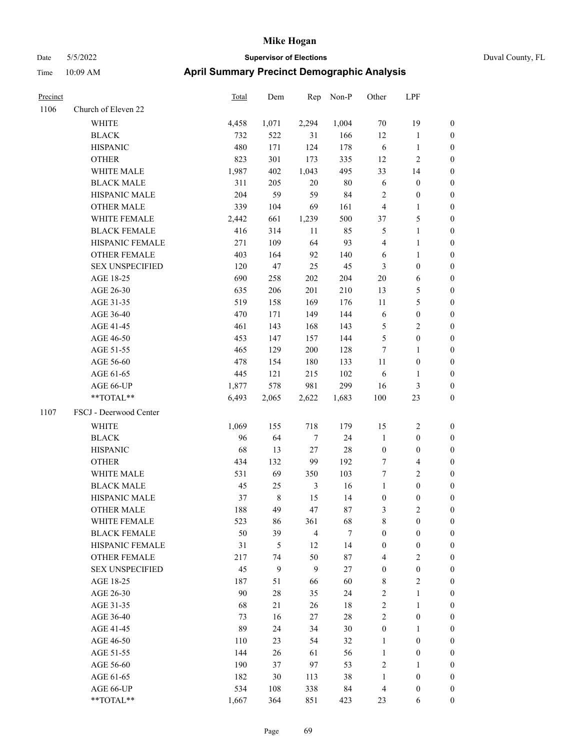| Duval Cou |
|-----------|
|           |

| Precinct |                        | <b>Total</b> | Dem         | Rep              | Non-P  | Other            | LPF                     |                  |
|----------|------------------------|--------------|-------------|------------------|--------|------------------|-------------------------|------------------|
| 1106     | Church of Eleven 22    |              |             |                  |        |                  |                         |                  |
|          | <b>WHITE</b>           | 4,458        | 1,071       | 2,294            | 1,004  | 70               | 19                      | $\boldsymbol{0}$ |
|          | <b>BLACK</b>           | 732          | 522         | 31               | 166    | 12               | $\mathbf{1}$            | $\boldsymbol{0}$ |
|          | <b>HISPANIC</b>        | 480          | 171         | 124              | 178    | 6                | $\mathbf{1}$            | $\boldsymbol{0}$ |
|          | <b>OTHER</b>           | 823          | 301         | 173              | 335    | 12               | $\sqrt{2}$              | $\boldsymbol{0}$ |
|          | WHITE MALE             | 1,987        | 402         | 1,043            | 495    | 33               | 14                      | $\boldsymbol{0}$ |
|          | <b>BLACK MALE</b>      | 311          | 205         | 20               | 80     | 6                | $\boldsymbol{0}$        | $\boldsymbol{0}$ |
|          | HISPANIC MALE          | 204          | 59          | 59               | 84     | $\overline{c}$   | $\boldsymbol{0}$        | $\boldsymbol{0}$ |
|          | <b>OTHER MALE</b>      | 339          | 104         | 69               | 161    | $\overline{4}$   | $\mathbf{1}$            | $\boldsymbol{0}$ |
|          | WHITE FEMALE           | 2,442        | 661         | 1,239            | 500    | 37               | $\mathfrak s$           | 0                |
|          | <b>BLACK FEMALE</b>    | 416          | 314         | 11               | 85     | 5                | $\mathbf{1}$            | 0                |
|          | HISPANIC FEMALE        | 271          | 109         | 64               | 93     | $\overline{4}$   | $\mathbf{1}$            | 0                |
|          | OTHER FEMALE           | 403          | 164         | 92               | 140    | 6                | $\mathbf{1}$            | 0                |
|          | <b>SEX UNSPECIFIED</b> | 120          | 47          | 25               | 45     | 3                | $\boldsymbol{0}$        | $\boldsymbol{0}$ |
|          | AGE 18-25              | 690          | 258         | 202              | 204    | $20\,$           | 6                       | $\boldsymbol{0}$ |
|          | AGE 26-30              | 635          | 206         | 201              | 210    | 13               | $\mathfrak{S}$          | $\boldsymbol{0}$ |
|          | AGE 31-35              | 519          | 158         | 169              | 176    | 11               | $\mathfrak{S}$          | $\boldsymbol{0}$ |
|          | AGE 36-40              | 470          | 171         | 149              | 144    | 6                | $\boldsymbol{0}$        | $\boldsymbol{0}$ |
|          | AGE 41-45              | 461          | 143         | 168              | 143    | 5                | $\overline{2}$          | $\boldsymbol{0}$ |
|          | AGE 46-50              | 453          | 147         | 157              | 144    | 5                | $\boldsymbol{0}$        | $\boldsymbol{0}$ |
|          | AGE 51-55              | 465          | 129         | 200              | 128    | 7                | $\mathbf{1}$            | $\boldsymbol{0}$ |
|          | AGE 56-60              | 478          | 154         | 180              | 133    | 11               | $\boldsymbol{0}$        | 0                |
|          | AGE 61-65              | 445          | 121         | 215              | 102    | 6                | $\mathbf{1}$            | 0                |
|          | AGE 66-UP              | 1,877        | 578         | 981              | 299    | 16               | 3                       | 0                |
|          | **TOTAL**              | 6,493        | 2,065       | 2,622            | 1,683  | 100              | 23                      | $\boldsymbol{0}$ |
| 1107     | FSCJ - Deerwood Center |              |             |                  |        |                  |                         |                  |
|          | <b>WHITE</b>           | 1,069        | 155         | 718              | 179    | 15               | $\sqrt{2}$              | $\boldsymbol{0}$ |
|          | <b>BLACK</b>           | 96           | 64          | $\boldsymbol{7}$ | 24     | $\mathbf{1}$     | $\boldsymbol{0}$        | $\boldsymbol{0}$ |
|          | <b>HISPANIC</b>        | 68           | 13          | 27               | 28     | $\boldsymbol{0}$ | $\boldsymbol{0}$        | $\boldsymbol{0}$ |
|          | <b>OTHER</b>           | 434          | 132         | 99               | 192    | 7                | $\overline{\mathbf{4}}$ | $\boldsymbol{0}$ |
|          | WHITE MALE             | 531          | 69          | 350              | 103    | 7                | $\overline{2}$          | $\boldsymbol{0}$ |
|          | <b>BLACK MALE</b>      | 45           | 25          | 3                | 16     | $\mathbf{1}$     | $\boldsymbol{0}$        | $\boldsymbol{0}$ |
|          | HISPANIC MALE          | 37           | $\,$ 8 $\,$ | 15               | 14     | $\boldsymbol{0}$ | $\boldsymbol{0}$        | 0                |
|          | <b>OTHER MALE</b>      | 188          | 49          | 47               | 87     | 3                | $\mathbf{2}$            | 0                |
|          | WHITE FEMALE           | 523          | 86          | 361              | 68     | 8                | $\boldsymbol{0}$        | 0                |
|          | <b>BLACK FEMALE</b>    | 50           | 39          | $\overline{4}$   | $\tau$ | $\boldsymbol{0}$ | $\boldsymbol{0}$        | $\overline{0}$   |
|          | HISPANIC FEMALE        | 31           | 5           | 12               | 14     | $\boldsymbol{0}$ | $\boldsymbol{0}$        | $\overline{0}$   |
|          | OTHER FEMALE           | 217          | 74          | 50               | 87     | 4                | $\sqrt{2}$              | 0                |
|          | <b>SEX UNSPECIFIED</b> | 45           | 9           | $\mathbf{9}$     | 27     | $\boldsymbol{0}$ | $\boldsymbol{0}$        | 0                |
|          | AGE 18-25              | 187          | 51          | 66               | 60     | $\,$ 8 $\,$      | $\sqrt{2}$              | 0                |
|          | AGE 26-30              | 90           | 28          | 35               | 24     | 2                | $\mathbf{1}$            | 0                |
|          | AGE 31-35              | 68           | 21          | 26               | $18\,$ | $\sqrt{2}$       | $\mathbf{1}$            | 0                |
|          | AGE 36-40              | 73           | 16          | 27               | $28\,$ | $\sqrt{2}$       | $\boldsymbol{0}$        | 0                |
|          | AGE 41-45              | 89           | 24          | 34               | 30     | $\boldsymbol{0}$ | $\mathbf{1}$            | 0                |
|          | AGE 46-50              | 110          | 23          | 54               | 32     | $\mathbf{1}$     | $\boldsymbol{0}$        | 0                |
|          | AGE 51-55              | 144          | 26          | 61               | 56     | $\mathbf{1}$     | $\boldsymbol{0}$        | 0                |
|          | AGE 56-60              | 190          | 37          | 97               | 53     | $\overline{c}$   | $\mathbf{1}$            | 0                |
|          | AGE 61-65              | 182          | 30          | 113              | 38     | $\mathbf{1}$     | $\boldsymbol{0}$        | 0                |
|          | AGE 66-UP              | 534          | 108         | 338              | 84     | $\overline{4}$   | $\boldsymbol{0}$        | 0                |
|          | **TOTAL**              | 1,667        | 364         | 851              | 423    | 23               | 6                       | $\boldsymbol{0}$ |
|          |                        |              |             |                  |        |                  |                         |                  |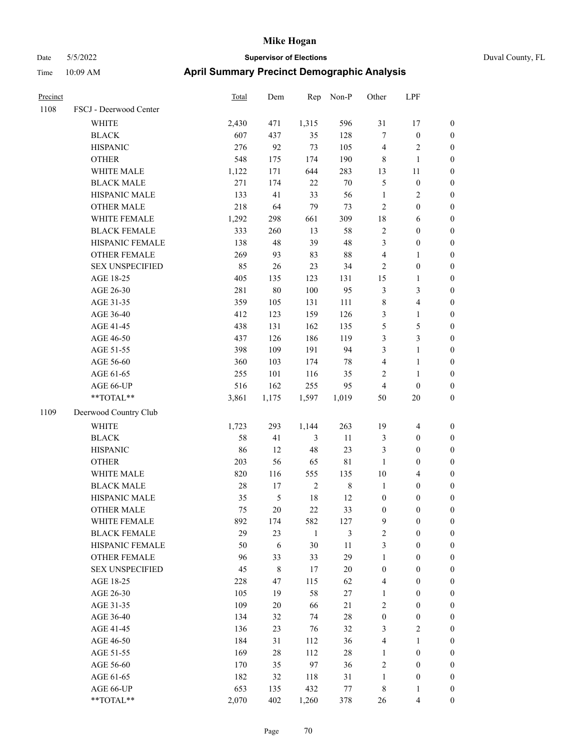| Precinct |                        | Total | Dem    | Rep            | Non-P          | Other            | LPF                     |                  |
|----------|------------------------|-------|--------|----------------|----------------|------------------|-------------------------|------------------|
| 1108     | FSCJ - Deerwood Center |       |        |                |                |                  |                         |                  |
|          | <b>WHITE</b>           | 2,430 | 471    | 1,315          | 596            | 31               | 17                      | $\boldsymbol{0}$ |
|          | <b>BLACK</b>           | 607   | 437    | 35             | 128            | $\tau$           | $\boldsymbol{0}$        | $\boldsymbol{0}$ |
|          | <b>HISPANIC</b>        | 276   | 92     | 73             | 105            | $\overline{4}$   | $\overline{\mathbf{c}}$ | $\boldsymbol{0}$ |
|          | <b>OTHER</b>           | 548   | 175    | 174            | 190            | $\,$ 8 $\,$      | 1                       | $\boldsymbol{0}$ |
|          | WHITE MALE             | 1,122 | 171    | 644            | 283            | 13               | 11                      | $\boldsymbol{0}$ |
|          | <b>BLACK MALE</b>      | 271   | 174    | $22\,$         | $70\,$         | $\mathfrak{S}$   | $\boldsymbol{0}$        | $\boldsymbol{0}$ |
|          | HISPANIC MALE          | 133   | 41     | 33             | 56             | $\mathbf{1}$     | 2                       | $\boldsymbol{0}$ |
|          | <b>OTHER MALE</b>      | 218   | 64     | 79             | 73             | $\overline{2}$   | $\boldsymbol{0}$        | $\boldsymbol{0}$ |
|          | WHITE FEMALE           | 1,292 | 298    | 661            | 309            | $18\,$           | 6                       | $\boldsymbol{0}$ |
|          | <b>BLACK FEMALE</b>    | 333   | 260    | 13             | 58             | $\sqrt{2}$       | $\boldsymbol{0}$        | $\boldsymbol{0}$ |
|          | HISPANIC FEMALE        | 138   | 48     | 39             | 48             | 3                | $\boldsymbol{0}$        | $\boldsymbol{0}$ |
|          | <b>OTHER FEMALE</b>    | 269   | 93     | 83             | 88             | $\overline{4}$   | 1                       | $\boldsymbol{0}$ |
|          | <b>SEX UNSPECIFIED</b> | 85    | 26     | 23             | 34             | $\overline{2}$   | $\boldsymbol{0}$        | $\boldsymbol{0}$ |
|          | AGE 18-25              | 405   | 135    | 123            | 131            | 15               | 1                       | $\boldsymbol{0}$ |
|          | AGE 26-30              | 281   | $80\,$ | 100            | 95             | $\mathfrak{Z}$   | 3                       | $\boldsymbol{0}$ |
|          | AGE 31-35              | 359   | 105    | 131            | 111            | $\,$ 8 $\,$      | 4                       | $\boldsymbol{0}$ |
|          | AGE 36-40              | 412   | 123    | 159            | 126            | 3                | $\mathbf{1}$            | $\boldsymbol{0}$ |
|          | AGE 41-45              | 438   | 131    | 162            | 135            | $\mathfrak{S}$   | 5                       | $\boldsymbol{0}$ |
|          | AGE 46-50              | 437   | 126    | 186            | 119            | 3                | 3                       | $\boldsymbol{0}$ |
|          | AGE 51-55              | 398   | 109    | 191            | 94             | 3                | 1                       | $\boldsymbol{0}$ |
|          | AGE 56-60              | 360   | 103    | 174            | 78             | $\overline{4}$   | 1                       | $\boldsymbol{0}$ |
|          | AGE 61-65              | 255   | 101    | 116            | 35             | $\overline{2}$   | 1                       | $\boldsymbol{0}$ |
|          | AGE 66-UP              | 516   | 162    | 255            | 95             | $\overline{4}$   | $\theta$                | $\boldsymbol{0}$ |
|          | **TOTAL**              | 3,861 | 1,175  | 1,597          | 1,019          | 50               | 20                      | $\boldsymbol{0}$ |
| 1109     | Deerwood Country Club  |       |        |                |                |                  |                         |                  |
|          | <b>WHITE</b>           | 1,723 | 293    | 1,144          | 263            | 19               | $\overline{4}$          | $\boldsymbol{0}$ |
|          | <b>BLACK</b>           | 58    | 41     | 3              | 11             | $\mathfrak{Z}$   | $\boldsymbol{0}$        | $\boldsymbol{0}$ |
|          | <b>HISPANIC</b>        | 86    | 12     | 48             | 23             | $\mathfrak{Z}$   | $\boldsymbol{0}$        | $\boldsymbol{0}$ |
|          | <b>OTHER</b>           | 203   | 56     | 65             | $8\sqrt{1}$    | $\mathbf{1}$     | $\boldsymbol{0}$        | $\boldsymbol{0}$ |
|          | WHITE MALE             | 820   | 116    | 555            | 135            | 10               | 4                       | $\boldsymbol{0}$ |
|          | <b>BLACK MALE</b>      | 28    | 17     | $\overline{2}$ | $\,8\,$        | $\mathbf{1}$     | $\boldsymbol{0}$        | $\boldsymbol{0}$ |
|          | HISPANIC MALE          | 35    | 5      | 18             | 12             | $\boldsymbol{0}$ | $\boldsymbol{0}$        | $\boldsymbol{0}$ |
|          | <b>OTHER MALE</b>      | 75    | $20\,$ | 22             | 33             | $\boldsymbol{0}$ | $\boldsymbol{0}$        | $\boldsymbol{0}$ |
|          | WHITE FEMALE           | 892   | 174    | 582            | 127            | $\overline{9}$   | $\boldsymbol{0}$        | $\boldsymbol{0}$ |
|          | <b>BLACK FEMALE</b>    | 29    | 23     | $\mathbf{1}$   | $\mathfrak{Z}$ | $\sqrt{2}$       | $\boldsymbol{0}$        | $\boldsymbol{0}$ |
|          | HISPANIC FEMALE        | 50    | 6      | 30             | 11             | $\mathfrak{Z}$   | $\boldsymbol{0}$        | $\boldsymbol{0}$ |
|          | <b>OTHER FEMALE</b>    | 96    | 33     | 33             | 29             | $\mathbf{1}$     | $\boldsymbol{0}$        | $\boldsymbol{0}$ |
|          | <b>SEX UNSPECIFIED</b> | 45    | $8\,$  | 17             | $20\,$         | $\boldsymbol{0}$ | $\boldsymbol{0}$        | $\boldsymbol{0}$ |
|          | AGE 18-25              | 228   | 47     | 115            | 62             | $\overline{4}$   | $\boldsymbol{0}$        | $\boldsymbol{0}$ |
|          | AGE 26-30              | 105   | 19     | 58             | $27\,$         | $\mathbf{1}$     | $\boldsymbol{0}$        | $\boldsymbol{0}$ |
|          | AGE 31-35              | 109   | 20     | 66             | $21\,$         | $\sqrt{2}$       | $\boldsymbol{0}$        | $\boldsymbol{0}$ |
|          | AGE 36-40              | 134   | 32     | 74             | $28\,$         | $\boldsymbol{0}$ | $\boldsymbol{0}$        | $\boldsymbol{0}$ |
|          | AGE 41-45              | 136   | 23     | 76             | 32             | $\mathfrak{Z}$   | $\mathbf{2}$            | $\boldsymbol{0}$ |
|          | AGE 46-50              | 184   | 31     | 112            | 36             | $\overline{4}$   | $\mathbf{1}$            | $\boldsymbol{0}$ |
|          | AGE 51-55              | 169   | 28     | 112            | 28             | 1                | $\boldsymbol{0}$        | $\boldsymbol{0}$ |
|          | AGE 56-60              | 170   | 35     | 97             | 36             | $\sqrt{2}$       | $\boldsymbol{0}$        | $\boldsymbol{0}$ |
|          | AGE 61-65              | 182   | 32     | 118            | 31             | $\mathbf{1}$     | $\boldsymbol{0}$        | $\mathbf{0}$     |
|          | AGE 66-UP              | 653   | 135    | 432            | 77             | $\,$ 8 $\,$      | 1                       | $\mathbf{0}$     |
|          | **TOTAL**              | 2,070 | 402    | 1,260          | 378            | 26               | 4                       | $\boldsymbol{0}$ |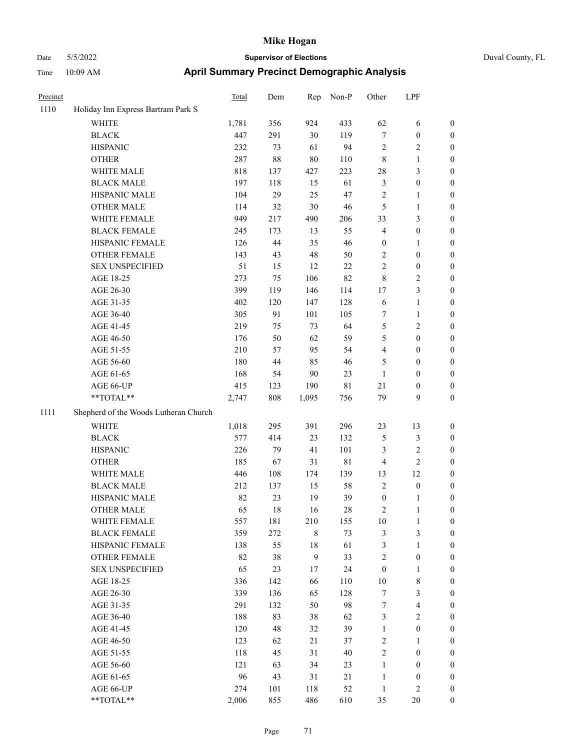|  | Duval County, Fl |  |
|--|------------------|--|

| Precinct |                                       | <b>Total</b> | Dem     | Rep          | Non-P       | Other            | LPF              |                  |
|----------|---------------------------------------|--------------|---------|--------------|-------------|------------------|------------------|------------------|
| 1110     | Holiday Inn Express Bartram Park S    |              |         |              |             |                  |                  |                  |
|          | WHITE                                 | 1,781        | 356     | 924          | 433         | 62               | 6                | $\boldsymbol{0}$ |
|          | <b>BLACK</b>                          | 447          | 291     | 30           | 119         | 7                | $\boldsymbol{0}$ | $\boldsymbol{0}$ |
|          | <b>HISPANIC</b>                       | 232          | 73      | 61           | 94          | 2                | $\sqrt{2}$       | 0                |
|          | <b>OTHER</b>                          | 287          | 88      | 80           | 110         | 8                | $\mathbf{1}$     | 0                |
|          | WHITE MALE                            | 818          | 137     | 427          | 223         | 28               | $\mathfrak{Z}$   | 0                |
|          | <b>BLACK MALE</b>                     | 197          | 118     | 15           | 61          | 3                | $\boldsymbol{0}$ | $\boldsymbol{0}$ |
|          | HISPANIC MALE                         | 104          | 29      | 25           | 47          | 2                | $\mathbf{1}$     | $\boldsymbol{0}$ |
|          | <b>OTHER MALE</b>                     | 114          | 32      | $30\,$       | 46          | 5                | $\mathbf{1}$     | $\boldsymbol{0}$ |
|          | WHITE FEMALE                          | 949          | 217     | 490          | 206         | 33               | $\mathfrak{Z}$   | 0                |
|          | <b>BLACK FEMALE</b>                   | 245          | 173     | 13           | 55          | 4                | $\boldsymbol{0}$ | $\boldsymbol{0}$ |
|          | HISPANIC FEMALE                       | 126          | 44      | 35           | 46          | $\boldsymbol{0}$ | $\mathbf{1}$     | $\boldsymbol{0}$ |
|          | <b>OTHER FEMALE</b>                   | 143          | 43      | 48           | 50          | $\sqrt{2}$       | $\boldsymbol{0}$ | 0                |
|          | <b>SEX UNSPECIFIED</b>                | 51           | 15      | 12           | $22\,$      | 2                | $\boldsymbol{0}$ | 0                |
|          | AGE 18-25                             | 273          | 75      | 106          | 82          | 8                | $\overline{c}$   | 0                |
|          | AGE 26-30                             | 399          | 119     | 146          | 114         | 17               | $\mathfrak{Z}$   | 0                |
|          | AGE 31-35                             | 402          | 120     | 147          | 128         | 6                | $\mathbf{1}$     | 0                |
|          | AGE 36-40                             | 305          | 91      | 101          | 105         | 7                | 1                | 0                |
|          | AGE 41-45                             | 219          | 75      | 73           | 64          | 5                | $\sqrt{2}$       | $\boldsymbol{0}$ |
|          | AGE 46-50                             | 176          | 50      | 62           | 59          | 5                | $\boldsymbol{0}$ | $\boldsymbol{0}$ |
|          | AGE 51-55                             | 210          | 57      | 95           | 54          | 4                | $\boldsymbol{0}$ | $\boldsymbol{0}$ |
|          | AGE 56-60                             | 180          | 44      | 85           | 46          | 5                | $\boldsymbol{0}$ | 0                |
|          | AGE 61-65                             | 168          | 54      | $90\,$       | 23          | $\mathbf{1}$     | $\boldsymbol{0}$ | 0                |
|          | AGE 66-UP                             | 415          | 123     | 190          | 81          | 21               | $\boldsymbol{0}$ | 0                |
|          | **TOTAL**                             | 2,747        | $808\,$ | 1,095        | 756         | 79               | 9                | 0                |
| 1111     | Shepherd of the Woods Lutheran Church |              |         |              |             |                  |                  |                  |
|          | WHITE                                 | 1,018        | 295     | 391          | 296         | 23               | 13               | 0                |
|          | <b>BLACK</b>                          | 577          | 414     | 23           | 132         | 5                | $\mathfrak{Z}$   | 0                |
|          | <b>HISPANIC</b>                       | 226          | 79      | 41           | 101         | 3                | $\sqrt{2}$       | 0                |
|          | <b>OTHER</b>                          | 185          | 67      | 31           | $8\sqrt{1}$ | 4                | $\sqrt{2}$       | 0                |
|          | WHITE MALE                            | 446          | 108     | 174          | 139         | 13               | 12               | $\boldsymbol{0}$ |
|          | <b>BLACK MALE</b>                     | 212          | 137     | 15           | 58          | $\overline{c}$   | $\boldsymbol{0}$ | $\boldsymbol{0}$ |
|          | HISPANIC MALE                         | 82           | 23      | 19           | 39          | $\boldsymbol{0}$ | $\mathbf{1}$     | 0                |
|          | <b>OTHER MALE</b>                     | 65           | 18      | 16           | 28          | $\overline{c}$   | $\mathbf{1}$     | $\boldsymbol{0}$ |
|          | WHITE FEMALE                          | 557          | 181     | 210          | 155         | $10\,$           | $\mathbf{1}$     | 0                |
|          | <b>BLACK FEMALE</b>                   | 359          | 272     | $\,$ 8 $\,$  | 73          | $\mathfrak{Z}$   | $\mathfrak{Z}$   | 0                |
|          | HISPANIC FEMALE                       | 138          | 55      | $18\,$       | 61          | 3                | $\mathbf{1}$     | 0                |
|          | <b>OTHER FEMALE</b>                   | 82           | 38      | $\mathbf{9}$ | 33          | $\overline{c}$   | $\boldsymbol{0}$ | 0                |
|          | <b>SEX UNSPECIFIED</b>                | 65           | 23      | 17           | 24          | $\boldsymbol{0}$ | $\mathbf{1}$     | 0                |
|          | AGE 18-25                             | 336          | 142     | 66           | 110         | $10\,$           | $\,$ 8 $\,$      | $\boldsymbol{0}$ |
|          | AGE 26-30                             | 339          | 136     | 65           | 128         | 7                | $\mathfrak{Z}$   | $\overline{0}$   |
|          | AGE 31-35                             | 291          | 132     | 50           | 98          | 7                | $\overline{4}$   | 0                |
|          | AGE 36-40                             | 188          | 83      | 38           | 62          | 3                | $\sqrt{2}$       | 0                |
|          | AGE 41-45                             | 120          | 48      | 32           | 39          | $\mathbf{1}$     | $\boldsymbol{0}$ | $\overline{0}$   |
|          | AGE 46-50                             | 123          | 62      | 21           | 37          | $\sqrt{2}$       | $\mathbf{1}$     | $\boldsymbol{0}$ |
|          | AGE 51-55                             | 118          | 45      | 31           | 40          | $\sqrt{2}$       | $\boldsymbol{0}$ | 0                |
|          | AGE 56-60                             | 121          | 63      | 34           | 23          | $\mathbf{1}$     | $\boldsymbol{0}$ | 0                |
|          | AGE 61-65                             | 96           | 43      | 31           | 21          | $\mathbf{1}$     | $\boldsymbol{0}$ | 0                |
|          | AGE 66-UP                             | 274          | 101     | 118          | 52          | $\mathbf{1}$     | $\sqrt{2}$       | 0                |
|          | $**TOTAL**$                           | 2,006        | 855     | 486          | 610         | 35               | $20\,$           | $\boldsymbol{0}$ |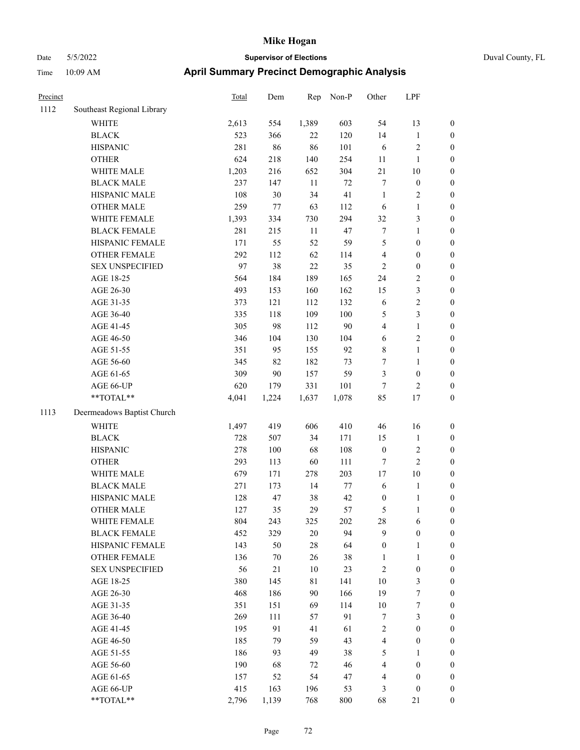| Precinct |                                                             | <b>Total</b> | Dem    | Rep    | $Non-P$ | Other                   | LPF              |                  |
|----------|-------------------------------------------------------------|--------------|--------|--------|---------|-------------------------|------------------|------------------|
| 1112     | Southeast Regional Library                                  |              |        |        |         |                         |                  |                  |
|          | WHITE                                                       | 2,613        | 554    | 1,389  | 603     | 54                      | 13               | $\boldsymbol{0}$ |
|          | <b>BLACK</b>                                                | 523          | 366    | 22     | 120     | 14                      | $\mathbf{1}$     | $\boldsymbol{0}$ |
|          | <b>HISPANIC</b>                                             | 281          | 86     | 86     | 101     | 6                       | $\sqrt{2}$       | $\boldsymbol{0}$ |
|          | <b>OTHER</b>                                                | 624          | 218    | 140    | 254     | 11                      | $\mathbf{1}$     | $\boldsymbol{0}$ |
|          | WHITE MALE                                                  | 1,203        | 216    | 652    | 304     | 21                      | 10               | $\boldsymbol{0}$ |
|          | <b>BLACK MALE</b>                                           | 237          | 147    | $11\,$ | $72\,$  | 7                       | $\boldsymbol{0}$ | $\boldsymbol{0}$ |
|          | HISPANIC MALE                                               | 108          | $30\,$ | 34     | 41      | $\mathbf{1}$            | $\sqrt{2}$       | $\boldsymbol{0}$ |
|          | <b>OTHER MALE</b>                                           | 259          | 77     | 63     | 112     | 6                       | $\mathbf{1}$     | $\boldsymbol{0}$ |
|          | WHITE FEMALE                                                | 1,393        | 334    | 730    | 294     | 32                      | 3                | $\boldsymbol{0}$ |
|          | <b>BLACK FEMALE</b>                                         | 281          | 215    | 11     | 47      | 7                       | $\mathbf{1}$     | $\boldsymbol{0}$ |
|          | HISPANIC FEMALE                                             | 171          | 55     | 52     | 59      | 5                       | $\boldsymbol{0}$ | $\boldsymbol{0}$ |
|          | <b>OTHER FEMALE</b>                                         | 292          | 112    | 62     | 114     | $\overline{\mathbf{4}}$ | $\boldsymbol{0}$ | 0                |
|          | <b>SEX UNSPECIFIED</b>                                      | 97           | 38     | $22\,$ | 35      | $\mathfrak{2}$          | $\boldsymbol{0}$ | $\boldsymbol{0}$ |
|          | AGE 18-25                                                   | 564          | 184    | 189    | 165     | 24                      | $\sqrt{2}$       | $\boldsymbol{0}$ |
|          | AGE 26-30                                                   | 493          | 153    | 160    | 162     | 15                      | $\sqrt{3}$       | $\boldsymbol{0}$ |
|          | AGE 31-35                                                   | 373          | 121    | 112    | 132     | 6                       | $\sqrt{2}$       | $\boldsymbol{0}$ |
|          | AGE 36-40                                                   | 335          | 118    | 109    | 100     | 5                       | $\mathfrak{Z}$   | $\boldsymbol{0}$ |
|          | AGE 41-45                                                   | 305          | 98     | 112    | $90\,$  | 4                       | $\mathbf{1}$     | $\boldsymbol{0}$ |
|          | AGE 46-50                                                   | 346          | 104    | 130    | 104     | $\sqrt{6}$              | $\sqrt{2}$       | $\boldsymbol{0}$ |
|          | AGE 51-55                                                   | 351          | 95     | 155    | 92      | 8                       | $\mathbf{1}$     | $\boldsymbol{0}$ |
|          | AGE 56-60                                                   | 345          | 82     | 182    | 73      | 7                       | $\mathbf{1}$     | $\boldsymbol{0}$ |
|          | AGE 61-65                                                   | 309          | $90\,$ | 157    | 59      | 3                       | $\boldsymbol{0}$ | 0                |
|          | AGE 66-UP                                                   | 620          | 179    | 331    | 101     | $\boldsymbol{7}$        | $\sqrt{2}$       | 0                |
|          | $\mathrm{*}\mathrm{*} \mathrm{TOTAL} \mathrm{*} \mathrm{*}$ | 4,041        | 1,224  | 1,637  | 1,078   | 85                      | 17               | $\boldsymbol{0}$ |
| 1113     | Deermeadows Baptist Church                                  |              |        |        |         |                         |                  |                  |
|          | <b>WHITE</b>                                                | 1,497        | 419    | 606    | 410     | 46                      | 16               | $\boldsymbol{0}$ |
|          | $\operatorname{BLACK}$                                      | 728          | 507    | 34     | 171     | 15                      | $\mathbf{1}$     | $\boldsymbol{0}$ |
|          | <b>HISPANIC</b>                                             | 278          | 100    | 68     | 108     | $\boldsymbol{0}$        | $\sqrt{2}$       | $\boldsymbol{0}$ |
|          | <b>OTHER</b>                                                | 293          | 113    | 60     | 111     | 7                       | $\sqrt{2}$       | $\boldsymbol{0}$ |
|          | WHITE MALE                                                  | 679          | 171    | 278    | 203     | $17\,$                  | 10               | $\boldsymbol{0}$ |
|          | <b>BLACK MALE</b>                                           | 271          | 173    | 14     | 77      | $\sqrt{6}$              | $\mathbf{1}$     | $\boldsymbol{0}$ |
|          | HISPANIC MALE                                               | 128          | 47     | 38     | 42      | $\boldsymbol{0}$        | $\mathbf{1}$     | $\boldsymbol{0}$ |
|          | <b>OTHER MALE</b>                                           | 127          | 35     | 29     | 57      | 5                       | 1                | $\boldsymbol{0}$ |
|          | WHITE FEMALE                                                | 804          | 243    | 325    | 202     | 28                      | 6                | 0                |
|          | <b>BLACK FEMALE</b>                                         | 452          | 329    | $20\,$ | 94      | 9                       | $\boldsymbol{0}$ | 0                |
|          | HISPANIC FEMALE                                             | 143          | 50     | $28\,$ | 64      | $\boldsymbol{0}$        | $\mathbf{1}$     | 0                |
|          | <b>OTHER FEMALE</b>                                         | 136          | 70     | 26     | $38\,$  | 1                       | 1                | 0                |
|          | <b>SEX UNSPECIFIED</b>                                      | 56           | 21     | $10\,$ | 23      | 2                       | $\boldsymbol{0}$ | $\overline{0}$   |
|          | AGE 18-25                                                   | 380          | 145    | 81     | 141     | 10                      | $\mathfrak{Z}$   | 0                |
|          | AGE 26-30                                                   | 468          | 186    | 90     | 166     | 19                      | 7                | 0                |
|          | AGE 31-35                                                   | 351          | 151    | 69     | 114     | $10\,$                  | $\boldsymbol{7}$ | 0                |
|          | AGE 36-40                                                   | 269          | 111    | 57     | 91      | 7                       | $\sqrt{3}$       | 0                |
|          | AGE 41-45                                                   | 195          | 91     | 41     | 61      | 2                       | $\boldsymbol{0}$ | 0                |
|          | AGE 46-50                                                   | 185          | 79     | 59     | 43      | $\overline{\mathbf{4}}$ | $\boldsymbol{0}$ | 0                |
|          | AGE 51-55                                                   | 186          | 93     | 49     | 38      | 5                       | $\mathbf{1}$     | 0                |
|          | AGE 56-60                                                   | 190          | 68     | 72     | 46      | 4                       | $\boldsymbol{0}$ | 0                |
|          | AGE 61-65                                                   | 157          | 52     | 54     | 47      | 4                       | $\boldsymbol{0}$ | 0                |
|          | AGE 66-UP                                                   | 415          | 163    | 196    | 53      | 3                       | $\boldsymbol{0}$ | $\boldsymbol{0}$ |
|          | **TOTAL**                                                   | 2,796        | 1,139  | 768    | $800\,$ | 68                      | 21               | $\boldsymbol{0}$ |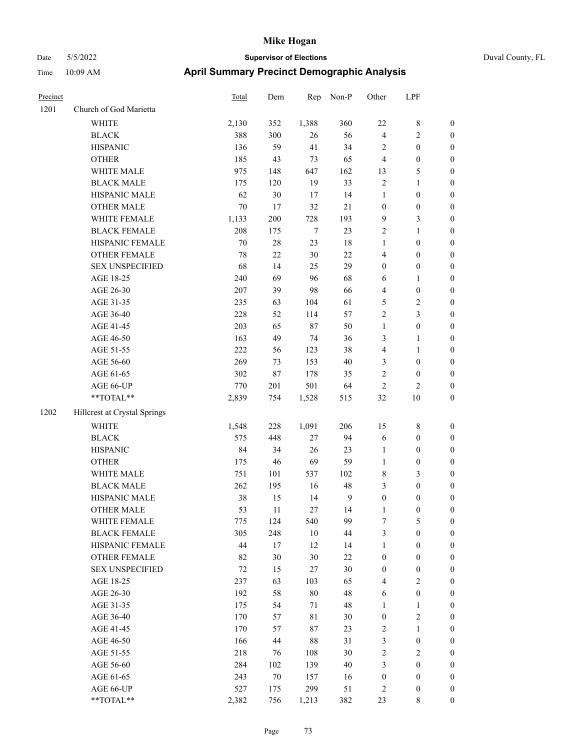| Precinct |                              | <b>Total</b> | Dem    | Rep    | Non-P       | Other            | LPF                     |                  |
|----------|------------------------------|--------------|--------|--------|-------------|------------------|-------------------------|------------------|
| 1201     | Church of God Marietta       |              |        |        |             |                  |                         |                  |
|          | WHITE                        | 2,130        | 352    | 1,388  | 360         | 22               | 8                       | $\boldsymbol{0}$ |
|          | <b>BLACK</b>                 | 388          | 300    | 26     | 56          | $\overline{4}$   | 2                       | $\boldsymbol{0}$ |
|          | <b>HISPANIC</b>              | 136          | 59     | 41     | 34          | $\overline{2}$   | $\boldsymbol{0}$        | $\boldsymbol{0}$ |
|          | <b>OTHER</b>                 | 185          | 43     | 73     | 65          | $\overline{4}$   | $\boldsymbol{0}$        | $\boldsymbol{0}$ |
|          | WHITE MALE                   | 975          | 148    | 647    | 162         | 13               | 5                       | $\boldsymbol{0}$ |
|          | <b>BLACK MALE</b>            | 175          | 120    | 19     | 33          | $\sqrt{2}$       | 1                       | $\boldsymbol{0}$ |
|          | HISPANIC MALE                | 62           | 30     | 17     | 14          | $\mathbf{1}$     | $\boldsymbol{0}$        | $\boldsymbol{0}$ |
|          | <b>OTHER MALE</b>            | $70\,$       | 17     | 32     | $21\,$      | $\boldsymbol{0}$ | $\boldsymbol{0}$        | $\boldsymbol{0}$ |
|          | WHITE FEMALE                 | 1,133        | 200    | 728    | 193         | 9                | 3                       | $\boldsymbol{0}$ |
|          | <b>BLACK FEMALE</b>          | 208          | 175    | $\tau$ | 23          | $\overline{2}$   | 1                       | $\boldsymbol{0}$ |
|          | HISPANIC FEMALE              | $70\,$       | $28\,$ | 23     | 18          | $\mathbf{1}$     | $\boldsymbol{0}$        | $\boldsymbol{0}$ |
|          | <b>OTHER FEMALE</b>          | 78           | 22     | $30\,$ | $22\,$      | $\overline{4}$   | $\boldsymbol{0}$        | $\boldsymbol{0}$ |
|          | <b>SEX UNSPECIFIED</b>       | 68           | 14     | 25     | 29          | $\mathbf{0}$     | $\boldsymbol{0}$        | $\boldsymbol{0}$ |
|          | AGE 18-25                    | 240          | 69     | 96     | 68          | 6                | 1                       | $\boldsymbol{0}$ |
|          | AGE 26-30                    | 207          | 39     | 98     | 66          | $\overline{4}$   | $\boldsymbol{0}$        | $\boldsymbol{0}$ |
|          | AGE 31-35                    | 235          | 63     | 104    | 61          | $\mathfrak{S}$   | 2                       | $\boldsymbol{0}$ |
|          | AGE 36-40                    | 228          | 52     | 114    | 57          | $\sqrt{2}$       | 3                       | $\boldsymbol{0}$ |
|          | AGE 41-45                    | 203          | 65     | 87     | 50          | $\mathbf{1}$     | $\boldsymbol{0}$        | $\boldsymbol{0}$ |
|          | AGE 46-50                    | 163          | 49     | 74     | 36          | 3                | 1                       | $\boldsymbol{0}$ |
|          | AGE 51-55                    | 222          | 56     | 123    | 38          | $\overline{4}$   | 1                       | $\boldsymbol{0}$ |
|          | AGE 56-60                    | 269          | 73     | 153    | 40          | 3                | $\boldsymbol{0}$        | $\boldsymbol{0}$ |
|          | AGE 61-65                    | 302          | $87\,$ | 178    | 35          | $\sqrt{2}$       | $\boldsymbol{0}$        | $\boldsymbol{0}$ |
|          | AGE 66-UP                    | 770          | 201    | 501    | 64          | $\overline{2}$   | $\overline{\mathbf{c}}$ | $\boldsymbol{0}$ |
|          | **TOTAL**                    | 2,839        | 754    | 1,528  | 515         | 32               | 10                      | $\boldsymbol{0}$ |
| 1202     | Hillcrest at Crystal Springs |              |        |        |             |                  |                         |                  |
|          | <b>WHITE</b>                 | 1,548        | 228    | 1,091  | 206         | 15               | 8                       | $\boldsymbol{0}$ |
|          | <b>BLACK</b>                 | 575          | 448    | 27     | 94          | 6                | $\boldsymbol{0}$        | $\boldsymbol{0}$ |
|          | <b>HISPANIC</b>              | 84           | 34     | 26     | 23          | 1                | $\boldsymbol{0}$        | $\boldsymbol{0}$ |
|          | <b>OTHER</b>                 | 175          | 46     | 69     | 59          | $\mathbf{1}$     | $\boldsymbol{0}$        | $\boldsymbol{0}$ |
|          | WHITE MALE                   | 751          | 101    | 537    | 102         | $\,$ 8 $\,$      | 3                       | $\boldsymbol{0}$ |
|          | <b>BLACK MALE</b>            | 262          | 195    | 16     | 48          | 3                | $\boldsymbol{0}$        | $\boldsymbol{0}$ |
|          | HISPANIC MALE                | 38           | 15     | 14     | 9           | $\boldsymbol{0}$ | $\boldsymbol{0}$        | $\boldsymbol{0}$ |
|          | <b>OTHER MALE</b>            | 53           | 11     | 27     | 14          | 1                | $\boldsymbol{0}$        | $\boldsymbol{0}$ |
|          | WHITE FEMALE                 | 775          | 124    | 540    | 99          | $\boldsymbol{7}$ | 5                       | $\boldsymbol{0}$ |
|          | <b>BLACK FEMALE</b>          | 305          | 248    | $10\,$ | 44          | $\mathfrak{Z}$   | $\boldsymbol{0}$        | $\boldsymbol{0}$ |
|          | HISPANIC FEMALE              | 44           | 17     | 12     | 14          | $\mathbf{1}$     | $\boldsymbol{0}$        | $\boldsymbol{0}$ |
|          | <b>OTHER FEMALE</b>          | 82           | 30     | $30\,$ | $22\,$      | $\boldsymbol{0}$ | $\boldsymbol{0}$        | $\boldsymbol{0}$ |
|          | <b>SEX UNSPECIFIED</b>       | 72           | 15     | 27     | 30          | $\boldsymbol{0}$ | $\boldsymbol{0}$        | $\boldsymbol{0}$ |
|          | AGE 18-25                    | 237          | 63     | 103    | 65          | $\overline{4}$   | $\sqrt{2}$              | $\boldsymbol{0}$ |
|          | AGE 26-30                    | 192          | 58     | $80\,$ | 48          | 6                | $\boldsymbol{0}$        | $\boldsymbol{0}$ |
|          | AGE 31-35                    | 175          | 54     | 71     | $\sqrt{48}$ | $\mathbf{1}$     | 1                       | $\boldsymbol{0}$ |
|          | AGE 36-40                    | 170          | 57     | 81     | 30          | $\boldsymbol{0}$ | $\overline{\mathbf{c}}$ | $\boldsymbol{0}$ |
|          | AGE 41-45                    | 170          | 57     | 87     | 23          | $\sqrt{2}$       | 1                       | $\boldsymbol{0}$ |
|          | AGE 46-50                    | 166          | 44     | $88\,$ | 31          | $\mathfrak{Z}$   | $\boldsymbol{0}$        | $\boldsymbol{0}$ |
|          | AGE 51-55                    | 218          | 76     | 108    | 30          | $\sqrt{2}$       | $\sqrt{2}$              | $\boldsymbol{0}$ |
|          | AGE 56-60                    | 284          | 102    | 139    | $40\,$      | $\mathfrak{Z}$   | $\boldsymbol{0}$        | $\boldsymbol{0}$ |
|          | AGE 61-65                    | 243          | 70     | 157    | 16          | $\boldsymbol{0}$ | $\boldsymbol{0}$        | $\boldsymbol{0}$ |
|          | AGE 66-UP                    | 527          | 175    | 299    | 51          | $\overline{c}$   | $\boldsymbol{0}$        | $\bf{0}$         |
|          | $**TOTAL**$                  | 2,382        | 756    | 1,213  | 382         | 23               | 8                       | $\mathbf{0}$     |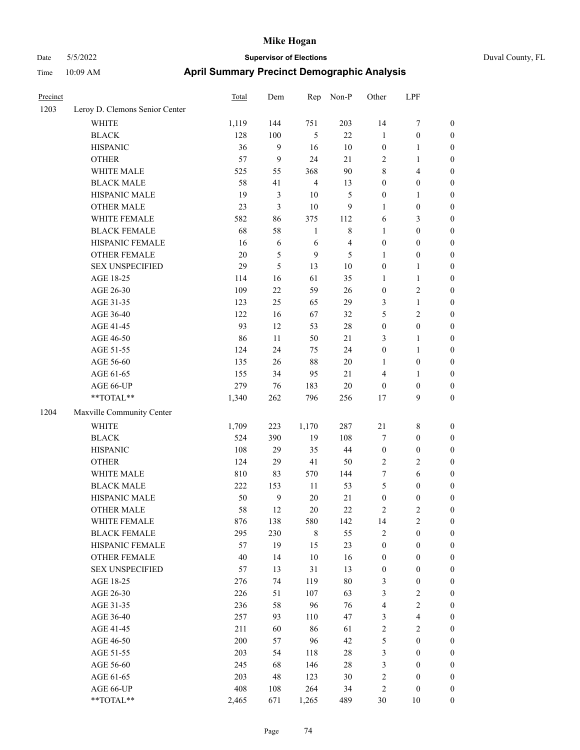| Precinct |                                                           | Total | Dem              | Rep            | Non-P          | Other            | LPF                     |                  |
|----------|-----------------------------------------------------------|-------|------------------|----------------|----------------|------------------|-------------------------|------------------|
| 1203     | Leroy D. Clemons Senior Center                            |       |                  |                |                |                  |                         |                  |
|          | <b>WHITE</b>                                              | 1,119 | 144              | 751            | 203            | 14               | $\boldsymbol{7}$        | $\boldsymbol{0}$ |
|          | <b>BLACK</b>                                              | 128   | 100              | 5              | 22             | $\mathbf{1}$     | $\boldsymbol{0}$        | $\boldsymbol{0}$ |
|          | <b>HISPANIC</b>                                           | 36    | 9                | 16             | $10\,$         | $\boldsymbol{0}$ | $\mathbf{1}$            | $\boldsymbol{0}$ |
|          | <b>OTHER</b>                                              | 57    | $\boldsymbol{9}$ | 24             | 21             | $\mathbf{2}$     | $\mathbf{1}$            | $\boldsymbol{0}$ |
|          | WHITE MALE                                                | 525   | 55               | 368            | $90\,$         | 8                | $\overline{4}$          | $\boldsymbol{0}$ |
|          | <b>BLACK MALE</b>                                         | 58    | 41               | $\overline{4}$ | 13             | $\boldsymbol{0}$ | $\boldsymbol{0}$        | 0                |
|          | HISPANIC MALE                                             | 19    | 3                | $10\,$         | 5              | $\boldsymbol{0}$ | $\mathbf{1}$            | 0                |
|          | <b>OTHER MALE</b>                                         | 23    | 3                | $10\,$         | 9              | $\mathbf{1}$     | $\boldsymbol{0}$        | $\boldsymbol{0}$ |
|          | WHITE FEMALE                                              | 582   | 86               | 375            | 112            | 6                | $\mathfrak{Z}$          | $\boldsymbol{0}$ |
|          | <b>BLACK FEMALE</b>                                       | 68    | 58               | $\mathbf{1}$   | 8              | $\mathbf{1}$     | $\boldsymbol{0}$        | $\boldsymbol{0}$ |
|          | HISPANIC FEMALE                                           | 16    | 6                | $\sqrt{6}$     | $\overline{4}$ | $\boldsymbol{0}$ | $\boldsymbol{0}$        | $\boldsymbol{0}$ |
|          | OTHER FEMALE                                              | 20    | 5                | 9              | 5              | 1                | $\boldsymbol{0}$        | $\boldsymbol{0}$ |
|          | <b>SEX UNSPECIFIED</b>                                    | 29    | 5                | 13             | $10\,$         | $\boldsymbol{0}$ | $\mathbf{1}$            | $\boldsymbol{0}$ |
|          | AGE 18-25                                                 | 114   | 16               | 61             | 35             | $\mathbf{1}$     | $\mathbf{1}$            | $\boldsymbol{0}$ |
|          | AGE 26-30                                                 | 109   | 22               | 59             | 26             | $\boldsymbol{0}$ | $\sqrt{2}$              | $\boldsymbol{0}$ |
|          | AGE 31-35                                                 | 123   | 25               | 65             | 29             | 3                | $\mathbf{1}$            | 0                |
|          | AGE 36-40                                                 | 122   | 16               | 67             | 32             | 5                | $\sqrt{2}$              | 0                |
|          | AGE 41-45                                                 | 93    | 12               | 53             | $28\,$         | $\boldsymbol{0}$ | $\boldsymbol{0}$        | $\boldsymbol{0}$ |
|          | AGE 46-50                                                 | 86    | 11               | 50             | 21             | 3                | $\mathbf{1}$            | $\boldsymbol{0}$ |
|          | AGE 51-55                                                 | 124   | 24               | 75             | 24             | $\boldsymbol{0}$ | $\mathbf{1}$            | $\boldsymbol{0}$ |
|          | AGE 56-60                                                 | 135   | 26               | 88             | $20\,$         | $\mathbf{1}$     | $\boldsymbol{0}$        | $\boldsymbol{0}$ |
|          | AGE 61-65                                                 | 155   | 34               | 95             | 21             | 4                | $\mathbf{1}$            | $\boldsymbol{0}$ |
|          | AGE 66-UP                                                 | 279   | 76               | 183            | 20             | $\boldsymbol{0}$ | $\boldsymbol{0}$        | $\boldsymbol{0}$ |
|          | $\mathrm{*}\mathrm{*}\mathrm{TOTAL} \mathrm{*}\mathrm{*}$ | 1,340 | 262              | 796            | 256            | 17               | 9                       | $\boldsymbol{0}$ |
| 1204     | Maxville Community Center                                 |       |                  |                |                |                  |                         |                  |
|          | <b>WHITE</b>                                              | 1,709 | 223              | 1,170          | 287            | $21\,$           | $8\,$                   | $\boldsymbol{0}$ |
|          | <b>BLACK</b>                                              | 524   | 390              | 19             | 108            | 7                | $\boldsymbol{0}$        | $\boldsymbol{0}$ |
|          | <b>HISPANIC</b>                                           | 108   | 29               | 35             | 44             | $\boldsymbol{0}$ | $\boldsymbol{0}$        | $\boldsymbol{0}$ |
|          | <b>OTHER</b>                                              | 124   | 29               | 41             | 50             | $\overline{2}$   | $\sqrt{2}$              | 0                |
|          | WHITE MALE                                                | 810   | 83               | 570            | 144            | 7                | 6                       | $\boldsymbol{0}$ |
|          | <b>BLACK MALE</b>                                         | 222   | 153              | 11             | 53             | 5                | $\boldsymbol{0}$        | $\boldsymbol{0}$ |
|          | HISPANIC MALE                                             | 50    | 9                | $20\,$         | 21             | $\boldsymbol{0}$ | $\boldsymbol{0}$        | $\boldsymbol{0}$ |
|          | <b>OTHER MALE</b>                                         | 58    | 12               | $20\,$         | 22             | 2                | $\overline{c}$          | $\boldsymbol{0}$ |
|          | WHITE FEMALE                                              | 876   | 138              | 580            | 142            | 14               | $\sqrt{2}$              | $\overline{0}$   |
|          | <b>BLACK FEMALE</b>                                       | 295   | 230              | $\,$ 8 $\,$    | 55             | $\sqrt{2}$       | $\boldsymbol{0}$        | $\overline{0}$   |
|          | HISPANIC FEMALE                                           | 57    | 19               | 15             | 23             | $\boldsymbol{0}$ | $\boldsymbol{0}$        | $\overline{0}$   |
|          | <b>OTHER FEMALE</b>                                       | 40    | 14               | $10\,$         | 16             | $\boldsymbol{0}$ | $\boldsymbol{0}$        | 0                |
|          | <b>SEX UNSPECIFIED</b>                                    | 57    | 13               | 31             | 13             | $\boldsymbol{0}$ | $\boldsymbol{0}$        | 0                |
|          | AGE 18-25                                                 | 276   | 74               | 119            | $80\,$         | 3                | $\boldsymbol{0}$        | 0                |
|          | AGE 26-30                                                 | 226   | 51               | 107            | 63             | 3                | $\sqrt{2}$              | $\overline{0}$   |
|          | AGE 31-35                                                 | 236   | 58               | 96             | 76             | $\overline{4}$   | $\sqrt{2}$              | $\overline{0}$   |
|          | AGE 36-40                                                 | 257   | 93               | 110            | 47             | 3                | $\overline{\mathbf{4}}$ | $\boldsymbol{0}$ |
|          | AGE 41-45                                                 | 211   | 60               | 86             | 61             | $\overline{c}$   | $\sqrt{2}$              | $\overline{0}$   |
|          | AGE 46-50                                                 | 200   | 57               | 96             | 42             | 5                | $\boldsymbol{0}$        | $\boldsymbol{0}$ |
|          | AGE 51-55                                                 | 203   | 54               | 118            | 28             | 3                | $\boldsymbol{0}$        | $\overline{0}$   |
|          | AGE 56-60                                                 | 245   | 68               | 146            | $28\,$         | 3                | $\boldsymbol{0}$        | $\overline{0}$   |
|          | AGE 61-65                                                 | 203   | 48               | 123            | 30             | $\sqrt{2}$       | $\boldsymbol{0}$        | $\overline{0}$   |
|          | AGE 66-UP                                                 | 408   | 108              | 264            | 34             | $\sqrt{2}$       | $\boldsymbol{0}$        | $\boldsymbol{0}$ |
|          | $**TOTAL**$                                               | 2,465 | 671              | 1,265          | 489            | $30\,$           | 10                      | $\boldsymbol{0}$ |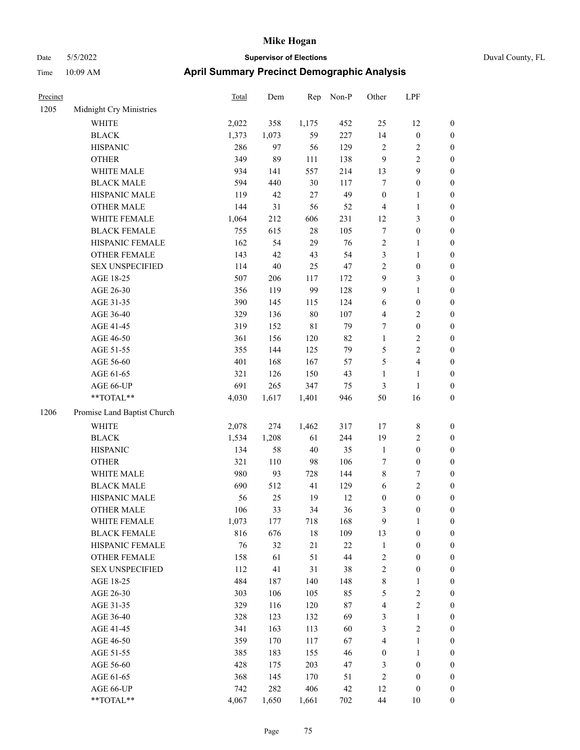| Precinct |                             | <b>Total</b> | Dem    | Rep         | Non-P  | Other            | LPF                     |                  |
|----------|-----------------------------|--------------|--------|-------------|--------|------------------|-------------------------|------------------|
| 1205     | Midnight Cry Ministries     |              |        |             |        |                  |                         |                  |
|          | WHITE                       | 2,022        | 358    | 1,175       | 452    | 25               | 12                      | $\boldsymbol{0}$ |
|          | <b>BLACK</b>                | 1,373        | 1,073  | 59          | 227    | 14               | $\boldsymbol{0}$        | $\boldsymbol{0}$ |
|          | <b>HISPANIC</b>             | 286          | 97     | 56          | 129    | $\overline{2}$   | 2                       | $\boldsymbol{0}$ |
|          | <b>OTHER</b>                | 349          | 89     | 111         | 138    | 9                | 2                       | $\boldsymbol{0}$ |
|          | WHITE MALE                  | 934          | 141    | 557         | 214    | 13               | 9                       | $\boldsymbol{0}$ |
|          | <b>BLACK MALE</b>           | 594          | 440    | 30          | 117    | $\boldsymbol{7}$ | $\boldsymbol{0}$        | $\boldsymbol{0}$ |
|          | HISPANIC MALE               | 119          | 42     | 27          | 49     | $\mathbf{0}$     | 1                       | $\boldsymbol{0}$ |
|          | <b>OTHER MALE</b>           | 144          | 31     | 56          | 52     | $\overline{4}$   | 1                       | $\boldsymbol{0}$ |
|          | WHITE FEMALE                | 1,064        | 212    | 606         | 231    | 12               | 3                       | $\boldsymbol{0}$ |
|          | <b>BLACK FEMALE</b>         | 755          | 615    | $28\,$      | 105    | $\tau$           | $\boldsymbol{0}$        | $\boldsymbol{0}$ |
|          | HISPANIC FEMALE             | 162          | 54     | 29          | 76     | $\sqrt{2}$       | 1                       | $\boldsymbol{0}$ |
|          | <b>OTHER FEMALE</b>         | 143          | 42     | 43          | 54     | $\mathfrak{Z}$   | 1                       | $\boldsymbol{0}$ |
|          | <b>SEX UNSPECIFIED</b>      | 114          | $40\,$ | 25          | 47     | $\overline{2}$   | $\boldsymbol{0}$        | $\boldsymbol{0}$ |
|          | AGE 18-25                   | 507          | 206    | 117         | 172    | 9                | 3                       | $\boldsymbol{0}$ |
|          | AGE 26-30                   | 356          | 119    | 99          | 128    | 9                | 1                       | $\boldsymbol{0}$ |
|          | AGE 31-35                   | 390          | 145    | 115         | 124    | 6                | $\boldsymbol{0}$        | $\boldsymbol{0}$ |
|          | AGE 36-40                   | 329          | 136    | $80\,$      | 107    | $\overline{4}$   | $\overline{\mathbf{c}}$ | $\boldsymbol{0}$ |
|          | AGE 41-45                   | 319          | 152    | $8\sqrt{1}$ | 79     | 7                | $\boldsymbol{0}$        | $\boldsymbol{0}$ |
|          | AGE 46-50                   | 361          | 156    | 120         | 82     | $\mathbf{1}$     | 2                       | $\boldsymbol{0}$ |
|          | AGE 51-55                   | 355          | 144    | 125         | 79     | 5                | 2                       | $\boldsymbol{0}$ |
|          | AGE 56-60                   | 401          | 168    | 167         | 57     | 5                | 4                       | $\boldsymbol{0}$ |
|          | AGE 61-65                   | 321          | 126    | 150         | 43     | 1                | 1                       | $\boldsymbol{0}$ |
|          | AGE 66-UP                   | 691          | 265    | 347         | 75     | 3                | $\mathbf{1}$            | $\boldsymbol{0}$ |
|          | **TOTAL**                   | 4,030        | 1,617  | 1,401       | 946    | 50               | 16                      | $\boldsymbol{0}$ |
| 1206     | Promise Land Baptist Church |              |        |             |        |                  |                         |                  |
|          |                             |              |        |             |        |                  |                         |                  |
|          | <b>WHITE</b>                | 2,078        | 274    | 1,462       | 317    | 17               | 8                       | $\boldsymbol{0}$ |
|          | <b>BLACK</b>                | 1,534        | 1,208  | 61          | 244    | 19               | 2                       | $\boldsymbol{0}$ |
|          | <b>HISPANIC</b>             | 134          | 58     | $40\,$      | 35     | $\mathbf{1}$     | $\boldsymbol{0}$        | $\boldsymbol{0}$ |
|          | <b>OTHER</b>                | 321          | 110    | 98          | 106    | 7                | $\boldsymbol{0}$        | $\boldsymbol{0}$ |
|          | WHITE MALE                  | 980          | 93     | 728         | 144    | $\,$ 8 $\,$      | 7                       | $\boldsymbol{0}$ |
|          | <b>BLACK MALE</b>           | 690          | 512    | 41          | 129    | 6                | 2                       | $\boldsymbol{0}$ |
|          | HISPANIC MALE               | 56           | 25     | 19          | 12     | $\boldsymbol{0}$ | $\boldsymbol{0}$        | $\boldsymbol{0}$ |
|          | <b>OTHER MALE</b>           | 106          | 33     | 34          | 36     | 3                | $\boldsymbol{0}$        | $\boldsymbol{0}$ |
|          | WHITE FEMALE                | 1,073        | 177    | 718         | 168    | 9                | $\mathbf{1}$            | $\boldsymbol{0}$ |
|          | <b>BLACK FEMALE</b>         | 816          | 676    | $18\,$      | 109    | 13               | $\boldsymbol{0}$        | $\boldsymbol{0}$ |
|          | HISPANIC FEMALE             | 76           | 32     | 21          | 22     | $\mathbf{1}$     | $\boldsymbol{0}$        | $\boldsymbol{0}$ |
|          | <b>OTHER FEMALE</b>         | 158          | 61     | 51          | 44     | $\sqrt{2}$       | $\boldsymbol{0}$        | $\boldsymbol{0}$ |
|          | <b>SEX UNSPECIFIED</b>      | 112          | 41     | 31          | 38     | $\sqrt{2}$       | $\boldsymbol{0}$        | $\boldsymbol{0}$ |
|          | AGE 18-25                   | 484          | 187    | 140         | 148    | $\,$ 8 $\,$      | 1                       | $\boldsymbol{0}$ |
|          | AGE 26-30                   | 303          | 106    | 105         | 85     | $\sqrt{5}$       | $\sqrt{2}$              | $\boldsymbol{0}$ |
|          | AGE 31-35                   | 329          | 116    | 120         | $87\,$ | $\overline{4}$   | $\sqrt{2}$              | $\boldsymbol{0}$ |
|          | AGE 36-40                   | 328          | 123    | 132         | 69     | $\mathfrak{Z}$   | 1                       | $\boldsymbol{0}$ |
|          | AGE 41-45                   | 341          | 163    | 113         | 60     | $\mathfrak{Z}$   | $\mathbf{2}$            | $\boldsymbol{0}$ |
|          | AGE 46-50                   | 359          | 170    | 117         | 67     | $\overline{4}$   | 1                       | $\boldsymbol{0}$ |
|          | AGE 51-55                   | 385          | 183    | 155         | 46     | $\boldsymbol{0}$ | $\mathbf{1}$            | $\boldsymbol{0}$ |
|          | AGE 56-60                   | 428          | 175    | 203         | 47     | 3                | $\boldsymbol{0}$        | $\boldsymbol{0}$ |
|          | AGE 61-65                   | 368          | 145    | 170         | 51     | $\sqrt{2}$       | $\boldsymbol{0}$        | $\boldsymbol{0}$ |
|          | AGE 66-UP                   | 742          | 282    | 406         | 42     | 12               | $\boldsymbol{0}$        | $\bf{0}$         |
|          | **TOTAL**                   | 4,067        | 1,650  | 1,661       | 702    | $44\,$           | $10\,$                  | $\boldsymbol{0}$ |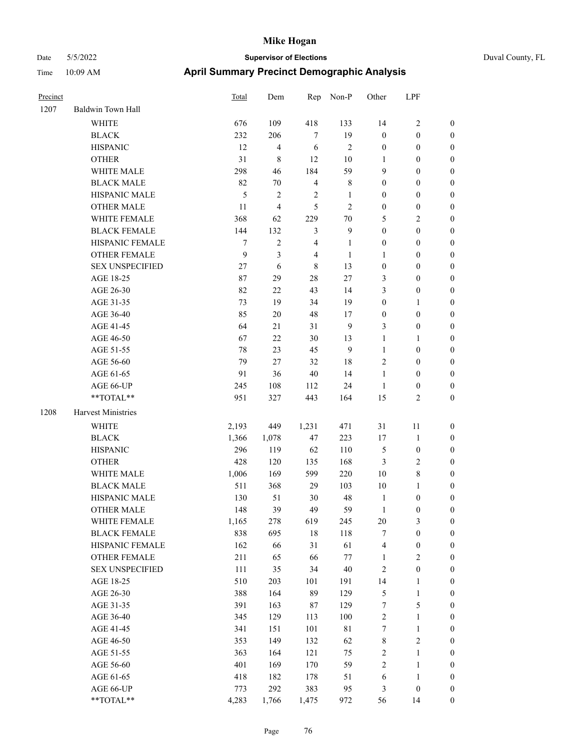|  | Duval County, FL |  |
|--|------------------|--|
|--|------------------|--|

| Precinct |                        | Total            | Dem            | Rep            | Non-P            | Other            | LPF              |                  |
|----------|------------------------|------------------|----------------|----------------|------------------|------------------|------------------|------------------|
| 1207     | Baldwin Town Hall      |                  |                |                |                  |                  |                  |                  |
|          | <b>WHITE</b>           | 676              | 109            | 418            | 133              | 14               | $\sqrt{2}$       | $\boldsymbol{0}$ |
|          | <b>BLACK</b>           | 232              | 206            | $\tau$         | 19               | $\boldsymbol{0}$ | $\boldsymbol{0}$ | $\boldsymbol{0}$ |
|          | <b>HISPANIC</b>        | 12               | 4              | 6              | $\sqrt{2}$       | $\boldsymbol{0}$ | $\boldsymbol{0}$ | $\boldsymbol{0}$ |
|          | <b>OTHER</b>           | 31               | 8              | 12             | $10\,$           | 1                | $\boldsymbol{0}$ | $\boldsymbol{0}$ |
|          | WHITE MALE             | 298              | 46             | 184            | 59               | 9                | $\boldsymbol{0}$ | 0                |
|          | <b>BLACK MALE</b>      | 82               | $70\,$         | $\overline{4}$ | 8                | $\boldsymbol{0}$ | $\boldsymbol{0}$ | $\boldsymbol{0}$ |
|          | HISPANIC MALE          | $\mathfrak s$    | $\mathbf{2}$   | $\sqrt{2}$     | $\mathbf{1}$     | $\boldsymbol{0}$ | $\boldsymbol{0}$ | $\boldsymbol{0}$ |
|          | <b>OTHER MALE</b>      | 11               | $\overline{4}$ | 5              | $\mathbf{2}$     | $\boldsymbol{0}$ | $\boldsymbol{0}$ | $\boldsymbol{0}$ |
|          | WHITE FEMALE           | 368              | 62             | 229            | $70\,$           | 5                | $\sqrt{2}$       | $\boldsymbol{0}$ |
|          | <b>BLACK FEMALE</b>    | 144              | 132            | $\mathfrak{Z}$ | $\boldsymbol{9}$ | $\boldsymbol{0}$ | $\boldsymbol{0}$ | $\boldsymbol{0}$ |
|          | HISPANIC FEMALE        | $\boldsymbol{7}$ | $\overline{c}$ | $\overline{4}$ | $\mathbf{1}$     | $\boldsymbol{0}$ | $\boldsymbol{0}$ | $\boldsymbol{0}$ |
|          | OTHER FEMALE           | 9                | $\mathfrak{Z}$ | $\overline{4}$ | $\mathbf{1}$     | $\mathbf{1}$     | $\boldsymbol{0}$ | $\boldsymbol{0}$ |
|          | <b>SEX UNSPECIFIED</b> | 27               | $\sqrt{6}$     | $\,8\,$        | 13               | $\boldsymbol{0}$ | $\boldsymbol{0}$ | $\boldsymbol{0}$ |
|          | AGE 18-25              | 87               | 29             | $28\,$         | 27               | 3                | $\boldsymbol{0}$ | $\boldsymbol{0}$ |
|          | AGE 26-30              | 82               | 22             | 43             | 14               | 3                | $\boldsymbol{0}$ | 0                |
|          | AGE 31-35              | 73               | 19             | 34             | 19               | $\boldsymbol{0}$ | $\mathbf{1}$     | 0                |
|          | AGE 36-40              | 85               | $20\,$         | 48             | 17               | $\boldsymbol{0}$ | $\boldsymbol{0}$ | 0                |
|          | AGE 41-45              | 64               | 21             | 31             | 9                | 3                | $\boldsymbol{0}$ | $\boldsymbol{0}$ |
|          | AGE 46-50              | 67               | 22             | $30\,$         | 13               | $\mathbf{1}$     | $\mathbf{1}$     | $\boldsymbol{0}$ |
|          | AGE 51-55              | 78               | 23             | 45             | $\boldsymbol{9}$ | $\mathbf{1}$     | $\boldsymbol{0}$ | $\boldsymbol{0}$ |
|          | AGE 56-60              | 79               | 27             | 32             | 18               | $\overline{c}$   | $\boldsymbol{0}$ | $\boldsymbol{0}$ |
|          | AGE 61-65              | 91               | 36             | $40\,$         | 14               | $\mathbf{1}$     | $\boldsymbol{0}$ | $\boldsymbol{0}$ |
|          | AGE 66-UP              | 245              | 108            | 112            | 24               | $\mathbf{1}$     | $\boldsymbol{0}$ | $\boldsymbol{0}$ |
|          | **TOTAL**              | 951              | 327            | 443            | 164              | 15               | $\mathfrak{2}$   | $\boldsymbol{0}$ |
| 1208     | Harvest Ministries     |                  |                |                |                  |                  |                  |                  |
|          | WHITE                  | 2,193            | 449            | 1,231          | 471              | 31               | 11               | $\boldsymbol{0}$ |
|          | <b>BLACK</b>           | 1,366            | 1,078          | 47             | 223              | 17               | $\mathbf{1}$     | 0                |
|          | <b>HISPANIC</b>        | 296              | 119            | 62             | 110              | 5                | $\boldsymbol{0}$ | 0                |
|          | <b>OTHER</b>           | 428              | 120            | 135            | 168              | 3                | $\sqrt{2}$       | 0                |
|          | WHITE MALE             | 1,006            | 169            | 599            | 220              | 10               | $8\,$            | $\boldsymbol{0}$ |
|          | <b>BLACK MALE</b>      | 511              | 368            | 29             | 103              | $10\,$           | $\mathbf{1}$     | $\boldsymbol{0}$ |
|          | HISPANIC MALE          | 130              | 51             | 30             | 48               | $\mathbf{1}$     | $\boldsymbol{0}$ | $\boldsymbol{0}$ |
|          | <b>OTHER MALE</b>      | 148              | 39             | 49             | 59               | $\mathbf{1}$     | $\boldsymbol{0}$ | $\boldsymbol{0}$ |
|          | WHITE FEMALE           | 1,165            | 278            | 619            | 245              | $20\,$           | $\mathfrak{Z}$   | $\boldsymbol{0}$ |
|          | <b>BLACK FEMALE</b>    | 838              | 695            | $18\,$         | 118              | 7                | $\boldsymbol{0}$ | 0                |
|          | HISPANIC FEMALE        | 162              | 66             | 31             | 61               | 4                | $\boldsymbol{0}$ | 0                |
|          | <b>OTHER FEMALE</b>    | 211              | 65             | 66             | $77\,$           | $\mathbf{1}$     | $\sqrt{2}$       | 0                |
|          | <b>SEX UNSPECIFIED</b> | $111\,$          | 35             | 34             | $40\,$           | $\sqrt{2}$       | $\boldsymbol{0}$ | 0                |
|          | AGE 18-25              | 510              | 203            | 101            | 191              | 14               | $\mathbf{1}$     | 0                |
|          | AGE 26-30              | 388              | 164            | 89             | 129              | 5                | $\mathbf{1}$     | $\boldsymbol{0}$ |
|          | AGE 31-35              | 391              | 163            | $87\,$         | 129              | 7                | $\mathfrak{S}$   | $\boldsymbol{0}$ |
|          | AGE 36-40              | 345              | 129            | 113            | 100              | 2                | $\mathbf{1}$     | 0                |
|          | AGE 41-45              | 341              | 151            | 101            | 81               | 7                | $\mathbf{1}$     | 0                |
|          | AGE 46-50              | 353              | 149            | 132            | 62               | $\,$ 8 $\,$      | $\sqrt{2}$       | $\overline{0}$   |
|          | AGE 51-55              | 363              | 164            | 121            | 75               | $\sqrt{2}$       | $\mathbf{1}$     | $\boldsymbol{0}$ |
|          | AGE 56-60              | 401              | 169            | 170            | 59               | $\sqrt{2}$       | $\mathbf{1}$     | $\boldsymbol{0}$ |
|          | AGE 61-65              | 418              | 182            | 178            | 51               | 6                | $\mathbf{1}$     | 0                |
|          | AGE 66-UP              | 773              | 292            | 383            | 95               | 3                | $\boldsymbol{0}$ | 0                |
|          | **TOTAL**              | 4,283            | 1,766          | 1,475          | 972              | 56               | 14               | $\boldsymbol{0}$ |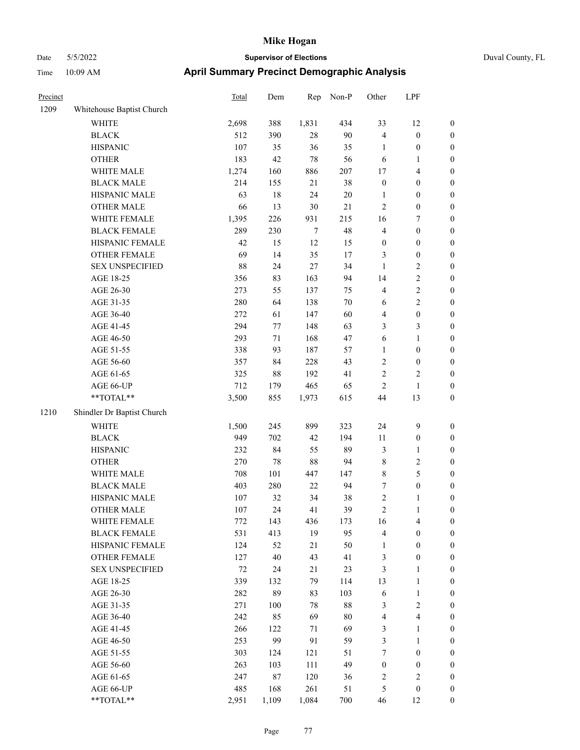| Precinct |                            | <b>Total</b> | Dem    | Rep    | Non-P  | Other            | LPF              |                  |
|----------|----------------------------|--------------|--------|--------|--------|------------------|------------------|------------------|
| 1209     | Whitehouse Baptist Church  |              |        |        |        |                  |                  |                  |
|          | WHITE                      | 2,698        | 388    | 1,831  | 434    | 33               | 12               | $\boldsymbol{0}$ |
|          | <b>BLACK</b>               | 512          | 390    | $28\,$ | 90     | $\overline{4}$   | $\boldsymbol{0}$ | $\boldsymbol{0}$ |
|          | <b>HISPANIC</b>            | 107          | 35     | 36     | 35     | $\mathbf{1}$     | $\boldsymbol{0}$ | $\boldsymbol{0}$ |
|          | <b>OTHER</b>               | 183          | 42     | 78     | 56     | 6                | 1                | $\boldsymbol{0}$ |
|          | WHITE MALE                 | 1,274        | 160    | 886    | 207    | 17               | 4                | $\boldsymbol{0}$ |
|          | <b>BLACK MALE</b>          | 214          | 155    | 21     | 38     | $\boldsymbol{0}$ | $\boldsymbol{0}$ | $\boldsymbol{0}$ |
|          | HISPANIC MALE              | 63           | $18\,$ | 24     | $20\,$ | 1                | $\boldsymbol{0}$ | $\boldsymbol{0}$ |
|          | <b>OTHER MALE</b>          | 66           | 13     | $30\,$ | 21     | $\overline{2}$   | $\boldsymbol{0}$ | $\boldsymbol{0}$ |
|          | WHITE FEMALE               | 1,395        | 226    | 931    | 215    | 16               | 7                | $\boldsymbol{0}$ |
|          | <b>BLACK FEMALE</b>        | 289          | 230    | $\tau$ | 48     | $\overline{4}$   | $\boldsymbol{0}$ | $\boldsymbol{0}$ |
|          | HISPANIC FEMALE            | 42           | 15     | 12     | 15     | $\boldsymbol{0}$ | $\boldsymbol{0}$ | $\boldsymbol{0}$ |
|          | <b>OTHER FEMALE</b>        | 69           | 14     | 35     | 17     | 3                | $\boldsymbol{0}$ | $\boldsymbol{0}$ |
|          | <b>SEX UNSPECIFIED</b>     | 88           | 24     | 27     | 34     | 1                | 2                | $\boldsymbol{0}$ |
|          | AGE 18-25                  | 356          | 83     | 163    | 94     | 14               | 2                | $\boldsymbol{0}$ |
|          | AGE 26-30                  | 273          | 55     | 137    | 75     | $\overline{4}$   | 2                | $\boldsymbol{0}$ |
|          | AGE 31-35                  | 280          | 64     | 138    | 70     | 6                | $\overline{c}$   | $\boldsymbol{0}$ |
|          | AGE 36-40                  | 272          | 61     | 147    | 60     | $\overline{4}$   | $\boldsymbol{0}$ | $\boldsymbol{0}$ |
|          | AGE 41-45                  | 294          | 77     | 148    | 63     | 3                | 3                | $\boldsymbol{0}$ |
|          | AGE 46-50                  | 293          | 71     | 168    | 47     | 6                | 1                | $\boldsymbol{0}$ |
|          | AGE 51-55                  | 338          | 93     | 187    | 57     | $\mathbf{1}$     | $\boldsymbol{0}$ | $\boldsymbol{0}$ |
|          | AGE 56-60                  | 357          | 84     | 228    | 43     | $\sqrt{2}$       | $\boldsymbol{0}$ | $\boldsymbol{0}$ |
|          | AGE 61-65                  | 325          | $88\,$ | 192    | 41     | $\sqrt{2}$       | 2                | $\boldsymbol{0}$ |
|          | AGE 66-UP                  | 712          | 179    | 465    | 65     | $\overline{2}$   | $\mathbf{1}$     | $\boldsymbol{0}$ |
|          | **TOTAL**                  | 3,500        | 855    | 1,973  | 615    | 44               | 13               | $\boldsymbol{0}$ |
| 1210     | Shindler Dr Baptist Church |              |        |        |        |                  |                  |                  |
|          | <b>WHITE</b>               | 1,500        | 245    | 899    | 323    | 24               | 9                | $\boldsymbol{0}$ |
|          | <b>BLACK</b>               | 949          | 702    | 42     | 194    | 11               | $\boldsymbol{0}$ | $\boldsymbol{0}$ |
|          | <b>HISPANIC</b>            | 232          | 84     | 55     | 89     | $\mathfrak{Z}$   | 1                | $\boldsymbol{0}$ |
|          | <b>OTHER</b>               | 270          | 78     | 88     | 94     | 8                | 2                | $\boldsymbol{0}$ |
|          | WHITE MALE                 | 708          | 101    | 447    | 147    | $\,$ 8 $\,$      | 5                | $\boldsymbol{0}$ |
|          | <b>BLACK MALE</b>          | 403          | 280    | $22\,$ | 94     | 7                | $\boldsymbol{0}$ | $\boldsymbol{0}$ |
|          | HISPANIC MALE              | 107          | 32     | 34     | 38     | $\sqrt{2}$       | 1                | $\boldsymbol{0}$ |
|          | <b>OTHER MALE</b>          | 107          | 24     | 41     | 39     | $\mathfrak{2}$   | 1                | $\boldsymbol{0}$ |
|          | WHITE FEMALE               | 772          | 143    | 436    | 173    | 16               | 4                | $\mathbf{0}$     |
|          | <b>BLACK FEMALE</b>        | 531          | 413    | 19     | 95     | $\overline{4}$   | $\boldsymbol{0}$ | $\boldsymbol{0}$ |
|          | HISPANIC FEMALE            | 124          | 52     | 21     | 50     | 1                | $\boldsymbol{0}$ | $\boldsymbol{0}$ |
|          | OTHER FEMALE               | 127          | $40\,$ | 43     | 41     | $\mathfrak{Z}$   | $\boldsymbol{0}$ | $\boldsymbol{0}$ |
|          | <b>SEX UNSPECIFIED</b>     | $72\,$       | 24     | 21     | 23     | $\mathfrak{Z}$   | $\mathbf{1}$     | $\boldsymbol{0}$ |
|          | AGE 18-25                  | 339          | 132    | 79     | 114    | 13               | $\mathbf{1}$     | $\boldsymbol{0}$ |
|          | AGE 26-30                  | 282          | 89     | 83     | 103    | 6                | $\mathbf{1}$     | $\boldsymbol{0}$ |
|          | AGE 31-35                  | 271          | 100    | $78\,$ | $88\,$ | $\mathfrak{Z}$   | $\overline{c}$   | $\boldsymbol{0}$ |
|          | AGE 36-40                  | 242          | 85     | 69     | $80\,$ | $\overline{4}$   | 4                | $\boldsymbol{0}$ |
|          | AGE 41-45                  | 266          | 122    | 71     | 69     | $\mathfrak{Z}$   | 1                | $\boldsymbol{0}$ |
|          | AGE 46-50                  | 253          | 99     | 91     | 59     | $\mathfrak{Z}$   | 1                | $\boldsymbol{0}$ |
|          | AGE 51-55                  | 303          | 124    | 121    | 51     | $\tau$           | $\boldsymbol{0}$ | $\boldsymbol{0}$ |
|          | AGE 56-60                  | 263          | 103    | 111    | 49     | $\boldsymbol{0}$ | $\boldsymbol{0}$ | $\boldsymbol{0}$ |
|          | AGE 61-65                  | 247          | $87\,$ | 120    | 36     | $\sqrt{2}$       | $\mathbf{2}$     | $\boldsymbol{0}$ |
|          | AGE 66-UP                  | 485          | 168    | 261    | 51     | $\mathfrak{S}$   | $\boldsymbol{0}$ | $\bf{0}$         |
|          | **TOTAL**                  | 2,951        | 1,109  | 1,084  | 700    | 46               | 12               | $\mathbf{0}$     |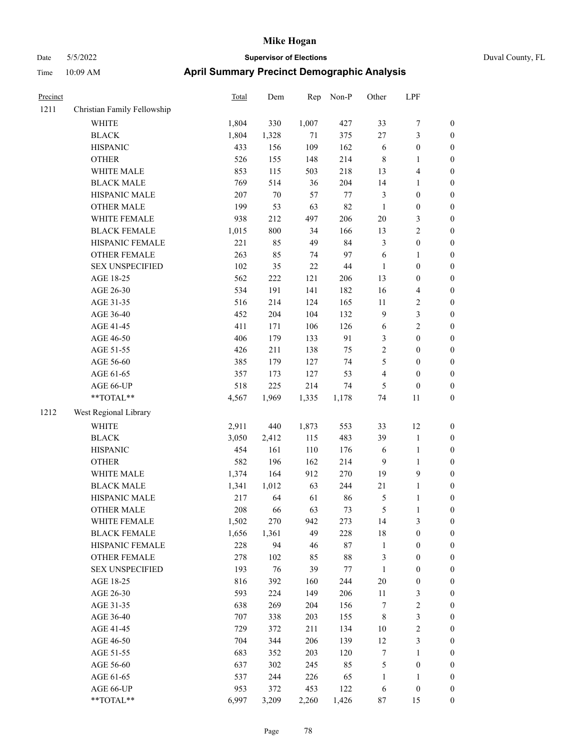| Precinct |                             | <b>Total</b> | Dem     | Rep    | Non-P  | Other            | LPF                     |                  |
|----------|-----------------------------|--------------|---------|--------|--------|------------------|-------------------------|------------------|
| 1211     | Christian Family Fellowship |              |         |        |        |                  |                         |                  |
|          | <b>WHITE</b>                | 1,804        | 330     | 1,007  | 427    | 33               | $\boldsymbol{7}$        | $\boldsymbol{0}$ |
|          | <b>BLACK</b>                | 1,804        | 1,328   | 71     | 375    | 27               | $\mathfrak{Z}$          | $\boldsymbol{0}$ |
|          | <b>HISPANIC</b>             | 433          | 156     | 109    | 162    | 6                | $\boldsymbol{0}$        | $\boldsymbol{0}$ |
|          | <b>OTHER</b>                | 526          | 155     | 148    | 214    | $\,$ 8 $\,$      | $\mathbf{1}$            | $\boldsymbol{0}$ |
|          | WHITE MALE                  | 853          | 115     | 503    | 218    | 13               | $\overline{\mathbf{4}}$ | 0                |
|          | <b>BLACK MALE</b>           | 769          | 514     | 36     | 204    | 14               | $\mathbf{1}$            | 0                |
|          | HISPANIC MALE               | 207          | $70\,$  | 57     | $77\,$ | $\mathfrak{Z}$   | $\boldsymbol{0}$        | $\boldsymbol{0}$ |
|          | <b>OTHER MALE</b>           | 199          | 53      | 63     | 82     | $\mathbf{1}$     | $\boldsymbol{0}$        | $\boldsymbol{0}$ |
|          | WHITE FEMALE                | 938          | 212     | 497    | 206    | $20\,$           | $\mathfrak{Z}$          | $\boldsymbol{0}$ |
|          | <b>BLACK FEMALE</b>         | 1,015        | 800     | 34     | 166    | 13               | $\sqrt{2}$              | $\boldsymbol{0}$ |
|          | HISPANIC FEMALE             | 221          | 85      | 49     | 84     | 3                | $\boldsymbol{0}$        | $\boldsymbol{0}$ |
|          | OTHER FEMALE                | 263          | 85      | 74     | 97     | 6                | $\mathbf{1}$            | $\boldsymbol{0}$ |
|          | <b>SEX UNSPECIFIED</b>      | 102          | 35      | $22\,$ | $44\,$ | $\mathbf{1}$     | $\boldsymbol{0}$        | $\boldsymbol{0}$ |
|          | AGE 18-25                   | 562          | $222\,$ | 121    | 206    | 13               | $\boldsymbol{0}$        | $\boldsymbol{0}$ |
|          | AGE 26-30                   | 534          | 191     | 141    | 182    | 16               | $\overline{\mathbf{4}}$ | $\boldsymbol{0}$ |
|          | AGE 31-35                   | 516          | 214     | 124    | 165    | 11               | $\boldsymbol{2}$        | 0                |
|          | AGE 36-40                   | 452          | 204     | 104    | 132    | $\overline{9}$   | $\mathfrak{Z}$          | 0                |
|          | AGE 41-45                   | 411          | 171     | 106    | 126    | 6                | $\sqrt{2}$              | $\boldsymbol{0}$ |
|          | AGE 46-50                   | 406          | 179     | 133    | 91     | 3                | $\boldsymbol{0}$        | $\boldsymbol{0}$ |
|          | AGE 51-55                   | 426          | 211     | 138    | 75     | $\overline{c}$   | $\boldsymbol{0}$        | $\boldsymbol{0}$ |
|          | AGE 56-60                   | 385          | 179     | 127    | 74     | 5                | $\boldsymbol{0}$        | $\boldsymbol{0}$ |
|          | AGE 61-65                   | 357          | 173     | 127    | 53     | 4                | $\boldsymbol{0}$        | $\boldsymbol{0}$ |
|          | AGE 66-UP                   | 518          | 225     | 214    | 74     | 5                | $\boldsymbol{0}$        | $\boldsymbol{0}$ |
|          | $**TOTAL**$                 | 4,567        | 1,969   | 1,335  | 1,178  | 74               | 11                      | $\boldsymbol{0}$ |
| 1212     | West Regional Library       |              |         |        |        |                  |                         |                  |
|          | WHITE                       | 2,911        | 440     | 1,873  | 553    | 33               | 12                      | $\boldsymbol{0}$ |
|          | <b>BLACK</b>                | 3,050        | 2,412   | 115    | 483    | 39               | $\mathbf{1}$            | $\boldsymbol{0}$ |
|          | <b>HISPANIC</b>             | 454          | 161     | 110    | 176    | 6                | $\mathbf{1}$            | 0                |
|          | <b>OTHER</b>                | 582          | 196     | 162    | 214    | 9                | $\mathbf{1}$            | 0                |
|          | WHITE MALE                  | 1,374        | 164     | 912    | 270    | 19               | 9                       | $\boldsymbol{0}$ |
|          | <b>BLACK MALE</b>           | 1,341        | 1,012   | 63     | 244    | 21               | $\mathbf{1}$            | $\boldsymbol{0}$ |
|          | HISPANIC MALE               | 217          | 64      | 61     | 86     | 5                | $\mathbf{1}$            | $\boldsymbol{0}$ |
|          | <b>OTHER MALE</b>           | 208          | 66      | 63     | 73     | 5                | $\mathbf{1}$            | $\boldsymbol{0}$ |
|          | WHITE FEMALE                | 1,502        | 270     | 942    | 273    | 14               | $\mathfrak{Z}$          | $\overline{0}$   |
|          | <b>BLACK FEMALE</b>         | 1,656        | 1,361   | 49     | 228    | 18               | $\boldsymbol{0}$        | 0                |
|          | HISPANIC FEMALE             | 228          | 94      | 46     | $87\,$ | $\mathbf{1}$     | $\boldsymbol{0}$        | 0                |
|          | <b>OTHER FEMALE</b>         | 278          | 102     | 85     | $88\,$ | 3                | $\boldsymbol{0}$        | 0                |
|          | <b>SEX UNSPECIFIED</b>      | 193          | 76      | 39     | 77     | $\mathbf{1}$     | $\boldsymbol{0}$        | 0                |
|          | AGE 18-25                   | 816          | 392     | 160    | 244    | $20\,$           | $\boldsymbol{0}$        | 0                |
|          | AGE 26-30                   | 593          | 224     | 149    | 206    | 11               | $\mathfrak{Z}$          | $\boldsymbol{0}$ |
|          | AGE 31-35                   | 638          | 269     | 204    | 156    | 7                | $\sqrt{2}$              | $\boldsymbol{0}$ |
|          | AGE 36-40                   | 707          | 338     | 203    | 155    | 8                | $\mathfrak{Z}$          | $\boldsymbol{0}$ |
|          | AGE 41-45                   | 729          | 372     | 211    | 134    | 10               | $\sqrt{2}$              | 0                |
|          | AGE 46-50                   | 704          | 344     | 206    | 139    | 12               | $\mathfrak{Z}$          | $\overline{0}$   |
|          | AGE 51-55                   | 683          | 352     | 203    | 120    | $\boldsymbol{7}$ | $\mathbf{1}$            | $\boldsymbol{0}$ |
|          | AGE 56-60                   | 637          | 302     | 245    | 85     | 5                | $\boldsymbol{0}$        | $\overline{0}$   |
|          | AGE 61-65                   | 537          | 244     | 226    | 65     | $\mathbf{1}$     | $\mathbf{1}$            | 0                |
|          | AGE 66-UP                   | 953          | 372     | 453    | 122    | 6                | $\boldsymbol{0}$        | 0                |
|          | **TOTAL**                   | 6,997        | 3,209   | 2,260  | 1,426  | 87               | 15                      | $\boldsymbol{0}$ |
|          |                             |              |         |        |        |                  |                         |                  |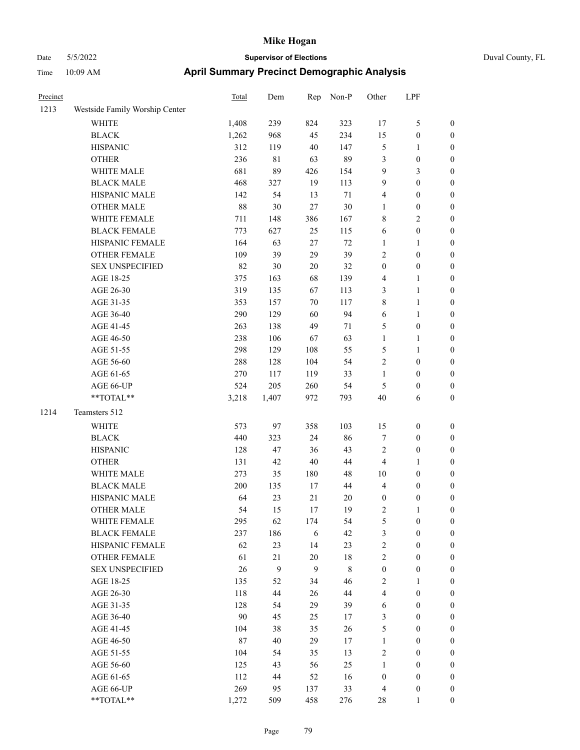|  | Duval County, FI |  |
|--|------------------|--|

| Precinct |                                | <b>Total</b> | Dem         | Rep          | Non-P       | Other                    | LPF                              |                                      |
|----------|--------------------------------|--------------|-------------|--------------|-------------|--------------------------|----------------------------------|--------------------------------------|
| 1213     | Westside Family Worship Center |              |             |              |             |                          |                                  |                                      |
|          | WHITE                          | 1,408        | 239         | 824          | 323         | 17                       | $\mathfrak{S}$                   | $\boldsymbol{0}$                     |
|          | <b>BLACK</b>                   | 1,262        | 968         | 45           | 234         | 15                       | $\boldsymbol{0}$                 | 0                                    |
|          | <b>HISPANIC</b>                | 312          | 119         | $40\,$       | 147         | 5                        | $\mathbf{1}$                     | 0                                    |
|          | <b>OTHER</b>                   | 236          | $8\sqrt{1}$ | 63           | 89          | 3                        | $\boldsymbol{0}$                 | $\boldsymbol{0}$                     |
|          | WHITE MALE                     | 681          | 89          | 426          | 154         | 9                        | $\mathfrak{Z}$                   | $\boldsymbol{0}$                     |
|          | <b>BLACK MALE</b>              | 468          | 327         | 19           | 113         | 9                        | $\boldsymbol{0}$                 | $\boldsymbol{0}$                     |
|          | HISPANIC MALE                  | 142          | 54          | 13           | 71          | 4                        | $\boldsymbol{0}$                 | $\boldsymbol{0}$                     |
|          | <b>OTHER MALE</b>              | $88\,$       | 30          | $27\,$       | 30          | $\mathbf{1}$             | $\boldsymbol{0}$                 | $\boldsymbol{0}$                     |
|          | WHITE FEMALE                   | 711          | 148         | 386          | 167         | 8                        | $\sqrt{2}$                       | $\boldsymbol{0}$                     |
|          | <b>BLACK FEMALE</b>            | 773          | 627         | 25           | 115         | 6                        | $\boldsymbol{0}$                 | $\boldsymbol{0}$                     |
|          | HISPANIC FEMALE                | 164          | 63          | $27\,$       | $72\,$      | 1                        | $\mathbf{1}$                     | $\boldsymbol{0}$                     |
|          | OTHER FEMALE                   | 109          | 39          | 29           | 39          | $\sqrt{2}$               | $\boldsymbol{0}$                 | 0                                    |
|          | <b>SEX UNSPECIFIED</b>         | 82           | 30          | 20           | 32          | $\boldsymbol{0}$         | $\boldsymbol{0}$                 | 0                                    |
|          | AGE 18-25                      | 375          | 163         | 68           | 139         | 4                        | $\mathbf{1}$                     | 0                                    |
|          | AGE 26-30                      | 319          | 135         | 67           | 113         | 3                        | $\mathbf{1}$                     | $\boldsymbol{0}$                     |
|          | AGE 31-35                      | 353          | 157         | 70           | 117         | 8                        | $\mathbf{1}$                     | $\boldsymbol{0}$                     |
|          | AGE 36-40                      | 290          | 129         | 60           | 94          | 6                        | $\mathbf{1}$                     | $\boldsymbol{0}$                     |
|          | AGE 41-45                      | 263          | 138         | 49           | 71          | 5                        | $\boldsymbol{0}$                 | $\boldsymbol{0}$                     |
|          | AGE 46-50                      | 238          | 106         | 67           | 63          | $\mathbf{1}$             | $\mathbf{1}$                     | $\boldsymbol{0}$                     |
|          | AGE 51-55                      | 298          | 129         | 108          | 55          | 5                        | 1                                | $\boldsymbol{0}$                     |
|          | AGE 56-60                      | 288          | 128         | 104          | 54          | 2                        | $\boldsymbol{0}$                 | 0                                    |
|          | AGE 61-65                      | 270          | 117         | 119          | 33          | $\mathbf{1}$             | $\boldsymbol{0}$                 | 0                                    |
|          | AGE 66-UP                      | 524          | 205         | 260          | 54          | 5                        | $\boldsymbol{0}$                 | 0                                    |
|          | **TOTAL**                      | 3,218        | 1,407       | 972          | 793         | 40                       | 6                                | $\boldsymbol{0}$                     |
| 1214     | Teamsters 512                  |              |             |              |             |                          |                                  |                                      |
|          | <b>WHITE</b>                   | 573          | 97          | 358          | 103         | 15                       | $\boldsymbol{0}$                 | $\boldsymbol{0}$                     |
|          | <b>BLACK</b>                   | 440          | 323         | 24           | 86          | 7                        | $\boldsymbol{0}$                 | $\boldsymbol{0}$                     |
|          | <b>HISPANIC</b>                | 128          | 47          | 36           | 43          | 2                        | $\boldsymbol{0}$                 | $\boldsymbol{0}$                     |
|          | <b>OTHER</b>                   | 131          | 42          | $40\,$       | $44\,$      | $\overline{4}$           | $\mathbf{1}$                     | $\boldsymbol{0}$                     |
|          | WHITE MALE                     | 273          | 35          | 180          | 48          | 10                       | $\boldsymbol{0}$                 | $\boldsymbol{0}$                     |
|          | <b>BLACK MALE</b>              | 200          | 135         | 17           | 44          | 4                        | $\boldsymbol{0}$                 | $\boldsymbol{0}$                     |
|          | HISPANIC MALE                  | 64           | 23          | $21\,$       | $20\,$      | $\boldsymbol{0}$         | $\boldsymbol{0}$                 | 0                                    |
|          | <b>OTHER MALE</b>              | 54           | 15          | 17           | 19          | 2                        | 1                                | $\boldsymbol{0}$                     |
|          | WHITE FEMALE                   | 295          | 62          | 174          | 54          | 5                        | $\boldsymbol{0}$                 | 0                                    |
|          | <b>BLACK FEMALE</b>            | 237          | 186         | 6            | 42          | 3                        | $\boldsymbol{0}$                 | 0                                    |
|          | HISPANIC FEMALE                | 62           | 23          | 14           | 23          | 2                        | $\boldsymbol{0}$                 | 0                                    |
|          | OTHER FEMALE                   | 61           | 21          | $20\,$       | $18\,$      | $\sqrt{2}$               | $\boldsymbol{0}$                 | $\overline{0}$                       |
|          | <b>SEX UNSPECIFIED</b>         | 26           | 9           | $\mathbf{9}$ | $\,$ 8 $\,$ | $\boldsymbol{0}$         | $\boldsymbol{0}$                 | $\overline{0}$                       |
|          | AGE 18-25                      | 135          | 52          | 34           | 46          | $\overline{c}$           | $\mathbf{1}$                     | 0                                    |
|          | AGE 26-30                      | 118          | 44          | 26           | $44\,$      | 4                        | $\boldsymbol{0}$                 | 0                                    |
|          | AGE 31-35                      | 128          | 54          | 29           | 39          | 6                        | $\boldsymbol{0}$                 | $\overline{0}$                       |
|          | AGE 36-40                      | 90           | 45          | 25           | 17          | 3                        | $\boldsymbol{0}$                 | 0                                    |
|          | AGE 41-45                      | 104          | 38          | 35           | $26\,$      | $\mathfrak s$            | $\boldsymbol{0}$                 | $\overline{0}$                       |
|          | AGE 46-50                      | 87           | 40          | 29           | 17          | $\mathbf{1}$             | $\boldsymbol{0}$                 | 0                                    |
|          | AGE 51-55                      | 104          | 54          | 35           | 13          | $\sqrt{2}$               | $\boldsymbol{0}$                 | 0                                    |
|          | AGE 56-60                      | 125          | 43          | 56           | 25          | $\mathbf{1}$             | $\boldsymbol{0}$                 | $\boldsymbol{0}$                     |
|          | AGE 61-65<br>AGE 66-UP         | 112<br>269   | 44          | 52           | 16          | $\boldsymbol{0}$         | $\boldsymbol{0}$                 | $\boldsymbol{0}$<br>$\boldsymbol{0}$ |
|          | $**TOTAL**$                    | 1,272        | 95<br>509   | 137<br>458   | 33<br>276   | $\overline{4}$<br>$28\,$ | $\boldsymbol{0}$<br>$\mathbf{1}$ | $\boldsymbol{0}$                     |
|          |                                |              |             |              |             |                          |                                  |                                      |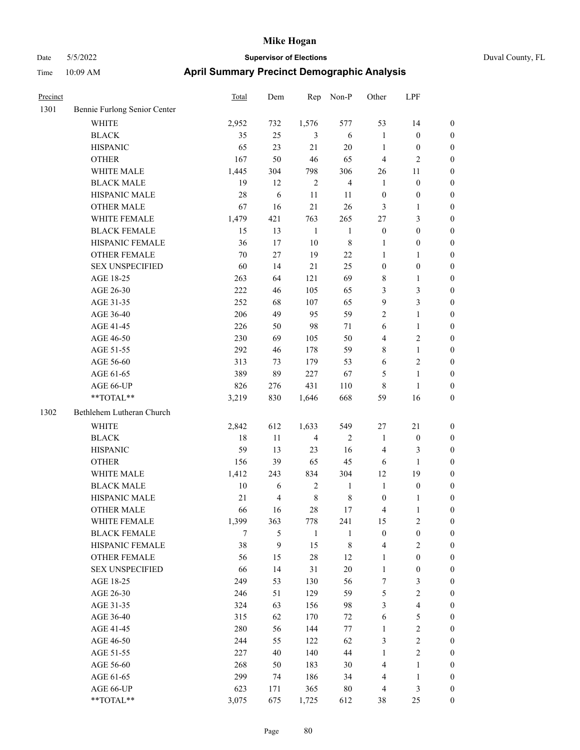|  | Duval County, F |  |
|--|-----------------|--|

| Precinct |                              | <b>Total</b> | Dem            | Rep          | Non-P          | Other            | LPF                     |                  |
|----------|------------------------------|--------------|----------------|--------------|----------------|------------------|-------------------------|------------------|
| 1301     | Bennie Furlong Senior Center |              |                |              |                |                  |                         |                  |
|          | WHITE                        | 2,952        | 732            | 1,576        | 577            | 53               | 14                      | $\boldsymbol{0}$ |
|          | <b>BLACK</b>                 | 35           | 25             | 3            | $\sqrt{6}$     | $\mathbf{1}$     | $\boldsymbol{0}$        | $\boldsymbol{0}$ |
|          | <b>HISPANIC</b>              | 65           | 23             | 21           | 20             | $\mathbf{1}$     | $\boldsymbol{0}$        | 0                |
|          | <b>OTHER</b>                 | 167          | 50             | $46\,$       | 65             | $\overline{4}$   | $\sqrt{2}$              | 0                |
|          | WHITE MALE                   | 1,445        | 304            | 798          | 306            | 26               | 11                      | 0                |
|          | <b>BLACK MALE</b>            | 19           | 12             | $\sqrt{2}$   | $\overline{4}$ | $\mathbf{1}$     | $\boldsymbol{0}$        | $\boldsymbol{0}$ |
|          | HISPANIC MALE                | 28           | 6              | 11           | 11             | $\boldsymbol{0}$ | $\boldsymbol{0}$        | $\boldsymbol{0}$ |
|          | <b>OTHER MALE</b>            | 67           | 16             | 21           | 26             | 3                | $\mathbf{1}$            | $\boldsymbol{0}$ |
|          | WHITE FEMALE                 | 1,479        | 421            | 763          | 265            | $27\,$           | $\mathfrak{Z}$          | $\boldsymbol{0}$ |
|          | <b>BLACK FEMALE</b>          | 15           | 13             | $\mathbf{1}$ | $\mathbf{1}$   | $\boldsymbol{0}$ | $\boldsymbol{0}$        | $\boldsymbol{0}$ |
|          | HISPANIC FEMALE              | 36           | 17             | $10\,$       | $\,$ 8 $\,$    | $\mathbf{1}$     | $\boldsymbol{0}$        | 0                |
|          | OTHER FEMALE                 | 70           | 27             | 19           | $22\,$         | $\mathbf{1}$     | $\mathbf{1}$            | 0                |
|          | <b>SEX UNSPECIFIED</b>       | 60           | 14             | 21           | 25             | $\boldsymbol{0}$ | $\boldsymbol{0}$        | 0                |
|          | AGE 18-25                    | 263          | 64             | 121          | 69             | 8                | $\mathbf{1}$            | 0                |
|          | AGE 26-30                    | 222          | 46             | 105          | 65             | 3                | $\mathfrak{Z}$          | 0                |
|          | AGE 31-35                    | 252          | 68             | 107          | 65             | 9                | 3                       | $\boldsymbol{0}$ |
|          | AGE 36-40                    | 206          | 49             | 95           | 59             | 2                | $\mathbf{1}$            | $\boldsymbol{0}$ |
|          | AGE 41-45                    | 226          | 50             | 98           | 71             | 6                | $\mathbf{1}$            | $\boldsymbol{0}$ |
|          | AGE 46-50                    | 230          | 69             | 105          | 50             | 4                | $\sqrt{2}$              | 0                |
|          | AGE 51-55                    | 292          | 46             | 178          | 59             | 8                | $\mathbf{1}$            | $\boldsymbol{0}$ |
|          | AGE 56-60                    | 313          | 73             | 179          | 53             | 6                | $\mathfrak{2}$          | 0                |
|          | AGE 61-65                    | 389          | 89             | 227          | 67             | 5                | $\mathbf{1}$            | 0                |
|          | AGE 66-UP                    | 826          | 276            | 431          | 110            | 8                | $\mathbf{1}$            | 0                |
|          | **TOTAL**                    | 3,219        | 830            | 1,646        | 668            | 59               | 16                      | 0                |
| 1302     | Bethlehem Lutheran Church    |              |                |              |                |                  |                         |                  |
|          | <b>WHITE</b>                 | 2,842        | 612            | 1,633        | 549            | 27               | 21                      | 0                |
|          | <b>BLACK</b>                 | 18           | 11             | 4            | $\overline{2}$ | $\mathbf{1}$     | $\boldsymbol{0}$        | 0                |
|          | <b>HISPANIC</b>              | 59           | 13             | 23           | 16             | $\overline{4}$   | 3                       | 0                |
|          | <b>OTHER</b>                 | 156          | 39             | 65           | 45             | 6                | $\mathbf{1}$            | $\boldsymbol{0}$ |
|          | WHITE MALE                   | 1,412        | 243            | 834          | 304            | 12               | 19                      | 0                |
|          | <b>BLACK MALE</b>            | 10           | 6              | $\sqrt{2}$   | $\mathbf{1}$   | $\mathbf{1}$     | $\boldsymbol{0}$        | $\boldsymbol{0}$ |
|          | HISPANIC MALE                | 21           | $\overline{4}$ | $\,$ 8 $\,$  | $\,$ 8 $\,$    | $\boldsymbol{0}$ | $\mathbf{1}$            | 0                |
|          | <b>OTHER MALE</b>            | 66           | 16             | 28           | 17             | 4                | $\mathbf{1}$            | $\boldsymbol{0}$ |
|          | WHITE FEMALE                 | 1,399        | 363            | 778          | 241            | 15               | $\sqrt{2}$              | 0                |
|          | <b>BLACK FEMALE</b>          | 7            | 5              | $\mathbf{1}$ | $\mathbf{1}$   | $\boldsymbol{0}$ | $\boldsymbol{0}$        | 0                |
|          | HISPANIC FEMALE              | 38           | 9              | 15           | $\,8\,$        | $\overline{4}$   | $\sqrt{2}$              | 0                |
|          | OTHER FEMALE                 | 56           | 15             | 28           | 12             | $\mathbf{1}$     | $\boldsymbol{0}$        | $\overline{0}$   |
|          | <b>SEX UNSPECIFIED</b>       | 66           | 14             | 31           | $20\,$         | $\mathbf{1}$     | $\boldsymbol{0}$        | $\overline{0}$   |
|          | AGE 18-25                    | 249          | 53             | 130          | 56             | 7                | $\mathfrak{Z}$          | $\overline{0}$   |
|          | AGE 26-30                    | 246          | 51             | 129          | 59             | 5                | $\mathfrak{2}$          | 0                |
|          | AGE 31-35                    | 324          | 63             | 156          | 98             | 3                | $\overline{\mathbf{4}}$ | 0                |
|          | AGE 36-40                    | 315          | 62             | 170          | 72             | 6                | 5                       | $\overline{0}$   |
|          | AGE 41-45                    | 280          | 56             | 144          | 77             | $\mathbf{1}$     | $\overline{2}$          | $\overline{0}$   |
|          | AGE 46-50                    | 244          | 55             | 122          | 62             | 3                | $\sqrt{2}$              | 0                |
|          | AGE 51-55                    | 227          | 40             | 140          | 44             | $\mathbf{1}$     | $\overline{2}$          | 0                |
|          | AGE 56-60                    | 268          | 50             | 183          | 30             | $\overline{4}$   | $\mathbf{1}$            | 0                |
|          | AGE 61-65                    | 299          | 74             | 186          | 34             | 4                | $\mathbf{1}$            | $\boldsymbol{0}$ |
|          | AGE 66-UP                    | 623          | 171            | 365          | $80\,$         | $\overline{4}$   | 3                       | 0                |
|          | **TOTAL**                    | 3,075        | 675            | 1,725        | 612            | 38               | 25                      | $\boldsymbol{0}$ |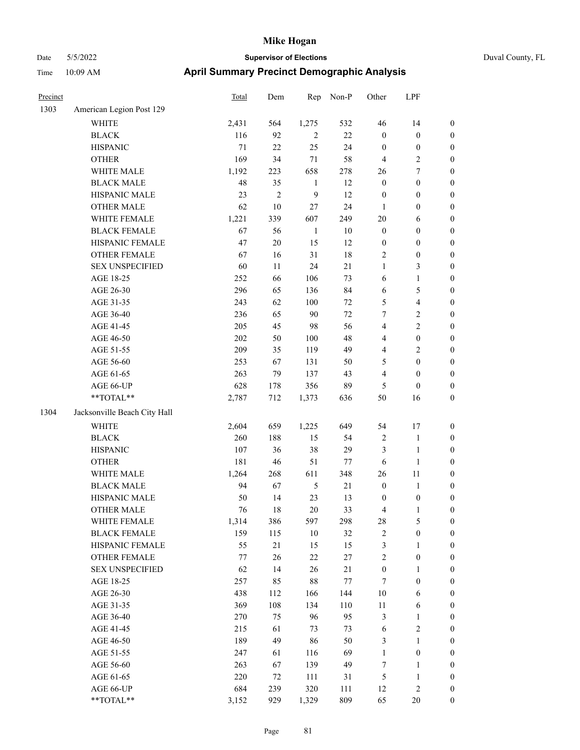## Date 5/5/2022 **Supervisor of Elections** Duval County, FL Time 10:09 AM **April Summary Precinct Demographic Analysis**

| Precinct |                              | Total  | Dem          | Rep          | Non-P  | Other            | LPF              |                  |
|----------|------------------------------|--------|--------------|--------------|--------|------------------|------------------|------------------|
| 1303     | American Legion Post 129     |        |              |              |        |                  |                  |                  |
|          | <b>WHITE</b>                 | 2,431  | 564          | 1,275        | 532    | 46               | 14               | $\boldsymbol{0}$ |
|          | <b>BLACK</b>                 | 116    | 92           | $\mathbf{2}$ | 22     | $\boldsymbol{0}$ | $\boldsymbol{0}$ | $\boldsymbol{0}$ |
|          | <b>HISPANIC</b>              | $71\,$ | 22           | 25           | 24     | $\boldsymbol{0}$ | $\boldsymbol{0}$ | $\boldsymbol{0}$ |
|          | <b>OTHER</b>                 | 169    | 34           | 71           | 58     | $\overline{4}$   | $\sqrt{2}$       | $\boldsymbol{0}$ |
|          | WHITE MALE                   | 1,192  | 223          | 658          | 278    | 26               | $\boldsymbol{7}$ | $\boldsymbol{0}$ |
|          | <b>BLACK MALE</b>            | 48     | 35           | $\mathbf{1}$ | 12     | $\boldsymbol{0}$ | $\boldsymbol{0}$ | $\boldsymbol{0}$ |
|          | HISPANIC MALE                | 23     | $\mathbf{2}$ | 9            | 12     | $\boldsymbol{0}$ | $\boldsymbol{0}$ | $\boldsymbol{0}$ |
|          | <b>OTHER MALE</b>            | 62     | 10           | 27           | 24     | $\mathbf{1}$     | $\boldsymbol{0}$ | $\boldsymbol{0}$ |
|          | WHITE FEMALE                 | 1,221  | 339          | 607          | 249    | $20\,$           | 6                | $\boldsymbol{0}$ |
|          | <b>BLACK FEMALE</b>          | 67     | 56           | $\mathbf{1}$ | $10\,$ | $\mathbf{0}$     | $\boldsymbol{0}$ | $\boldsymbol{0}$ |
|          | HISPANIC FEMALE              | 47     | $20\,$       | 15           | 12     | $\boldsymbol{0}$ | $\boldsymbol{0}$ | $\boldsymbol{0}$ |
|          | OTHER FEMALE                 | 67     | 16           | 31           | 18     | 2                | $\boldsymbol{0}$ | $\boldsymbol{0}$ |
|          | <b>SEX UNSPECIFIED</b>       | 60     | 11           | 24           | 21     | $\mathbf{1}$     | 3                | $\boldsymbol{0}$ |
|          | AGE 18-25                    | 252    | 66           | 106          | 73     | 6                | $\mathbf{1}$     | $\boldsymbol{0}$ |
|          | AGE 26-30                    | 296    | 65           | 136          | 84     | 6                | 5                | $\boldsymbol{0}$ |
|          | AGE 31-35                    | 243    | 62           | 100          | 72     | 5                | $\overline{4}$   | $\boldsymbol{0}$ |
|          | AGE 36-40                    | 236    | 65           | 90           | 72     | 7                | $\mathbf{2}$     | $\boldsymbol{0}$ |
|          | AGE 41-45                    | 205    | 45           | 98           | 56     | 4                | $\mathbf{2}$     | $\boldsymbol{0}$ |
|          | AGE 46-50                    | 202    | 50           | 100          | 48     | 4                | $\boldsymbol{0}$ | $\boldsymbol{0}$ |
|          | AGE 51-55                    | 209    | 35           | 119          | 49     | 4                | $\sqrt{2}$       | $\boldsymbol{0}$ |
|          | AGE 56-60                    | 253    | 67           | 131          | 50     | 5                | $\boldsymbol{0}$ | $\boldsymbol{0}$ |
|          | AGE 61-65                    | 263    | 79           | 137          | 43     | $\overline{4}$   | $\boldsymbol{0}$ | $\boldsymbol{0}$ |
|          | AGE 66-UP                    | 628    | 178          | 356          | 89     | 5                | $\boldsymbol{0}$ | $\boldsymbol{0}$ |
|          | **TOTAL**                    | 2,787  | 712          | 1,373        | 636    | 50               | 16               | $\boldsymbol{0}$ |
| 1304     | Jacksonville Beach City Hall |        |              |              |        |                  |                  |                  |
|          | WHITE                        | 2,604  | 659          | 1,225        | 649    | 54               | 17               | $\boldsymbol{0}$ |
|          | <b>BLACK</b>                 | 260    | 188          | 15           | 54     | $\sqrt{2}$       | $\mathbf{1}$     | $\boldsymbol{0}$ |
|          | <b>HISPANIC</b>              | 107    | 36           | 38           | 29     | 3                | $\mathbf{1}$     | $\boldsymbol{0}$ |
|          | <b>OTHER</b>                 | 181    | 46           | 51           | 77     | 6                | $\mathbf{1}$     | $\boldsymbol{0}$ |
|          | WHITE MALE                   | 1,264  | 268          | 611          | 348    | 26               | 11               | $\boldsymbol{0}$ |
|          | <b>BLACK MALE</b>            | 94     | 67           | 5            | 21     | $\boldsymbol{0}$ | $\mathbf{1}$     | $\boldsymbol{0}$ |
|          | HISPANIC MALE                | 50     | 14           | 23           | 13     | $\boldsymbol{0}$ | $\boldsymbol{0}$ | $\boldsymbol{0}$ |
|          | <b>OTHER MALE</b>            | 76     | 18           | 20           | 33     | 4                | $\mathbf{1}$     | $\boldsymbol{0}$ |
|          | WHITE FEMALE                 | 1,314  | 386          | 597          | 298    | $28\,$           | 5                | $\boldsymbol{0}$ |
|          | <b>BLACK FEMALE</b>          | 159    | 115          | $10\,$       | 32     | $\overline{c}$   | $\boldsymbol{0}$ | $\boldsymbol{0}$ |
|          | HISPANIC FEMALE              | 55     | 21           | 15           | 15     | 3                | $\mathbf{1}$     | $\boldsymbol{0}$ |
|          | OTHER FEMALE                 | $77\,$ | 26           | $22\,$       | 27     | $\overline{c}$   | $\boldsymbol{0}$ | $\boldsymbol{0}$ |
|          | <b>SEX UNSPECIFIED</b>       | 62     | 14           | 26           | 21     | $\boldsymbol{0}$ | 1                | $\boldsymbol{0}$ |
|          | AGE 18-25                    | 257    | 85           | 88           | 77     | $\tau$           | $\boldsymbol{0}$ | $\boldsymbol{0}$ |
|          | AGE 26-30                    | 438    | 112          | 166          | 144    | 10               | 6                | $\boldsymbol{0}$ |
|          | AGE 31-35                    | 369    | 108          | 134          | 110    | 11               | 6                | $\boldsymbol{0}$ |
|          | AGE 36-40                    | 270    | 75           | 96           | 95     | $\mathfrak{Z}$   | 1                | $\boldsymbol{0}$ |
|          | AGE 41-45                    | 215    | 61           | 73           | 73     | 6                | $\sqrt{2}$       | $\boldsymbol{0}$ |
|          | AGE 46-50                    | 189    | 49           | 86           | 50     | 3                | $\mathbf{1}$     | $\boldsymbol{0}$ |

AGE 51-55 247 61 116 69 1 0 0 AGE 56-60 263 67 139 49 7 1 0 AGE 61-65 220 72 111 31 5 1 0 AGE 66-UP 684 239 320 111 12 2 0 \*\*TOTAL\*\* 3,152 929 1,329 809 65 20 0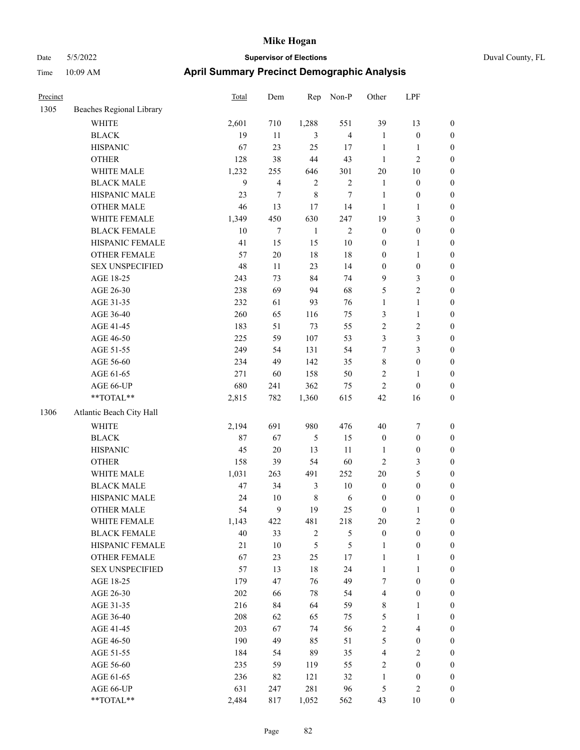| Precinct |                          | <b>Total</b> | Dem    | Rep          | Non-P                   | Other            | LPF                     |                  |
|----------|--------------------------|--------------|--------|--------------|-------------------------|------------------|-------------------------|------------------|
| 1305     | Beaches Regional Library |              |        |              |                         |                  |                         |                  |
|          | WHITE                    | 2,601        | 710    | 1,288        | 551                     | 39               | 13                      | $\boldsymbol{0}$ |
|          | <b>BLACK</b>             | 19           | $11\,$ | 3            | $\overline{\mathbf{4}}$ | $\mathbf{1}$     | $\boldsymbol{0}$        | $\boldsymbol{0}$ |
|          | <b>HISPANIC</b>          | 67           | 23     | 25           | 17                      | $\mathbf{1}$     | $\mathbf{1}$            | $\boldsymbol{0}$ |
|          | <b>OTHER</b>             | 128          | 38     | $44\,$       | 43                      | $\mathbf{1}$     | $\mathbf{2}$            | 0                |
|          | WHITE MALE               | 1,232        | 255    | 646          | 301                     | 20               | $10\,$                  | 0                |
|          | <b>BLACK MALE</b>        | 9            | 4      | $\mathbf{2}$ | $\sqrt{2}$              | $\mathbf{1}$     | $\boldsymbol{0}$        | $\boldsymbol{0}$ |
|          | HISPANIC MALE            | 23           | 7      | $\,8\,$      | 7                       | $\mathbf{1}$     | $\boldsymbol{0}$        | $\boldsymbol{0}$ |
|          | <b>OTHER MALE</b>        | 46           | 13     | 17           | 14                      | $\mathbf{1}$     | $\mathbf{1}$            | $\boldsymbol{0}$ |
|          | WHITE FEMALE             | 1,349        | 450    | 630          | 247                     | 19               | $\mathfrak{Z}$          | $\boldsymbol{0}$ |
|          | <b>BLACK FEMALE</b>      | 10           | 7      | $\mathbf{1}$ | $\mathbf{2}$            | $\boldsymbol{0}$ | $\boldsymbol{0}$        | $\boldsymbol{0}$ |
|          | HISPANIC FEMALE          | 41           | 15     | 15           | $10\,$                  | $\boldsymbol{0}$ | $\mathbf{1}$            | $\boldsymbol{0}$ |
|          | OTHER FEMALE             | 57           | $20\,$ | 18           | $18\,$                  | $\boldsymbol{0}$ | 1                       | $\boldsymbol{0}$ |
|          | <b>SEX UNSPECIFIED</b>   | 48           | 11     | 23           | 14                      | $\boldsymbol{0}$ | $\boldsymbol{0}$        | 0                |
|          | AGE 18-25                | 243          | 73     | 84           | 74                      | 9                | 3                       | 0                |
|          | AGE 26-30                | 238          | 69     | 94           | 68                      | 5                | $\sqrt{2}$              | 0                |
|          | AGE 31-35                | 232          | 61     | 93           | 76                      | $\mathbf{1}$     | $\mathbf{1}$            | $\boldsymbol{0}$ |
|          | AGE 36-40                | 260          | 65     | 116          | 75                      | 3                | 1                       | $\boldsymbol{0}$ |
|          | AGE 41-45                | 183          | 51     | 73           | 55                      | 2                | $\sqrt{2}$              | $\boldsymbol{0}$ |
|          | AGE 46-50                | 225          | 59     | 107          | 53                      | 3                | $\mathfrak{Z}$          | $\boldsymbol{0}$ |
|          | AGE 51-55                | 249          | 54     | 131          | 54                      | 7                | $\mathfrak{Z}$          | $\boldsymbol{0}$ |
|          | AGE 56-60                | 234          | 49     | 142          | 35                      | 8                | $\boldsymbol{0}$        | $\boldsymbol{0}$ |
|          | AGE 61-65                | 271          | 60     | 158          | 50                      | $\overline{c}$   | 1                       | $\boldsymbol{0}$ |
|          | AGE 66-UP                | 680          | 241    | 362          | 75                      | 2                | $\boldsymbol{0}$        | 0                |
|          | $**TOTAL**$              | 2,815        | 782    | 1,360        | 615                     | 42               | 16                      | 0                |
| 1306     | Atlantic Beach City Hall |              |        |              |                         |                  |                         |                  |
|          | <b>WHITE</b>             | 2,194        | 691    | 980          | 476                     | 40               | 7                       | 0                |
|          | <b>BLACK</b>             | 87           | 67     | 5            | 15                      | $\boldsymbol{0}$ | $\boldsymbol{0}$        | 0                |
|          | <b>HISPANIC</b>          | 45           | $20\,$ | 13           | 11                      | 1                | $\boldsymbol{0}$        | 0                |
|          | <b>OTHER</b>             | 158          | 39     | 54           | 60                      | 2                | 3                       | $\boldsymbol{0}$ |
|          | WHITE MALE               | 1,031        | 263    | 491          | 252                     | $20\,$           | $\mathfrak{S}$          | $\boldsymbol{0}$ |
|          | <b>BLACK MALE</b>        | 47           | 34     | 3            | $10\,$                  | $\boldsymbol{0}$ | $\boldsymbol{0}$        | $\boldsymbol{0}$ |
|          | HISPANIC MALE            | 24           | 10     | $\,$ 8 $\,$  | 6                       | $\boldsymbol{0}$ | $\boldsymbol{0}$        | $\boldsymbol{0}$ |
|          | <b>OTHER MALE</b>        | 54           | 9      | 19           | 25                      | $\boldsymbol{0}$ | $\mathbf{1}$            | $\boldsymbol{0}$ |
|          | WHITE FEMALE             | 1,143        | 422    | 481          | 218                     | $20\,$           | $\sqrt{2}$              | 0                |
|          | <b>BLACK FEMALE</b>      | 40           | 33     | $\sqrt{2}$   | 5                       | $\boldsymbol{0}$ | $\boldsymbol{0}$        | 0                |
|          | HISPANIC FEMALE          | $21\,$       | $10\,$ | 5            | 5                       | $\mathbf{1}$     | $\boldsymbol{0}$        | 0                |
|          | OTHER FEMALE             | 67           | 23     | 25           | $17\,$                  | $\mathbf{1}$     | $\mathbf{1}$            | 0                |
|          | <b>SEX UNSPECIFIED</b>   | 57           | 13     | $18\,$       | 24                      | $\mathbf{1}$     | $\mathbf{1}$            | 0                |
|          | AGE 18-25                | 179          | 47     | 76           | 49                      | 7                | $\boldsymbol{0}$        | $\boldsymbol{0}$ |
|          | AGE 26-30                | 202          | 66     | $78\,$       | 54                      | 4                | $\boldsymbol{0}$        | $\overline{0}$   |
|          | AGE 31-35                | 216          | 84     | 64           | 59                      | 8                | $\mathbf{1}$            | 0                |
|          | AGE 36-40                | 208          | 62     | 65           | 75                      | 5                | $\mathbf{1}$            | 0                |
|          | AGE 41-45                | 203          | 67     | 74           | 56                      | $\sqrt{2}$       | $\overline{\mathbf{4}}$ | $\overline{0}$   |
|          | AGE 46-50                | 190          | 49     | 85           | 51                      | 5                | $\boldsymbol{0}$        | 0                |
|          | AGE 51-55                | 184          | 54     | 89           | 35                      | $\overline{4}$   | $\sqrt{2}$              | 0                |
|          | AGE 56-60                | 235          | 59     | 119          | 55                      | $\sqrt{2}$       | $\boldsymbol{0}$        | 0                |
|          | AGE 61-65                | 236          | 82     | 121          | 32                      | $\mathbf{1}$     | $\boldsymbol{0}$        | 0                |
|          | AGE 66-UP                | 631          | 247    | 281          | 96                      | 5                | $\sqrt{2}$              | 0                |
|          | $**TOTAL**$              | 2,484        | 817    | 1,052        | 562                     | 43               | $10\,$                  | $\boldsymbol{0}$ |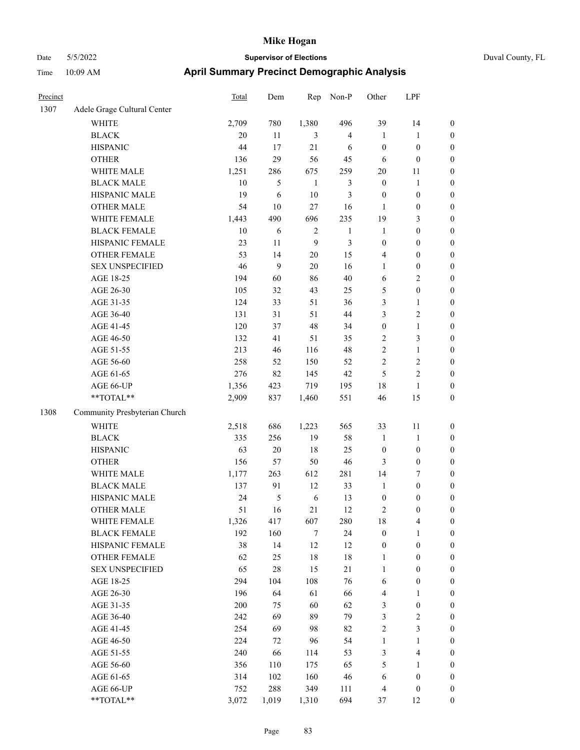| Precinct |                               | <b>Total</b> | Dem        | Rep          | Non-P                   | Other            | LPF                     |                  |
|----------|-------------------------------|--------------|------------|--------------|-------------------------|------------------|-------------------------|------------------|
| 1307     | Adele Grage Cultural Center   |              |            |              |                         |                  |                         |                  |
|          | <b>WHITE</b>                  | 2,709        | 780        | 1,380        | 496                     | 39               | 14                      | $\boldsymbol{0}$ |
|          | <b>BLACK</b>                  | 20           | 11         | 3            | $\overline{\mathbf{4}}$ | $\mathbf{1}$     | $\mathbf{1}$            | $\boldsymbol{0}$ |
|          | <b>HISPANIC</b>               | 44           | 17         | 21           | 6                       | $\boldsymbol{0}$ | $\boldsymbol{0}$        | 0                |
|          | <b>OTHER</b>                  | 136          | 29         | 56           | 45                      | 6                | $\boldsymbol{0}$        | 0                |
|          | WHITE MALE                    | 1,251        | 286        | 675          | 259                     | $20\,$           | 11                      | $\boldsymbol{0}$ |
|          | <b>BLACK MALE</b>             | 10           | 5          | $\mathbf{1}$ | 3                       | $\boldsymbol{0}$ | $\mathbf{1}$            | $\boldsymbol{0}$ |
|          | HISPANIC MALE                 | 19           | 6          | $10\,$       | 3                       | $\boldsymbol{0}$ | $\boldsymbol{0}$        | $\boldsymbol{0}$ |
|          | <b>OTHER MALE</b>             | 54           | 10         | $27\,$       | 16                      | $\mathbf{1}$     | $\boldsymbol{0}$        | $\boldsymbol{0}$ |
|          | WHITE FEMALE                  | 1,443        | 490        | 696          | 235                     | 19               | $\mathfrak{Z}$          | $\boldsymbol{0}$ |
|          | <b>BLACK FEMALE</b>           | 10           | $\sqrt{6}$ | $\sqrt{2}$   | $\mathbf{1}$            | $\mathbf{1}$     | $\boldsymbol{0}$        | $\boldsymbol{0}$ |
|          | HISPANIC FEMALE               | 23           | 11         | 9            | 3                       | $\boldsymbol{0}$ | $\boldsymbol{0}$        | $\boldsymbol{0}$ |
|          | OTHER FEMALE                  | 53           | 14         | $20\,$       | 15                      | 4                | $\boldsymbol{0}$        | $\boldsymbol{0}$ |
|          | <b>SEX UNSPECIFIED</b>        | 46           | 9          | 20           | 16                      | $\mathbf{1}$     | $\boldsymbol{0}$        | 0                |
|          | AGE 18-25                     | 194          | 60         | 86           | $40\,$                  | 6                | $\sqrt{2}$              | 0                |
|          | AGE 26-30                     | 105          | 32         | 43           | 25                      | 5                | $\boldsymbol{0}$        | 0                |
|          | AGE 31-35                     | 124          | 33         | 51           | 36                      | 3                | $\mathbf{1}$            | $\boldsymbol{0}$ |
|          | AGE 36-40                     | 131          | 31         | 51           | 44                      | 3                | $\sqrt{2}$              | $\boldsymbol{0}$ |
|          | AGE 41-45                     | 120          | 37         | 48           | 34                      | $\boldsymbol{0}$ | $\mathbf{1}$            | $\boldsymbol{0}$ |
|          | AGE 46-50                     | 132          | 41         | 51           | 35                      | $\overline{c}$   | $\mathfrak{Z}$          | $\boldsymbol{0}$ |
|          | AGE 51-55                     | 213          | 46         | 116          | 48                      | $\overline{c}$   | $\mathbf{1}$            | $\boldsymbol{0}$ |
|          | AGE 56-60                     | 258          | 52         | 150          | 52                      | $\overline{c}$   | $\sqrt{2}$              | $\boldsymbol{0}$ |
|          | AGE 61-65                     | 276          | 82         | 145          | 42                      | 5                | $\overline{c}$          | 0                |
|          | AGE 66-UP                     | 1,356        | 423        | 719          | 195                     | 18               | $\mathbf{1}$            | 0                |
|          | **TOTAL**                     | 2,909        | 837        | 1,460        | 551                     | 46               | 15                      | $\boldsymbol{0}$ |
| 1308     | Community Presbyterian Church |              |            |              |                         |                  |                         |                  |
|          | <b>WHITE</b>                  | 2,518        | 686        | 1,223        | 565                     | 33               | 11                      | 0                |
|          | <b>BLACK</b>                  | 335          | 256        | 19           | 58                      | $\mathbf{1}$     | $\mathbf{1}$            | 0                |
|          | <b>HISPANIC</b>               | 63           | $20\,$     | 18           | 25                      | $\boldsymbol{0}$ | $\boldsymbol{0}$        | 0                |
|          | <b>OTHER</b>                  | 156          | 57         | 50           | 46                      | 3                | $\boldsymbol{0}$        | $\boldsymbol{0}$ |
|          | WHITE MALE                    | 1,177        | 263        | 612          | 281                     | 14               | 7                       | $\boldsymbol{0}$ |
|          | <b>BLACK MALE</b>             | 137          | 91         | 12           | 33                      | $\mathbf{1}$     | $\boldsymbol{0}$        | $\boldsymbol{0}$ |
|          | HISPANIC MALE                 | 24           | 5          | 6            | 13                      | $\boldsymbol{0}$ | $\boldsymbol{0}$        | $\boldsymbol{0}$ |
|          | <b>OTHER MALE</b>             | 51           | 16         | 21           | 12                      | 2                | $\boldsymbol{0}$        | $\boldsymbol{0}$ |
|          | WHITE FEMALE                  | 1,326        | 417        | 607          | 280                     | 18               | $\overline{\mathbf{4}}$ | 0                |
|          | <b>BLACK FEMALE</b>           | 192          | 160        | $\tau$       | 24                      | $\boldsymbol{0}$ | $\mathbf{1}$            | 0                |
|          | HISPANIC FEMALE               | 38           | 14         | 12           | 12                      | $\boldsymbol{0}$ | $\boldsymbol{0}$        | 0                |
|          | OTHER FEMALE                  | 62           | 25         | $18\,$       | $18\,$                  | $\mathbf{1}$     | $\boldsymbol{0}$        | 0                |
|          | <b>SEX UNSPECIFIED</b>        | 65           | $28\,$     | 15           | 21                      | $\mathbf{1}$     | $\boldsymbol{0}$        | 0                |
|          | AGE 18-25                     | 294          | 104        | 108          | 76                      | 6                | $\boldsymbol{0}$        | $\boldsymbol{0}$ |
|          | AGE 26-30                     | 196          | 64         | 61           | 66                      | $\overline{4}$   | $\mathbf{1}$            | 0                |
|          | AGE 31-35                     | 200          | 75         | 60           | 62                      | 3                | $\boldsymbol{0}$        | 0                |
|          | AGE 36-40                     | 242          | 69         | 89           | 79                      | 3                | $\sqrt{2}$              | 0                |
|          | AGE 41-45                     | 254          | 69         | 98           | 82                      | $\sqrt{2}$       | $\mathfrak{Z}$          | $\overline{0}$   |
|          | AGE 46-50                     | 224          | 72         | 96           | 54                      | $\mathbf{1}$     | $\mathbf{1}$            | $\boldsymbol{0}$ |
|          | AGE 51-55                     | 240          | 66         | 114          | 53                      | 3                | $\overline{\mathbf{4}}$ | 0                |
|          | AGE 56-60                     | 356          | 110        | 175          | 65                      | 5                | $\mathbf{1}$            | 0                |
|          | AGE 61-65                     | 314          | 102        | 160          | 46                      | 6                | $\boldsymbol{0}$        | $\boldsymbol{0}$ |
|          | AGE 66-UP                     | 752          | 288        | 349          | 111                     | $\overline{4}$   | $\boldsymbol{0}$        | 0                |
|          | $**TOTAL**$                   | 3,072        | 1,019      | 1,310        | 694                     | 37               | 12                      | $\boldsymbol{0}$ |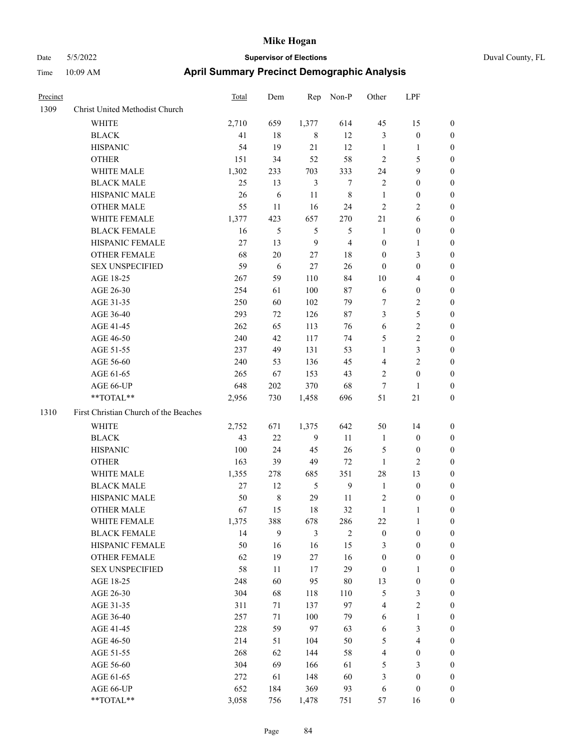| Precinct |                                       | <b>Total</b> | Dem            | Rep            | Non-P          | Other            | LPF                     |                  |
|----------|---------------------------------------|--------------|----------------|----------------|----------------|------------------|-------------------------|------------------|
| 1309     | Christ United Methodist Church        |              |                |                |                |                  |                         |                  |
|          | WHITE                                 | 2,710        | 659            | 1,377          | 614            | 45               | 15                      | $\mathbf{0}$     |
|          | <b>BLACK</b>                          | 41           | 18             | 8              | 12             | $\mathfrak{Z}$   | $\boldsymbol{0}$        | $\mathbf{0}$     |
|          | <b>HISPANIC</b>                       | 54           | 19             | 21             | 12             | $\mathbf{1}$     | 1                       | $\boldsymbol{0}$ |
|          | <b>OTHER</b>                          | 151          | 34             | 52             | 58             | $\overline{2}$   | 5                       | $\boldsymbol{0}$ |
|          | WHITE MALE                            | 1,302        | 233            | 703            | 333            | 24               | 9                       | $\boldsymbol{0}$ |
|          | <b>BLACK MALE</b>                     | 25           | 13             | $\mathfrak{Z}$ | $\overline{7}$ | $\overline{2}$   | $\boldsymbol{0}$        | $\boldsymbol{0}$ |
|          | HISPANIC MALE                         | 26           | 6              | 11             | 8              | $\mathbf{1}$     | $\boldsymbol{0}$        | $\boldsymbol{0}$ |
|          | <b>OTHER MALE</b>                     | 55           | 11             | 16             | 24             | $\overline{2}$   | 2                       | $\boldsymbol{0}$ |
|          | WHITE FEMALE                          | 1,377        | 423            | 657            | 270            | 21               | 6                       | $\boldsymbol{0}$ |
|          | <b>BLACK FEMALE</b>                   | 16           | $\mathfrak{S}$ | 5              | $\mathfrak{S}$ | $\mathbf{1}$     | $\boldsymbol{0}$        | $\boldsymbol{0}$ |
|          | HISPANIC FEMALE                       | 27           | 13             | 9              | $\overline{4}$ | $\boldsymbol{0}$ | 1                       | $\boldsymbol{0}$ |
|          | <b>OTHER FEMALE</b>                   | 68           | 20             | 27             | 18             | $\boldsymbol{0}$ | 3                       | $\boldsymbol{0}$ |
|          | <b>SEX UNSPECIFIED</b>                | 59           | 6              | 27             | 26             | $\mathbf{0}$     | $\boldsymbol{0}$        | $\boldsymbol{0}$ |
|          | AGE 18-25                             | 267          | 59             | 110            | 84             | 10               | 4                       | $\boldsymbol{0}$ |
|          | AGE 26-30                             | 254          | 61             | 100            | 87             | 6                | $\boldsymbol{0}$        | $\boldsymbol{0}$ |
|          | AGE 31-35                             | 250          | 60             | 102            | 79             | $\tau$           | 2                       | $\boldsymbol{0}$ |
|          | AGE 36-40                             | 293          | 72             | 126            | 87             | 3                | 5                       | $\boldsymbol{0}$ |
|          | AGE 41-45                             | 262          | 65             | 113            | 76             | 6                | $\overline{c}$          | $\boldsymbol{0}$ |
|          | AGE 46-50                             | 240          | 42             | 117            | 74             | 5                | $\overline{c}$          | $\boldsymbol{0}$ |
|          | AGE 51-55                             | 237          | 49             | 131            | 53             | $\mathbf{1}$     | 3                       | $\boldsymbol{0}$ |
|          | AGE 56-60                             | 240          | 53             | 136            | 45             | $\overline{4}$   | 2                       | $\boldsymbol{0}$ |
|          | AGE 61-65                             | 265          | 67             | 153            | 43             | $\overline{2}$   | $\boldsymbol{0}$        | $\boldsymbol{0}$ |
|          | AGE 66-UP                             | 648          | 202            | 370            | 68             | $\tau$           | 1                       | $\boldsymbol{0}$ |
|          | **TOTAL**                             | 2,956        | 730            | 1,458          | 696            | 51               | 21                      | $\boldsymbol{0}$ |
| 1310     | First Christian Church of the Beaches |              |                |                |                |                  |                         |                  |
|          | <b>WHITE</b>                          | 2,752        | 671            | 1,375          | 642            | 50               | 14                      | $\boldsymbol{0}$ |
|          | <b>BLACK</b>                          | 43           | 22             | 9              | 11             | -1               | $\mathbf{0}$            | $\boldsymbol{0}$ |
|          | <b>HISPANIC</b>                       | 100          | 24             | 45             | 26             | 5                | $\boldsymbol{0}$        | $\boldsymbol{0}$ |
|          | <b>OTHER</b>                          | 163          | 39             | 49             | 72             | 1                | 2                       | $\boldsymbol{0}$ |
|          | WHITE MALE                            | 1,355        | 278            | 685            | 351            | 28               | 13                      | $\boldsymbol{0}$ |
|          | <b>BLACK MALE</b>                     | 27           | 12             | 5              | 9              | $\mathbf{1}$     | $\boldsymbol{0}$        | $\boldsymbol{0}$ |
|          | HISPANIC MALE                         | 50           | 8              | 29             | 11             | $\sqrt{2}$       | $\boldsymbol{0}$        | $\boldsymbol{0}$ |
|          | <b>OTHER MALE</b>                     | 67           | 15             | 18             | 32             | $\mathbf{1}$     | 1                       | $\boldsymbol{0}$ |
|          | WHITE FEMALE                          | 1,375        | 388            | 678            | 286            | 22               | $\mathbf{1}$            | $\mathbf{0}$     |
|          | <b>BLACK FEMALE</b>                   | 14           | 9              | $\mathfrak{Z}$ | $\overline{2}$ | $\boldsymbol{0}$ | $\boldsymbol{0}$        | $\boldsymbol{0}$ |
|          | HISPANIC FEMALE                       | 50           | 16             | 16             | 15             | $\mathfrak{Z}$   | $\boldsymbol{0}$        | $\boldsymbol{0}$ |
|          | OTHER FEMALE                          | 62           | 19             | $27\,$         | 16             | $\boldsymbol{0}$ | $\boldsymbol{0}$        | $\boldsymbol{0}$ |
|          | <b>SEX UNSPECIFIED</b>                | 58           | 11             | 17             | 29             | $\boldsymbol{0}$ | 1                       | $\boldsymbol{0}$ |
|          | AGE 18-25                             | 248          | 60             | 95             | 80             | 13               | $\boldsymbol{0}$        | $\boldsymbol{0}$ |
|          | AGE 26-30                             | 304          | 68             | 118            | 110            | $\sqrt{5}$       | 3                       | $\boldsymbol{0}$ |
|          | AGE 31-35                             | 311          | 71             | 137            | 97             | $\overline{4}$   | $\overline{\mathbf{c}}$ | $\boldsymbol{0}$ |
|          | AGE 36-40                             | 257          | 71             | 100            | 79             | 6                | $\mathbf{1}$            | $\boldsymbol{0}$ |
|          | AGE 41-45                             | 228          | 59             | 97             | 63             | 6                | 3                       | $\boldsymbol{0}$ |
|          | AGE 46-50                             | 214          | 51             | 104            | 50             | $\sqrt{5}$       | 4                       | $\boldsymbol{0}$ |
|          | AGE 51-55                             | 268          | 62             | 144            | 58             | $\overline{4}$   | $\boldsymbol{0}$        | $\boldsymbol{0}$ |
|          | AGE 56-60                             | 304          | 69             | 166            | 61             | $\sqrt{5}$       | 3                       | $\boldsymbol{0}$ |
|          | AGE 61-65                             | 272          | 61             | 148            | 60             | $\mathfrak{Z}$   | $\boldsymbol{0}$        | $\boldsymbol{0}$ |
|          | AGE 66-UP                             | 652          | 184            | 369            | 93             | 6                | $\boldsymbol{0}$        | $\mathbf{0}$     |
|          | **TOTAL**                             | 3,058        | 756            | 1,478          | 751            | 57               | 16                      | $\boldsymbol{0}$ |
|          |                                       |              |                |                |                |                  |                         |                  |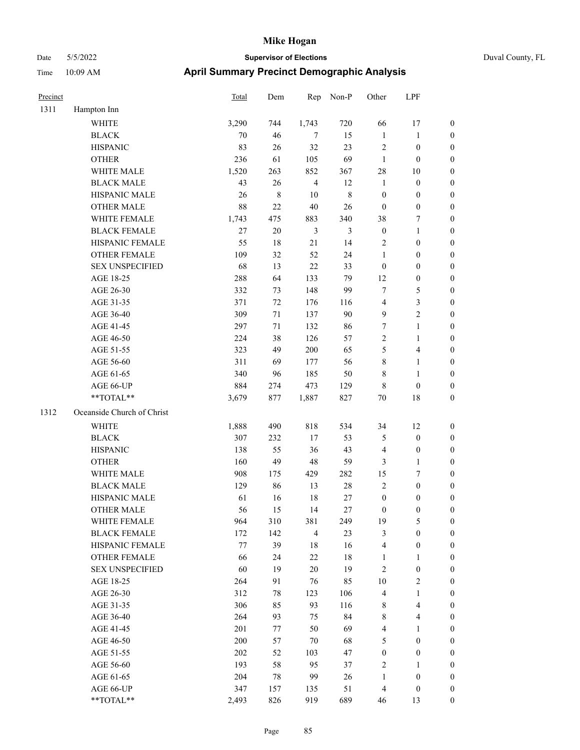|  | Duval County, FL |  |
|--|------------------|--|
|--|------------------|--|

| Precinct |                                                           | <b>Total</b> | Dem       | Rep            | Non-P          | Other                   | LPF                     |                  |
|----------|-----------------------------------------------------------|--------------|-----------|----------------|----------------|-------------------------|-------------------------|------------------|
| 1311     | Hampton Inn                                               |              |           |                |                |                         |                         |                  |
|          | WHITE                                                     | 3,290        | 744       | 1,743          | 720            | 66                      | 17                      | $\boldsymbol{0}$ |
|          | <b>BLACK</b>                                              | 70           | 46        | $\tau$         | 15             | $\mathbf{1}$            | $\mathbf{1}$            | $\boldsymbol{0}$ |
|          | <b>HISPANIC</b>                                           | 83           | 26        | 32             | 23             | $\sqrt{2}$              | $\boldsymbol{0}$        | $\boldsymbol{0}$ |
|          | <b>OTHER</b>                                              | 236          | 61        | 105            | 69             | $\mathbf{1}$            | $\boldsymbol{0}$        | $\boldsymbol{0}$ |
|          | WHITE MALE                                                | 1,520        | 263       | 852            | 367            | $28\,$                  | 10                      | $\boldsymbol{0}$ |
|          | <b>BLACK MALE</b>                                         | 43           | 26        | $\overline{4}$ | 12             | $\mathbf{1}$            | $\boldsymbol{0}$        | $\boldsymbol{0}$ |
|          | HISPANIC MALE                                             | 26           | $\,$ $\,$ | $10\,$         | $\,8\,$        | $\boldsymbol{0}$        | $\boldsymbol{0}$        | $\boldsymbol{0}$ |
|          | <b>OTHER MALE</b>                                         | 88           | 22        | $40\,$         | 26             | $\boldsymbol{0}$        | $\boldsymbol{0}$        | $\boldsymbol{0}$ |
|          | WHITE FEMALE                                              | 1,743        | 475       | 883            | 340            | 38                      | $\tau$                  | $\boldsymbol{0}$ |
|          | <b>BLACK FEMALE</b>                                       | 27           | $20\,$    | $\mathfrak{Z}$ | $\mathfrak{Z}$ | $\boldsymbol{0}$        | $\mathbf{1}$            | $\boldsymbol{0}$ |
|          | HISPANIC FEMALE                                           | 55           | 18        | 21             | 14             | 2                       | $\boldsymbol{0}$        | 0                |
|          | OTHER FEMALE                                              | 109          | 32        | 52             | 24             | $\mathbf{1}$            | $\boldsymbol{0}$        | 0                |
|          | <b>SEX UNSPECIFIED</b>                                    | 68           | 13        | $22\,$         | 33             | $\boldsymbol{0}$        | $\boldsymbol{0}$        | $\boldsymbol{0}$ |
|          | AGE 18-25                                                 | 288          | 64        | 133            | 79             | 12                      | $\boldsymbol{0}$        | $\boldsymbol{0}$ |
|          | AGE 26-30                                                 | 332          | 73        | 148            | 99             | 7                       | $\mathfrak{S}$          | $\boldsymbol{0}$ |
|          | AGE 31-35                                                 | 371          | $72\,$    | 176            | 116            | 4                       | $\mathfrak{Z}$          | $\boldsymbol{0}$ |
|          | AGE 36-40                                                 | 309          | 71        | 137            | $90\,$         | 9                       | $\sqrt{2}$              | $\boldsymbol{0}$ |
|          | AGE 41-45                                                 | 297          | 71        | 132            | 86             | 7                       | $\mathbf{1}$            | $\boldsymbol{0}$ |
|          | AGE 46-50                                                 | 224          | 38        | 126            | 57             | $\mathfrak{2}$          | $\mathbf{1}$            | $\boldsymbol{0}$ |
|          | AGE 51-55                                                 | 323          | 49        | 200            | 65             | 5                       | $\overline{\mathbf{4}}$ | 0                |
|          | AGE 56-60                                                 | 311          | 69        | 177            | 56             | 8                       | $\mathbf{1}$            | 0                |
|          | AGE 61-65                                                 | 340          | 96        | 185            | 50             | 8                       | $\mathbf{1}$            | 0                |
|          | AGE 66-UP                                                 | 884          | 274       | 473            | 129            | $\,$ 8 $\,$             | $\boldsymbol{0}$        | 0                |
|          | **TOTAL**                                                 | 3,679        | 877       | 1,887          | 827            | $70\,$                  | 18                      | $\boldsymbol{0}$ |
| 1312     | Oceanside Church of Christ                                |              |           |                |                |                         |                         |                  |
|          | <b>WHITE</b>                                              | 1,888        | 490       | 818            | 534            | 34                      | 12                      | $\boldsymbol{0}$ |
|          | <b>BLACK</b>                                              | 307          | 232       | $17\,$         | 53             | 5                       | $\boldsymbol{0}$        | $\boldsymbol{0}$ |
|          | <b>HISPANIC</b>                                           | 138          | 55        | 36             | 43             | 4                       | $\boldsymbol{0}$        | $\boldsymbol{0}$ |
|          | <b>OTHER</b>                                              | 160          | 49        | 48             | 59             | 3                       | $\mathbf{1}$            | $\boldsymbol{0}$ |
|          | WHITE MALE                                                | 908          | 175       | 429            | 282            | 15                      | 7                       | $\boldsymbol{0}$ |
|          | <b>BLACK MALE</b>                                         | 129          | 86        | 13             | $28\,$         | $\sqrt{2}$              | $\boldsymbol{0}$        | $\boldsymbol{0}$ |
|          | HISPANIC MALE                                             | 61           | 16        | 18             | 27             | $\boldsymbol{0}$        | $\boldsymbol{0}$        | $\boldsymbol{0}$ |
|          | <b>OTHER MALE</b>                                         | 56           | 15        | 14             | 27             | $\boldsymbol{0}$        | $\boldsymbol{0}$        | $\boldsymbol{0}$ |
|          | WHITE FEMALE                                              | 964          | 310       | 381            | 249            | 19                      | $\mathfrak{S}$          | 0                |
|          | <b>BLACK FEMALE</b>                                       | 172          | 142       | $\overline{4}$ | 23             | 3                       | $\boldsymbol{0}$        | 0                |
|          | HISPANIC FEMALE                                           | 77           | 39        | 18             | 16             | $\overline{4}$          | $\boldsymbol{0}$        | 0                |
|          | <b>OTHER FEMALE</b>                                       | 66           | 24        | 22             | $18\,$         | 1                       | $\mathbf{1}$            | $\boldsymbol{0}$ |
|          | <b>SEX UNSPECIFIED</b>                                    | 60           | 19        | $20\,$         | 19             | $\sqrt{2}$              | $\boldsymbol{0}$        | 0                |
|          | AGE 18-25                                                 | 264          | 91        | 76             | 85             | 10                      | $\sqrt{2}$              | 0                |
|          | AGE 26-30                                                 | 312          | 78        | 123            | 106            | 4                       | $\mathbf{1}$            | 0                |
|          | AGE 31-35                                                 | 306          | 85        | 93             | 116            | $\,$ 8 $\,$             | $\overline{\mathbf{4}}$ | 0                |
|          | AGE 36-40                                                 | 264          | 93        | 75             | 84             | 8                       | $\overline{4}$          | 0                |
|          | AGE 41-45                                                 | 201          | 77        | 50             | 69             | $\overline{\mathbf{4}}$ | $\mathbf{1}$            | 0                |
|          | AGE 46-50                                                 | 200          | 57        | 70             | 68             | 5                       | $\boldsymbol{0}$        | 0                |
|          | AGE 51-55                                                 | 202          | 52        | 103            | 47             | $\boldsymbol{0}$        | $\boldsymbol{0}$        | 0                |
|          | AGE 56-60                                                 | 193          | 58        | 95             | 37             | $\overline{c}$          | $\mathbf{1}$            | 0                |
|          | AGE 61-65                                                 | 204          | 78        | 99             | 26             | $\mathbf{1}$            | $\boldsymbol{0}$        | $\boldsymbol{0}$ |
|          | AGE 66-UP                                                 | 347          | 157       | 135            | 51             | $\overline{4}$          | $\boldsymbol{0}$        | $\boldsymbol{0}$ |
|          | $\mathrm{*}\mathrm{*}\mathrm{TOTAL} \mathrm{*}\mathrm{*}$ | 2,493        | 826       | 919            | 689            | 46                      | 13                      | $\overline{0}$   |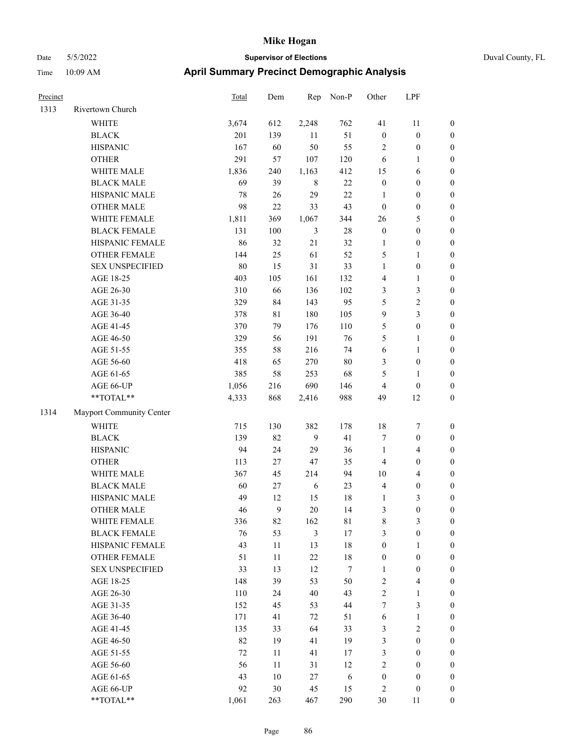| Precinct |                                                           | <b>Total</b> | Dem     | Rep            | Non-P            | Other            | LPF                     |                  |
|----------|-----------------------------------------------------------|--------------|---------|----------------|------------------|------------------|-------------------------|------------------|
| 1313     | Rivertown Church                                          |              |         |                |                  |                  |                         |                  |
|          | <b>WHITE</b>                                              | 3,674        | 612     | 2,248          | 762              | 41               | 11                      | $\boldsymbol{0}$ |
|          | <b>BLACK</b>                                              | 201          | 139     | 11             | 51               | $\boldsymbol{0}$ | $\boldsymbol{0}$        | $\boldsymbol{0}$ |
|          | <b>HISPANIC</b>                                           | 167          | 60      | 50             | 55               | $\overline{2}$   | $\boldsymbol{0}$        | $\boldsymbol{0}$ |
|          | <b>OTHER</b>                                              | 291          | 57      | 107            | 120              | 6                | $\mathbf{1}$            | $\boldsymbol{0}$ |
|          | WHITE MALE                                                | 1,836        | 240     | 1,163          | 412              | 15               | 6                       | $\boldsymbol{0}$ |
|          | <b>BLACK MALE</b>                                         | 69           | 39      | $\,$ 8 $\,$    | 22               | $\boldsymbol{0}$ | $\boldsymbol{0}$        | $\boldsymbol{0}$ |
|          | HISPANIC MALE                                             | 78           | 26      | 29             | 22               | $\mathbf{1}$     | $\boldsymbol{0}$        | $\boldsymbol{0}$ |
|          | <b>OTHER MALE</b>                                         | 98           | $22\,$  | 33             | 43               | $\boldsymbol{0}$ | $\boldsymbol{0}$        | $\boldsymbol{0}$ |
|          | WHITE FEMALE                                              | 1,811        | 369     | 1,067          | 344              | 26               | $\mathfrak{S}$          | $\boldsymbol{0}$ |
|          | <b>BLACK FEMALE</b>                                       | 131          | $100\,$ | 3              | 28               | $\boldsymbol{0}$ | $\boldsymbol{0}$        | $\boldsymbol{0}$ |
|          | HISPANIC FEMALE                                           | 86           | 32      | 21             | 32               | 1                | $\boldsymbol{0}$        | 0                |
|          | OTHER FEMALE                                              | 144          | 25      | 61             | 52               | 5                | $\mathbf{1}$            | 0                |
|          | <b>SEX UNSPECIFIED</b>                                    | 80           | 15      | 31             | 33               | $\mathbf{1}$     | $\boldsymbol{0}$        | $\boldsymbol{0}$ |
|          | AGE 18-25                                                 | 403          | 105     | 161            | 132              | 4                | $\mathbf{1}$            | $\boldsymbol{0}$ |
|          | AGE 26-30                                                 | 310          | 66      | 136            | 102              | 3                | $\mathfrak{Z}$          | $\boldsymbol{0}$ |
|          | AGE 31-35                                                 | 329          | 84      | 143            | 95               | 5                | $\sqrt{2}$              | $\boldsymbol{0}$ |
|          | AGE 36-40                                                 | 378          | 81      | 180            | 105              | 9                | $\mathfrak{Z}$          | $\boldsymbol{0}$ |
|          | AGE 41-45                                                 | 370          | 79      | 176            | 110              | 5                | $\boldsymbol{0}$        | $\boldsymbol{0}$ |
|          | AGE 46-50                                                 | 329          | 56      | 191            | 76               | 5                | $\mathbf{1}$            | $\boldsymbol{0}$ |
|          | AGE 51-55                                                 | 355          | 58      | 216            | 74               | 6                | $\mathbf{1}$            | 0                |
|          | AGE 56-60                                                 | 418          | 65      | 270            | $80\,$           | 3                | $\boldsymbol{0}$        | 0                |
|          | AGE 61-65                                                 | 385          | 58      | 253            | 68               | 5                | $\mathbf{1}$            | 0                |
|          | AGE 66-UP                                                 | 1,056        | 216     | 690            | 146              | 4                | $\boldsymbol{0}$        | 0                |
|          | $**TOTAL**$                                               | 4,333        | 868     | 2,416          | 988              | 49               | 12                      | $\boldsymbol{0}$ |
| 1314     | Mayport Community Center                                  |              |         |                |                  |                  |                         |                  |
|          | <b>WHITE</b>                                              | 715          | 130     | 382            | 178              | 18               | $\tau$                  | $\boldsymbol{0}$ |
|          | <b>BLACK</b>                                              | 139          | 82      | 9              | 41               | 7                | $\boldsymbol{0}$        | $\boldsymbol{0}$ |
|          | <b>HISPANIC</b>                                           | 94           | 24      | 29             | 36               | $\mathbf{1}$     | $\overline{4}$          | $\boldsymbol{0}$ |
|          | <b>OTHER</b>                                              | 113          | 27      | 47             | 35               | 4                | $\boldsymbol{0}$        | $\boldsymbol{0}$ |
|          | WHITE MALE                                                | 367          | 45      | 214            | 94               | 10               | $\overline{\mathbf{4}}$ | $\boldsymbol{0}$ |
|          | <b>BLACK MALE</b>                                         | 60           | 27      | 6              | 23               | $\overline{4}$   | $\boldsymbol{0}$        | $\boldsymbol{0}$ |
|          | HISPANIC MALE                                             | 49           | 12      | 15             | 18               | 1                | 3                       | $\boldsymbol{0}$ |
|          | <b>OTHER MALE</b>                                         | 46           | 9       | 20             | 14               | 3                | $\boldsymbol{0}$        | $\boldsymbol{0}$ |
|          | WHITE FEMALE                                              | 336          | 82      | 162            | 81               | 8                | $\mathfrak{Z}$          | 0                |
|          | <b>BLACK FEMALE</b>                                       | 76           | 53      | $\mathfrak{Z}$ | $17\,$           | 3                | $\boldsymbol{0}$        | 0                |
|          | HISPANIC FEMALE                                           | 43           | 11      | 13             | 18               | $\boldsymbol{0}$ | $\mathbf{1}$            | 0                |
|          | <b>OTHER FEMALE</b>                                       | 51           | $11\,$  | $22\,$         | $18\,$           | $\boldsymbol{0}$ | $\boldsymbol{0}$        | $\overline{0}$   |
|          | <b>SEX UNSPECIFIED</b>                                    | 33           | 13      | 12             | $\boldsymbol{7}$ | $\mathbf{1}$     | $\boldsymbol{0}$        | 0                |
|          | AGE 18-25                                                 | 148          | 39      | 53             | 50               | $\sqrt{2}$       | $\overline{\mathbf{4}}$ | 0                |
|          | AGE 26-30                                                 | 110          | 24      | $40\,$         | 43               | $\sqrt{2}$       | $\mathbf{1}$            | 0                |
|          | AGE 31-35                                                 | 152          | 45      | 53             | $44\,$           | 7                | $\mathfrak{Z}$          | 0                |
|          | AGE 36-40                                                 | 171          | 41      | 72             | 51               | 6                | $\mathbf{1}$            | 0                |
|          | AGE 41-45                                                 | 135          | 33      | 64             | 33               | 3                | $\sqrt{2}$              | 0                |
|          | AGE 46-50                                                 | 82           | 19      | 41             | 19               | 3                | $\boldsymbol{0}$        | 0                |
|          | AGE 51-55                                                 | 72           | 11      | 41             | 17               | 3                | $\boldsymbol{0}$        | $\boldsymbol{0}$ |
|          | AGE 56-60                                                 | 56           | 11      | 31             | 12               | $\sqrt{2}$       | $\boldsymbol{0}$        | 0                |
|          | AGE 61-65                                                 | 43           | $10\,$  | 27             | 6                | $\boldsymbol{0}$ | $\boldsymbol{0}$        | $\overline{0}$   |
|          | AGE 66-UP                                                 | 92           | 30      | 45             | 15               | $\overline{c}$   | $\boldsymbol{0}$        | 0                |
|          | $\mathrm{*}\mathrm{*}\mathrm{TOTAL} \mathrm{*}\mathrm{*}$ | 1,061        | 263     | 467            | 290              | $30\,$           | 11                      | $\overline{0}$   |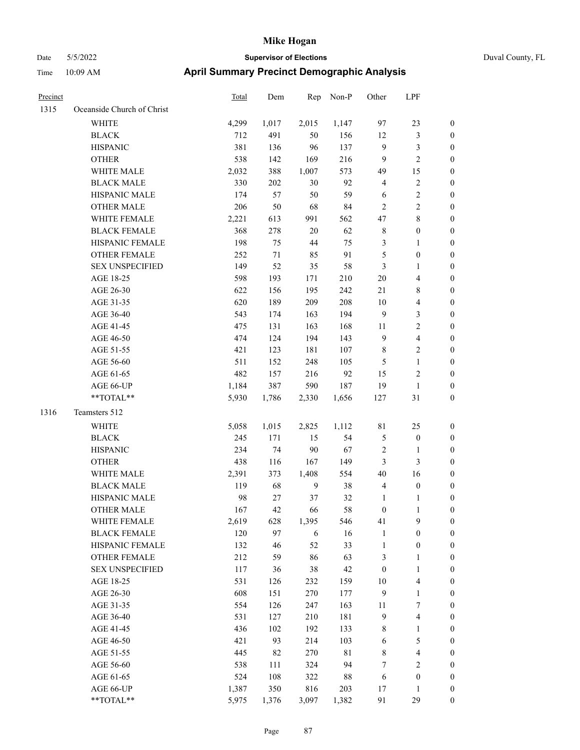|  | Duval County |
|--|--------------|

| Precinct |                            | <b>Total</b> | Dem    | Rep            | Non-P       | Other            | LPF                     |                  |
|----------|----------------------------|--------------|--------|----------------|-------------|------------------|-------------------------|------------------|
| 1315     | Oceanside Church of Christ |              |        |                |             |                  |                         |                  |
|          | WHITE                      | 4,299        | 1,017  | 2,015          | 1,147       | 97               | 23                      | $\boldsymbol{0}$ |
|          | <b>BLACK</b>               | 712          | 491    | 50             | 156         | 12               | $\mathfrak{Z}$          | $\boldsymbol{0}$ |
|          | <b>HISPANIC</b>            | 381          | 136    | 96             | 137         | $\overline{9}$   | $\mathfrak{Z}$          | $\boldsymbol{0}$ |
|          | <b>OTHER</b>               | 538          | 142    | 169            | 216         | $\overline{9}$   | $\sqrt{2}$              | 0                |
|          | WHITE MALE                 | 2,032        | 388    | 1,007          | 573         | 49               | 15                      | 0                |
|          | <b>BLACK MALE</b>          | 330          | 202    | $30\,$         | 92          | 4                | $\sqrt{2}$              | 0                |
|          | HISPANIC MALE              | 174          | 57     | 50             | 59          | 6                | $\sqrt{2}$              | $\boldsymbol{0}$ |
|          | <b>OTHER MALE</b>          | 206          | 50     | 68             | 84          | $\overline{2}$   | $\sqrt{2}$              | $\boldsymbol{0}$ |
|          | WHITE FEMALE               | 2,221        | 613    | 991            | 562         | 47               | $8\,$                   | $\boldsymbol{0}$ |
|          | <b>BLACK FEMALE</b>        | 368          | 278    | 20             | 62          | $\,$ 8 $\,$      | $\boldsymbol{0}$        | $\boldsymbol{0}$ |
|          | HISPANIC FEMALE            | 198          | 75     | $44\,$         | 75          | 3                | $\mathbf{1}$            | $\boldsymbol{0}$ |
|          | OTHER FEMALE               | 252          | $71\,$ | 85             | 91          | 5                | $\boldsymbol{0}$        | $\boldsymbol{0}$ |
|          | <b>SEX UNSPECIFIED</b>     | 149          | 52     | 35             | 58          | $\mathfrak{Z}$   | $\mathbf{1}$            | $\boldsymbol{0}$ |
|          | AGE 18-25                  | 598          | 193    | 171            | 210         | $20\,$           | $\overline{\mathbf{4}}$ | $\boldsymbol{0}$ |
|          | AGE 26-30                  | 622          | 156    | 195            | 242         | 21               | 8                       | 0                |
|          | AGE 31-35                  | 620          | 189    | 209            | 208         | 10               | $\overline{4}$          | 0                |
|          | AGE 36-40                  | 543          | 174    | 163            | 194         | 9                | 3                       | $\boldsymbol{0}$ |
|          | AGE 41-45                  | 475          | 131    | 163            | 168         | 11               | $\sqrt{2}$              | $\boldsymbol{0}$ |
|          | AGE 46-50                  | 474          | 124    | 194            | 143         | $\overline{9}$   | $\overline{\mathbf{4}}$ | $\boldsymbol{0}$ |
|          | AGE 51-55                  | 421          | 123    | 181            | 107         | $\,$ 8 $\,$      | $\sqrt{2}$              | $\boldsymbol{0}$ |
|          | AGE 56-60                  | 511          | 152    | 248            | 105         | 5                | $\mathbf{1}$            | $\boldsymbol{0}$ |
|          | AGE 61-65                  | 482          | 157    | 216            | 92          | 15               | $\mathbf{2}$            | $\boldsymbol{0}$ |
|          | AGE 66-UP                  | 1,184        | 387    | 590            | 187         | 19               | $\mathbf{1}$            | 0                |
|          | **TOTAL**                  | 5,930        | 1,786  | 2,330          | 1,656       | 127              | 31                      | 0                |
| 1316     | Teamsters 512              |              |        |                |             |                  |                         |                  |
|          | WHITE                      | 5,058        | 1,015  | 2,825          | 1,112       | 81               | 25                      | $\boldsymbol{0}$ |
|          | <b>BLACK</b>               | 245          | 171    | 15             | 54          | 5                | $\boldsymbol{0}$        | 0                |
|          | <b>HISPANIC</b>            | 234          | 74     | 90             | 67          | 2                | $\mathbf{1}$            | 0                |
|          | <b>OTHER</b>               | 438          | 116    | 167            | 149         | 3                | 3                       | $\boldsymbol{0}$ |
|          | WHITE MALE                 | 2,391        | 373    | 1,408          | 554         | 40               | 16                      | $\boldsymbol{0}$ |
|          | <b>BLACK MALE</b>          | 119          | 68     | $\overline{9}$ | 38          | $\overline{4}$   | $\boldsymbol{0}$        | $\boldsymbol{0}$ |
|          | HISPANIC MALE              | 98           | 27     | 37             | 32          | $\mathbf{1}$     | 1                       | 0                |
|          | <b>OTHER MALE</b>          | 167          | 42     | 66             | 58          | $\boldsymbol{0}$ | $\mathbf{1}$            | $\boldsymbol{0}$ |
|          | WHITE FEMALE               | 2,619        | 628    | 1,395          | 546         | 41               | 9                       | $\boldsymbol{0}$ |
|          | <b>BLACK FEMALE</b>        | 120          | 97     | 6              | 16          | $\mathbf{1}$     | $\boldsymbol{0}$        | 0                |
|          | HISPANIC FEMALE            | 132          | 46     | 52             | 33          | $\mathbf{1}$     | $\boldsymbol{0}$        | 0                |
|          | OTHER FEMALE               | 212          | 59     | 86             | 63          | 3                | $\mathbf{1}$            | 0                |
|          | <b>SEX UNSPECIFIED</b>     | 117          | 36     | 38             | 42          | $\boldsymbol{0}$ | $\mathbf{1}$            | 0                |
|          | AGE 18-25                  | 531          | 126    | 232            | 159         | 10               | $\overline{\mathbf{4}}$ | 0                |
|          | AGE 26-30                  | 608          | 151    | 270            | 177         | 9                | $\mathbf{1}$            | $\boldsymbol{0}$ |
|          | AGE 31-35                  | 554          | 126    | 247            | 163         | 11               | $\boldsymbol{7}$        | $\overline{0}$   |
|          | AGE 36-40                  | 531          | 127    | 210            | 181         | $\mathbf{9}$     | $\overline{\mathbf{4}}$ | 0                |
|          | AGE 41-45                  | 436          | 102    | 192            | 133         | $\,$ 8 $\,$      | $\mathbf{1}$            | 0                |
|          | AGE 46-50                  | 421          | 93     | 214            | 103         | 6                | $\mathfrak{S}$          | $\overline{0}$   |
|          | AGE 51-55                  | 445          | 82     | 270            | $8\sqrt{1}$ | 8                | $\overline{\mathbf{4}}$ | $\boldsymbol{0}$ |
|          | AGE 56-60                  | 538          | 111    | 324            | 94          | 7                | $\sqrt{2}$              | 0                |
|          | AGE 61-65                  | 524          | 108    | 322            | $88\,$      | 6                | $\boldsymbol{0}$        | 0                |
|          | AGE 66-UP                  | 1,387        | 350    | 816            | 203         | 17               | $\mathbf{1}$            | 0                |
|          | $**TOTAL**$                | 5,975        | 1,376  | 3,097          | 1,382       | 91               | 29                      | $\boldsymbol{0}$ |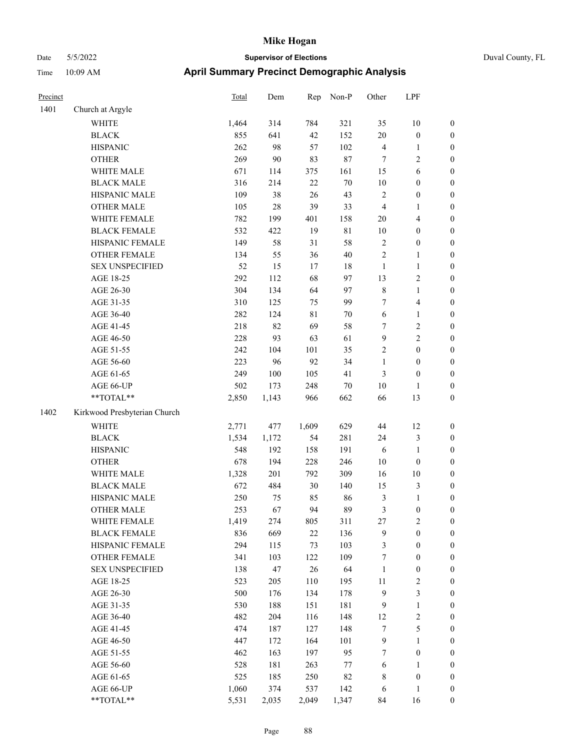| Precinct |                              | <b>Total</b> | Dem     | Rep         | Non-P       | Other            | LPF                     |                  |
|----------|------------------------------|--------------|---------|-------------|-------------|------------------|-------------------------|------------------|
| 1401     | Church at Argyle             |              |         |             |             |                  |                         |                  |
|          | <b>WHITE</b>                 | 1,464        | 314     | 784         | 321         | 35               | 10                      | $\boldsymbol{0}$ |
|          | <b>BLACK</b>                 | 855          | 641     | 42          | 152         | $20\,$           | $\boldsymbol{0}$        | $\boldsymbol{0}$ |
|          | <b>HISPANIC</b>              | 262          | 98      | 57          | 102         | $\overline{4}$   | 1                       | $\boldsymbol{0}$ |
|          | <b>OTHER</b>                 | 269          | 90      | 83          | 87          | $\tau$           | 2                       | $\boldsymbol{0}$ |
|          | WHITE MALE                   | 671          | 114     | 375         | 161         | 15               | 6                       | $\boldsymbol{0}$ |
|          | <b>BLACK MALE</b>            | 316          | 214     | $22\,$      | $70\,$      | $10\,$           | $\boldsymbol{0}$        | $\boldsymbol{0}$ |
|          | HISPANIC MALE                | 109          | 38      | 26          | 43          | $\sqrt{2}$       | $\boldsymbol{0}$        | $\boldsymbol{0}$ |
|          | <b>OTHER MALE</b>            | 105          | 28      | 39          | 33          | $\overline{4}$   | 1                       | $\boldsymbol{0}$ |
|          | WHITE FEMALE                 | 782          | 199     | 401         | 158         | 20               | 4                       | $\boldsymbol{0}$ |
|          | <b>BLACK FEMALE</b>          | 532          | 422     | 19          | $8\sqrt{1}$ | 10               | $\boldsymbol{0}$        | $\boldsymbol{0}$ |
|          | HISPANIC FEMALE              | 149          | 58      | 31          | 58          | $\sqrt{2}$       | $\boldsymbol{0}$        | $\boldsymbol{0}$ |
|          | <b>OTHER FEMALE</b>          | 134          | 55      | 36          | 40          | $\overline{2}$   | 1                       | $\boldsymbol{0}$ |
|          | <b>SEX UNSPECIFIED</b>       | 52           | 15      | 17          | 18          | $\mathbf{1}$     | $\mathbf{1}$            | $\boldsymbol{0}$ |
|          | AGE 18-25                    | 292          | 112     | 68          | 97          | 13               | 2                       | $\boldsymbol{0}$ |
|          | AGE 26-30                    | 304          | 134     | 64          | 97          | $\,$ 8 $\,$      | $\mathbf{1}$            | $\boldsymbol{0}$ |
|          | AGE 31-35                    | 310          | 125     | 75          | 99          | $\tau$           | 4                       | $\boldsymbol{0}$ |
|          | AGE 36-40                    | 282          | 124     | $8\sqrt{1}$ | 70          | 6                | 1                       | $\boldsymbol{0}$ |
|          | AGE 41-45                    | 218          | 82      | 69          | 58          | $\tau$           | 2                       | $\boldsymbol{0}$ |
|          | AGE 46-50                    | 228          | 93      | 63          | 61          | 9                | $\overline{c}$          | $\boldsymbol{0}$ |
|          | AGE 51-55                    | 242          | 104     | 101         | 35          | $\overline{c}$   | $\boldsymbol{0}$        | $\boldsymbol{0}$ |
|          | AGE 56-60                    | 223          | 96      | 92          | 34          | $\mathbf{1}$     | $\boldsymbol{0}$        | $\boldsymbol{0}$ |
|          | AGE 61-65                    | 249          | $100\,$ | 105         | 41          | 3                | $\boldsymbol{0}$        | $\boldsymbol{0}$ |
|          | AGE 66-UP                    | 502          | 173     | 248         | 70          | 10               | 1                       | $\boldsymbol{0}$ |
|          | **TOTAL**                    | 2,850        | 1,143   | 966         | 662         | 66               | 13                      | $\boldsymbol{0}$ |
| 1402     | Kirkwood Presbyterian Church |              |         |             |             |                  |                         |                  |
|          | <b>WHITE</b>                 | 2,771        | 477     | 1,609       | 629         | 44               | 12                      | $\boldsymbol{0}$ |
|          | <b>BLACK</b>                 | 1,534        | 1,172   | 54          | 281         | 24               | 3                       | $\boldsymbol{0}$ |
|          | <b>HISPANIC</b>              | 548          | 192     | 158         | 191         | 6                | 1                       | $\boldsymbol{0}$ |
|          | <b>OTHER</b>                 | 678          | 194     | 228         | 246         | 10               | $\boldsymbol{0}$        | $\boldsymbol{0}$ |
|          | WHITE MALE                   | 1,328        | 201     | 792         | 309         | 16               | 10                      | $\boldsymbol{0}$ |
|          | <b>BLACK MALE</b>            | 672          | 484     | $30\,$      | 140         | 15               | 3                       | $\boldsymbol{0}$ |
|          | HISPANIC MALE                | 250          | 75      | 85          | 86          | $\mathfrak z$    | 1                       | $\boldsymbol{0}$ |
|          | <b>OTHER MALE</b>            | 253          | 67      | 94          | 89          | 3                | $\boldsymbol{0}$        | $\boldsymbol{0}$ |
|          | WHITE FEMALE                 | 1,419        | 274     | 805         | 311         | 27               | $\sqrt{2}$              | $\mathbf{0}$     |
|          | <b>BLACK FEMALE</b>          | 836          | 669     | 22          | 136         | $\boldsymbol{9}$ | $\boldsymbol{0}$        | $\boldsymbol{0}$ |
|          | HISPANIC FEMALE              | 294          | 115     | 73          | 103         | $\mathfrak{Z}$   | $\boldsymbol{0}$        | $\boldsymbol{0}$ |
|          | OTHER FEMALE                 | 341          | 103     | 122         | 109         | $\boldsymbol{7}$ | $\boldsymbol{0}$        | $\boldsymbol{0}$ |
|          | <b>SEX UNSPECIFIED</b>       | 138          | 47      | $26\,$      | 64          | $\mathbf{1}$     | $\boldsymbol{0}$        | $\boldsymbol{0}$ |
|          | AGE 18-25                    | 523          | 205     | 110         | 195         | 11               | $\sqrt{2}$              | $\boldsymbol{0}$ |
|          | AGE 26-30                    | 500          | 176     | 134         | 178         | $\mathbf{9}$     | 3                       | $\boldsymbol{0}$ |
|          | AGE 31-35                    | 530          | 188     | 151         | 181         | $\overline{9}$   | $\mathbf{1}$            | $\boldsymbol{0}$ |
|          | AGE 36-40                    | 482          | 204     | 116         | 148         | 12               | $\overline{\mathbf{c}}$ | $\boldsymbol{0}$ |
|          | AGE 41-45                    | 474          | 187     | 127         | 148         | $\tau$           | 5                       | $\boldsymbol{0}$ |
|          | AGE 46-50                    | 447          | 172     | 164         | 101         | $\boldsymbol{9}$ | 1                       | $\boldsymbol{0}$ |
|          | AGE 51-55                    | 462          | 163     | 197         | 95          | $\tau$           | $\boldsymbol{0}$        | $\boldsymbol{0}$ |
|          | AGE 56-60                    | 528          | 181     | 263         | $77\,$      | 6                | $\mathbf{1}$            | $\boldsymbol{0}$ |
|          | AGE 61-65                    | 525          | 185     | 250         | 82          | $\,8\,$          | $\boldsymbol{0}$        | $\boldsymbol{0}$ |
|          | AGE 66-UP                    | 1,060        | 374     | 537         | 142         | 6                | 1                       | $\mathbf{0}$     |
|          | $**TOTAL**$                  | 5,531        | 2,035   | 2,049       | 1,347       | 84               | 16                      | $\mathbf{0}$     |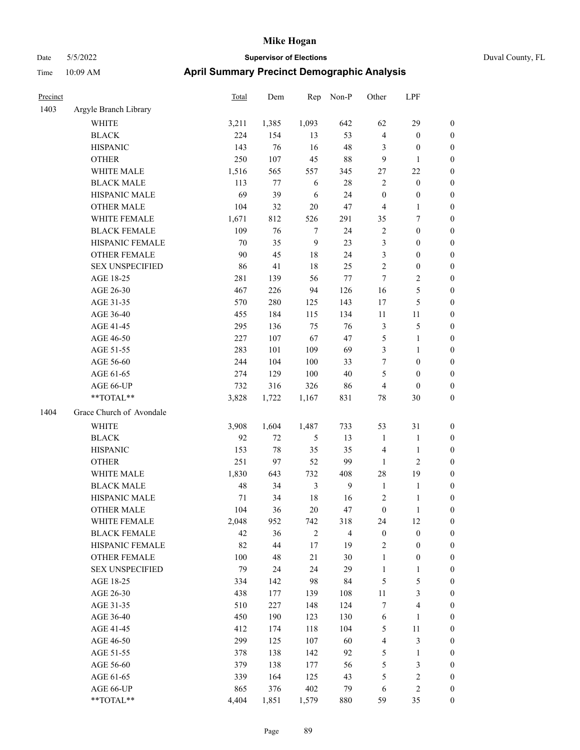| Precinct |                          | <b>Total</b> | Dem    | Rep          | Non-P          | Other            | LPF              |                  |
|----------|--------------------------|--------------|--------|--------------|----------------|------------------|------------------|------------------|
| 1403     | Argyle Branch Library    |              |        |              |                |                  |                  |                  |
|          | WHITE                    | 3,211        | 1,385  | 1,093        | 642            | 62               | 29               | $\mathbf{0}$     |
|          | <b>BLACK</b>             | 224          | 154    | 13           | 53             | $\overline{4}$   | $\boldsymbol{0}$ | $\boldsymbol{0}$ |
|          | <b>HISPANIC</b>          | 143          | 76     | 16           | 48             | 3                | $\boldsymbol{0}$ | $\boldsymbol{0}$ |
|          | <b>OTHER</b>             | 250          | 107    | 45           | 88             | 9                | 1                | $\boldsymbol{0}$ |
|          | WHITE MALE               | 1,516        | 565    | 557          | 345            | 27               | 22               | $\boldsymbol{0}$ |
|          | <b>BLACK MALE</b>        | 113          | $77\,$ | 6            | 28             | $\sqrt{2}$       | $\boldsymbol{0}$ | $\boldsymbol{0}$ |
|          | HISPANIC MALE            | 69           | 39     | 6            | 24             | $\boldsymbol{0}$ | $\boldsymbol{0}$ | $\boldsymbol{0}$ |
|          | <b>OTHER MALE</b>        | 104          | 32     | 20           | 47             | $\overline{4}$   | $\mathbf{1}$     | $\boldsymbol{0}$ |
|          | WHITE FEMALE             | 1,671        | 812    | 526          | 291            | 35               | 7                | $\boldsymbol{0}$ |
|          | <b>BLACK FEMALE</b>      | 109          | 76     | $\tau$       | 24             | $\sqrt{2}$       | $\boldsymbol{0}$ | $\boldsymbol{0}$ |
|          | HISPANIC FEMALE          | 70           | 35     | $\mathbf{9}$ | 23             | $\mathfrak{Z}$   | $\boldsymbol{0}$ | $\boldsymbol{0}$ |
|          | <b>OTHER FEMALE</b>      | 90           | 45     | 18           | 24             | 3                | $\boldsymbol{0}$ | $\boldsymbol{0}$ |
|          | <b>SEX UNSPECIFIED</b>   | 86           | 41     | 18           | 25             | $\overline{2}$   | $\boldsymbol{0}$ | $\boldsymbol{0}$ |
|          | AGE 18-25                | 281          | 139    | 56           | 77             | $\overline{7}$   | 2                | $\boldsymbol{0}$ |
|          | AGE 26-30                | 467          | 226    | 94           | 126            | 16               | 5                | $\boldsymbol{0}$ |
|          | AGE 31-35                | 570          | 280    | 125          | 143            | 17               | 5                | $\boldsymbol{0}$ |
|          | AGE 36-40                | 455          | 184    | 115          | 134            | 11               | 11               | $\boldsymbol{0}$ |
|          | AGE 41-45                | 295          | 136    | 75           | 76             | $\mathfrak{Z}$   | 5                | $\boldsymbol{0}$ |
|          | AGE 46-50                | 227          | 107    | 67           | 47             | $\mathfrak{S}$   | 1                | $\boldsymbol{0}$ |
|          | AGE 51-55                | 283          | 101    | 109          | 69             | 3                | 1                | $\boldsymbol{0}$ |
|          | AGE 56-60                | 244          | 104    | 100          | 33             | 7                | $\boldsymbol{0}$ | $\boldsymbol{0}$ |
|          | AGE 61-65                | 274          | 129    | 100          | 40             | 5                | $\boldsymbol{0}$ | $\boldsymbol{0}$ |
|          | AGE 66-UP                | 732          | 316    | 326          | 86             | $\overline{4}$   | $\boldsymbol{0}$ | $\boldsymbol{0}$ |
|          | **TOTAL**                | 3,828        | 1,722  | 1,167        | 831            | 78               | 30               | $\boldsymbol{0}$ |
| 1404     | Grace Church of Avondale |              |        |              |                |                  |                  |                  |
|          | <b>WHITE</b>             | 3,908        | 1,604  | 1,487        | 733            | 53               | 31               | $\boldsymbol{0}$ |
|          | <b>BLACK</b>             | 92           | 72     | 5            | 13             | $\mathbf{1}$     | 1                | $\boldsymbol{0}$ |
|          | <b>HISPANIC</b>          | 153          | 78     | 35           | 35             | $\overline{4}$   | 1                | $\boldsymbol{0}$ |
|          | <b>OTHER</b>             | 251          | 97     | 52           | 99             | 1                | 2                | $\boldsymbol{0}$ |
|          | <b>WHITE MALE</b>        | 1,830        | 643    | 732          | 408            | 28               | 19               | $\boldsymbol{0}$ |
|          | <b>BLACK MALE</b>        | 48           | 34     | 3            | $\mathbf{9}$   | $\mathbf{1}$     | 1                | $\boldsymbol{0}$ |
|          | HISPANIC MALE            | $71\,$       | 34     | 18           | 16             | $\sqrt{2}$       | 1                | $\boldsymbol{0}$ |
|          | <b>OTHER MALE</b>        | 104          | 36     | 20           | 47             | $\boldsymbol{0}$ | 1                | $\boldsymbol{0}$ |
|          | WHITE FEMALE             | 2,048        | 952    | 742          | 318            | 24               | 12               | $\mathbf{0}$     |
|          | <b>BLACK FEMALE</b>      | 42           | 36     | $\sqrt{2}$   | $\overline{4}$ | $\boldsymbol{0}$ | $\boldsymbol{0}$ | $\boldsymbol{0}$ |
|          | HISPANIC FEMALE          | 82           | 44     | $17\,$       | 19             | $\sqrt{2}$       | $\boldsymbol{0}$ | $\boldsymbol{0}$ |
|          | OTHER FEMALE             | 100          | 48     | 21           | 30             | $\mathbf{1}$     | $\boldsymbol{0}$ | $\boldsymbol{0}$ |
|          | <b>SEX UNSPECIFIED</b>   | 79           | 24     | 24           | 29             | $\mathbf{1}$     | 1                | $\boldsymbol{0}$ |
|          | AGE 18-25                | 334          | 142    | 98           | 84             | $\sqrt{5}$       | 5                | $\boldsymbol{0}$ |
|          | AGE 26-30                | 438          | 177    | 139          | 108            | 11               | 3                | $\boldsymbol{0}$ |
|          | AGE 31-35                | 510          | 227    | 148          | 124            | $\boldsymbol{7}$ | 4                | $\boldsymbol{0}$ |
|          | AGE 36-40                | 450          | 190    | 123          | 130            | $\sqrt{6}$       | 1                | $\boldsymbol{0}$ |
|          | AGE 41-45                | 412          | 174    | 118          | 104            | $\mathfrak s$    | $11\,$           | $\boldsymbol{0}$ |
|          | AGE 46-50                | 299          | 125    | 107          | 60             | $\overline{4}$   | 3                | $\boldsymbol{0}$ |
|          | AGE 51-55                | 378          | 138    | 142          | 92             | $\mathfrak{S}$   | $\mathbf{1}$     | $\boldsymbol{0}$ |
|          | AGE 56-60                | 379          | 138    | 177          | 56             | $\mathfrak s$    | 3                | $\boldsymbol{0}$ |
|          | AGE 61-65                | 339          | 164    | 125          | 43             | $\mathfrak{S}$   | $\sqrt{2}$       | $\boldsymbol{0}$ |
|          | AGE 66-UP                | 865          | 376    | 402          | 79             | 6                | 2                | $\boldsymbol{0}$ |
|          | $**TOTAL**$              | 4,404        | 1,851  | 1,579        | 880            | 59               | 35               | $\boldsymbol{0}$ |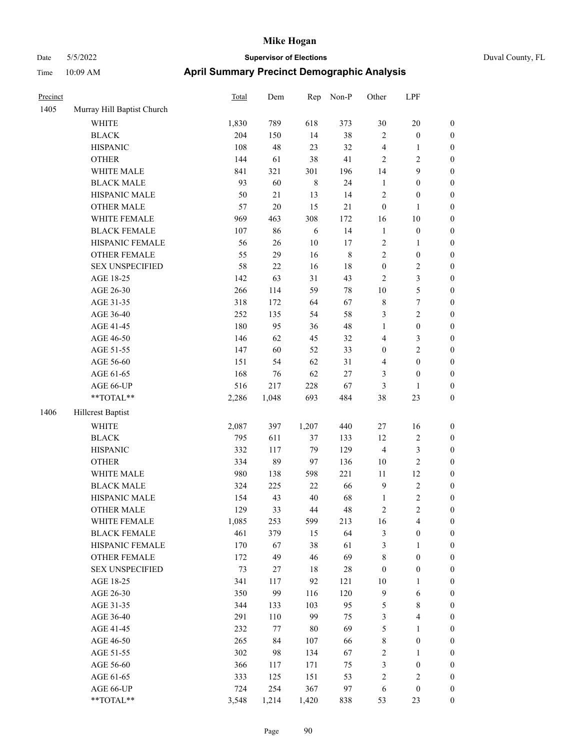| Precinct |                            | <b>Total</b> | Dem    | Rep         | Non-P       | Other            | LPF                     |                  |
|----------|----------------------------|--------------|--------|-------------|-------------|------------------|-------------------------|------------------|
| 1405     | Murray Hill Baptist Church |              |        |             |             |                  |                         |                  |
|          | <b>WHITE</b>               | 1,830        | 789    | 618         | 373         | 30               | $20\,$                  | $\boldsymbol{0}$ |
|          | <b>BLACK</b>               | 204          | 150    | 14          | 38          | $\overline{2}$   | $\boldsymbol{0}$        | $\boldsymbol{0}$ |
|          | <b>HISPANIC</b>            | 108          | 48     | 23          | 32          | $\overline{4}$   | $\mathbf{1}$            | 0                |
|          | <b>OTHER</b>               | 144          | 61     | 38          | 41          | $\sqrt{2}$       | $\sqrt{2}$              | 0                |
|          | WHITE MALE                 | 841          | 321    | 301         | 196         | 14               | 9                       | $\boldsymbol{0}$ |
|          | <b>BLACK MALE</b>          | 93           | 60     | $\,$ 8 $\,$ | 24          | $\mathbf{1}$     | $\boldsymbol{0}$        | $\boldsymbol{0}$ |
|          | HISPANIC MALE              | 50           | $21\,$ | 13          | 14          | $\sqrt{2}$       | $\boldsymbol{0}$        | $\boldsymbol{0}$ |
|          | <b>OTHER MALE</b>          | 57           | 20     | 15          | 21          | $\boldsymbol{0}$ | $\mathbf{1}$            | $\boldsymbol{0}$ |
|          | WHITE FEMALE               | 969          | 463    | 308         | 172         | 16               | $10\,$                  | $\boldsymbol{0}$ |
|          | <b>BLACK FEMALE</b>        | 107          | 86     | 6           | 14          | $\mathbf{1}$     | $\boldsymbol{0}$        | $\boldsymbol{0}$ |
|          | HISPANIC FEMALE            | 56           | 26     | 10          | 17          | $\sqrt{2}$       | $\mathbf{1}$            | $\boldsymbol{0}$ |
|          | OTHER FEMALE               | 55           | 29     | 16          | $\,$ 8 $\,$ | $\overline{c}$   | $\boldsymbol{0}$        | $\boldsymbol{0}$ |
|          | <b>SEX UNSPECIFIED</b>     | 58           | $22\,$ | 16          | $18\,$      | $\boldsymbol{0}$ | $\sqrt{2}$              | 0                |
|          | AGE 18-25                  | 142          | 63     | 31          | 43          | $\overline{c}$   | $\mathfrak{Z}$          | 0                |
|          | AGE 26-30                  | 266          | 114    | 59          | $78\,$      | $10\,$           | $\mathfrak s$           | $\boldsymbol{0}$ |
|          | AGE 31-35                  | 318          | 172    | 64          | 67          | 8                | $\boldsymbol{7}$        | $\boldsymbol{0}$ |
|          | AGE 36-40                  | 252          | 135    | 54          | 58          | 3                | $\sqrt{2}$              | $\boldsymbol{0}$ |
|          | AGE 41-45                  | 180          | 95     | 36          | 48          | $\mathbf{1}$     | $\boldsymbol{0}$        | $\boldsymbol{0}$ |
|          | AGE 46-50                  | 146          | 62     | 45          | 32          | 4                | $\mathfrak{Z}$          | $\boldsymbol{0}$ |
|          | AGE 51-55                  | 147          | 60     | 52          | 33          | $\boldsymbol{0}$ | $\sqrt{2}$              | $\boldsymbol{0}$ |
|          | AGE 56-60                  | 151          | 54     | 62          | 31          | 4                | $\boldsymbol{0}$        | $\boldsymbol{0}$ |
|          | AGE 61-65                  | 168          | 76     | 62          | 27          | 3                | $\boldsymbol{0}$        | 0                |
|          | AGE 66-UP                  | 516          | 217    | 228         | 67          | 3                | 1                       | 0                |
|          | **TOTAL**                  | 2,286        | 1,048  | 693         | 484         | 38               | 23                      | $\boldsymbol{0}$ |
| 1406     | <b>Hillcrest Baptist</b>   |              |        |             |             |                  |                         |                  |
|          | <b>WHITE</b>               | 2,087        | 397    | 1,207       | 440         | 27               | 16                      | 0                |
|          | <b>BLACK</b>               | 795          | 611    | 37          | 133         | 12               | $\sqrt{2}$              | $\boldsymbol{0}$ |
|          | <b>HISPANIC</b>            | 332          | 117    | 79          | 129         | $\overline{4}$   | $\mathfrak{Z}$          | $\boldsymbol{0}$ |
|          | <b>OTHER</b>               | 334          | 89     | 97          | 136         | 10               | $\sqrt{2}$              | $\boldsymbol{0}$ |
|          | WHITE MALE                 | 980          | 138    | 598         | 221         | 11               | 12                      | $\boldsymbol{0}$ |
|          | <b>BLACK MALE</b>          | 324          | 225    | $22\,$      | 66          | $\overline{9}$   | $\sqrt{2}$              | $\boldsymbol{0}$ |
|          | HISPANIC MALE              | 154          | 43     | 40          | 68          | $\mathbf{1}$     | $\sqrt{2}$              | $\boldsymbol{0}$ |
|          | <b>OTHER MALE</b>          | 129          | 33     | 44          | 48          | 2                | $\overline{c}$          | $\boldsymbol{0}$ |
|          | WHITE FEMALE               | 1,085        | 253    | 599         | 213         | 16               | $\overline{4}$          | 0                |
|          | <b>BLACK FEMALE</b>        | 461          | 379    | 15          | 64          | 3                | $\boldsymbol{0}$        | 0                |
|          | HISPANIC FEMALE            | 170          | 67     | 38          | 61          | 3                | $\mathbf{1}$            | 0                |
|          | <b>OTHER FEMALE</b>        | 172          | 49     | 46          | 69          | 8                | $\boldsymbol{0}$        | 0                |
|          | <b>SEX UNSPECIFIED</b>     | 73           | 27     | 18          | 28          | $\boldsymbol{0}$ | $\boldsymbol{0}$        | 0                |
|          | AGE 18-25                  | 341          | 117    | 92          | 121         | 10               | $\mathbf{1}$            | $\boldsymbol{0}$ |
|          | AGE 26-30                  | 350          | 99     | 116         | 120         | $\mathbf{9}$     | 6                       | 0                |
|          | AGE 31-35                  | 344          | 133    | 103         | 95          | 5                | $8\,$                   | 0                |
|          | AGE 36-40                  | 291          | 110    | 99          | 75          | 3                | $\overline{\mathbf{4}}$ | $\overline{0}$   |
|          | AGE 41-45                  | 232          | 77     | 80          | 69          | 5                | $\mathbf{1}$            | $\overline{0}$   |
|          | AGE 46-50                  | 265          | 84     | 107         | 66          | $\,$ 8 $\,$      | $\boldsymbol{0}$        | $\boldsymbol{0}$ |
|          | AGE 51-55                  | 302          | 98     | 134         | 67          | 2                | $\mathbf{1}$            | 0                |
|          | AGE 56-60                  | 366          | 117    | 171         | 75          | 3                | $\boldsymbol{0}$        | 0                |
|          | AGE 61-65                  | 333          | 125    | 151         | 53          | $\sqrt{2}$       | $\sqrt{2}$              | $\boldsymbol{0}$ |
|          | AGE 66-UP                  | 724          | 254    | 367         | 97          | 6                | $\boldsymbol{0}$        | 0                |
|          | **TOTAL**                  | 3,548        | 1,214  | 1,420       | 838         | 53               | 23                      | $\boldsymbol{0}$ |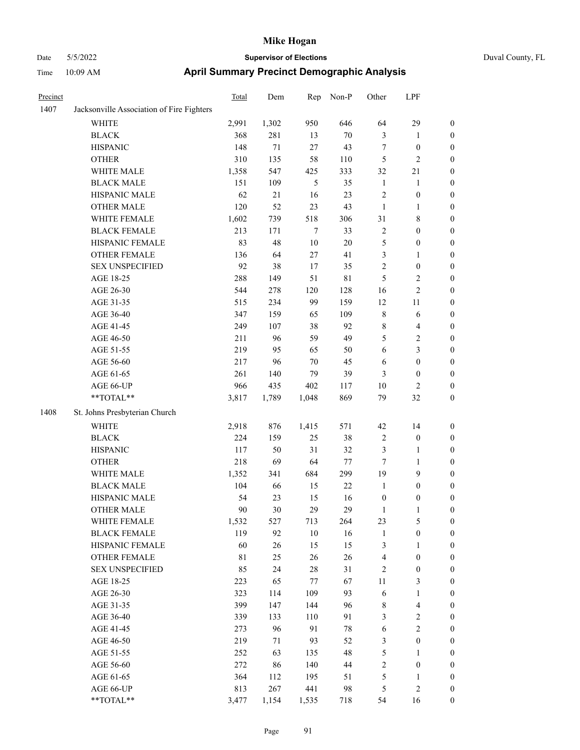|     | Duvar |
|-----|-------|
| is  |       |
| LPF |       |

| Precinct |                                           | <b>Total</b> | Dem    | Rep              | Non-P       | Other            | LPF              |                  |
|----------|-------------------------------------------|--------------|--------|------------------|-------------|------------------|------------------|------------------|
| 1407     | Jacksonville Association of Fire Fighters |              |        |                  |             |                  |                  |                  |
|          | <b>WHITE</b>                              | 2,991        | 1,302  | 950              | 646         | 64               | 29               | $\boldsymbol{0}$ |
|          | <b>BLACK</b>                              | 368          | 281    | 13               | $70\,$      | 3                | $\mathbf{1}$     | $\boldsymbol{0}$ |
|          | <b>HISPANIC</b>                           | 148          | 71     | 27               | 43          | $\boldsymbol{7}$ | $\boldsymbol{0}$ | 0                |
|          | <b>OTHER</b>                              | 310          | 135    | 58               | 110         | 5                | $\sqrt{2}$       | 0                |
|          | WHITE MALE                                | 1,358        | 547    | 425              | 333         | 32               | $21\,$           | $\boldsymbol{0}$ |
|          | <b>BLACK MALE</b>                         | 151          | 109    | $\mathfrak s$    | 35          | $\mathbf{1}$     | $\mathbf{1}$     | $\boldsymbol{0}$ |
|          | HISPANIC MALE                             | 62           | $21\,$ | 16               | 23          | $\overline{c}$   | $\boldsymbol{0}$ | $\boldsymbol{0}$ |
|          | <b>OTHER MALE</b>                         | 120          | 52     | 23               | 43          | $\mathbf{1}$     | $\mathbf{1}$     | $\boldsymbol{0}$ |
|          | WHITE FEMALE                              | 1,602        | 739    | 518              | 306         | 31               | $\,$ 8 $\,$      | $\boldsymbol{0}$ |
|          | <b>BLACK FEMALE</b>                       | 213          | 171    | $\boldsymbol{7}$ | 33          | $\mathbf{2}$     | $\boldsymbol{0}$ | $\boldsymbol{0}$ |
|          | HISPANIC FEMALE                           | 83           | 48     | $10\,$           | $20\,$      | 5                | $\boldsymbol{0}$ | $\boldsymbol{0}$ |
|          | <b>OTHER FEMALE</b>                       | 136          | 64     | 27               | 41          | 3                | 1                | 0                |
|          | <b>SEX UNSPECIFIED</b>                    | 92           | 38     | 17               | 35          | $\mathbf{2}$     | $\boldsymbol{0}$ | 0                |
|          | AGE 18-25                                 | 288          | 149    | 51               | $8\sqrt{1}$ | 5                | $\sqrt{2}$       | 0                |
|          | AGE 26-30                                 | 544          | 278    | 120              | 128         | 16               | $\sqrt{2}$       | $\boldsymbol{0}$ |
|          | AGE 31-35                                 | 515          | 234    | 99               | 159         | 12               | 11               | $\boldsymbol{0}$ |
|          | AGE 36-40                                 | 347          | 159    | 65               | 109         | 8                | 6                | $\boldsymbol{0}$ |
|          | AGE 41-45                                 | 249          | 107    | 38               | 92          | 8                | $\overline{4}$   | 0                |
|          | AGE 46-50                                 | 211          | 96     | 59               | 49          | 5                | $\sqrt{2}$       | $\boldsymbol{0}$ |
|          | AGE 51-55                                 | 219          | 95     | 65               | 50          | 6                | 3                | $\boldsymbol{0}$ |
|          | AGE 56-60                                 | 217          | 96     | $70\,$           | 45          | 6                | $\boldsymbol{0}$ | $\boldsymbol{0}$ |
|          | AGE 61-65                                 | 261          | 140    | 79               | 39          | 3                | $\boldsymbol{0}$ | 0                |
|          | AGE 66-UP                                 | 966          | 435    | 402              | 117         | 10               | $\mathfrak{2}$   | 0                |
|          | $**TOTAL**$                               | 3,817        | 1,789  | 1,048            | 869         | 79               | 32               | $\boldsymbol{0}$ |
| 1408     | St. Johns Presbyterian Church             |              |        |                  |             |                  |                  |                  |
|          | <b>WHITE</b>                              | 2,918        | 876    | 1,415            | 571         | 42               | 14               | 0                |
|          | <b>BLACK</b>                              | 224          | 159    | 25               | 38          | $\overline{c}$   | $\boldsymbol{0}$ | 0                |
|          | <b>HISPANIC</b>                           | 117          | 50     | 31               | 32          | 3                | 1                | 0                |
|          | <b>OTHER</b>                              | 218          | 69     | 64               | 77          | 7                | $\mathbf{1}$     | $\boldsymbol{0}$ |
|          | WHITE MALE                                | 1,352        | 341    | 684              | 299         | 19               | $\boldsymbol{9}$ | $\boldsymbol{0}$ |
|          | <b>BLACK MALE</b>                         | 104          | 66     | 15               | $22\,$      | $\mathbf{1}$     | $\boldsymbol{0}$ | $\boldsymbol{0}$ |
|          | HISPANIC MALE                             | 54           | 23     | 15               | 16          | $\boldsymbol{0}$ | $\boldsymbol{0}$ | $\boldsymbol{0}$ |
|          | <b>OTHER MALE</b>                         | 90           | 30     | 29               | 29          | $\mathbf{1}$     | $\mathbf{1}$     | $\boldsymbol{0}$ |
|          | WHITE FEMALE                              | 1,532        | 527    | 713              | 264         | 23               | $\mathfrak s$    | 0                |
|          | <b>BLACK FEMALE</b>                       | 119          | 92     | 10               | 16          | $\mathbf{1}$     | $\boldsymbol{0}$ | 0                |
|          | HISPANIC FEMALE                           | 60           | 26     | 15               | 15          | 3                | 1                | 0                |
|          | OTHER FEMALE                              | 81           | 25     | 26               | 26          | 4                | $\boldsymbol{0}$ | 0                |
|          | <b>SEX UNSPECIFIED</b>                    | 85           | 24     | 28               | 31          | 2                | $\boldsymbol{0}$ | 0                |
|          | AGE 18-25                                 | 223          | 65     | 77               | 67          | 11               | $\mathfrak{Z}$   | $\overline{0}$   |
|          | AGE 26-30                                 | 323          | 114    | 109              | 93          | 6                | $\mathbf{1}$     | 0                |
|          | AGE 31-35                                 | 399          | 147    | 144              | 96          | 8                | $\overline{4}$   | 0                |
|          | AGE 36-40                                 | 339          | 133    | 110              | 91          | 3                | $\sqrt{2}$       | 0                |
|          | AGE 41-45                                 | 273          | 96     | 91               | $78\,$      | 6                | $\overline{c}$   | 0                |
|          | AGE 46-50                                 | 219          | 71     | 93               | 52          | 3                | $\boldsymbol{0}$ | 0                |
|          | AGE 51-55                                 | 252          | 63     | 135              | 48          | 5                | $\mathbf{1}$     | 0                |
|          | AGE 56-60                                 | 272          | 86     | 140              | 44          | $\overline{c}$   | $\boldsymbol{0}$ | 0                |
|          | AGE 61-65                                 | 364          | 112    | 195              | 51          | 5                | $\mathbf{1}$     | 0                |
|          | AGE 66-UP                                 | 813          | 267    | 441              | 98          | 5                | $\sqrt{2}$       | 0                |
|          | $**TOTAL**$                               | 3,477        | 1,154  | 1,535            | 718         | 54               | 16               | $\boldsymbol{0}$ |
|          |                                           |              |        |                  |             |                  |                  |                  |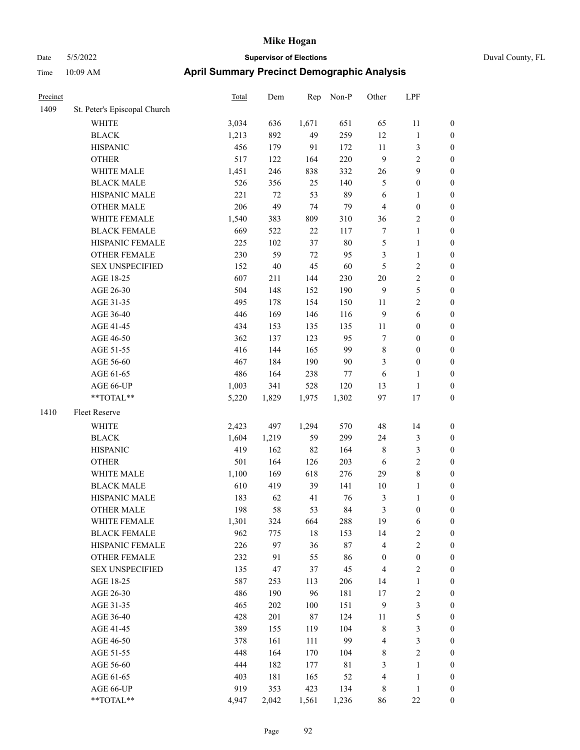| Duval County, FL |  |
|------------------|--|
|                  |  |

| Precinct |                              | <b>Total</b> | Dem    | Rep    | Non-P       | Other            | LPF              |                  |
|----------|------------------------------|--------------|--------|--------|-------------|------------------|------------------|------------------|
| 1409     | St. Peter's Episcopal Church |              |        |        |             |                  |                  |                  |
|          | WHITE                        | 3,034        | 636    | 1,671  | 651         | 65               | 11               | $\boldsymbol{0}$ |
|          | <b>BLACK</b>                 | 1,213        | 892    | 49     | 259         | 12               | $\mathbf{1}$     | $\boldsymbol{0}$ |
|          | <b>HISPANIC</b>              | 456          | 179    | 91     | 172         | 11               | $\mathfrak{Z}$   | 0                |
|          | <b>OTHER</b>                 | 517          | 122    | 164    | 220         | $\overline{9}$   | $\sqrt{2}$       | 0                |
|          | WHITE MALE                   | 1,451        | 246    | 838    | 332         | 26               | 9                | $\boldsymbol{0}$ |
|          | <b>BLACK MALE</b>            | 526          | 356    | 25     | 140         | 5                | $\boldsymbol{0}$ | $\boldsymbol{0}$ |
|          | HISPANIC MALE                | 221          | $72\,$ | 53     | 89          | 6                | $\mathbf{1}$     | $\boldsymbol{0}$ |
|          | <b>OTHER MALE</b>            | 206          | 49     | 74     | 79          | $\overline{4}$   | $\boldsymbol{0}$ | $\boldsymbol{0}$ |
|          | WHITE FEMALE                 | 1,540        | 383    | 809    | 310         | 36               | $\sqrt{2}$       | $\boldsymbol{0}$ |
|          | <b>BLACK FEMALE</b>          | 669          | 522    | $22\,$ | 117         | $\boldsymbol{7}$ | $\mathbf{1}$     | $\boldsymbol{0}$ |
|          | HISPANIC FEMALE              | 225          | 102    | 37     | $80\,$      | 5                | $\mathbf{1}$     | 0                |
|          | OTHER FEMALE                 | 230          | 59     | 72     | 95          | 3                | $\mathbf{1}$     | 0                |
|          | <b>SEX UNSPECIFIED</b>       | 152          | $40\,$ | 45     | 60          | 5                | $\sqrt{2}$       | 0                |
|          | AGE 18-25                    | 607          | 211    | 144    | 230         | $20\,$           | $\sqrt{2}$       | 0                |
|          | AGE 26-30                    | 504          | 148    | 152    | 190         | 9                | $\mathfrak{S}$   | $\boldsymbol{0}$ |
|          | AGE 31-35                    | 495          | 178    | 154    | 150         | 11               | $\sqrt{2}$       | $\boldsymbol{0}$ |
|          | AGE 36-40                    | 446          | 169    | 146    | 116         | $\overline{9}$   | 6                | $\boldsymbol{0}$ |
|          | AGE 41-45                    | 434          | 153    | 135    | 135         | 11               | $\boldsymbol{0}$ | $\boldsymbol{0}$ |
|          | AGE 46-50                    | 362          | 137    | 123    | 95          | 7                | $\boldsymbol{0}$ | $\boldsymbol{0}$ |
|          | AGE 51-55                    | 416          | 144    | 165    | 99          | 8                | $\boldsymbol{0}$ | $\boldsymbol{0}$ |
|          | AGE 56-60                    | 467          | 184    | 190    | 90          | $\mathfrak{Z}$   | $\boldsymbol{0}$ | 0                |
|          | AGE 61-65                    | 486          | 164    | 238    | 77          | 6                | 1                | 0                |
|          | AGE 66-UP                    | 1,003        | 341    | 528    | 120         | 13               | $\mathbf{1}$     | 0                |
|          | **TOTAL**                    | 5,220        | 1,829  | 1,975  | 1,302       | 97               | 17               | $\boldsymbol{0}$ |
| 1410     | Fleet Reserve                |              |        |        |             |                  |                  |                  |
|          | WHITE                        | 2,423        | 497    | 1,294  | 570         | 48               | 14               | 0                |
|          | <b>BLACK</b>                 | 1,604        | 1,219  | 59     | 299         | 24               | $\mathfrak{Z}$   | $\boldsymbol{0}$ |
|          | <b>HISPANIC</b>              | 419          | 162    | 82     | 164         | 8                | $\mathfrak{Z}$   | 0                |
|          | <b>OTHER</b>                 | 501          | 164    | 126    | 203         | 6                | $\sqrt{2}$       | $\boldsymbol{0}$ |
|          | WHITE MALE                   | 1,100        | 169    | 618    | 276         | 29               | $8\,$            | $\boldsymbol{0}$ |
|          | <b>BLACK MALE</b>            | 610          | 419    | 39     | 141         | 10               | $\mathbf{1}$     | $\boldsymbol{0}$ |
|          | HISPANIC MALE                | 183          | 62     | 41     | 76          | $\mathfrak{Z}$   | $\mathbf{1}$     | 0                |
|          | <b>OTHER MALE</b>            | 198          | 58     | 53     | 84          | 3                | $\boldsymbol{0}$ | $\boldsymbol{0}$ |
|          | WHITE FEMALE                 | 1,301        | 324    | 664    | 288         | 19               | 6                | 0                |
|          | <b>BLACK FEMALE</b>          | 962          | 775    | $18\,$ | 153         | 14               | $\sqrt{2}$       | 0                |
|          | HISPANIC FEMALE              | 226          | 97     | 36     | $87\,$      | 4                | $\sqrt{2}$       | 0                |
|          | OTHER FEMALE                 | 232          | 91     | 55     | 86          | $\boldsymbol{0}$ | $\boldsymbol{0}$ | 0                |
|          | <b>SEX UNSPECIFIED</b>       | 135          | 47     | 37     | 45          | $\overline{4}$   | $\sqrt{2}$       | 0                |
|          | AGE 18-25                    | 587          | 253    | 113    | 206         | 14               | $\mathbf{1}$     | 0                |
|          | AGE 26-30                    | 486          | 190    | 96     | 181         | 17               | $\sqrt{2}$       | 0                |
|          | AGE 31-35                    | 465          | 202    | 100    | 151         | $\overline{9}$   | $\mathfrak{Z}$   | 0                |
|          | AGE 36-40                    | 428          | 201    | 87     | 124         | 11               | $\mathfrak s$    | 0                |
|          | AGE 41-45                    | 389          | 155    | 119    | 104         | $\,$ 8 $\,$      | $\mathfrak{Z}$   | 0                |
|          | AGE 46-50                    | 378          | 161    | 111    | 99          | 4                | $\mathfrak{Z}$   | 0                |
|          | AGE 51-55                    | 448          | 164    | 170    | 104         | 8                | $\sqrt{2}$       | 0                |
|          | AGE 56-60                    | 444          | 182    | 177    | $8\sqrt{1}$ | 3                | $\mathbf{1}$     | 0                |
|          | AGE 61-65                    | 403          | 181    | 165    | 52          | $\overline{4}$   | $\mathbf{1}$     | $\boldsymbol{0}$ |
|          | AGE 66-UP                    | 919          | 353    | 423    | 134         | 8                | $\mathbf{1}$     | 0                |
|          | $**TOTAL**$                  | 4,947        | 2,042  | 1,561  | 1,236       | 86               | $22\,$           | $\boldsymbol{0}$ |